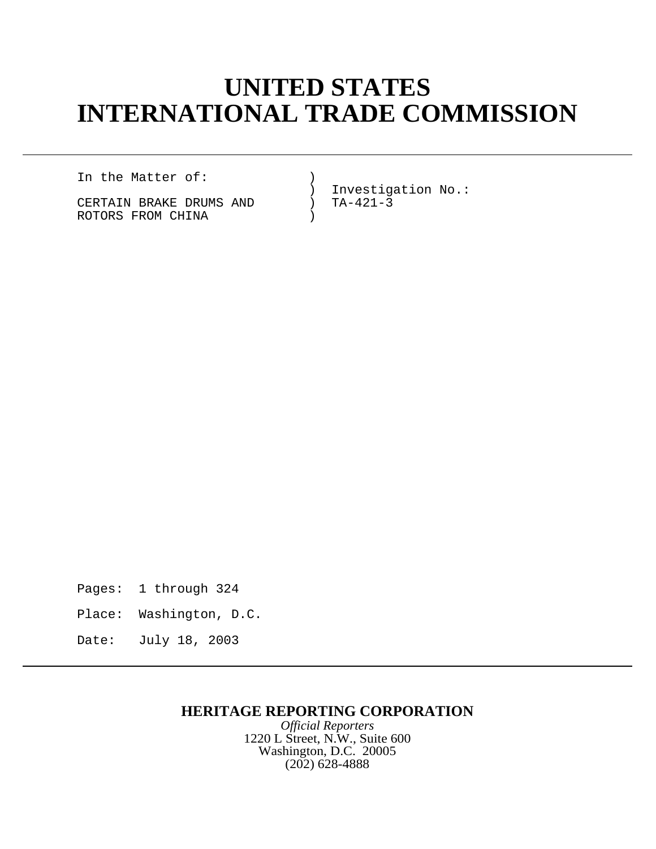# **UNITED STATES INTERNATIONAL TRADE COMMISSION**

In the Matter of: (1)

CERTAIN BRAKE DRUMS AND ( ROTORS FROM CHINA (1999)

) Investigation No.:<br>
) TA-421-3

- Pages: 1 through 324
- Place: Washington, D.C.
- Date: July 18, 2003

# **HERITAGE REPORTING CORPORATION**

*Official Reporters* 1220 L Street, N.W., Suite 600 Washington, D.C. 20005 (202) 628-4888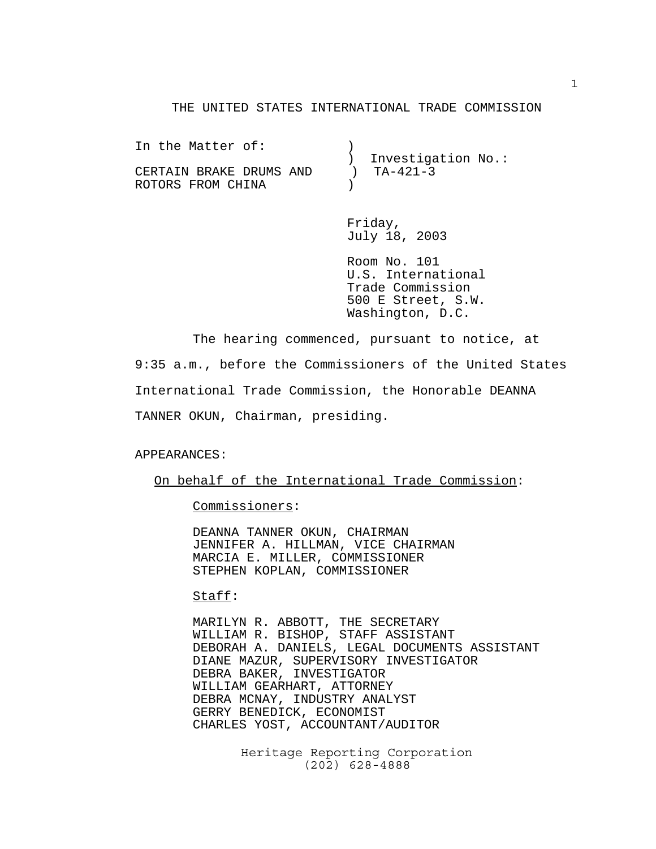#### THE UNITED STATES INTERNATIONAL TRADE COMMISSION

| In the Matter of:       |                      |
|-------------------------|----------------------|
|                         | ) Investigation No.: |
| CERTAIN BRAKE DRUMS AND | $T_{A-421-3}$        |
| ROTORS FROM CHINA       |                      |
|                         |                      |

Friday, July 18, 2003

Room No. 101 U.S. International Trade Commission 500 E Street, S.W. Washington, D.C.

The hearing commenced, pursuant to notice, at 9:35 a.m., before the Commissioners of the United States International Trade Commission, the Honorable DEANNA TANNER OKUN, Chairman, presiding.

#### APPEARANCES:

On behalf of the International Trade Commission:

Commissioners:

DEANNA TANNER OKUN, CHAIRMAN JENNIFER A. HILLMAN, VICE CHAIRMAN MARCIA E. MILLER, COMMISSIONER STEPHEN KOPLAN, COMMISSIONER

#### Staff:

MARILYN R. ABBOTT, THE SECRETARY WILLIAM R. BISHOP, STAFF ASSISTANT DEBORAH A. DANIELS, LEGAL DOCUMENTS ASSISTANT DIANE MAZUR, SUPERVISORY INVESTIGATOR DEBRA BAKER, INVESTIGATOR WILLIAM GEARHART, ATTORNEY DEBRA MCNAY, INDUSTRY ANALYST GERRY BENEDICK, ECONOMIST CHARLES YOST, ACCOUNTANT/AUDITOR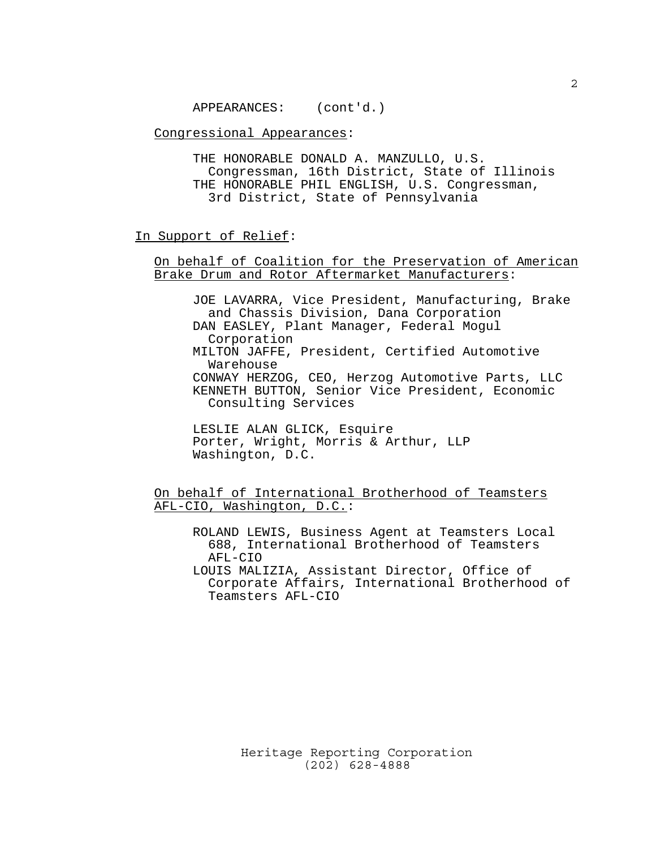APPEARANCES: (cont'd.)

Congressional Appearances:

THE HONORABLE DONALD A. MANZULLO, U.S. Congressman, 16th District, State of Illinois THE HONORABLE PHIL ENGLISH, U.S. Congressman, 3rd District, State of Pennsylvania

## In Support of Relief:

## On behalf of Coalition for the Preservation of American Brake Drum and Rotor Aftermarket Manufacturers:

JOE LAVARRA, Vice President, Manufacturing, Brake and Chassis Division, Dana Corporation DAN EASLEY, Plant Manager, Federal Mogul Corporation MILTON JAFFE, President, Certified Automotive Warehouse CONWAY HERZOG, CEO, Herzog Automotive Parts, LLC KENNETH BUTTON, Senior Vice President, Economic Consulting Services

LESLIE ALAN GLICK, Esquire Porter, Wright, Morris & Arthur, LLP Washington, D.C.

On behalf of International Brotherhood of Teamsters AFL-CIO, Washington, D.C.:

ROLAND LEWIS, Business Agent at Teamsters Local 688, International Brotherhood of Teamsters AFL-CIO LOUIS MALIZIA, Assistant Director, Office of Corporate Affairs, International Brotherhood of Teamsters AFL-CIO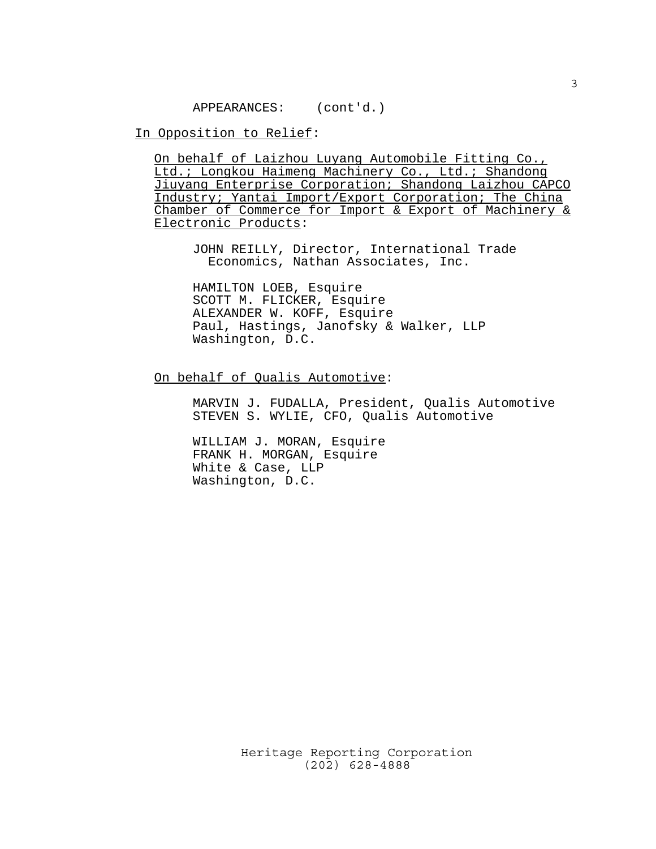APPEARANCES: (cont'd.)

In Opposition to Relief:

On behalf of Laizhou Luyang Automobile Fitting Co., Ltd.; Longkou Haimeng Machinery Co., Ltd.; Shandong Jiuyang Enterprise Corporation; Shandong Laizhou CAPCO Industry; Yantai Import/Export Corporation; The China Chamber of Commerce for Import & Export of Machinery & Electronic Products:

JOHN REILLY, Director, International Trade Economics, Nathan Associates, Inc.

HAMILTON LOEB, Esquire SCOTT M. FLICKER, Esquire ALEXANDER W. KOFF, Esquire Paul, Hastings, Janofsky & Walker, LLP Washington, D.C.

## On behalf of Qualis Automotive:

MARVIN J. FUDALLA, President, Qualis Automotive STEVEN S. WYLIE, CFO, Qualis Automotive

WILLIAM J. MORAN, Esquire FRANK H. MORGAN, Esquire White & Case, LLP Washington, D.C.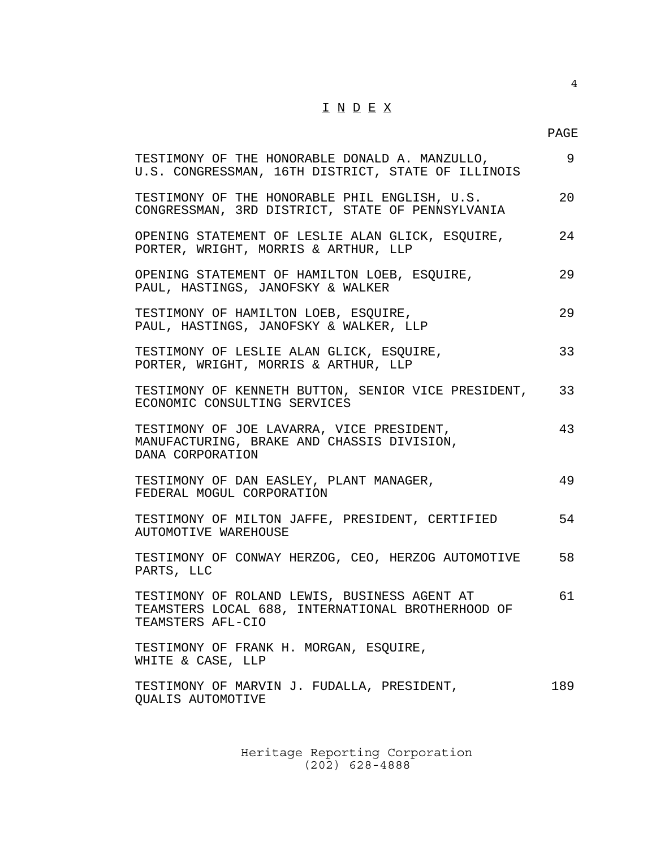## $\underline{\texttt{I}} \ \underline{\texttt{N}} \ \underline{\texttt{D}} \ \underline{\texttt{E}} \ \underline{\texttt{X}}$

4

| TESTIMONY OF THE HONORABLE DONALD A. MANZULLO,<br>U.S. CONGRESSMAN, 16TH DISTRICT, STATE OF ILLINOIS                   | 9   |
|------------------------------------------------------------------------------------------------------------------------|-----|
| TESTIMONY OF THE HONORABLE PHIL ENGLISH, U.S.<br>CONGRESSMAN, 3RD DISTRICT, STATE OF PENNSYLVANIA                      | 20  |
| OPENING STATEMENT OF LESLIE ALAN GLICK, ESQUIRE,<br>PORTER, WRIGHT, MORRIS & ARTHUR, LLP                               | 24  |
| OPENING STATEMENT OF HAMILTON LOEB, ESQUIRE,<br>PAUL, HASTINGS, JANOFSKY & WALKER                                      | 29  |
| TESTIMONY OF HAMILTON LOEB, ESQUIRE,<br>PAUL, HASTINGS, JANOFSKY & WALKER, LLP                                         | 29  |
| TESTIMONY OF LESLIE ALAN GLICK, ESQUIRE,<br>PORTER, WRIGHT, MORRIS & ARTHUR, LLP                                       | 33  |
| TESTIMONY OF KENNETH BUTTON, SENIOR VICE PRESIDENT,<br>ECONOMIC CONSULTING SERVICES                                    | 33  |
| TESTIMONY OF JOE LAVARRA, VICE PRESIDENT,<br>MANUFACTURING, BRAKE AND CHASSIS DIVISION,<br>DANA CORPORATION            | 43  |
| TESTIMONY OF DAN EASLEY, PLANT MANAGER,<br>FEDERAL MOGUL CORPORATION                                                   | 49  |
| TESTIMONY OF MILTON JAFFE, PRESIDENT, CERTIFIED<br>AUTOMOTIVE WAREHOUSE                                                | 54  |
| TESTIMONY OF CONWAY HERZOG, CEO, HERZOG AUTOMOTIVE<br>PARTS, LLC                                                       | 58  |
| TESTIMONY OF ROLAND LEWIS, BUSINESS AGENT AT<br>TEAMSTERS LOCAL 688, INTERNATIONAL BROTHERHOOD OF<br>TEAMSTERS AFL-CIO | 61  |
| TESTIMONY OF FRANK H. MORGAN, ESQUIRE,<br>WHITE & CASE, LLP                                                            |     |
| TESTIMONY OF MARVIN J. FUDALLA, PRESIDENT,<br>QUALIS AUTOMOTIVE                                                        | 189 |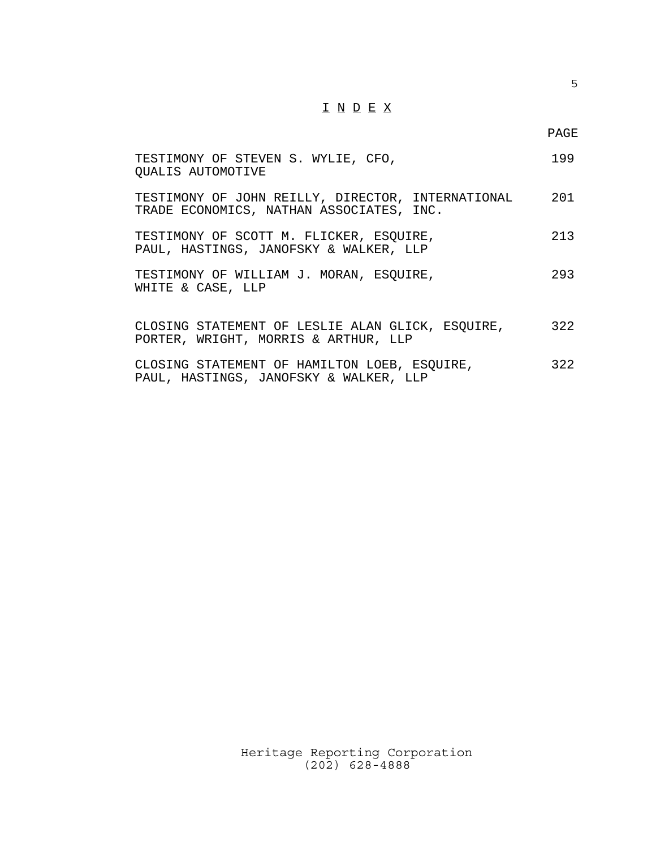## $\underline{\texttt{I}} \ \underline{\texttt{N}} \ \underline{\texttt{D}} \ \underline{\texttt{E}} \ \underline{\texttt{X}}$

PAGE

| TESTIMONY OF STEVEN S. WYLIE, CFO,<br><b>OUALIS AUTOMOTIVE</b>                                | 199 |
|-----------------------------------------------------------------------------------------------|-----|
| TESTIMONY OF JOHN REILLY, DIRECTOR, INTERNATIONAL<br>TRADE ECONOMICS, NATHAN ASSOCIATES, INC. | 201 |
| TESTIMONY OF SCOTT M. FLICKER, ESQUIRE,<br>PAUL, HASTINGS, JANOFSKY & WALKER, LLP             | 213 |
| TESTIMONY OF WILLIAM J. MORAN, ESQUIRE,<br>WHITE & CASE, LLP                                  | 293 |
| CLOSING STATEMENT OF LESLIE ALAN GLICK, ESQUIRE,<br>PORTER, WRIGHT, MORRIS & ARTHUR, LLP      | 322 |
| CLOSING STATEMENT OF HAMILTON LOEB, ESQUIRE,<br>PAUL, HASTINGS, JANOFSKY & WALKER, LLP        | 322 |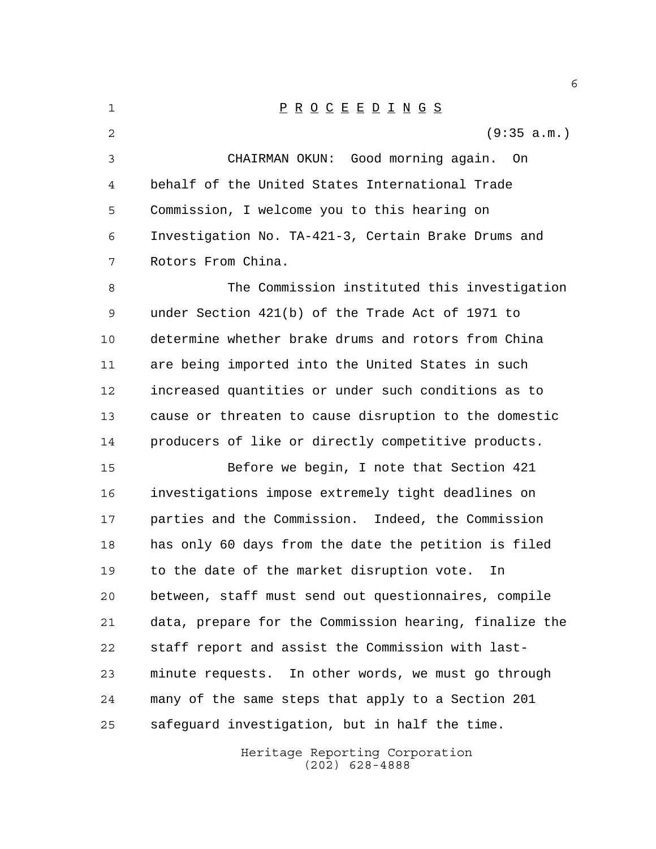Heritage Reporting Corporation (202) 628-4888 P R O C E E D I N G S (9:35 a.m.) CHAIRMAN OKUN: Good morning again. On behalf of the United States International Trade Commission, I welcome you to this hearing on Investigation No. TA-421-3, Certain Brake Drums and Rotors From China. The Commission instituted this investigation under Section 421(b) of the Trade Act of 1971 to determine whether brake drums and rotors from China are being imported into the United States in such increased quantities or under such conditions as to cause or threaten to cause disruption to the domestic producers of like or directly competitive products. Before we begin, I note that Section 421 investigations impose extremely tight deadlines on parties and the Commission. Indeed, the Commission has only 60 days from the date the petition is filed to the date of the market disruption vote. In between, staff must send out questionnaires, compile data, prepare for the Commission hearing, finalize the staff report and assist the Commission with last- minute requests. In other words, we must go through many of the same steps that apply to a Section 201 safeguard investigation, but in half the time.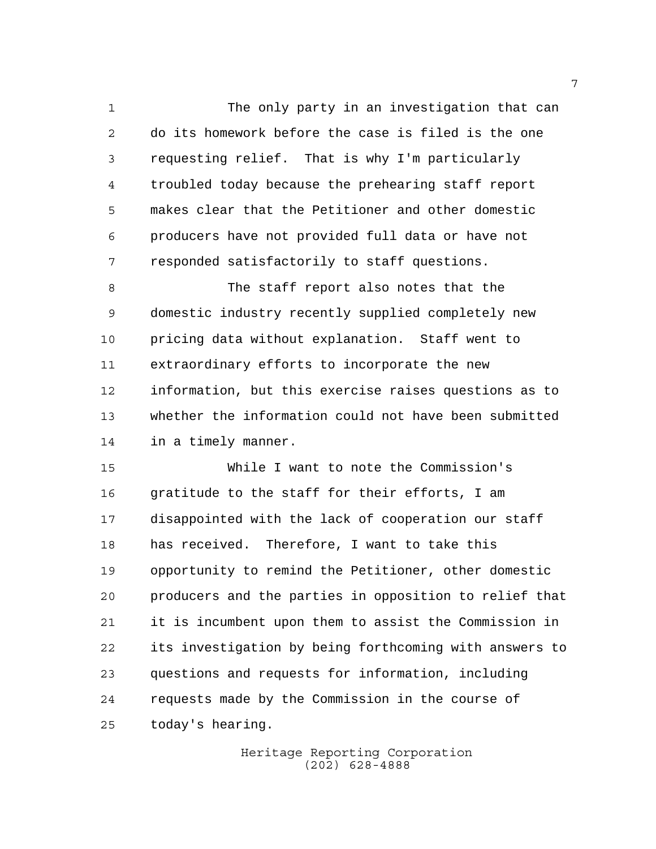The only party in an investigation that can do its homework before the case is filed is the one requesting relief. That is why I'm particularly troubled today because the prehearing staff report makes clear that the Petitioner and other domestic producers have not provided full data or have not responded satisfactorily to staff questions.

 The staff report also notes that the domestic industry recently supplied completely new pricing data without explanation. Staff went to extraordinary efforts to incorporate the new information, but this exercise raises questions as to whether the information could not have been submitted in a timely manner.

 While I want to note the Commission's gratitude to the staff for their efforts, I am disappointed with the lack of cooperation our staff has received. Therefore, I want to take this opportunity to remind the Petitioner, other domestic producers and the parties in opposition to relief that it is incumbent upon them to assist the Commission in its investigation by being forthcoming with answers to questions and requests for information, including requests made by the Commission in the course of today's hearing.

> Heritage Reporting Corporation (202) 628-4888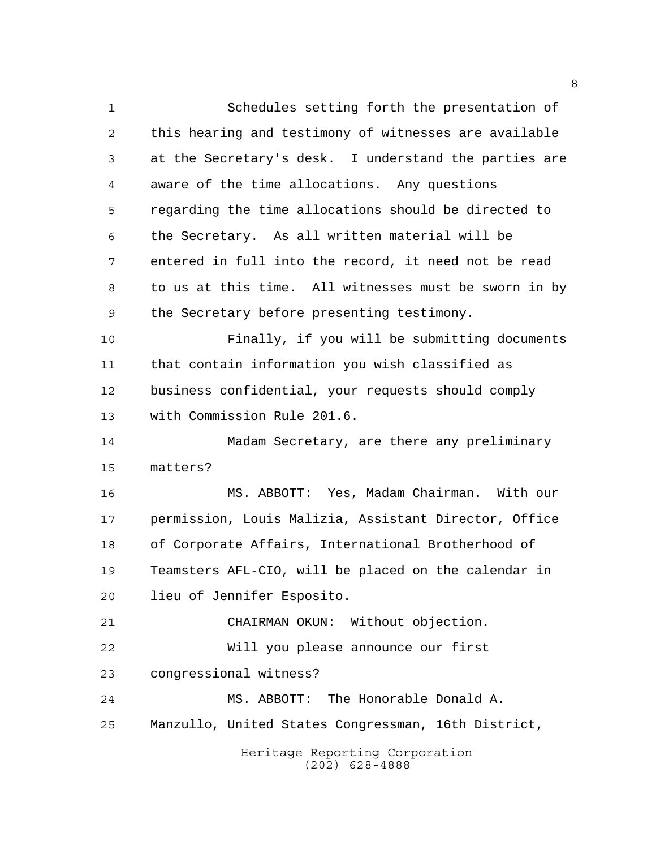Heritage Reporting Corporation (202) 628-4888 Schedules setting forth the presentation of this hearing and testimony of witnesses are available at the Secretary's desk. I understand the parties are aware of the time allocations. Any questions regarding the time allocations should be directed to the Secretary. As all written material will be entered in full into the record, it need not be read to us at this time. All witnesses must be sworn in by the Secretary before presenting testimony. Finally, if you will be submitting documents that contain information you wish classified as business confidential, your requests should comply with Commission Rule 201.6. Madam Secretary, are there any preliminary matters? MS. ABBOTT: Yes, Madam Chairman. With our permission, Louis Malizia, Assistant Director, Office of Corporate Affairs, International Brotherhood of Teamsters AFL-CIO, will be placed on the calendar in lieu of Jennifer Esposito. CHAIRMAN OKUN: Without objection. Will you please announce our first congressional witness? MS. ABBOTT: The Honorable Donald A. Manzullo, United States Congressman, 16th District,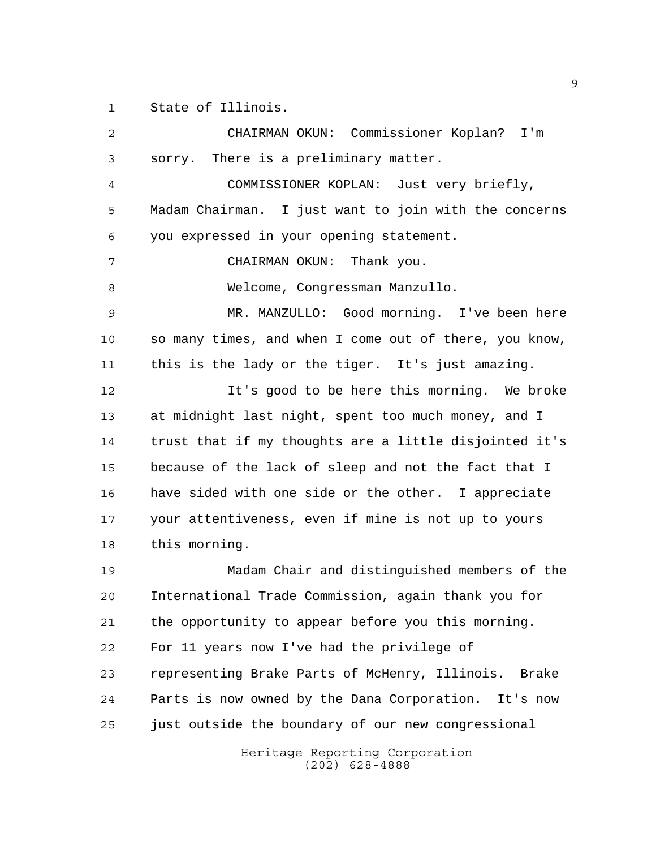State of Illinois.

Heritage Reporting Corporation CHAIRMAN OKUN: Commissioner Koplan? I'm sorry. There is a preliminary matter. COMMISSIONER KOPLAN: Just very briefly, Madam Chairman. I just want to join with the concerns you expressed in your opening statement. CHAIRMAN OKUN: Thank you. Welcome, Congressman Manzullo. MR. MANZULLO: Good morning. I've been here so many times, and when I come out of there, you know, this is the lady or the tiger. It's just amazing. It's good to be here this morning. We broke at midnight last night, spent too much money, and I trust that if my thoughts are a little disjointed it's because of the lack of sleep and not the fact that I have sided with one side or the other. I appreciate your attentiveness, even if mine is not up to yours this morning. Madam Chair and distinguished members of the International Trade Commission, again thank you for the opportunity to appear before you this morning. For 11 years now I've had the privilege of representing Brake Parts of McHenry, Illinois. Brake Parts is now owned by the Dana Corporation. It's now just outside the boundary of our new congressional

(202) 628-4888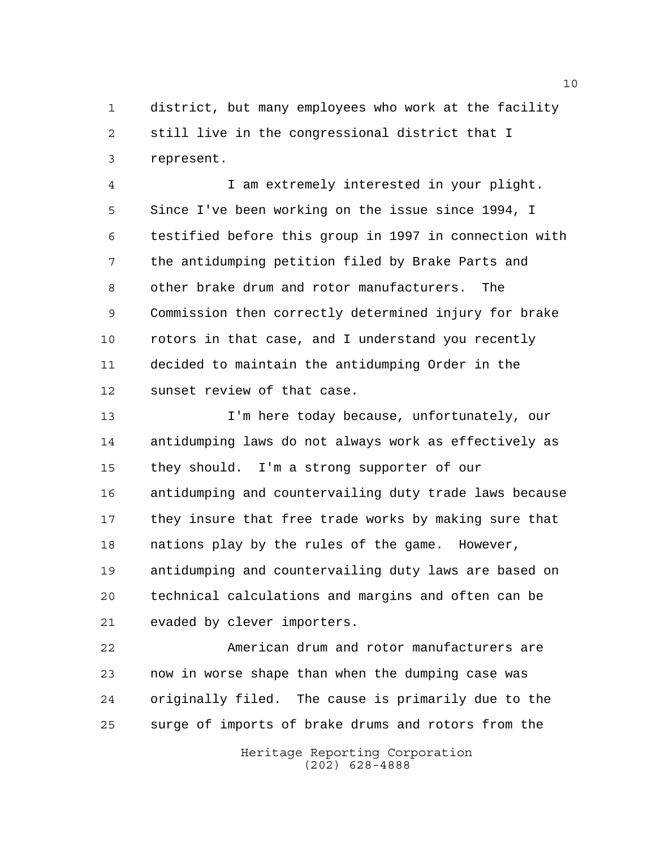district, but many employees who work at the facility still live in the congressional district that I represent.

 I am extremely interested in your plight. Since I've been working on the issue since 1994, I testified before this group in 1997 in connection with the antidumping petition filed by Brake Parts and other brake drum and rotor manufacturers. The Commission then correctly determined injury for brake rotors in that case, and I understand you recently decided to maintain the antidumping Order in the sunset review of that case.

 I'm here today because, unfortunately, our antidumping laws do not always work as effectively as they should. I'm a strong supporter of our antidumping and countervailing duty trade laws because they insure that free trade works by making sure that nations play by the rules of the game. However, antidumping and countervailing duty laws are based on technical calculations and margins and often can be evaded by clever importers.

 American drum and rotor manufacturers are now in worse shape than when the dumping case was originally filed. The cause is primarily due to the surge of imports of brake drums and rotors from the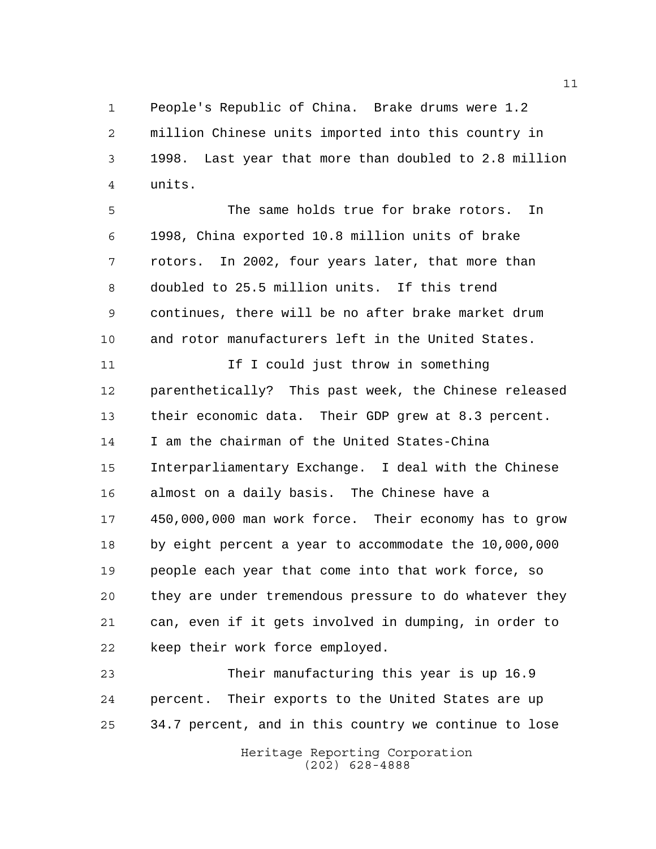People's Republic of China. Brake drums were 1.2 million Chinese units imported into this country in 1998. Last year that more than doubled to 2.8 million units.

 The same holds true for brake rotors. In 1998, China exported 10.8 million units of brake rotors. In 2002, four years later, that more than doubled to 25.5 million units. If this trend continues, there will be no after brake market drum and rotor manufacturers left in the United States.

11 11 If I could just throw in something parenthetically? This past week, the Chinese released their economic data. Their GDP grew at 8.3 percent. I am the chairman of the United States-China Interparliamentary Exchange. I deal with the Chinese almost on a daily basis. The Chinese have a 450,000,000 man work force. Their economy has to grow by eight percent a year to accommodate the 10,000,000 people each year that come into that work force, so they are under tremendous pressure to do whatever they can, even if it gets involved in dumping, in order to keep their work force employed.

 Their manufacturing this year is up 16.9 percent. Their exports to the United States are up 34.7 percent, and in this country we continue to lose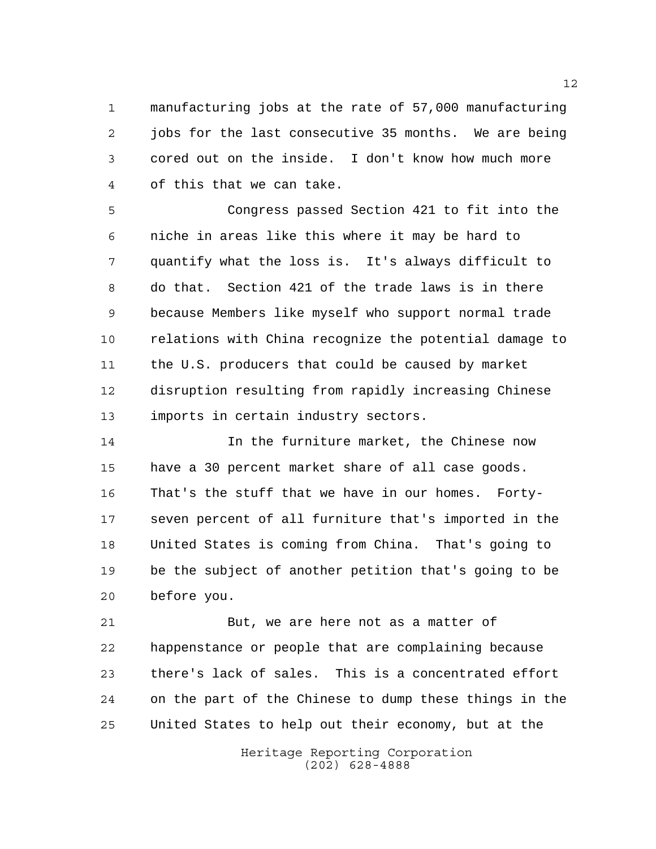manufacturing jobs at the rate of 57,000 manufacturing jobs for the last consecutive 35 months. We are being cored out on the inside. I don't know how much more of this that we can take.

 Congress passed Section 421 to fit into the niche in areas like this where it may be hard to quantify what the loss is. It's always difficult to do that. Section 421 of the trade laws is in there because Members like myself who support normal trade relations with China recognize the potential damage to the U.S. producers that could be caused by market disruption resulting from rapidly increasing Chinese imports in certain industry sectors.

 In the furniture market, the Chinese now have a 30 percent market share of all case goods. That's the stuff that we have in our homes. Forty- seven percent of all furniture that's imported in the United States is coming from China. That's going to be the subject of another petition that's going to be before you.

21 But, we are here not as a matter of happenstance or people that are complaining because there's lack of sales. This is a concentrated effort on the part of the Chinese to dump these things in the United States to help out their economy, but at the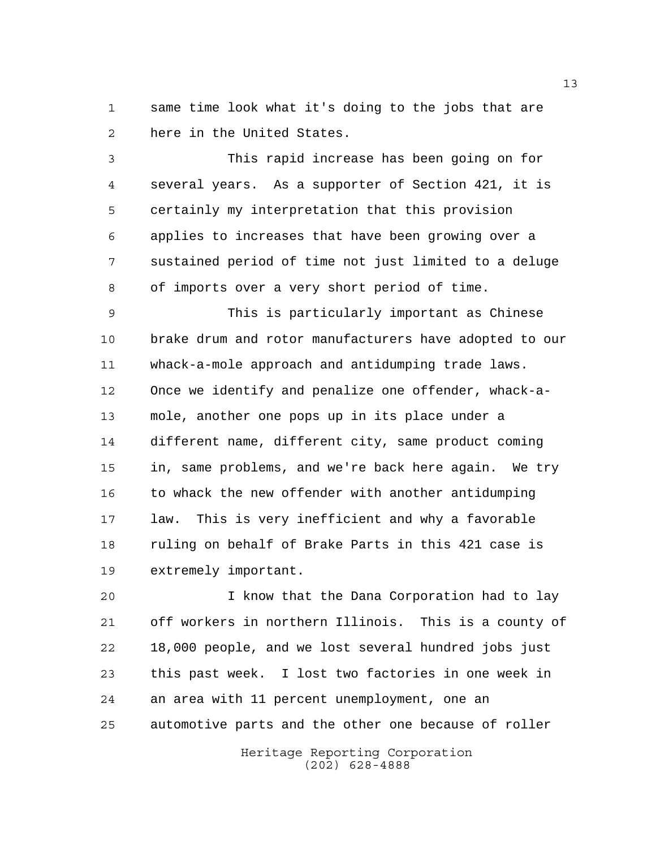same time look what it's doing to the jobs that are here in the United States.

 This rapid increase has been going on for several years. As a supporter of Section 421, it is certainly my interpretation that this provision applies to increases that have been growing over a sustained period of time not just limited to a deluge of imports over a very short period of time.

 This is particularly important as Chinese brake drum and rotor manufacturers have adopted to our whack-a-mole approach and antidumping trade laws. Once we identify and penalize one offender, whack-a- mole, another one pops up in its place under a different name, different city, same product coming in, same problems, and we're back here again. We try 16 to whack the new offender with another antidumping law. This is very inefficient and why a favorable ruling on behalf of Brake Parts in this 421 case is extremely important.

 I know that the Dana Corporation had to lay off workers in northern Illinois. This is a county of 18,000 people, and we lost several hundred jobs just this past week. I lost two factories in one week in an area with 11 percent unemployment, one an automotive parts and the other one because of roller

> Heritage Reporting Corporation (202) 628-4888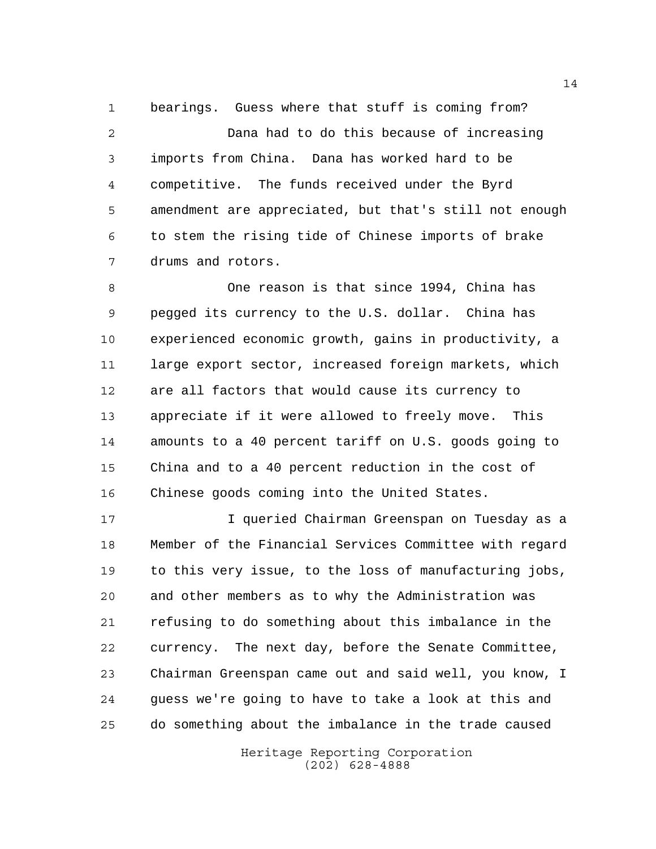bearings. Guess where that stuff is coming from? Dana had to do this because of increasing imports from China. Dana has worked hard to be competitive. The funds received under the Byrd amendment are appreciated, but that's still not enough to stem the rising tide of Chinese imports of brake drums and rotors.

 One reason is that since 1994, China has pegged its currency to the U.S. dollar. China has experienced economic growth, gains in productivity, a large export sector, increased foreign markets, which are all factors that would cause its currency to appreciate if it were allowed to freely move. This amounts to a 40 percent tariff on U.S. goods going to China and to a 40 percent reduction in the cost of Chinese goods coming into the United States.

 I queried Chairman Greenspan on Tuesday as a Member of the Financial Services Committee with regard to this very issue, to the loss of manufacturing jobs, and other members as to why the Administration was refusing to do something about this imbalance in the currency. The next day, before the Senate Committee, Chairman Greenspan came out and said well, you know, I guess we're going to have to take a look at this and do something about the imbalance in the trade caused

> Heritage Reporting Corporation (202) 628-4888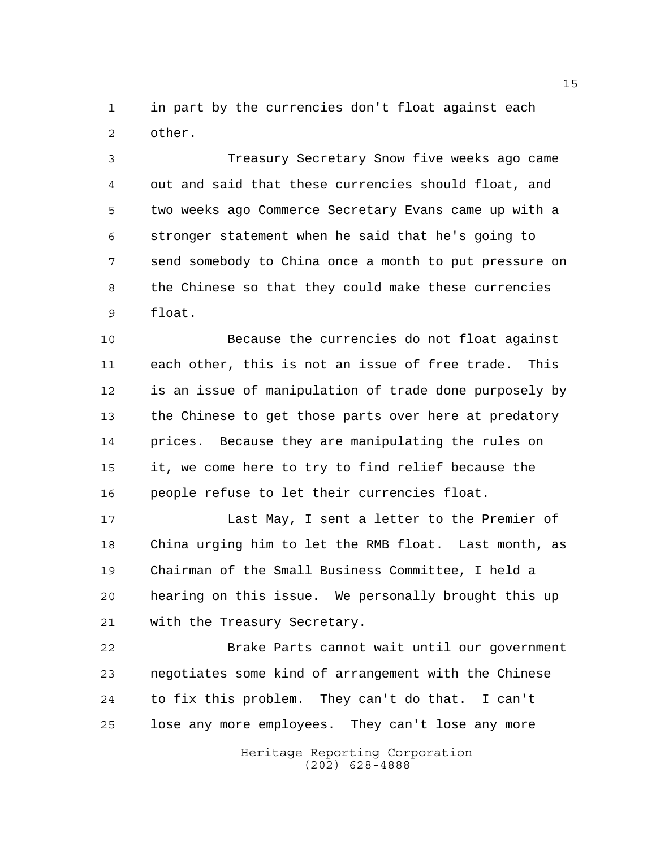in part by the currencies don't float against each other.

 Treasury Secretary Snow five weeks ago came out and said that these currencies should float, and two weeks ago Commerce Secretary Evans came up with a stronger statement when he said that he's going to send somebody to China once a month to put pressure on the Chinese so that they could make these currencies float.

 Because the currencies do not float against each other, this is not an issue of free trade. This is an issue of manipulation of trade done purposely by the Chinese to get those parts over here at predatory prices. Because they are manipulating the rules on it, we come here to try to find relief because the people refuse to let their currencies float.

 Last May, I sent a letter to the Premier of China urging him to let the RMB float. Last month, as Chairman of the Small Business Committee, I held a hearing on this issue. We personally brought this up with the Treasury Secretary.

 Brake Parts cannot wait until our government negotiates some kind of arrangement with the Chinese to fix this problem. They can't do that. I can't lose any more employees. They can't lose any more

> Heritage Reporting Corporation (202) 628-4888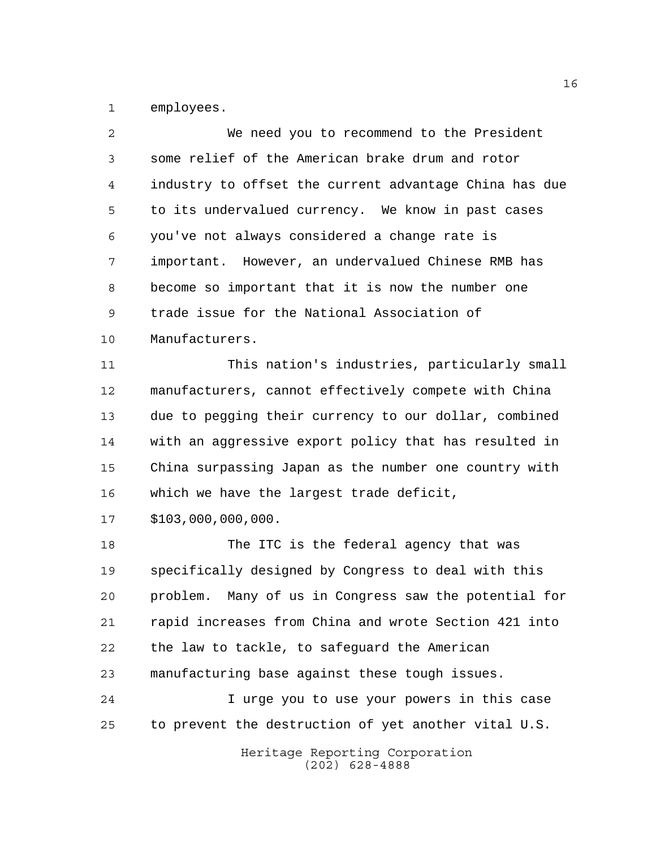employees.

| 2              | We need you to recommend to the President                |
|----------------|----------------------------------------------------------|
| 3              | some relief of the American brake drum and rotor         |
| $\overline{4}$ | industry to offset the current advantage China has due   |
| 5              | to its undervalued currency. We know in past cases       |
| 6              | you've not always considered a change rate is            |
| 7              | important. However, an undervalued Chinese RMB has       |
| 8              | become so important that it is now the number one        |
| 9              | trade issue for the National Association of              |
| 10             | Manufacturers.                                           |
| 11             | This nation's industries, particularly small             |
| 12             | manufacturers, cannot effectively compete with China     |
| 13             | due to pegging their currency to our dollar, combined    |
| 14             | with an aggressive export policy that has resulted in    |
| 15             | China surpassing Japan as the number one country with    |
| 16             | which we have the largest trade deficit,                 |
| 17             | \$103,000,000,000.                                       |
| 18             | The ITC is the federal agency that was                   |
| 19             | specifically designed by Congress to deal with this      |
| 20             | Many of us in Congress saw the potential for<br>problem. |
| 21             | rapid increases from China and wrote Section 421 into    |
| 22             | the law to tackle, to safeguard the American             |
| 23             | manufacturing base against these tough issues.           |
| 24             | I urge you to use your powers in this case               |
| 25             | to prevent the destruction of yet another vital U.S.     |
|                | Heritage Reporting Corporation                           |

(202) 628-4888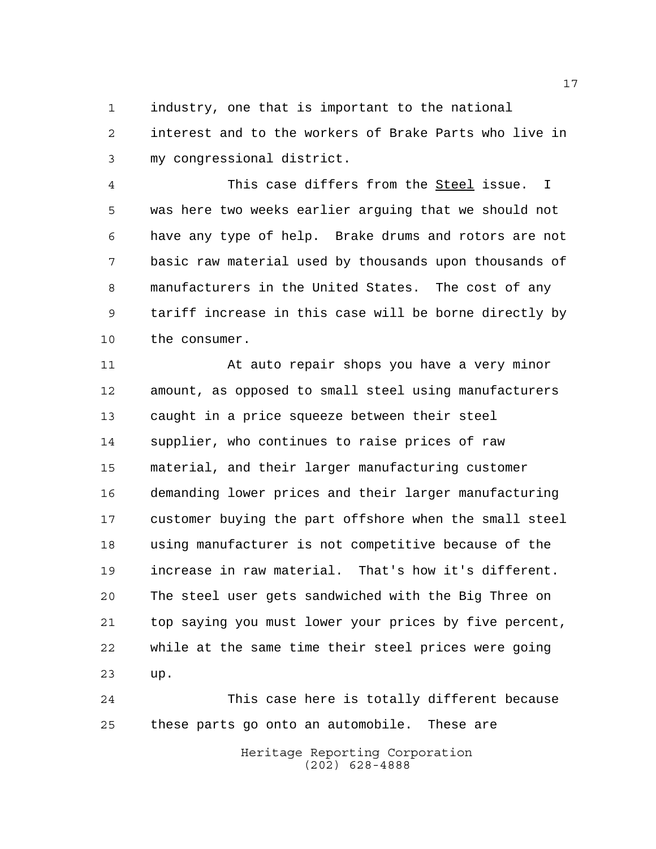industry, one that is important to the national interest and to the workers of Brake Parts who live in my congressional district.

 This case differs from the Steel issue. I was here two weeks earlier arguing that we should not have any type of help. Brake drums and rotors are not basic raw material used by thousands upon thousands of manufacturers in the United States. The cost of any tariff increase in this case will be borne directly by the consumer.

11 At auto repair shops you have a very minor amount, as opposed to small steel using manufacturers caught in a price squeeze between their steel supplier, who continues to raise prices of raw material, and their larger manufacturing customer demanding lower prices and their larger manufacturing customer buying the part offshore when the small steel using manufacturer is not competitive because of the increase in raw material. That's how it's different. The steel user gets sandwiched with the Big Three on top saying you must lower your prices by five percent, while at the same time their steel prices were going up.

 This case here is totally different because these parts go onto an automobile. These are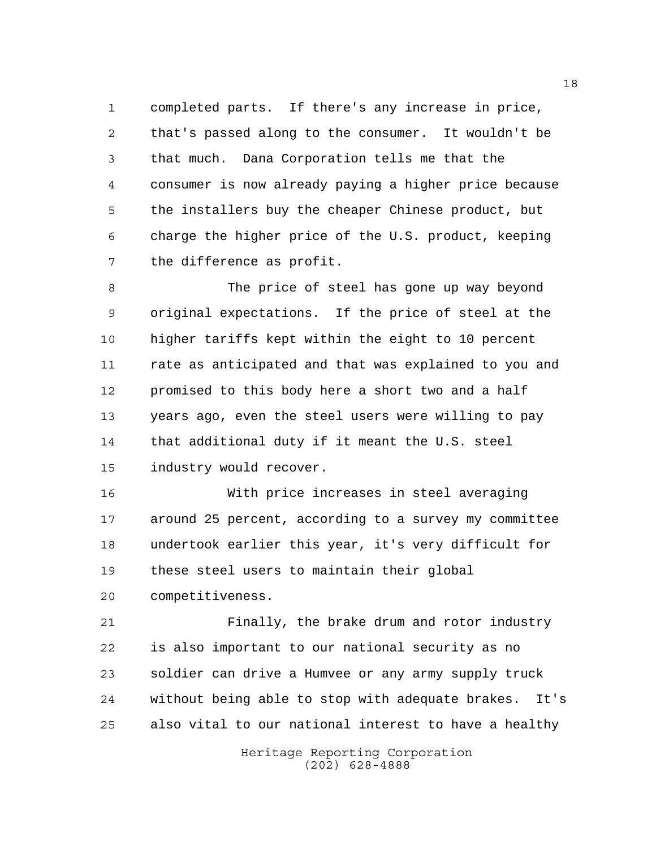completed parts. If there's any increase in price, that's passed along to the consumer. It wouldn't be that much. Dana Corporation tells me that the consumer is now already paying a higher price because the installers buy the cheaper Chinese product, but charge the higher price of the U.S. product, keeping the difference as profit.

 The price of steel has gone up way beyond original expectations. If the price of steel at the higher tariffs kept within the eight to 10 percent rate as anticipated and that was explained to you and promised to this body here a short two and a half years ago, even the steel users were willing to pay that additional duty if it meant the U.S. steel industry would recover.

 With price increases in steel averaging around 25 percent, according to a survey my committee undertook earlier this year, it's very difficult for these steel users to maintain their global competitiveness.

 Finally, the brake drum and rotor industry is also important to our national security as no soldier can drive a Humvee or any army supply truck without being able to stop with adequate brakes. It's also vital to our national interest to have a healthy

> Heritage Reporting Corporation (202) 628-4888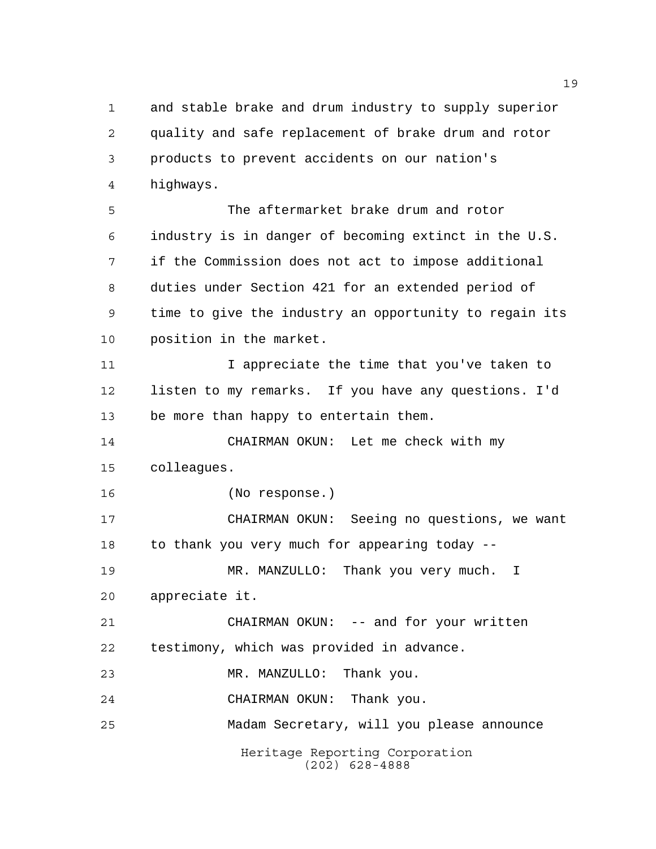and stable brake and drum industry to supply superior quality and safe replacement of brake drum and rotor products to prevent accidents on our nation's highways.

 The aftermarket brake drum and rotor industry is in danger of becoming extinct in the U.S. if the Commission does not act to impose additional duties under Section 421 for an extended period of time to give the industry an opportunity to regain its position in the market.

11 11 I appreciate the time that you've taken to listen to my remarks. If you have any questions. I'd be more than happy to entertain them.

 CHAIRMAN OKUN: Let me check with my colleagues.

(No response.)

 CHAIRMAN OKUN: Seeing no questions, we want to thank you very much for appearing today -- MR. MANZULLO: Thank you very much. I

appreciate it.

 CHAIRMAN OKUN: -- and for your written testimony, which was provided in advance.

MR. MANZULLO: Thank you.

CHAIRMAN OKUN: Thank you.

Madam Secretary, will you please announce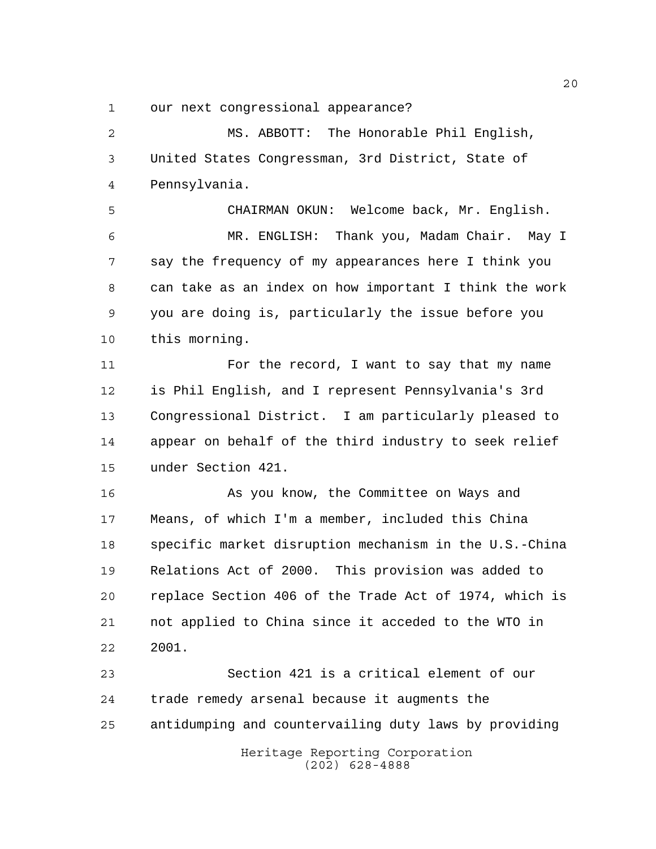our next congressional appearance?

 MS. ABBOTT: The Honorable Phil English, United States Congressman, 3rd District, State of Pennsylvania.

 CHAIRMAN OKUN: Welcome back, Mr. English. MR. ENGLISH: Thank you, Madam Chair. May I say the frequency of my appearances here I think you can take as an index on how important I think the work you are doing is, particularly the issue before you this morning.

11 For the record, I want to say that my name is Phil English, and I represent Pennsylvania's 3rd Congressional District. I am particularly pleased to appear on behalf of the third industry to seek relief under Section 421.

 As you know, the Committee on Ways and Means, of which I'm a member, included this China specific market disruption mechanism in the U.S.-China Relations Act of 2000. This provision was added to replace Section 406 of the Trade Act of 1974, which is not applied to China since it acceded to the WTO in 2001.

Heritage Reporting Corporation Section 421 is a critical element of our trade remedy arsenal because it augments the antidumping and countervailing duty laws by providing

(202) 628-4888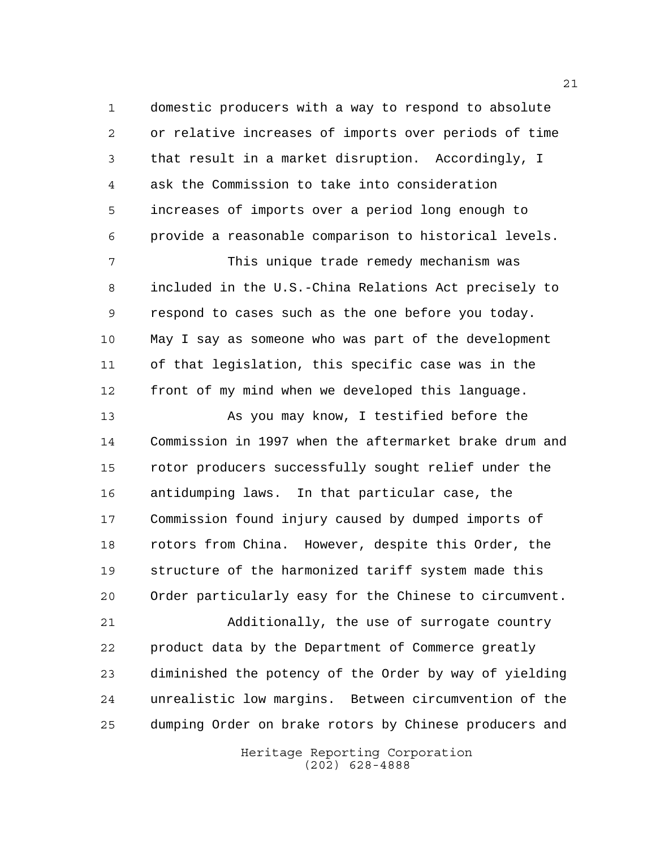domestic producers with a way to respond to absolute or relative increases of imports over periods of time that result in a market disruption. Accordingly, I ask the Commission to take into consideration increases of imports over a period long enough to provide a reasonable comparison to historical levels.

 This unique trade remedy mechanism was included in the U.S.-China Relations Act precisely to respond to cases such as the one before you today. May I say as someone who was part of the development of that legislation, this specific case was in the front of my mind when we developed this language.

13 As you may know, I testified before the Commission in 1997 when the aftermarket brake drum and rotor producers successfully sought relief under the antidumping laws. In that particular case, the Commission found injury caused by dumped imports of rotors from China. However, despite this Order, the structure of the harmonized tariff system made this Order particularly easy for the Chinese to circumvent.

 Additionally, the use of surrogate country product data by the Department of Commerce greatly diminished the potency of the Order by way of yielding unrealistic low margins. Between circumvention of the dumping Order on brake rotors by Chinese producers and

> Heritage Reporting Corporation (202) 628-4888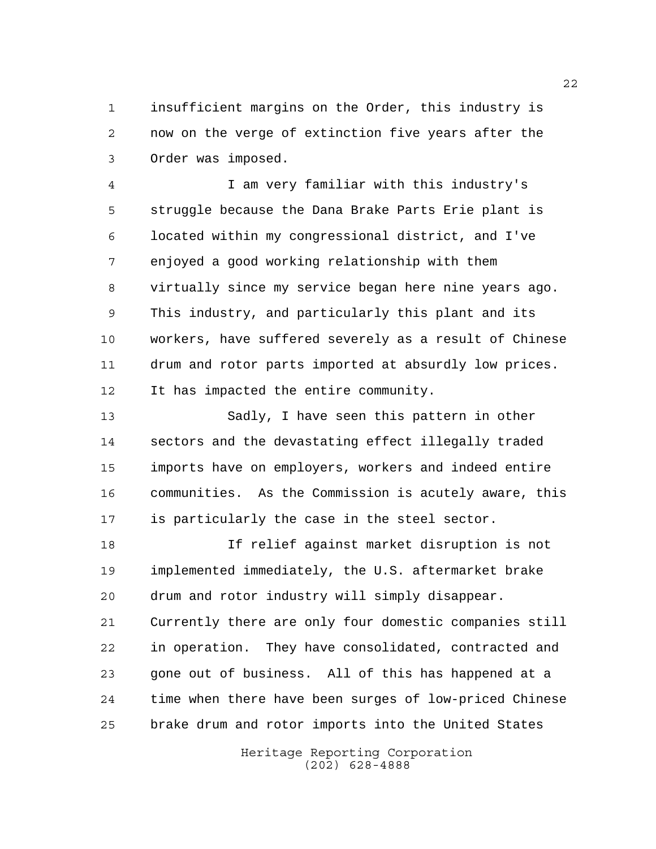insufficient margins on the Order, this industry is now on the verge of extinction five years after the Order was imposed.

 I am very familiar with this industry's struggle because the Dana Brake Parts Erie plant is located within my congressional district, and I've enjoyed a good working relationship with them virtually since my service began here nine years ago. This industry, and particularly this plant and its workers, have suffered severely as a result of Chinese drum and rotor parts imported at absurdly low prices. It has impacted the entire community.

 Sadly, I have seen this pattern in other sectors and the devastating effect illegally traded imports have on employers, workers and indeed entire communities. As the Commission is acutely aware, this is particularly the case in the steel sector.

 If relief against market disruption is not implemented immediately, the U.S. aftermarket brake drum and rotor industry will simply disappear. Currently there are only four domestic companies still in operation. They have consolidated, contracted and gone out of business. All of this has happened at a time when there have been surges of low-priced Chinese brake drum and rotor imports into the United States

> Heritage Reporting Corporation (202) 628-4888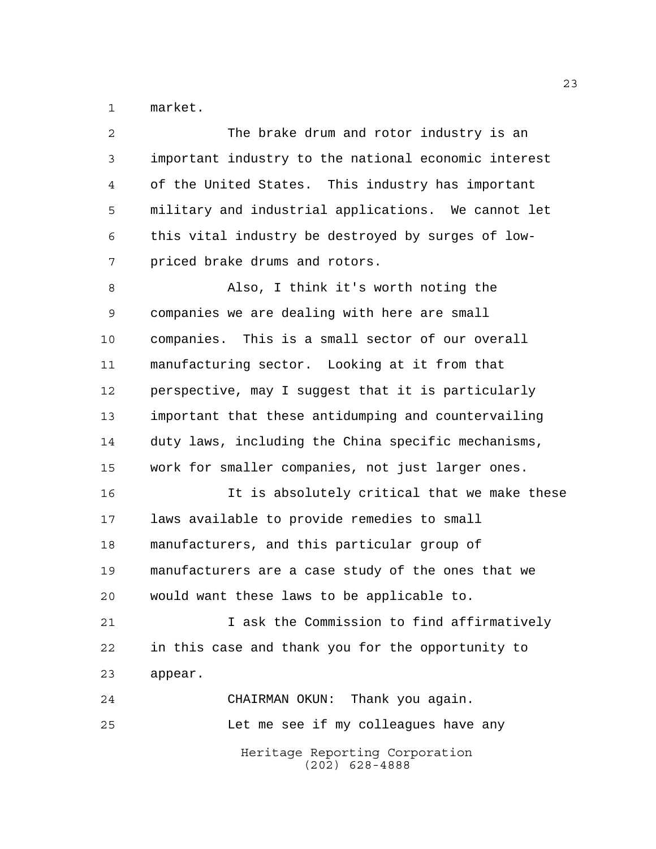market.

| $\overline{a}$ | The brake drum and rotor industry is an              |
|----------------|------------------------------------------------------|
| 3              | important industry to the national economic interest |
| 4              | of the United States. This industry has important    |
| 5              | military and industrial applications. We cannot let  |
| 6              | this vital industry be destroyed by surges of low-   |
| 7              | priced brake drums and rotors.                       |
| 8              | Also, I think it's worth noting the                  |
| 9              | companies we are dealing with here are small         |
| 10             | companies. This is a small sector of our overall     |
| 11             | manufacturing sector. Looking at it from that        |
| 12             | perspective, may I suggest that it is particularly   |
| 13             | important that these antidumping and countervailing  |
| 14             | duty laws, including the China specific mechanisms,  |
| 15             | work for smaller companies, not just larger ones.    |
| 16             | It is absolutely critical that we make these         |
| 17             | laws available to provide remedies to small          |
| 18             | manufacturers, and this particular group of          |
| 19             | manufacturers are a case study of the ones that we   |
| 20             | would want these laws to be applicable to.           |
| 21             | I ask the Commission to find affirmatively           |
| 22             | in this case and thank you for the opportunity to    |
| 23             | appear.                                              |
| 24             | CHAIRMAN OKUN: Thank you again.                      |
| 25             | Let me see if my colleagues have any                 |
|                | Heritage Reporting Corporation<br>$(202)$ 628-4888   |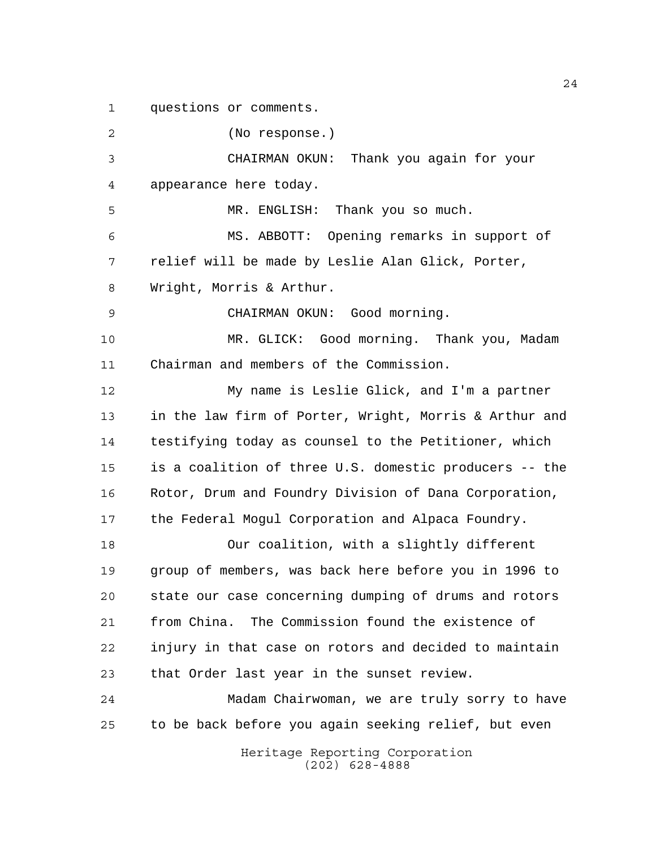questions or comments.

Heritage Reporting Corporation (No response.) CHAIRMAN OKUN: Thank you again for your appearance here today. MR. ENGLISH: Thank you so much. MS. ABBOTT: Opening remarks in support of relief will be made by Leslie Alan Glick, Porter, Wright, Morris & Arthur. CHAIRMAN OKUN: Good morning. MR. GLICK: Good morning. Thank you, Madam Chairman and members of the Commission. My name is Leslie Glick, and I'm a partner in the law firm of Porter, Wright, Morris & Arthur and testifying today as counsel to the Petitioner, which is a coalition of three U.S. domestic producers -- the Rotor, Drum and Foundry Division of Dana Corporation, the Federal Mogul Corporation and Alpaca Foundry. Our coalition, with a slightly different group of members, was back here before you in 1996 to state our case concerning dumping of drums and rotors from China. The Commission found the existence of injury in that case on rotors and decided to maintain that Order last year in the sunset review. Madam Chairwoman, we are truly sorry to have to be back before you again seeking relief, but even

(202) 628-4888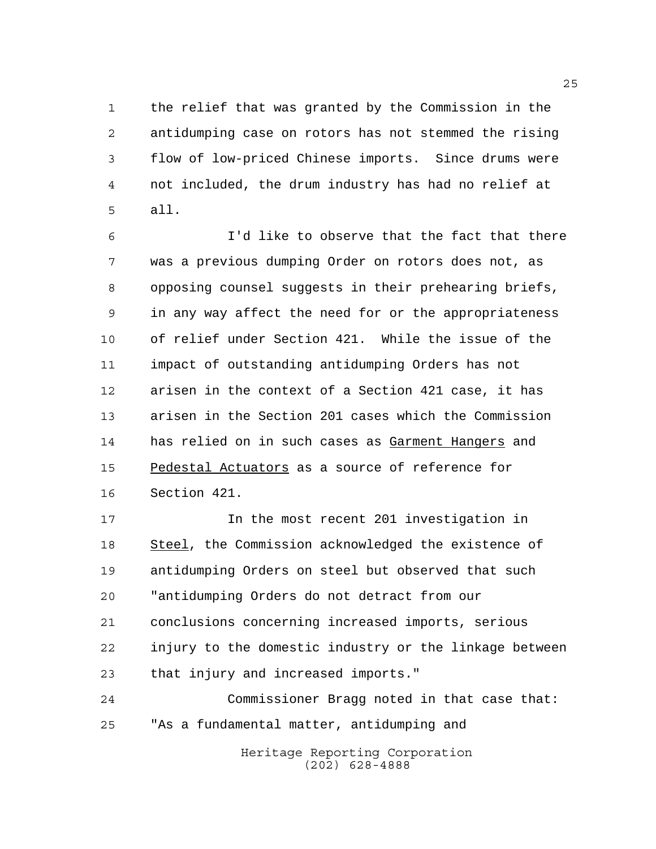the relief that was granted by the Commission in the antidumping case on rotors has not stemmed the rising flow of low-priced Chinese imports. Since drums were not included, the drum industry has had no relief at all.

 I'd like to observe that the fact that there was a previous dumping Order on rotors does not, as opposing counsel suggests in their prehearing briefs, in any way affect the need for or the appropriateness of relief under Section 421. While the issue of the impact of outstanding antidumping Orders has not arisen in the context of a Section 421 case, it has arisen in the Section 201 cases which the Commission has relied on in such cases as Garment Hangers and 15 Pedestal Actuators as a source of reference for Section 421.

 In the most recent 201 investigation in Steel, the Commission acknowledged the existence of antidumping Orders on steel but observed that such "antidumping Orders do not detract from our conclusions concerning increased imports, serious injury to the domestic industry or the linkage between that injury and increased imports."

Heritage Reporting Corporation Commissioner Bragg noted in that case that: "As a fundamental matter, antidumping and

(202) 628-4888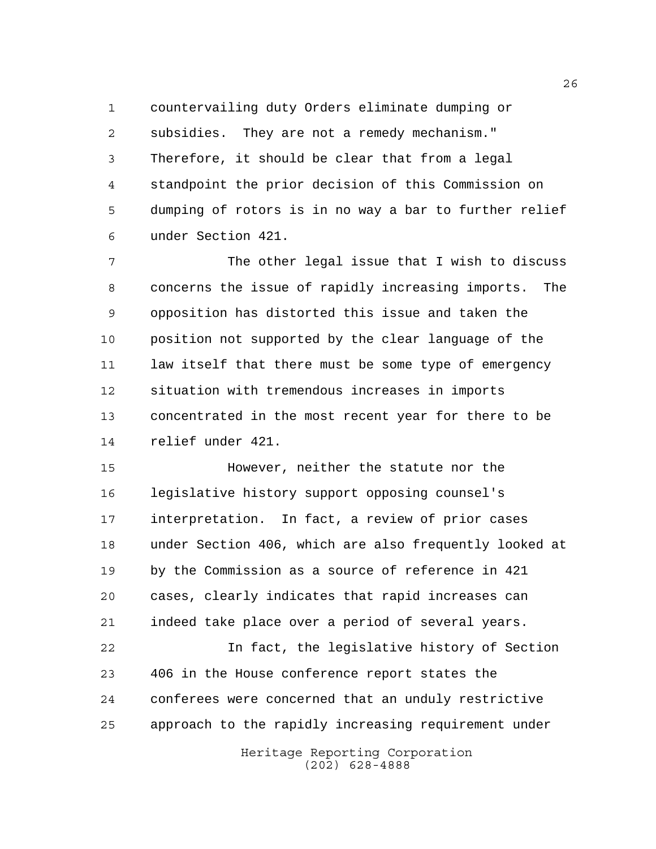countervailing duty Orders eliminate dumping or subsidies. They are not a remedy mechanism." Therefore, it should be clear that from a legal standpoint the prior decision of this Commission on dumping of rotors is in no way a bar to further relief under Section 421.

 The other legal issue that I wish to discuss concerns the issue of rapidly increasing imports. The opposition has distorted this issue and taken the position not supported by the clear language of the law itself that there must be some type of emergency situation with tremendous increases in imports concentrated in the most recent year for there to be relief under 421.

 However, neither the statute nor the legislative history support opposing counsel's interpretation. In fact, a review of prior cases under Section 406, which are also frequently looked at by the Commission as a source of reference in 421 cases, clearly indicates that rapid increases can indeed take place over a period of several years.

 In fact, the legislative history of Section 406 in the House conference report states the conferees were concerned that an unduly restrictive approach to the rapidly increasing requirement under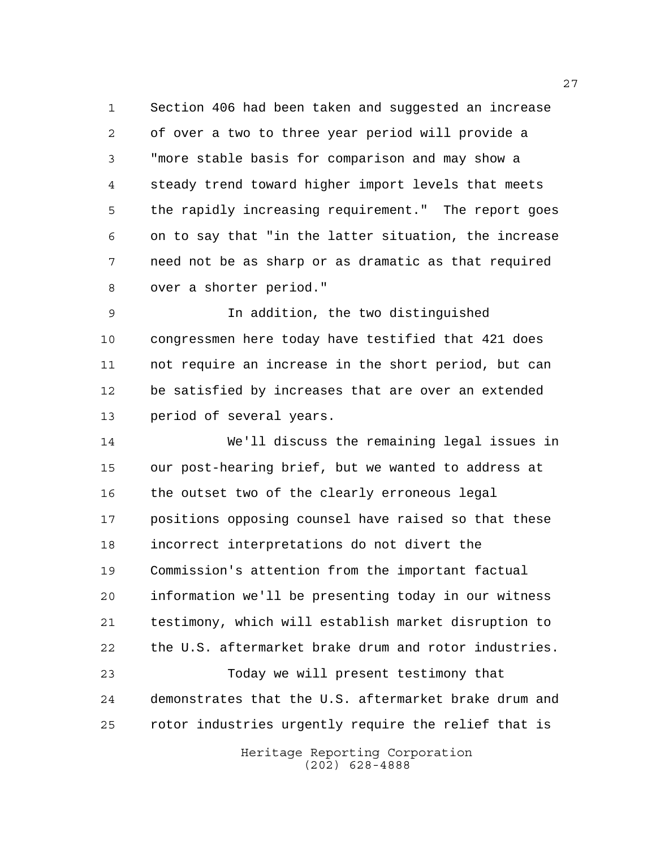Section 406 had been taken and suggested an increase of over a two to three year period will provide a "more stable basis for comparison and may show a steady trend toward higher import levels that meets the rapidly increasing requirement." The report goes on to say that "in the latter situation, the increase need not be as sharp or as dramatic as that required over a shorter period."

 In addition, the two distinguished congressmen here today have testified that 421 does not require an increase in the short period, but can be satisfied by increases that are over an extended period of several years.

 We'll discuss the remaining legal issues in our post-hearing brief, but we wanted to address at the outset two of the clearly erroneous legal positions opposing counsel have raised so that these incorrect interpretations do not divert the Commission's attention from the important factual information we'll be presenting today in our witness testimony, which will establish market disruption to the U.S. aftermarket brake drum and rotor industries. Today we will present testimony that

 demonstrates that the U.S. aftermarket brake drum and rotor industries urgently require the relief that is

> Heritage Reporting Corporation (202) 628-4888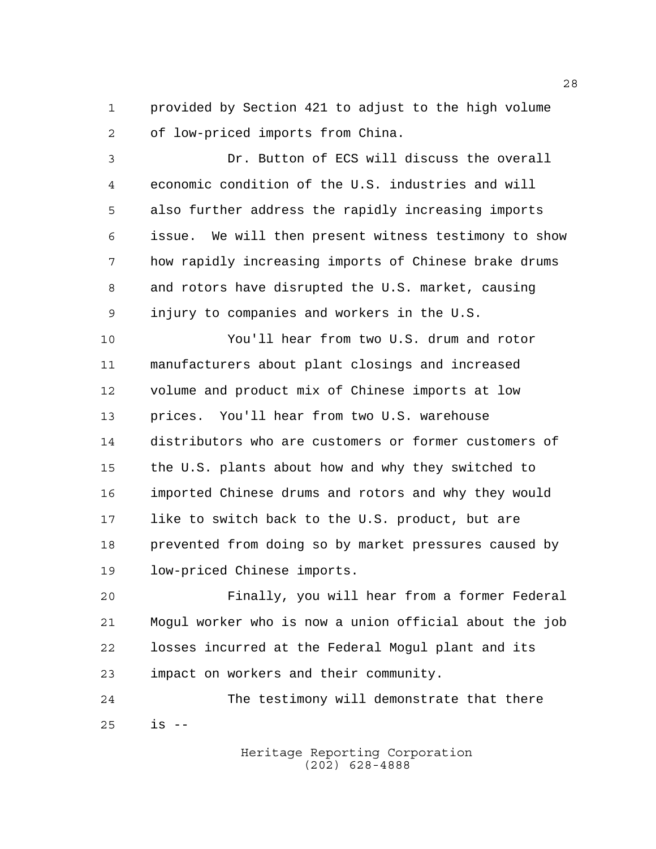provided by Section 421 to adjust to the high volume of low-priced imports from China.

 Dr. Button of ECS will discuss the overall economic condition of the U.S. industries and will also further address the rapidly increasing imports issue. We will then present witness testimony to show how rapidly increasing imports of Chinese brake drums and rotors have disrupted the U.S. market, causing injury to companies and workers in the U.S.

 You'll hear from two U.S. drum and rotor manufacturers about plant closings and increased volume and product mix of Chinese imports at low prices. You'll hear from two U.S. warehouse distributors who are customers or former customers of the U.S. plants about how and why they switched to imported Chinese drums and rotors and why they would like to switch back to the U.S. product, but are prevented from doing so by market pressures caused by low-priced Chinese imports.

 Finally, you will hear from a former Federal Mogul worker who is now a union official about the job losses incurred at the Federal Mogul plant and its impact on workers and their community.

 The testimony will demonstrate that there is --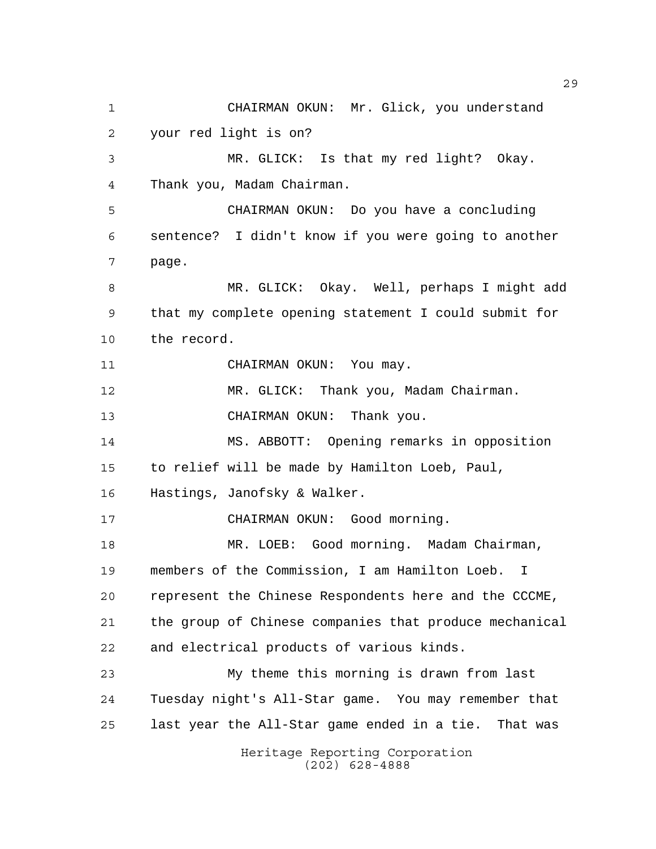Heritage Reporting Corporation CHAIRMAN OKUN: Mr. Glick, you understand your red light is on? MR. GLICK: Is that my red light? Okay. Thank you, Madam Chairman. CHAIRMAN OKUN: Do you have a concluding sentence? I didn't know if you were going to another page. MR. GLICK: Okay. Well, perhaps I might add that my complete opening statement I could submit for the record. 11 CHAIRMAN OKUN: You may. MR. GLICK: Thank you, Madam Chairman. CHAIRMAN OKUN: Thank you. MS. ABBOTT: Opening remarks in opposition to relief will be made by Hamilton Loeb, Paul, Hastings, Janofsky & Walker. CHAIRMAN OKUN: Good morning. MR. LOEB: Good morning. Madam Chairman, members of the Commission, I am Hamilton Loeb. I represent the Chinese Respondents here and the CCCME, the group of Chinese companies that produce mechanical and electrical products of various kinds. My theme this morning is drawn from last Tuesday night's All-Star game. You may remember that last year the All-Star game ended in a tie. That was

(202) 628-4888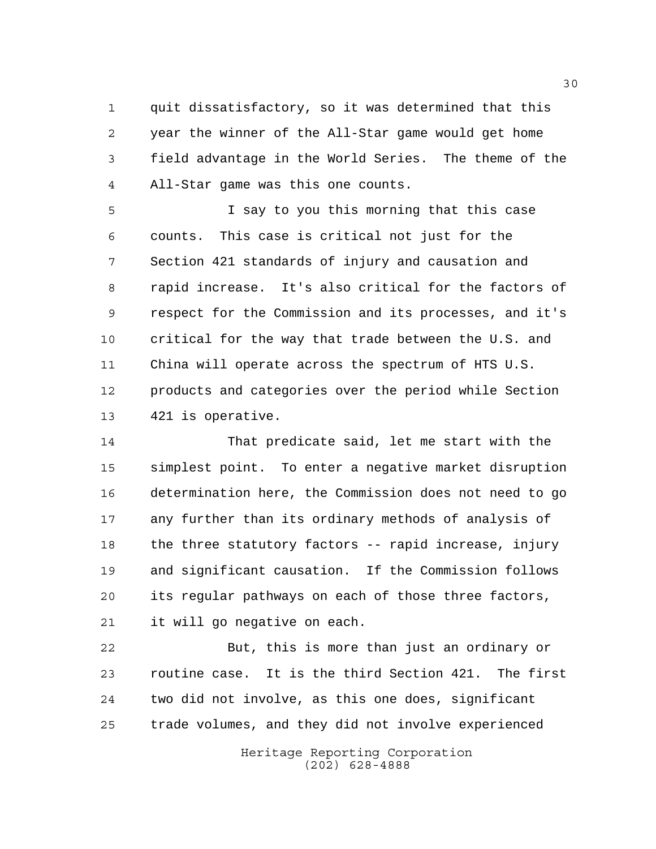quit dissatisfactory, so it was determined that this year the winner of the All-Star game would get home field advantage in the World Series. The theme of the All-Star game was this one counts.

 I say to you this morning that this case counts. This case is critical not just for the Section 421 standards of injury and causation and rapid increase. It's also critical for the factors of respect for the Commission and its processes, and it's critical for the way that trade between the U.S. and China will operate across the spectrum of HTS U.S. products and categories over the period while Section 421 is operative.

 That predicate said, let me start with the simplest point. To enter a negative market disruption determination here, the Commission does not need to go any further than its ordinary methods of analysis of the three statutory factors -- rapid increase, injury and significant causation. If the Commission follows its regular pathways on each of those three factors, it will go negative on each.

 But, this is more than just an ordinary or routine case. It is the third Section 421. The first two did not involve, as this one does, significant trade volumes, and they did not involve experienced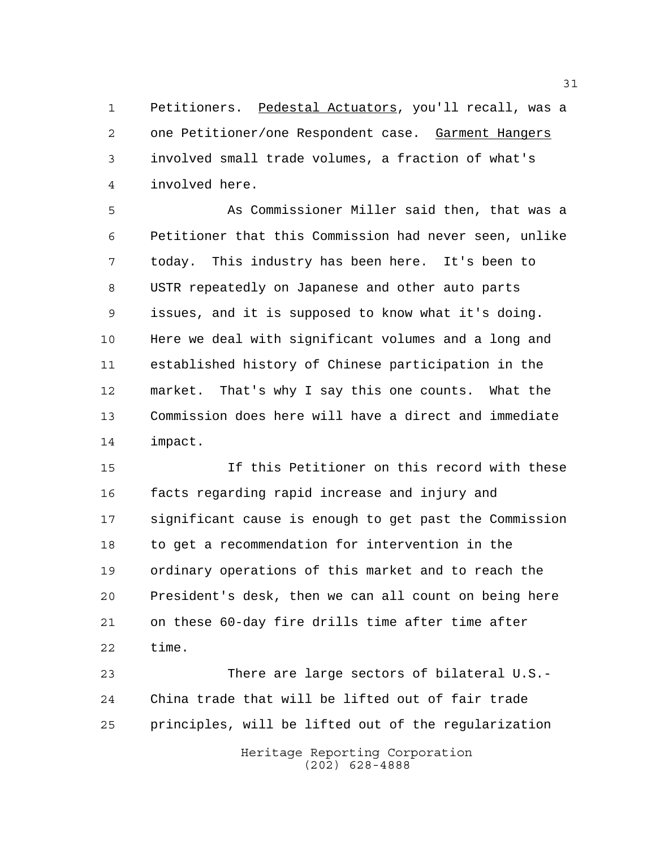Petitioners. Pedestal Actuators, you'll recall, was a one Petitioner/one Respondent case. Garment Hangers involved small trade volumes, a fraction of what's involved here.

 As Commissioner Miller said then, that was a Petitioner that this Commission had never seen, unlike today. This industry has been here. It's been to USTR repeatedly on Japanese and other auto parts issues, and it is supposed to know what it's doing. Here we deal with significant volumes and a long and established history of Chinese participation in the market. That's why I say this one counts. What the Commission does here will have a direct and immediate impact.

 If this Petitioner on this record with these facts regarding rapid increase and injury and significant cause is enough to get past the Commission to get a recommendation for intervention in the ordinary operations of this market and to reach the President's desk, then we can all count on being here on these 60-day fire drills time after time after time.

 There are large sectors of bilateral U.S.- China trade that will be lifted out of fair trade principles, will be lifted out of the regularization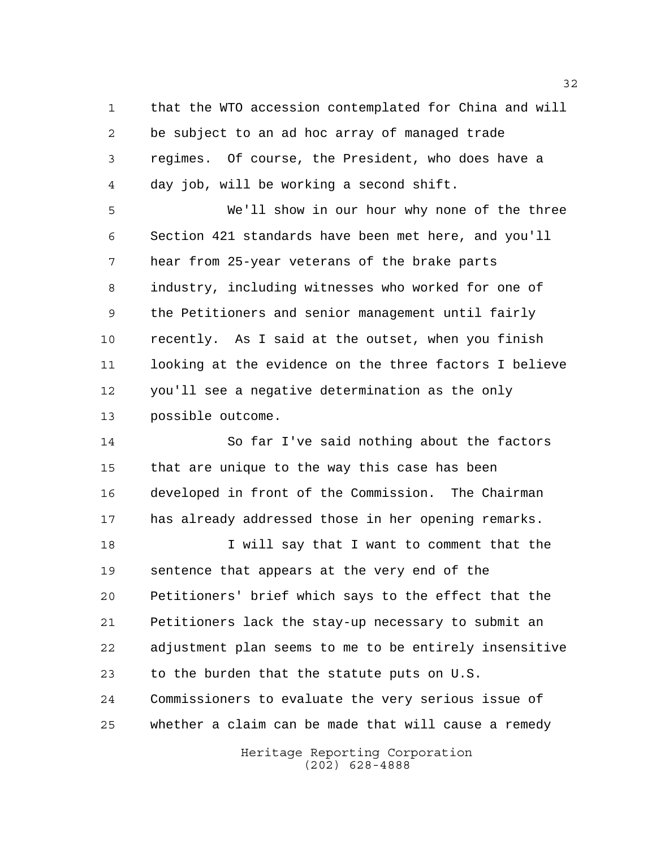that the WTO accession contemplated for China and will be subject to an ad hoc array of managed trade regimes. Of course, the President, who does have a day job, will be working a second shift.

 We'll show in our hour why none of the three Section 421 standards have been met here, and you'll hear from 25-year veterans of the brake parts industry, including witnesses who worked for one of the Petitioners and senior management until fairly recently. As I said at the outset, when you finish looking at the evidence on the three factors I believe you'll see a negative determination as the only possible outcome.

 So far I've said nothing about the factors that are unique to the way this case has been developed in front of the Commission. The Chairman has already addressed those in her opening remarks.

 I will say that I want to comment that the sentence that appears at the very end of the Petitioners' brief which says to the effect that the Petitioners lack the stay-up necessary to submit an adjustment plan seems to me to be entirely insensitive to the burden that the statute puts on U.S. Commissioners to evaluate the very serious issue of whether a claim can be made that will cause a remedy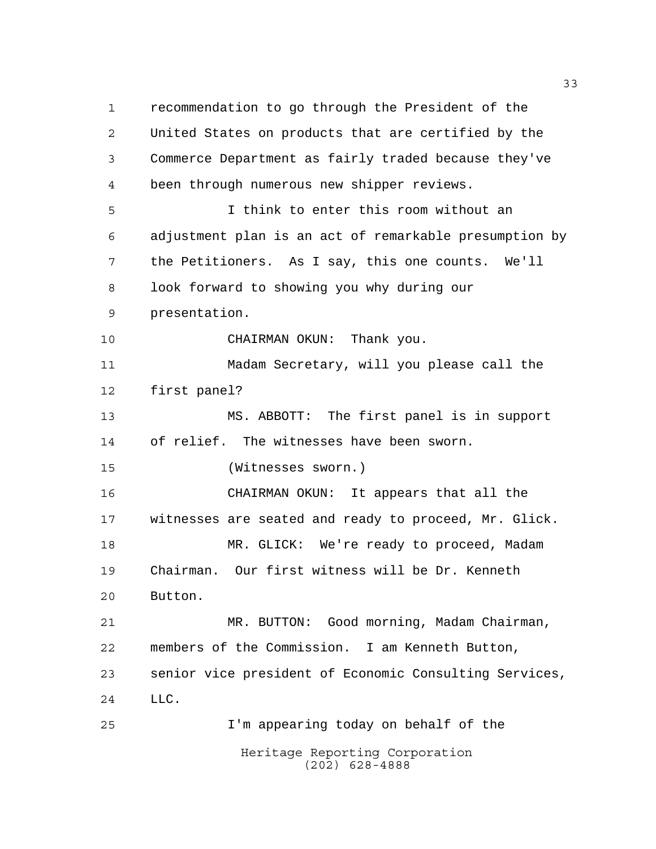Heritage Reporting Corporation (202) 628-4888 recommendation to go through the President of the United States on products that are certified by the Commerce Department as fairly traded because they've been through numerous new shipper reviews. I think to enter this room without an adjustment plan is an act of remarkable presumption by the Petitioners. As I say, this one counts. We'll look forward to showing you why during our presentation. CHAIRMAN OKUN: Thank you. Madam Secretary, will you please call the first panel? MS. ABBOTT: The first panel is in support of relief. The witnesses have been sworn. (Witnesses sworn.) CHAIRMAN OKUN: It appears that all the witnesses are seated and ready to proceed, Mr. Glick. 18 MR. GLICK: We're ready to proceed, Madam Chairman. Our first witness will be Dr. Kenneth Button. MR. BUTTON: Good morning, Madam Chairman, members of the Commission. I am Kenneth Button, senior vice president of Economic Consulting Services, LLC. I'm appearing today on behalf of the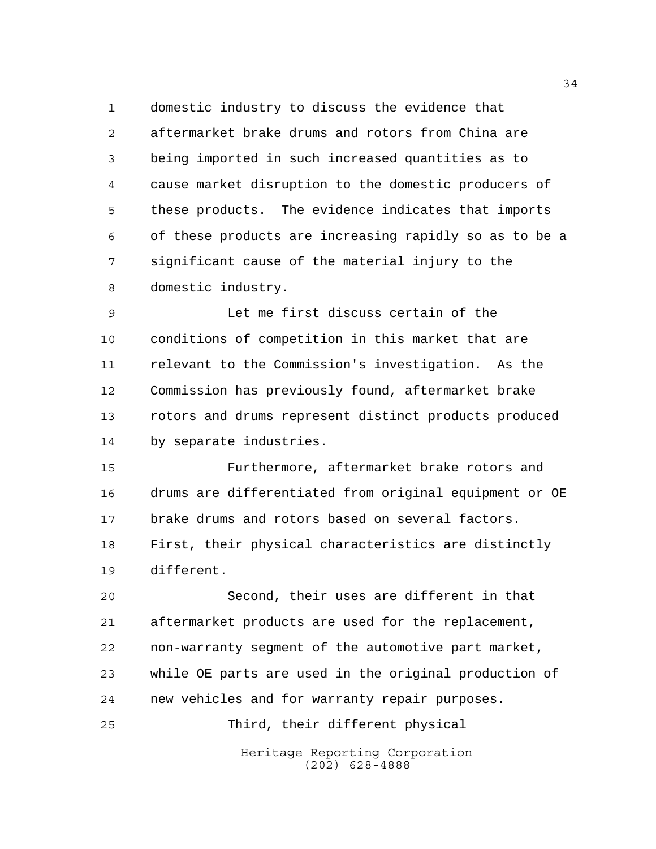domestic industry to discuss the evidence that aftermarket brake drums and rotors from China are being imported in such increased quantities as to cause market disruption to the domestic producers of these products. The evidence indicates that imports of these products are increasing rapidly so as to be a significant cause of the material injury to the domestic industry.

 Let me first discuss certain of the conditions of competition in this market that are relevant to the Commission's investigation. As the Commission has previously found, aftermarket brake rotors and drums represent distinct products produced by separate industries.

 Furthermore, aftermarket brake rotors and drums are differentiated from original equipment or OE brake drums and rotors based on several factors. First, their physical characteristics are distinctly different.

 Second, their uses are different in that aftermarket products are used for the replacement, non-warranty segment of the automotive part market, while OE parts are used in the original production of new vehicles and for warranty repair purposes.

Third, their different physical

Heritage Reporting Corporation (202) 628-4888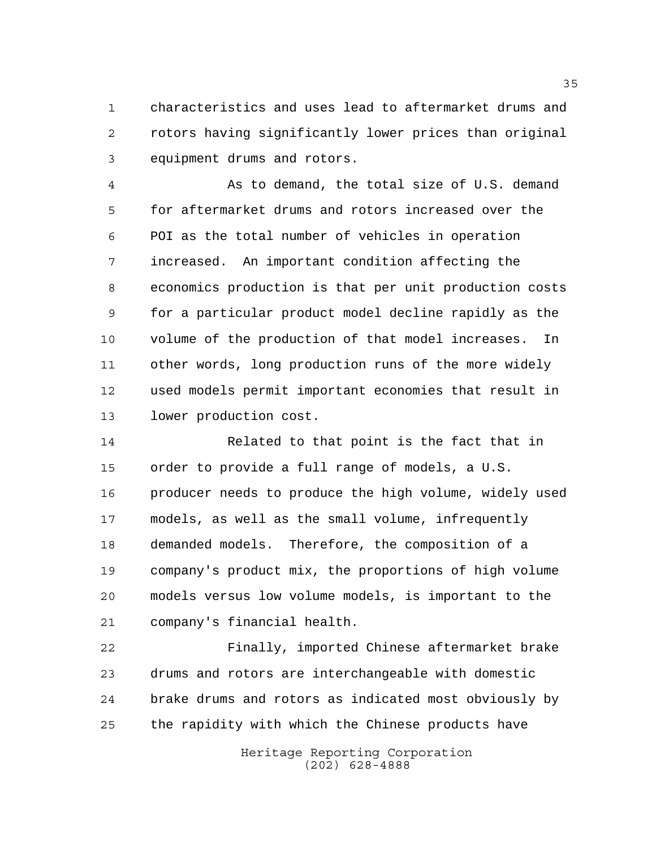characteristics and uses lead to aftermarket drums and rotors having significantly lower prices than original equipment drums and rotors.

 As to demand, the total size of U.S. demand for aftermarket drums and rotors increased over the POI as the total number of vehicles in operation increased. An important condition affecting the economics production is that per unit production costs for a particular product model decline rapidly as the volume of the production of that model increases. In other words, long production runs of the more widely used models permit important economies that result in lower production cost.

 Related to that point is the fact that in order to provide a full range of models, a U.S. 16 producer needs to produce the high volume, widely used models, as well as the small volume, infrequently demanded models. Therefore, the composition of a company's product mix, the proportions of high volume models versus low volume models, is important to the company's financial health.

 Finally, imported Chinese aftermarket brake drums and rotors are interchangeable with domestic brake drums and rotors as indicated most obviously by the rapidity with which the Chinese products have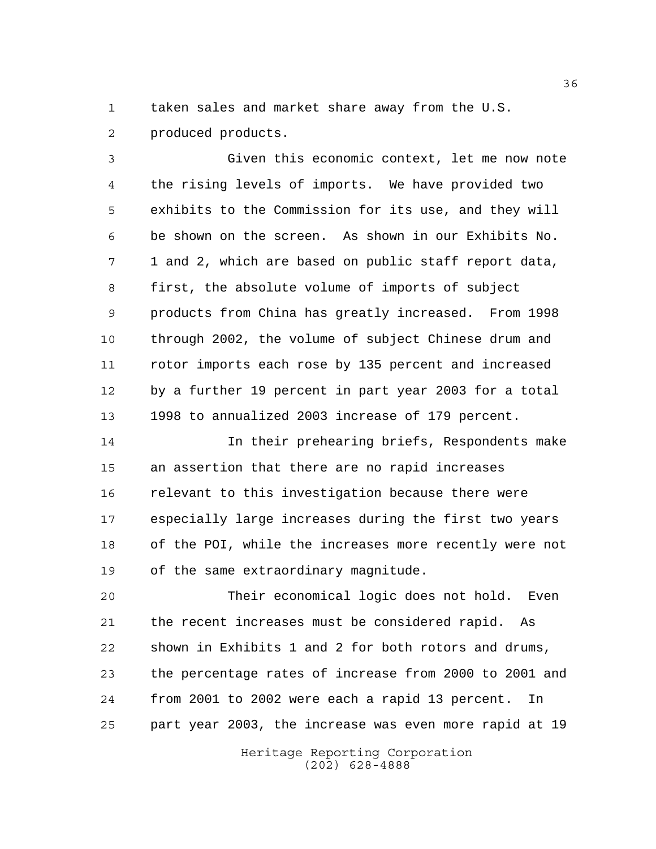taken sales and market share away from the U.S.

produced products.

 Given this economic context, let me now note the rising levels of imports. We have provided two exhibits to the Commission for its use, and they will be shown on the screen. As shown in our Exhibits No. 1 and 2, which are based on public staff report data, first, the absolute volume of imports of subject products from China has greatly increased. From 1998 through 2002, the volume of subject Chinese drum and rotor imports each rose by 135 percent and increased by a further 19 percent in part year 2003 for a total 1998 to annualized 2003 increase of 179 percent.

 In their prehearing briefs, Respondents make an assertion that there are no rapid increases relevant to this investigation because there were especially large increases during the first two years of the POI, while the increases more recently were not of the same extraordinary magnitude.

 Their economical logic does not hold. Even the recent increases must be considered rapid. As shown in Exhibits 1 and 2 for both rotors and drums, the percentage rates of increase from 2000 to 2001 and from 2001 to 2002 were each a rapid 13 percent. In part year 2003, the increase was even more rapid at 19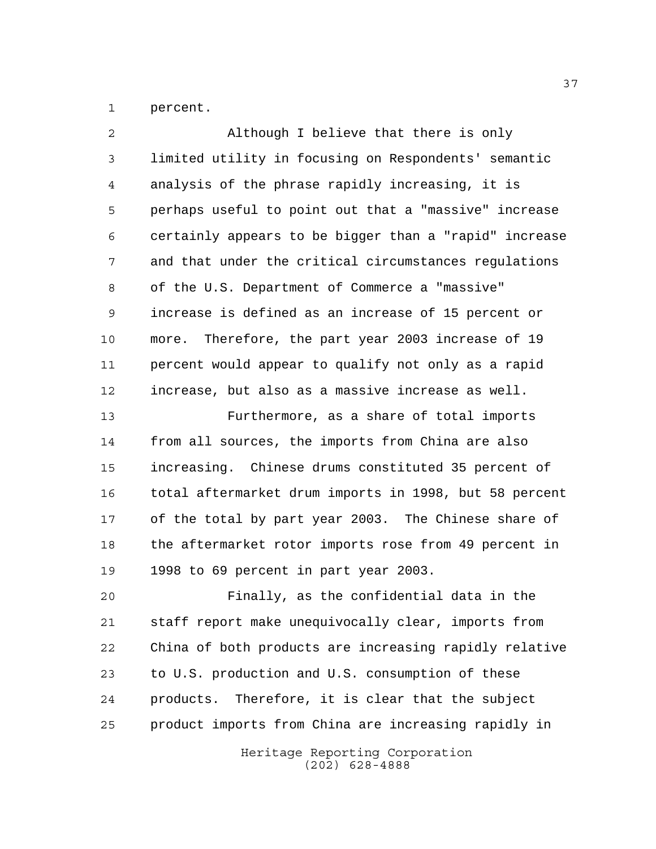percent.

| $\overline{2}$ | Although I believe that there is only                  |
|----------------|--------------------------------------------------------|
| 3              | limited utility in focusing on Respondents' semantic   |
| 4              | analysis of the phrase rapidly increasing, it is       |
| 5              | perhaps useful to point out that a "massive" increase  |
| 6              | certainly appears to be bigger than a "rapid" increase |
| 7              | and that under the critical circumstances regulations  |
| 8              | of the U.S. Department of Commerce a "massive"         |
| 9              | increase is defined as an increase of 15 percent or    |
| 10             | more. Therefore, the part year 2003 increase of 19     |
| 11             | percent would appear to qualify not only as a rapid    |
| 12             | increase, but also as a massive increase as well.      |
| 13             | Furthermore, as a share of total imports               |
| 14             | from all sources, the imports from China are also      |
| 15             | increasing. Chinese drums constituted 35 percent of    |
| 16             | total aftermarket drum imports in 1998, but 58 percent |
| 17             | of the total by part year 2003. The Chinese share of   |
| 18             | the aftermarket rotor imports rose from 49 percent in  |
| 19             | 1998 to 69 percent in part year 2003.                  |
| 20             | Finally, as the confidential data in the               |
| 21             | staff report make unequivocally clear, imports from    |
| 22             | China of both products are increasing rapidly relative |
| 23             | to U.S. production and U.S. consumption of these       |
| 24             | Therefore, it is clear that the subject<br>products.   |
| 25             | product imports from China are increasing rapidly in   |
|                | Heritage Reporting Corporation                         |

(202) 628-4888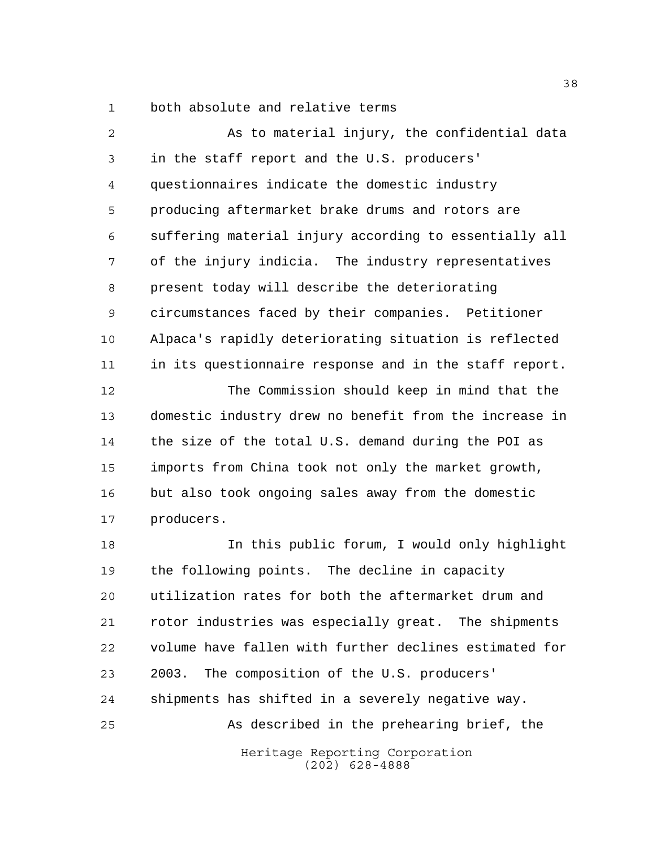both absolute and relative terms

 As to material injury, the confidential data in the staff report and the U.S. producers' questionnaires indicate the domestic industry producing aftermarket brake drums and rotors are suffering material injury according to essentially all of the injury indicia. The industry representatives present today will describe the deteriorating circumstances faced by their companies. Petitioner Alpaca's rapidly deteriorating situation is reflected in its questionnaire response and in the staff report. The Commission should keep in mind that the

 domestic industry drew no benefit from the increase in the size of the total U.S. demand during the POI as imports from China took not only the market growth, but also took ongoing sales away from the domestic producers.

Heritage Reporting Corporation In this public forum, I would only highlight the following points. The decline in capacity utilization rates for both the aftermarket drum and rotor industries was especially great. The shipments volume have fallen with further declines estimated for 2003. The composition of the U.S. producers' shipments has shifted in a severely negative way. As described in the prehearing brief, the

(202) 628-4888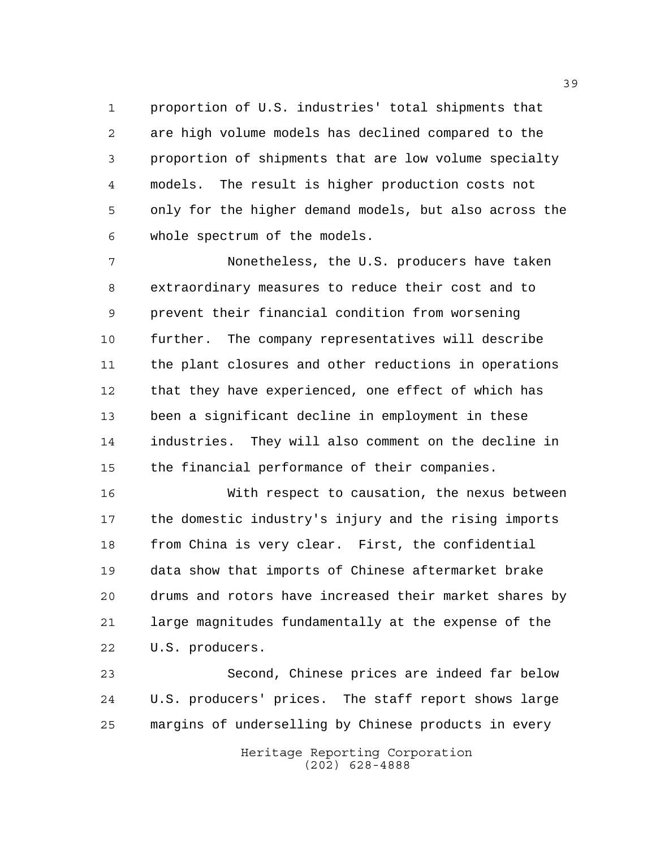proportion of U.S. industries' total shipments that are high volume models has declined compared to the proportion of shipments that are low volume specialty models. The result is higher production costs not only for the higher demand models, but also across the whole spectrum of the models.

 Nonetheless, the U.S. producers have taken extraordinary measures to reduce their cost and to prevent their financial condition from worsening further. The company representatives will describe the plant closures and other reductions in operations that they have experienced, one effect of which has been a significant decline in employment in these industries. They will also comment on the decline in the financial performance of their companies.

 With respect to causation, the nexus between the domestic industry's injury and the rising imports from China is very clear. First, the confidential data show that imports of Chinese aftermarket brake drums and rotors have increased their market shares by large magnitudes fundamentally at the expense of the U.S. producers.

 Second, Chinese prices are indeed far below U.S. producers' prices. The staff report shows large margins of underselling by Chinese products in every

> Heritage Reporting Corporation (202) 628-4888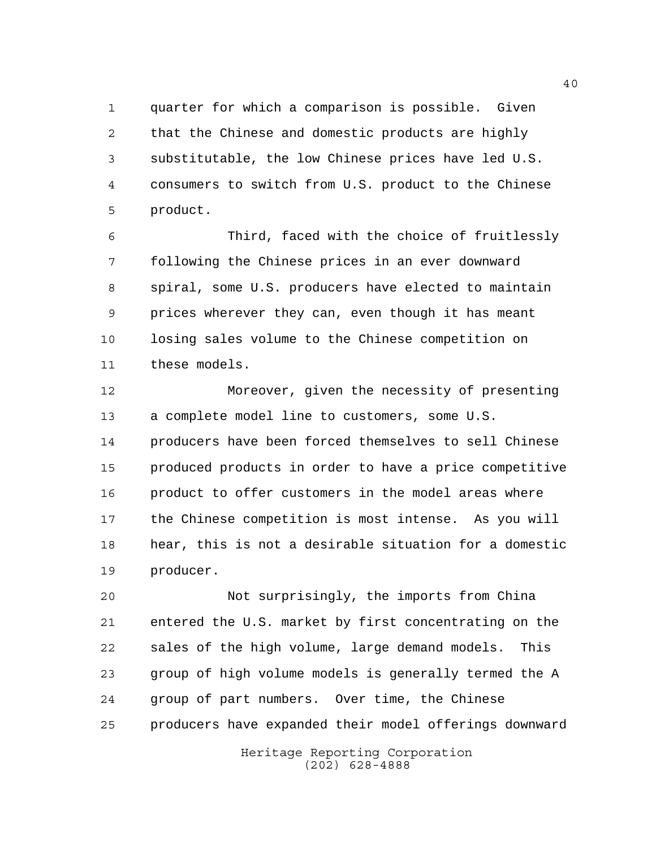quarter for which a comparison is possible. Given that the Chinese and domestic products are highly substitutable, the low Chinese prices have led U.S. consumers to switch from U.S. product to the Chinese product.

 Third, faced with the choice of fruitlessly following the Chinese prices in an ever downward spiral, some U.S. producers have elected to maintain prices wherever they can, even though it has meant losing sales volume to the Chinese competition on these models.

 Moreover, given the necessity of presenting a complete model line to customers, some U.S. producers have been forced themselves to sell Chinese produced products in order to have a price competitive product to offer customers in the model areas where the Chinese competition is most intense. As you will hear, this is not a desirable situation for a domestic producer.

 Not surprisingly, the imports from China entered the U.S. market by first concentrating on the sales of the high volume, large demand models. This group of high volume models is generally termed the A group of part numbers. Over time, the Chinese producers have expanded their model offerings downward

> Heritage Reporting Corporation (202) 628-4888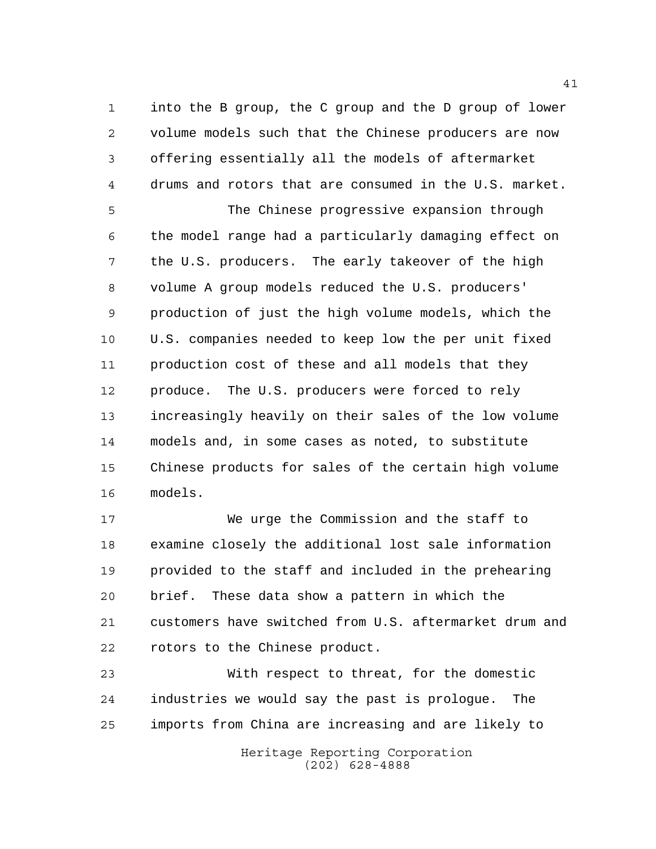into the B group, the C group and the D group of lower volume models such that the Chinese producers are now offering essentially all the models of aftermarket drums and rotors that are consumed in the U.S. market.

 The Chinese progressive expansion through the model range had a particularly damaging effect on the U.S. producers. The early takeover of the high volume A group models reduced the U.S. producers' production of just the high volume models, which the U.S. companies needed to keep low the per unit fixed production cost of these and all models that they produce. The U.S. producers were forced to rely increasingly heavily on their sales of the low volume models and, in some cases as noted, to substitute Chinese products for sales of the certain high volume models.

 We urge the Commission and the staff to examine closely the additional lost sale information provided to the staff and included in the prehearing brief. These data show a pattern in which the customers have switched from U.S. aftermarket drum and rotors to the Chinese product.

 With respect to threat, for the domestic industries we would say the past is prologue. The imports from China are increasing and are likely to

> Heritage Reporting Corporation (202) 628-4888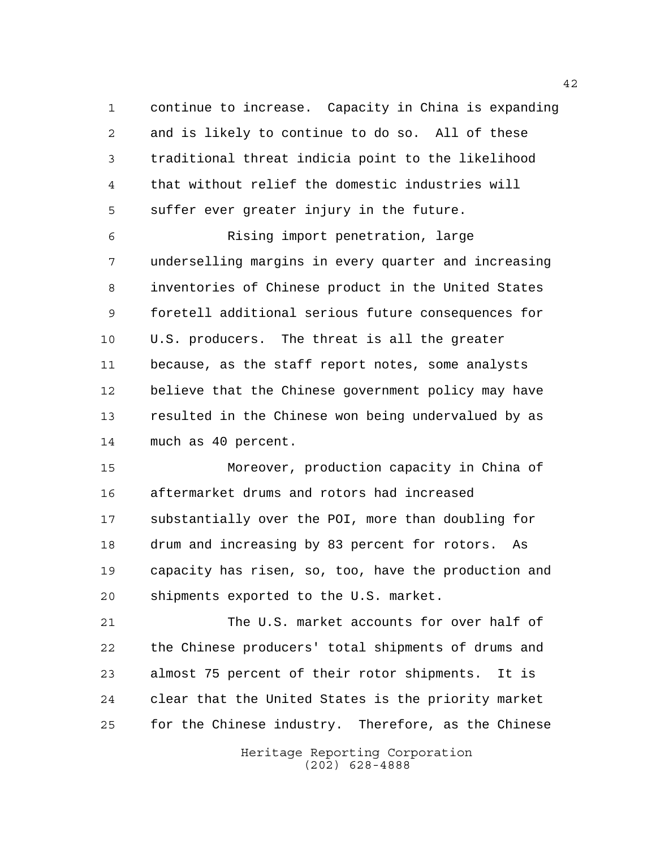continue to increase. Capacity in China is expanding and is likely to continue to do so. All of these traditional threat indicia point to the likelihood that without relief the domestic industries will suffer ever greater injury in the future.

 Rising import penetration, large underselling margins in every quarter and increasing inventories of Chinese product in the United States foretell additional serious future consequences for U.S. producers. The threat is all the greater because, as the staff report notes, some analysts believe that the Chinese government policy may have resulted in the Chinese won being undervalued by as much as 40 percent.

 Moreover, production capacity in China of aftermarket drums and rotors had increased substantially over the POI, more than doubling for drum and increasing by 83 percent for rotors. As capacity has risen, so, too, have the production and shipments exported to the U.S. market.

 The U.S. market accounts for over half of the Chinese producers' total shipments of drums and almost 75 percent of their rotor shipments. It is clear that the United States is the priority market for the Chinese industry. Therefore, as the Chinese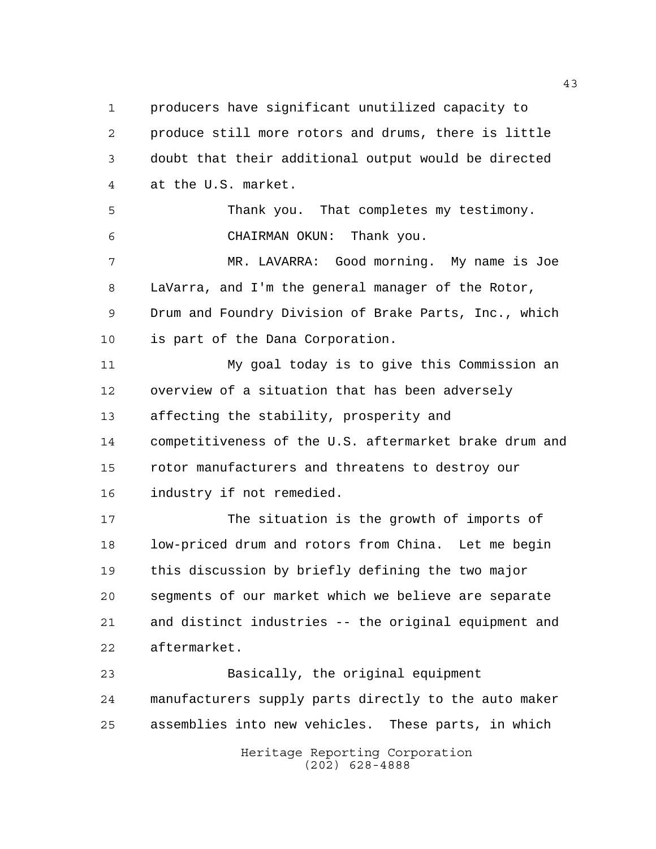producers have significant unutilized capacity to produce still more rotors and drums, there is little doubt that their additional output would be directed at the U.S. market.

 Thank you. That completes my testimony. CHAIRMAN OKUN: Thank you.

 MR. LAVARRA: Good morning. My name is Joe LaVarra, and I'm the general manager of the Rotor, Drum and Foundry Division of Brake Parts, Inc., which is part of the Dana Corporation.

 My goal today is to give this Commission an overview of a situation that has been adversely affecting the stability, prosperity and competitiveness of the U.S. aftermarket brake drum and rotor manufacturers and threatens to destroy our industry if not remedied.

 The situation is the growth of imports of low-priced drum and rotors from China. Let me begin this discussion by briefly defining the two major segments of our market which we believe are separate and distinct industries -- the original equipment and aftermarket.

 Basically, the original equipment manufacturers supply parts directly to the auto maker assemblies into new vehicles. These parts, in which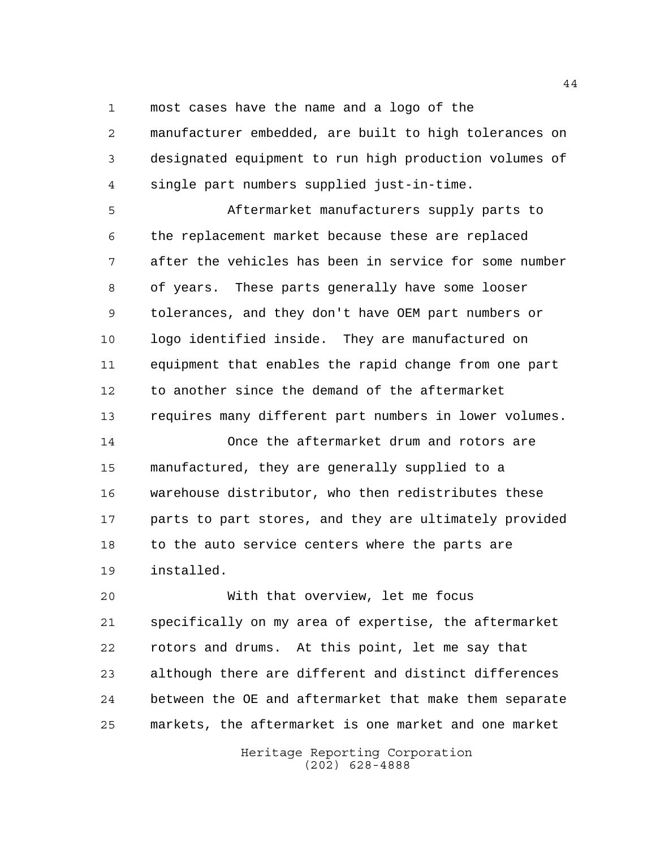most cases have the name and a logo of the

 manufacturer embedded, are built to high tolerances on designated equipment to run high production volumes of single part numbers supplied just-in-time.

 Aftermarket manufacturers supply parts to the replacement market because these are replaced after the vehicles has been in service for some number of years. These parts generally have some looser tolerances, and they don't have OEM part numbers or logo identified inside. They are manufactured on equipment that enables the rapid change from one part to another since the demand of the aftermarket requires many different part numbers in lower volumes.

 Once the aftermarket drum and rotors are manufactured, they are generally supplied to a warehouse distributor, who then redistributes these parts to part stores, and they are ultimately provided to the auto service centers where the parts are installed.

 With that overview, let me focus specifically on my area of expertise, the aftermarket rotors and drums. At this point, let me say that although there are different and distinct differences between the OE and aftermarket that make them separate markets, the aftermarket is one market and one market

> Heritage Reporting Corporation (202) 628-4888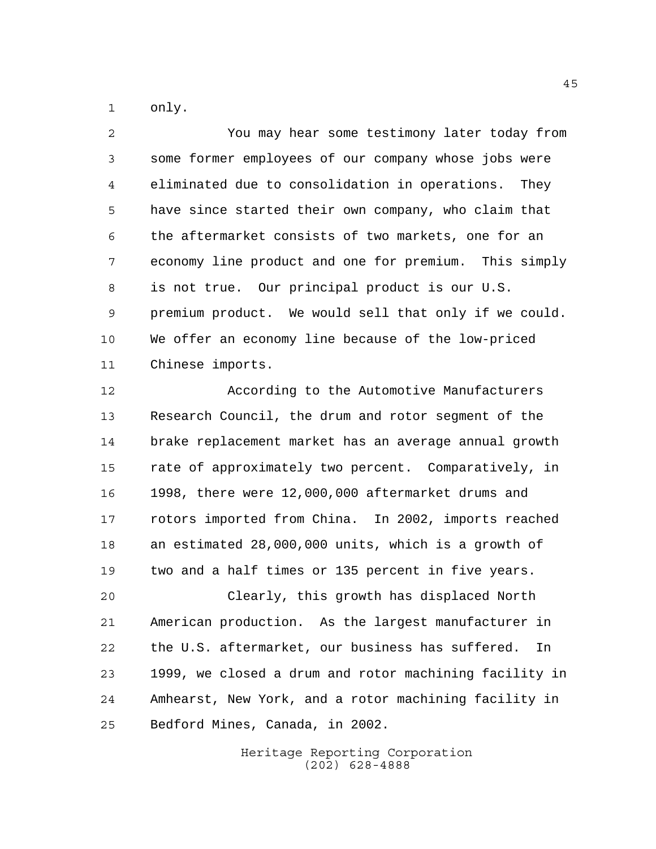only.

 You may hear some testimony later today from some former employees of our company whose jobs were eliminated due to consolidation in operations. They have since started their own company, who claim that the aftermarket consists of two markets, one for an economy line product and one for premium. This simply is not true. Our principal product is our U.S. premium product. We would sell that only if we could. We offer an economy line because of the low-priced Chinese imports.

 According to the Automotive Manufacturers Research Council, the drum and rotor segment of the brake replacement market has an average annual growth rate of approximately two percent. Comparatively, in 1998, there were 12,000,000 aftermarket drums and rotors imported from China. In 2002, imports reached an estimated 28,000,000 units, which is a growth of two and a half times or 135 percent in five years.

 Clearly, this growth has displaced North American production. As the largest manufacturer in the U.S. aftermarket, our business has suffered. In 1999, we closed a drum and rotor machining facility in Amhearst, New York, and a rotor machining facility in Bedford Mines, Canada, in 2002.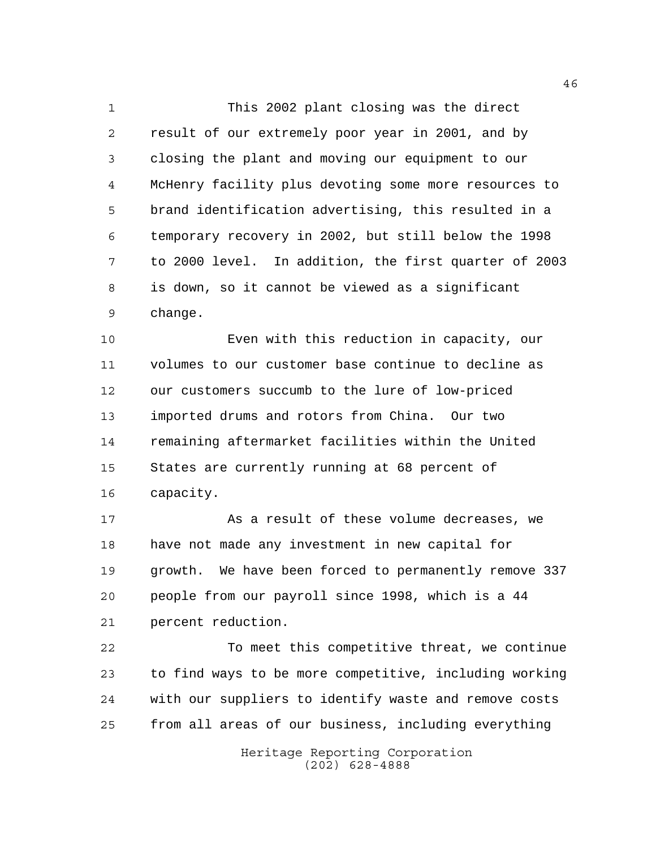This 2002 plant closing was the direct result of our extremely poor year in 2001, and by closing the plant and moving our equipment to our McHenry facility plus devoting some more resources to brand identification advertising, this resulted in a temporary recovery in 2002, but still below the 1998 to 2000 level. In addition, the first quarter of 2003 is down, so it cannot be viewed as a significant change.

 Even with this reduction in capacity, our volumes to our customer base continue to decline as our customers succumb to the lure of low-priced imported drums and rotors from China. Our two remaining aftermarket facilities within the United States are currently running at 68 percent of capacity.

 As a result of these volume decreases, we have not made any investment in new capital for growth. We have been forced to permanently remove 337 people from our payroll since 1998, which is a 44 percent reduction.

 To meet this competitive threat, we continue to find ways to be more competitive, including working with our suppliers to identify waste and remove costs from all areas of our business, including everything

> Heritage Reporting Corporation (202) 628-4888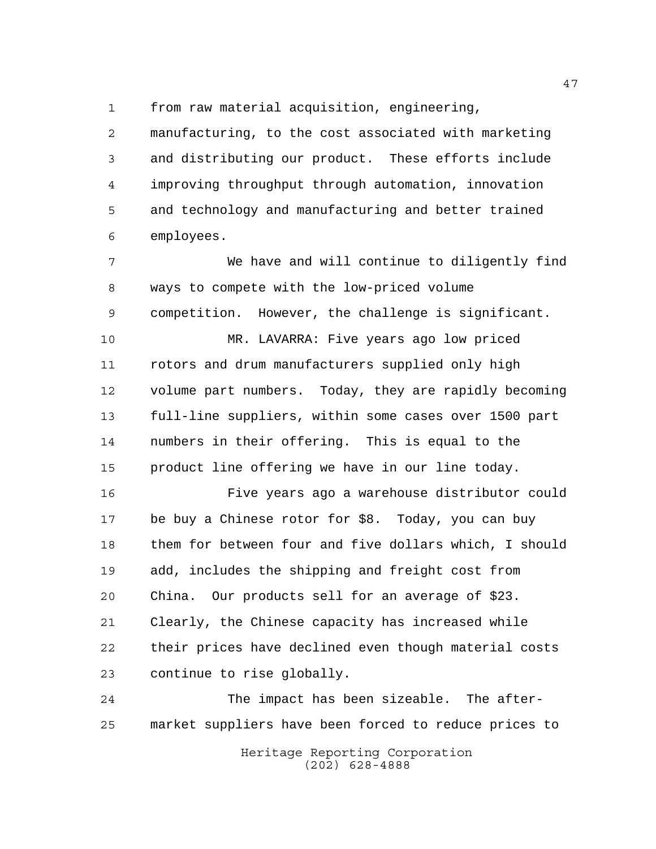from raw material acquisition, engineering,

 manufacturing, to the cost associated with marketing and distributing our product. These efforts include improving throughput through automation, innovation and technology and manufacturing and better trained employees.

 We have and will continue to diligently find ways to compete with the low-priced volume competition. However, the challenge is significant.

 MR. LAVARRA: Five years ago low priced rotors and drum manufacturers supplied only high volume part numbers. Today, they are rapidly becoming full-line suppliers, within some cases over 1500 part numbers in their offering. This is equal to the product line offering we have in our line today.

 Five years ago a warehouse distributor could be buy a Chinese rotor for \$8. Today, you can buy them for between four and five dollars which, I should add, includes the shipping and freight cost from China. Our products sell for an average of \$23. Clearly, the Chinese capacity has increased while their prices have declined even though material costs continue to rise globally.

 The impact has been sizeable. The after-market suppliers have been forced to reduce prices to

Heritage Reporting Corporation (202) 628-4888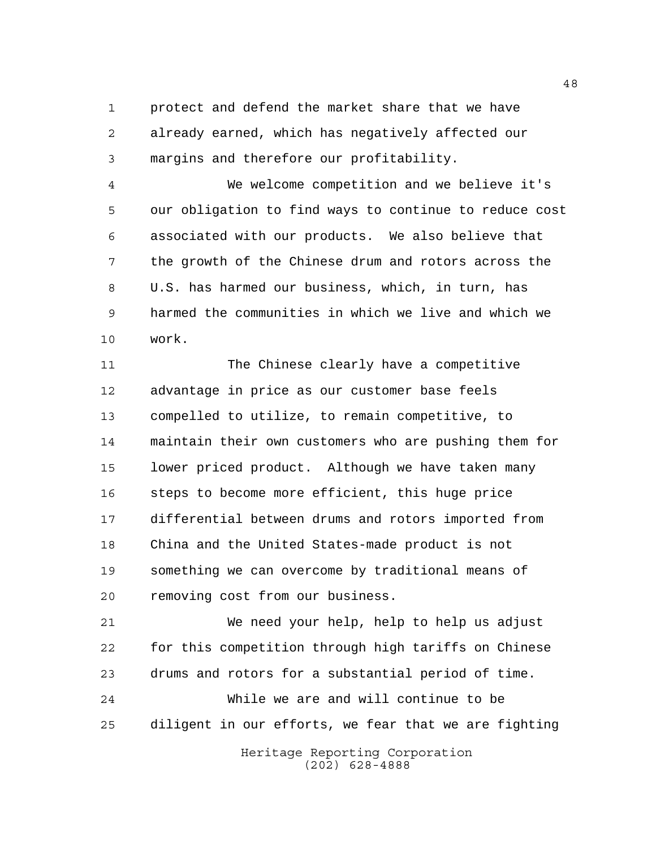protect and defend the market share that we have already earned, which has negatively affected our margins and therefore our profitability.

 We welcome competition and we believe it's our obligation to find ways to continue to reduce cost associated with our products. We also believe that the growth of the Chinese drum and rotors across the U.S. has harmed our business, which, in turn, has harmed the communities in which we live and which we work.

 The Chinese clearly have a competitive advantage in price as our customer base feels compelled to utilize, to remain competitive, to maintain their own customers who are pushing them for lower priced product. Although we have taken many steps to become more efficient, this huge price differential between drums and rotors imported from China and the United States-made product is not something we can overcome by traditional means of removing cost from our business.

 We need your help, help to help us adjust for this competition through high tariffs on Chinese drums and rotors for a substantial period of time. While we are and will continue to be diligent in our efforts, we fear that we are fighting

> Heritage Reporting Corporation (202) 628-4888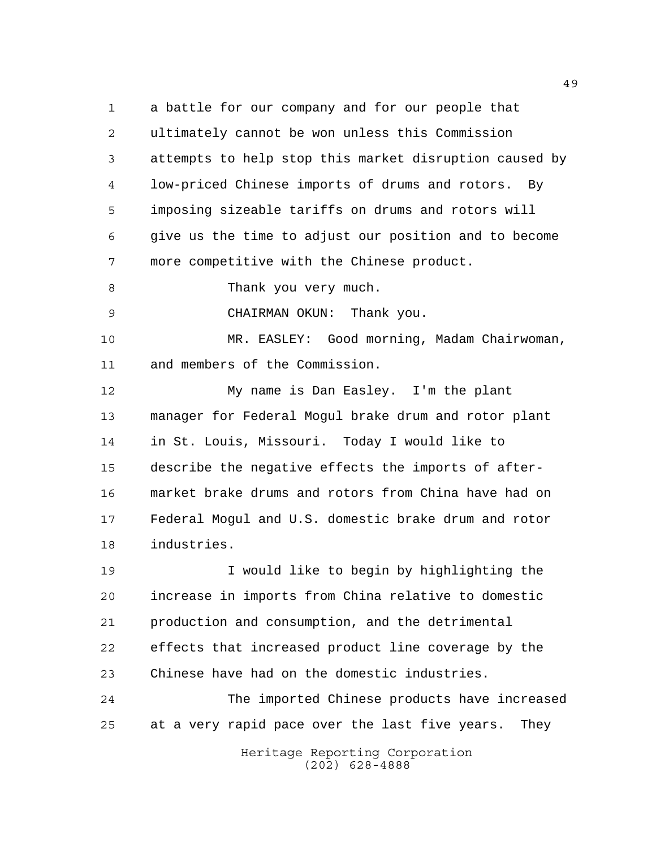a battle for our company and for our people that ultimately cannot be won unless this Commission attempts to help stop this market disruption caused by low-priced Chinese imports of drums and rotors. By imposing sizeable tariffs on drums and rotors will give us the time to adjust our position and to become more competitive with the Chinese product.

8 Thank you very much.

CHAIRMAN OKUN: Thank you.

 MR. EASLEY: Good morning, Madam Chairwoman, and members of the Commission.

 My name is Dan Easley. I'm the plant manager for Federal Mogul brake drum and rotor plant in St. Louis, Missouri. Today I would like to describe the negative effects the imports of after- market brake drums and rotors from China have had on Federal Mogul and U.S. domestic brake drum and rotor industries.

 I would like to begin by highlighting the increase in imports from China relative to domestic production and consumption, and the detrimental effects that increased product line coverage by the Chinese have had on the domestic industries.

 The imported Chinese products have increased at a very rapid pace over the last five years. They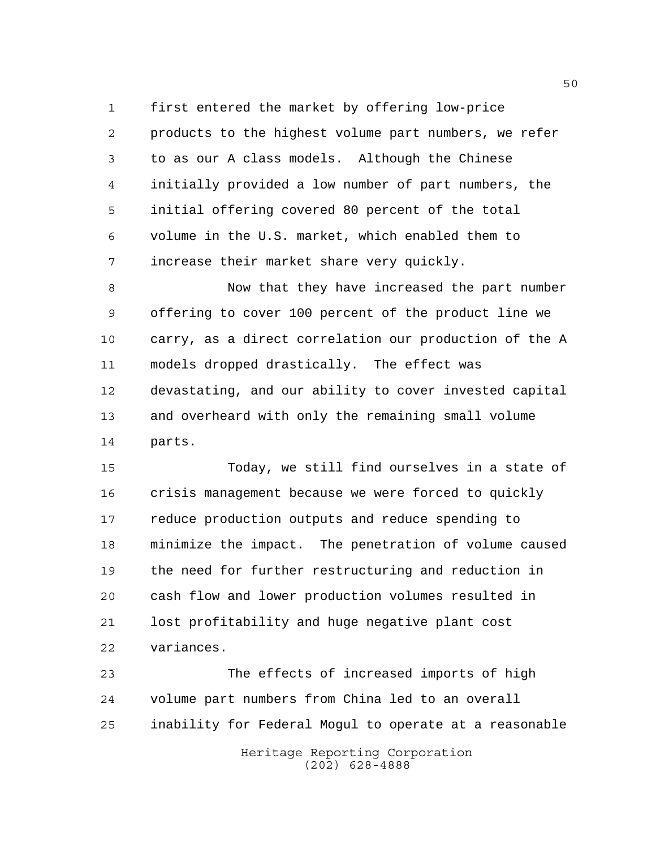first entered the market by offering low-price products to the highest volume part numbers, we refer to as our A class models. Although the Chinese initially provided a low number of part numbers, the initial offering covered 80 percent of the total volume in the U.S. market, which enabled them to increase their market share very quickly.

 Now that they have increased the part number offering to cover 100 percent of the product line we carry, as a direct correlation our production of the A models dropped drastically. The effect was devastating, and our ability to cover invested capital and overheard with only the remaining small volume parts.

 Today, we still find ourselves in a state of crisis management because we were forced to quickly reduce production outputs and reduce spending to minimize the impact. The penetration of volume caused the need for further restructuring and reduction in cash flow and lower production volumes resulted in lost profitability and huge negative plant cost variances.

 The effects of increased imports of high volume part numbers from China led to an overall inability for Federal Mogul to operate at a reasonable

> Heritage Reporting Corporation (202) 628-4888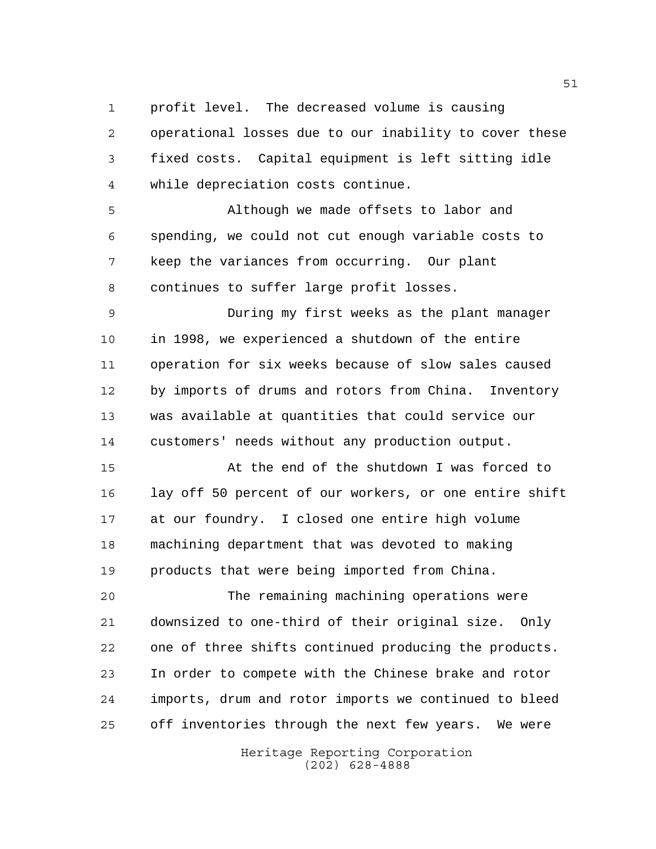profit level. The decreased volume is causing

 operational losses due to our inability to cover these fixed costs. Capital equipment is left sitting idle while depreciation costs continue.

 Although we made offsets to labor and spending, we could not cut enough variable costs to keep the variances from occurring. Our plant continues to suffer large profit losses.

 During my first weeks as the plant manager in 1998, we experienced a shutdown of the entire operation for six weeks because of slow sales caused by imports of drums and rotors from China. Inventory was available at quantities that could service our customers' needs without any production output.

 At the end of the shutdown I was forced to lay off 50 percent of our workers, or one entire shift at our foundry. I closed one entire high volume machining department that was devoted to making products that were being imported from China.

 The remaining machining operations were downsized to one-third of their original size. Only one of three shifts continued producing the products. In order to compete with the Chinese brake and rotor imports, drum and rotor imports we continued to bleed off inventories through the next few years. We were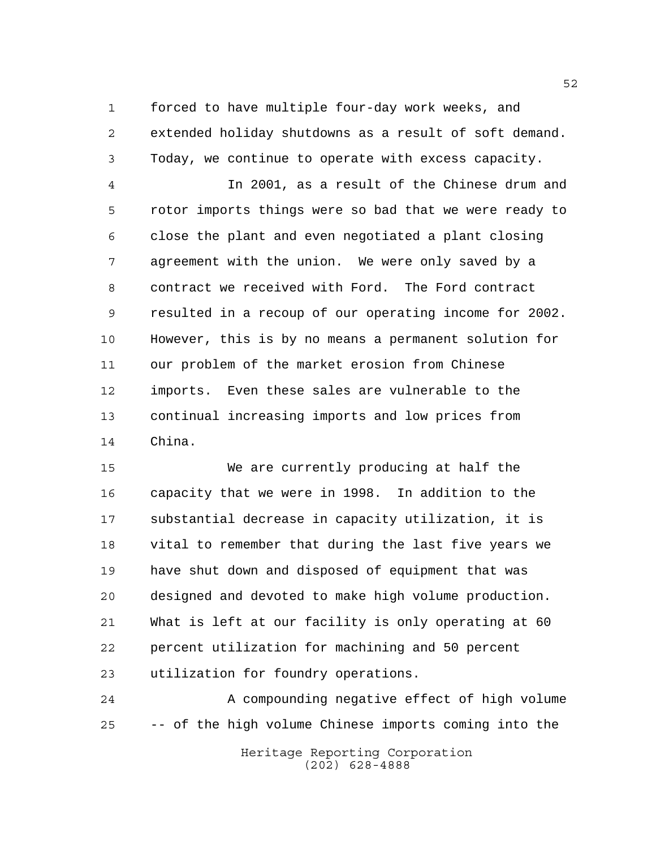forced to have multiple four-day work weeks, and extended holiday shutdowns as a result of soft demand. Today, we continue to operate with excess capacity.

 In 2001, as a result of the Chinese drum and rotor imports things were so bad that we were ready to close the plant and even negotiated a plant closing agreement with the union. We were only saved by a contract we received with Ford. The Ford contract resulted in a recoup of our operating income for 2002. However, this is by no means a permanent solution for our problem of the market erosion from Chinese imports. Even these sales are vulnerable to the continual increasing imports and low prices from China.

 We are currently producing at half the capacity that we were in 1998. In addition to the substantial decrease in capacity utilization, it is vital to remember that during the last five years we have shut down and disposed of equipment that was designed and devoted to make high volume production. What is left at our facility is only operating at 60 percent utilization for machining and 50 percent utilization for foundry operations.

Heritage Reporting Corporation A compounding negative effect of high volume -- of the high volume Chinese imports coming into the

(202) 628-4888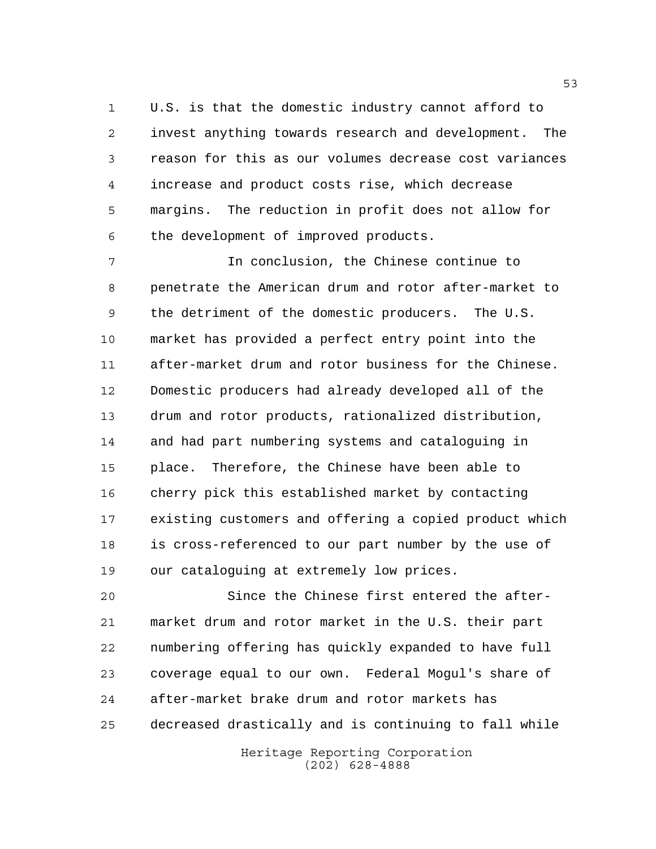U.S. is that the domestic industry cannot afford to invest anything towards research and development. The reason for this as our volumes decrease cost variances increase and product costs rise, which decrease margins. The reduction in profit does not allow for the development of improved products.

 In conclusion, the Chinese continue to penetrate the American drum and rotor after-market to the detriment of the domestic producers. The U.S. market has provided a perfect entry point into the after-market drum and rotor business for the Chinese. Domestic producers had already developed all of the drum and rotor products, rationalized distribution, and had part numbering systems and cataloguing in place. Therefore, the Chinese have been able to cherry pick this established market by contacting existing customers and offering a copied product which is cross-referenced to our part number by the use of our cataloguing at extremely low prices.

 Since the Chinese first entered the after- market drum and rotor market in the U.S. their part numbering offering has quickly expanded to have full coverage equal to our own. Federal Mogul's share of after-market brake drum and rotor markets has decreased drastically and is continuing to fall while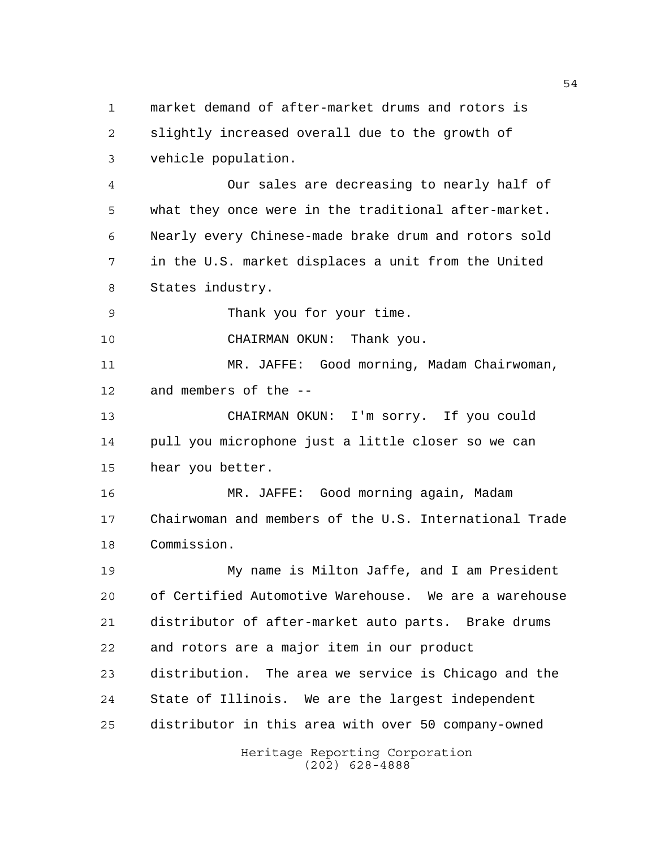market demand of after-market drums and rotors is slightly increased overall due to the growth of vehicle population.

 Our sales are decreasing to nearly half of what they once were in the traditional after-market. Nearly every Chinese-made brake drum and rotors sold in the U.S. market displaces a unit from the United States industry.

Thank you for your time.

CHAIRMAN OKUN: Thank you.

 MR. JAFFE: Good morning, Madam Chairwoman, and members of the --

 CHAIRMAN OKUN: I'm sorry. If you could pull you microphone just a little closer so we can hear you better.

 MR. JAFFE: Good morning again, Madam Chairwoman and members of the U.S. International Trade Commission.

 My name is Milton Jaffe, and I am President of Certified Automotive Warehouse. We are a warehouse distributor of after-market auto parts. Brake drums and rotors are a major item in our product distribution. The area we service is Chicago and the State of Illinois. We are the largest independent distributor in this area with over 50 company-owned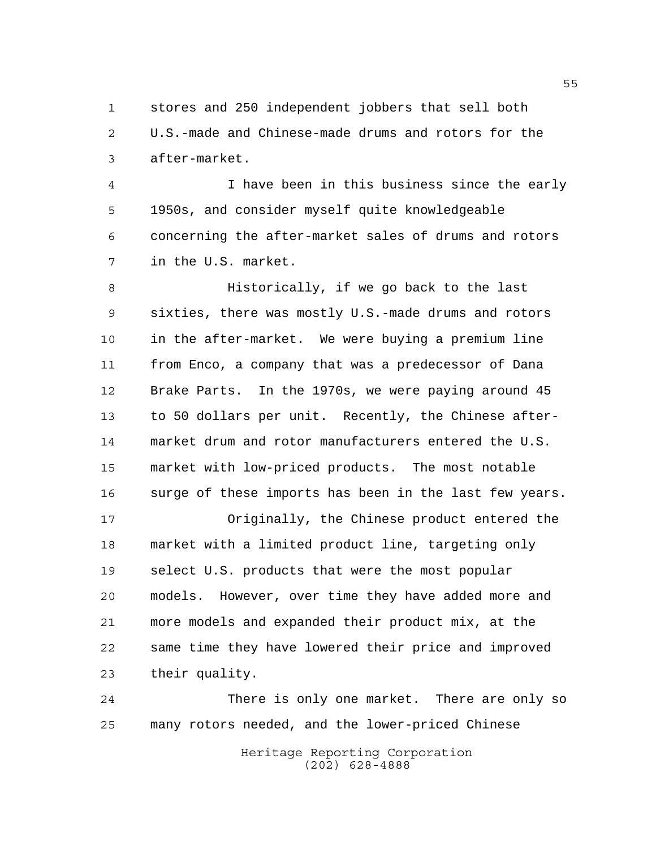stores and 250 independent jobbers that sell both U.S.-made and Chinese-made drums and rotors for the after-market.

 I have been in this business since the early 1950s, and consider myself quite knowledgeable concerning the after-market sales of drums and rotors in the U.S. market.

 Historically, if we go back to the last sixties, there was mostly U.S.-made drums and rotors in the after-market. We were buying a premium line from Enco, a company that was a predecessor of Dana Brake Parts. In the 1970s, we were paying around 45 to 50 dollars per unit. Recently, the Chinese after- market drum and rotor manufacturers entered the U.S. market with low-priced products. The most notable 16 surge of these imports has been in the last few years.

 Originally, the Chinese product entered the market with a limited product line, targeting only select U.S. products that were the most popular models. However, over time they have added more and more models and expanded their product mix, at the same time they have lowered their price and improved their quality.

 There is only one market. There are only so many rotors needed, and the lower-priced Chinese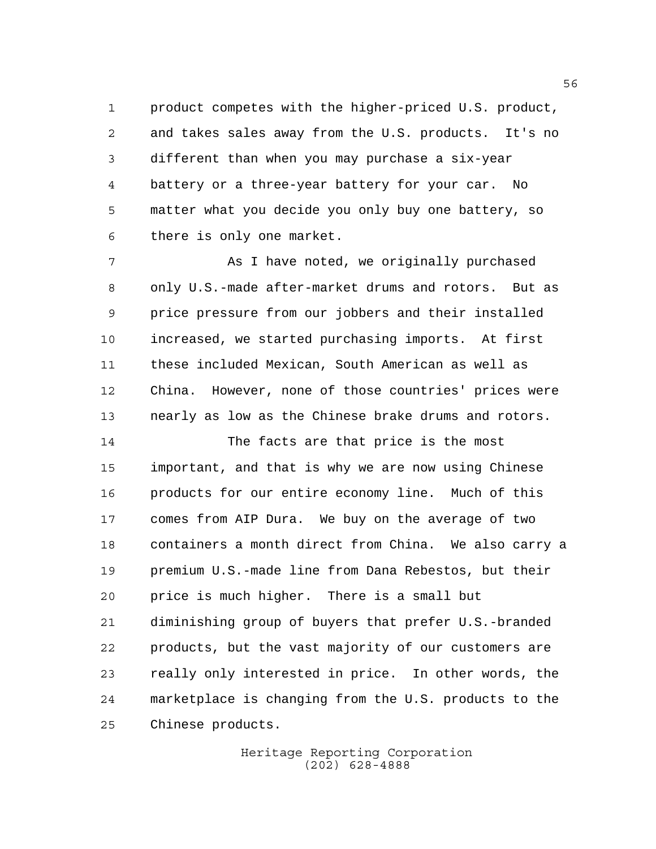product competes with the higher-priced U.S. product, and takes sales away from the U.S. products. It's no different than when you may purchase a six-year battery or a three-year battery for your car. No matter what you decide you only buy one battery, so there is only one market.

 As I have noted, we originally purchased only U.S.-made after-market drums and rotors. But as price pressure from our jobbers and their installed increased, we started purchasing imports. At first these included Mexican, South American as well as China. However, none of those countries' prices were nearly as low as the Chinese brake drums and rotors.

 The facts are that price is the most important, and that is why we are now using Chinese products for our entire economy line. Much of this comes from AIP Dura. We buy on the average of two containers a month direct from China. We also carry a premium U.S.-made line from Dana Rebestos, but their price is much higher. There is a small but diminishing group of buyers that prefer U.S.-branded products, but the vast majority of our customers are really only interested in price. In other words, the marketplace is changing from the U.S. products to the Chinese products.

> Heritage Reporting Corporation (202) 628-4888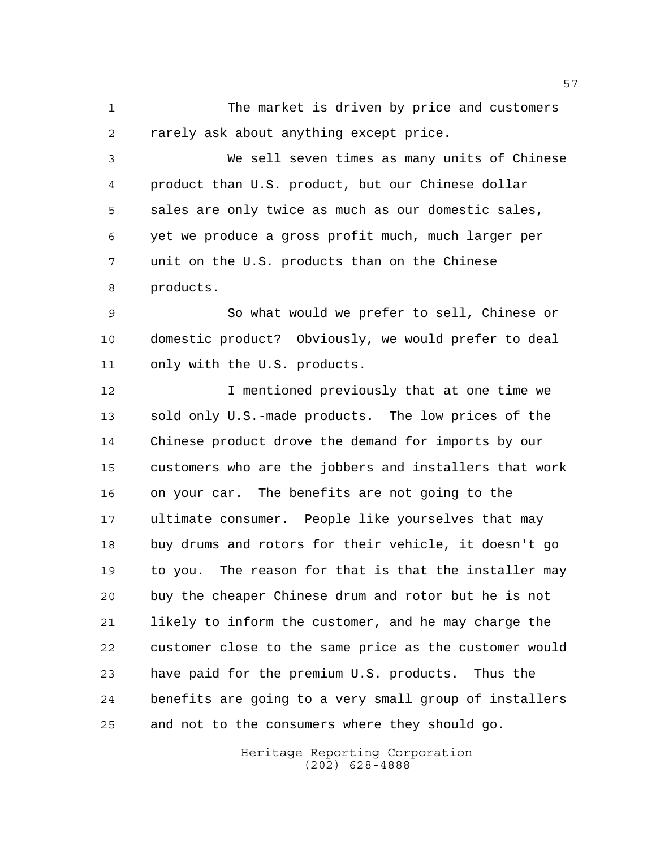The market is driven by price and customers rarely ask about anything except price.

 We sell seven times as many units of Chinese product than U.S. product, but our Chinese dollar sales are only twice as much as our domestic sales, yet we produce a gross profit much, much larger per unit on the U.S. products than on the Chinese products.

 So what would we prefer to sell, Chinese or domestic product? Obviously, we would prefer to deal only with the U.S. products.

12 12 I mentioned previously that at one time we sold only U.S.-made products. The low prices of the Chinese product drove the demand for imports by our customers who are the jobbers and installers that work on your car. The benefits are not going to the ultimate consumer. People like yourselves that may buy drums and rotors for their vehicle, it doesn't go to you. The reason for that is that the installer may buy the cheaper Chinese drum and rotor but he is not likely to inform the customer, and he may charge the customer close to the same price as the customer would have paid for the premium U.S. products. Thus the benefits are going to a very small group of installers and not to the consumers where they should go.

> Heritage Reporting Corporation (202) 628-4888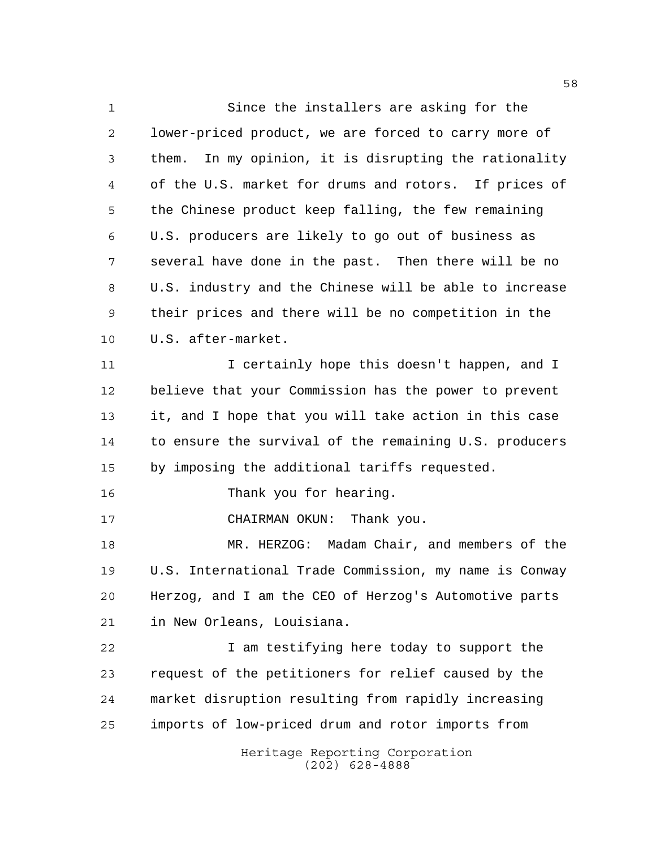Heritage Reporting Corporation (202) 628-4888 Since the installers are asking for the lower-priced product, we are forced to carry more of them. In my opinion, it is disrupting the rationality of the U.S. market for drums and rotors. If prices of the Chinese product keep falling, the few remaining U.S. producers are likely to go out of business as several have done in the past. Then there will be no U.S. industry and the Chinese will be able to increase their prices and there will be no competition in the U.S. after-market. 11 12 I certainly hope this doesn't happen, and I believe that your Commission has the power to prevent it, and I hope that you will take action in this case to ensure the survival of the remaining U.S. producers by imposing the additional tariffs requested. Thank you for hearing. CHAIRMAN OKUN: Thank you. MR. HERZOG: Madam Chair, and members of the U.S. International Trade Commission, my name is Conway Herzog, and I am the CEO of Herzog's Automotive parts in New Orleans, Louisiana. 22 I am testifying here today to support the request of the petitioners for relief caused by the market disruption resulting from rapidly increasing imports of low-priced drum and rotor imports from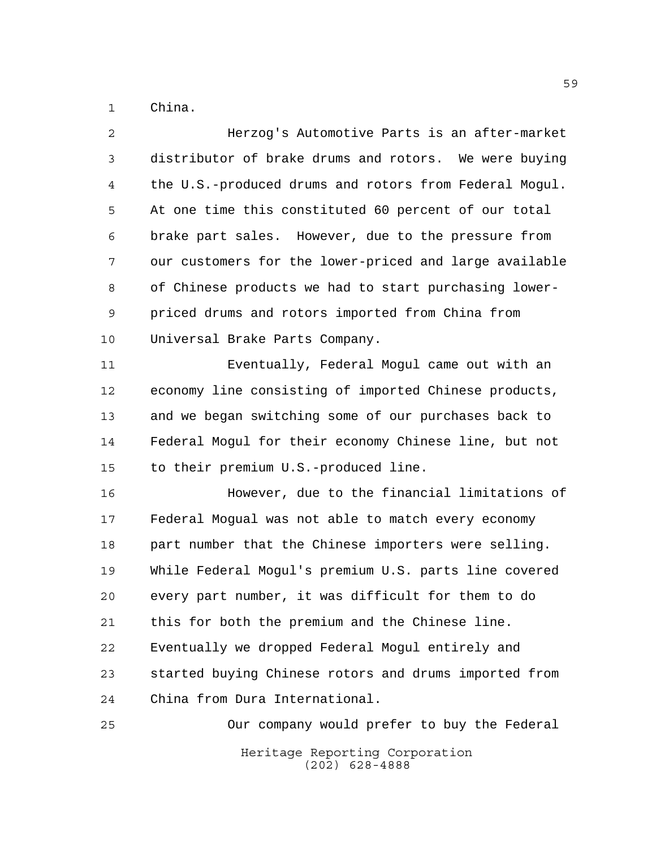China.

| $\overline{a}$ | Herzog's Automotive Parts is an after-market           |
|----------------|--------------------------------------------------------|
| 3              | distributor of brake drums and rotors. We were buying  |
| 4              | the U.S.-produced drums and rotors from Federal Mogul. |
| 5              | At one time this constituted 60 percent of our total   |
| 6              | brake part sales. However, due to the pressure from    |
| 7              | our customers for the lower-priced and large available |
| 8              | of Chinese products we had to start purchasing lower-  |
| 9              | priced drums and rotors imported from China from       |
| 10             | Universal Brake Parts Company.                         |
| 11             | Eventually, Federal Mogul came out with an             |
| 12             | economy line consisting of imported Chinese products,  |
| 13             | and we began switching some of our purchases back to   |
| 14             | Federal Mogul for their economy Chinese line, but not  |
| 15             | to their premium U.S.-produced line.                   |
| 16             | However, due to the financial limitations of           |
| 17             | Federal Mogual was not able to match every economy     |
| 18             | part number that the Chinese importers were selling.   |
| 19             | While Federal Mogul's premium U.S. parts line covered  |
| 20             | every part number, it was difficult for them to do     |
| 21             | this for both the premium and the Chinese line.        |
| 22             | Eventually we dropped Federal Mogul entirely and       |
| 23             | started buying Chinese rotors and drums imported from  |
| 24             | China from Dura International.                         |
| 25             | Our company would prefer to buy the Federal            |
|                | Heritage Reporting Corporation<br>$(202)$ 628-4888     |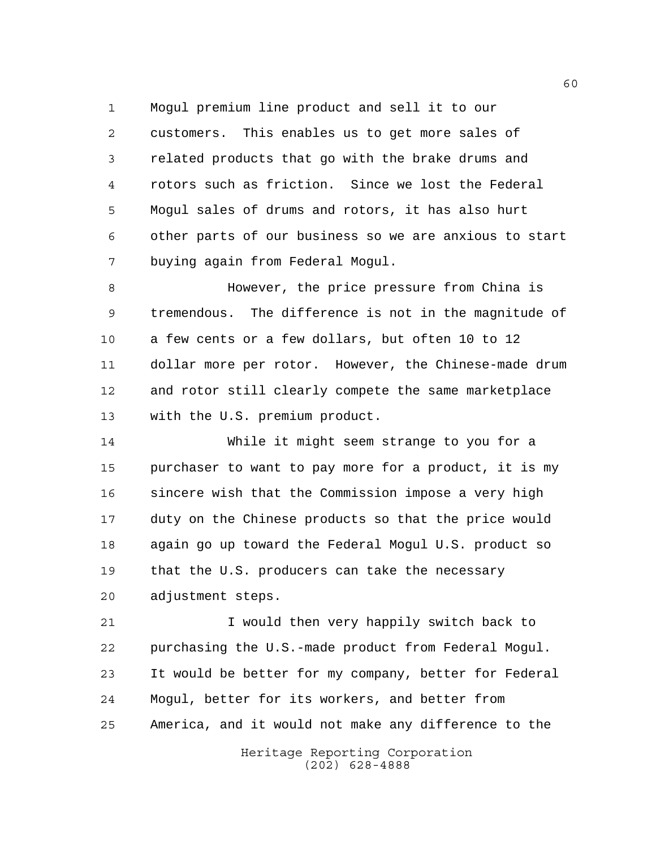Mogul premium line product and sell it to our customers. This enables us to get more sales of related products that go with the brake drums and rotors such as friction. Since we lost the Federal Mogul sales of drums and rotors, it has also hurt other parts of our business so we are anxious to start buying again from Federal Mogul.

 However, the price pressure from China is tremendous. The difference is not in the magnitude of a few cents or a few dollars, but often 10 to 12 dollar more per rotor. However, the Chinese-made drum and rotor still clearly compete the same marketplace with the U.S. premium product.

 While it might seem strange to you for a purchaser to want to pay more for a product, it is my sincere wish that the Commission impose a very high duty on the Chinese products so that the price would again go up toward the Federal Mogul U.S. product so that the U.S. producers can take the necessary adjustment steps.

 I would then very happily switch back to purchasing the U.S.-made product from Federal Mogul. It would be better for my company, better for Federal Mogul, better for its workers, and better from America, and it would not make any difference to the

> Heritage Reporting Corporation (202) 628-4888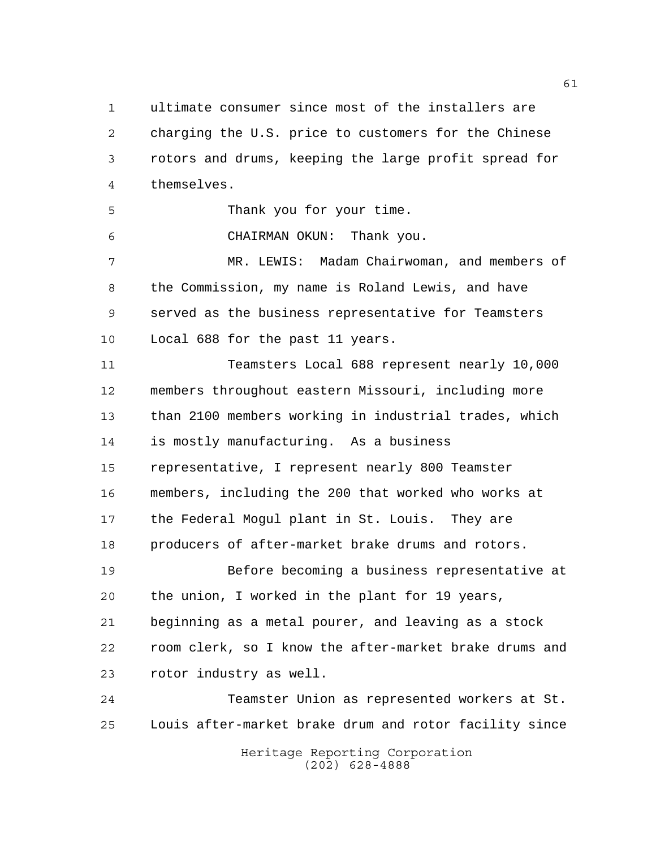ultimate consumer since most of the installers are charging the U.S. price to customers for the Chinese rotors and drums, keeping the large profit spread for themselves.

Thank you for your time.

CHAIRMAN OKUN: Thank you.

 MR. LEWIS: Madam Chairwoman, and members of the Commission, my name is Roland Lewis, and have served as the business representative for Teamsters Local 688 for the past 11 years.

 Teamsters Local 688 represent nearly 10,000 members throughout eastern Missouri, including more than 2100 members working in industrial trades, which is mostly manufacturing. As a business representative, I represent nearly 800 Teamster members, including the 200 that worked who works at the Federal Mogul plant in St. Louis. They are producers of after-market brake drums and rotors.

 Before becoming a business representative at the union, I worked in the plant for 19 years, beginning as a metal pourer, and leaving as a stock room clerk, so I know the after-market brake drums and rotor industry as well.

Heritage Reporting Corporation (202) 628-4888 Teamster Union as represented workers at St. Louis after-market brake drum and rotor facility since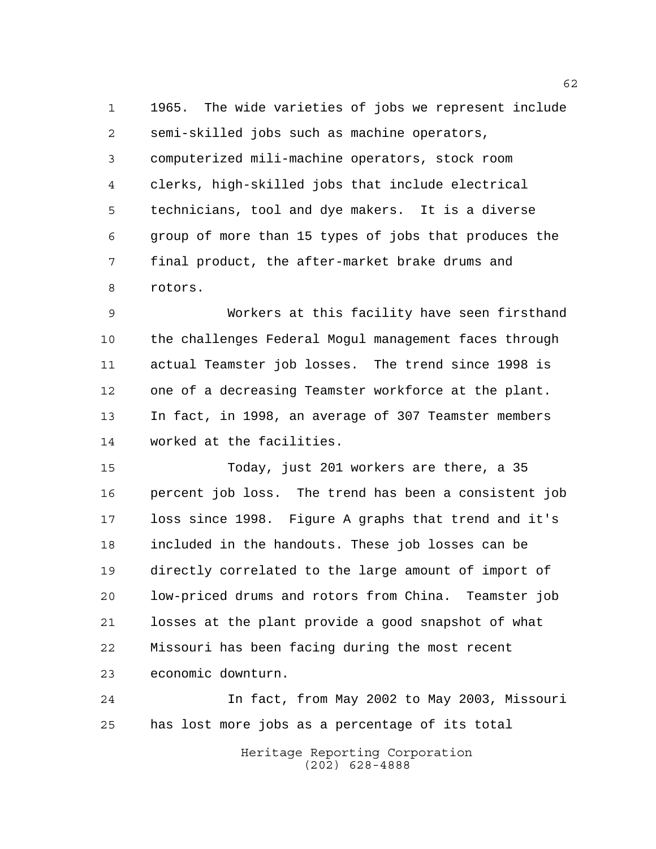1965. The wide varieties of jobs we represent include semi-skilled jobs such as machine operators, computerized mili-machine operators, stock room clerks, high-skilled jobs that include electrical technicians, tool and dye makers. It is a diverse group of more than 15 types of jobs that produces the final product, the after-market brake drums and rotors.

 Workers at this facility have seen firsthand the challenges Federal Mogul management faces through actual Teamster job losses. The trend since 1998 is one of a decreasing Teamster workforce at the plant. In fact, in 1998, an average of 307 Teamster members worked at the facilities.

 Today, just 201 workers are there, a 35 percent job loss. The trend has been a consistent job loss since 1998. Figure A graphs that trend and it's included in the handouts. These job losses can be directly correlated to the large amount of import of low-priced drums and rotors from China. Teamster job losses at the plant provide a good snapshot of what Missouri has been facing during the most recent economic downturn.

 In fact, from May 2002 to May 2003, Missouri has lost more jobs as a percentage of its total

> Heritage Reporting Corporation (202) 628-4888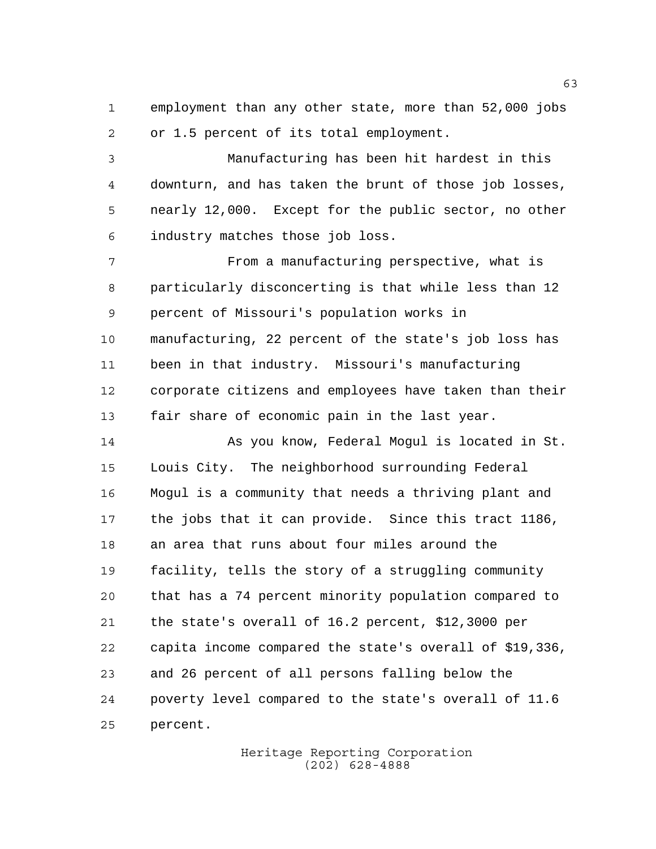employment than any other state, more than 52,000 jobs or 1.5 percent of its total employment.

 Manufacturing has been hit hardest in this downturn, and has taken the brunt of those job losses, nearly 12,000. Except for the public sector, no other industry matches those job loss.

 From a manufacturing perspective, what is particularly disconcerting is that while less than 12 percent of Missouri's population works in manufacturing, 22 percent of the state's job loss has been in that industry. Missouri's manufacturing corporate citizens and employees have taken than their fair share of economic pain in the last year.

 As you know, Federal Mogul is located in St. Louis City. The neighborhood surrounding Federal Mogul is a community that needs a thriving plant and the jobs that it can provide. Since this tract 1186, an area that runs about four miles around the facility, tells the story of a struggling community that has a 74 percent minority population compared to the state's overall of 16.2 percent, \$12,3000 per capita income compared the state's overall of \$19,336, and 26 percent of all persons falling below the poverty level compared to the state's overall of 11.6 percent.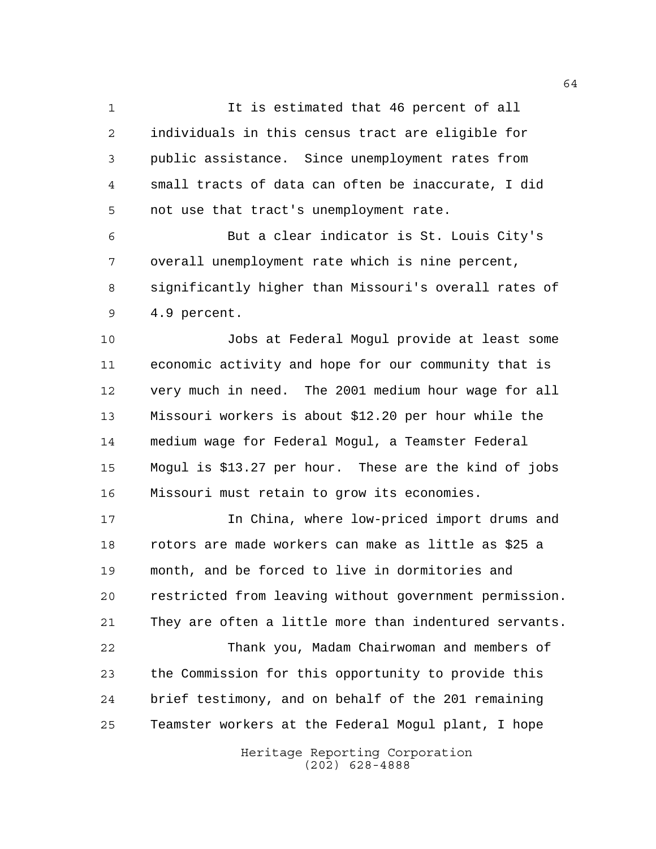1 1 It is estimated that 46 percent of all individuals in this census tract are eligible for public assistance. Since unemployment rates from small tracts of data can often be inaccurate, I did not use that tract's unemployment rate.

 But a clear indicator is St. Louis City's overall unemployment rate which is nine percent, significantly higher than Missouri's overall rates of 4.9 percent.

 Jobs at Federal Mogul provide at least some economic activity and hope for our community that is very much in need. The 2001 medium hour wage for all Missouri workers is about \$12.20 per hour while the medium wage for Federal Mogul, a Teamster Federal Mogul is \$13.27 per hour. These are the kind of jobs Missouri must retain to grow its economies.

 In China, where low-priced import drums and rotors are made workers can make as little as \$25 a month, and be forced to live in dormitories and restricted from leaving without government permission. They are often a little more than indentured servants.

 Thank you, Madam Chairwoman and members of the Commission for this opportunity to provide this brief testimony, and on behalf of the 201 remaining Teamster workers at the Federal Mogul plant, I hope

> Heritage Reporting Corporation (202) 628-4888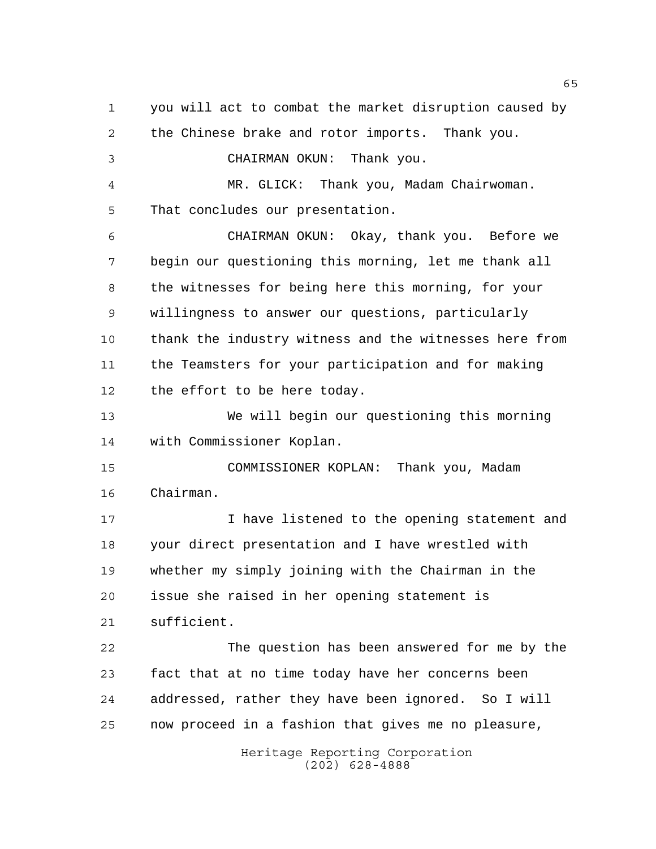Heritage Reporting Corporation you will act to combat the market disruption caused by the Chinese brake and rotor imports. Thank you. CHAIRMAN OKUN: Thank you. MR. GLICK: Thank you, Madam Chairwoman. That concludes our presentation. CHAIRMAN OKUN: Okay, thank you. Before we begin our questioning this morning, let me thank all the witnesses for being here this morning, for your willingness to answer our questions, particularly thank the industry witness and the witnesses here from the Teamsters for your participation and for making the effort to be here today. We will begin our questioning this morning with Commissioner Koplan. COMMISSIONER KOPLAN: Thank you, Madam Chairman. I have listened to the opening statement and your direct presentation and I have wrestled with whether my simply joining with the Chairman in the issue she raised in her opening statement is sufficient. The question has been answered for me by the fact that at no time today have her concerns been addressed, rather they have been ignored. So I will now proceed in a fashion that gives me no pleasure,

(202) 628-4888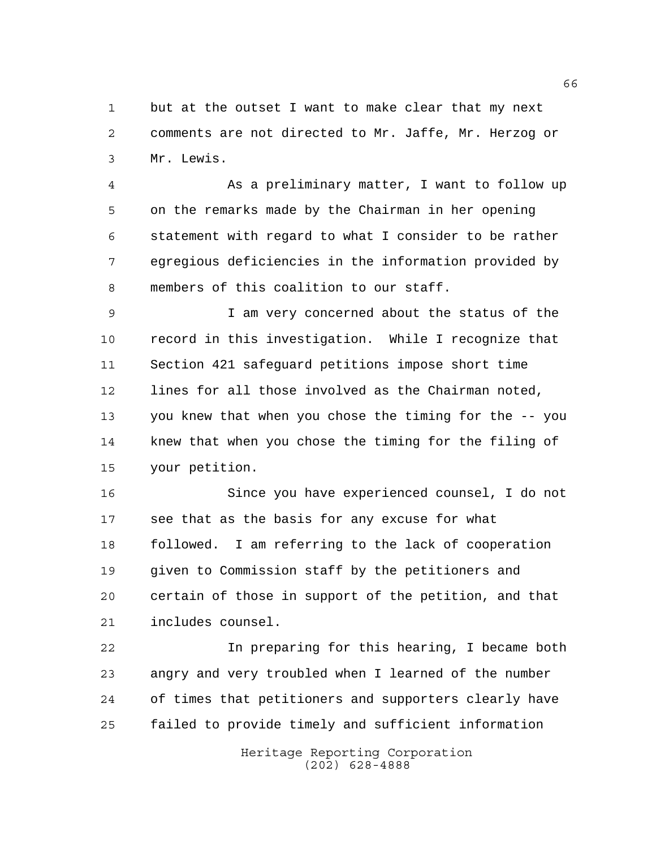but at the outset I want to make clear that my next comments are not directed to Mr. Jaffe, Mr. Herzog or Mr. Lewis.

 As a preliminary matter, I want to follow up on the remarks made by the Chairman in her opening statement with regard to what I consider to be rather egregious deficiencies in the information provided by members of this coalition to our staff.

 I am very concerned about the status of the record in this investigation. While I recognize that Section 421 safeguard petitions impose short time lines for all those involved as the Chairman noted, you knew that when you chose the timing for the -- you knew that when you chose the timing for the filing of your petition.

 Since you have experienced counsel, I do not see that as the basis for any excuse for what followed. I am referring to the lack of cooperation given to Commission staff by the petitioners and certain of those in support of the petition, and that includes counsel.

 In preparing for this hearing, I became both angry and very troubled when I learned of the number of times that petitioners and supporters clearly have failed to provide timely and sufficient information

> Heritage Reporting Corporation (202) 628-4888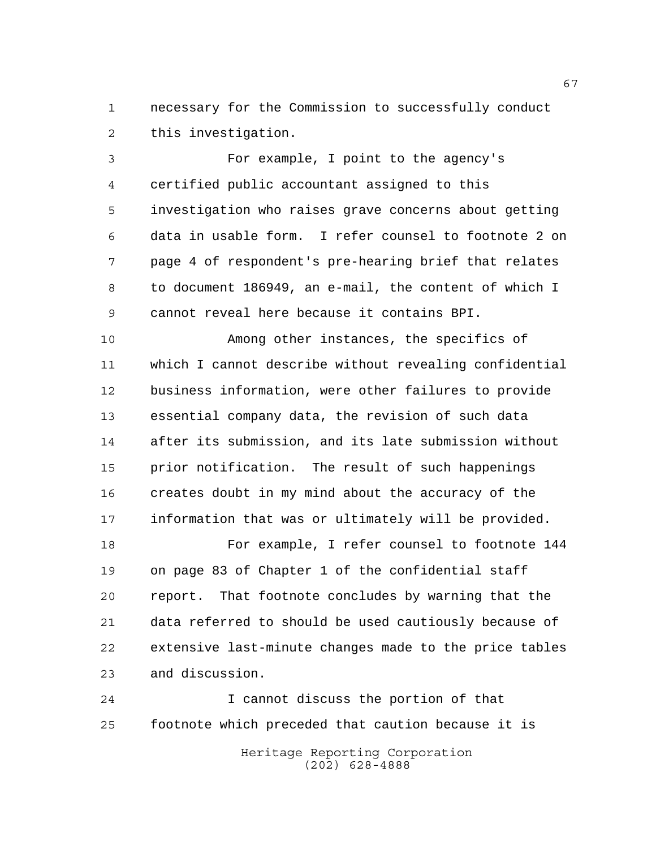necessary for the Commission to successfully conduct this investigation.

 For example, I point to the agency's certified public accountant assigned to this investigation who raises grave concerns about getting data in usable form. I refer counsel to footnote 2 on page 4 of respondent's pre-hearing brief that relates to document 186949, an e-mail, the content of which I cannot reveal here because it contains BPI.

 Among other instances, the specifics of which I cannot describe without revealing confidential business information, were other failures to provide essential company data, the revision of such data after its submission, and its late submission without prior notification. The result of such happenings creates doubt in my mind about the accuracy of the information that was or ultimately will be provided.

 For example, I refer counsel to footnote 144 on page 83 of Chapter 1 of the confidential staff report. That footnote concludes by warning that the data referred to should be used cautiously because of extensive last-minute changes made to the price tables and discussion.

 I cannot discuss the portion of that footnote which preceded that caution because it is

Heritage Reporting Corporation (202) 628-4888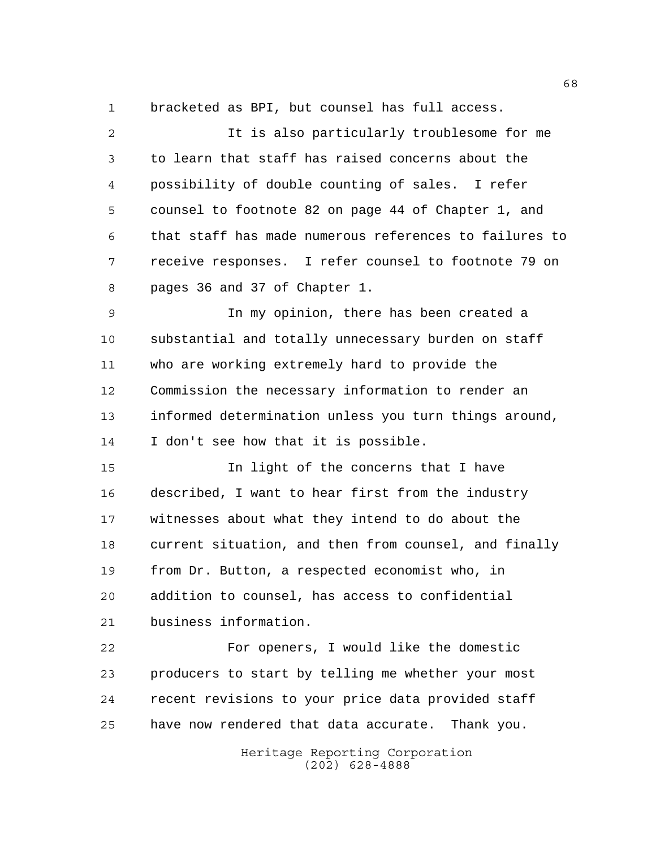bracketed as BPI, but counsel has full access.

| $\overline{a}$ | It is also particularly troublesome for me             |
|----------------|--------------------------------------------------------|
| 3              | to learn that staff has raised concerns about the      |
| 4              | possibility of double counting of sales. I refer       |
| 5              | counsel to footnote 82 on page 44 of Chapter 1, and    |
| 6              | that staff has made numerous references to failures to |
| 7              | receive responses. I refer counsel to footnote 79 on   |
| 8              | pages 36 and 37 of Chapter 1.                          |
| $\mathsf 9$    | In my opinion, there has been created a                |
| 10             | substantial and totally unnecessary burden on staff    |
| 11             | who are working extremely hard to provide the          |
| 12             | Commission the necessary information to render an      |
| 13             | informed determination unless you turn things around,  |
| 14             | I don't see how that it is possible.                   |
| 15             | In light of the concerns that I have                   |
| 16             | described, I want to hear first from the industry      |
| 17             | witnesses about what they intend to do about the       |
| 18             | current situation, and then from counsel, and finally  |
| 19             | from Dr. Button, a respected economist who, in         |
| 20             | addition to counsel, has access to confidential        |
| 21             | business information.                                  |
| 22             | For openers, I would like the domestic                 |
| 23             | producers to start by telling me whether your most     |
| 24             | recent revisions to your price data provided staff     |
| 25             | have now rendered that data accurate. Thank you.       |

Heritage Reporting Corporation (202) 628-4888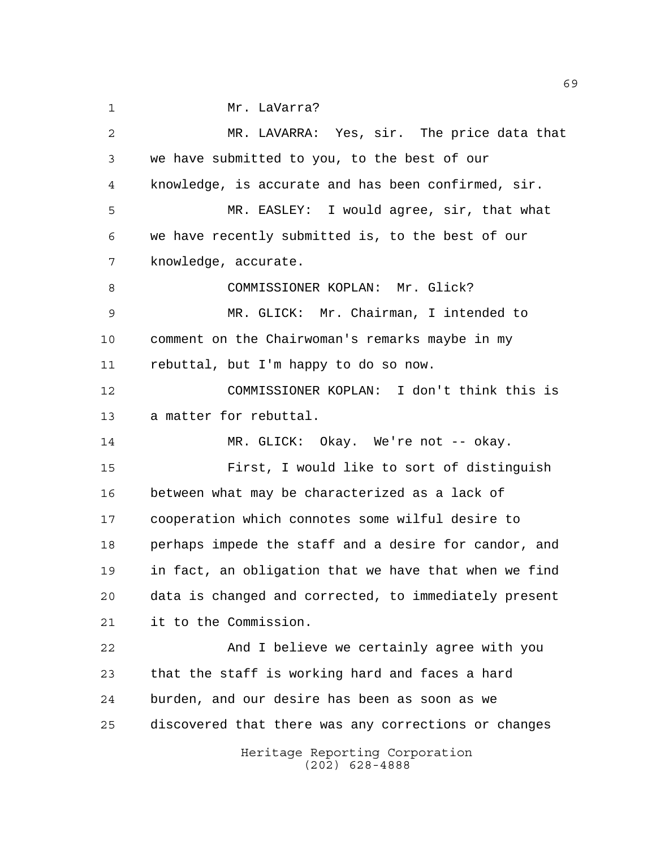Mr. LaVarra?

Heritage Reporting Corporation (202) 628-4888 MR. LAVARRA: Yes, sir. The price data that we have submitted to you, to the best of our knowledge, is accurate and has been confirmed, sir. MR. EASLEY: I would agree, sir, that what we have recently submitted is, to the best of our knowledge, accurate. 8 COMMISSIONER KOPLAN: Mr. Glick? MR. GLICK: Mr. Chairman, I intended to comment on the Chairwoman's remarks maybe in my rebuttal, but I'm happy to do so now. COMMISSIONER KOPLAN: I don't think this is a matter for rebuttal. 14 MR. GLICK: Okay. We're not -- okay. First, I would like to sort of distinguish between what may be characterized as a lack of cooperation which connotes some wilful desire to perhaps impede the staff and a desire for candor, and in fact, an obligation that we have that when we find data is changed and corrected, to immediately present it to the Commission. And I believe we certainly agree with you that the staff is working hard and faces a hard burden, and our desire has been as soon as we discovered that there was any corrections or changes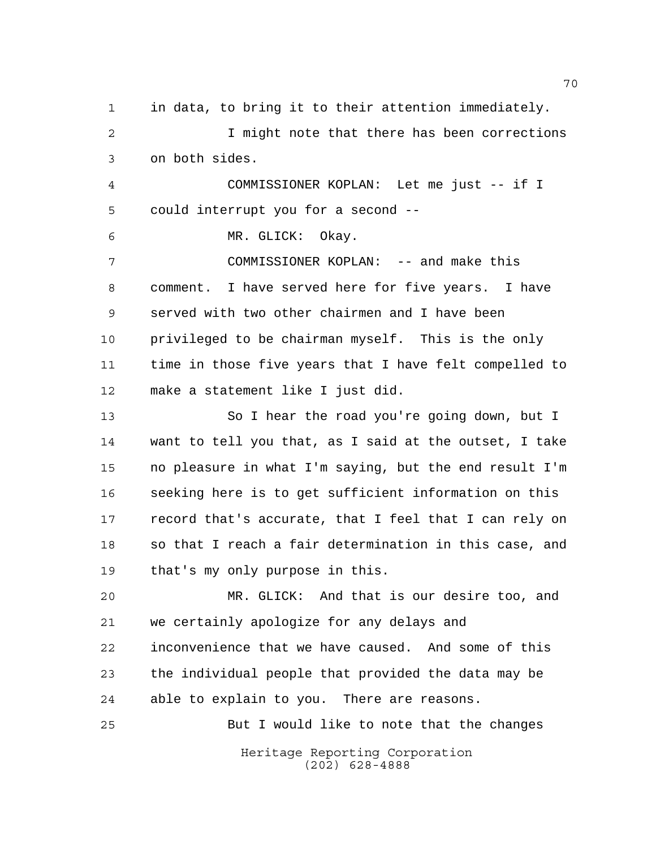Heritage Reporting Corporation (202) 628-4888 in data, to bring it to their attention immediately. I might note that there has been corrections on both sides. COMMISSIONER KOPLAN: Let me just -- if I could interrupt you for a second -- MR. GLICK: Okay. COMMISSIONER KOPLAN: -- and make this comment. I have served here for five years. I have served with two other chairmen and I have been privileged to be chairman myself. This is the only time in those five years that I have felt compelled to make a statement like I just did. So I hear the road you're going down, but I want to tell you that, as I said at the outset, I take no pleasure in what I'm saying, but the end result I'm seeking here is to get sufficient information on this record that's accurate, that I feel that I can rely on so that I reach a fair determination in this case, and that's my only purpose in this. MR. GLICK: And that is our desire too, and we certainly apologize for any delays and inconvenience that we have caused. And some of this the individual people that provided the data may be able to explain to you. There are reasons. But I would like to note that the changes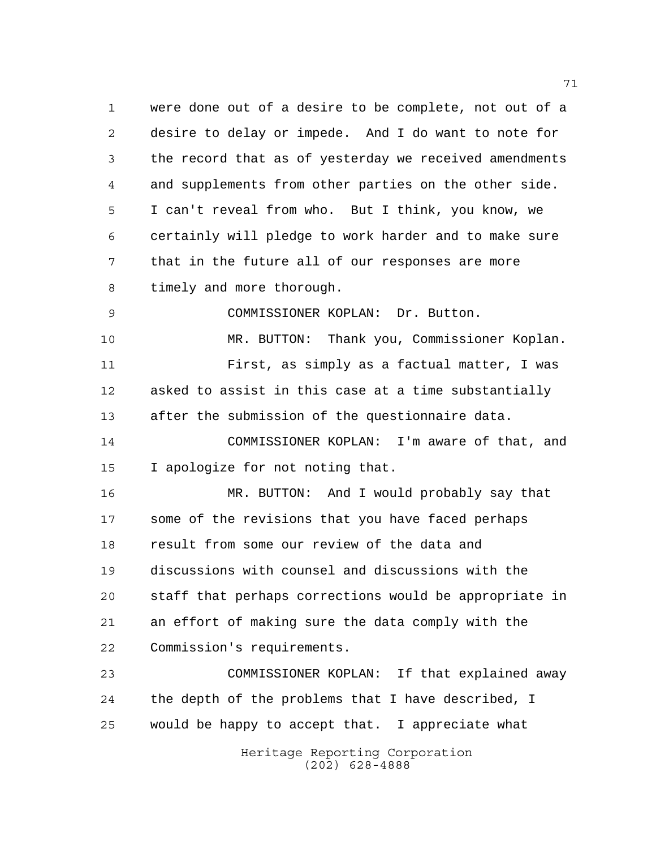were done out of a desire to be complete, not out of a desire to delay or impede. And I do want to note for the record that as of yesterday we received amendments and supplements from other parties on the other side. I can't reveal from who. But I think, you know, we certainly will pledge to work harder and to make sure that in the future all of our responses are more timely and more thorough.

COMMISSIONER KOPLAN: Dr. Button.

 MR. BUTTON: Thank you, Commissioner Koplan. First, as simply as a factual matter, I was asked to assist in this case at a time substantially after the submission of the questionnaire data.

 COMMISSIONER KOPLAN: I'm aware of that, and I apologize for not noting that.

 MR. BUTTON: And I would probably say that some of the revisions that you have faced perhaps result from some our review of the data and discussions with counsel and discussions with the staff that perhaps corrections would be appropriate in an effort of making sure the data comply with the Commission's requirements.

 COMMISSIONER KOPLAN: If that explained away the depth of the problems that I have described, I would be happy to accept that. I appreciate what

> Heritage Reporting Corporation (202) 628-4888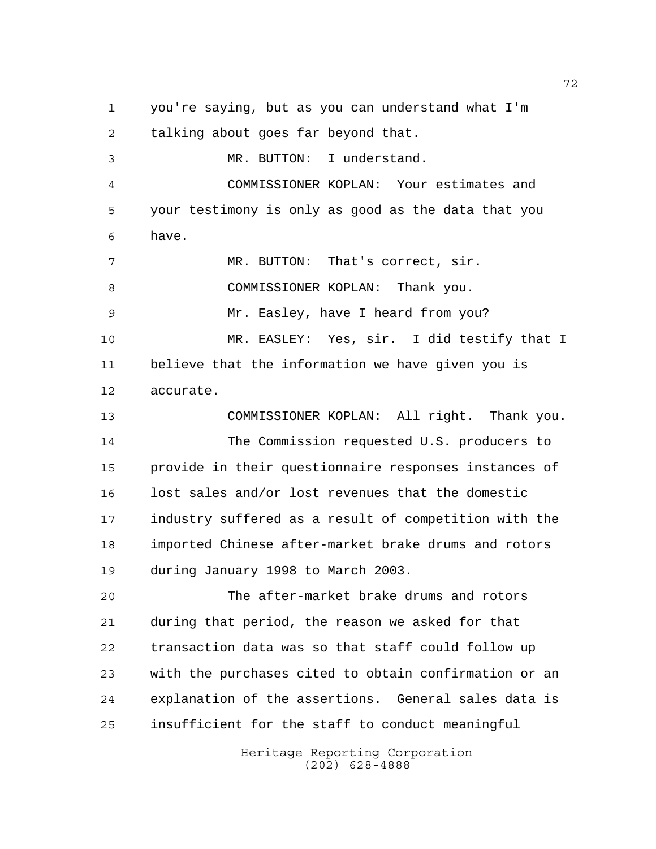you're saying, but as you can understand what I'm talking about goes far beyond that. MR. BUTTON: I understand. COMMISSIONER KOPLAN: Your estimates and your testimony is only as good as the data that you have. 7 MR. BUTTON: That's correct, sir. COMMISSIONER KOPLAN: Thank you. Mr. Easley, have I heard from you? MR. EASLEY: Yes, sir. I did testify that I believe that the information we have given you is accurate. COMMISSIONER KOPLAN: All right. Thank you. The Commission requested U.S. producers to provide in their questionnaire responses instances of lost sales and/or lost revenues that the domestic industry suffered as a result of competition with the imported Chinese after-market brake drums and rotors during January 1998 to March 2003. The after-market brake drums and rotors during that period, the reason we asked for that transaction data was so that staff could follow up with the purchases cited to obtain confirmation or an explanation of the assertions. General sales data is insufficient for the staff to conduct meaningful

> Heritage Reporting Corporation (202) 628-4888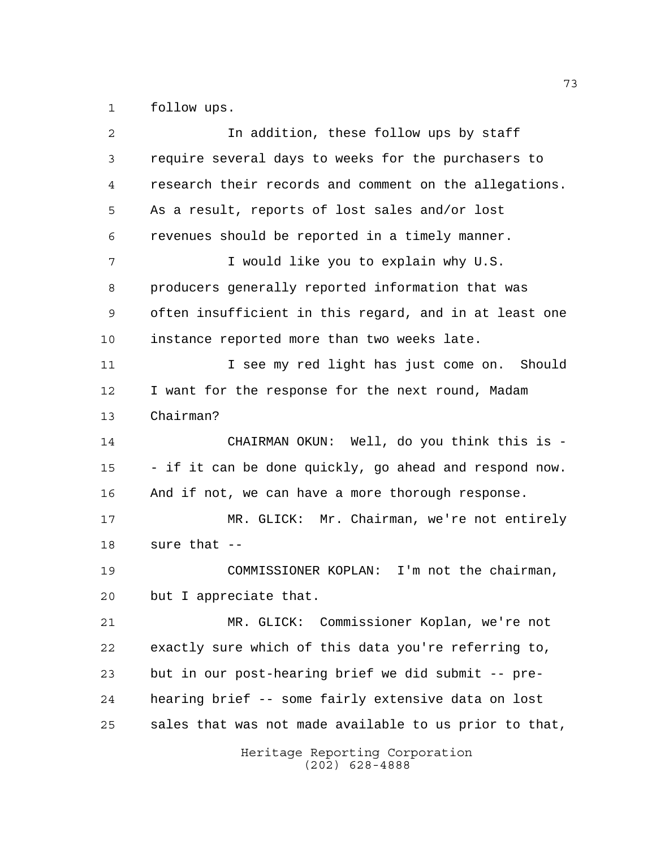follow ups.

| 2  | In addition, these follow ups by staff                 |
|----|--------------------------------------------------------|
| 3  | require several days to weeks for the purchasers to    |
| 4  | research their records and comment on the allegations. |
| 5  | As a result, reports of lost sales and/or lost         |
| 6  | revenues should be reported in a timely manner.        |
| 7  | I would like you to explain why U.S.                   |
| 8  | producers generally reported information that was      |
| 9  | often insufficient in this regard, and in at least one |
| 10 | instance reported more than two weeks late.            |
| 11 | I see my red light has just come on. Should            |
| 12 | I want for the response for the next round, Madam      |
| 13 | Chairman?                                              |
| 14 | CHAIRMAN OKUN: Well, do you think this is -            |
| 15 | - if it can be done quickly, go ahead and respond now. |
| 16 | And if not, we can have a more thorough response.      |
| 17 | MR. GLICK: Mr. Chairman, we're not entirely            |
| 18 | sure that --                                           |
| 19 | COMMISSIONER KOPLAN: I'm not the chairman,             |
| 20 | but I appreciate that.                                 |
| 21 | MR. GLICK: Commissioner Koplan, we're not              |
| 22 | exactly sure which of this data you're referring to,   |
| 23 | but in our post-hearing brief we did submit -- pre-    |
| 24 | hearing brief -- some fairly extensive data on lost    |
| 25 | sales that was not made available to us prior to that, |
|    | Heritage Reporting Corporation<br>$(202)$ 628-4888     |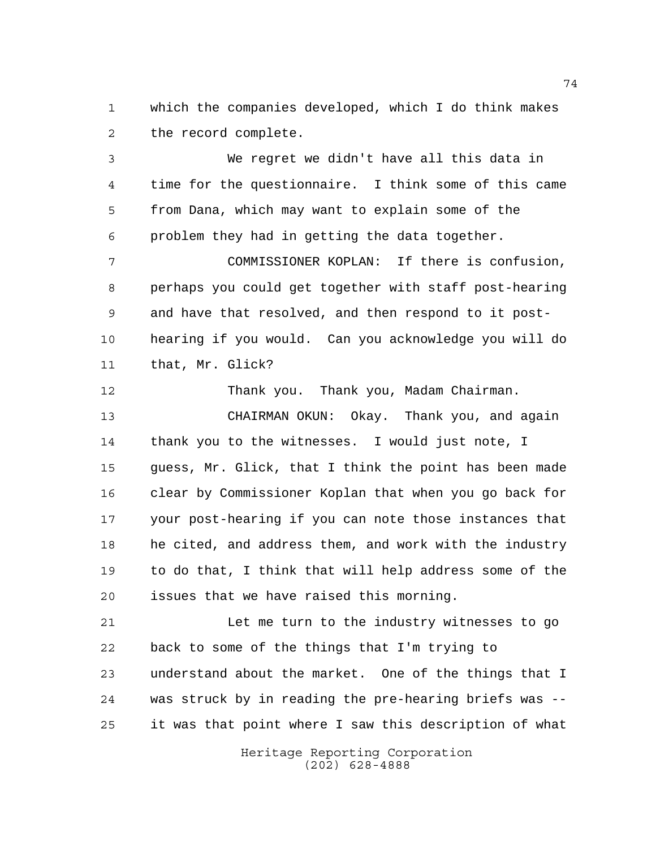which the companies developed, which I do think makes the record complete.

 We regret we didn't have all this data in time for the questionnaire. I think some of this came from Dana, which may want to explain some of the problem they had in getting the data together.

 COMMISSIONER KOPLAN: If there is confusion, perhaps you could get together with staff post-hearing and have that resolved, and then respond to it post- hearing if you would. Can you acknowledge you will do that, Mr. Glick?

 Thank you. Thank you, Madam Chairman. CHAIRMAN OKUN: Okay. Thank you, and again thank you to the witnesses. I would just note, I guess, Mr. Glick, that I think the point has been made clear by Commissioner Koplan that when you go back for your post-hearing if you can note those instances that he cited, and address them, and work with the industry to do that, I think that will help address some of the issues that we have raised this morning.

21 Let me turn to the industry witnesses to go back to some of the things that I'm trying to understand about the market. One of the things that I was struck by in reading the pre-hearing briefs was -- it was that point where I saw this description of what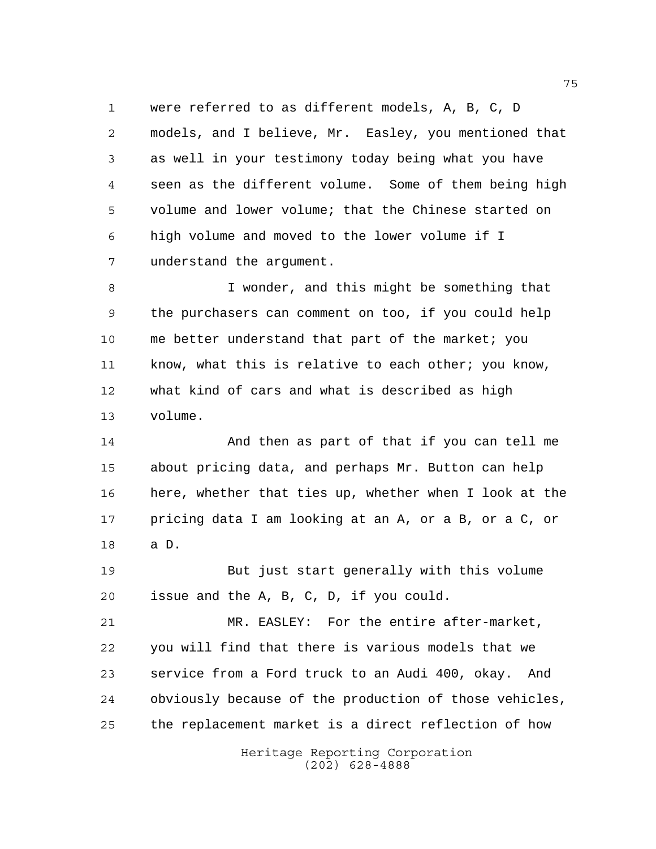were referred to as different models, A, B, C, D models, and I believe, Mr. Easley, you mentioned that as well in your testimony today being what you have seen as the different volume. Some of them being high volume and lower volume; that the Chinese started on high volume and moved to the lower volume if I understand the argument.

 I wonder, and this might be something that the purchasers can comment on too, if you could help me better understand that part of the market; you 11 know, what this is relative to each other; you know, what kind of cars and what is described as high volume.

 And then as part of that if you can tell me about pricing data, and perhaps Mr. Button can help here, whether that ties up, whether when I look at the pricing data I am looking at an A, or a B, or a C, or a D.

 But just start generally with this volume issue and the A, B, C, D, if you could.

 MR. EASLEY: For the entire after-market, you will find that there is various models that we service from a Ford truck to an Audi 400, okay. And obviously because of the production of those vehicles, the replacement market is a direct reflection of how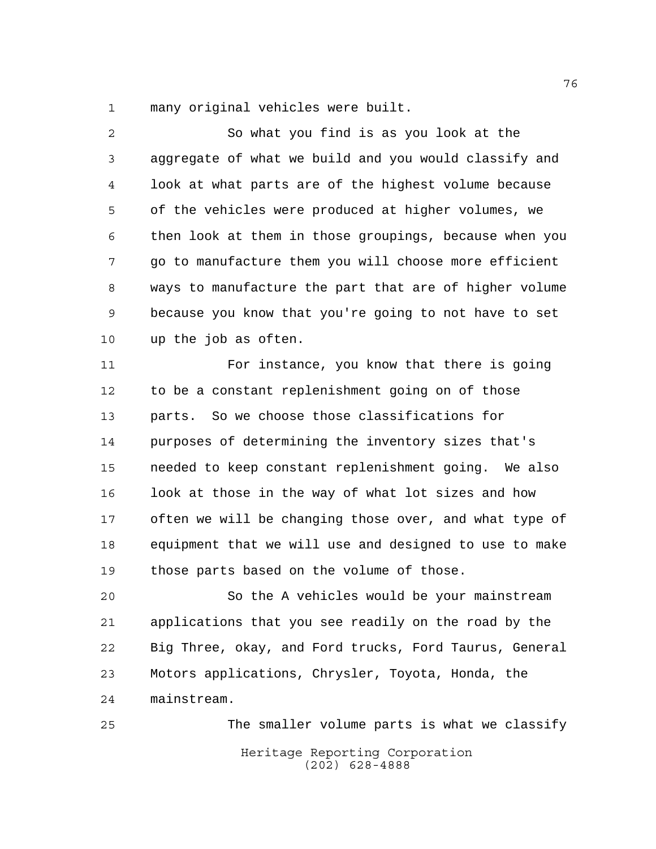many original vehicles were built.

 So what you find is as you look at the aggregate of what we build and you would classify and look at what parts are of the highest volume because of the vehicles were produced at higher volumes, we then look at them in those groupings, because when you go to manufacture them you will choose more efficient ways to manufacture the part that are of higher volume because you know that you're going to not have to set up the job as often. For instance, you know that there is going to be a constant replenishment going on of those parts. So we choose those classifications for purposes of determining the inventory sizes that's needed to keep constant replenishment going. We also look at those in the way of what lot sizes and how often we will be changing those over, and what type of equipment that we will use and designed to use to make those parts based on the volume of those.

 So the A vehicles would be your mainstream applications that you see readily on the road by the Big Three, okay, and Ford trucks, Ford Taurus, General Motors applications, Chrysler, Toyota, Honda, the mainstream.

Heritage Reporting Corporation (202) 628-4888 The smaller volume parts is what we classify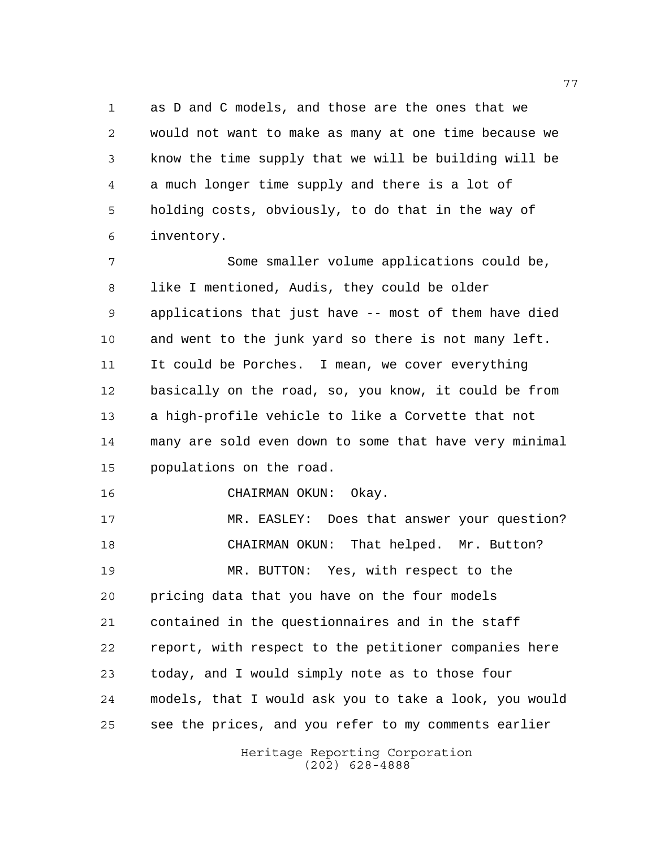as D and C models, and those are the ones that we would not want to make as many at one time because we know the time supply that we will be building will be a much longer time supply and there is a lot of holding costs, obviously, to do that in the way of inventory.

 Some smaller volume applications could be, like I mentioned, Audis, they could be older applications that just have -- most of them have died and went to the junk yard so there is not many left. It could be Porches. I mean, we cover everything basically on the road, so, you know, it could be from a high-profile vehicle to like a Corvette that not many are sold even down to some that have very minimal populations on the road.

CHAIRMAN OKUN: Okay.

 MR. EASLEY: Does that answer your question? CHAIRMAN OKUN: That helped. Mr. Button? MR. BUTTON: Yes, with respect to the pricing data that you have on the four models contained in the questionnaires and in the staff report, with respect to the petitioner companies here today, and I would simply note as to those four models, that I would ask you to take a look, you would see the prices, and you refer to my comments earlier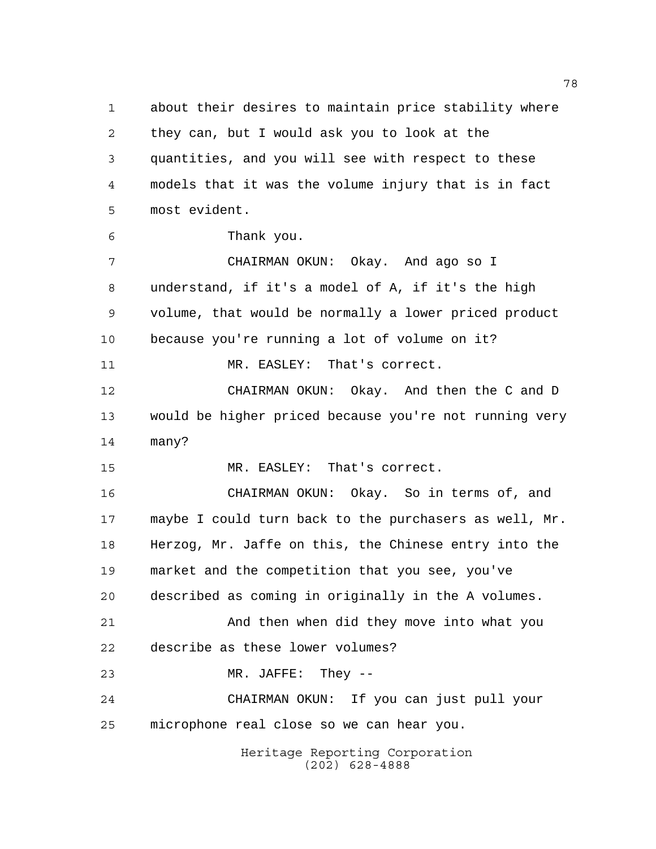about their desires to maintain price stability where they can, but I would ask you to look at the quantities, and you will see with respect to these models that it was the volume injury that is in fact most evident.

Thank you.

 CHAIRMAN OKUN: Okay. And ago so I understand, if it's a model of A, if it's the high volume, that would be normally a lower priced product because you're running a lot of volume on it? 11 MR. EASLEY: That's correct. CHAIRMAN OKUN: Okay. And then the C and D would be higher priced because you're not running very many?

MR. EASLEY: That's correct.

 CHAIRMAN OKUN: Okay. So in terms of, and maybe I could turn back to the purchasers as well, Mr. Herzog, Mr. Jaffe on this, the Chinese entry into the market and the competition that you see, you've described as coming in originally in the A volumes. And then when did they move into what you describe as these lower volumes? MR. JAFFE: They --

 CHAIRMAN OKUN: If you can just pull your microphone real close so we can hear you.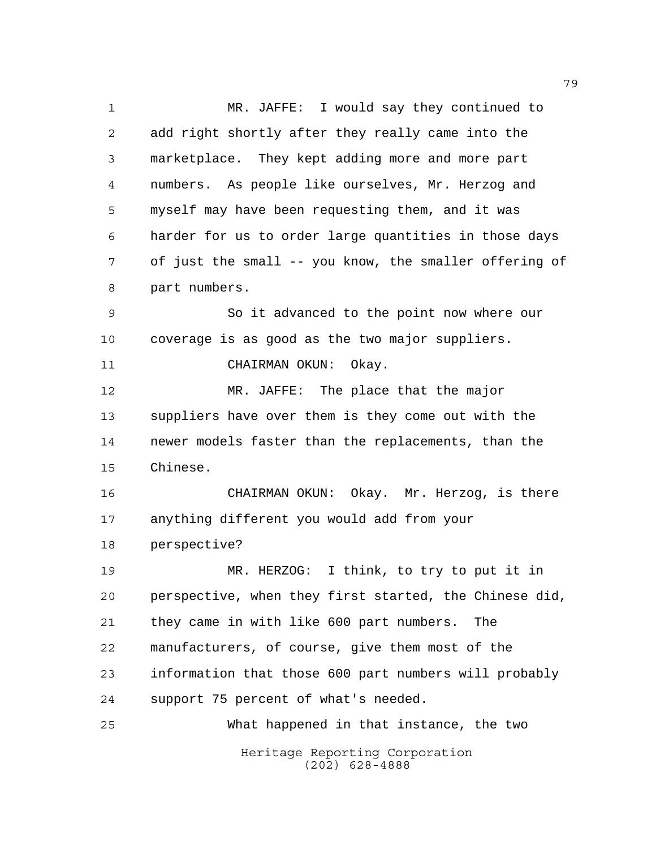Heritage Reporting Corporation MR. JAFFE: I would say they continued to add right shortly after they really came into the marketplace. They kept adding more and more part numbers. As people like ourselves, Mr. Herzog and myself may have been requesting them, and it was harder for us to order large quantities in those days of just the small -- you know, the smaller offering of part numbers. So it advanced to the point now where our coverage is as good as the two major suppliers. CHAIRMAN OKUN: Okay. MR. JAFFE: The place that the major suppliers have over them is they come out with the newer models faster than the replacements, than the Chinese. CHAIRMAN OKUN: Okay. Mr. Herzog, is there anything different you would add from your perspective? MR. HERZOG: I think, to try to put it in perspective, when they first started, the Chinese did, they came in with like 600 part numbers. The manufacturers, of course, give them most of the information that those 600 part numbers will probably support 75 percent of what's needed. What happened in that instance, the two

(202) 628-4888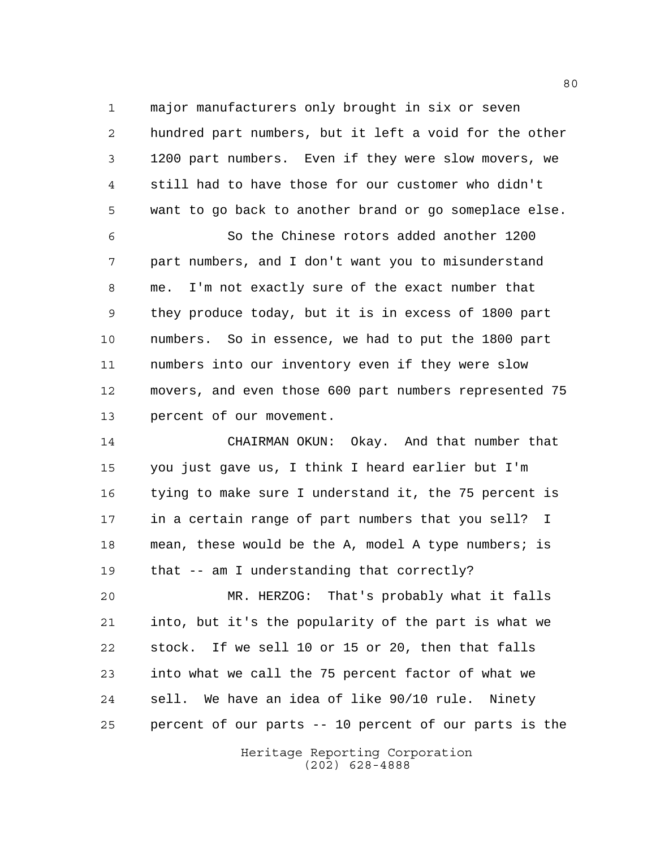major manufacturers only brought in six or seven hundred part numbers, but it left a void for the other 1200 part numbers. Even if they were slow movers, we still had to have those for our customer who didn't want to go back to another brand or go someplace else.

 So the Chinese rotors added another 1200 part numbers, and I don't want you to misunderstand me. I'm not exactly sure of the exact number that they produce today, but it is in excess of 1800 part numbers. So in essence, we had to put the 1800 part numbers into our inventory even if they were slow movers, and even those 600 part numbers represented 75 percent of our movement.

 CHAIRMAN OKUN: Okay. And that number that you just gave us, I think I heard earlier but I'm tying to make sure I understand it, the 75 percent is in a certain range of part numbers that you sell? I mean, these would be the A, model A type numbers; is that -- am I understanding that correctly?

 MR. HERZOG: That's probably what it falls into, but it's the popularity of the part is what we stock. If we sell 10 or 15 or 20, then that falls into what we call the 75 percent factor of what we sell. We have an idea of like 90/10 rule. Ninety percent of our parts -- 10 percent of our parts is the

> Heritage Reporting Corporation (202) 628-4888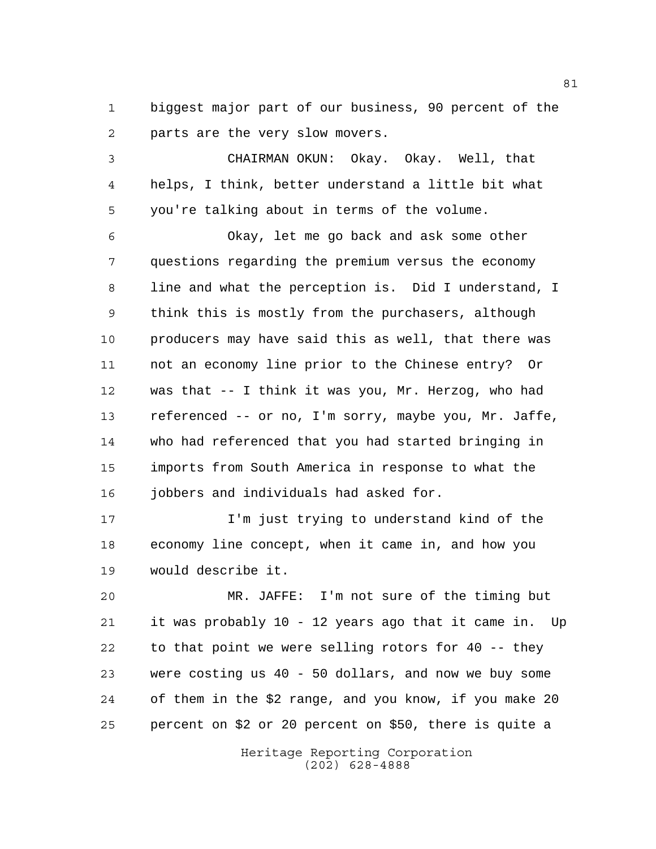biggest major part of our business, 90 percent of the parts are the very slow movers.

 CHAIRMAN OKUN: Okay. Okay. Well, that helps, I think, better understand a little bit what you're talking about in terms of the volume.

 Okay, let me go back and ask some other questions regarding the premium versus the economy line and what the perception is. Did I understand, I think this is mostly from the purchasers, although producers may have said this as well, that there was not an economy line prior to the Chinese entry? Or was that -- I think it was you, Mr. Herzog, who had referenced -- or no, I'm sorry, maybe you, Mr. Jaffe, who had referenced that you had started bringing in imports from South America in response to what the jobbers and individuals had asked for.

 I'm just trying to understand kind of the economy line concept, when it came in, and how you would describe it.

 MR. JAFFE: I'm not sure of the timing but it was probably 10 - 12 years ago that it came in. Up to that point we were selling rotors for 40 -- they were costing us 40 - 50 dollars, and now we buy some of them in the \$2 range, and you know, if you make 20 percent on \$2 or 20 percent on \$50, there is quite a

> Heritage Reporting Corporation (202) 628-4888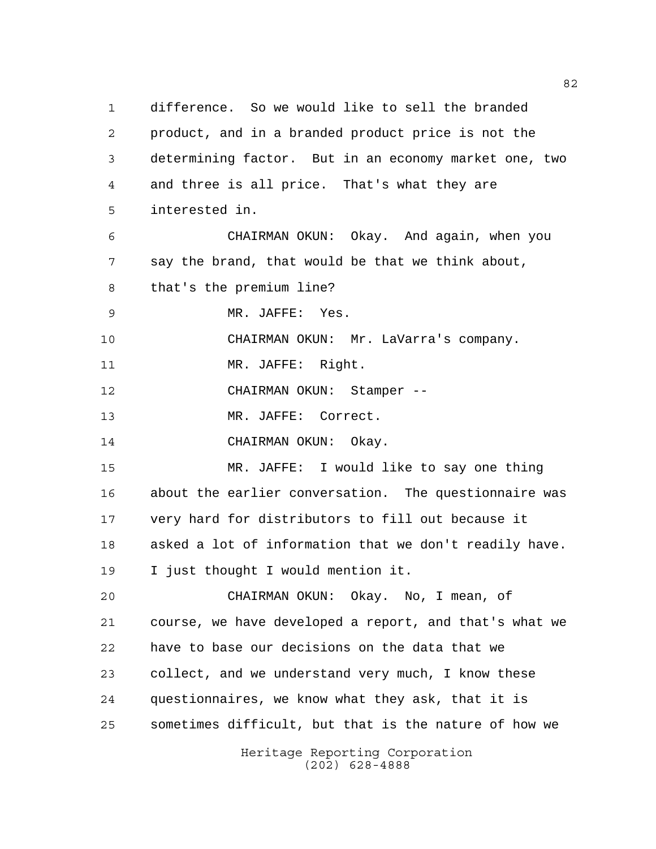Heritage Reporting Corporation (202) 628-4888 difference. So we would like to sell the branded product, and in a branded product price is not the determining factor. But in an economy market one, two and three is all price. That's what they are interested in. CHAIRMAN OKUN: Okay. And again, when you say the brand, that would be that we think about, that's the premium line? MR. JAFFE: Yes. CHAIRMAN OKUN: Mr. LaVarra's company. 11 MR. JAFFE: Right. CHAIRMAN OKUN: Stamper -- 13 MR. JAFFE: Correct. 14 CHAIRMAN OKUN: Okay. MR. JAFFE: I would like to say one thing about the earlier conversation. The questionnaire was very hard for distributors to fill out because it asked a lot of information that we don't readily have. I just thought I would mention it. CHAIRMAN OKUN: Okay. No, I mean, of course, we have developed a report, and that's what we have to base our decisions on the data that we collect, and we understand very much, I know these questionnaires, we know what they ask, that it is sometimes difficult, but that is the nature of how we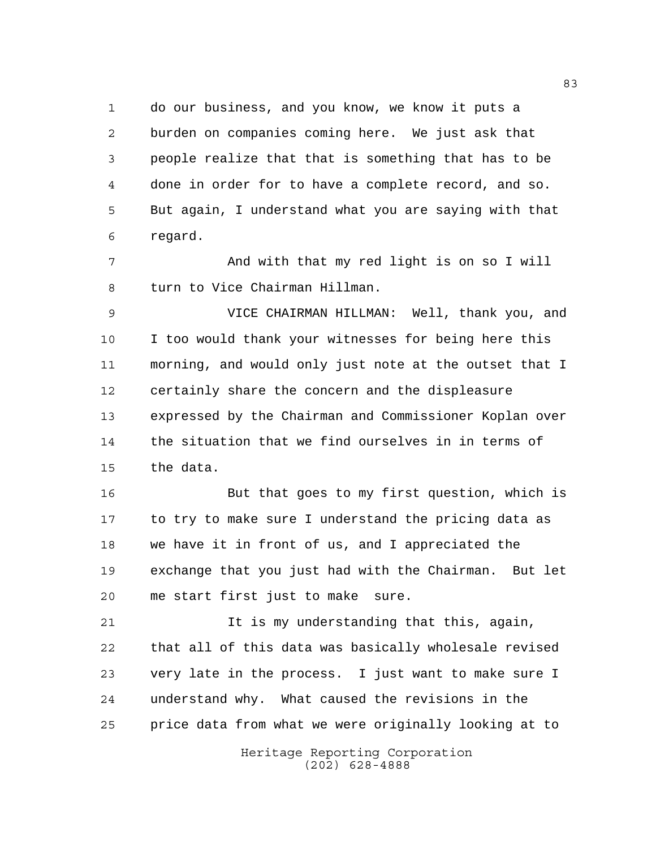do our business, and you know, we know it puts a burden on companies coming here. We just ask that people realize that that is something that has to be done in order for to have a complete record, and so. But again, I understand what you are saying with that regard.

 And with that my red light is on so I will turn to Vice Chairman Hillman.

 VICE CHAIRMAN HILLMAN: Well, thank you, and I too would thank your witnesses for being here this morning, and would only just note at the outset that I certainly share the concern and the displeasure expressed by the Chairman and Commissioner Koplan over the situation that we find ourselves in in terms of the data.

 But that goes to my first question, which is to try to make sure I understand the pricing data as we have it in front of us, and I appreciated the exchange that you just had with the Chairman. But let me start first just to make sure.

 It is my understanding that this, again, that all of this data was basically wholesale revised very late in the process. I just want to make sure I understand why. What caused the revisions in the price data from what we were originally looking at to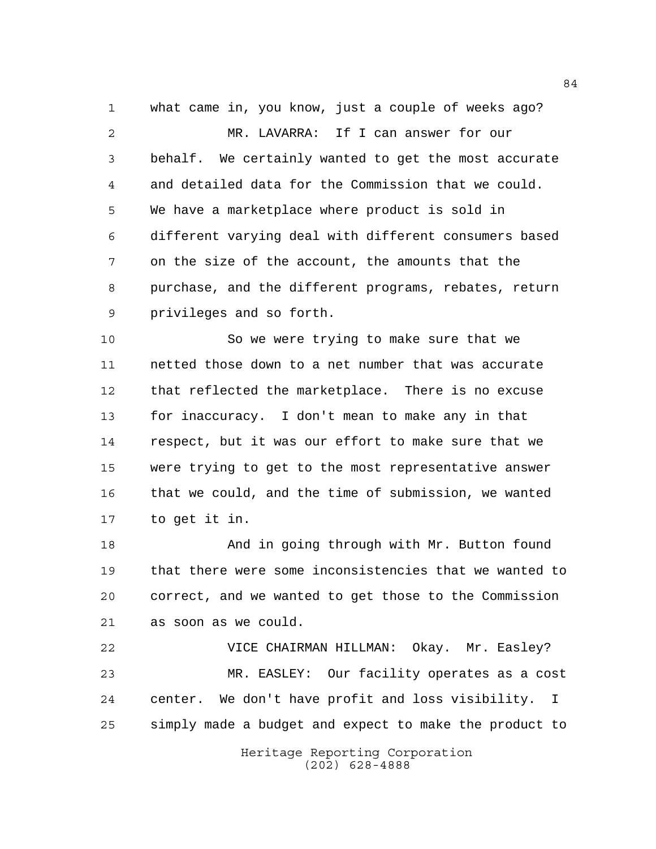what came in, you know, just a couple of weeks ago? MR. LAVARRA: If I can answer for our behalf. We certainly wanted to get the most accurate and detailed data for the Commission that we could. We have a marketplace where product is sold in different varying deal with different consumers based on the size of the account, the amounts that the purchase, and the different programs, rebates, return privileges and so forth.

 So we were trying to make sure that we netted those down to a net number that was accurate that reflected the marketplace. There is no excuse for inaccuracy. I don't mean to make any in that respect, but it was our effort to make sure that we were trying to get to the most representative answer that we could, and the time of submission, we wanted to get it in.

18 And in going through with Mr. Button found that there were some inconsistencies that we wanted to correct, and we wanted to get those to the Commission as soon as we could.

 VICE CHAIRMAN HILLMAN: Okay. Mr. Easley? MR. EASLEY: Our facility operates as a cost center. We don't have profit and loss visibility. I simply made a budget and expect to make the product to

> Heritage Reporting Corporation (202) 628-4888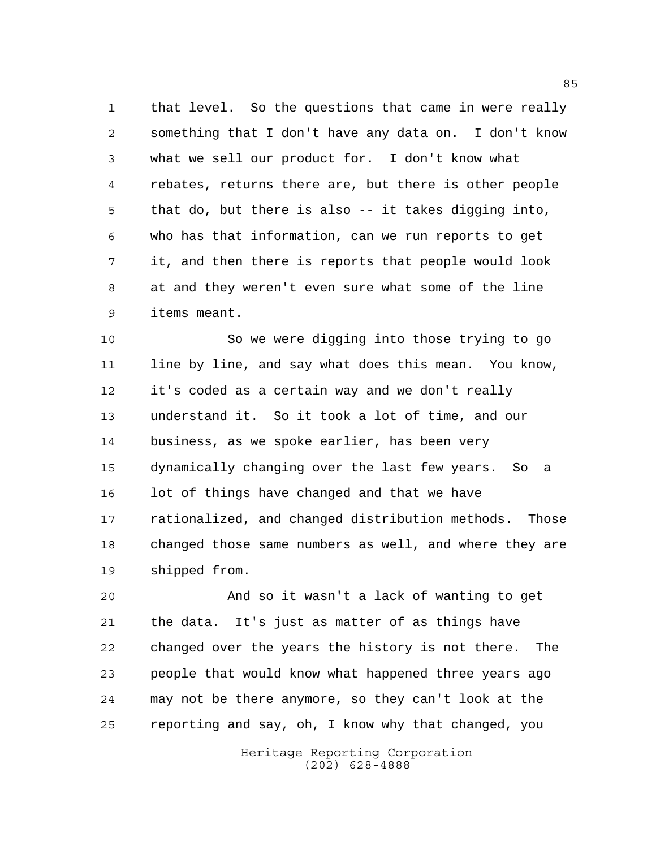that level. So the questions that came in were really something that I don't have any data on. I don't know what we sell our product for. I don't know what rebates, returns there are, but there is other people that do, but there is also -- it takes digging into, who has that information, can we run reports to get it, and then there is reports that people would look at and they weren't even sure what some of the line items meant.

 So we were digging into those trying to go line by line, and say what does this mean. You know, it's coded as a certain way and we don't really understand it. So it took a lot of time, and our business, as we spoke earlier, has been very dynamically changing over the last few years. So a 16 lot of things have changed and that we have rationalized, and changed distribution methods. Those changed those same numbers as well, and where they are shipped from.

 And so it wasn't a lack of wanting to get the data. It's just as matter of as things have changed over the years the history is not there. The people that would know what happened three years ago may not be there anymore, so they can't look at the reporting and say, oh, I know why that changed, you

> Heritage Reporting Corporation (202) 628-4888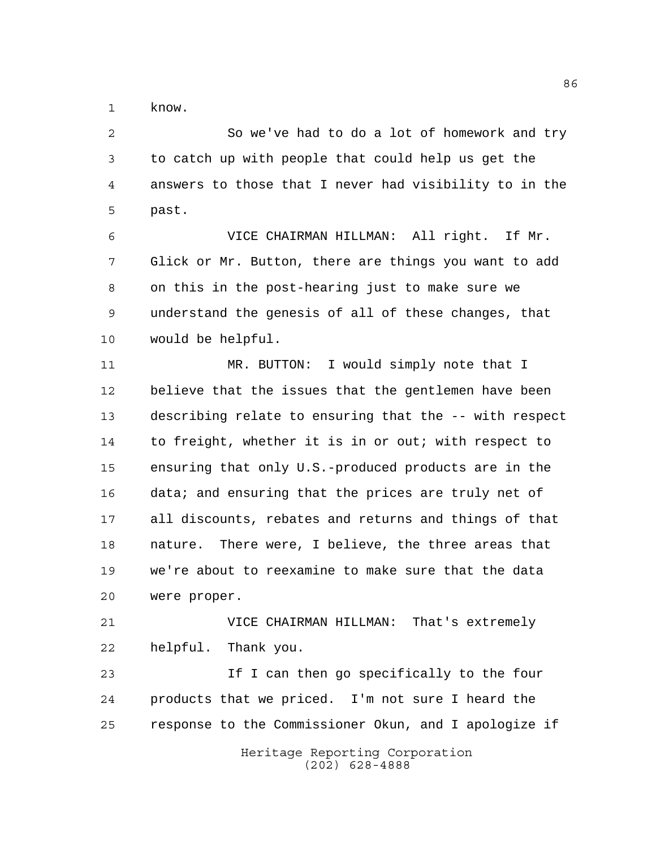know.

 So we've had to do a lot of homework and try to catch up with people that could help us get the answers to those that I never had visibility to in the past.

 VICE CHAIRMAN HILLMAN: All right. If Mr. Glick or Mr. Button, there are things you want to add on this in the post-hearing just to make sure we understand the genesis of all of these changes, that would be helpful.

11 MR. BUTTON: I would simply note that I believe that the issues that the gentlemen have been describing relate to ensuring that the -- with respect to freight, whether it is in or out; with respect to ensuring that only U.S.-produced products are in the data; and ensuring that the prices are truly net of all discounts, rebates and returns and things of that nature. There were, I believe, the three areas that we're about to reexamine to make sure that the data were proper.

 VICE CHAIRMAN HILLMAN: That's extremely helpful. Thank you.

 If I can then go specifically to the four products that we priced. I'm not sure I heard the response to the Commissioner Okun, and I apologize if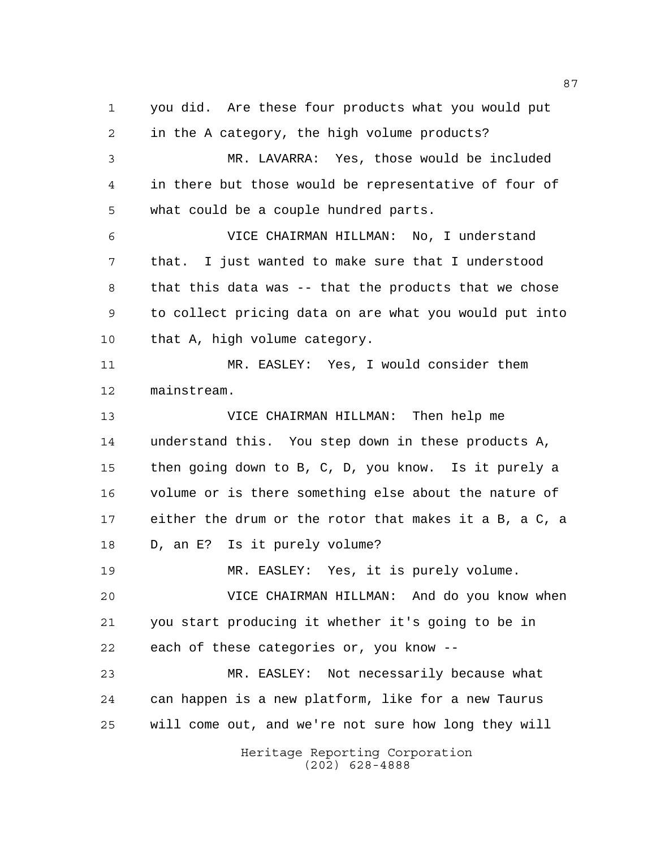Heritage Reporting Corporation you did. Are these four products what you would put in the A category, the high volume products? MR. LAVARRA: Yes, those would be included in there but those would be representative of four of what could be a couple hundred parts. VICE CHAIRMAN HILLMAN: No, I understand that. I just wanted to make sure that I understood that this data was -- that the products that we chose to collect pricing data on are what you would put into that A, high volume category. MR. EASLEY: Yes, I would consider them mainstream. VICE CHAIRMAN HILLMAN: Then help me understand this. You step down in these products A, then going down to B, C, D, you know. Is it purely a volume or is there something else about the nature of either the drum or the rotor that makes it a B, a C, a D, an E? Is it purely volume? MR. EASLEY: Yes, it is purely volume. VICE CHAIRMAN HILLMAN: And do you know when you start producing it whether it's going to be in each of these categories or, you know -- MR. EASLEY: Not necessarily because what can happen is a new platform, like for a new Taurus will come out, and we're not sure how long they will

(202) 628-4888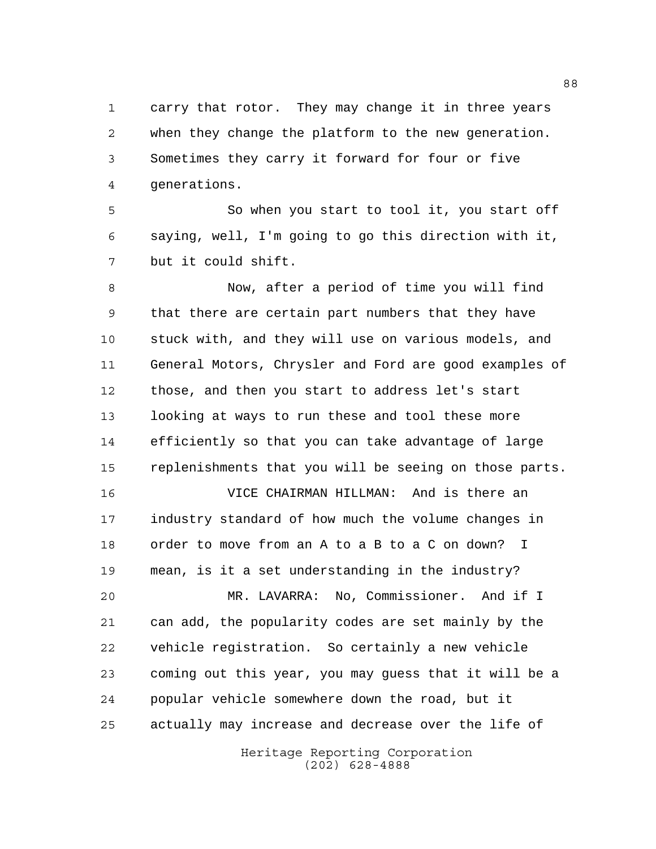carry that rotor. They may change it in three years when they change the platform to the new generation. Sometimes they carry it forward for four or five generations.

 So when you start to tool it, you start off saying, well, I'm going to go this direction with it, but it could shift.

 Now, after a period of time you will find that there are certain part numbers that they have stuck with, and they will use on various models, and General Motors, Chrysler and Ford are good examples of those, and then you start to address let's start looking at ways to run these and tool these more efficiently so that you can take advantage of large replenishments that you will be seeing on those parts.

 VICE CHAIRMAN HILLMAN: And is there an industry standard of how much the volume changes in order to move from an A to a B to a C on down? I mean, is it a set understanding in the industry?

 MR. LAVARRA: No, Commissioner. And if I can add, the popularity codes are set mainly by the vehicle registration. So certainly a new vehicle coming out this year, you may guess that it will be a popular vehicle somewhere down the road, but it actually may increase and decrease over the life of

> Heritage Reporting Corporation (202) 628-4888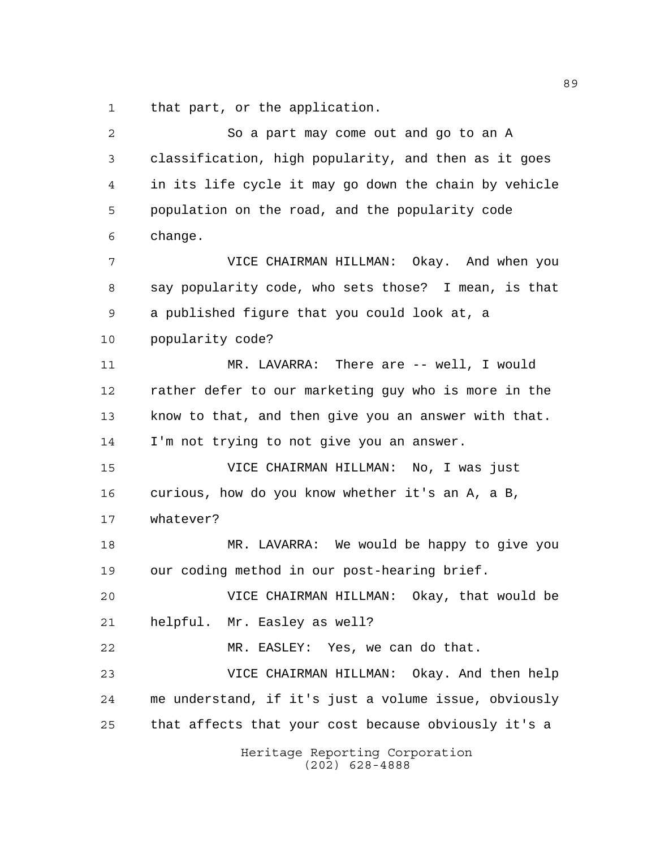that part, or the application.

| 2  | So a part may come out and go to an A                 |
|----|-------------------------------------------------------|
| 3  | classification, high popularity, and then as it goes  |
| 4  | in its life cycle it may go down the chain by vehicle |
| 5  | population on the road, and the popularity code       |
| 6  | change.                                               |
| 7  | VICE CHAIRMAN HILLMAN: Okay. And when you             |
| 8  | say popularity code, who sets those? I mean, is that  |
| 9  | a published figure that you could look at, a          |
| 10 | popularity code?                                      |
| 11 | MR. LAVARRA: There are -- well, I would               |
| 12 | rather defer to our marketing guy who is more in the  |
| 13 | know to that, and then give you an answer with that.  |
| 14 | I'm not trying to not give you an answer.             |
| 15 | VICE CHAIRMAN HILLMAN: No, I was just                 |
| 16 | curious, how do you know whether it's an A, a B,      |
| 17 | whatever?                                             |
| 18 | MR. LAVARRA: We would be happy to give you            |
| 19 | our coding method in our post-hearing brief.          |
| 20 | VICE CHAIRMAN HILLMAN: Okay, that would be            |
| 21 | helpful. Mr. Easley as well?                          |
| 22 | MR. EASLEY: Yes, we can do that.                      |
| 23 | VICE CHAIRMAN HILLMAN: Okay. And then help            |
| 24 | me understand, if it's just a volume issue, obviously |
| 25 | that affects that your cost because obviously it's a  |
|    | Heritage Reporting Corporation<br>$(202)$ 628-4888    |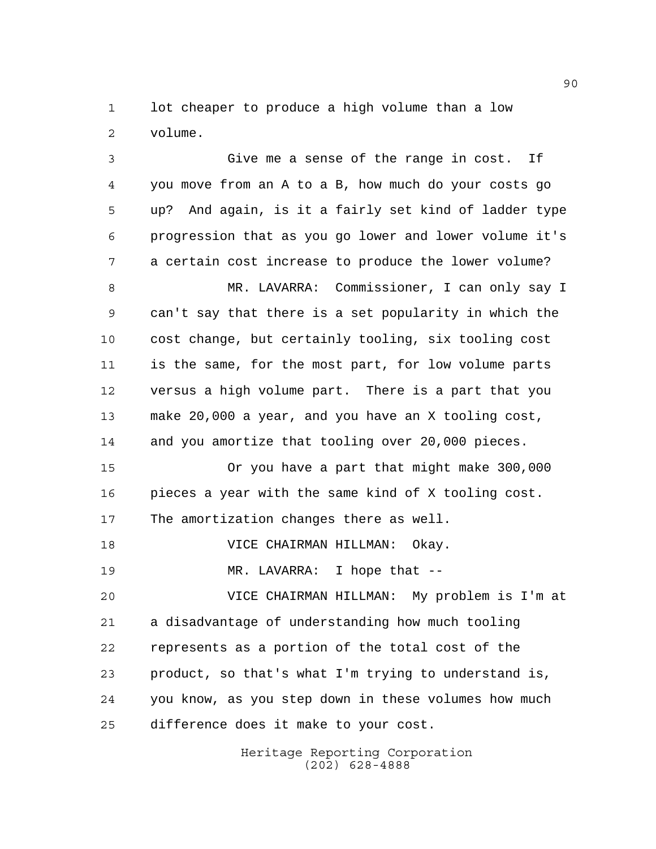lot cheaper to produce a high volume than a low volume.

 Give me a sense of the range in cost. If you move from an A to a B, how much do your costs go up? And again, is it a fairly set kind of ladder type progression that as you go lower and lower volume it's a certain cost increase to produce the lower volume? MR. LAVARRA: Commissioner, I can only say I can't say that there is a set popularity in which the cost change, but certainly tooling, six tooling cost is the same, for the most part, for low volume parts versus a high volume part. There is a part that you make 20,000 a year, and you have an X tooling cost, and you amortize that tooling over 20,000 pieces. Or you have a part that might make 300,000 pieces a year with the same kind of X tooling cost. The amortization changes there as well.

VICE CHAIRMAN HILLMAN: Okay.

MR. LAVARRA: I hope that --

 VICE CHAIRMAN HILLMAN: My problem is I'm at a disadvantage of understanding how much tooling represents as a portion of the total cost of the product, so that's what I'm trying to understand is, you know, as you step down in these volumes how much difference does it make to your cost.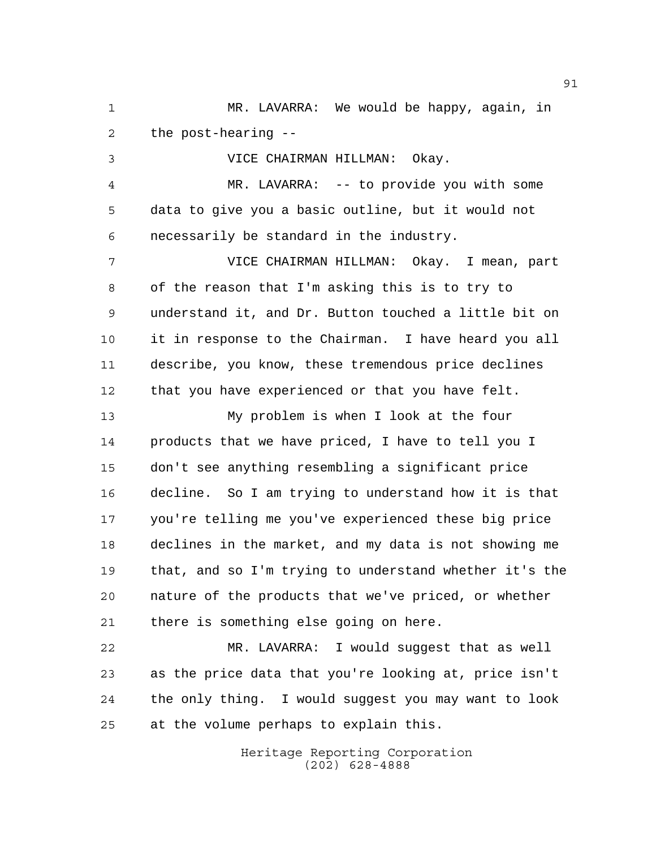MR. LAVARRA: We would be happy, again, in the post-hearing --

VICE CHAIRMAN HILLMAN: Okay.

 MR. LAVARRA: -- to provide you with some data to give you a basic outline, but it would not necessarily be standard in the industry.

 VICE CHAIRMAN HILLMAN: Okay. I mean, part of the reason that I'm asking this is to try to understand it, and Dr. Button touched a little bit on it in response to the Chairman. I have heard you all describe, you know, these tremendous price declines that you have experienced or that you have felt.

 My problem is when I look at the four products that we have priced, I have to tell you I don't see anything resembling a significant price decline. So I am trying to understand how it is that you're telling me you've experienced these big price declines in the market, and my data is not showing me that, and so I'm trying to understand whether it's the nature of the products that we've priced, or whether there is something else going on here.

 MR. LAVARRA: I would suggest that as well as the price data that you're looking at, price isn't the only thing. I would suggest you may want to look at the volume perhaps to explain this.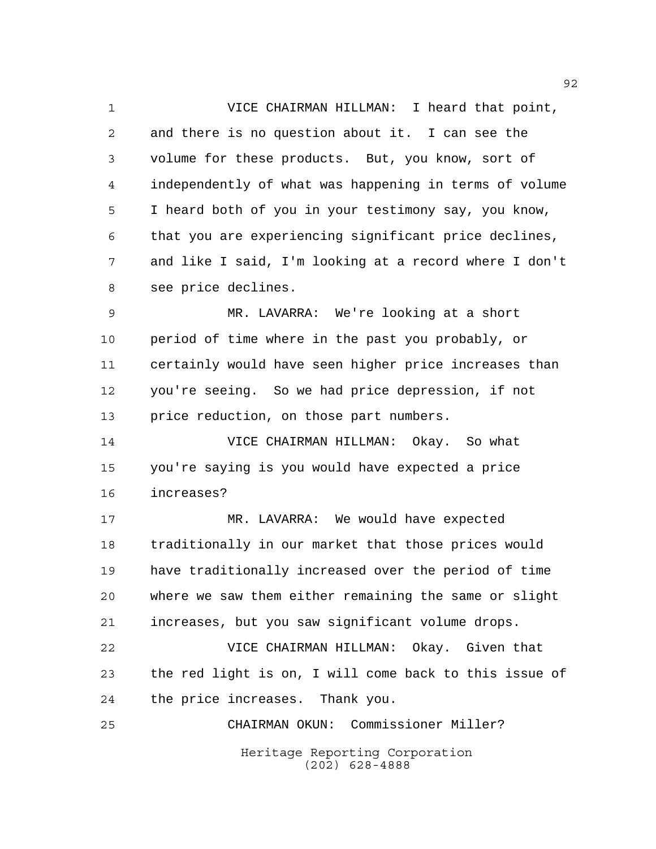VICE CHAIRMAN HILLMAN: I heard that point, and there is no question about it. I can see the volume for these products. But, you know, sort of independently of what was happening in terms of volume I heard both of you in your testimony say, you know, that you are experiencing significant price declines, and like I said, I'm looking at a record where I don't see price declines.

 MR. LAVARRA: We're looking at a short period of time where in the past you probably, or certainly would have seen higher price increases than you're seeing. So we had price depression, if not price reduction, on those part numbers.

 VICE CHAIRMAN HILLMAN: Okay. So what you're saying is you would have expected a price increases?

 MR. LAVARRA: We would have expected traditionally in our market that those prices would have traditionally increased over the period of time where we saw them either remaining the same or slight increases, but you saw significant volume drops.

 VICE CHAIRMAN HILLMAN: Okay. Given that the red light is on, I will come back to this issue of the price increases. Thank you.

Heritage Reporting Corporation (202) 628-4888 CHAIRMAN OKUN: Commissioner Miller?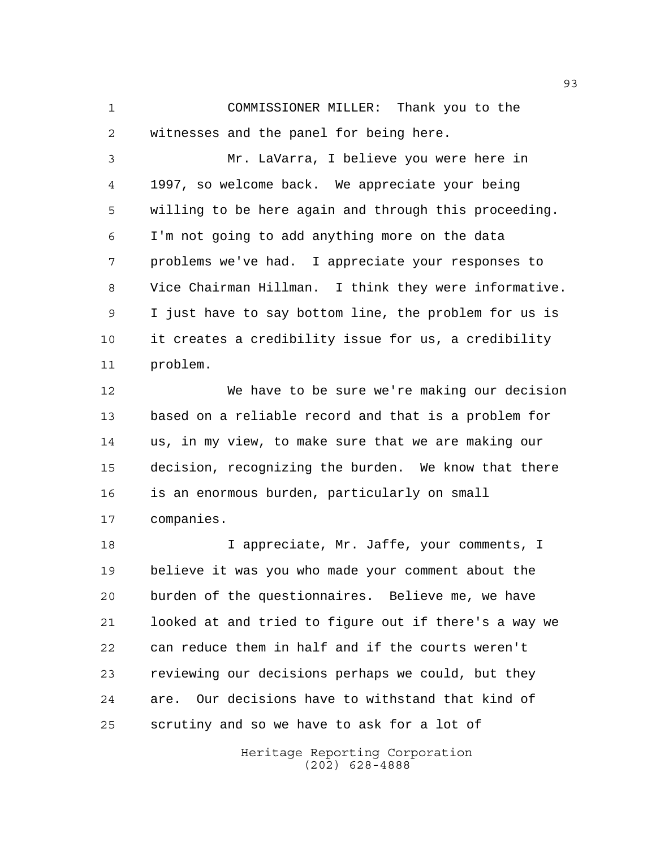COMMISSIONER MILLER: Thank you to the witnesses and the panel for being here.

 Mr. LaVarra, I believe you were here in 1997, so welcome back. We appreciate your being willing to be here again and through this proceeding. I'm not going to add anything more on the data problems we've had. I appreciate your responses to Vice Chairman Hillman. I think they were informative. I just have to say bottom line, the problem for us is it creates a credibility issue for us, a credibility problem.

 We have to be sure we're making our decision based on a reliable record and that is a problem for us, in my view, to make sure that we are making our decision, recognizing the burden. We know that there is an enormous burden, particularly on small companies.

 I appreciate, Mr. Jaffe, your comments, I believe it was you who made your comment about the burden of the questionnaires. Believe me, we have looked at and tried to figure out if there's a way we can reduce them in half and if the courts weren't reviewing our decisions perhaps we could, but they are. Our decisions have to withstand that kind of scrutiny and so we have to ask for a lot of

> Heritage Reporting Corporation (202) 628-4888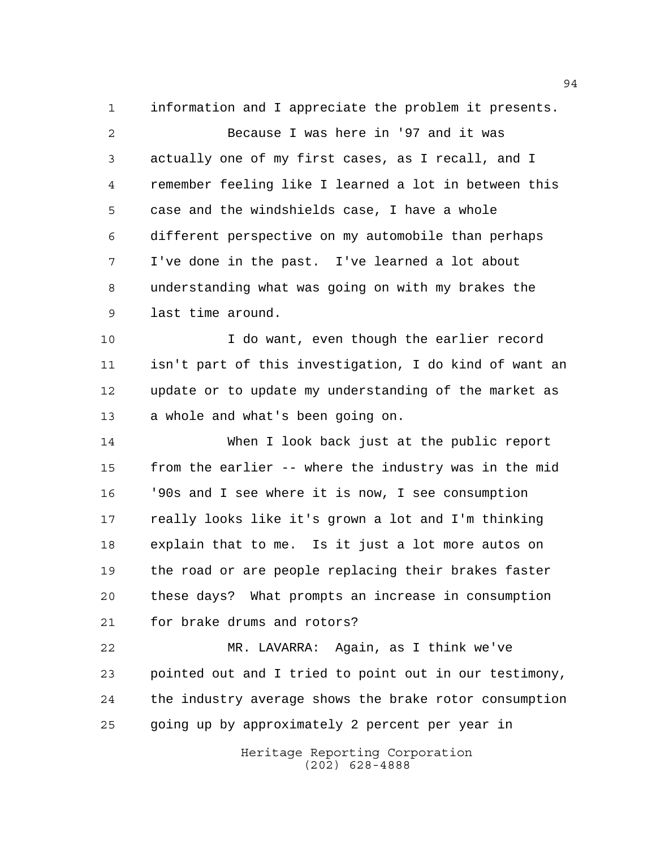information and I appreciate the problem it presents. Because I was here in '97 and it was actually one of my first cases, as I recall, and I remember feeling like I learned a lot in between this case and the windshields case, I have a whole different perspective on my automobile than perhaps I've done in the past. I've learned a lot about understanding what was going on with my brakes the last time around.

 I do want, even though the earlier record isn't part of this investigation, I do kind of want an update or to update my understanding of the market as a whole and what's been going on.

 When I look back just at the public report from the earlier -- where the industry was in the mid '90s and I see where it is now, I see consumption really looks like it's grown a lot and I'm thinking explain that to me. Is it just a lot more autos on the road or are people replacing their brakes faster these days? What prompts an increase in consumption for brake drums and rotors?

 MR. LAVARRA: Again, as I think we've pointed out and I tried to point out in our testimony, the industry average shows the brake rotor consumption going up by approximately 2 percent per year in

> Heritage Reporting Corporation (202) 628-4888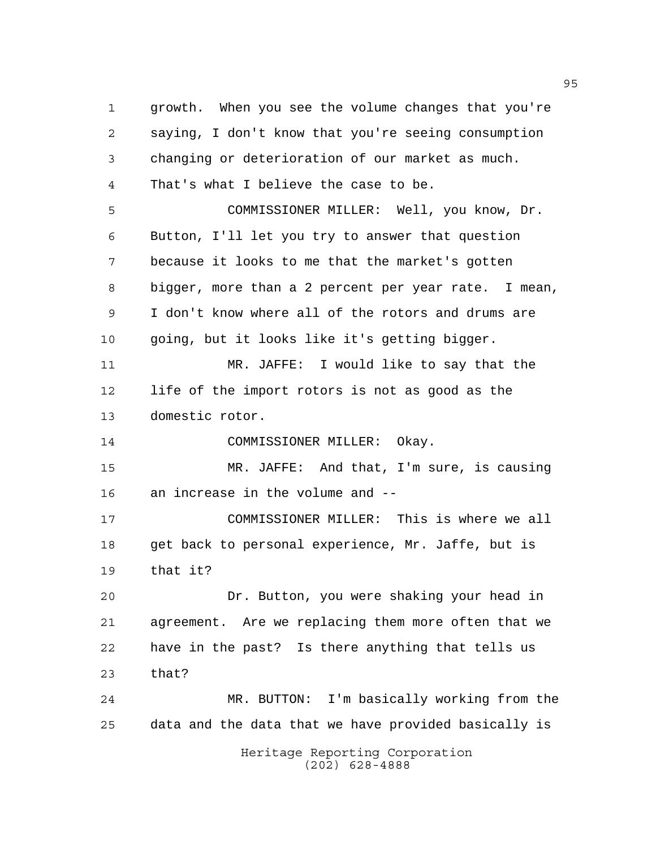Heritage Reporting Corporation (202) 628-4888 growth. When you see the volume changes that you're saying, I don't know that you're seeing consumption changing or deterioration of our market as much. That's what I believe the case to be. COMMISSIONER MILLER: Well, you know, Dr. Button, I'll let you try to answer that question because it looks to me that the market's gotten bigger, more than a 2 percent per year rate. I mean, I don't know where all of the rotors and drums are going, but it looks like it's getting bigger. MR. JAFFE: I would like to say that the life of the import rotors is not as good as the domestic rotor. COMMISSIONER MILLER: Okay. MR. JAFFE: And that, I'm sure, is causing an increase in the volume and -- COMMISSIONER MILLER: This is where we all get back to personal experience, Mr. Jaffe, but is that it? Dr. Button, you were shaking your head in agreement. Are we replacing them more often that we have in the past? Is there anything that tells us that? MR. BUTTON: I'm basically working from the data and the data that we have provided basically is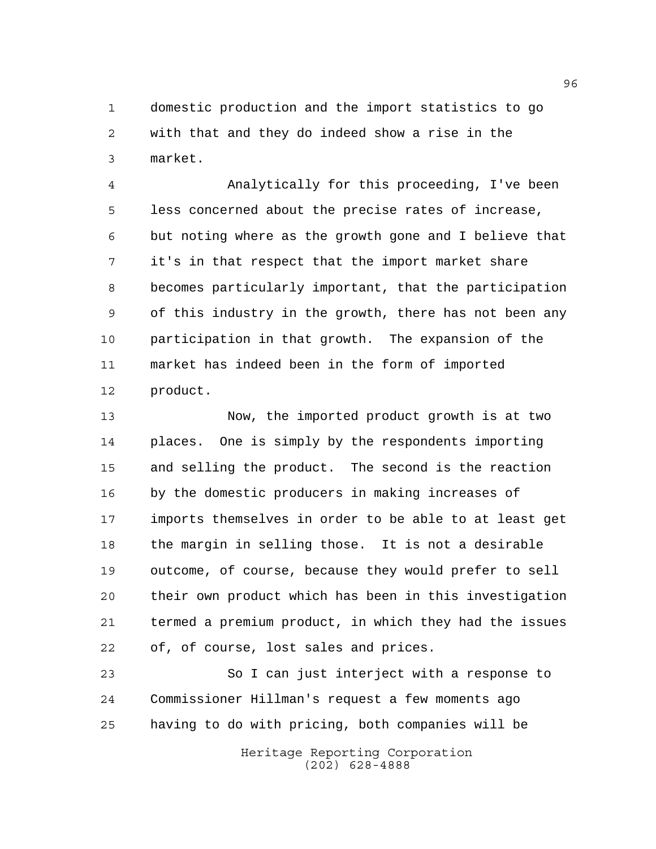domestic production and the import statistics to go with that and they do indeed show a rise in the market.

 Analytically for this proceeding, I've been less concerned about the precise rates of increase, but noting where as the growth gone and I believe that it's in that respect that the import market share becomes particularly important, that the participation of this industry in the growth, there has not been any participation in that growth. The expansion of the market has indeed been in the form of imported product.

 Now, the imported product growth is at two places. One is simply by the respondents importing and selling the product. The second is the reaction by the domestic producers in making increases of imports themselves in order to be able to at least get the margin in selling those. It is not a desirable outcome, of course, because they would prefer to sell their own product which has been in this investigation termed a premium product, in which they had the issues of, of course, lost sales and prices.

 So I can just interject with a response to Commissioner Hillman's request a few moments ago having to do with pricing, both companies will be

> Heritage Reporting Corporation (202) 628-4888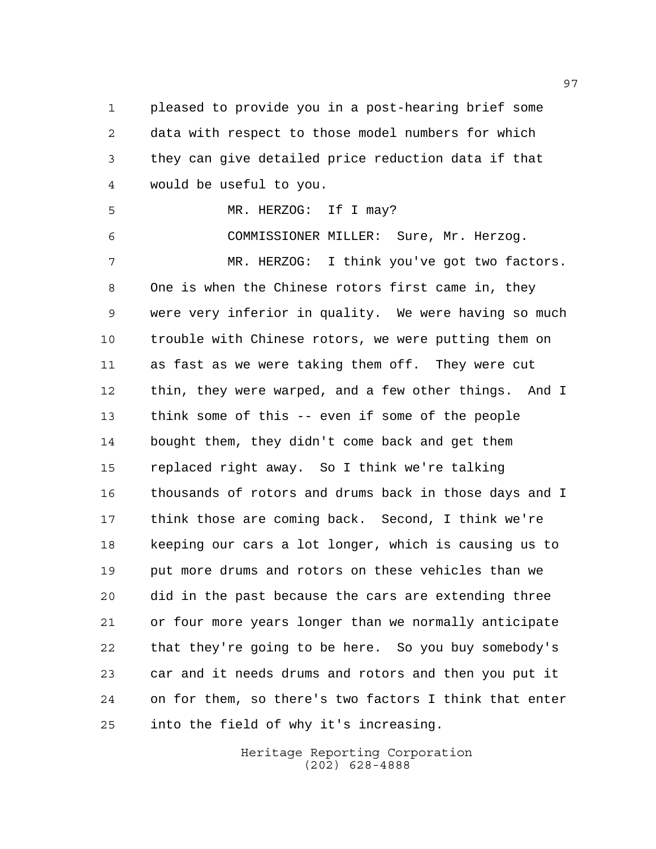pleased to provide you in a post-hearing brief some data with respect to those model numbers for which they can give detailed price reduction data if that would be useful to you.

MR. HERZOG: If I may?

COMMISSIONER MILLER: Sure, Mr. Herzog.

 MR. HERZOG: I think you've got two factors. One is when the Chinese rotors first came in, they were very inferior in quality. We were having so much trouble with Chinese rotors, we were putting them on as fast as we were taking them off. They were cut thin, they were warped, and a few other things. And I think some of this -- even if some of the people bought them, they didn't come back and get them replaced right away. So I think we're talking thousands of rotors and drums back in those days and I think those are coming back. Second, I think we're keeping our cars a lot longer, which is causing us to put more drums and rotors on these vehicles than we did in the past because the cars are extending three or four more years longer than we normally anticipate that they're going to be here. So you buy somebody's car and it needs drums and rotors and then you put it on for them, so there's two factors I think that enter into the field of why it's increasing.

> Heritage Reporting Corporation (202) 628-4888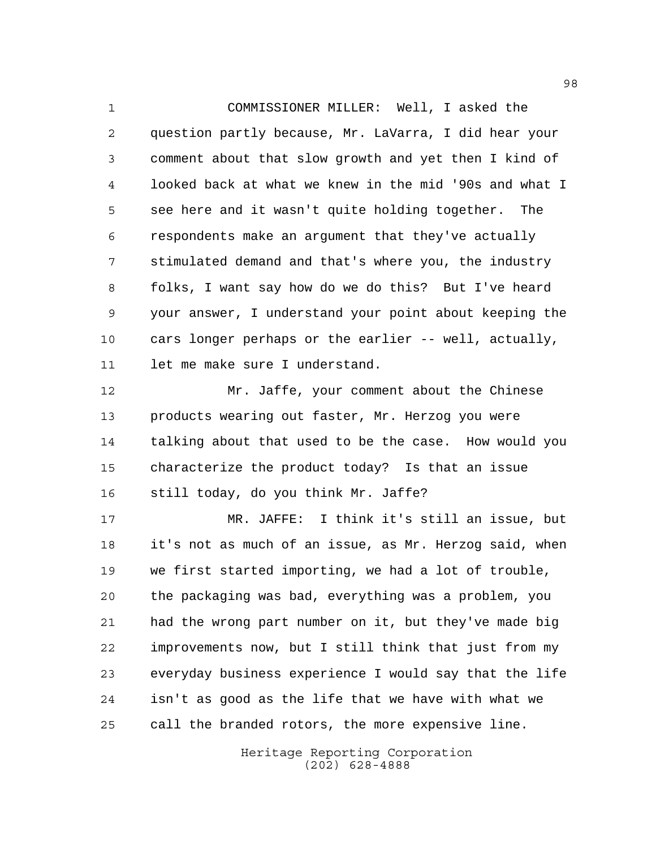COMMISSIONER MILLER: Well, I asked the question partly because, Mr. LaVarra, I did hear your comment about that slow growth and yet then I kind of looked back at what we knew in the mid '90s and what I see here and it wasn't quite holding together. The respondents make an argument that they've actually stimulated demand and that's where you, the industry folks, I want say how do we do this? But I've heard your answer, I understand your point about keeping the cars longer perhaps or the earlier -- well, actually, 11 let me make sure I understand.

 Mr. Jaffe, your comment about the Chinese products wearing out faster, Mr. Herzog you were talking about that used to be the case. How would you characterize the product today? Is that an issue still today, do you think Mr. Jaffe?

 MR. JAFFE: I think it's still an issue, but it's not as much of an issue, as Mr. Herzog said, when we first started importing, we had a lot of trouble, the packaging was bad, everything was a problem, you had the wrong part number on it, but they've made big improvements now, but I still think that just from my everyday business experience I would say that the life isn't as good as the life that we have with what we call the branded rotors, the more expensive line.

> Heritage Reporting Corporation (202) 628-4888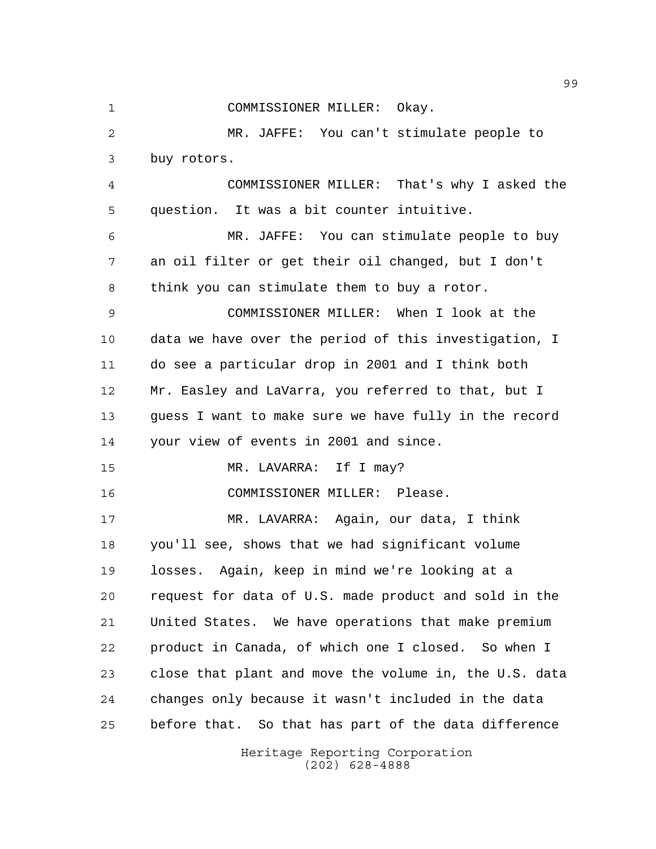COMMISSIONER MILLER: Okay. MR. JAFFE: You can't stimulate people to buy rotors. COMMISSIONER MILLER: That's why I asked the question. It was a bit counter intuitive. MR. JAFFE: You can stimulate people to buy an oil filter or get their oil changed, but I don't think you can stimulate them to buy a rotor. COMMISSIONER MILLER: When I look at the data we have over the period of this investigation, I do see a particular drop in 2001 and I think both Mr. Easley and LaVarra, you referred to that, but I guess I want to make sure we have fully in the record your view of events in 2001 and since. MR. LAVARRA: If I may? COMMISSIONER MILLER: Please. MR. LAVARRA: Again, our data, I think you'll see, shows that we had significant volume losses. Again, keep in mind we're looking at a request for data of U.S. made product and sold in the United States. We have operations that make premium product in Canada, of which one I closed. So when I close that plant and move the volume in, the U.S. data changes only because it wasn't included in the data before that. So that has part of the data difference

Heritage Reporting Corporation (202) 628-4888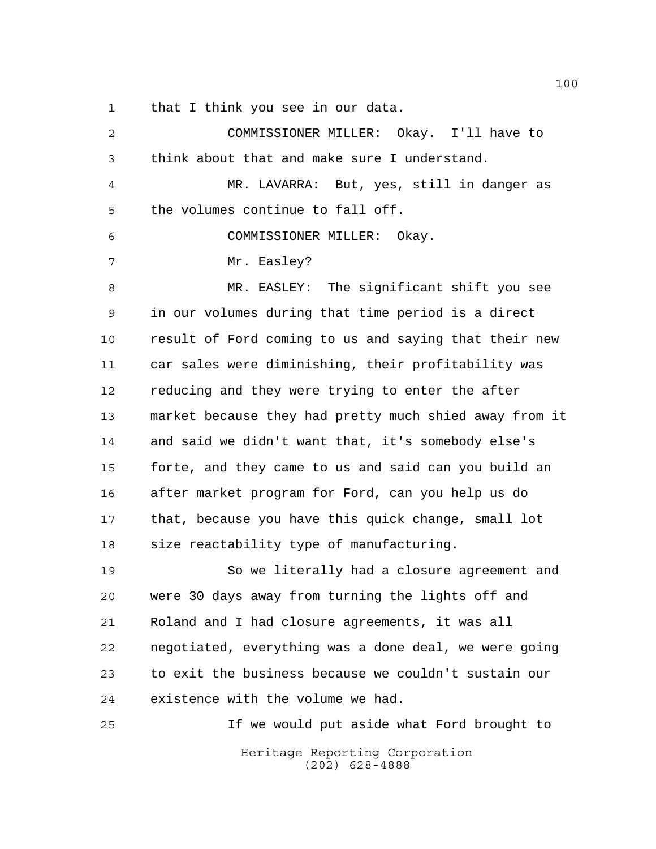that I think you see in our data.

| $\overline{2}$ | COMMISSIONER MILLER: Okay. I'll have to                |
|----------------|--------------------------------------------------------|
| 3              | think about that and make sure I understand.           |
| 4              | MR. LAVARRA: But, yes, still in danger as              |
| 5              | the volumes continue to fall off.                      |
| 6              | COMMISSIONER MILLER: Okay.                             |
| 7              | Mr. Easley?                                            |
| 8              | MR. EASLEY: The significant shift you see              |
| 9              | in our volumes during that time period is a direct     |
| 10             | result of Ford coming to us and saying that their new  |
| 11             | car sales were diminishing, their profitability was    |
| 12             | reducing and they were trying to enter the after       |
| 13             | market because they had pretty much shied away from it |
| 14             | and said we didn't want that, it's somebody else's     |
| 15             | forte, and they came to us and said can you build an   |
| 16             | after market program for Ford, can you help us do      |
| 17             | that, because you have this quick change, small lot    |
| 18             | size reactability type of manufacturing.               |
| 19             | So we literally had a closure agreement and            |
| 20             | were 30 days away from turning the lights off and      |
| 21             | Roland and I had closure agreements, it was all        |
| 22             | negotiated, everything was a done deal, we were going  |
| 23             | to exit the business because we couldn't sustain our   |
| 24             | existence with the volume we had.                      |
| 25             | If we would put aside what Ford brought to             |
|                | Heritage Reporting Corporation<br>$(202)$ 628-4888     |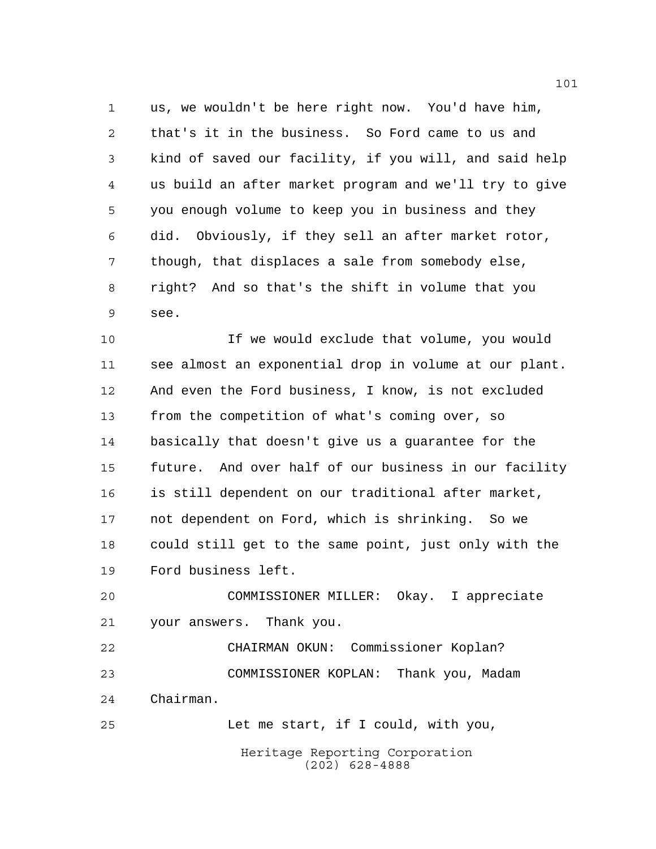us, we wouldn't be here right now. You'd have him, that's it in the business. So Ford came to us and kind of saved our facility, if you will, and said help us build an after market program and we'll try to give you enough volume to keep you in business and they did. Obviously, if they sell an after market rotor, though, that displaces a sale from somebody else, right? And so that's the shift in volume that you see.

 If we would exclude that volume, you would see almost an exponential drop in volume at our plant. And even the Ford business, I know, is not excluded from the competition of what's coming over, so basically that doesn't give us a guarantee for the future. And over half of our business in our facility is still dependent on our traditional after market, not dependent on Ford, which is shrinking. So we could still get to the same point, just only with the Ford business left.

 COMMISSIONER MILLER: Okay. I appreciate your answers. Thank you.

 CHAIRMAN OKUN: Commissioner Koplan? COMMISSIONER KOPLAN: Thank you, Madam Chairman.

Let me start, if I could, with you,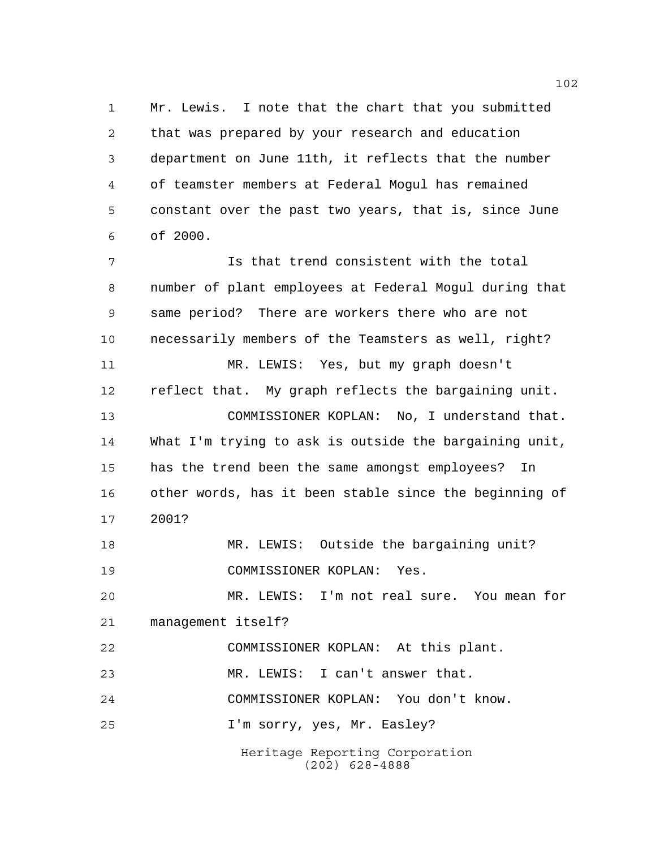Mr. Lewis. I note that the chart that you submitted that was prepared by your research and education department on June 11th, it reflects that the number of teamster members at Federal Mogul has remained constant over the past two years, that is, since June of 2000.

Heritage Reporting Corporation (202) 628-4888 Is that trend consistent with the total number of plant employees at Federal Mogul during that same period? There are workers there who are not necessarily members of the Teamsters as well, right? MR. LEWIS: Yes, but my graph doesn't reflect that. My graph reflects the bargaining unit. COMMISSIONER KOPLAN: No, I understand that. What I'm trying to ask is outside the bargaining unit, has the trend been the same amongst employees? In other words, has it been stable since the beginning of 2001? MR. LEWIS: Outside the bargaining unit? COMMISSIONER KOPLAN: Yes. MR. LEWIS: I'm not real sure. You mean for management itself? COMMISSIONER KOPLAN: At this plant. MR. LEWIS: I can't answer that. COMMISSIONER KOPLAN: You don't know. I'm sorry, yes, Mr. Easley?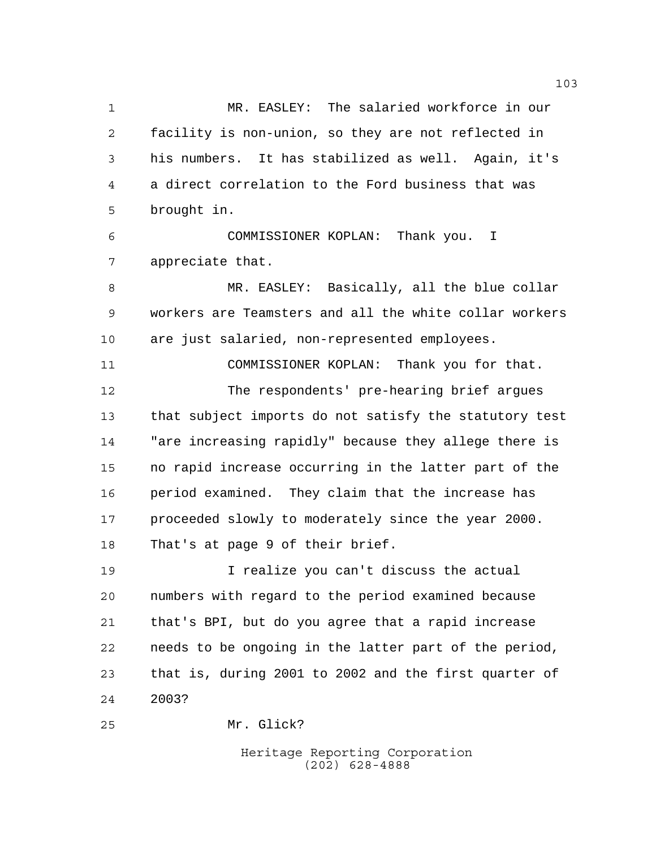MR. EASLEY: The salaried workforce in our facility is non-union, so they are not reflected in his numbers. It has stabilized as well. Again, it's a direct correlation to the Ford business that was brought in.

 COMMISSIONER KOPLAN: Thank you. I appreciate that.

 MR. EASLEY: Basically, all the blue collar workers are Teamsters and all the white collar workers are just salaried, non-represented employees.

 COMMISSIONER KOPLAN: Thank you for that. The respondents' pre-hearing brief argues that subject imports do not satisfy the statutory test "are increasing rapidly" because they allege there is no rapid increase occurring in the latter part of the period examined. They claim that the increase has proceeded slowly to moderately since the year 2000. That's at page 9 of their brief.

 I realize you can't discuss the actual numbers with regard to the period examined because that's BPI, but do you agree that a rapid increase needs to be ongoing in the latter part of the period, that is, during 2001 to 2002 and the first quarter of 2003?

Mr. Glick?

Heritage Reporting Corporation (202) 628-4888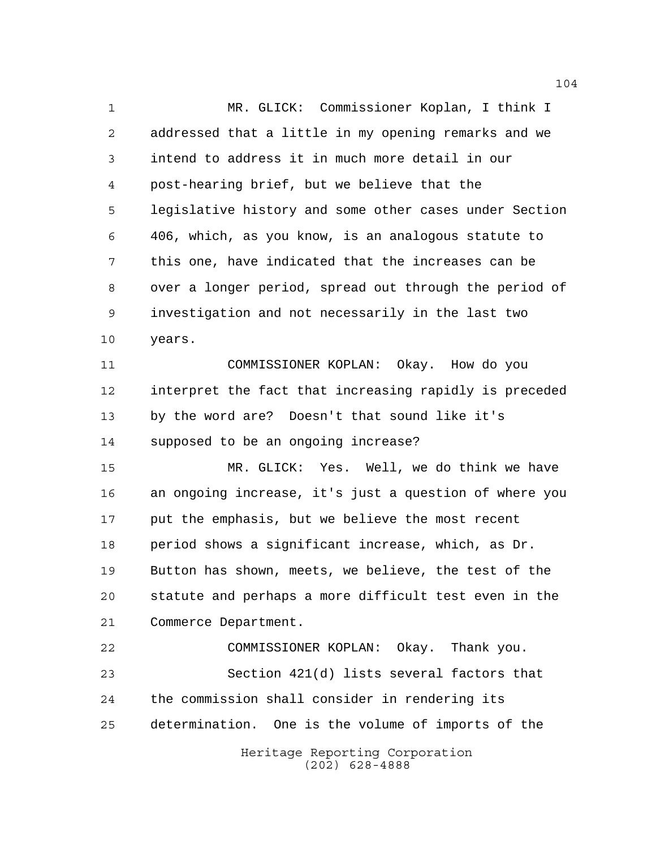MR. GLICK: Commissioner Koplan, I think I addressed that a little in my opening remarks and we intend to address it in much more detail in our post-hearing brief, but we believe that the legislative history and some other cases under Section 406, which, as you know, is an analogous statute to this one, have indicated that the increases can be over a longer period, spread out through the period of investigation and not necessarily in the last two years. COMMISSIONER KOPLAN: Okay. How do you interpret the fact that increasing rapidly is preceded by the word are? Doesn't that sound like it's supposed to be an ongoing increase? MR. GLICK: Yes. Well, we do think we have an ongoing increase, it's just a question of where you put the emphasis, but we believe the most recent period shows a significant increase, which, as Dr. Button has shown, meets, we believe, the test of the statute and perhaps a more difficult test even in the Commerce Department. COMMISSIONER KOPLAN: Okay. Thank you.

 Section 421(d) lists several factors that the commission shall consider in rendering its determination. One is the volume of imports of the

Heritage Reporting Corporation (202) 628-4888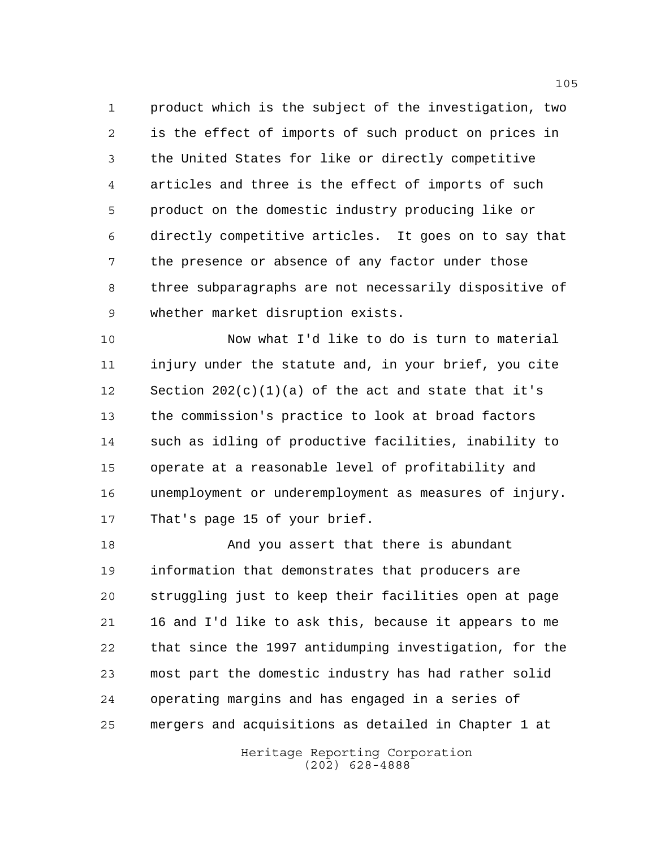product which is the subject of the investigation, two is the effect of imports of such product on prices in the United States for like or directly competitive articles and three is the effect of imports of such product on the domestic industry producing like or directly competitive articles. It goes on to say that the presence or absence of any factor under those three subparagraphs are not necessarily dispositive of whether market disruption exists.

 Now what I'd like to do is turn to material injury under the statute and, in your brief, you cite 12 Section  $202(c)(1)(a)$  of the act and state that it's the commission's practice to look at broad factors such as idling of productive facilities, inability to operate at a reasonable level of profitability and unemployment or underemployment as measures of injury. That's page 15 of your brief.

 And you assert that there is abundant information that demonstrates that producers are struggling just to keep their facilities open at page 16 and I'd like to ask this, because it appears to me that since the 1997 antidumping investigation, for the most part the domestic industry has had rather solid operating margins and has engaged in a series of mergers and acquisitions as detailed in Chapter 1 at

> Heritage Reporting Corporation (202) 628-4888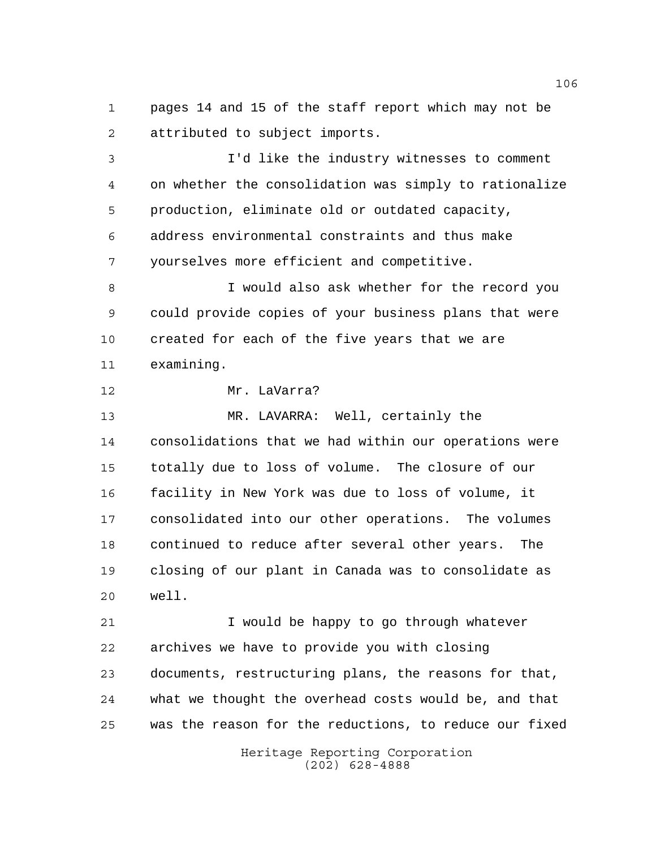pages 14 and 15 of the staff report which may not be attributed to subject imports.

 I'd like the industry witnesses to comment on whether the consolidation was simply to rationalize production, eliminate old or outdated capacity, address environmental constraints and thus make yourselves more efficient and competitive.

 I would also ask whether for the record you could provide copies of your business plans that were created for each of the five years that we are examining.

Mr. LaVarra?

 MR. LAVARRA: Well, certainly the consolidations that we had within our operations were totally due to loss of volume. The closure of our facility in New York was due to loss of volume, it consolidated into our other operations. The volumes continued to reduce after several other years. The closing of our plant in Canada was to consolidate as well.

 I would be happy to go through whatever archives we have to provide you with closing documents, restructuring plans, the reasons for that, what we thought the overhead costs would be, and that was the reason for the reductions, to reduce our fixed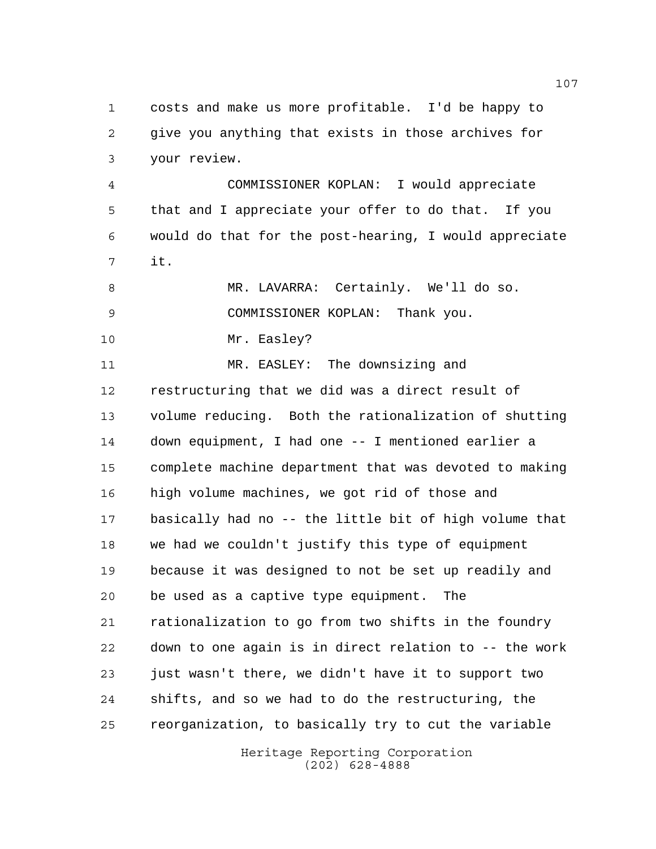costs and make us more profitable. I'd be happy to give you anything that exists in those archives for your review.

 COMMISSIONER KOPLAN: I would appreciate that and I appreciate your offer to do that. If you would do that for the post-hearing, I would appreciate it.

 MR. LAVARRA: Certainly. We'll do so. COMMISSIONER KOPLAN: Thank you.

10 Mr. Easley?

 MR. EASLEY: The downsizing and restructuring that we did was a direct result of volume reducing. Both the rationalization of shutting down equipment, I had one -- I mentioned earlier a complete machine department that was devoted to making high volume machines, we got rid of those and basically had no -- the little bit of high volume that we had we couldn't justify this type of equipment because it was designed to not be set up readily and be used as a captive type equipment. The rationalization to go from two shifts in the foundry down to one again is in direct relation to -- the work just wasn't there, we didn't have it to support two shifts, and so we had to do the restructuring, the reorganization, to basically try to cut the variable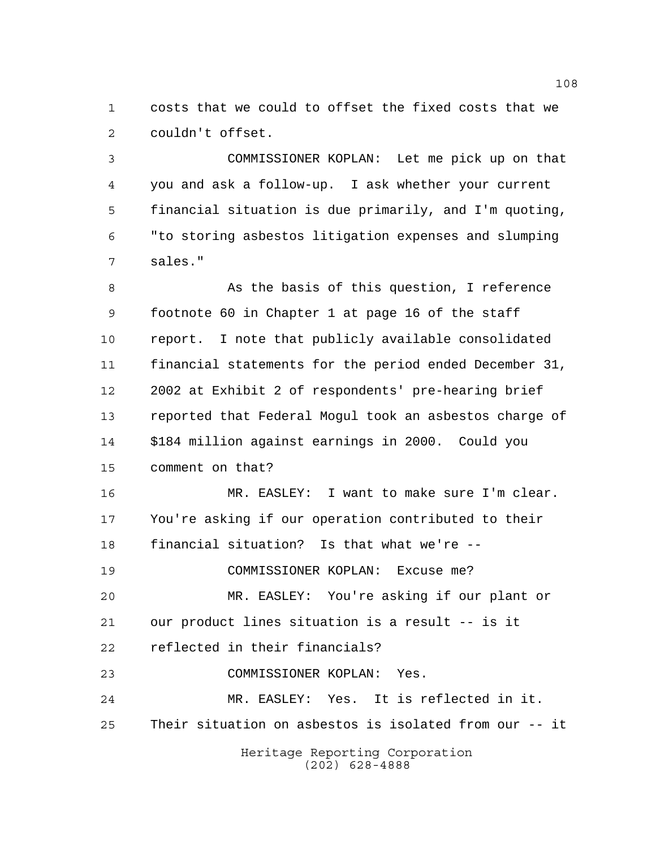costs that we could to offset the fixed costs that we couldn't offset.

 COMMISSIONER KOPLAN: Let me pick up on that you and ask a follow-up. I ask whether your current financial situation is due primarily, and I'm quoting, "to storing asbestos litigation expenses and slumping sales."

8 As the basis of this question, I reference footnote 60 in Chapter 1 at page 16 of the staff report. I note that publicly available consolidated financial statements for the period ended December 31, 2002 at Exhibit 2 of respondents' pre-hearing brief reported that Federal Mogul took an asbestos charge of \$184 million against earnings in 2000. Could you comment on that?

Heritage Reporting Corporation MR. EASLEY: I want to make sure I'm clear. You're asking if our operation contributed to their financial situation? Is that what we're -- COMMISSIONER KOPLAN: Excuse me? MR. EASLEY: You're asking if our plant or our product lines situation is a result -- is it reflected in their financials? COMMISSIONER KOPLAN: Yes. MR. EASLEY: Yes. It is reflected in it. Their situation on asbestos is isolated from our -- it

(202) 628-4888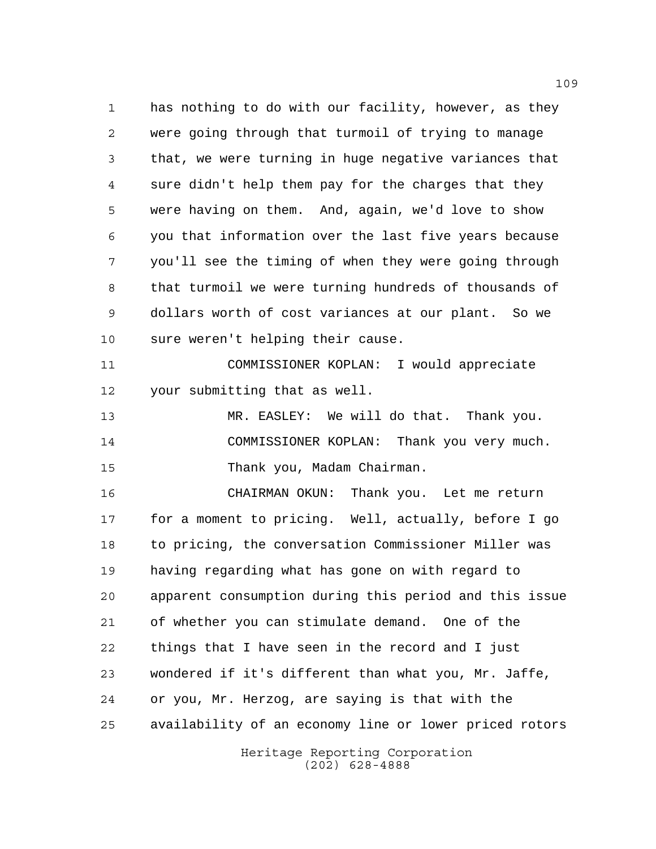has nothing to do with our facility, however, as they were going through that turmoil of trying to manage that, we were turning in huge negative variances that sure didn't help them pay for the charges that they were having on them. And, again, we'd love to show you that information over the last five years because you'll see the timing of when they were going through that turmoil we were turning hundreds of thousands of dollars worth of cost variances at our plant. So we sure weren't helping their cause.

 COMMISSIONER KOPLAN: I would appreciate your submitting that as well.

 MR. EASLEY: We will do that. Thank you. COMMISSIONER KOPLAN: Thank you very much. Thank you, Madam Chairman.

 CHAIRMAN OKUN: Thank you. Let me return for a moment to pricing. Well, actually, before I go to pricing, the conversation Commissioner Miller was having regarding what has gone on with regard to apparent consumption during this period and this issue of whether you can stimulate demand. One of the things that I have seen in the record and I just wondered if it's different than what you, Mr. Jaffe, or you, Mr. Herzog, are saying is that with the availability of an economy line or lower priced rotors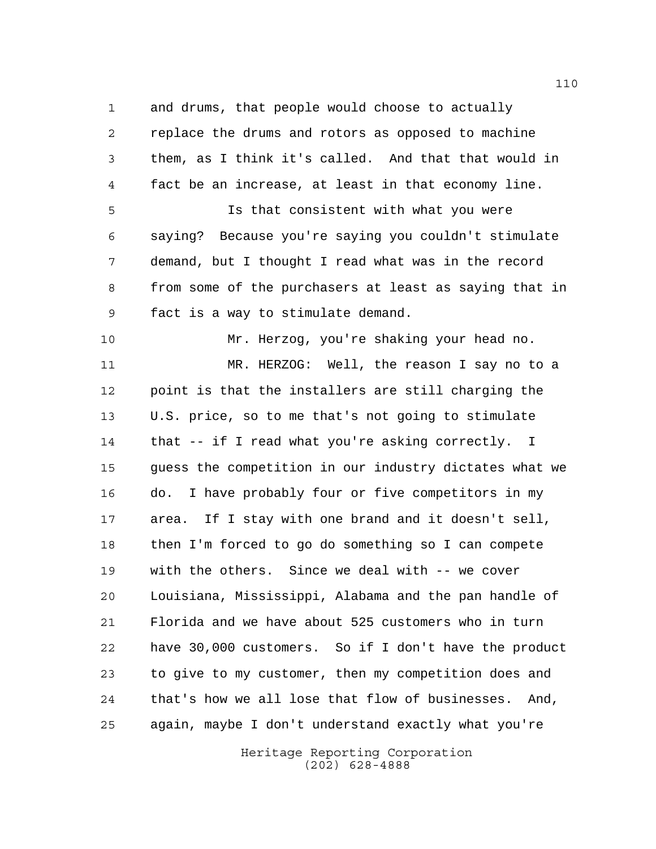and drums, that people would choose to actually replace the drums and rotors as opposed to machine them, as I think it's called. And that that would in fact be an increase, at least in that economy line. Is that consistent with what you were saying? Because you're saying you couldn't stimulate demand, but I thought I read what was in the record from some of the purchasers at least as saying that in fact is a way to stimulate demand. Mr. Herzog, you're shaking your head no. MR. HERZOG: Well, the reason I say no to a point is that the installers are still charging the U.S. price, so to me that's not going to stimulate that -- if I read what you're asking correctly. I guess the competition in our industry dictates what we do. I have probably four or five competitors in my area. If I stay with one brand and it doesn't sell, then I'm forced to go do something so I can compete with the others. Since we deal with -- we cover Louisiana, Mississippi, Alabama and the pan handle of Florida and we have about 525 customers who in turn have 30,000 customers. So if I don't have the product to give to my customer, then my competition does and that's how we all lose that flow of businesses. And, again, maybe I don't understand exactly what you're

> Heritage Reporting Corporation (202) 628-4888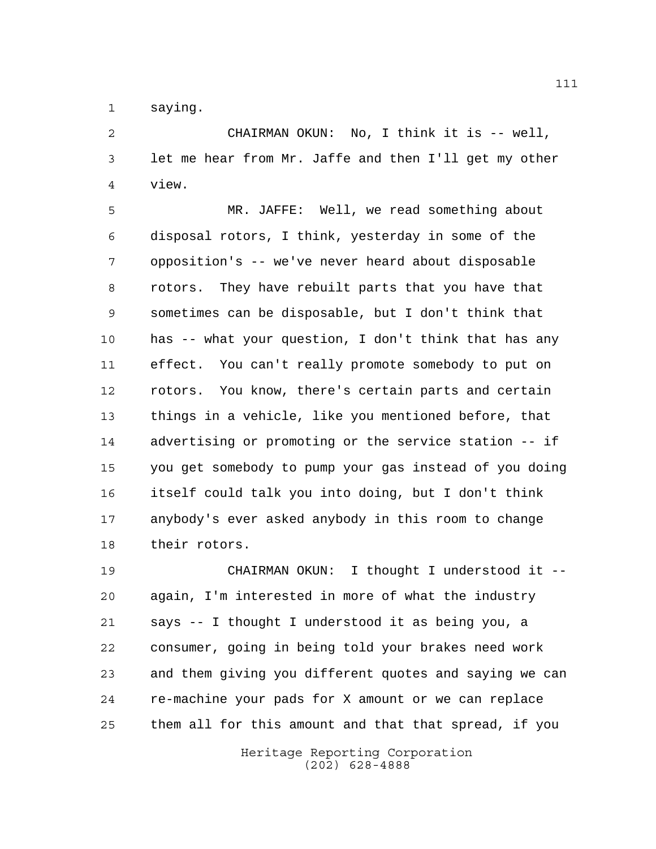saying.

 CHAIRMAN OKUN: No, I think it is -- well, let me hear from Mr. Jaffe and then I'll get my other view.

 MR. JAFFE: Well, we read something about disposal rotors, I think, yesterday in some of the opposition's -- we've never heard about disposable rotors. They have rebuilt parts that you have that sometimes can be disposable, but I don't think that has -- what your question, I don't think that has any effect. You can't really promote somebody to put on rotors. You know, there's certain parts and certain things in a vehicle, like you mentioned before, that advertising or promoting or the service station -- if you get somebody to pump your gas instead of you doing itself could talk you into doing, but I don't think anybody's ever asked anybody in this room to change their rotors.

 CHAIRMAN OKUN: I thought I understood it -- again, I'm interested in more of what the industry says -- I thought I understood it as being you, a consumer, going in being told your brakes need work and them giving you different quotes and saying we can re-machine your pads for X amount or we can replace them all for this amount and that that spread, if you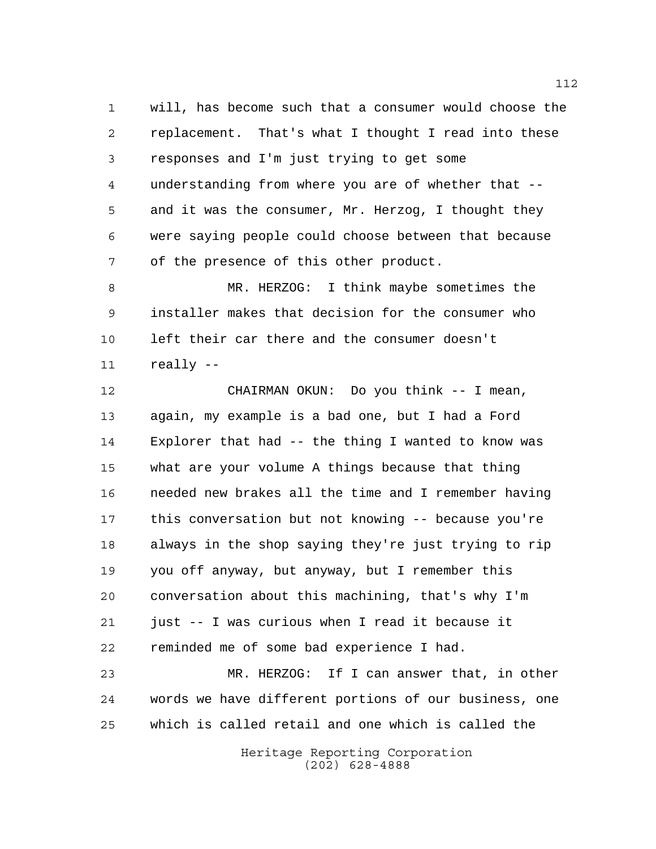will, has become such that a consumer would choose the replacement. That's what I thought I read into these responses and I'm just trying to get some understanding from where you are of whether that -- and it was the consumer, Mr. Herzog, I thought they were saying people could choose between that because of the presence of this other product.

 MR. HERZOG: I think maybe sometimes the installer makes that decision for the consumer who left their car there and the consumer doesn't really --

 CHAIRMAN OKUN: Do you think -- I mean, again, my example is a bad one, but I had a Ford Explorer that had -- the thing I wanted to know was what are your volume A things because that thing needed new brakes all the time and I remember having this conversation but not knowing -- because you're always in the shop saying they're just trying to rip you off anyway, but anyway, but I remember this conversation about this machining, that's why I'm just -- I was curious when I read it because it reminded me of some bad experience I had.

 MR. HERZOG: If I can answer that, in other words we have different portions of our business, one which is called retail and one which is called the

> Heritage Reporting Corporation (202) 628-4888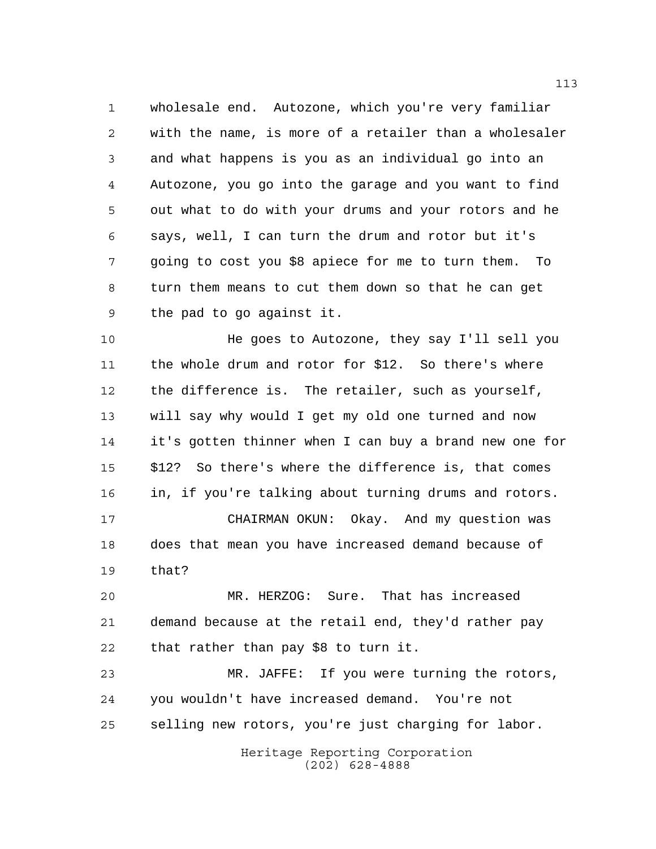wholesale end. Autozone, which you're very familiar with the name, is more of a retailer than a wholesaler and what happens is you as an individual go into an Autozone, you go into the garage and you want to find out what to do with your drums and your rotors and he says, well, I can turn the drum and rotor but it's going to cost you \$8 apiece for me to turn them. To turn them means to cut them down so that he can get the pad to go against it.

 He goes to Autozone, they say I'll sell you the whole drum and rotor for \$12. So there's where the difference is. The retailer, such as yourself, will say why would I get my old one turned and now it's gotten thinner when I can buy a brand new one for \$12? So there's where the difference is, that comes in, if you're talking about turning drums and rotors. CHAIRMAN OKUN: Okay. And my question was

 does that mean you have increased demand because of that?

 MR. HERZOG: Sure. That has increased demand because at the retail end, they'd rather pay that rather than pay \$8 to turn it.

 MR. JAFFE: If you were turning the rotors, you wouldn't have increased demand. You're not selling new rotors, you're just charging for labor.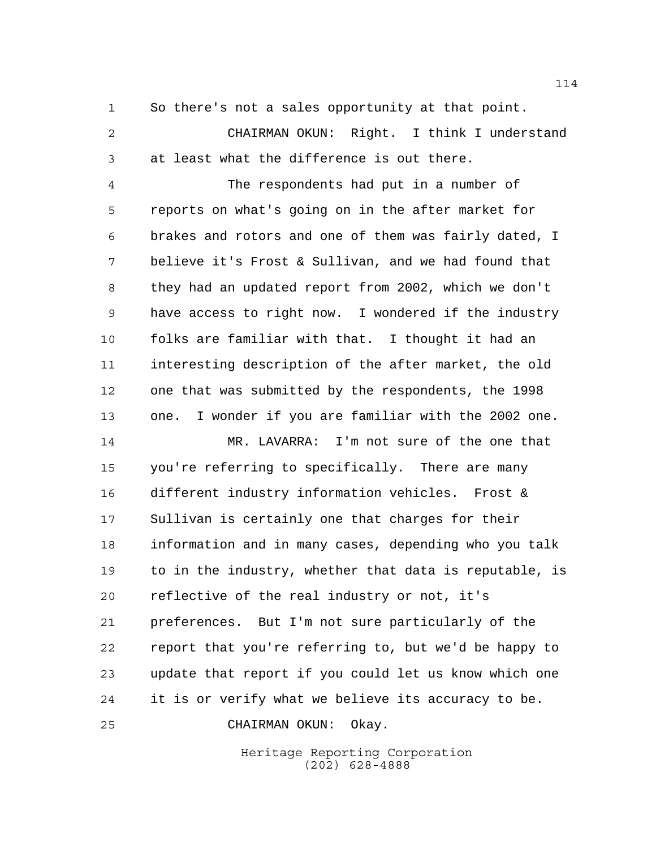So there's not a sales opportunity at that point.

 CHAIRMAN OKUN: Right. I think I understand at least what the difference is out there.

 The respondents had put in a number of reports on what's going on in the after market for brakes and rotors and one of them was fairly dated, I believe it's Frost & Sullivan, and we had found that they had an updated report from 2002, which we don't have access to right now. I wondered if the industry folks are familiar with that. I thought it had an interesting description of the after market, the old one that was submitted by the respondents, the 1998 one. I wonder if you are familiar with the 2002 one.

 MR. LAVARRA: I'm not sure of the one that you're referring to specifically. There are many different industry information vehicles. Frost & Sullivan is certainly one that charges for their information and in many cases, depending who you talk to in the industry, whether that data is reputable, is reflective of the real industry or not, it's preferences. But I'm not sure particularly of the report that you're referring to, but we'd be happy to update that report if you could let us know which one it is or verify what we believe its accuracy to be.

CHAIRMAN OKUN: Okay.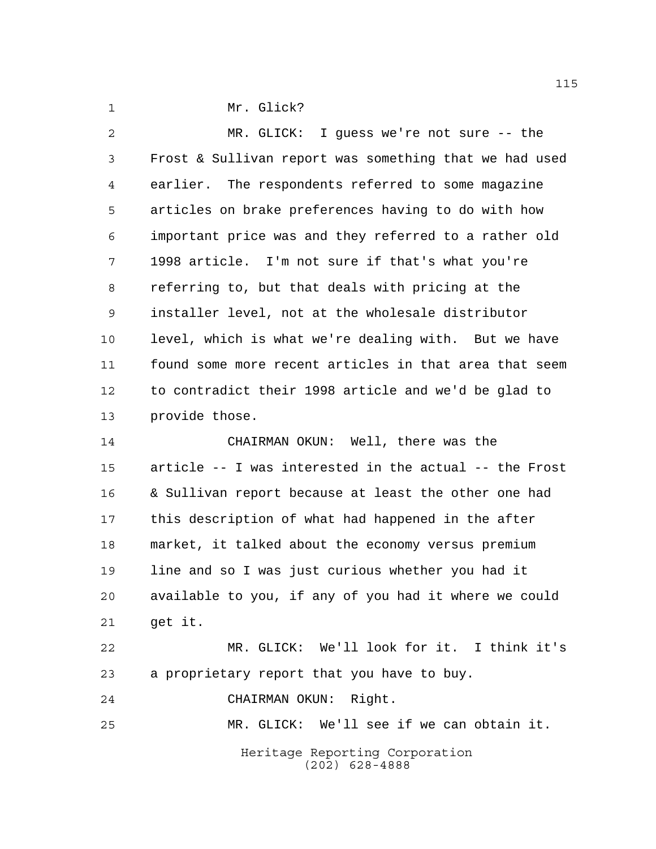1 Mr. Glick?

 MR. GLICK: I guess we're not sure -- the Frost & Sullivan report was something that we had used earlier. The respondents referred to some magazine articles on brake preferences having to do with how important price was and they referred to a rather old 1998 article. I'm not sure if that's what you're referring to, but that deals with pricing at the installer level, not at the wholesale distributor level, which is what we're dealing with. But we have found some more recent articles in that area that seem to contradict their 1998 article and we'd be glad to provide those.

 CHAIRMAN OKUN: Well, there was the article -- I was interested in the actual -- the Frost & Sullivan report because at least the other one had this description of what had happened in the after market, it talked about the economy versus premium line and so I was just curious whether you had it available to you, if any of you had it where we could get it. MR. GLICK: We'll look for it. I think it's a proprietary report that you have to buy.

CHAIRMAN OKUN: Right.

MR. GLICK: We'll see if we can obtain it.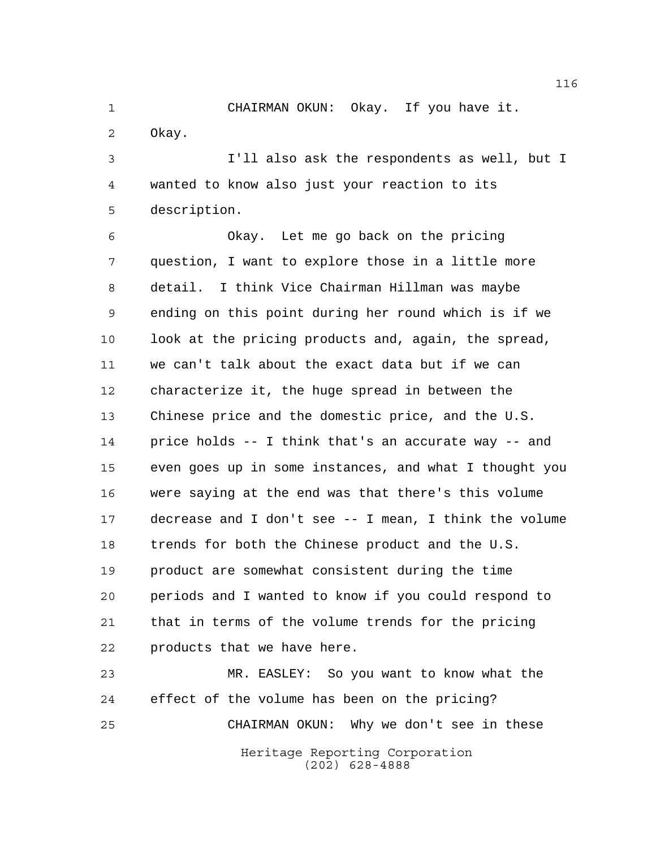CHAIRMAN OKUN: Okay. If you have it. Okay.

 I'll also ask the respondents as well, but I wanted to know also just your reaction to its description.

 Okay. Let me go back on the pricing question, I want to explore those in a little more detail. I think Vice Chairman Hillman was maybe ending on this point during her round which is if we 10 look at the pricing products and, again, the spread, we can't talk about the exact data but if we can characterize it, the huge spread in between the Chinese price and the domestic price, and the U.S. price holds -- I think that's an accurate way -- and even goes up in some instances, and what I thought you were saying at the end was that there's this volume decrease and I don't see -- I mean, I think the volume trends for both the Chinese product and the U.S. product are somewhat consistent during the time periods and I wanted to know if you could respond to that in terms of the volume trends for the pricing products that we have here.

Heritage Reporting Corporation (202) 628-4888 MR. EASLEY: So you want to know what the effect of the volume has been on the pricing? CHAIRMAN OKUN: Why we don't see in these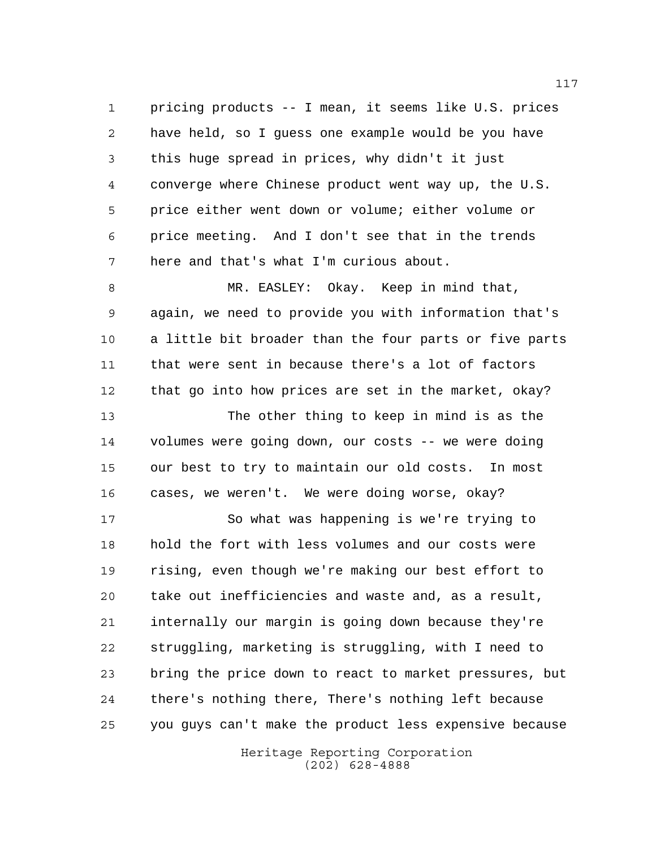pricing products -- I mean, it seems like U.S. prices have held, so I guess one example would be you have this huge spread in prices, why didn't it just converge where Chinese product went way up, the U.S. price either went down or volume; either volume or price meeting. And I don't see that in the trends here and that's what I'm curious about.

 MR. EASLEY: Okay. Keep in mind that, again, we need to provide you with information that's a little bit broader than the four parts or five parts that were sent in because there's a lot of factors that go into how prices are set in the market, okay? The other thing to keep in mind is as the volumes were going down, our costs -- we were doing

 our best to try to maintain our old costs. In most cases, we weren't. We were doing worse, okay?

 So what was happening is we're trying to hold the fort with less volumes and our costs were rising, even though we're making our best effort to take out inefficiencies and waste and, as a result, internally our margin is going down because they're struggling, marketing is struggling, with I need to bring the price down to react to market pressures, but there's nothing there, There's nothing left because you guys can't make the product less expensive because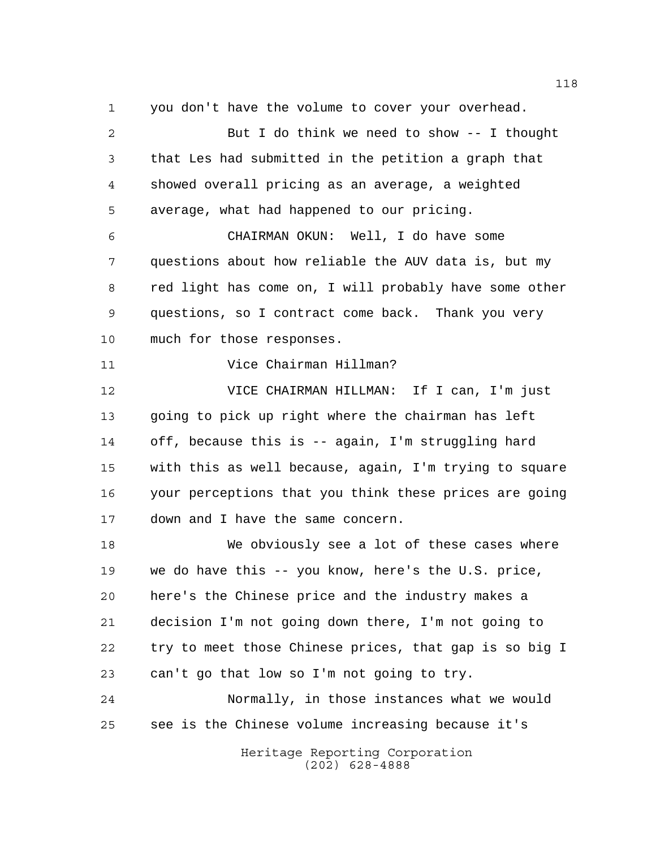you don't have the volume to cover your overhead.

Heritage Reporting Corporation (202) 628-4888 But I do think we need to show -- I thought that Les had submitted in the petition a graph that showed overall pricing as an average, a weighted average, what had happened to our pricing. CHAIRMAN OKUN: Well, I do have some questions about how reliable the AUV data is, but my red light has come on, I will probably have some other questions, so I contract come back. Thank you very much for those responses. Vice Chairman Hillman? VICE CHAIRMAN HILLMAN: If I can, I'm just going to pick up right where the chairman has left off, because this is -- again, I'm struggling hard with this as well because, again, I'm trying to square your perceptions that you think these prices are going down and I have the same concern. We obviously see a lot of these cases where we do have this -- you know, here's the U.S. price, here's the Chinese price and the industry makes a decision I'm not going down there, I'm not going to try to meet those Chinese prices, that gap is so big I can't go that low so I'm not going to try. Normally, in those instances what we would see is the Chinese volume increasing because it's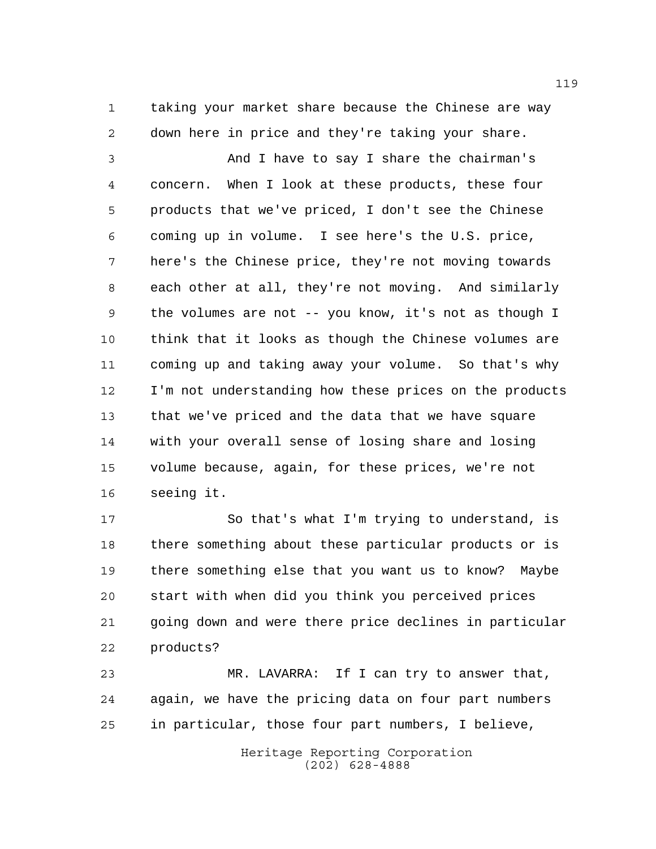taking your market share because the Chinese are way down here in price and they're taking your share.

 And I have to say I share the chairman's concern. When I look at these products, these four products that we've priced, I don't see the Chinese coming up in volume. I see here's the U.S. price, here's the Chinese price, they're not moving towards each other at all, they're not moving. And similarly the volumes are not -- you know, it's not as though I think that it looks as though the Chinese volumes are coming up and taking away your volume. So that's why I'm not understanding how these prices on the products that we've priced and the data that we have square with your overall sense of losing share and losing volume because, again, for these prices, we're not seeing it.

 So that's what I'm trying to understand, is there something about these particular products or is there something else that you want us to know? Maybe start with when did you think you perceived prices going down and were there price declines in particular products?

 MR. LAVARRA: If I can try to answer that, again, we have the pricing data on four part numbers in particular, those four part numbers, I believe,

> Heritage Reporting Corporation (202) 628-4888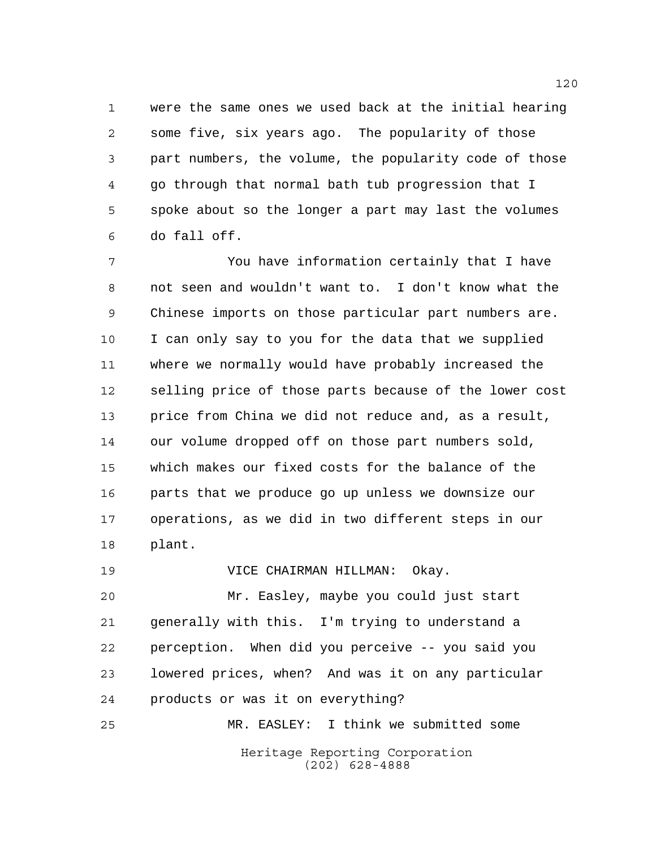were the same ones we used back at the initial hearing some five, six years ago. The popularity of those part numbers, the volume, the popularity code of those go through that normal bath tub progression that I spoke about so the longer a part may last the volumes do fall off.

 You have information certainly that I have not seen and wouldn't want to. I don't know what the Chinese imports on those particular part numbers are. I can only say to you for the data that we supplied where we normally would have probably increased the selling price of those parts because of the lower cost price from China we did not reduce and, as a result, our volume dropped off on those part numbers sold, which makes our fixed costs for the balance of the parts that we produce go up unless we downsize our operations, as we did in two different steps in our plant.

VICE CHAIRMAN HILLMAN: Okay.

 Mr. Easley, maybe you could just start generally with this. I'm trying to understand a perception. When did you perceive -- you said you lowered prices, when? And was it on any particular products or was it on everything?

Heritage Reporting Corporation (202) 628-4888 MR. EASLEY: I think we submitted some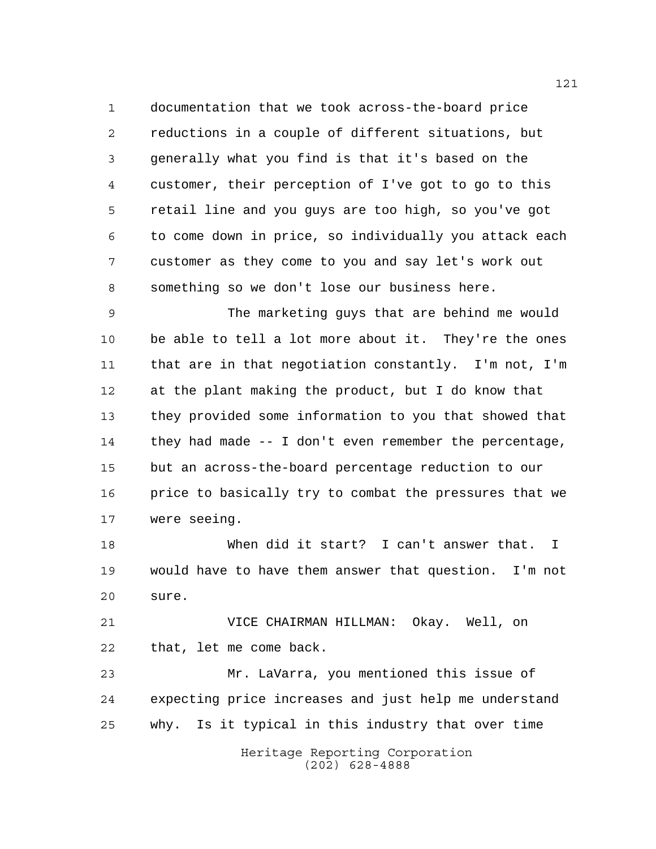documentation that we took across-the-board price reductions in a couple of different situations, but generally what you find is that it's based on the customer, their perception of I've got to go to this retail line and you guys are too high, so you've got to come down in price, so individually you attack each customer as they come to you and say let's work out something so we don't lose our business here.

 The marketing guys that are behind me would be able to tell a lot more about it. They're the ones that are in that negotiation constantly. I'm not, I'm at the plant making the product, but I do know that they provided some information to you that showed that they had made -- I don't even remember the percentage, but an across-the-board percentage reduction to our price to basically try to combat the pressures that we were seeing.

 When did it start? I can't answer that. I would have to have them answer that question. I'm not sure.

 VICE CHAIRMAN HILLMAN: Okay. Well, on that, let me come back.

 Mr. LaVarra, you mentioned this issue of expecting price increases and just help me understand why. Is it typical in this industry that over time

Heritage Reporting Corporation (202) 628-4888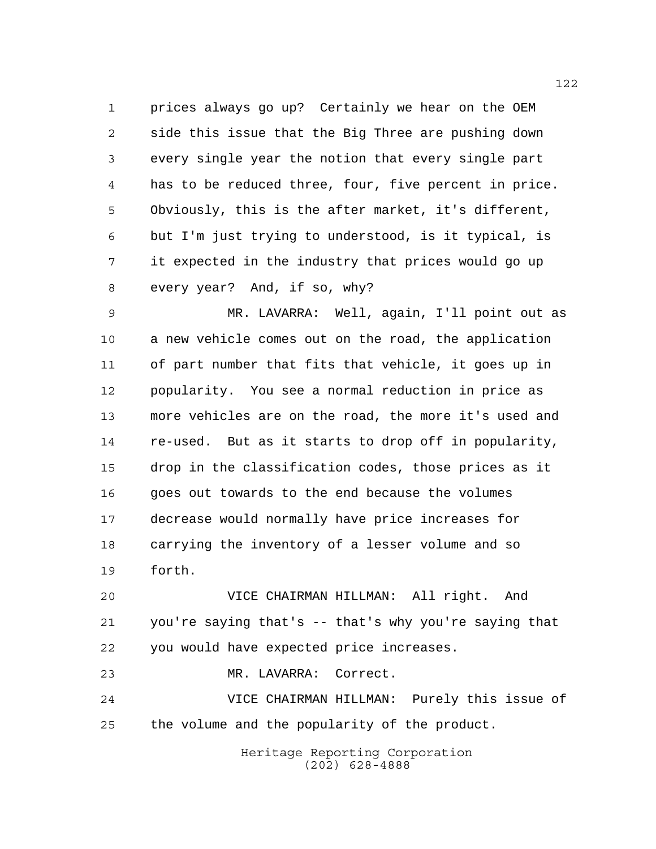prices always go up? Certainly we hear on the OEM side this issue that the Big Three are pushing down every single year the notion that every single part has to be reduced three, four, five percent in price. Obviously, this is the after market, it's different, but I'm just trying to understood, is it typical, is it expected in the industry that prices would go up every year? And, if so, why?

 MR. LAVARRA: Well, again, I'll point out as a new vehicle comes out on the road, the application of part number that fits that vehicle, it goes up in popularity. You see a normal reduction in price as more vehicles are on the road, the more it's used and re-used. But as it starts to drop off in popularity, drop in the classification codes, those prices as it goes out towards to the end because the volumes decrease would normally have price increases for carrying the inventory of a lesser volume and so forth.

 VICE CHAIRMAN HILLMAN: All right. And you're saying that's -- that's why you're saying that you would have expected price increases.

MR. LAVARRA: Correct.

 VICE CHAIRMAN HILLMAN: Purely this issue of the volume and the popularity of the product.

> Heritage Reporting Corporation (202) 628-4888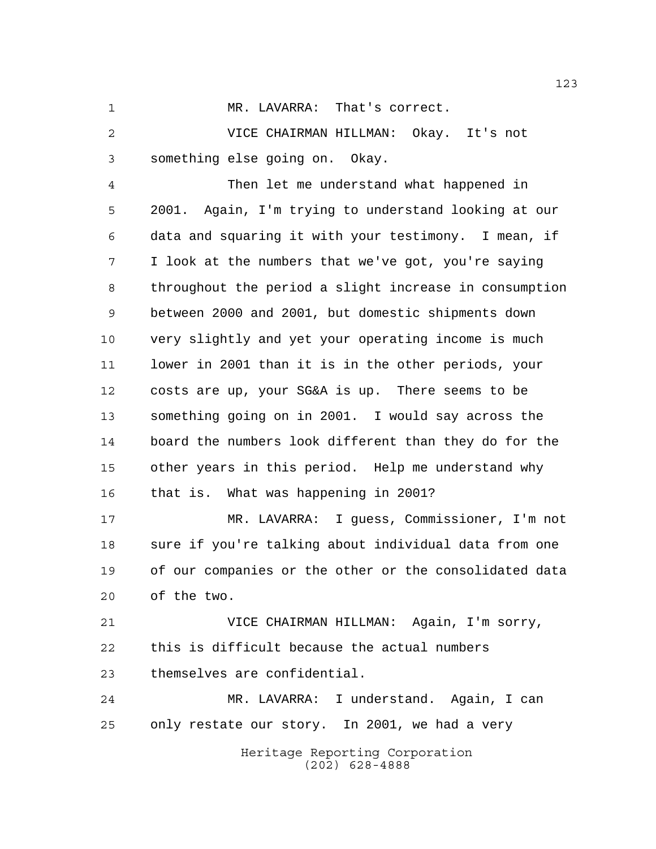MR. LAVARRA: That's correct.

 VICE CHAIRMAN HILLMAN: Okay. It's not something else going on. Okay.

 Then let me understand what happened in 2001. Again, I'm trying to understand looking at our data and squaring it with your testimony. I mean, if I look at the numbers that we've got, you're saying throughout the period a slight increase in consumption between 2000 and 2001, but domestic shipments down very slightly and yet your operating income is much lower in 2001 than it is in the other periods, your costs are up, your SG&A is up. There seems to be something going on in 2001. I would say across the board the numbers look different than they do for the other years in this period. Help me understand why that is. What was happening in 2001?

 MR. LAVARRA: I guess, Commissioner, I'm not sure if you're talking about individual data from one of our companies or the other or the consolidated data of the two.

 VICE CHAIRMAN HILLMAN: Again, I'm sorry, this is difficult because the actual numbers themselves are confidential.

 MR. LAVARRA: I understand. Again, I can only restate our story. In 2001, we had a very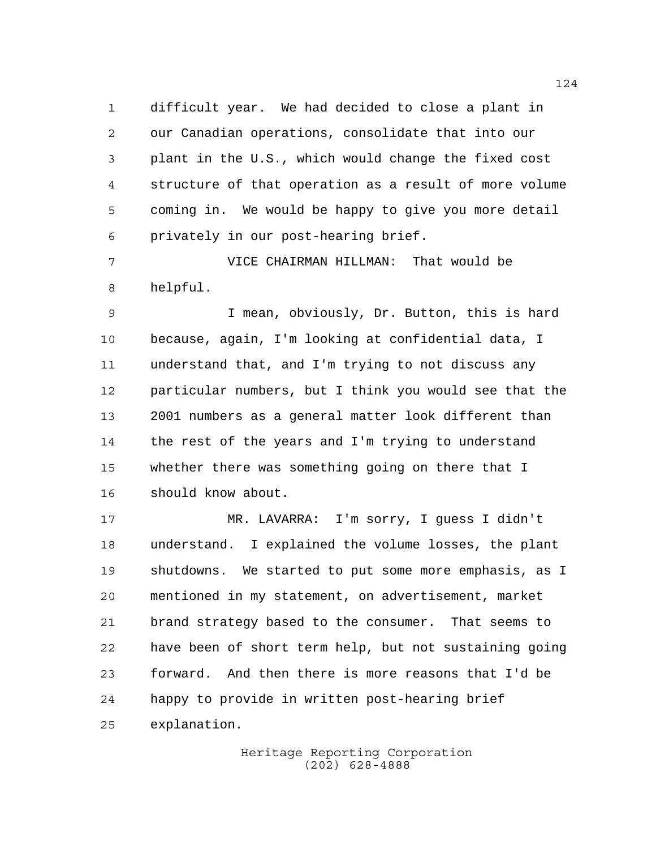difficult year. We had decided to close a plant in our Canadian operations, consolidate that into our plant in the U.S., which would change the fixed cost structure of that operation as a result of more volume coming in. We would be happy to give you more detail privately in our post-hearing brief.

 VICE CHAIRMAN HILLMAN: That would be helpful.

 I mean, obviously, Dr. Button, this is hard because, again, I'm looking at confidential data, I understand that, and I'm trying to not discuss any particular numbers, but I think you would see that the 2001 numbers as a general matter look different than the rest of the years and I'm trying to understand whether there was something going on there that I should know about.

 MR. LAVARRA: I'm sorry, I guess I didn't understand. I explained the volume losses, the plant shutdowns. We started to put some more emphasis, as I mentioned in my statement, on advertisement, market brand strategy based to the consumer. That seems to have been of short term help, but not sustaining going forward. And then there is more reasons that I'd be happy to provide in written post-hearing brief explanation.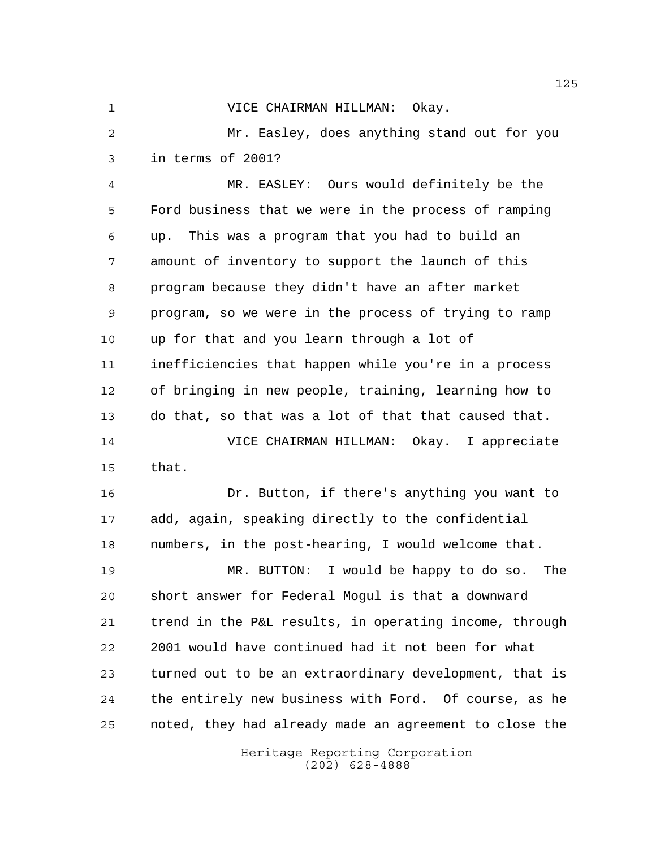VICE CHAIRMAN HILLMAN: Okay.

 Mr. Easley, does anything stand out for you in terms of 2001?

 MR. EASLEY: Ours would definitely be the Ford business that we were in the process of ramping up. This was a program that you had to build an amount of inventory to support the launch of this program because they didn't have an after market program, so we were in the process of trying to ramp up for that and you learn through a lot of inefficiencies that happen while you're in a process of bringing in new people, training, learning how to do that, so that was a lot of that that caused that. VICE CHAIRMAN HILLMAN: Okay. I appreciate that.

 Dr. Button, if there's anything you want to add, again, speaking directly to the confidential numbers, in the post-hearing, I would welcome that.

 MR. BUTTON: I would be happy to do so. The short answer for Federal Mogul is that a downward trend in the P&L results, in operating income, through 2001 would have continued had it not been for what turned out to be an extraordinary development, that is the entirely new business with Ford. Of course, as he noted, they had already made an agreement to close the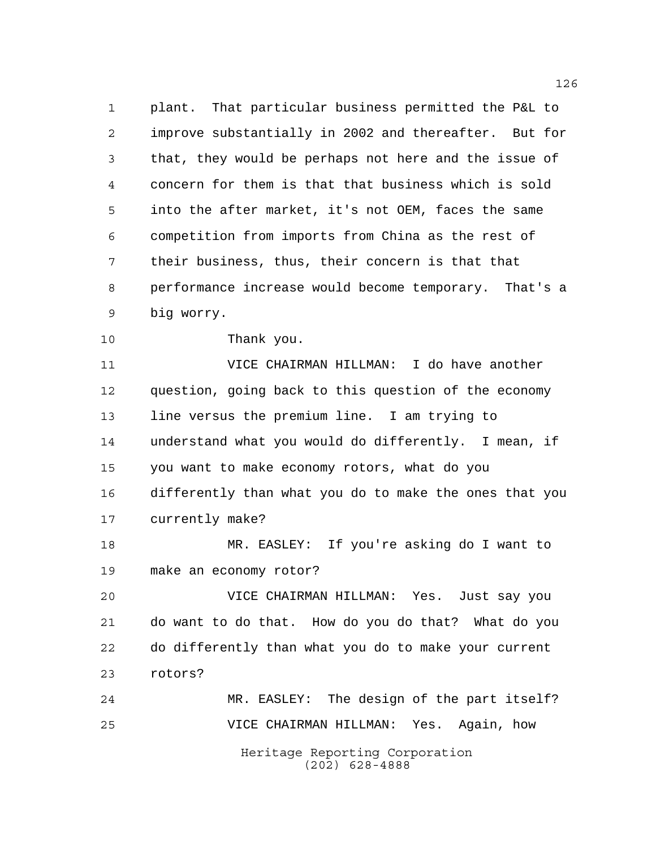plant. That particular business permitted the P&L to improve substantially in 2002 and thereafter. But for that, they would be perhaps not here and the issue of concern for them is that that business which is sold into the after market, it's not OEM, faces the same competition from imports from China as the rest of their business, thus, their concern is that that performance increase would become temporary. That's a big worry.

Thank you.

 VICE CHAIRMAN HILLMAN: I do have another question, going back to this question of the economy line versus the premium line. I am trying to understand what you would do differently. I mean, if you want to make economy rotors, what do you differently than what you do to make the ones that you currently make?

 MR. EASLEY: If you're asking do I want to make an economy rotor?

 VICE CHAIRMAN HILLMAN: Yes. Just say you do want to do that. How do you do that? What do you do differently than what you do to make your current rotors?

Heritage Reporting Corporation (202) 628-4888 MR. EASLEY: The design of the part itself? VICE CHAIRMAN HILLMAN: Yes. Again, how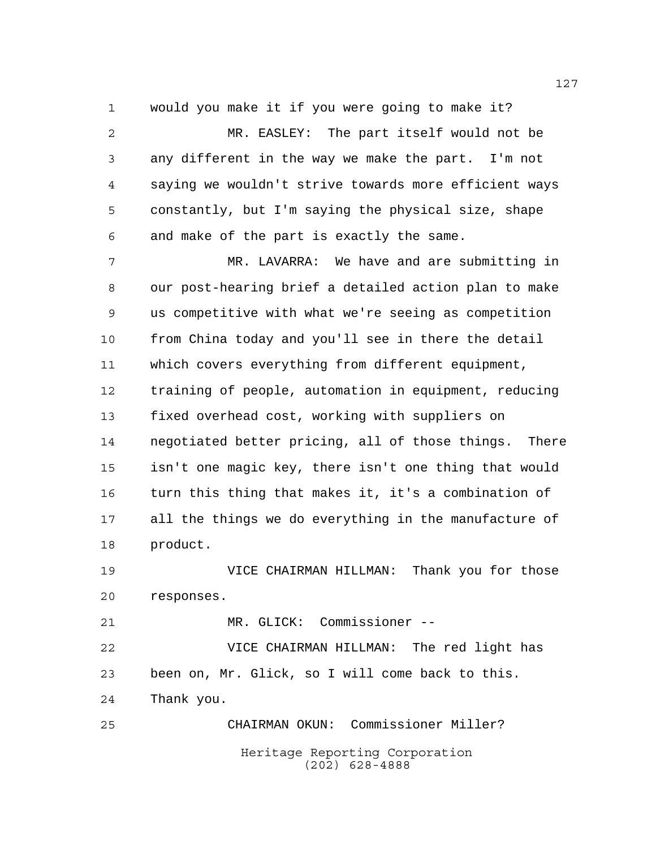would you make it if you were going to make it? MR. EASLEY: The part itself would not be

 any different in the way we make the part. I'm not saying we wouldn't strive towards more efficient ways constantly, but I'm saying the physical size, shape and make of the part is exactly the same.

 MR. LAVARRA: We have and are submitting in our post-hearing brief a detailed action plan to make us competitive with what we're seeing as competition from China today and you'll see in there the detail which covers everything from different equipment, training of people, automation in equipment, reducing fixed overhead cost, working with suppliers on negotiated better pricing, all of those things. There isn't one magic key, there isn't one thing that would turn this thing that makes it, it's a combination of all the things we do everything in the manufacture of product.

 VICE CHAIRMAN HILLMAN: Thank you for those responses.

MR. GLICK: Commissioner --

 VICE CHAIRMAN HILLMAN: The red light has been on, Mr. Glick, so I will come back to this. Thank you.

Heritage Reporting Corporation (202) 628-4888 CHAIRMAN OKUN: Commissioner Miller?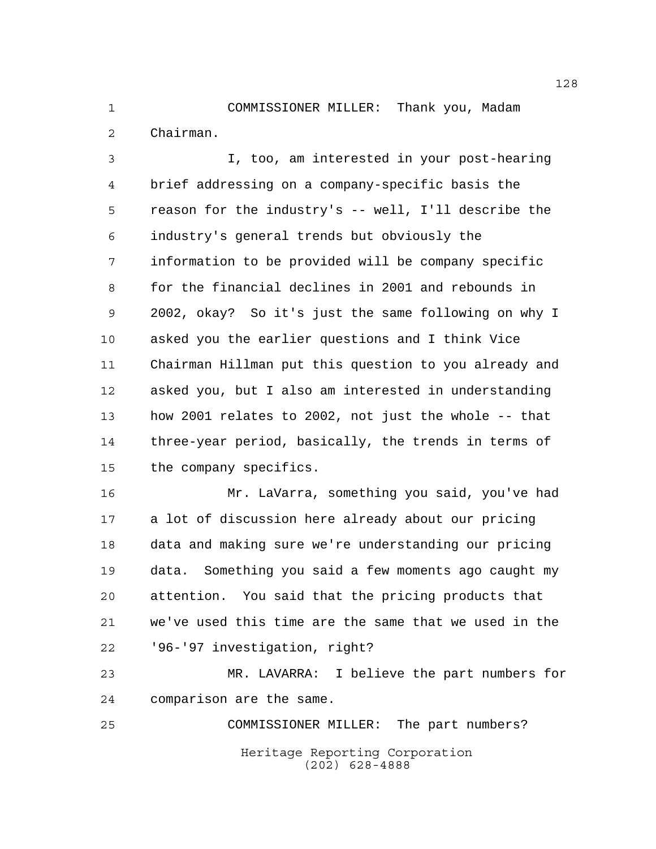COMMISSIONER MILLER: Thank you, Madam Chairman.

 I, too, am interested in your post-hearing brief addressing on a company-specific basis the reason for the industry's -- well, I'll describe the industry's general trends but obviously the information to be provided will be company specific for the financial declines in 2001 and rebounds in 2002, okay? So it's just the same following on why I asked you the earlier questions and I think Vice Chairman Hillman put this question to you already and asked you, but I also am interested in understanding how 2001 relates to 2002, not just the whole -- that three-year period, basically, the trends in terms of the company specifics.

 Mr. LaVarra, something you said, you've had a lot of discussion here already about our pricing data and making sure we're understanding our pricing data. Something you said a few moments ago caught my attention. You said that the pricing products that we've used this time are the same that we used in the '96-'97 investigation, right?

 MR. LAVARRA: I believe the part numbers for comparison are the same.

Heritage Reporting Corporation (202) 628-4888 COMMISSIONER MILLER: The part numbers?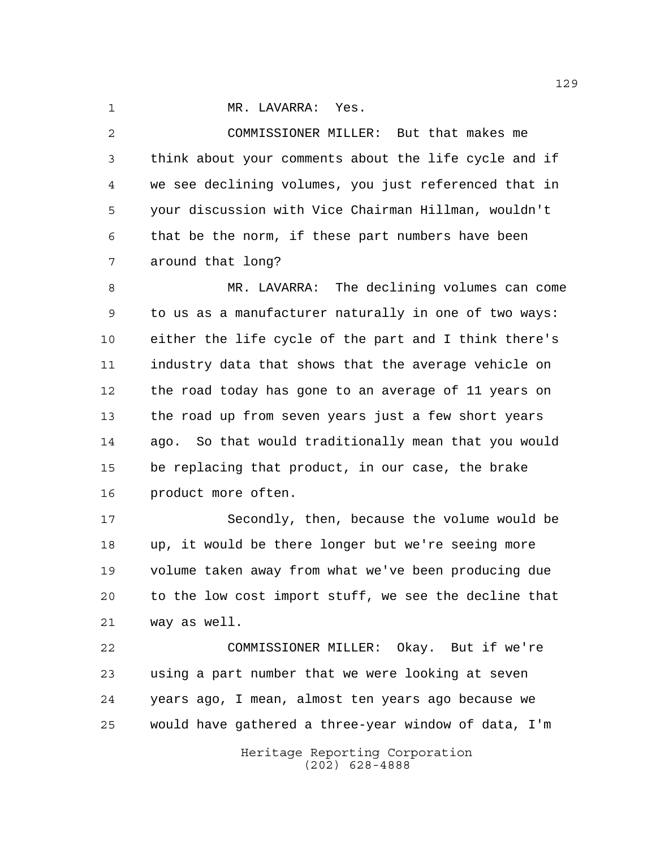1 MR. LAVARRA: Yes.

 COMMISSIONER MILLER: But that makes me think about your comments about the life cycle and if we see declining volumes, you just referenced that in your discussion with Vice Chairman Hillman, wouldn't that be the norm, if these part numbers have been around that long?

 MR. LAVARRA: The declining volumes can come to us as a manufacturer naturally in one of two ways: either the life cycle of the part and I think there's industry data that shows that the average vehicle on the road today has gone to an average of 11 years on the road up from seven years just a few short years ago. So that would traditionally mean that you would be replacing that product, in our case, the brake product more often.

 Secondly, then, because the volume would be up, it would be there longer but we're seeing more volume taken away from what we've been producing due to the low cost import stuff, we see the decline that way as well.

 COMMISSIONER MILLER: Okay. But if we're using a part number that we were looking at seven years ago, I mean, almost ten years ago because we would have gathered a three-year window of data, I'm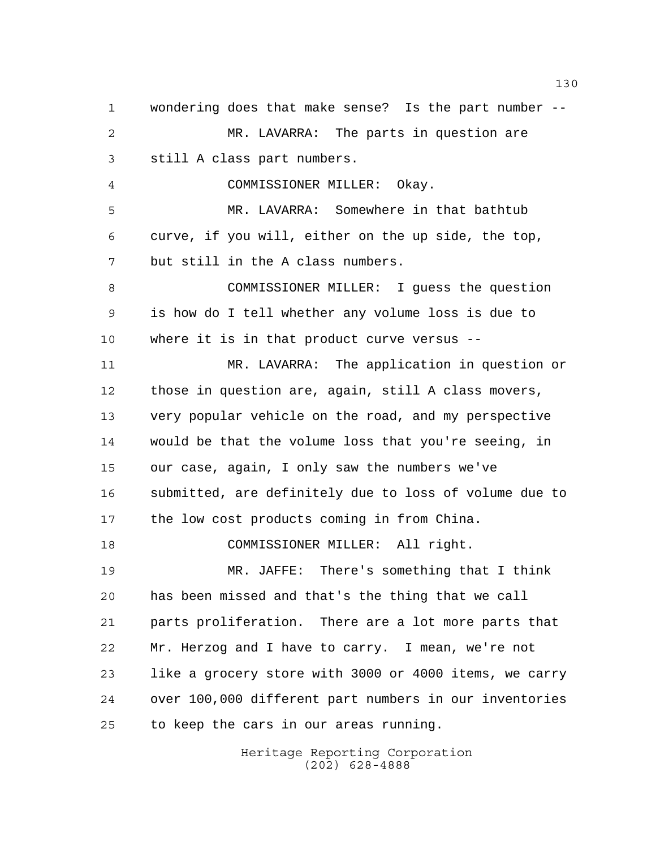wondering does that make sense? Is the part number -- MR. LAVARRA: The parts in question are still A class part numbers. COMMISSIONER MILLER: Okay. MR. LAVARRA: Somewhere in that bathtub curve, if you will, either on the up side, the top, but still in the A class numbers. COMMISSIONER MILLER: I guess the question is how do I tell whether any volume loss is due to where it is in that product curve versus -- MR. LAVARRA: The application in question or those in question are, again, still A class movers, very popular vehicle on the road, and my perspective would be that the volume loss that you're seeing, in our case, again, I only saw the numbers we've submitted, are definitely due to loss of volume due to the low cost products coming in from China. COMMISSIONER MILLER: All right. MR. JAFFE: There's something that I think has been missed and that's the thing that we call parts proliferation. There are a lot more parts that Mr. Herzog and I have to carry. I mean, we're not like a grocery store with 3000 or 4000 items, we carry over 100,000 different part numbers in our inventories to keep the cars in our areas running.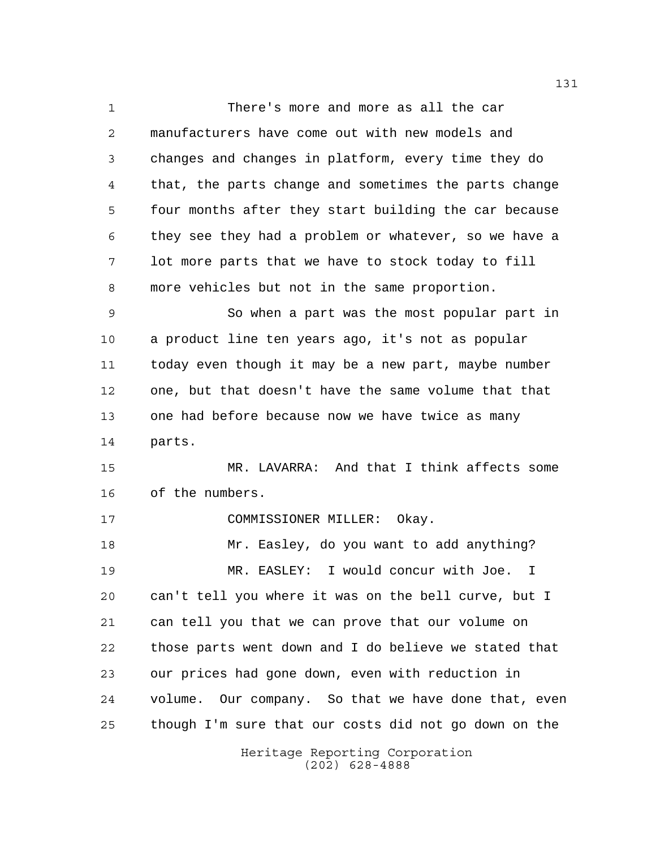Heritage Reporting Corporation There's more and more as all the car manufacturers have come out with new models and changes and changes in platform, every time they do that, the parts change and sometimes the parts change four months after they start building the car because they see they had a problem or whatever, so we have a lot more parts that we have to stock today to fill more vehicles but not in the same proportion. So when a part was the most popular part in a product line ten years ago, it's not as popular today even though it may be a new part, maybe number one, but that doesn't have the same volume that that one had before because now we have twice as many parts. MR. LAVARRA: And that I think affects some of the numbers. COMMISSIONER MILLER: Okay. Mr. Easley, do you want to add anything? MR. EASLEY: I would concur with Joe. I can't tell you where it was on the bell curve, but I can tell you that we can prove that our volume on those parts went down and I do believe we stated that our prices had gone down, even with reduction in volume. Our company. So that we have done that, even though I'm sure that our costs did not go down on the

(202) 628-4888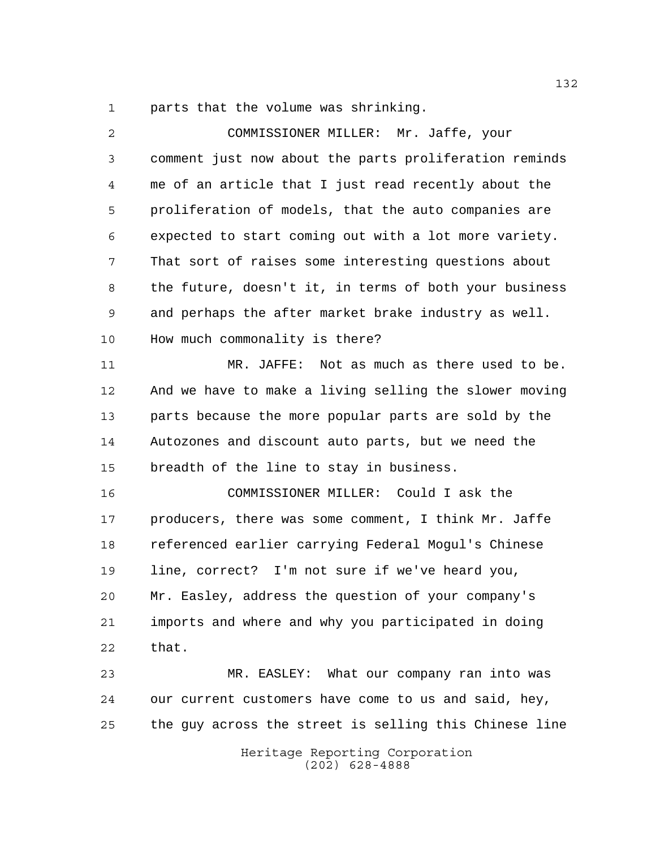parts that the volume was shrinking.

| $\overline{a}$ | COMMISSIONER MILLER: Mr. Jaffe, your                   |
|----------------|--------------------------------------------------------|
| 3              | comment just now about the parts proliferation reminds |
| 4              | me of an article that I just read recently about the   |
| 5              | proliferation of models, that the auto companies are   |
| 6              | expected to start coming out with a lot more variety.  |
| 7              | That sort of raises some interesting questions about   |
| 8              | the future, doesn't it, in terms of both your business |
| 9              | and perhaps the after market brake industry as well.   |
| 10             | How much commonality is there?                         |
| 11             | MR. JAFFE: Not as much as there used to be.            |
| 12             | And we have to make a living selling the slower moving |
| 13             | parts because the more popular parts are sold by the   |
| 14             | Autozones and discount auto parts, but we need the     |
| 15             | breadth of the line to stay in business.               |
| 16             | COMMISSIONER MILLER: Could I ask the                   |
| 17             | producers, there was some comment, I think Mr. Jaffe   |
| 18             | referenced earlier carrying Federal Mogul's Chinese    |
| 19             | line, correct? I'm not sure if we've heard you,        |
| 20             | Mr. Easley, address the question of your company's     |
| 21             | imports and where and why you participated in doing    |
| 22             | that.                                                  |
| 23             | MR. EASLEY: What our company ran into was              |
| 24             | our current customers have come to us and said, hey,   |
| 25             | the guy across the street is selling this Chinese line |
|                | Heritage Reporting Corporation<br>$(202)$ 628-4888     |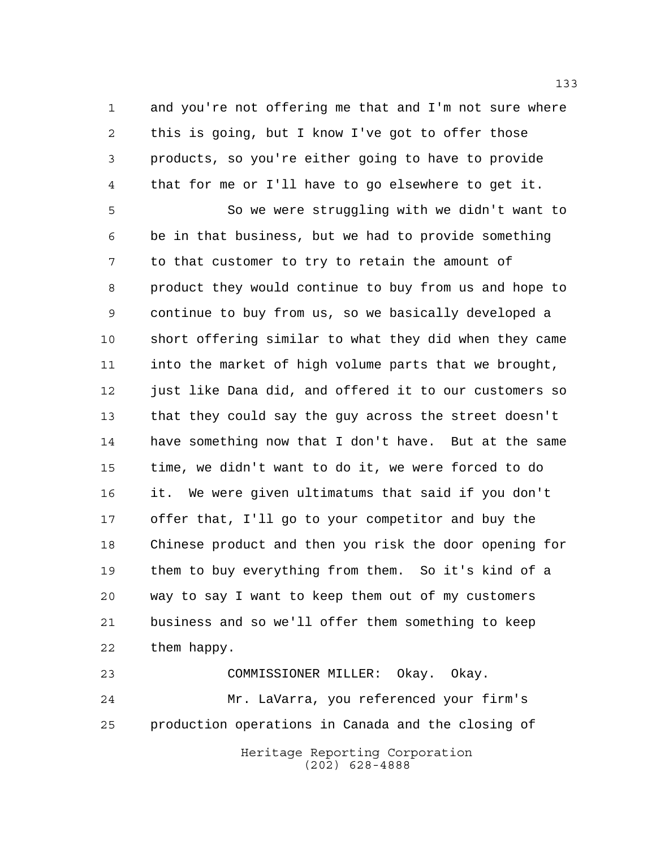and you're not offering me that and I'm not sure where this is going, but I know I've got to offer those products, so you're either going to have to provide that for me or I'll have to go elsewhere to get it.

 So we were struggling with we didn't want to be in that business, but we had to provide something to that customer to try to retain the amount of product they would continue to buy from us and hope to continue to buy from us, so we basically developed a short offering similar to what they did when they came into the market of high volume parts that we brought, 12 just like Dana did, and offered it to our customers so that they could say the guy across the street doesn't have something now that I don't have. But at the same time, we didn't want to do it, we were forced to do it. We were given ultimatums that said if you don't offer that, I'll go to your competitor and buy the Chinese product and then you risk the door opening for them to buy everything from them. So it's kind of a way to say I want to keep them out of my customers business and so we'll offer them something to keep them happy.

 COMMISSIONER MILLER: Okay. Okay. Mr. LaVarra, you referenced your firm's production operations in Canada and the closing of

Heritage Reporting Corporation (202) 628-4888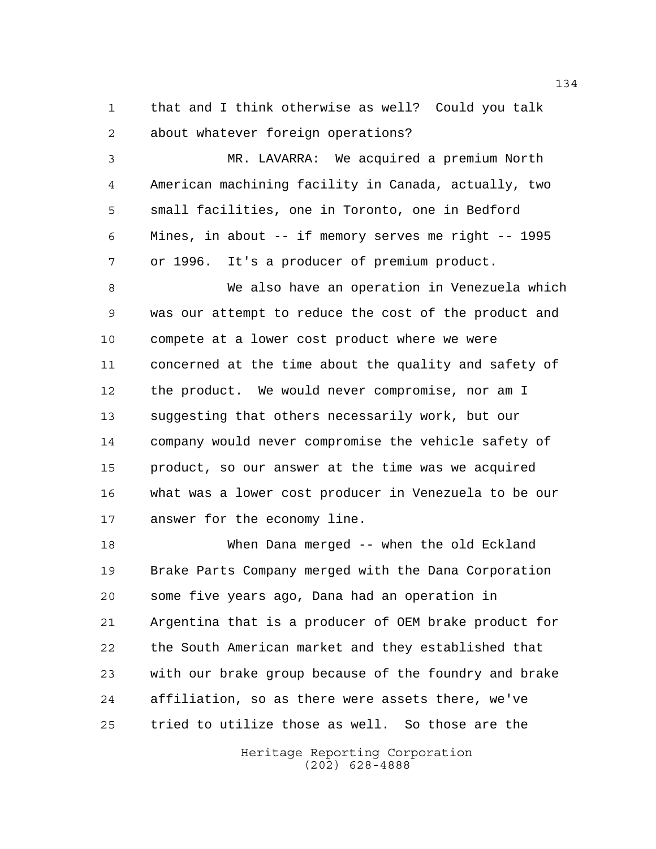that and I think otherwise as well? Could you talk about whatever foreign operations?

 MR. LAVARRA: We acquired a premium North American machining facility in Canada, actually, two small facilities, one in Toronto, one in Bedford Mines, in about -- if memory serves me right -- 1995 or 1996. It's a producer of premium product.

 We also have an operation in Venezuela which was our attempt to reduce the cost of the product and compete at a lower cost product where we were concerned at the time about the quality and safety of the product. We would never compromise, nor am I suggesting that others necessarily work, but our company would never compromise the vehicle safety of product, so our answer at the time was we acquired what was a lower cost producer in Venezuela to be our answer for the economy line.

 When Dana merged -- when the old Eckland Brake Parts Company merged with the Dana Corporation some five years ago, Dana had an operation in Argentina that is a producer of OEM brake product for the South American market and they established that with our brake group because of the foundry and brake affiliation, so as there were assets there, we've tried to utilize those as well. So those are the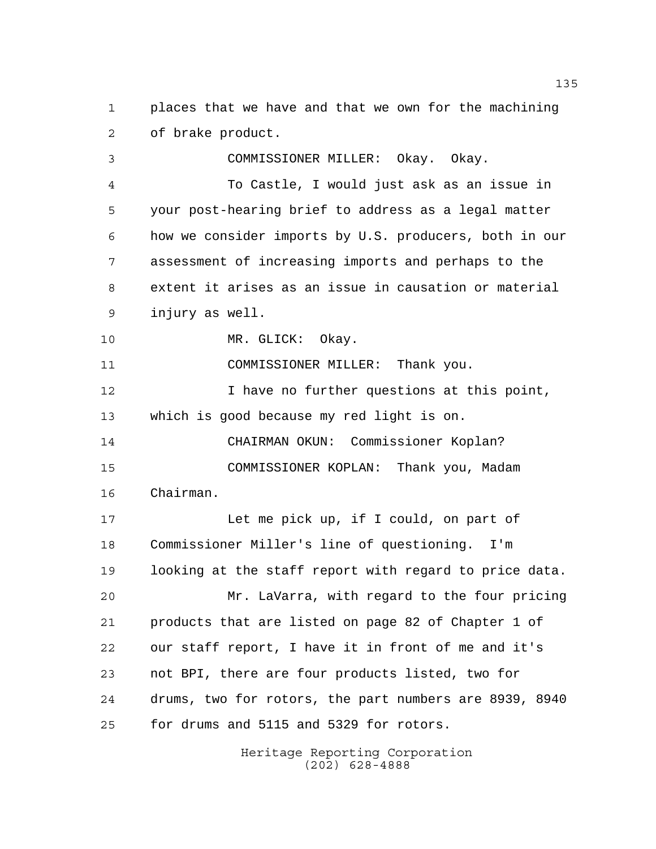places that we have and that we own for the machining of brake product.

 COMMISSIONER MILLER: Okay. Okay. To Castle, I would just ask as an issue in your post-hearing brief to address as a legal matter how we consider imports by U.S. producers, both in our assessment of increasing imports and perhaps to the extent it arises as an issue in causation or material injury as well. MR. GLICK: Okay. COMMISSIONER MILLER: Thank you. 12 12 I have no further questions at this point, which is good because my red light is on. CHAIRMAN OKUN: Commissioner Koplan? COMMISSIONER KOPLAN: Thank you, Madam Chairman. Let me pick up, if I could, on part of Commissioner Miller's line of questioning. I'm looking at the staff report with regard to price data. Mr. LaVarra, with regard to the four pricing

 products that are listed on page 82 of Chapter 1 of our staff report, I have it in front of me and it's not BPI, there are four products listed, two for drums, two for rotors, the part numbers are 8939, 8940 for drums and 5115 and 5329 for rotors.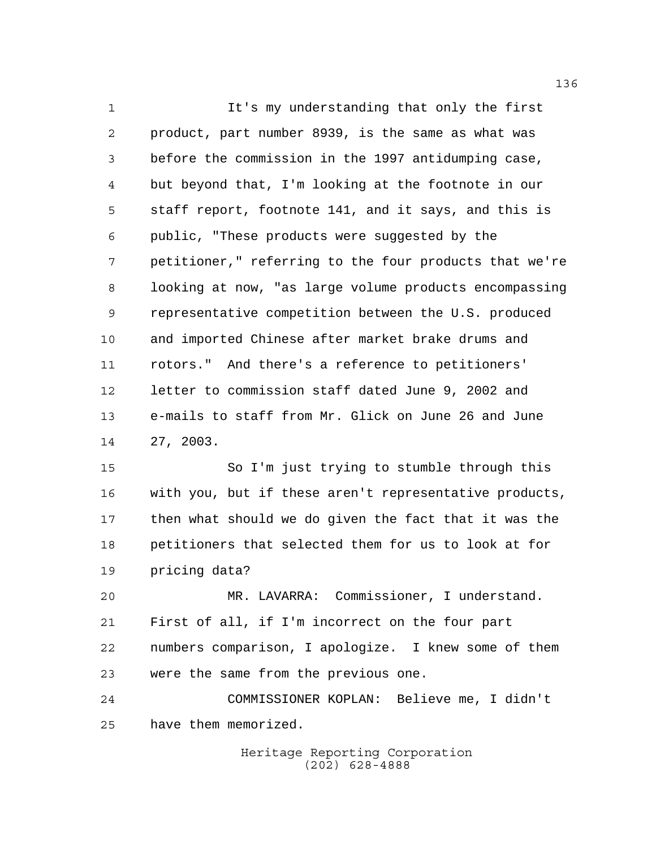It's my understanding that only the first product, part number 8939, is the same as what was before the commission in the 1997 antidumping case, but beyond that, I'm looking at the footnote in our staff report, footnote 141, and it says, and this is public, "These products were suggested by the petitioner," referring to the four products that we're looking at now, "as large volume products encompassing representative competition between the U.S. produced and imported Chinese after market brake drums and rotors." And there's a reference to petitioners' letter to commission staff dated June 9, 2002 and e-mails to staff from Mr. Glick on June 26 and June 27, 2003.

 So I'm just trying to stumble through this with you, but if these aren't representative products, then what should we do given the fact that it was the petitioners that selected them for us to look at for pricing data?

 MR. LAVARRA: Commissioner, I understand. First of all, if I'm incorrect on the four part numbers comparison, I apologize. I knew some of them were the same from the previous one.

 COMMISSIONER KOPLAN: Believe me, I didn't have them memorized.

> Heritage Reporting Corporation (202) 628-4888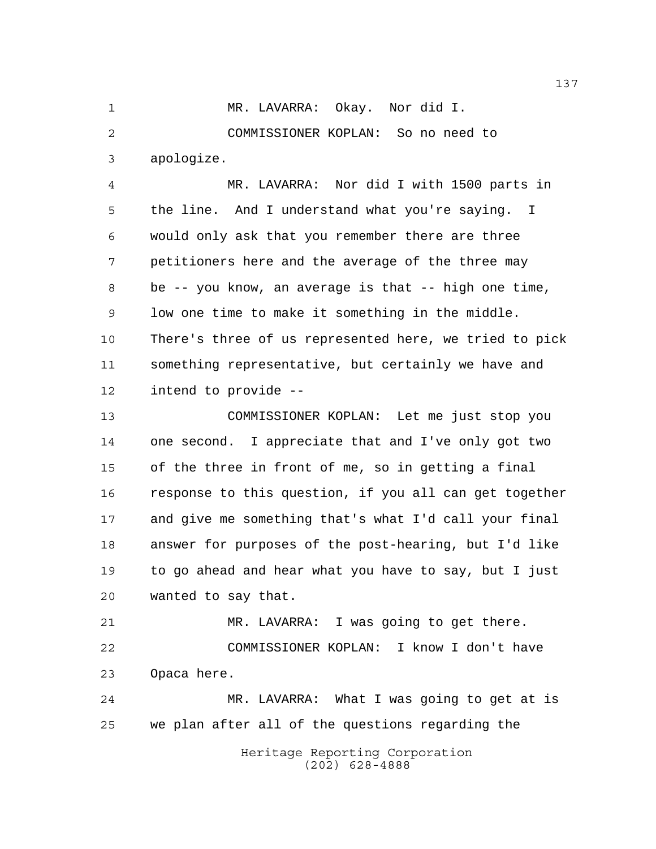MR. LAVARRA: Okay. Nor did I. COMMISSIONER KOPLAN: So no need to apologize.

 MR. LAVARRA: Nor did I with 1500 parts in the line. And I understand what you're saying. I would only ask that you remember there are three petitioners here and the average of the three may be -- you know, an average is that -- high one time, low one time to make it something in the middle. There's three of us represented here, we tried to pick something representative, but certainly we have and intend to provide --

 COMMISSIONER KOPLAN: Let me just stop you one second. I appreciate that and I've only got two of the three in front of me, so in getting a final response to this question, if you all can get together and give me something that's what I'd call your final answer for purposes of the post-hearing, but I'd like to go ahead and hear what you have to say, but I just wanted to say that.

 MR. LAVARRA: I was going to get there. COMMISSIONER KOPLAN: I know I don't have Opaca here.

 MR. LAVARRA: What I was going to get at is we plan after all of the questions regarding the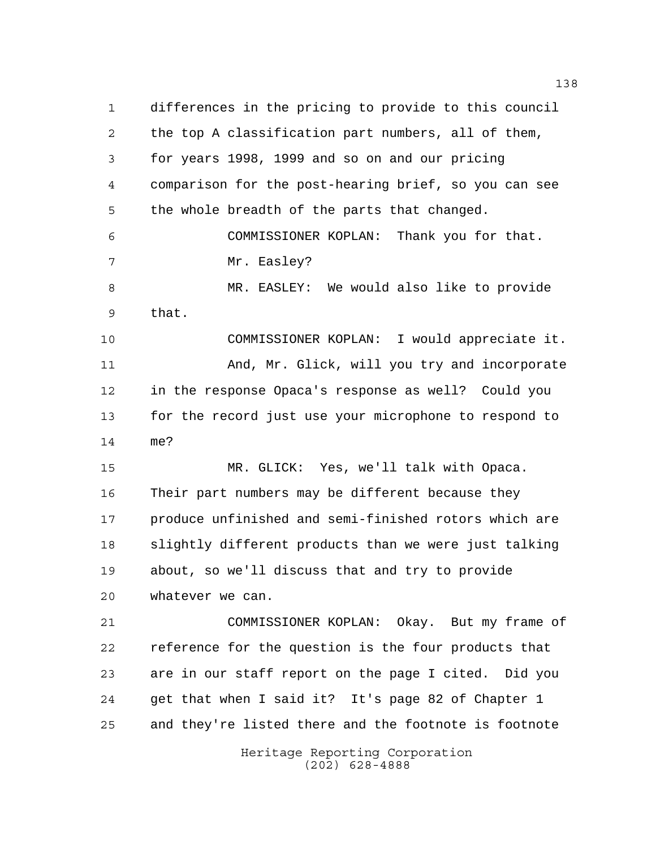Heritage Reporting Corporation (202) 628-4888 differences in the pricing to provide to this council the top A classification part numbers, all of them, for years 1998, 1999 and so on and our pricing comparison for the post-hearing brief, so you can see the whole breadth of the parts that changed. COMMISSIONER KOPLAN: Thank you for that. 7 Mr. Easley? MR. EASLEY: We would also like to provide that. COMMISSIONER KOPLAN: I would appreciate it. And, Mr. Glick, will you try and incorporate in the response Opaca's response as well? Could you for the record just use your microphone to respond to me? MR. GLICK: Yes, we'll talk with Opaca. Their part numbers may be different because they produce unfinished and semi-finished rotors which are slightly different products than we were just talking about, so we'll discuss that and try to provide whatever we can. COMMISSIONER KOPLAN: Okay. But my frame of reference for the question is the four products that are in our staff report on the page I cited. Did you get that when I said it? It's page 82 of Chapter 1 and they're listed there and the footnote is footnote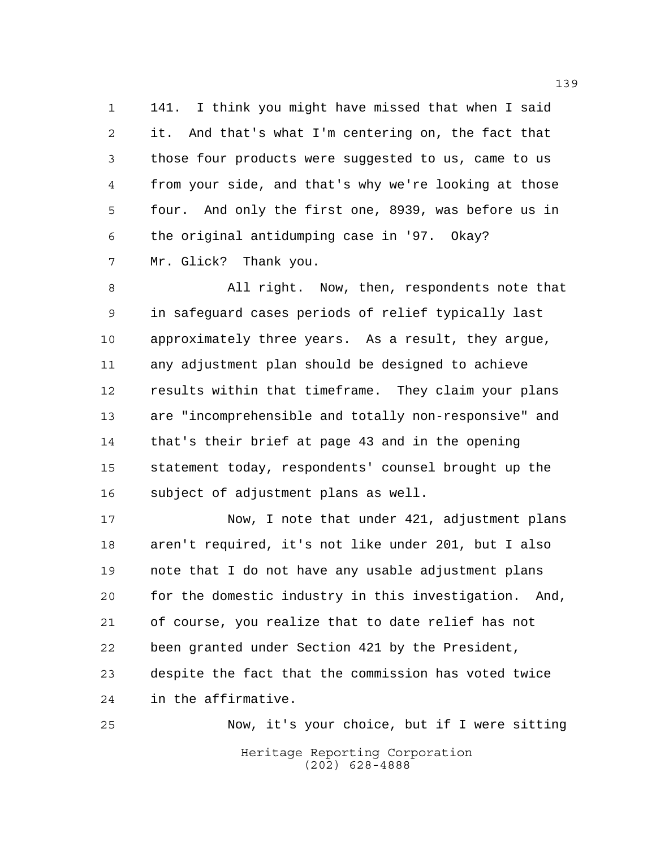141. I think you might have missed that when I said it. And that's what I'm centering on, the fact that those four products were suggested to us, came to us from your side, and that's why we're looking at those four. And only the first one, 8939, was before us in the original antidumping case in '97. Okay? Mr. Glick? Thank you.

 All right. Now, then, respondents note that in safeguard cases periods of relief typically last approximately three years. As a result, they argue, any adjustment plan should be designed to achieve results within that timeframe. They claim your plans are "incomprehensible and totally non-responsive" and that's their brief at page 43 and in the opening statement today, respondents' counsel brought up the subject of adjustment plans as well.

 Now, I note that under 421, adjustment plans aren't required, it's not like under 201, but I also note that I do not have any usable adjustment plans for the domestic industry in this investigation. And, of course, you realize that to date relief has not been granted under Section 421 by the President, despite the fact that the commission has voted twice in the affirmative.

Heritage Reporting Corporation (202) 628-4888 Now, it's your choice, but if I were sitting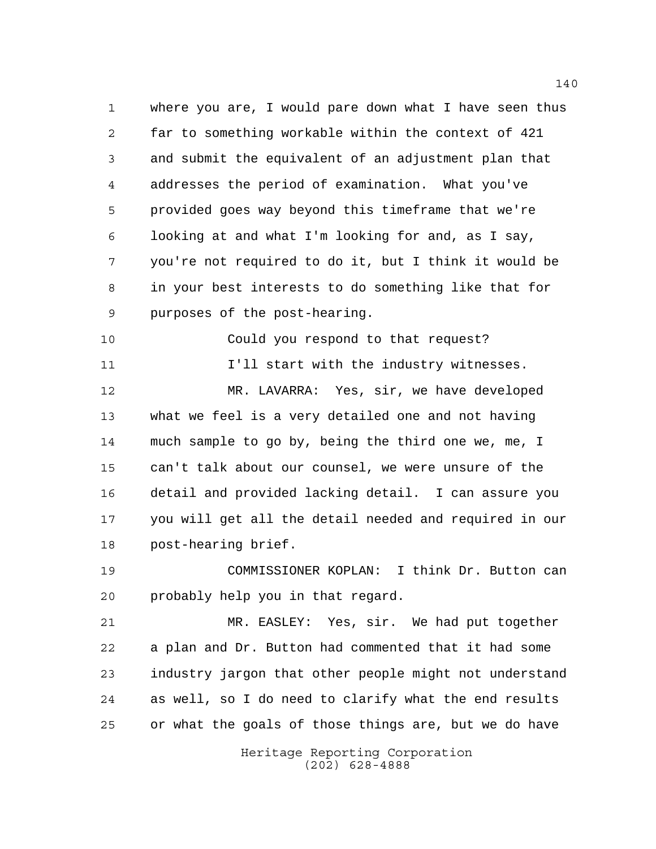where you are, I would pare down what I have seen thus far to something workable within the context of 421 and submit the equivalent of an adjustment plan that addresses the period of examination. What you've provided goes way beyond this timeframe that we're looking at and what I'm looking for and, as I say, you're not required to do it, but I think it would be in your best interests to do something like that for purposes of the post-hearing.

Could you respond to that request?

I'll start with the industry witnesses.

 MR. LAVARRA: Yes, sir, we have developed what we feel is a very detailed one and not having much sample to go by, being the third one we, me, I can't talk about our counsel, we were unsure of the detail and provided lacking detail. I can assure you you will get all the detail needed and required in our post-hearing brief.

 COMMISSIONER KOPLAN: I think Dr. Button can probably help you in that regard.

 MR. EASLEY: Yes, sir. We had put together a plan and Dr. Button had commented that it had some industry jargon that other people might not understand as well, so I do need to clarify what the end results or what the goals of those things are, but we do have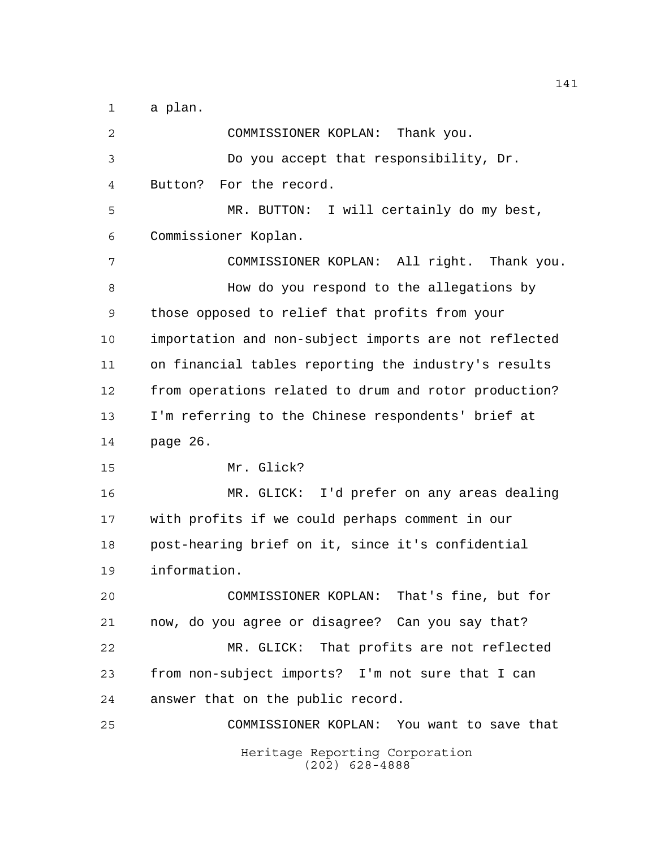a plan.

Heritage Reporting Corporation (202) 628-4888 COMMISSIONER KOPLAN: Thank you. Do you accept that responsibility, Dr. Button? For the record. MR. BUTTON: I will certainly do my best, Commissioner Koplan. COMMISSIONER KOPLAN: All right. Thank you. How do you respond to the allegations by those opposed to relief that profits from your importation and non-subject imports are not reflected on financial tables reporting the industry's results from operations related to drum and rotor production? I'm referring to the Chinese respondents' brief at page 26. Mr. Glick? MR. GLICK: I'd prefer on any areas dealing with profits if we could perhaps comment in our post-hearing brief on it, since it's confidential information. COMMISSIONER KOPLAN: That's fine, but for now, do you agree or disagree? Can you say that? MR. GLICK: That profits are not reflected from non-subject imports? I'm not sure that I can answer that on the public record. COMMISSIONER KOPLAN: You want to save that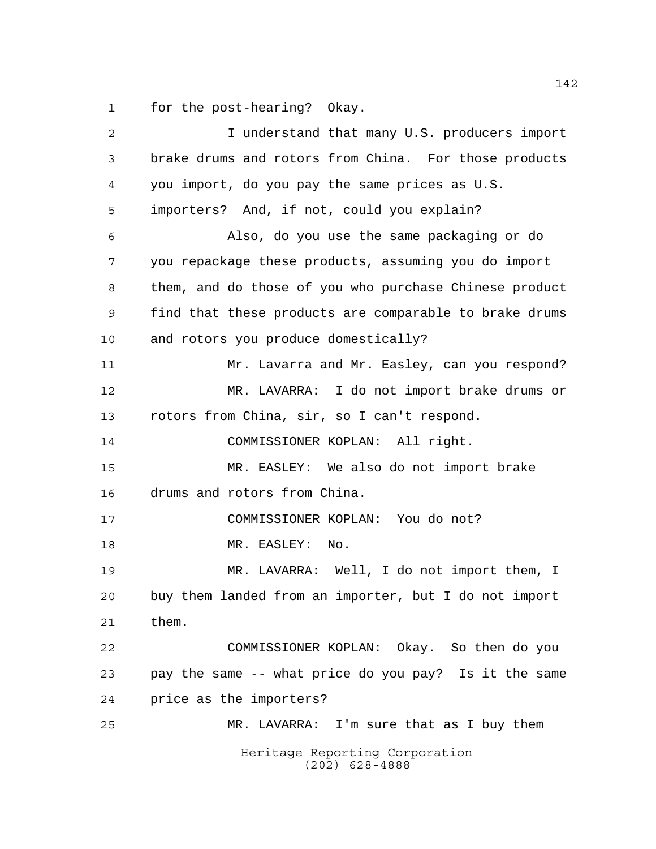for the post-hearing? Okay.

| 2  | I understand that many U.S. producers import           |
|----|--------------------------------------------------------|
| 3  | brake drums and rotors from China. For those products  |
| 4  | you import, do you pay the same prices as U.S.         |
| 5  | importers? And, if not, could you explain?             |
| 6  | Also, do you use the same packaging or do              |
| 7  | you repackage these products, assuming you do import   |
| 8  | them, and do those of you who purchase Chinese product |
| 9  | find that these products are comparable to brake drums |
| 10 | and rotors you produce domestically?                   |
| 11 | Mr. Lavarra and Mr. Easley, can you respond?           |
| 12 | MR. LAVARRA: I do not import brake drums or            |
| 13 | rotors from China, sir, so I can't respond.            |
| 14 | COMMISSIONER KOPLAN: All right.                        |
| 15 | MR. EASLEY: We also do not import brake                |
| 16 | drums and rotors from China.                           |
| 17 | COMMISSIONER KOPLAN: You do not?                       |
| 18 | MR. EASLEY:<br>No.                                     |
| 19 | MR. LAVARRA: Well, I do not import them, I             |
| 20 | buy them landed from an importer, but I do not import  |
| 21 | them.                                                  |
| 22 | COMMISSIONER KOPLAN: Okay. So then do you              |
| 23 | pay the same -- what price do you pay? Is it the same  |
| 24 | price as the importers?                                |
| 25 | MR. LAVARRA: I'm sure that as I buy them               |
|    | Heritage Reporting Corporation<br>$(202)$ 628-4888     |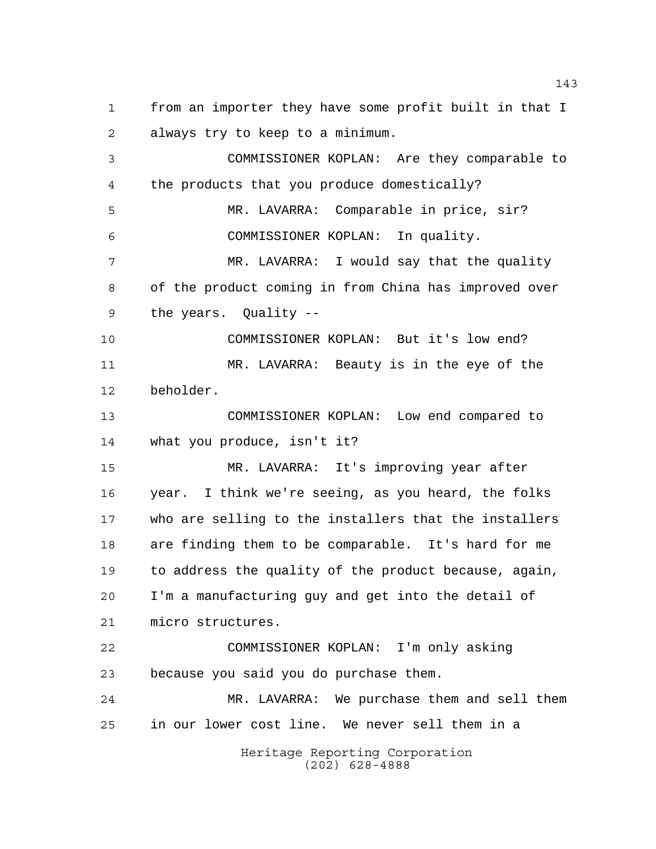from an importer they have some profit built in that I always try to keep to a minimum. COMMISSIONER KOPLAN: Are they comparable to the products that you produce domestically?

 MR. LAVARRA: Comparable in price, sir? COMMISSIONER KOPLAN: In quality.

 MR. LAVARRA: I would say that the quality of the product coming in from China has improved over the years. Quality --

 COMMISSIONER KOPLAN: But it's low end? MR. LAVARRA: Beauty is in the eye of the beholder.

 COMMISSIONER KOPLAN: Low end compared to what you produce, isn't it?

 MR. LAVARRA: It's improving year after year. I think we're seeing, as you heard, the folks who are selling to the installers that the installers are finding them to be comparable. It's hard for me to address the quality of the product because, again, I'm a manufacturing guy and get into the detail of micro structures.

 COMMISSIONER KOPLAN: I'm only asking because you said you do purchase them.

 MR. LAVARRA: We purchase them and sell them in our lower cost line. We never sell them in a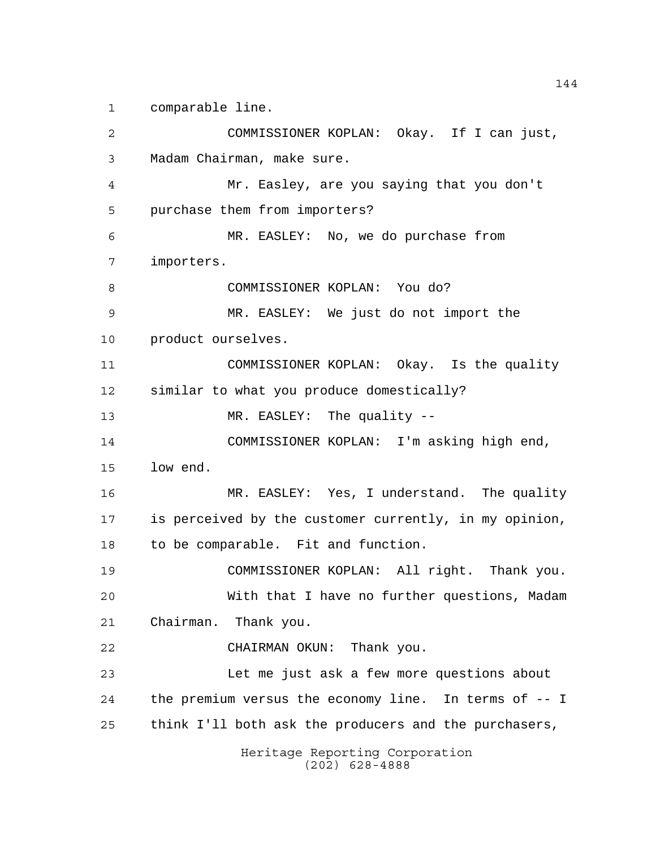comparable line.

Heritage Reporting Corporation (202) 628-4888 COMMISSIONER KOPLAN: Okay. If I can just, Madam Chairman, make sure. Mr. Easley, are you saying that you don't purchase them from importers? MR. EASLEY: No, we do purchase from importers. COMMISSIONER KOPLAN: You do? MR. EASLEY: We just do not import the product ourselves. COMMISSIONER KOPLAN: Okay. Is the quality similar to what you produce domestically? 13 MR. EASLEY: The quality -- COMMISSIONER KOPLAN: I'm asking high end, low end. MR. EASLEY: Yes, I understand. The quality is perceived by the customer currently, in my opinion, to be comparable. Fit and function. COMMISSIONER KOPLAN: All right. Thank you. With that I have no further questions, Madam Chairman. Thank you. CHAIRMAN OKUN: Thank you. Let me just ask a few more questions about the premium versus the economy line. In terms of -- I think I'll both ask the producers and the purchasers,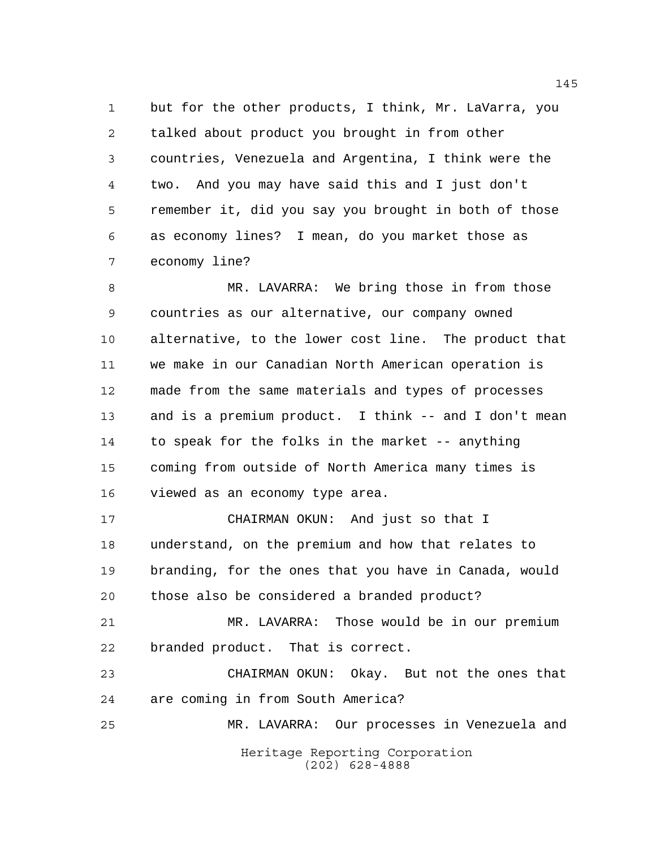but for the other products, I think, Mr. LaVarra, you talked about product you brought in from other countries, Venezuela and Argentina, I think were the two. And you may have said this and I just don't remember it, did you say you brought in both of those as economy lines? I mean, do you market those as economy line?

 MR. LAVARRA: We bring those in from those countries as our alternative, our company owned alternative, to the lower cost line. The product that we make in our Canadian North American operation is made from the same materials and types of processes and is a premium product. I think -- and I don't mean to speak for the folks in the market -- anything coming from outside of North America many times is viewed as an economy type area.

 CHAIRMAN OKUN: And just so that I understand, on the premium and how that relates to branding, for the ones that you have in Canada, would those also be considered a branded product?

 MR. LAVARRA: Those would be in our premium branded product. That is correct.

 CHAIRMAN OKUN: Okay. But not the ones that are coming in from South America?

Heritage Reporting Corporation (202) 628-4888 MR. LAVARRA: Our processes in Venezuela and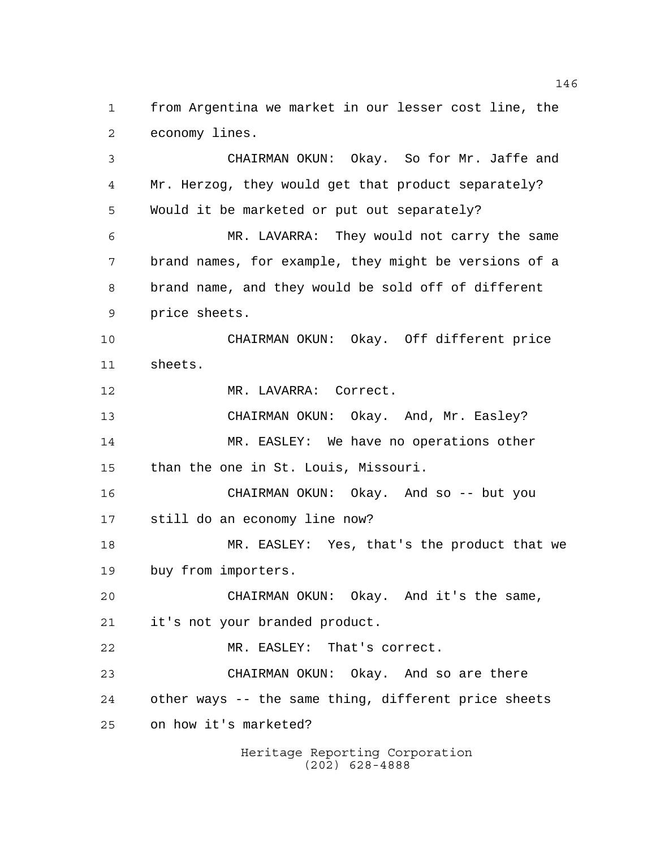from Argentina we market in our lesser cost line, the economy lines.

 CHAIRMAN OKUN: Okay. So for Mr. Jaffe and Mr. Herzog, they would get that product separately? Would it be marketed or put out separately? MR. LAVARRA: They would not carry the same brand names, for example, they might be versions of a brand name, and they would be sold off of different price sheets. CHAIRMAN OKUN: Okay. Off different price sheets. MR. LAVARRA: Correct. CHAIRMAN OKUN: Okay. And, Mr. Easley? MR. EASLEY: We have no operations other than the one in St. Louis, Missouri. CHAIRMAN OKUN: Okay. And so -- but you still do an economy line now? MR. EASLEY: Yes, that's the product that we buy from importers. CHAIRMAN OKUN: Okay. And it's the same, it's not your branded product. MR. EASLEY: That's correct. CHAIRMAN OKUN: Okay. And so are there other ways -- the same thing, different price sheets on how it's marketed?

> Heritage Reporting Corporation (202) 628-4888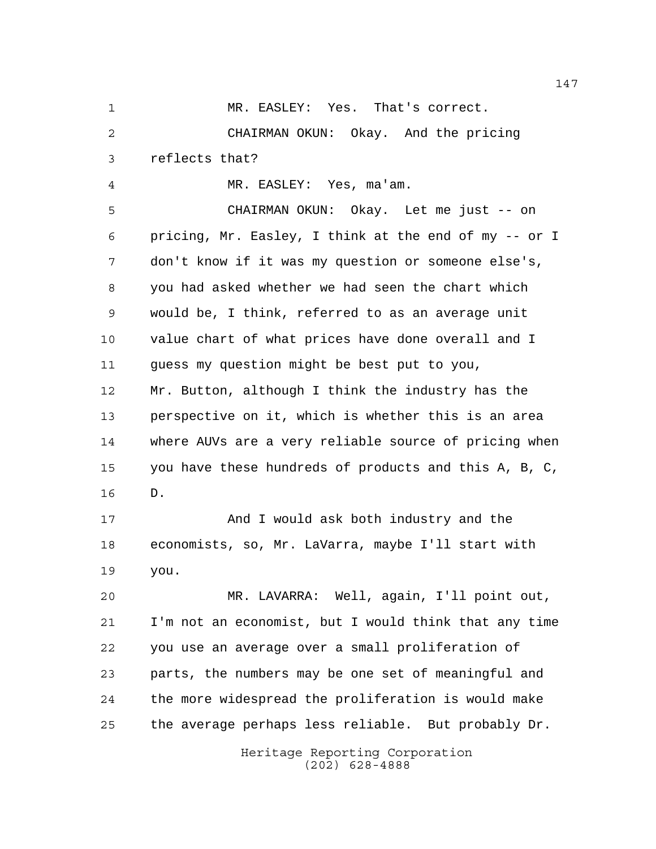MR. EASLEY: Yes. That's correct. CHAIRMAN OKUN: Okay. And the pricing reflects that? MR. EASLEY: Yes, ma'am.

 CHAIRMAN OKUN: Okay. Let me just -- on pricing, Mr. Easley, I think at the end of my -- or I don't know if it was my question or someone else's, you had asked whether we had seen the chart which would be, I think, referred to as an average unit value chart of what prices have done overall and I guess my question might be best put to you, Mr. Button, although I think the industry has the perspective on it, which is whether this is an area where AUVs are a very reliable source of pricing when you have these hundreds of products and this A, B, C, D.

 And I would ask both industry and the economists, so, Mr. LaVarra, maybe I'll start with you.

 MR. LAVARRA: Well, again, I'll point out, I'm not an economist, but I would think that any time you use an average over a small proliferation of parts, the numbers may be one set of meaningful and the more widespread the proliferation is would make the average perhaps less reliable. But probably Dr.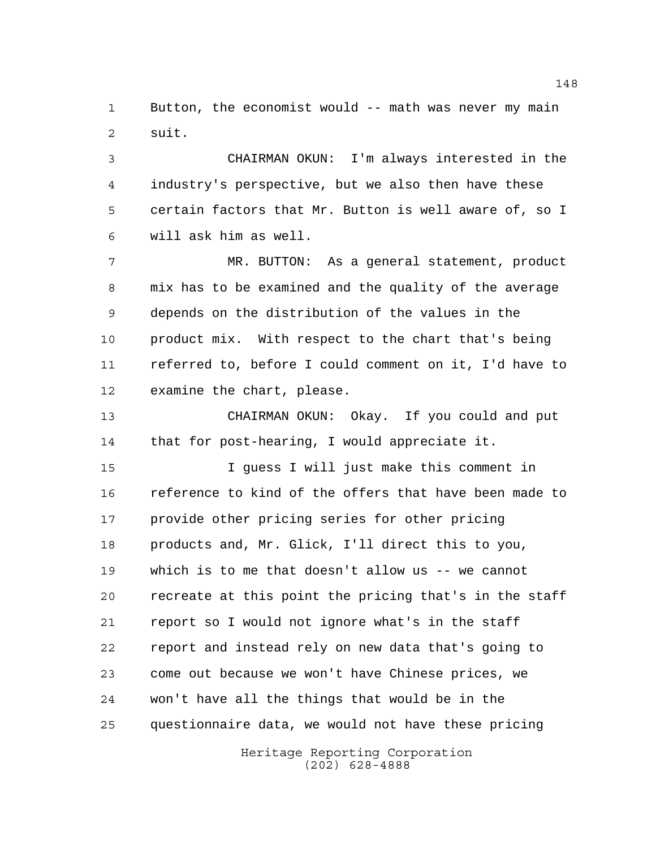Button, the economist would -- math was never my main suit.

 CHAIRMAN OKUN: I'm always interested in the industry's perspective, but we also then have these certain factors that Mr. Button is well aware of, so I will ask him as well.

 MR. BUTTON: As a general statement, product mix has to be examined and the quality of the average depends on the distribution of the values in the product mix. With respect to the chart that's being referred to, before I could comment on it, I'd have to examine the chart, please.

 CHAIRMAN OKUN: Okay. If you could and put that for post-hearing, I would appreciate it.

 I guess I will just make this comment in reference to kind of the offers that have been made to provide other pricing series for other pricing products and, Mr. Glick, I'll direct this to you, which is to me that doesn't allow us -- we cannot recreate at this point the pricing that's in the staff report so I would not ignore what's in the staff report and instead rely on new data that's going to come out because we won't have Chinese prices, we won't have all the things that would be in the questionnaire data, we would not have these pricing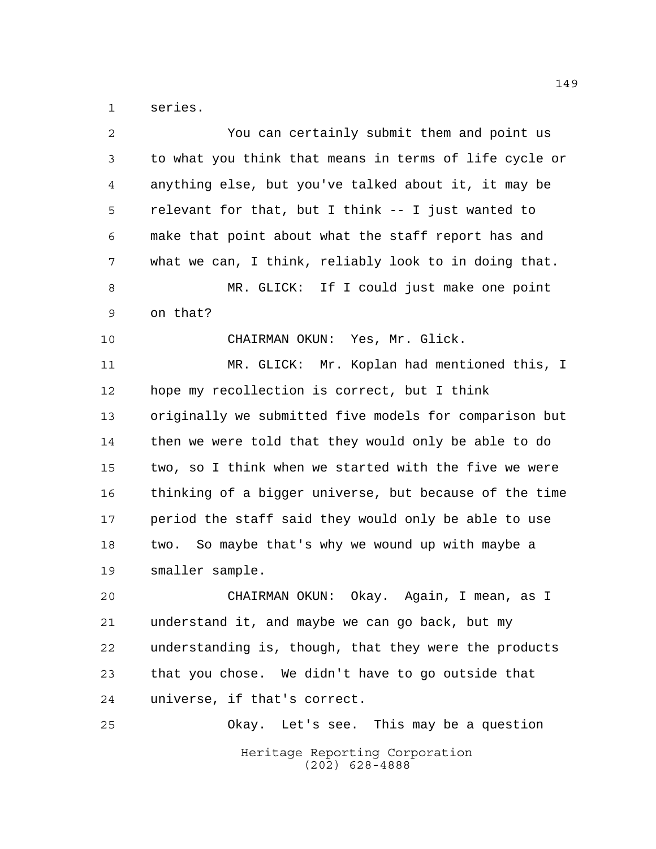series.

| 2  | You can certainly submit them and point us             |
|----|--------------------------------------------------------|
| 3  | to what you think that means in terms of life cycle or |
| 4  | anything else, but you've talked about it, it may be   |
| 5  | relevant for that, but I think -- I just wanted to     |
| 6  | make that point about what the staff report has and    |
| 7  | what we can, I think, reliably look to in doing that.  |
| 8  | MR. GLICK: If I could just make one point              |
| 9  | on that?                                               |
| 10 | CHAIRMAN OKUN: Yes, Mr. Glick.                         |
| 11 | MR. GLICK: Mr. Koplan had mentioned this, I            |
| 12 | hope my recollection is correct, but I think           |
| 13 | originally we submitted five models for comparison but |
| 14 | then we were told that they would only be able to do   |
| 15 | two, so I think when we started with the five we were  |
| 16 | thinking of a bigger universe, but because of the time |
| 17 | period the staff said they would only be able to use   |
| 18 | So maybe that's why we wound up with maybe a<br>two.   |
| 19 | smaller sample.                                        |
| 20 | CHAIRMAN OKUN: Okay. Again, I mean, as I               |
| 21 | understand it, and maybe we can go back, but my        |
| 22 | understanding is, though, that they were the products  |
| 23 | that you chose. We didn't have to go outside that      |
| 24 | universe, if that's correct.                           |
| 25 | Okay. Let's see. This may be a question                |
|    | Heritage Reporting Corporation<br>$(202)$ 628-4888     |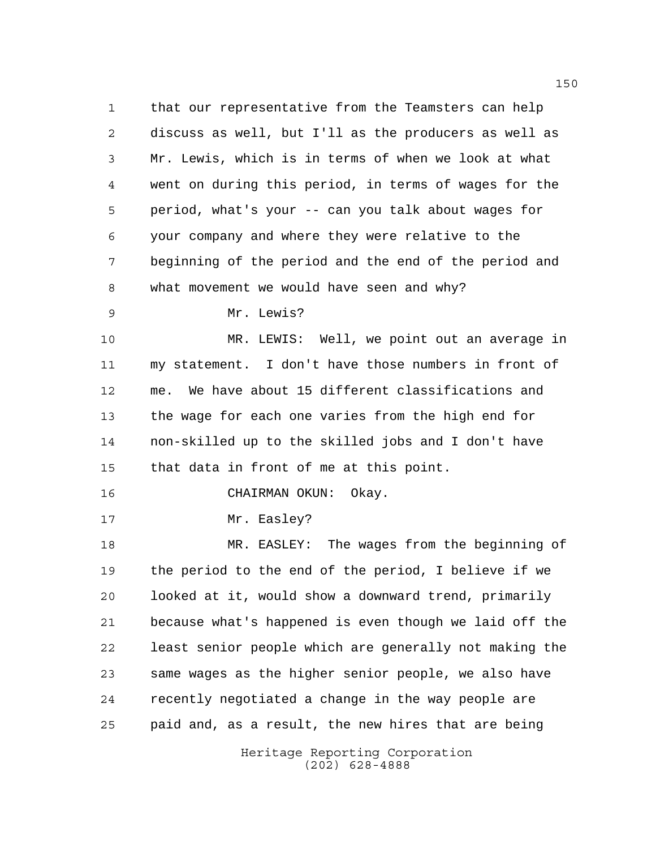that our representative from the Teamsters can help discuss as well, but I'll as the producers as well as Mr. Lewis, which is in terms of when we look at what went on during this period, in terms of wages for the period, what's your -- can you talk about wages for your company and where they were relative to the beginning of the period and the end of the period and what movement we would have seen and why?

Mr. Lewis?

 MR. LEWIS: Well, we point out an average in my statement. I don't have those numbers in front of me. We have about 15 different classifications and the wage for each one varies from the high end for non-skilled up to the skilled jobs and I don't have that data in front of me at this point.

CHAIRMAN OKUN: Okay.

17 Mr. Easley?

 MR. EASLEY: The wages from the beginning of the period to the end of the period, I believe if we looked at it, would show a downward trend, primarily because what's happened is even though we laid off the least senior people which are generally not making the same wages as the higher senior people, we also have recently negotiated a change in the way people are paid and, as a result, the new hires that are being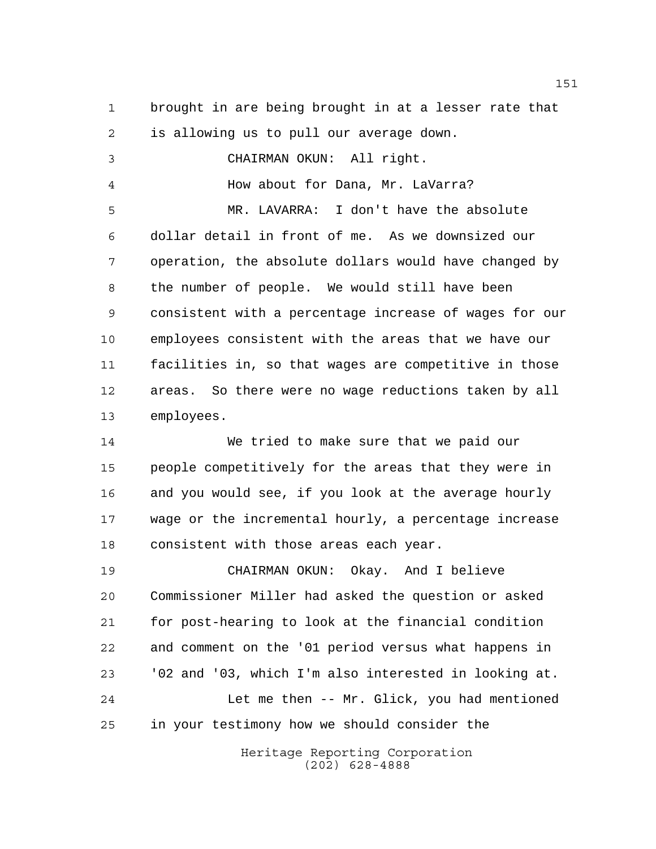brought in are being brought in at a lesser rate that is allowing us to pull our average down. CHAIRMAN OKUN: All right. How about for Dana, Mr. LaVarra? MR. LAVARRA: I don't have the absolute dollar detail in front of me. As we downsized our operation, the absolute dollars would have changed by the number of people. We would still have been consistent with a percentage increase of wages for our employees consistent with the areas that we have our facilities in, so that wages are competitive in those areas. So there were no wage reductions taken by all employees. We tried to make sure that we paid our people competitively for the areas that they were in and you would see, if you look at the average hourly wage or the incremental hourly, a percentage increase consistent with those areas each year.

 CHAIRMAN OKUN: Okay. And I believe Commissioner Miller had asked the question or asked for post-hearing to look at the financial condition and comment on the '01 period versus what happens in '02 and '03, which I'm also interested in looking at. Let me then -- Mr. Glick, you had mentioned in your testimony how we should consider the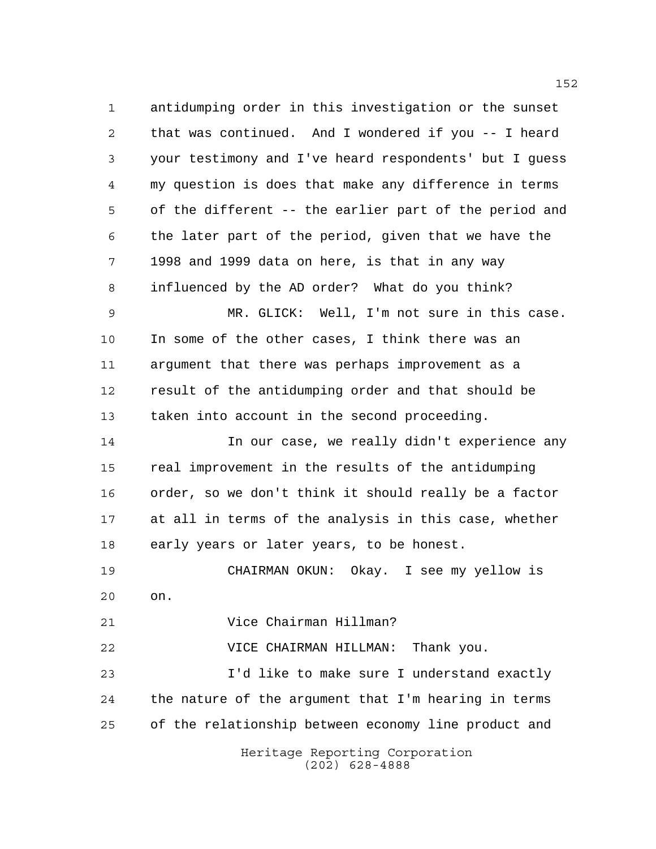antidumping order in this investigation or the sunset that was continued. And I wondered if you -- I heard your testimony and I've heard respondents' but I guess my question is does that make any difference in terms of the different -- the earlier part of the period and the later part of the period, given that we have the 1998 and 1999 data on here, is that in any way influenced by the AD order? What do you think?

 MR. GLICK: Well, I'm not sure in this case. In some of the other cases, I think there was an argument that there was perhaps improvement as a result of the antidumping order and that should be taken into account in the second proceeding.

 In our case, we really didn't experience any real improvement in the results of the antidumping order, so we don't think it should really be a factor at all in terms of the analysis in this case, whether early years or later years, to be honest.

 CHAIRMAN OKUN: Okay. I see my yellow is on.

Vice Chairman Hillman?

VICE CHAIRMAN HILLMAN: Thank you.

 I'd like to make sure I understand exactly the nature of the argument that I'm hearing in terms of the relationship between economy line product and

> Heritage Reporting Corporation (202) 628-4888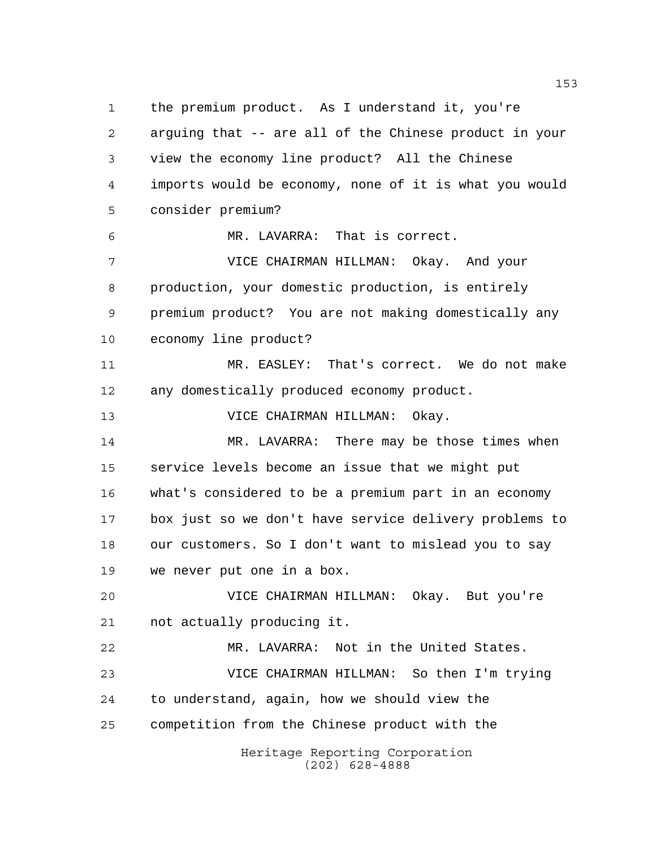Heritage Reporting Corporation (202) 628-4888 the premium product. As I understand it, you're arguing that -- are all of the Chinese product in your view the economy line product? All the Chinese imports would be economy, none of it is what you would consider premium? MR. LAVARRA: That is correct. VICE CHAIRMAN HILLMAN: Okay. And your production, your domestic production, is entirely premium product? You are not making domestically any economy line product? MR. EASLEY: That's correct. We do not make any domestically produced economy product. VICE CHAIRMAN HILLMAN: Okay. 14 MR. LAVARRA: There may be those times when service levels become an issue that we might put what's considered to be a premium part in an economy box just so we don't have service delivery problems to our customers. So I don't want to mislead you to say we never put one in a box. VICE CHAIRMAN HILLMAN: Okay. But you're not actually producing it. MR. LAVARRA: Not in the United States. VICE CHAIRMAN HILLMAN: So then I'm trying to understand, again, how we should view the competition from the Chinese product with the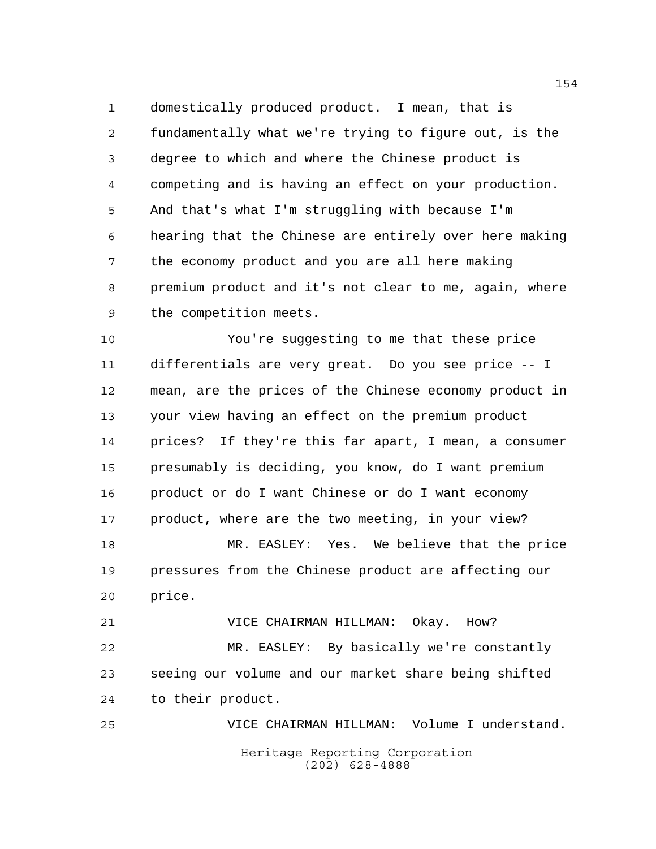domestically produced product. I mean, that is fundamentally what we're trying to figure out, is the degree to which and where the Chinese product is competing and is having an effect on your production. And that's what I'm struggling with because I'm hearing that the Chinese are entirely over here making the economy product and you are all here making premium product and it's not clear to me, again, where the competition meets.

 You're suggesting to me that these price differentials are very great. Do you see price -- I mean, are the prices of the Chinese economy product in your view having an effect on the premium product prices? If they're this far apart, I mean, a consumer presumably is deciding, you know, do I want premium product or do I want Chinese or do I want economy 17 product, where are the two meeting, in your view? MR. EASLEY: Yes. We believe that the price pressures from the Chinese product are affecting our

price.

 VICE CHAIRMAN HILLMAN: Okay. How? MR. EASLEY: By basically we're constantly seeing our volume and our market share being shifted to their product.

Heritage Reporting Corporation (202) 628-4888 VICE CHAIRMAN HILLMAN: Volume I understand.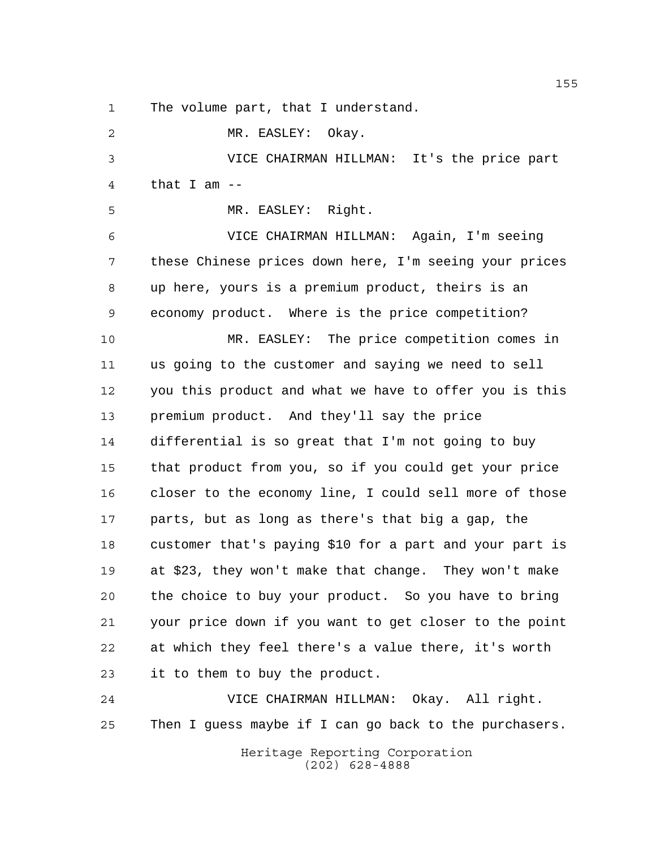The volume part, that I understand.

 MR. EASLEY: Okay. VICE CHAIRMAN HILLMAN: It's the price part that I am -- MR. EASLEY: Right. VICE CHAIRMAN HILLMAN: Again, I'm seeing these Chinese prices down here, I'm seeing your prices up here, yours is a premium product, theirs is an economy product. Where is the price competition? MR. EASLEY: The price competition comes in us going to the customer and saying we need to sell you this product and what we have to offer you is this premium product. And they'll say the price differential is so great that I'm not going to buy

 that product from you, so if you could get your price closer to the economy line, I could sell more of those parts, but as long as there's that big a gap, the customer that's paying \$10 for a part and your part is at \$23, they won't make that change. They won't make the choice to buy your product. So you have to bring your price down if you want to get closer to the point at which they feel there's a value there, it's worth it to them to buy the product.

 VICE CHAIRMAN HILLMAN: Okay. All right. Then I guess maybe if I can go back to the purchasers.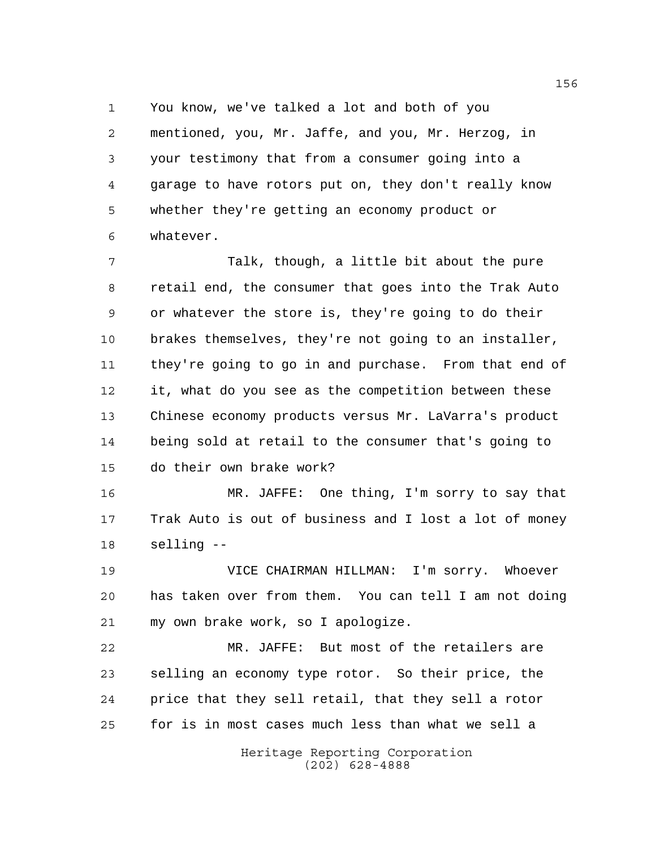You know, we've talked a lot and both of you

 mentioned, you, Mr. Jaffe, and you, Mr. Herzog, in your testimony that from a consumer going into a garage to have rotors put on, they don't really know whether they're getting an economy product or whatever.

 Talk, though, a little bit about the pure retail end, the consumer that goes into the Trak Auto or whatever the store is, they're going to do their brakes themselves, they're not going to an installer, they're going to go in and purchase. From that end of it, what do you see as the competition between these Chinese economy products versus Mr. LaVarra's product being sold at retail to the consumer that's going to do their own brake work?

 MR. JAFFE: One thing, I'm sorry to say that Trak Auto is out of business and I lost a lot of money selling --

 VICE CHAIRMAN HILLMAN: I'm sorry. Whoever has taken over from them. You can tell I am not doing my own brake work, so I apologize.

 MR. JAFFE: But most of the retailers are selling an economy type rotor. So their price, the price that they sell retail, that they sell a rotor for is in most cases much less than what we sell a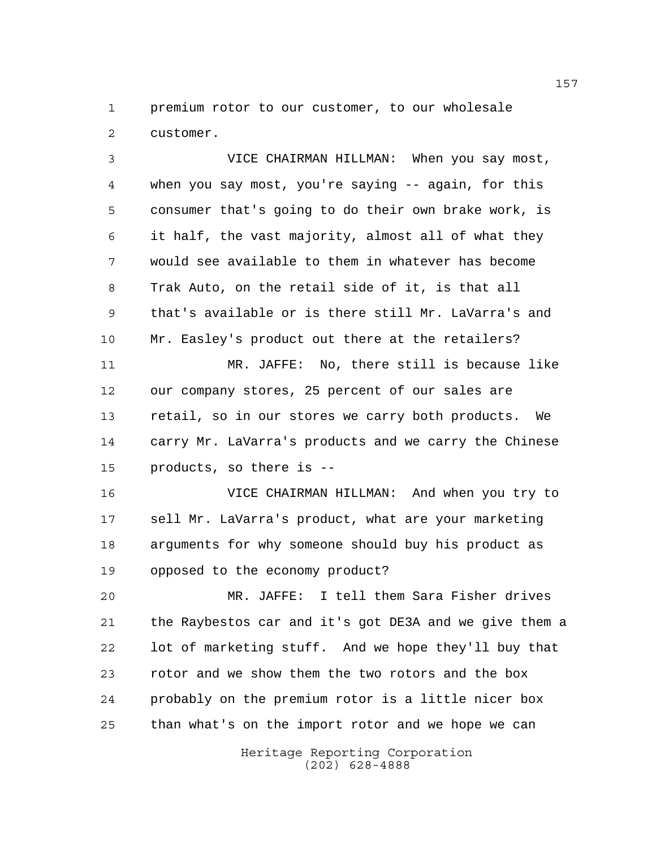premium rotor to our customer, to our wholesale customer.

 VICE CHAIRMAN HILLMAN: When you say most, when you say most, you're saying -- again, for this consumer that's going to do their own brake work, is it half, the vast majority, almost all of what they would see available to them in whatever has become Trak Auto, on the retail side of it, is that all that's available or is there still Mr. LaVarra's and Mr. Easley's product out there at the retailers? MR. JAFFE: No, there still is because like our company stores, 25 percent of our sales are retail, so in our stores we carry both products. We carry Mr. LaVarra's products and we carry the Chinese products, so there is -- VICE CHAIRMAN HILLMAN: And when you try to

 sell Mr. LaVarra's product, what are your marketing arguments for why someone should buy his product as opposed to the economy product?

 MR. JAFFE: I tell them Sara Fisher drives the Raybestos car and it's got DE3A and we give them a lot of marketing stuff. And we hope they'll buy that rotor and we show them the two rotors and the box probably on the premium rotor is a little nicer box than what's on the import rotor and we hope we can

> Heritage Reporting Corporation (202) 628-4888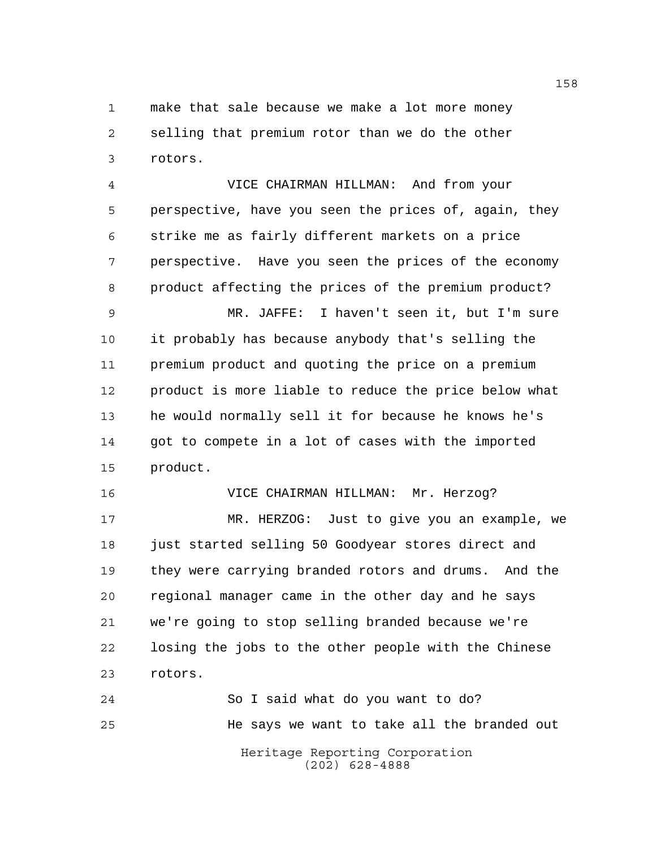make that sale because we make a lot more money selling that premium rotor than we do the other rotors.

 VICE CHAIRMAN HILLMAN: And from your perspective, have you seen the prices of, again, they strike me as fairly different markets on a price perspective. Have you seen the prices of the economy product affecting the prices of the premium product?

 MR. JAFFE: I haven't seen it, but I'm sure it probably has because anybody that's selling the premium product and quoting the price on a premium product is more liable to reduce the price below what he would normally sell it for because he knows he's got to compete in a lot of cases with the imported product.

 VICE CHAIRMAN HILLMAN: Mr. Herzog? MR. HERZOG: Just to give you an example, we just started selling 50 Goodyear stores direct and they were carrying branded rotors and drums. And the regional manager came in the other day and he says we're going to stop selling branded because we're losing the jobs to the other people with the Chinese rotors.

Heritage Reporting Corporation (202) 628-4888 So I said what do you want to do? He says we want to take all the branded out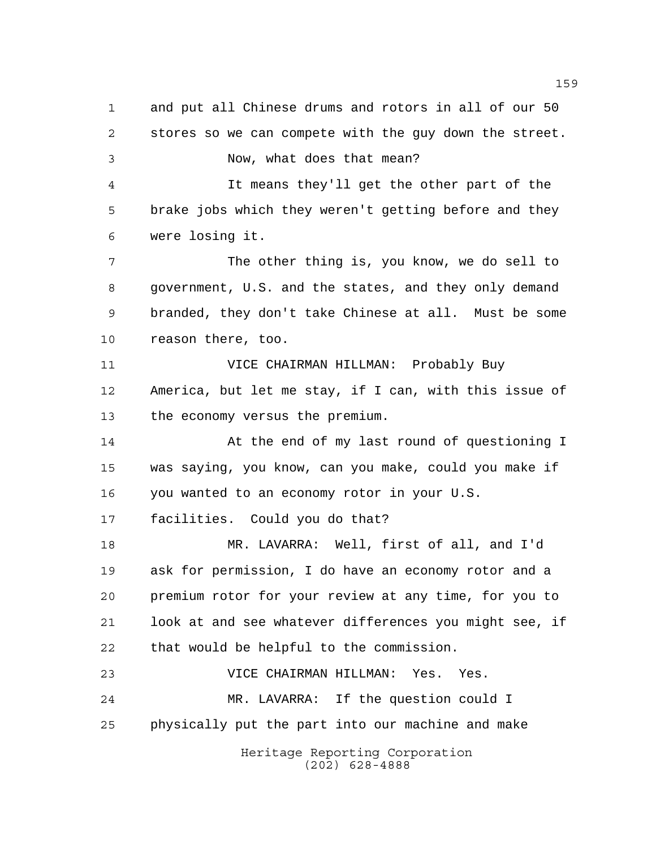Heritage Reporting Corporation and put all Chinese drums and rotors in all of our 50 stores so we can compete with the guy down the street. Now, what does that mean? It means they'll get the other part of the brake jobs which they weren't getting before and they were losing it. The other thing is, you know, we do sell to government, U.S. and the states, and they only demand branded, they don't take Chinese at all. Must be some reason there, too. VICE CHAIRMAN HILLMAN: Probably Buy America, but let me stay, if I can, with this issue of the economy versus the premium. At the end of my last round of questioning I was saying, you know, can you make, could you make if you wanted to an economy rotor in your U.S. facilities. Could you do that? MR. LAVARRA: Well, first of all, and I'd ask for permission, I do have an economy rotor and a premium rotor for your review at any time, for you to look at and see whatever differences you might see, if that would be helpful to the commission. VICE CHAIRMAN HILLMAN: Yes. Yes. MR. LAVARRA: If the question could I physically put the part into our machine and make

(202) 628-4888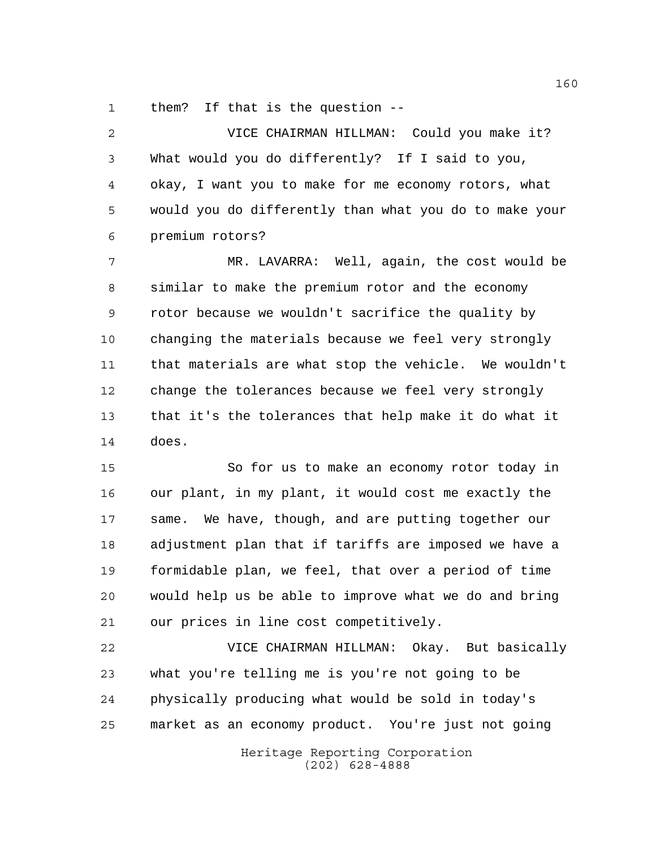them? If that is the question --

 VICE CHAIRMAN HILLMAN: Could you make it? What would you do differently? If I said to you, okay, I want you to make for me economy rotors, what would you do differently than what you do to make your premium rotors? MR. LAVARRA: Well, again, the cost would be

 similar to make the premium rotor and the economy rotor because we wouldn't sacrifice the quality by changing the materials because we feel very strongly that materials are what stop the vehicle. We wouldn't change the tolerances because we feel very strongly that it's the tolerances that help make it do what it does.

 So for us to make an economy rotor today in our plant, in my plant, it would cost me exactly the same. We have, though, and are putting together our adjustment plan that if tariffs are imposed we have a formidable plan, we feel, that over a period of time would help us be able to improve what we do and bring our prices in line cost competitively.

 VICE CHAIRMAN HILLMAN: Okay. But basically what you're telling me is you're not going to be physically producing what would be sold in today's market as an economy product. You're just not going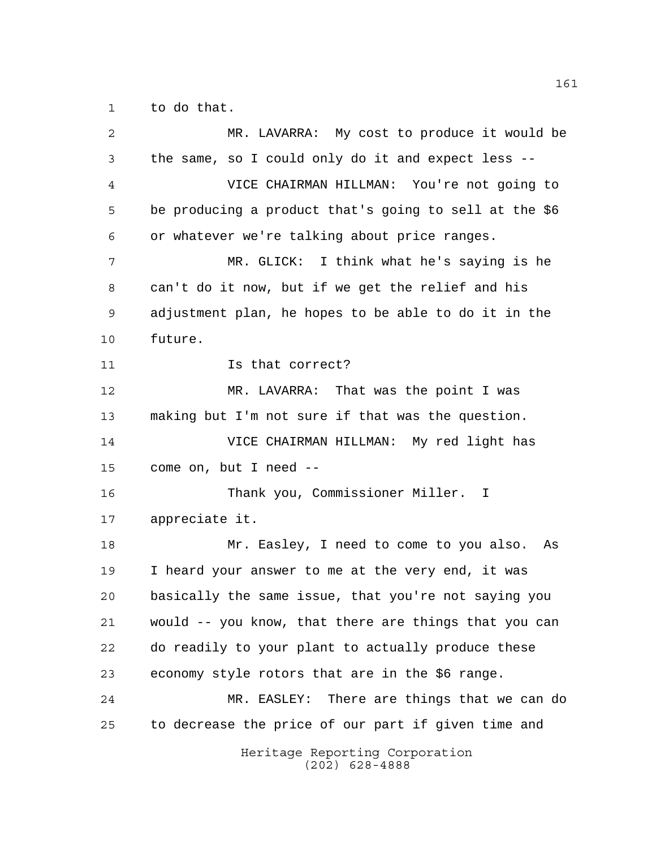to do that.

| 2  | MR. LAVARRA: My cost to produce it would be            |
|----|--------------------------------------------------------|
| 3  | the same, so I could only do it and expect less --     |
| 4  | VICE CHAIRMAN HILLMAN: You're not going to             |
| 5  | be producing a product that's going to sell at the \$6 |
| 6  | or whatever we're talking about price ranges.          |
| 7  | MR. GLICK: I think what he's saying is he              |
| 8  | can't do it now, but if we get the relief and his      |
| 9  | adjustment plan, he hopes to be able to do it in the   |
| 10 | future.                                                |
| 11 | Is that correct?                                       |
| 12 | MR. LAVARRA: That was the point I was                  |
| 13 | making but I'm not sure if that was the question.      |
| 14 | VICE CHAIRMAN HILLMAN: My red light has                |
| 15 | come on, but I need --                                 |
| 16 | Thank you, Commissioner Miller. I                      |
| 17 | appreciate it.                                         |
| 18 | Mr. Easley, I need to come to you also.<br>As          |
| 19 | I heard your answer to me at the very end, it was      |
| 20 | basically the same issue, that you're not saying you   |
| 21 | would -- you know, that there are things that you can  |
| 22 | do readily to your plant to actually produce these     |
| 23 | economy style rotors that are in the \$6 range.        |
| 24 | MR. EASLEY: There are things that we can do            |
| 25 | to decrease the price of our part if given time and    |
|    | Heritage Reporting Corporation<br>$(202)$ 628-4888     |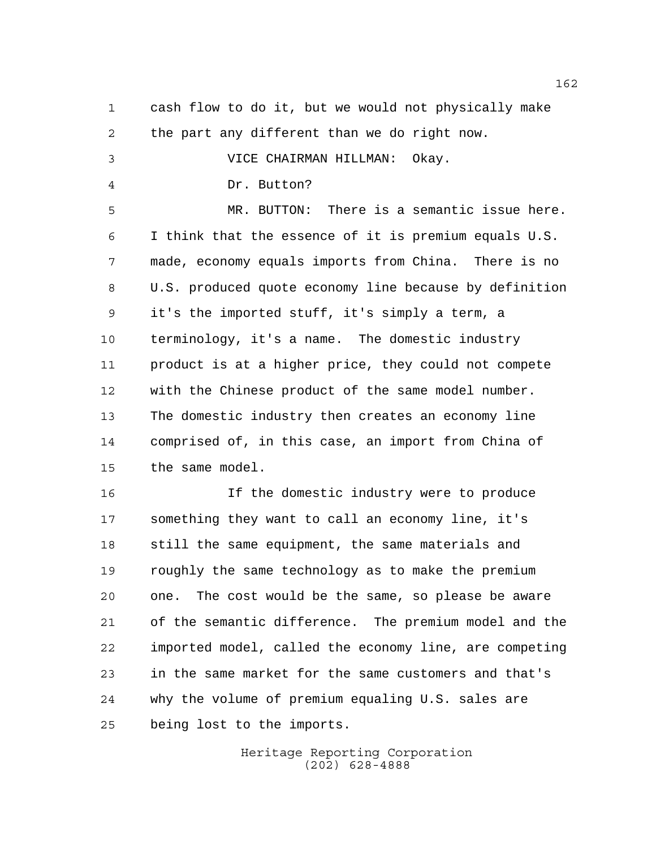cash flow to do it, but we would not physically make the part any different than we do right now. VICE CHAIRMAN HILLMAN: Okay. Dr. Button? MR. BUTTON: There is a semantic issue here. I think that the essence of it is premium equals U.S. made, economy equals imports from China. There is no U.S. produced quote economy line because by definition it's the imported stuff, it's simply a term, a terminology, it's a name. The domestic industry product is at a higher price, they could not compete with the Chinese product of the same model number. The domestic industry then creates an economy line comprised of, in this case, an import from China of the same model. If the domestic industry were to produce something they want to call an economy line, it's still the same equipment, the same materials and roughly the same technology as to make the premium

 one. The cost would be the same, so please be aware of the semantic difference. The premium model and the imported model, called the economy line, are competing in the same market for the same customers and that's why the volume of premium equaling U.S. sales are being lost to the imports.

> Heritage Reporting Corporation (202) 628-4888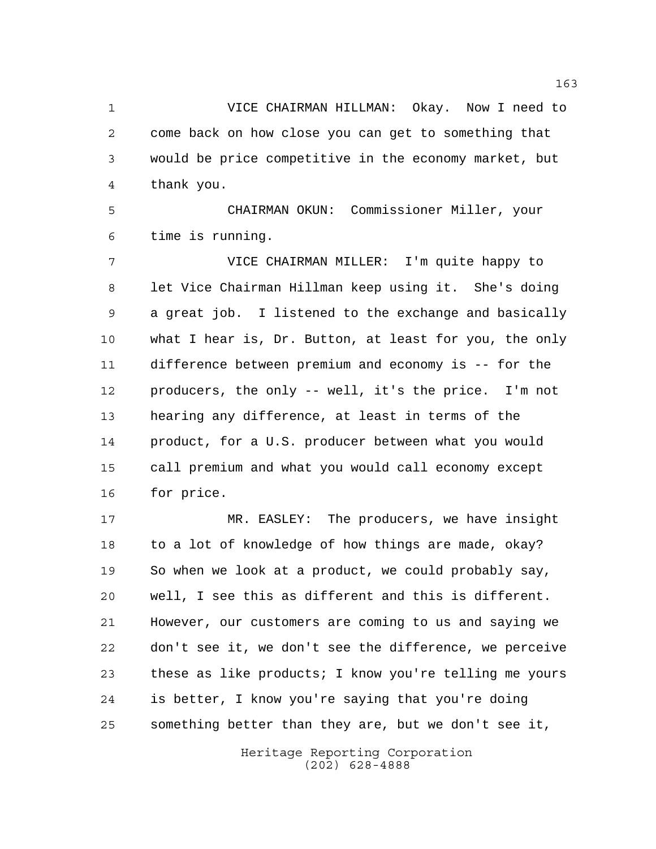VICE CHAIRMAN HILLMAN: Okay. Now I need to come back on how close you can get to something that would be price competitive in the economy market, but thank you.

 CHAIRMAN OKUN: Commissioner Miller, your time is running.

 VICE CHAIRMAN MILLER: I'm quite happy to let Vice Chairman Hillman keep using it. She's doing a great job. I listened to the exchange and basically what I hear is, Dr. Button, at least for you, the only difference between premium and economy is -- for the producers, the only -- well, it's the price. I'm not hearing any difference, at least in terms of the product, for a U.S. producer between what you would call premium and what you would call economy except for price.

 MR. EASLEY: The producers, we have insight to a lot of knowledge of how things are made, okay? So when we look at a product, we could probably say, well, I see this as different and this is different. However, our customers are coming to us and saying we don't see it, we don't see the difference, we perceive these as like products; I know you're telling me yours is better, I know you're saying that you're doing something better than they are, but we don't see it,

> Heritage Reporting Corporation (202) 628-4888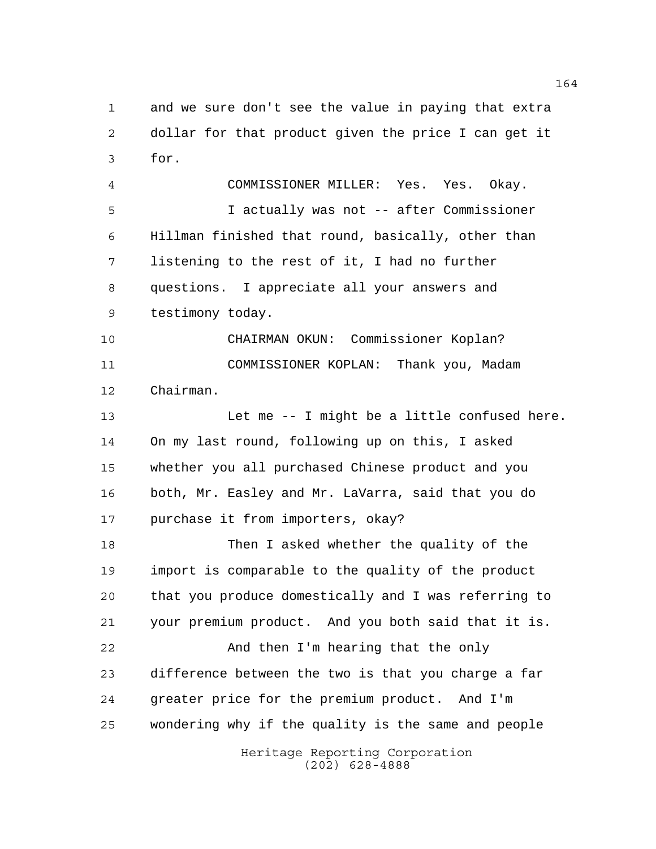and we sure don't see the value in paying that extra dollar for that product given the price I can get it for.

 COMMISSIONER MILLER: Yes. Yes. Okay. I actually was not -- after Commissioner Hillman finished that round, basically, other than listening to the rest of it, I had no further questions. I appreciate all your answers and testimony today.

 CHAIRMAN OKUN: Commissioner Koplan? COMMISSIONER KOPLAN: Thank you, Madam Chairman.

 Let me -- I might be a little confused here. On my last round, following up on this, I asked whether you all purchased Chinese product and you both, Mr. Easley and Mr. LaVarra, said that you do purchase it from importers, okay?

 Then I asked whether the quality of the import is comparable to the quality of the product that you produce domestically and I was referring to your premium product. And you both said that it is. And then I'm hearing that the only difference between the two is that you charge a far greater price for the premium product. And I'm wondering why if the quality is the same and people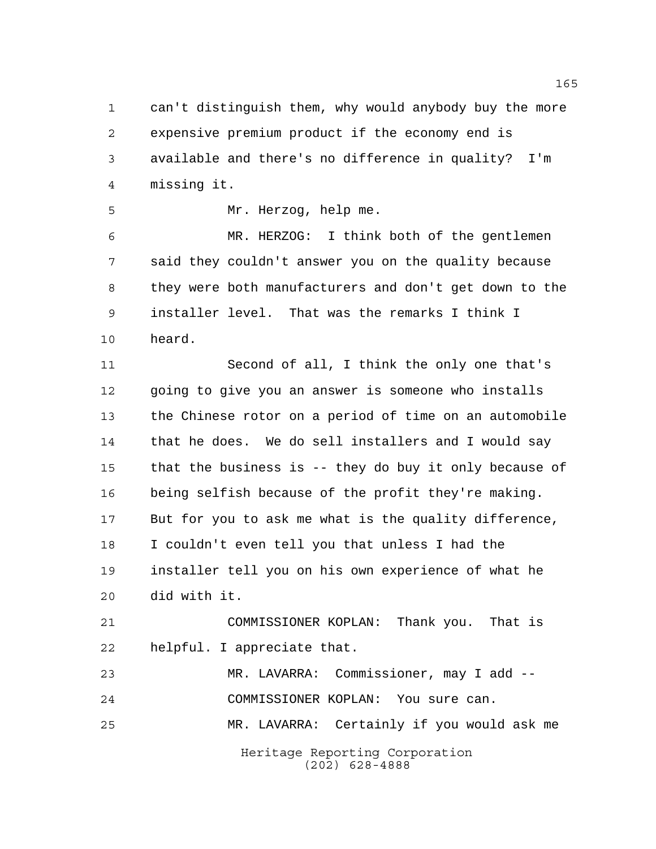can't distinguish them, why would anybody buy the more expensive premium product if the economy end is available and there's no difference in quality? I'm missing it.

Mr. Herzog, help me.

 MR. HERZOG: I think both of the gentlemen said they couldn't answer you on the quality because they were both manufacturers and don't get down to the installer level. That was the remarks I think I heard.

 Second of all, I think the only one that's going to give you an answer is someone who installs the Chinese rotor on a period of time on an automobile that he does. We do sell installers and I would say that the business is -- they do buy it only because of being selfish because of the profit they're making. But for you to ask me what is the quality difference, I couldn't even tell you that unless I had the installer tell you on his own experience of what he did with it.

 COMMISSIONER KOPLAN: Thank you. That is helpful. I appreciate that.

Heritage Reporting Corporation (202) 628-4888 MR. LAVARRA: Commissioner, may I add -- COMMISSIONER KOPLAN: You sure can. MR. LAVARRA: Certainly if you would ask me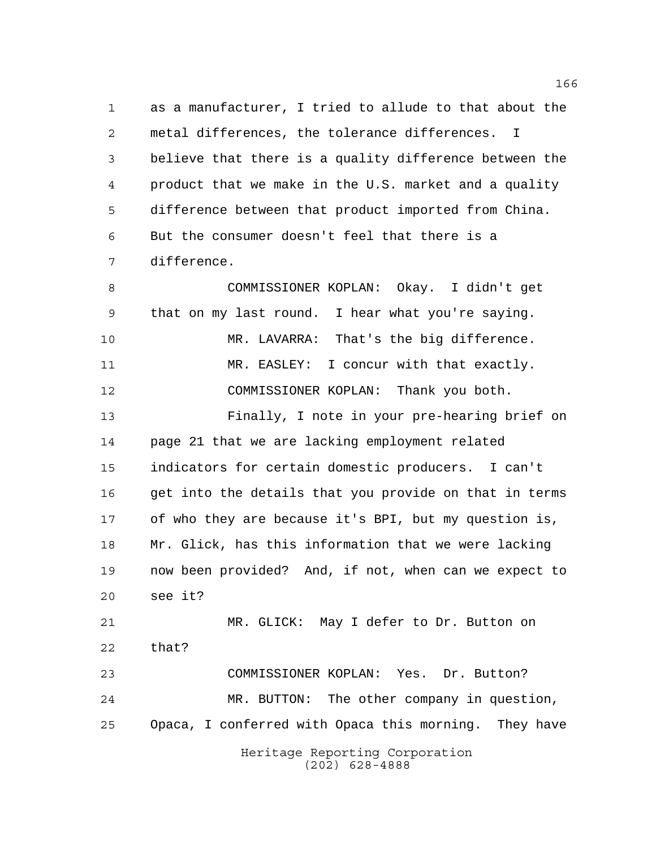as a manufacturer, I tried to allude to that about the metal differences, the tolerance differences. I believe that there is a quality difference between the product that we make in the U.S. market and a quality difference between that product imported from China. But the consumer doesn't feel that there is a difference.

Heritage Reporting Corporation COMMISSIONER KOPLAN: Okay. I didn't get that on my last round. I hear what you're saying. MR. LAVARRA: That's the big difference. 11 MR. EASLEY: I concur with that exactly. COMMISSIONER KOPLAN: Thank you both. Finally, I note in your pre-hearing brief on page 21 that we are lacking employment related indicators for certain domestic producers. I can't get into the details that you provide on that in terms of who they are because it's BPI, but my question is, Mr. Glick, has this information that we were lacking now been provided? And, if not, when can we expect to see it? MR. GLICK: May I defer to Dr. Button on that? COMMISSIONER KOPLAN: Yes. Dr. Button? MR. BUTTON: The other company in question, Opaca, I conferred with Opaca this morning. They have

(202) 628-4888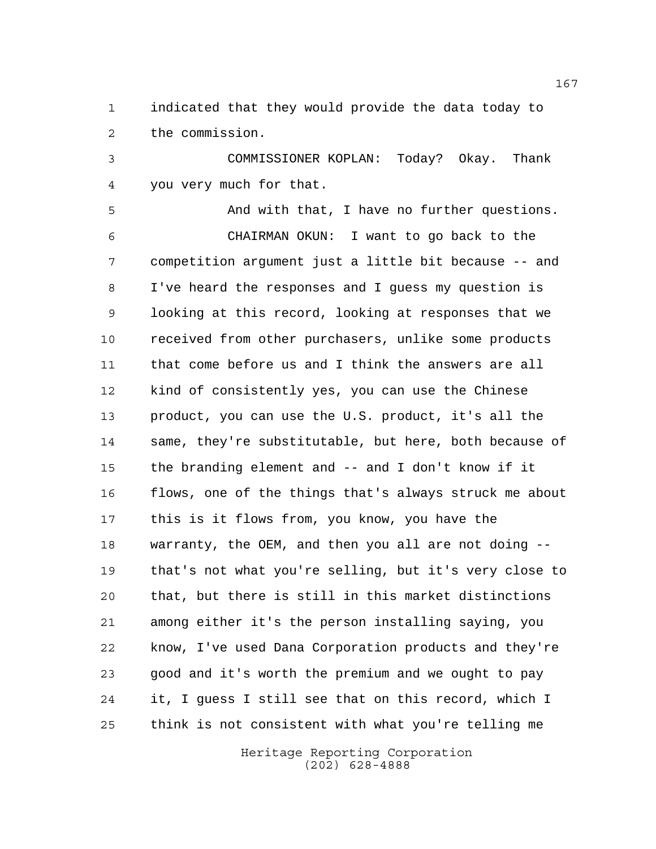indicated that they would provide the data today to the commission.

 COMMISSIONER KOPLAN: Today? Okay. Thank you very much for that.

 And with that, I have no further questions. CHAIRMAN OKUN: I want to go back to the competition argument just a little bit because -- and I've heard the responses and I guess my question is looking at this record, looking at responses that we received from other purchasers, unlike some products that come before us and I think the answers are all kind of consistently yes, you can use the Chinese product, you can use the U.S. product, it's all the same, they're substitutable, but here, both because of the branding element and -- and I don't know if it flows, one of the things that's always struck me about this is it flows from, you know, you have the warranty, the OEM, and then you all are not doing -- that's not what you're selling, but it's very close to that, but there is still in this market distinctions among either it's the person installing saying, you know, I've used Dana Corporation products and they're good and it's worth the premium and we ought to pay it, I guess I still see that on this record, which I think is not consistent with what you're telling me

> Heritage Reporting Corporation (202) 628-4888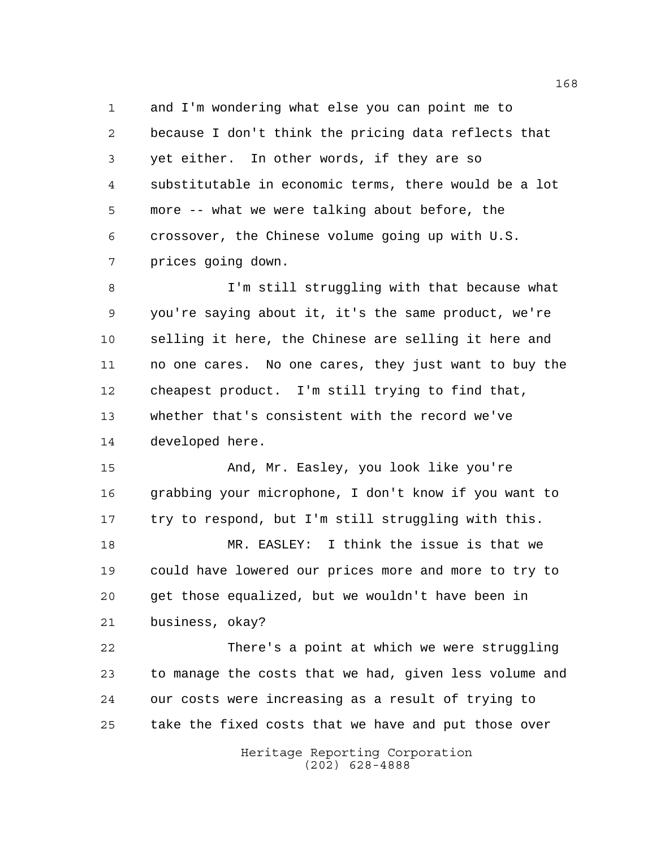and I'm wondering what else you can point me to because I don't think the pricing data reflects that yet either. In other words, if they are so substitutable in economic terms, there would be a lot more -- what we were talking about before, the crossover, the Chinese volume going up with U.S. prices going down.

 I'm still struggling with that because what you're saying about it, it's the same product, we're selling it here, the Chinese are selling it here and no one cares. No one cares, they just want to buy the cheapest product. I'm still trying to find that, whether that's consistent with the record we've developed here.

 And, Mr. Easley, you look like you're grabbing your microphone, I don't know if you want to try to respond, but I'm still struggling with this.

 MR. EASLEY: I think the issue is that we could have lowered our prices more and more to try to get those equalized, but we wouldn't have been in business, okay?

 There's a point at which we were struggling to manage the costs that we had, given less volume and our costs were increasing as a result of trying to take the fixed costs that we have and put those over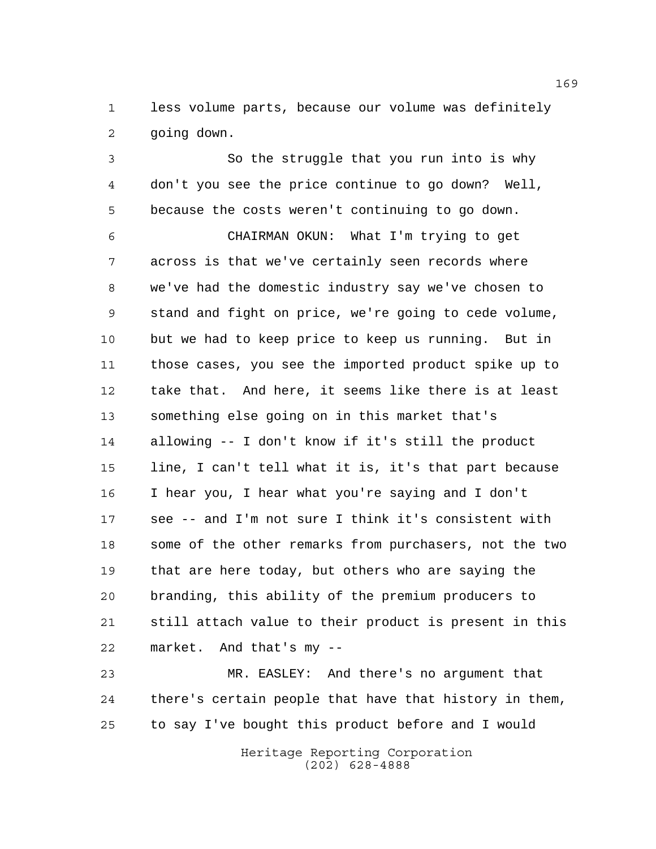less volume parts, because our volume was definitely going down.

 So the struggle that you run into is why don't you see the price continue to go down? Well, because the costs weren't continuing to go down.

 CHAIRMAN OKUN: What I'm trying to get across is that we've certainly seen records where we've had the domestic industry say we've chosen to stand and fight on price, we're going to cede volume, but we had to keep price to keep us running. But in those cases, you see the imported product spike up to take that. And here, it seems like there is at least something else going on in this market that's allowing -- I don't know if it's still the product line, I can't tell what it is, it's that part because I hear you, I hear what you're saying and I don't see -- and I'm not sure I think it's consistent with some of the other remarks from purchasers, not the two that are here today, but others who are saying the branding, this ability of the premium producers to still attach value to their product is present in this market. And that's my --

 MR. EASLEY: And there's no argument that there's certain people that have that history in them, to say I've bought this product before and I would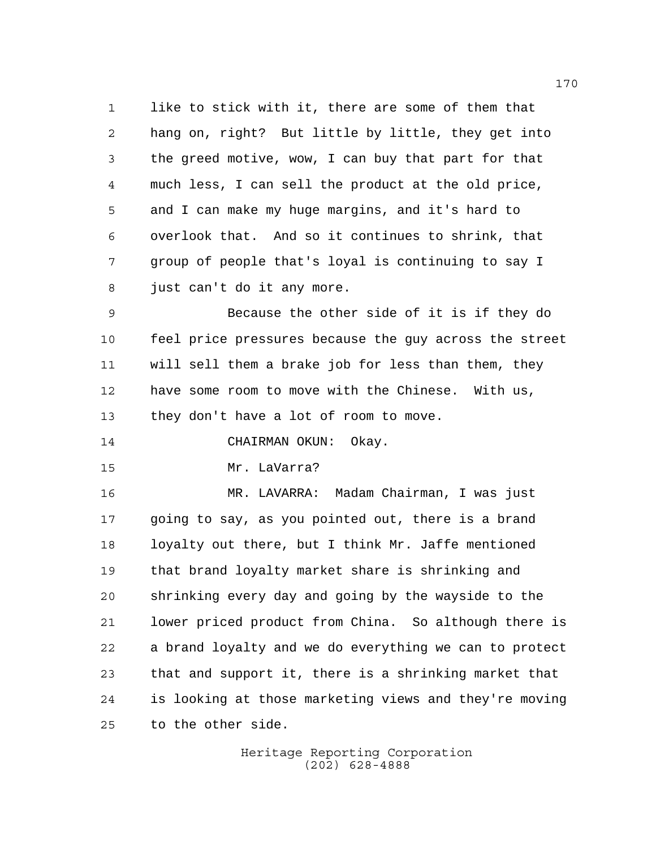like to stick with it, there are some of them that hang on, right? But little by little, they get into the greed motive, wow, I can buy that part for that much less, I can sell the product at the old price, and I can make my huge margins, and it's hard to overlook that. And so it continues to shrink, that group of people that's loyal is continuing to say I just can't do it any more.

 Because the other side of it is if they do feel price pressures because the guy across the street will sell them a brake job for less than them, they have some room to move with the Chinese. With us, they don't have a lot of room to move.

14 CHAIRMAN OKUN: Okay.

Mr. LaVarra?

 MR. LAVARRA: Madam Chairman, I was just going to say, as you pointed out, there is a brand loyalty out there, but I think Mr. Jaffe mentioned that brand loyalty market share is shrinking and shrinking every day and going by the wayside to the lower priced product from China. So although there is a brand loyalty and we do everything we can to protect that and support it, there is a shrinking market that is looking at those marketing views and they're moving to the other side.

> Heritage Reporting Corporation (202) 628-4888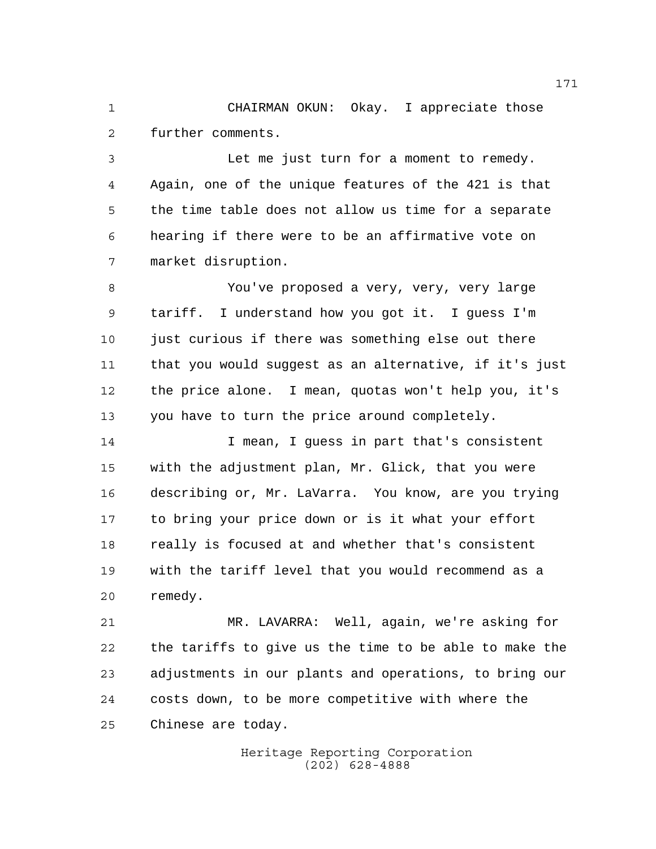CHAIRMAN OKUN: Okay. I appreciate those further comments.

 Let me just turn for a moment to remedy. Again, one of the unique features of the 421 is that the time table does not allow us time for a separate hearing if there were to be an affirmative vote on market disruption.

 You've proposed a very, very, very large tariff. I understand how you got it. I guess I'm just curious if there was something else out there that you would suggest as an alternative, if it's just the price alone. I mean, quotas won't help you, it's you have to turn the price around completely.

14 I mean, I guess in part that's consistent with the adjustment plan, Mr. Glick, that you were describing or, Mr. LaVarra. You know, are you trying to bring your price down or is it what your effort really is focused at and whether that's consistent with the tariff level that you would recommend as a remedy.

 MR. LAVARRA: Well, again, we're asking for the tariffs to give us the time to be able to make the adjustments in our plants and operations, to bring our costs down, to be more competitive with where the Chinese are today.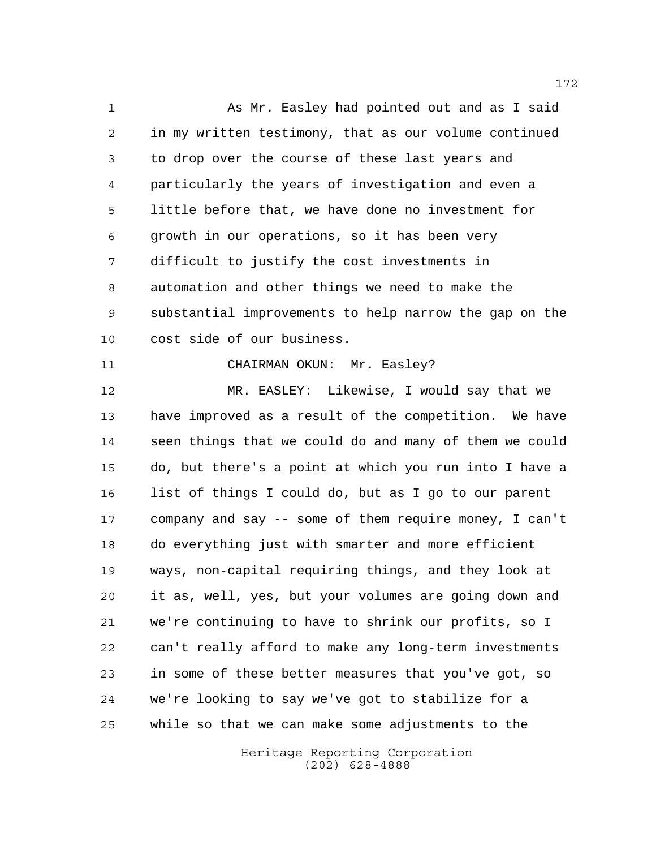As Mr. Easley had pointed out and as I said in my written testimony, that as our volume continued to drop over the course of these last years and particularly the years of investigation and even a little before that, we have done no investment for growth in our operations, so it has been very difficult to justify the cost investments in automation and other things we need to make the substantial improvements to help narrow the gap on the cost side of our business.

11 CHAIRMAN OKUN: Mr. Easley?

 MR. EASLEY: Likewise, I would say that we have improved as a result of the competition. We have seen things that we could do and many of them we could do, but there's a point at which you run into I have a list of things I could do, but as I go to our parent company and say -- some of them require money, I can't do everything just with smarter and more efficient ways, non-capital requiring things, and they look at it as, well, yes, but your volumes are going down and we're continuing to have to shrink our profits, so I can't really afford to make any long-term investments in some of these better measures that you've got, so we're looking to say we've got to stabilize for a while so that we can make some adjustments to the

> Heritage Reporting Corporation (202) 628-4888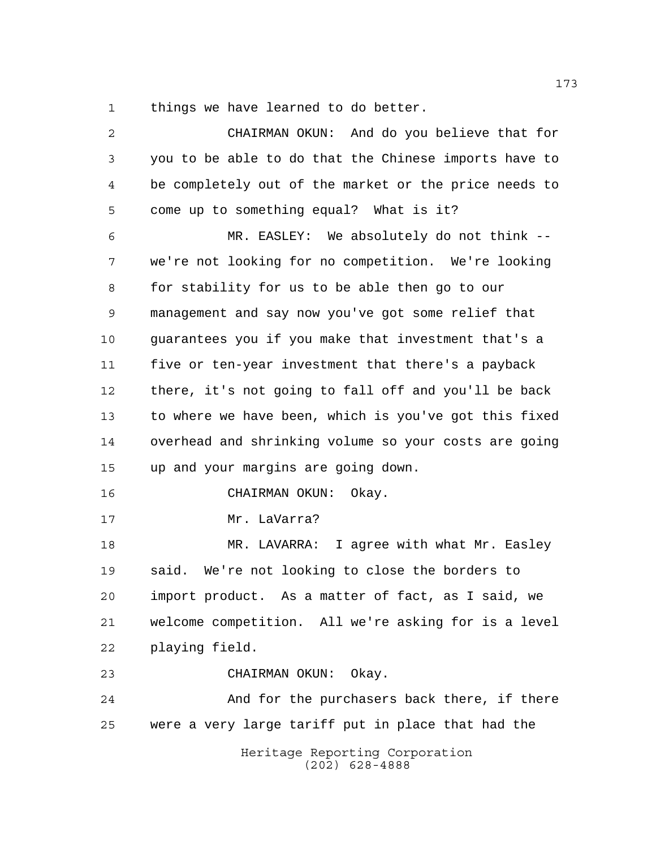things we have learned to do better.

| $\overline{2}$ | CHAIRMAN OKUN: And do you believe that for            |
|----------------|-------------------------------------------------------|
| 3              | you to be able to do that the Chinese imports have to |
| 4              | be completely out of the market or the price needs to |
| 5              | come up to something equal? What is it?               |
| 6              | MR. EASLEY: We absolutely do not think --             |
| 7              | we're not looking for no competition. We're looking   |
| 8              | for stability for us to be able then go to our        |
| 9              | management and say now you've got some relief that    |
| 10             | guarantees you if you make that investment that's a   |
| 11             | five or ten-year investment that there's a payback    |
| 12             | there, it's not going to fall off and you'll be back  |
| 13             | to where we have been, which is you've got this fixed |
| 14             | overhead and shrinking volume so your costs are going |
| 15             | up and your margins are going down.                   |
| 16             | CHAIRMAN OKUN:<br>Okay.                               |
| 17             | Mr. LaVarra?                                          |
| 18             | MR. LAVARRA: I agree with what Mr. Easley             |
| 19             | said. We're not looking to close the borders to       |
| 20             | import product. As a matter of fact, as I said, we    |
| 21             | welcome competition. All we're asking for is a level  |
| 22             | playing field.                                        |
| 23             | CHAIRMAN OKUN: Okay.                                  |
| 24             | And for the purchasers back there, if there           |
| 25             | were a very large tariff put in place that had the    |
|                | Heritage Reporting Corporation<br>$(202)$ 628-4888    |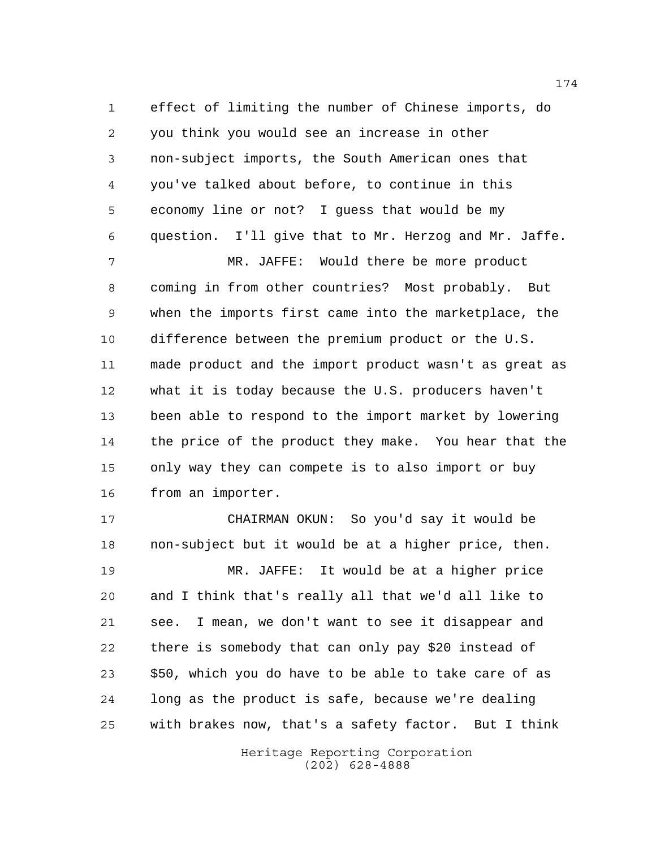effect of limiting the number of Chinese imports, do you think you would see an increase in other non-subject imports, the South American ones that you've talked about before, to continue in this economy line or not? I guess that would be my question. I'll give that to Mr. Herzog and Mr. Jaffe.

 MR. JAFFE: Would there be more product coming in from other countries? Most probably. But when the imports first came into the marketplace, the difference between the premium product or the U.S. made product and the import product wasn't as great as what it is today because the U.S. producers haven't been able to respond to the import market by lowering the price of the product they make. You hear that the only way they can compete is to also import or buy from an importer.

 CHAIRMAN OKUN: So you'd say it would be non-subject but it would be at a higher price, then. MR. JAFFE: It would be at a higher price and I think that's really all that we'd all like to see. I mean, we don't want to see it disappear and there is somebody that can only pay \$20 instead of \$50, which you do have to be able to take care of as long as the product is safe, because we're dealing with brakes now, that's a safety factor. But I think

> Heritage Reporting Corporation (202) 628-4888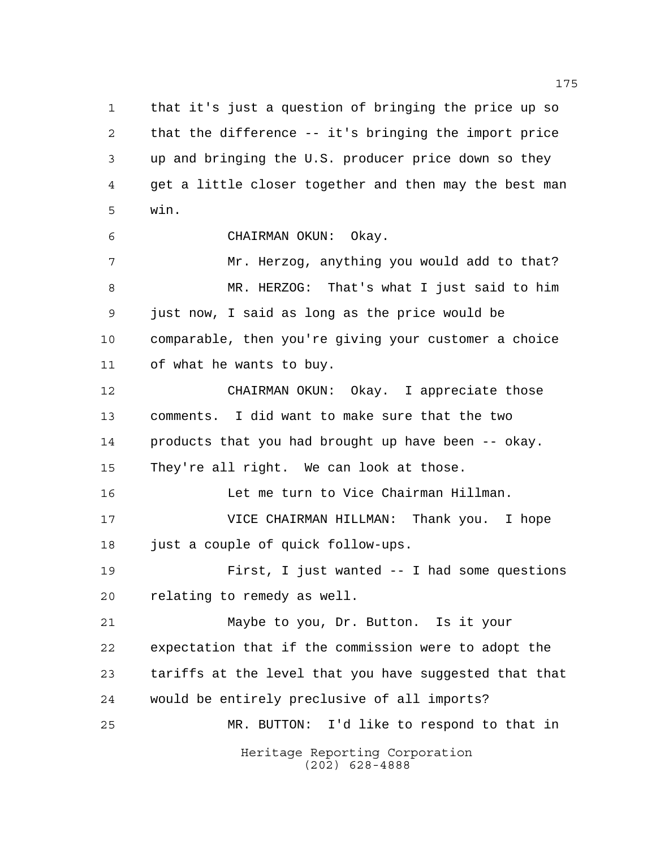that it's just a question of bringing the price up so that the difference -- it's bringing the import price up and bringing the U.S. producer price down so they get a little closer together and then may the best man win.

CHAIRMAN OKUN: Okay.

7 Mr. Herzog, anything you would add to that? MR. HERZOG: That's what I just said to him just now, I said as long as the price would be comparable, then you're giving your customer a choice of what he wants to buy.

 CHAIRMAN OKUN: Okay. I appreciate those comments. I did want to make sure that the two products that you had brought up have been -- okay. They're all right. We can look at those.

 Let me turn to Vice Chairman Hillman. VICE CHAIRMAN HILLMAN: Thank you. I hope

just a couple of quick follow-ups.

 First, I just wanted -- I had some questions relating to remedy as well.

 Maybe to you, Dr. Button. Is it your expectation that if the commission were to adopt the tariffs at the level that you have suggested that that would be entirely preclusive of all imports? MR. BUTTON: I'd like to respond to that in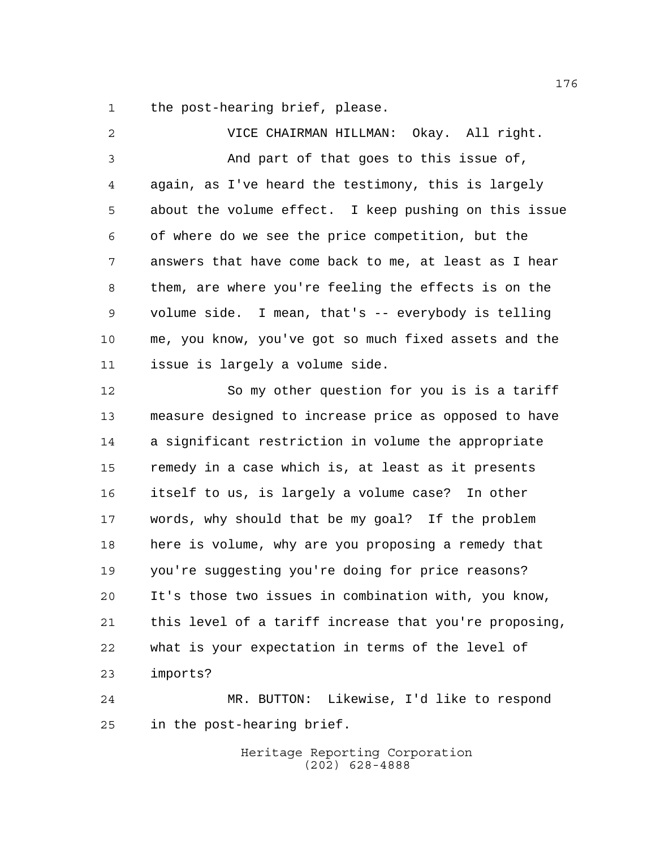the post-hearing brief, please.

 VICE CHAIRMAN HILLMAN: Okay. All right. And part of that goes to this issue of, again, as I've heard the testimony, this is largely about the volume effect. I keep pushing on this issue of where do we see the price competition, but the answers that have come back to me, at least as I hear them, are where you're feeling the effects is on the volume side. I mean, that's -- everybody is telling me, you know, you've got so much fixed assets and the issue is largely a volume side.

 So my other question for you is is a tariff measure designed to increase price as opposed to have a significant restriction in volume the appropriate remedy in a case which is, at least as it presents itself to us, is largely a volume case? In other words, why should that be my goal? If the problem here is volume, why are you proposing a remedy that you're suggesting you're doing for price reasons? It's those two issues in combination with, you know, this level of a tariff increase that you're proposing, what is your expectation in terms of the level of imports?

 MR. BUTTON: Likewise, I'd like to respond in the post-hearing brief.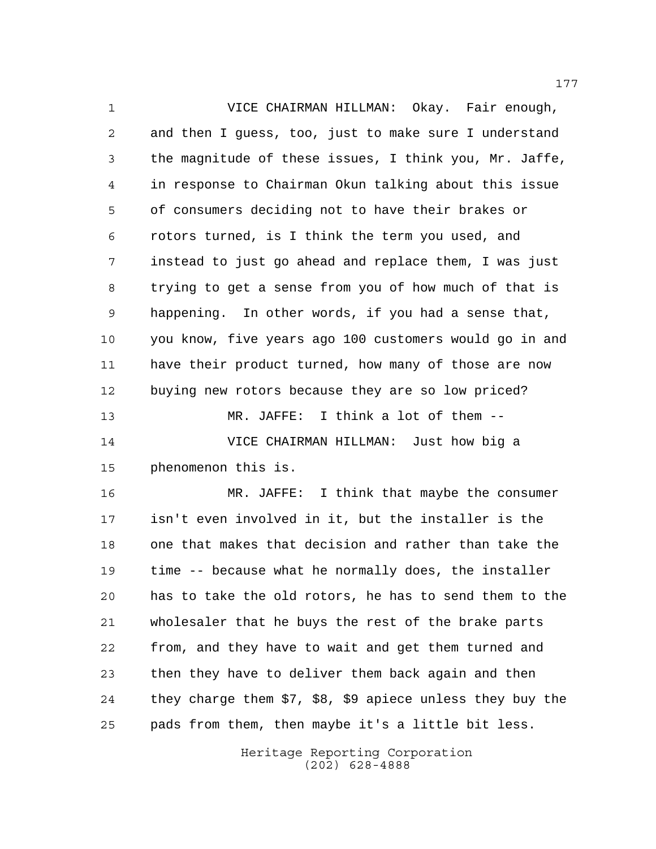VICE CHAIRMAN HILLMAN: Okay. Fair enough, and then I guess, too, just to make sure I understand the magnitude of these issues, I think you, Mr. Jaffe, in response to Chairman Okun talking about this issue of consumers deciding not to have their brakes or rotors turned, is I think the term you used, and instead to just go ahead and replace them, I was just trying to get a sense from you of how much of that is happening. In other words, if you had a sense that, you know, five years ago 100 customers would go in and have their product turned, how many of those are now buying new rotors because they are so low priced? MR. JAFFE: I think a lot of them -- VICE CHAIRMAN HILLMAN: Just how big a phenomenon this is.

 MR. JAFFE: I think that maybe the consumer isn't even involved in it, but the installer is the one that makes that decision and rather than take the time -- because what he normally does, the installer has to take the old rotors, he has to send them to the wholesaler that he buys the rest of the brake parts from, and they have to wait and get them turned and then they have to deliver them back again and then they charge them \$7, \$8, \$9 apiece unless they buy the pads from them, then maybe it's a little bit less.

> Heritage Reporting Corporation (202) 628-4888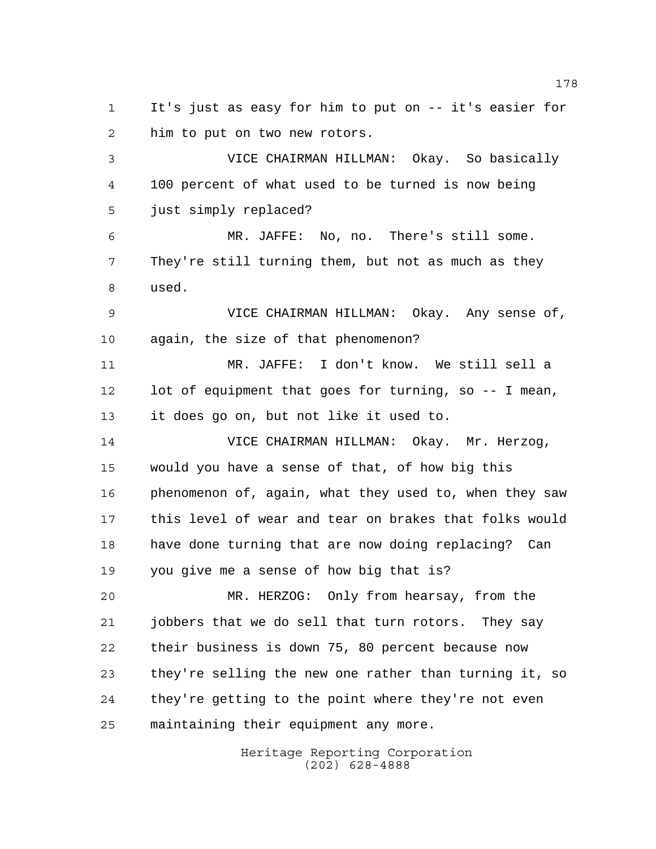It's just as easy for him to put on -- it's easier for him to put on two new rotors.

 VICE CHAIRMAN HILLMAN: Okay. So basically 100 percent of what used to be turned is now being just simply replaced?

 MR. JAFFE: No, no. There's still some. They're still turning them, but not as much as they used.

 VICE CHAIRMAN HILLMAN: Okay. Any sense of, again, the size of that phenomenon?

 MR. JAFFE: I don't know. We still sell a lot of equipment that goes for turning, so -- I mean, it does go on, but not like it used to.

 VICE CHAIRMAN HILLMAN: Okay. Mr. Herzog, would you have a sense of that, of how big this phenomenon of, again, what they used to, when they saw this level of wear and tear on brakes that folks would have done turning that are now doing replacing? Can you give me a sense of how big that is?

 MR. HERZOG: Only from hearsay, from the jobbers that we do sell that turn rotors. They say their business is down 75, 80 percent because now they're selling the new one rather than turning it, so they're getting to the point where they're not even maintaining their equipment any more.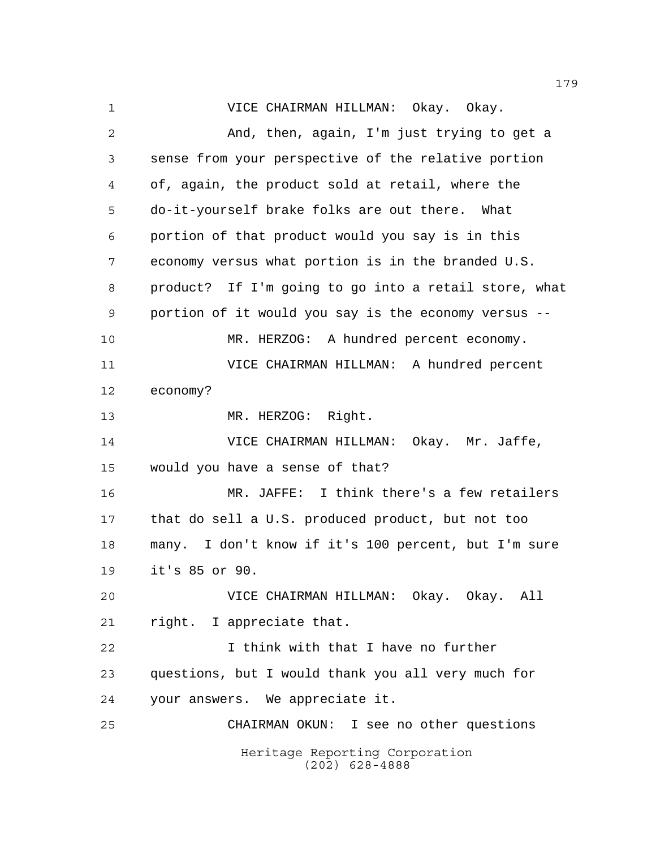Heritage Reporting Corporation (202) 628-4888 VICE CHAIRMAN HILLMAN: Okay. Okay. And, then, again, I'm just trying to get a sense from your perspective of the relative portion of, again, the product sold at retail, where the do-it-yourself brake folks are out there. What portion of that product would you say is in this economy versus what portion is in the branded U.S. product? If I'm going to go into a retail store, what portion of it would you say is the economy versus -- MR. HERZOG: A hundred percent economy. VICE CHAIRMAN HILLMAN: A hundred percent economy? 13 MR. HERZOG: Right. VICE CHAIRMAN HILLMAN: Okay. Mr. Jaffe, would you have a sense of that? MR. JAFFE: I think there's a few retailers that do sell a U.S. produced product, but not too many. I don't know if it's 100 percent, but I'm sure it's 85 or 90. VICE CHAIRMAN HILLMAN: Okay. Okay. All right. I appreciate that. I think with that I have no further questions, but I would thank you all very much for your answers. We appreciate it. CHAIRMAN OKUN: I see no other questions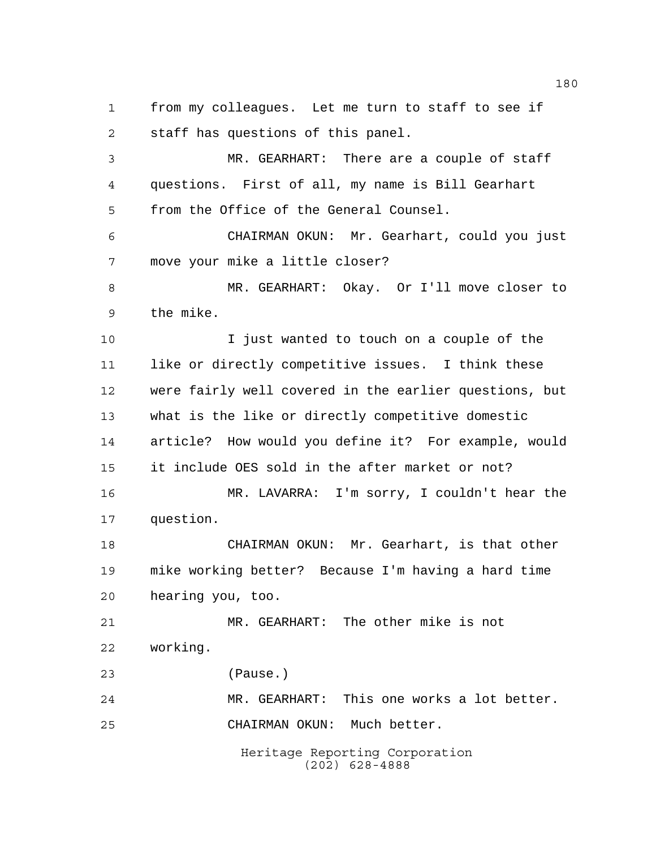from my colleagues. Let me turn to staff to see if staff has questions of this panel.

 MR. GEARHART: There are a couple of staff questions. First of all, my name is Bill Gearhart from the Office of the General Counsel.

 CHAIRMAN OKUN: Mr. Gearhart, could you just move your mike a little closer?

 MR. GEARHART: Okay. Or I'll move closer to the mike.

 I just wanted to touch on a couple of the like or directly competitive issues. I think these were fairly well covered in the earlier questions, but what is the like or directly competitive domestic article? How would you define it? For example, would it include OES sold in the after market or not? MR. LAVARRA: I'm sorry, I couldn't hear the

question.

 CHAIRMAN OKUN: Mr. Gearhart, is that other mike working better? Because I'm having a hard time hearing you, too.

 MR. GEARHART: The other mike is not working.

(Pause.)

Heritage Reporting Corporation MR. GEARHART: This one works a lot better. CHAIRMAN OKUN: Much better.

(202) 628-4888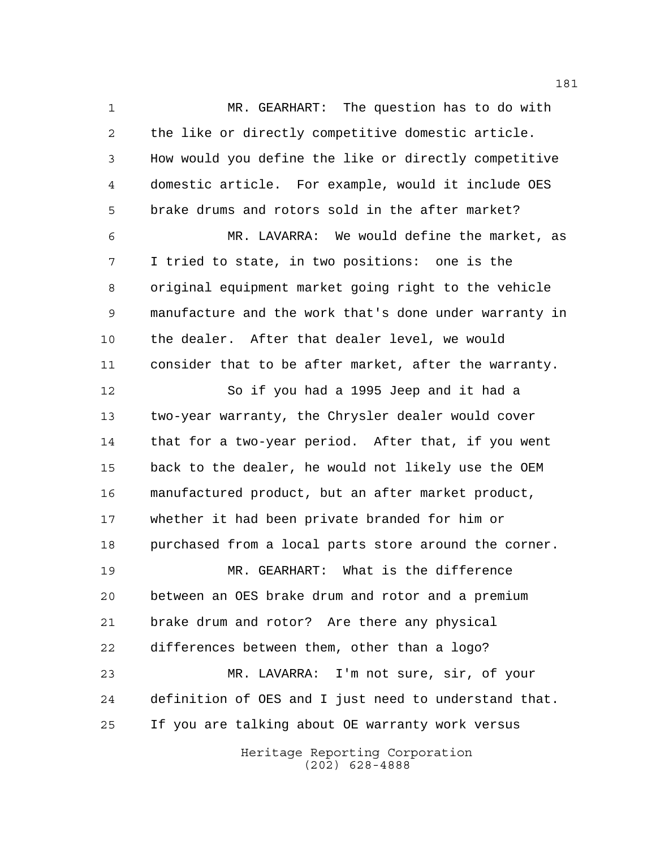MR. GEARHART: The question has to do with the like or directly competitive domestic article. How would you define the like or directly competitive domestic article. For example, would it include OES brake drums and rotors sold in the after market?

 MR. LAVARRA: We would define the market, as I tried to state, in two positions: one is the original equipment market going right to the vehicle manufacture and the work that's done under warranty in the dealer. After that dealer level, we would consider that to be after market, after the warranty.

 So if you had a 1995 Jeep and it had a two-year warranty, the Chrysler dealer would cover that for a two-year period. After that, if you went back to the dealer, he would not likely use the OEM manufactured product, but an after market product, whether it had been private branded for him or purchased from a local parts store around the corner.

 MR. GEARHART: What is the difference between an OES brake drum and rotor and a premium brake drum and rotor? Are there any physical differences between them, other than a logo? MR. LAVARRA: I'm not sure, sir, of your definition of OES and I just need to understand that. If you are talking about OE warranty work versus

> Heritage Reporting Corporation (202) 628-4888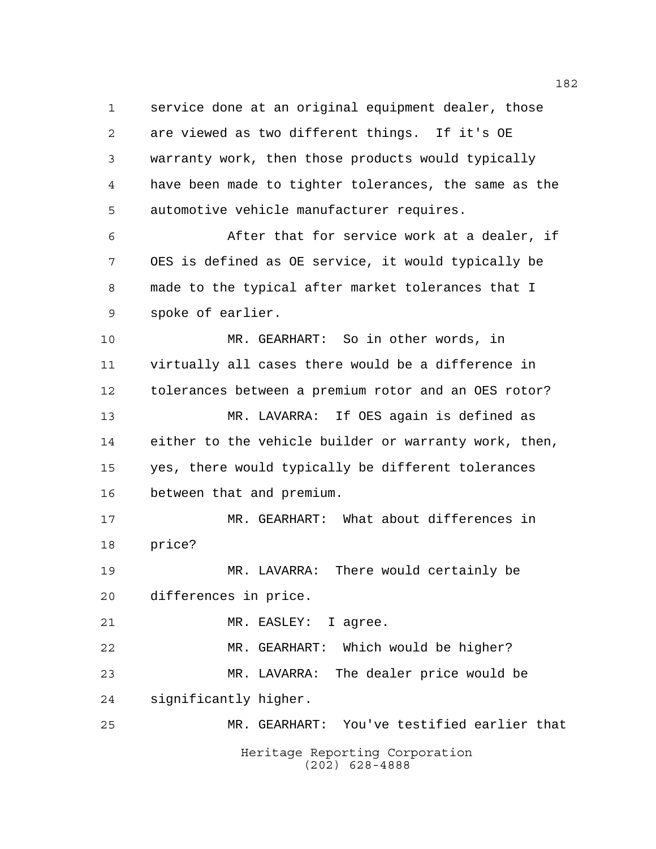service done at an original equipment dealer, those are viewed as two different things. If it's OE warranty work, then those products would typically have been made to tighter tolerances, the same as the automotive vehicle manufacturer requires. After that for service work at a dealer, if

 OES is defined as OE service, it would typically be made to the typical after market tolerances that I spoke of earlier.

 MR. GEARHART: So in other words, in virtually all cases there would be a difference in tolerances between a premium rotor and an OES rotor? MR. LAVARRA: If OES again is defined as either to the vehicle builder or warranty work, then, yes, there would typically be different tolerances between that and premium.

 MR. GEARHART: What about differences in price?

 MR. LAVARRA: There would certainly be differences in price.

MR. EASLEY: I agree.

 MR. GEARHART: Which would be higher? MR. LAVARRA: The dealer price would be significantly higher.

Heritage Reporting Corporation (202) 628-4888 MR. GEARHART: You've testified earlier that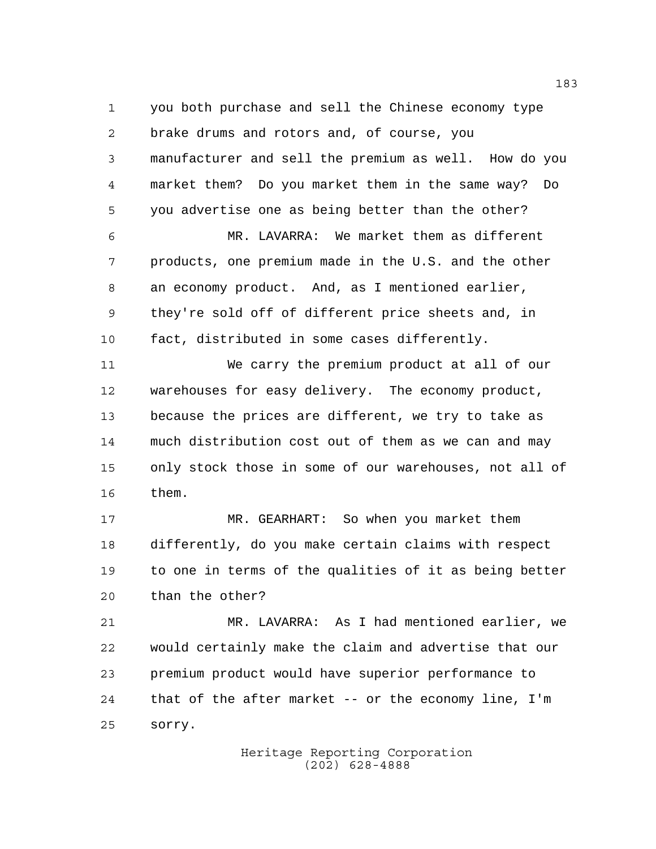you both purchase and sell the Chinese economy type brake drums and rotors and, of course, you manufacturer and sell the premium as well. How do you market them? Do you market them in the same way? Do you advertise one as being better than the other?

 MR. LAVARRA: We market them as different products, one premium made in the U.S. and the other an economy product. And, as I mentioned earlier, they're sold off of different price sheets and, in fact, distributed in some cases differently.

 We carry the premium product at all of our warehouses for easy delivery. The economy product, because the prices are different, we try to take as much distribution cost out of them as we can and may only stock those in some of our warehouses, not all of them.

 MR. GEARHART: So when you market them differently, do you make certain claims with respect to one in terms of the qualities of it as being better than the other?

 MR. LAVARRA: As I had mentioned earlier, we would certainly make the claim and advertise that our premium product would have superior performance to that of the after market -- or the economy line, I'm sorry.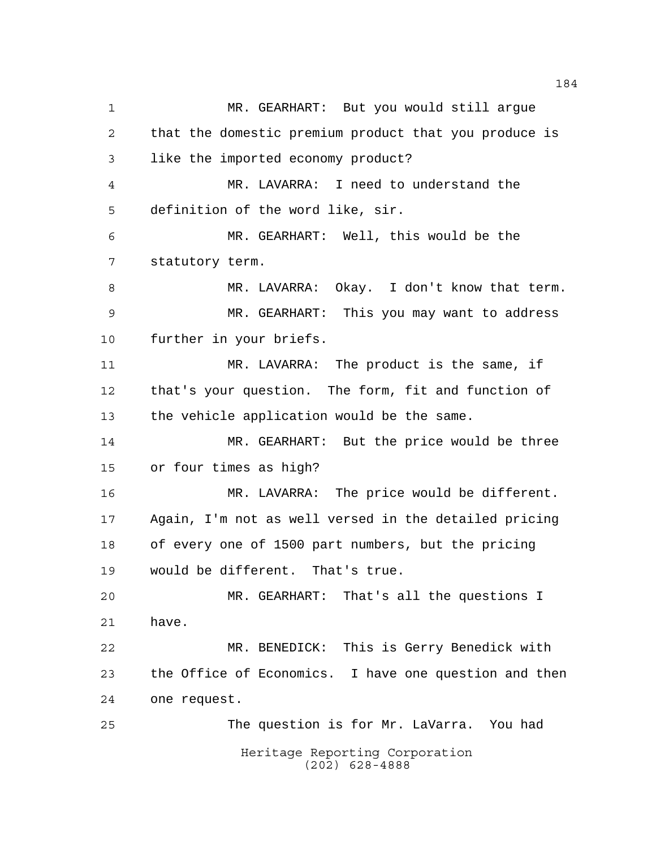Heritage Reporting Corporation (202) 628-4888 MR. GEARHART: But you would still argue that the domestic premium product that you produce is like the imported economy product? MR. LAVARRA: I need to understand the definition of the word like, sir. MR. GEARHART: Well, this would be the statutory term. MR. LAVARRA: Okay. I don't know that term. MR. GEARHART: This you may want to address further in your briefs. MR. LAVARRA: The product is the same, if that's your question. The form, fit and function of the vehicle application would be the same. MR. GEARHART: But the price would be three or four times as high? MR. LAVARRA: The price would be different. Again, I'm not as well versed in the detailed pricing of every one of 1500 part numbers, but the pricing would be different. That's true. MR. GEARHART: That's all the questions I have. MR. BENEDICK: This is Gerry Benedick with the Office of Economics. I have one question and then one request. The question is for Mr. LaVarra. You had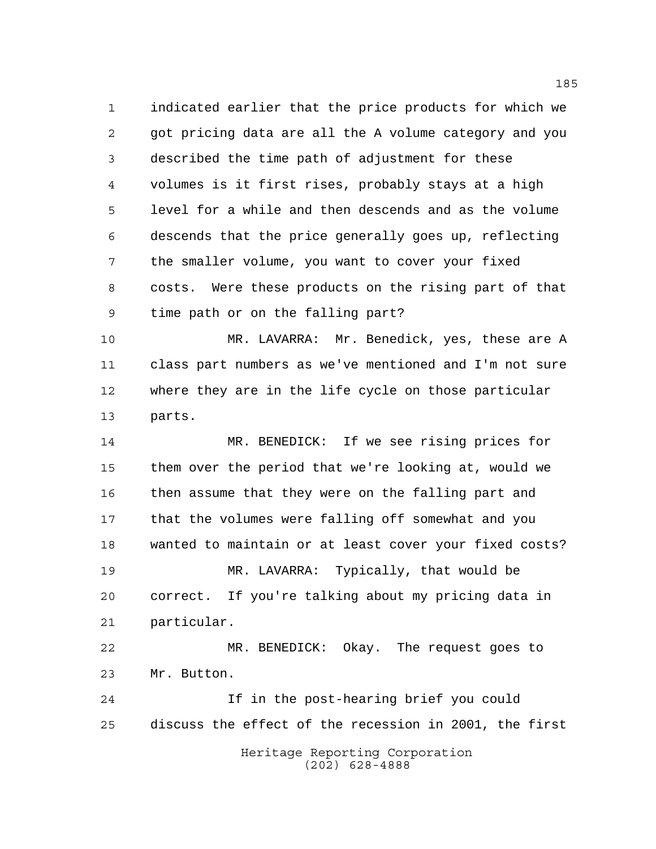indicated earlier that the price products for which we got pricing data are all the A volume category and you described the time path of adjustment for these volumes is it first rises, probably stays at a high level for a while and then descends and as the volume descends that the price generally goes up, reflecting the smaller volume, you want to cover your fixed costs. Were these products on the rising part of that time path or on the falling part?

 MR. LAVARRA: Mr. Benedick, yes, these are A class part numbers as we've mentioned and I'm not sure where they are in the life cycle on those particular parts.

 MR. BENEDICK: If we see rising prices for them over the period that we're looking at, would we 16 then assume that they were on the falling part and that the volumes were falling off somewhat and you wanted to maintain or at least cover your fixed costs? MR. LAVARRA: Typically, that would be correct. If you're talking about my pricing data in particular. MR. BENEDICK: Okay. The request goes to Mr. Button. If in the post-hearing brief you could discuss the effect of the recession in 2001, the first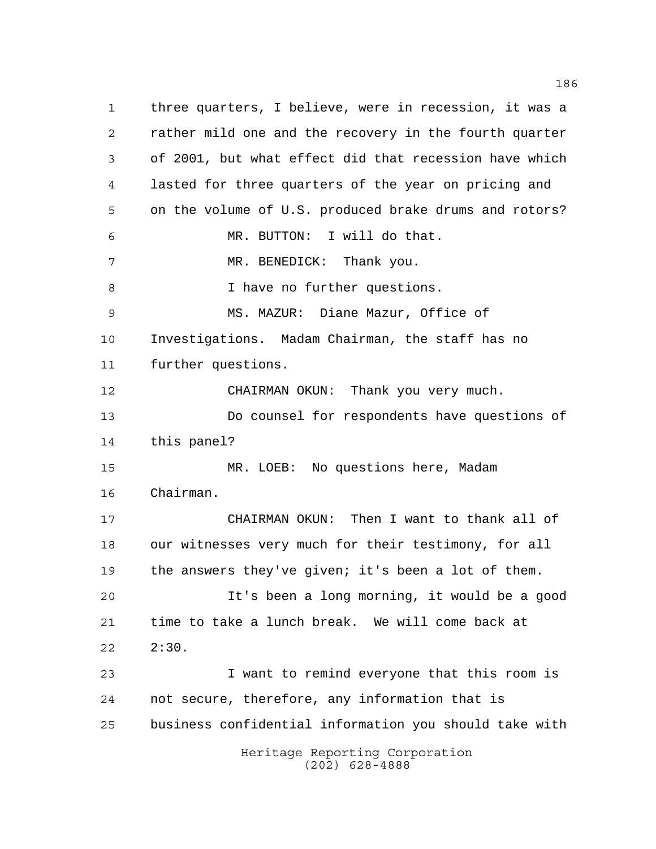Heritage Reporting Corporation (202) 628-4888 three quarters, I believe, were in recession, it was a rather mild one and the recovery in the fourth quarter of 2001, but what effect did that recession have which lasted for three quarters of the year on pricing and on the volume of U.S. produced brake drums and rotors? MR. BUTTON: I will do that. 7 MR. BENEDICK: Thank you. 8 I have no further questions. MS. MAZUR: Diane Mazur, Office of Investigations. Madam Chairman, the staff has no further questions. CHAIRMAN OKUN: Thank you very much. Do counsel for respondents have questions of this panel? MR. LOEB: No questions here, Madam Chairman. CHAIRMAN OKUN: Then I want to thank all of our witnesses very much for their testimony, for all 19 the answers they've given; it's been a lot of them. It's been a long morning, it would be a good time to take a lunch break. We will come back at 2:30. I want to remind everyone that this room is not secure, therefore, any information that is business confidential information you should take with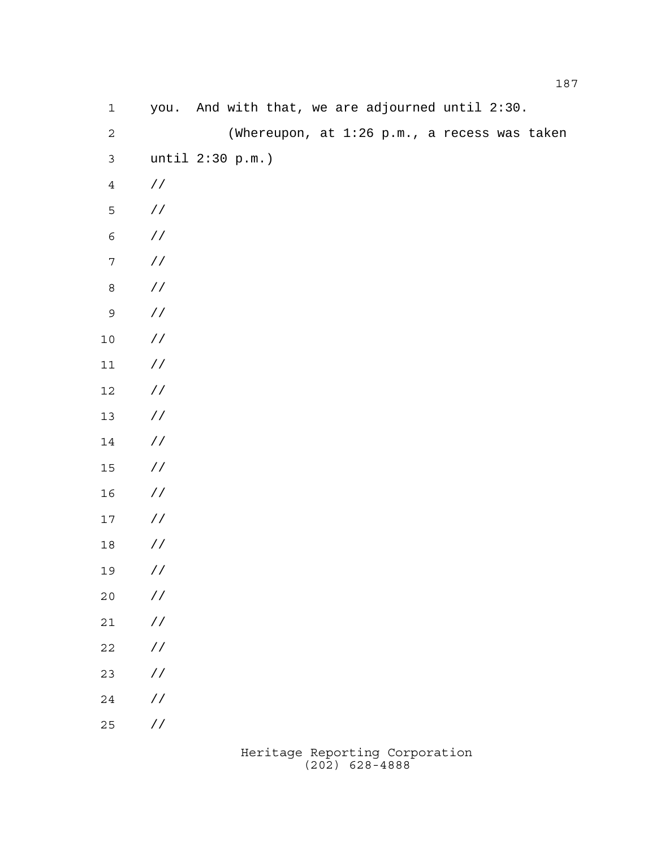| $\mathbf 1$      |                      |  |  |  | you. And with that, we are adjourned until 2:30. |  |
|------------------|----------------------|--|--|--|--------------------------------------------------|--|
| $\sqrt{2}$       |                      |  |  |  | (Whereupon, at 1:26 p.m., a recess was taken     |  |
| $\mathsf{3}$     | until 2:30 p.m.)     |  |  |  |                                                  |  |
| $\overline{4}$   | $\frac{\sqrt{2}}{2}$ |  |  |  |                                                  |  |
| 5                | $\!/\!$ /            |  |  |  |                                                  |  |
| $\epsilon$       | $\!/\!$ /            |  |  |  |                                                  |  |
| $\boldsymbol{7}$ | $\!/\!$              |  |  |  |                                                  |  |
| $\,8\,$          | $\!/\!$ /            |  |  |  |                                                  |  |
| $\mathsf 9$      | / $\!/$              |  |  |  |                                                  |  |
| $10$             | $\!/\!$              |  |  |  |                                                  |  |
| $11$             | $\!/\!$              |  |  |  |                                                  |  |
| $12$             | $\!/\!$              |  |  |  |                                                  |  |
| 13               | $\!/\!$              |  |  |  |                                                  |  |
| 14               | $\!/\!$              |  |  |  |                                                  |  |
| $15\,$           | $\!/\!$              |  |  |  |                                                  |  |
| 16               | $\!/\!$              |  |  |  |                                                  |  |
| $17$             | $\!/\!$              |  |  |  |                                                  |  |
| $18\,$           | $\frac{\sqrt{2}}{2}$ |  |  |  |                                                  |  |
| 19               | $\sqrt{2}$           |  |  |  |                                                  |  |
| $20$             | $\!/\!$ /            |  |  |  |                                                  |  |
| $2\sqrt{1}$      | / $\mskip 1mu /$     |  |  |  |                                                  |  |
| $2\sqrt{2}$      | / $\mskip 1mu /$     |  |  |  |                                                  |  |
| 23               | / $\mskip 1mu /$     |  |  |  |                                                  |  |
| $2\sqrt{4}$      | / $\mskip 1mu /$     |  |  |  |                                                  |  |
| 25               | $\!/\!$ /            |  |  |  |                                                  |  |
|                  |                      |  |  |  |                                                  |  |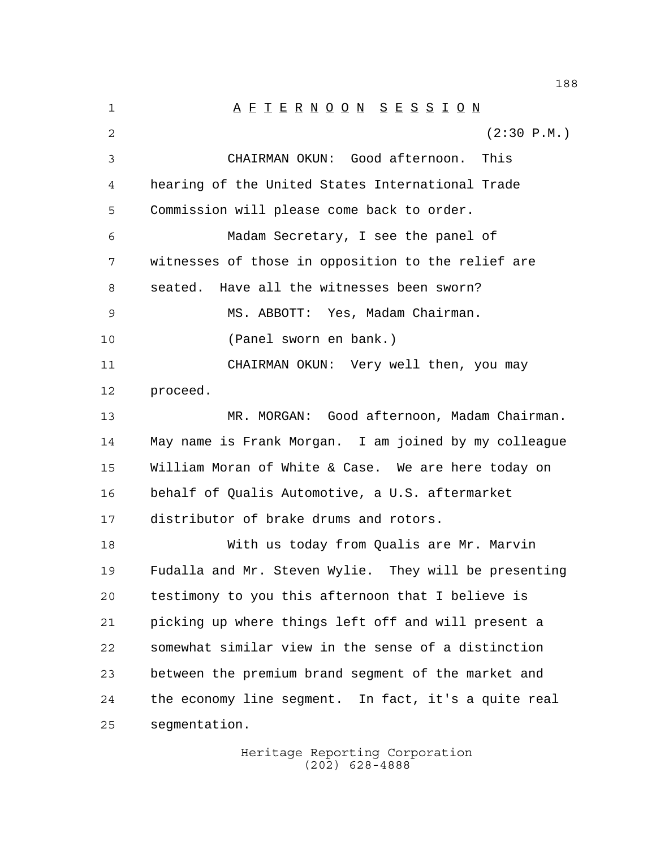1 A F T E R N O O N S E S S I O N (2:30 P.M.) CHAIRMAN OKUN: Good afternoon. This hearing of the United States International Trade Commission will please come back to order. Madam Secretary, I see the panel of witnesses of those in opposition to the relief are seated. Have all the witnesses been sworn? MS. ABBOTT: Yes, Madam Chairman. (Panel sworn en bank.) CHAIRMAN OKUN: Very well then, you may proceed. MR. MORGAN: Good afternoon, Madam Chairman. May name is Frank Morgan. I am joined by my colleague William Moran of White & Case. We are here today on behalf of Qualis Automotive, a U.S. aftermarket distributor of brake drums and rotors. With us today from Qualis are Mr. Marvin Fudalla and Mr. Steven Wylie. They will be presenting testimony to you this afternoon that I believe is picking up where things left off and will present a somewhat similar view in the sense of a distinction between the premium brand segment of the market and the economy line segment. In fact, it's a quite real segmentation.

> Heritage Reporting Corporation (202) 628-4888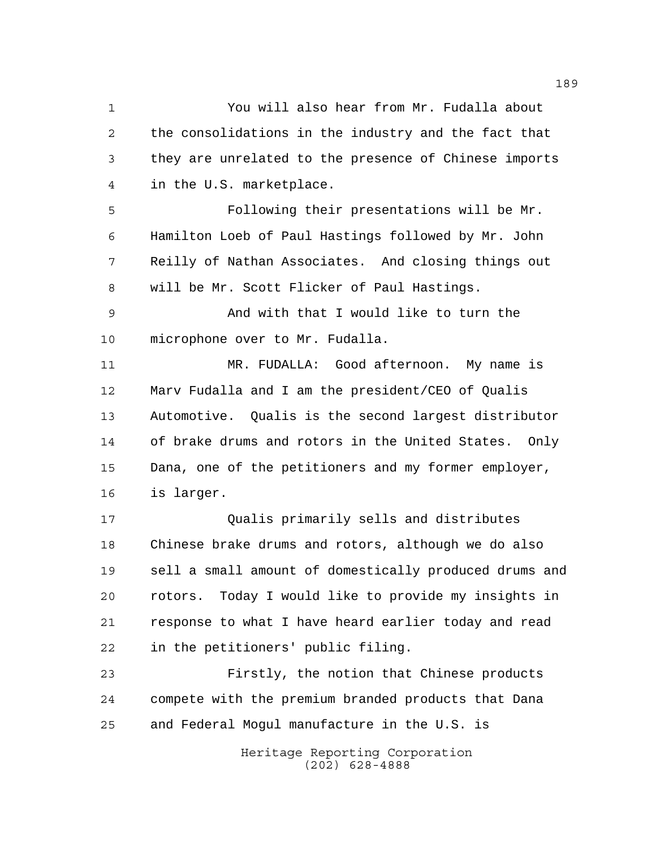You will also hear from Mr. Fudalla about the consolidations in the industry and the fact that they are unrelated to the presence of Chinese imports in the U.S. marketplace.

 Following their presentations will be Mr. Hamilton Loeb of Paul Hastings followed by Mr. John Reilly of Nathan Associates. And closing things out will be Mr. Scott Flicker of Paul Hastings.

 And with that I would like to turn the microphone over to Mr. Fudalla.

 MR. FUDALLA: Good afternoon. My name is Marv Fudalla and I am the president/CEO of Qualis Automotive. Qualis is the second largest distributor of brake drums and rotors in the United States. Only Dana, one of the petitioners and my former employer, is larger.

 Qualis primarily sells and distributes Chinese brake drums and rotors, although we do also sell a small amount of domestically produced drums and rotors. Today I would like to provide my insights in response to what I have heard earlier today and read in the petitioners' public filing.

 Firstly, the notion that Chinese products compete with the premium branded products that Dana and Federal Mogul manufacture in the U.S. is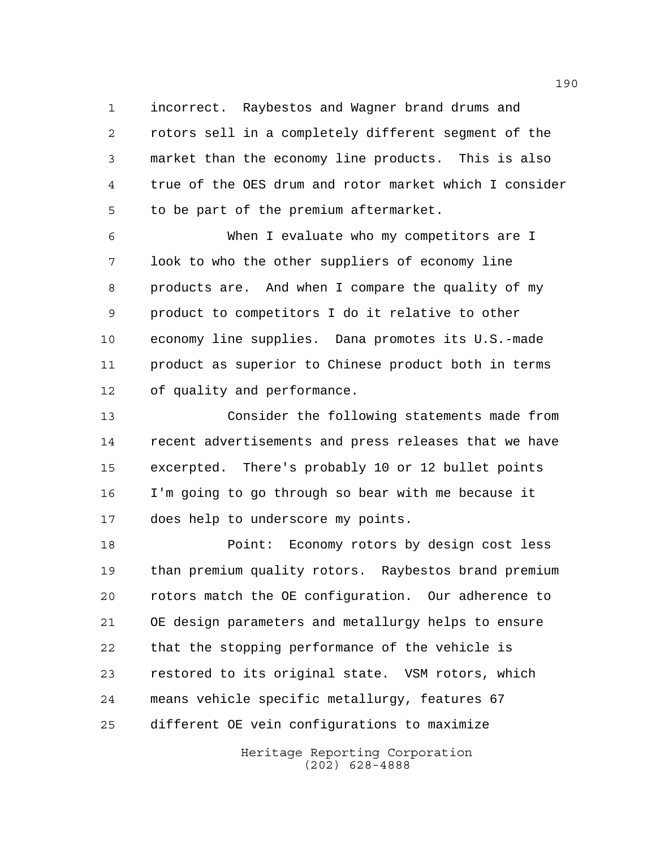incorrect. Raybestos and Wagner brand drums and rotors sell in a completely different segment of the market than the economy line products. This is also true of the OES drum and rotor market which I consider to be part of the premium aftermarket.

 When I evaluate who my competitors are I look to who the other suppliers of economy line products are. And when I compare the quality of my product to competitors I do it relative to other economy line supplies. Dana promotes its U.S.-made product as superior to Chinese product both in terms of quality and performance.

 Consider the following statements made from recent advertisements and press releases that we have excerpted. There's probably 10 or 12 bullet points I'm going to go through so bear with me because it does help to underscore my points.

 Point: Economy rotors by design cost less than premium quality rotors. Raybestos brand premium rotors match the OE configuration. Our adherence to OE design parameters and metallurgy helps to ensure that the stopping performance of the vehicle is restored to its original state. VSM rotors, which means vehicle specific metallurgy, features 67 different OE vein configurations to maximize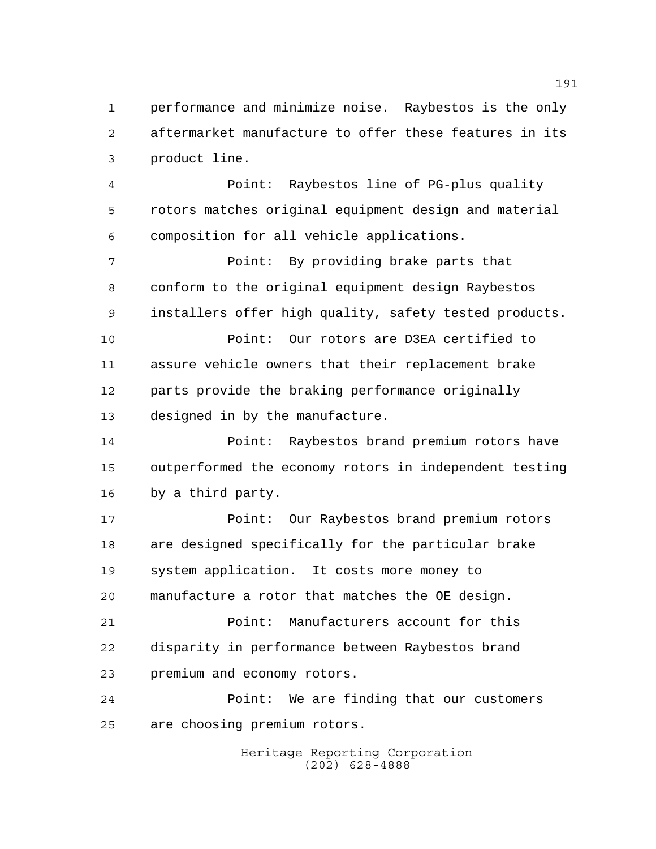performance and minimize noise. Raybestos is the only aftermarket manufacture to offer these features in its product line.

 Point: Raybestos line of PG-plus quality rotors matches original equipment design and material composition for all vehicle applications.

 Point: By providing brake parts that conform to the original equipment design Raybestos installers offer high quality, safety tested products.

 Point: Our rotors are D3EA certified to assure vehicle owners that their replacement brake parts provide the braking performance originally designed in by the manufacture.

 Point: Raybestos brand premium rotors have outperformed the economy rotors in independent testing by a third party.

 Point: Our Raybestos brand premium rotors are designed specifically for the particular brake system application. It costs more money to manufacture a rotor that matches the OE design.

 Point: Manufacturers account for this disparity in performance between Raybestos brand premium and economy rotors.

 Point: We are finding that our customers are choosing premium rotors.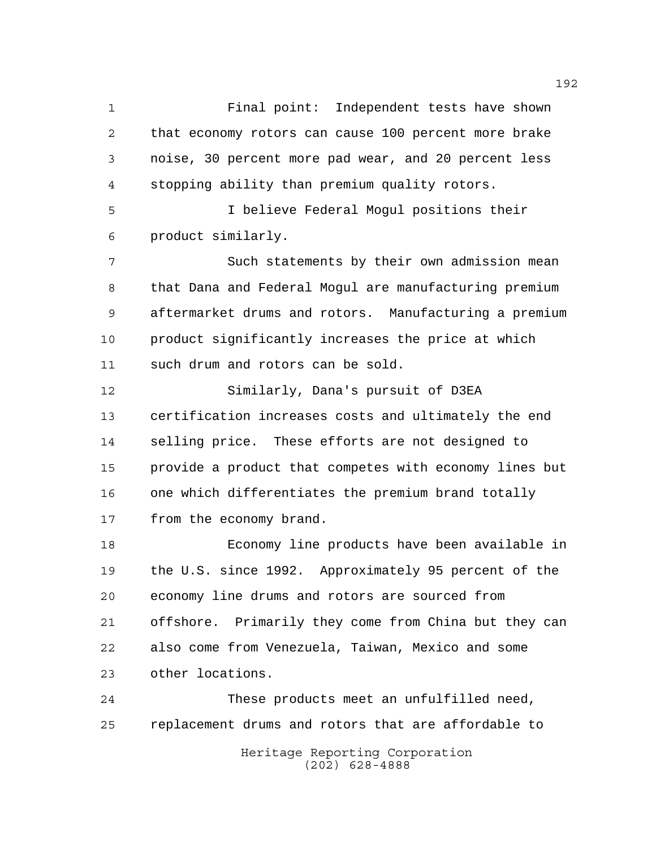Final point: Independent tests have shown that economy rotors can cause 100 percent more brake noise, 30 percent more pad wear, and 20 percent less stopping ability than premium quality rotors.

 I believe Federal Mogul positions their product similarly.

 Such statements by their own admission mean that Dana and Federal Mogul are manufacturing premium aftermarket drums and rotors. Manufacturing a premium product significantly increases the price at which such drum and rotors can be sold.

 Similarly, Dana's pursuit of D3EA certification increases costs and ultimately the end selling price. These efforts are not designed to provide a product that competes with economy lines but one which differentiates the premium brand totally 17 from the economy brand.

 Economy line products have been available in the U.S. since 1992. Approximately 95 percent of the economy line drums and rotors are sourced from offshore. Primarily they come from China but they can also come from Venezuela, Taiwan, Mexico and some other locations.

 These products meet an unfulfilled need, replacement drums and rotors that are affordable to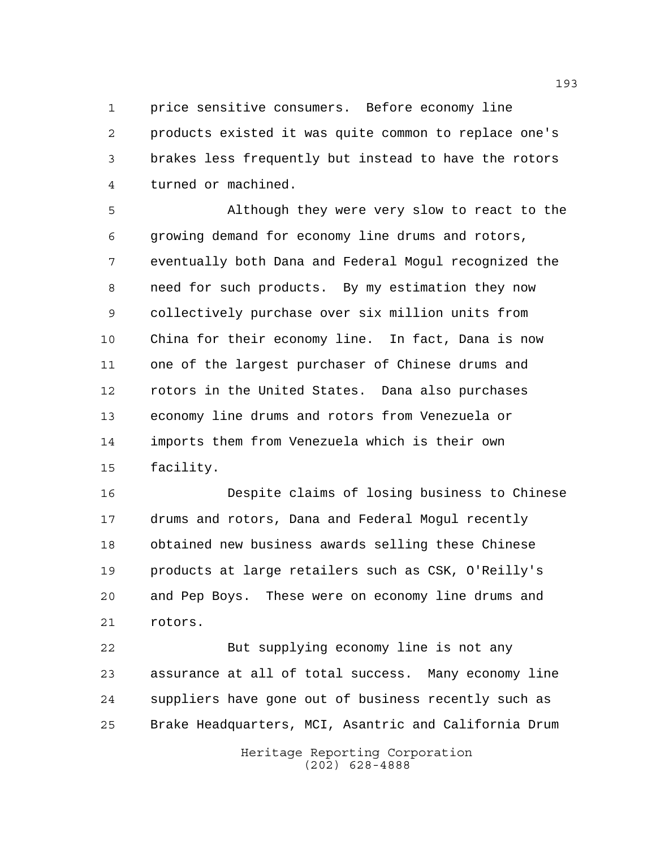price sensitive consumers. Before economy line products existed it was quite common to replace one's brakes less frequently but instead to have the rotors turned or machined.

 Although they were very slow to react to the growing demand for economy line drums and rotors, eventually both Dana and Federal Mogul recognized the need for such products. By my estimation they now collectively purchase over six million units from China for their economy line. In fact, Dana is now one of the largest purchaser of Chinese drums and rotors in the United States. Dana also purchases economy line drums and rotors from Venezuela or imports them from Venezuela which is their own facility.

 Despite claims of losing business to Chinese drums and rotors, Dana and Federal Mogul recently obtained new business awards selling these Chinese products at large retailers such as CSK, O'Reilly's and Pep Boys. These were on economy line drums and rotors.

 But supplying economy line is not any assurance at all of total success. Many economy line suppliers have gone out of business recently such as Brake Headquarters, MCI, Asantric and California Drum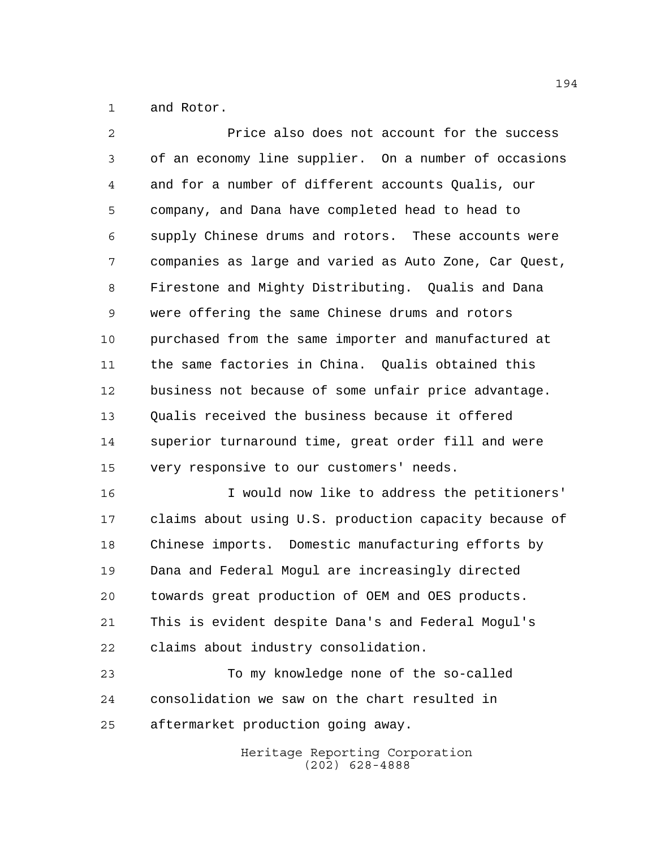and Rotor.

 Price also does not account for the success of an economy line supplier. On a number of occasions and for a number of different accounts Qualis, our company, and Dana have completed head to head to supply Chinese drums and rotors. These accounts were companies as large and varied as Auto Zone, Car Quest, Firestone and Mighty Distributing. Qualis and Dana were offering the same Chinese drums and rotors purchased from the same importer and manufactured at the same factories in China. Qualis obtained this business not because of some unfair price advantage. Qualis received the business because it offered superior turnaround time, great order fill and were very responsive to our customers' needs.

 I would now like to address the petitioners' claims about using U.S. production capacity because of Chinese imports. Domestic manufacturing efforts by Dana and Federal Mogul are increasingly directed towards great production of OEM and OES products. This is evident despite Dana's and Federal Mogul's claims about industry consolidation.

 To my knowledge none of the so-called consolidation we saw on the chart resulted in aftermarket production going away.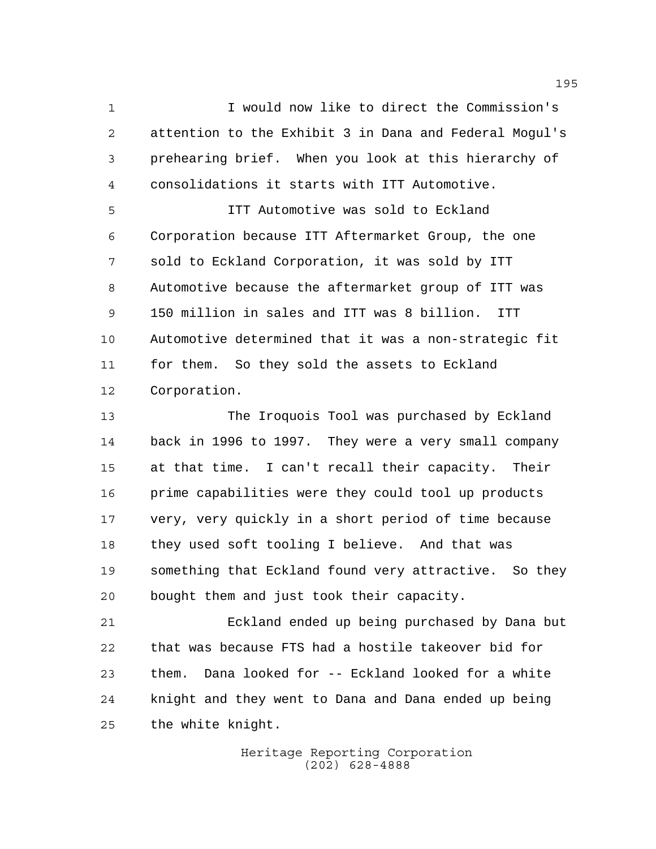I would now like to direct the Commission's attention to the Exhibit 3 in Dana and Federal Mogul's prehearing brief. When you look at this hierarchy of consolidations it starts with ITT Automotive.

 ITT Automotive was sold to Eckland Corporation because ITT Aftermarket Group, the one sold to Eckland Corporation, it was sold by ITT Automotive because the aftermarket group of ITT was 150 million in sales and ITT was 8 billion. ITT Automotive determined that it was a non-strategic fit for them. So they sold the assets to Eckland Corporation.

 The Iroquois Tool was purchased by Eckland back in 1996 to 1997. They were a very small company at that time. I can't recall their capacity. Their prime capabilities were they could tool up products very, very quickly in a short period of time because they used soft tooling I believe. And that was something that Eckland found very attractive. So they bought them and just took their capacity.

 Eckland ended up being purchased by Dana but that was because FTS had a hostile takeover bid for them. Dana looked for -- Eckland looked for a white knight and they went to Dana and Dana ended up being the white knight.

> Heritage Reporting Corporation (202) 628-4888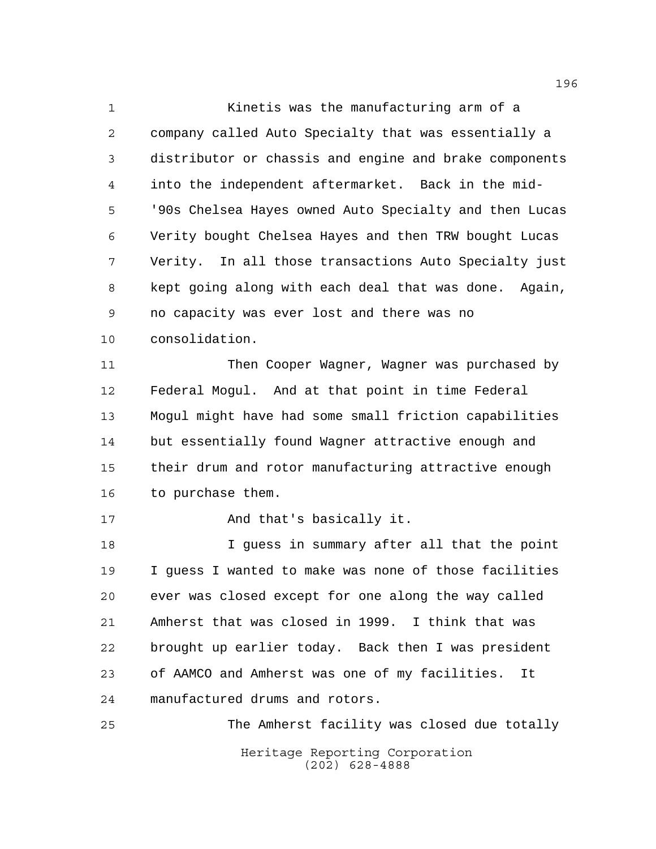Kinetis was the manufacturing arm of a company called Auto Specialty that was essentially a distributor or chassis and engine and brake components into the independent aftermarket. Back in the mid- '90s Chelsea Hayes owned Auto Specialty and then Lucas Verity bought Chelsea Hayes and then TRW bought Lucas Verity. In all those transactions Auto Specialty just kept going along with each deal that was done. Again, no capacity was ever lost and there was no consolidation.

 Then Cooper Wagner, Wagner was purchased by Federal Mogul. And at that point in time Federal Mogul might have had some small friction capabilities but essentially found Wagner attractive enough and their drum and rotor manufacturing attractive enough to purchase them.

17 And that's basically it.

 I guess in summary after all that the point I guess I wanted to make was none of those facilities ever was closed except for one along the way called Amherst that was closed in 1999. I think that was brought up earlier today. Back then I was president of AAMCO and Amherst was one of my facilities. It manufactured drums and rotors.

Heritage Reporting Corporation (202) 628-4888 The Amherst facility was closed due totally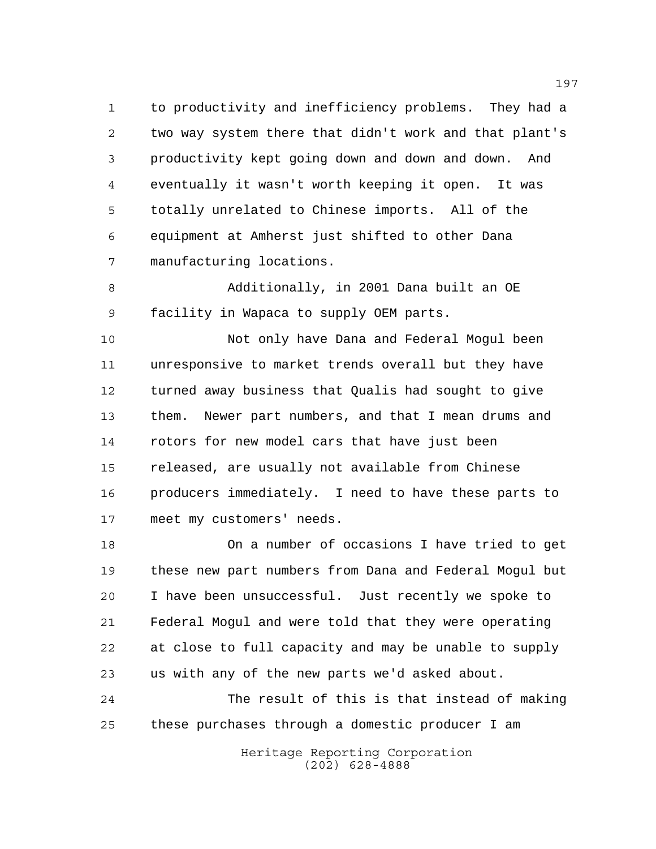to productivity and inefficiency problems. They had a two way system there that didn't work and that plant's productivity kept going down and down and down. And eventually it wasn't worth keeping it open. It was totally unrelated to Chinese imports. All of the equipment at Amherst just shifted to other Dana manufacturing locations.

 Additionally, in 2001 Dana built an OE facility in Wapaca to supply OEM parts.

 Not only have Dana and Federal Mogul been unresponsive to market trends overall but they have turned away business that Qualis had sought to give them. Newer part numbers, and that I mean drums and rotors for new model cars that have just been released, are usually not available from Chinese producers immediately. I need to have these parts to meet my customers' needs.

 On a number of occasions I have tried to get these new part numbers from Dana and Federal Mogul but I have been unsuccessful. Just recently we spoke to Federal Mogul and were told that they were operating at close to full capacity and may be unable to supply us with any of the new parts we'd asked about.

 The result of this is that instead of making these purchases through a domestic producer I am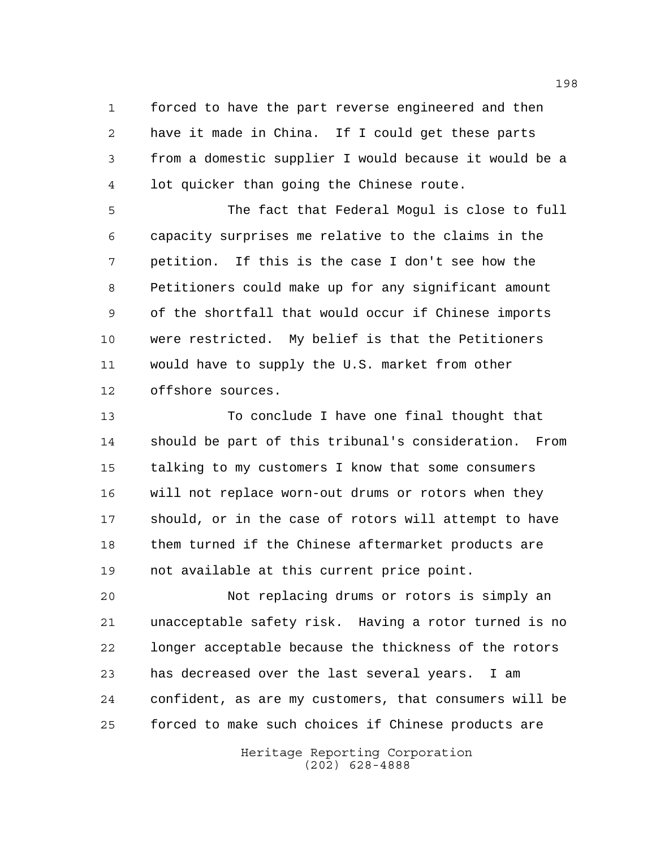forced to have the part reverse engineered and then have it made in China. If I could get these parts from a domestic supplier I would because it would be a lot quicker than going the Chinese route.

 The fact that Federal Mogul is close to full capacity surprises me relative to the claims in the petition. If this is the case I don't see how the Petitioners could make up for any significant amount of the shortfall that would occur if Chinese imports were restricted. My belief is that the Petitioners would have to supply the U.S. market from other offshore sources.

 To conclude I have one final thought that should be part of this tribunal's consideration. From talking to my customers I know that some consumers will not replace worn-out drums or rotors when they should, or in the case of rotors will attempt to have them turned if the Chinese aftermarket products are not available at this current price point.

 Not replacing drums or rotors is simply an unacceptable safety risk. Having a rotor turned is no longer acceptable because the thickness of the rotors has decreased over the last several years. I am confident, as are my customers, that consumers will be forced to make such choices if Chinese products are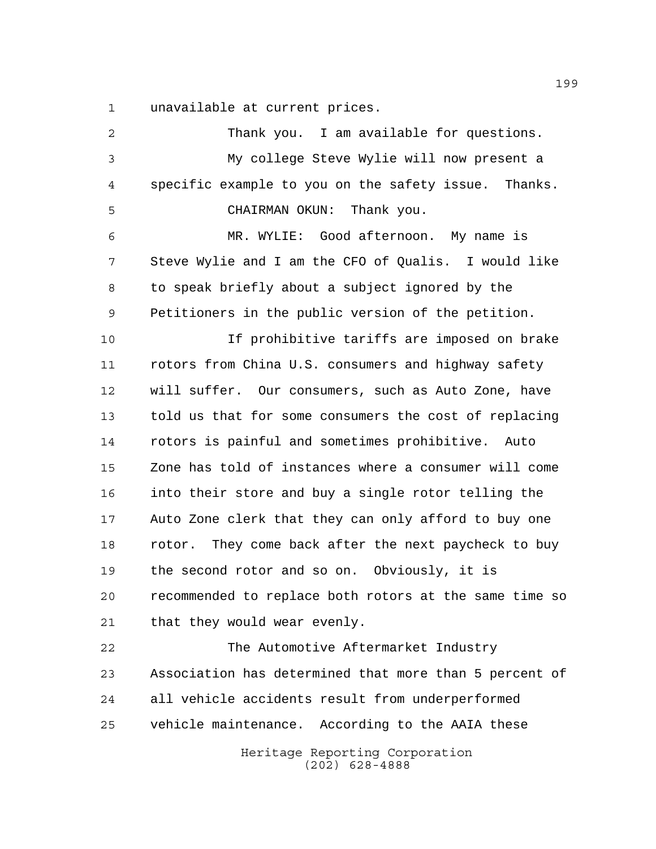unavailable at current prices.

Heritage Reporting Corporation (202) 628-4888 Thank you. I am available for questions. My college Steve Wylie will now present a specific example to you on the safety issue. Thanks. CHAIRMAN OKUN: Thank you. MR. WYLIE: Good afternoon. My name is Steve Wylie and I am the CFO of Qualis. I would like to speak briefly about a subject ignored by the Petitioners in the public version of the petition. If prohibitive tariffs are imposed on brake rotors from China U.S. consumers and highway safety will suffer. Our consumers, such as Auto Zone, have told us that for some consumers the cost of replacing rotors is painful and sometimes prohibitive. Auto Zone has told of instances where a consumer will come into their store and buy a single rotor telling the Auto Zone clerk that they can only afford to buy one rotor. They come back after the next paycheck to buy the second rotor and so on. Obviously, it is recommended to replace both rotors at the same time so that they would wear evenly. The Automotive Aftermarket Industry Association has determined that more than 5 percent of all vehicle accidents result from underperformed vehicle maintenance. According to the AAIA these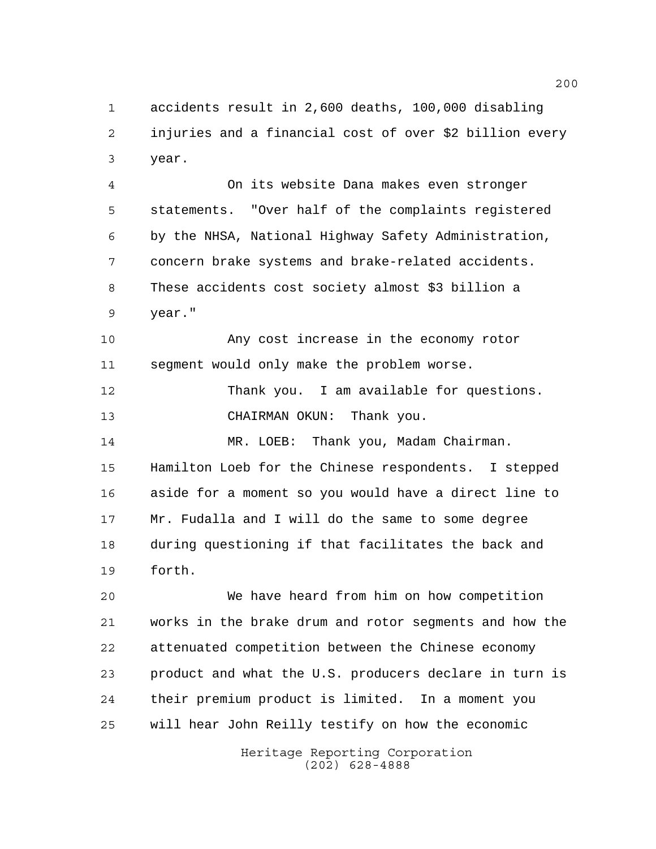accidents result in 2,600 deaths, 100,000 disabling injuries and a financial cost of over \$2 billion every year.

 On its website Dana makes even stronger statements. "Over half of the complaints registered by the NHSA, National Highway Safety Administration, concern brake systems and brake-related accidents. These accidents cost society almost \$3 billion a year."

 Any cost increase in the economy rotor segment would only make the problem worse.

12 Thank you. I am available for questions. CHAIRMAN OKUN: Thank you.

14 MR. LOEB: Thank you, Madam Chairman. Hamilton Loeb for the Chinese respondents. I stepped aside for a moment so you would have a direct line to Mr. Fudalla and I will do the same to some degree during questioning if that facilitates the back and forth.

 We have heard from him on how competition works in the brake drum and rotor segments and how the attenuated competition between the Chinese economy product and what the U.S. producers declare in turn is their premium product is limited. In a moment you will hear John Reilly testify on how the economic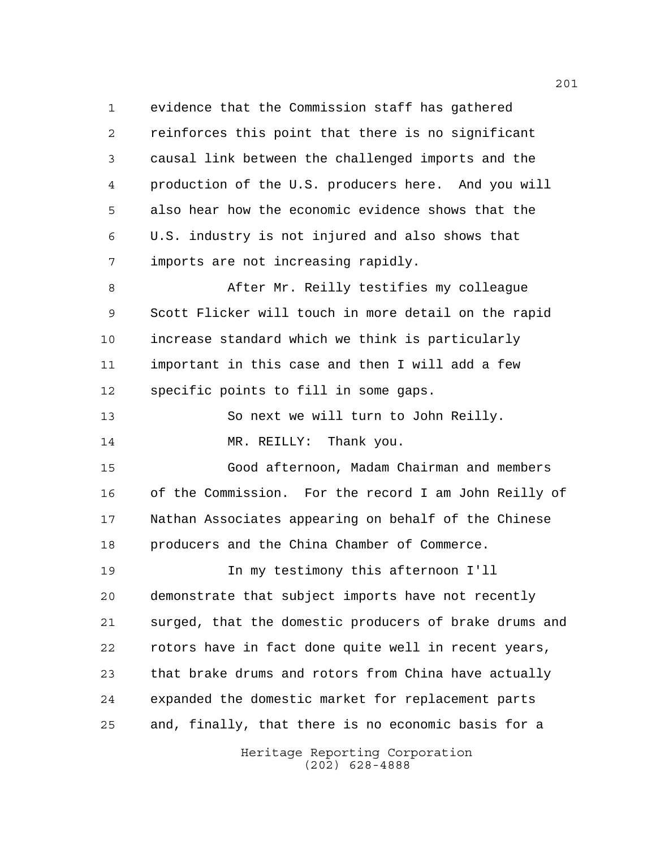evidence that the Commission staff has gathered reinforces this point that there is no significant causal link between the challenged imports and the production of the U.S. producers here. And you will also hear how the economic evidence shows that the U.S. industry is not injured and also shows that imports are not increasing rapidly.

 After Mr. Reilly testifies my colleague Scott Flicker will touch in more detail on the rapid increase standard which we think is particularly important in this case and then I will add a few specific points to fill in some gaps.

 So next we will turn to John Reilly. 14 MR. REILLY: Thank you.

 Good afternoon, Madam Chairman and members of the Commission. For the record I am John Reilly of Nathan Associates appearing on behalf of the Chinese producers and the China Chamber of Commerce.

 In my testimony this afternoon I'll demonstrate that subject imports have not recently surged, that the domestic producers of brake drums and rotors have in fact done quite well in recent years, that brake drums and rotors from China have actually expanded the domestic market for replacement parts and, finally, that there is no economic basis for a

> Heritage Reporting Corporation (202) 628-4888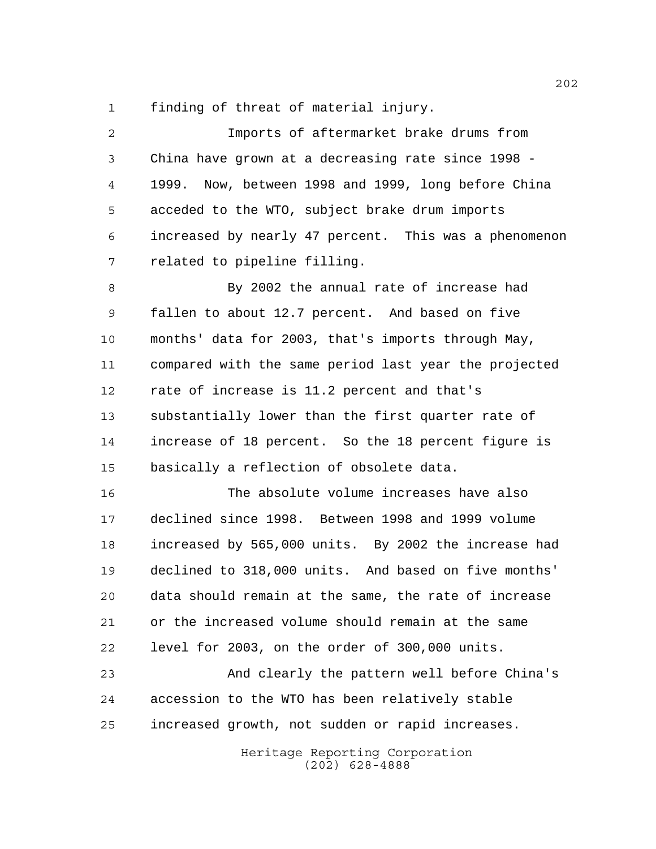finding of threat of material injury.

| $\overline{2}$ | Imports of aftermarket brake drums from               |  |  |  |  |  |  |  |  |
|----------------|-------------------------------------------------------|--|--|--|--|--|--|--|--|
| 3              | China have grown at a decreasing rate since 1998 -    |  |  |  |  |  |  |  |  |
| 4              | 1999. Now, between 1998 and 1999, long before China   |  |  |  |  |  |  |  |  |
| 5              | acceded to the WTO, subject brake drum imports        |  |  |  |  |  |  |  |  |
| 6              | increased by nearly 47 percent. This was a phenomenon |  |  |  |  |  |  |  |  |
| 7              | related to pipeline filling.                          |  |  |  |  |  |  |  |  |
| 8              | By 2002 the annual rate of increase had               |  |  |  |  |  |  |  |  |
| 9              | fallen to about 12.7 percent. And based on five       |  |  |  |  |  |  |  |  |
| 10             | months' data for 2003, that's imports through May,    |  |  |  |  |  |  |  |  |
| 11             | compared with the same period last year the projected |  |  |  |  |  |  |  |  |
| 12             | rate of increase is 11.2 percent and that's           |  |  |  |  |  |  |  |  |
| 13             | substantially lower than the first quarter rate of    |  |  |  |  |  |  |  |  |
| 14             | increase of 18 percent. So the 18 percent figure is   |  |  |  |  |  |  |  |  |
| 15             | basically a reflection of obsolete data.              |  |  |  |  |  |  |  |  |
| 16             | The absolute volume increases have also               |  |  |  |  |  |  |  |  |
| 17             | declined since 1998. Between 1998 and 1999 volume     |  |  |  |  |  |  |  |  |
| 18             | increased by 565,000 units. By 2002 the increase had  |  |  |  |  |  |  |  |  |
| 19             | declined to 318,000 units. And based on five months'  |  |  |  |  |  |  |  |  |
| 20             | data should remain at the same, the rate of increase  |  |  |  |  |  |  |  |  |
| 21             | or the increased volume should remain at the same     |  |  |  |  |  |  |  |  |
| 22             | level for 2003, on the order of 300,000 units.        |  |  |  |  |  |  |  |  |
| 23             | And clearly the pattern well before China's           |  |  |  |  |  |  |  |  |
| 24             | accession to the WTO has been relatively stable       |  |  |  |  |  |  |  |  |
| 25             | increased growth, not sudden or rapid increases.      |  |  |  |  |  |  |  |  |
|                | Heritage Reporting Corporation<br>$(202)$ 628-4888    |  |  |  |  |  |  |  |  |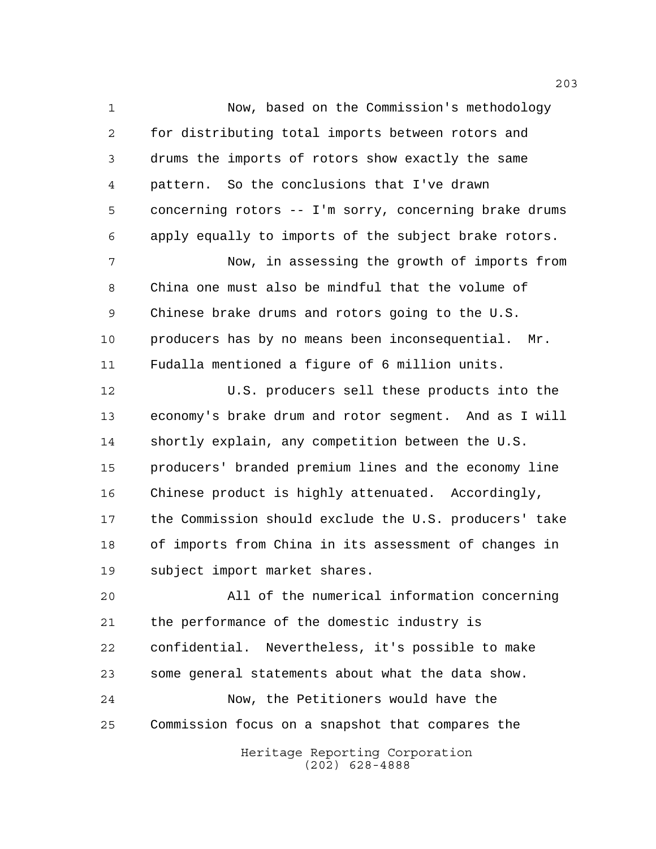Now, based on the Commission's methodology for distributing total imports between rotors and drums the imports of rotors show exactly the same pattern. So the conclusions that I've drawn concerning rotors -- I'm sorry, concerning brake drums apply equally to imports of the subject brake rotors. Now, in assessing the growth of imports from China one must also be mindful that the volume of Chinese brake drums and rotors going to the U.S. producers has by no means been inconsequential. Mr. Fudalla mentioned a figure of 6 million units. U.S. producers sell these products into the economy's brake drum and rotor segment. And as I will shortly explain, any competition between the U.S. producers' branded premium lines and the economy line Chinese product is highly attenuated. Accordingly, the Commission should exclude the U.S. producers' take of imports from China in its assessment of changes in subject import market shares. All of the numerical information concerning the performance of the domestic industry is confidential. Nevertheless, it's possible to make some general statements about what the data show.

 Now, the Petitioners would have the Commission focus on a snapshot that compares the

> Heritage Reporting Corporation (202) 628-4888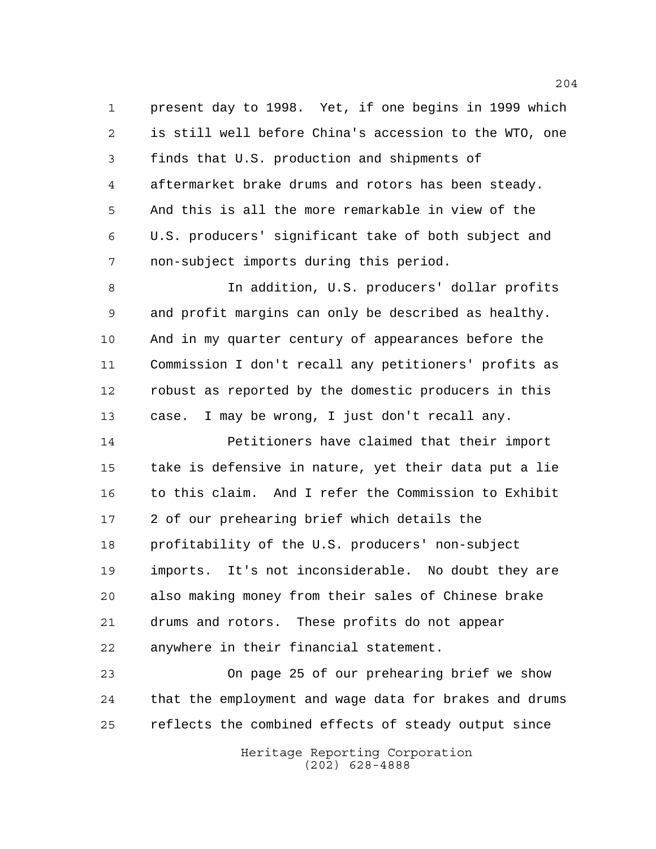present day to 1998. Yet, if one begins in 1999 which is still well before China's accession to the WTO, one finds that U.S. production and shipments of aftermarket brake drums and rotors has been steady. And this is all the more remarkable in view of the U.S. producers' significant take of both subject and non-subject imports during this period.

 In addition, U.S. producers' dollar profits and profit margins can only be described as healthy. And in my quarter century of appearances before the Commission I don't recall any petitioners' profits as robust as reported by the domestic producers in this case. I may be wrong, I just don't recall any.

 Petitioners have claimed that their import take is defensive in nature, yet their data put a lie to this claim. And I refer the Commission to Exhibit 2 of our prehearing brief which details the profitability of the U.S. producers' non-subject imports. It's not inconsiderable. No doubt they are also making money from their sales of Chinese brake drums and rotors. These profits do not appear anywhere in their financial statement.

 On page 25 of our prehearing brief we show that the employment and wage data for brakes and drums reflects the combined effects of steady output since

> Heritage Reporting Corporation (202) 628-4888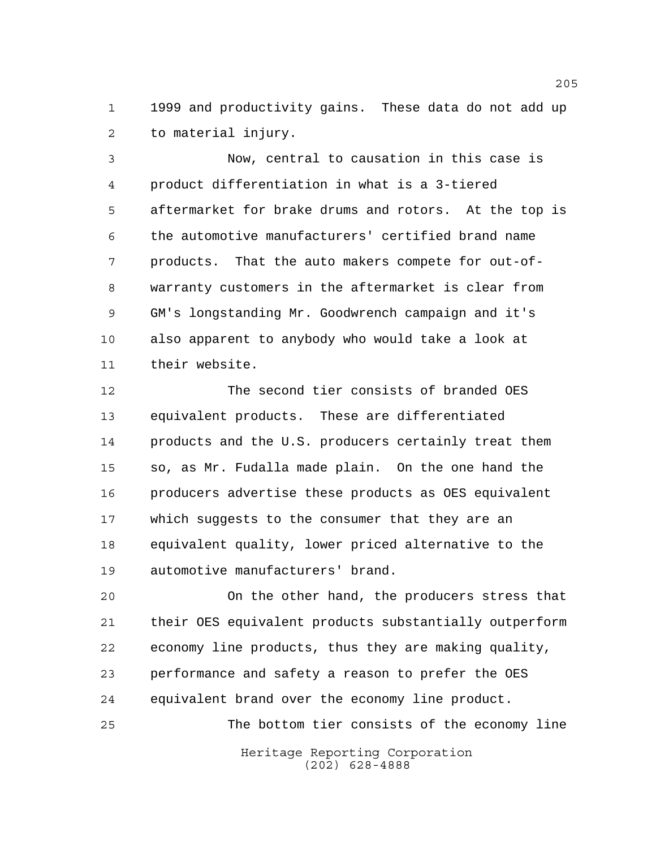1999 and productivity gains. These data do not add up to material injury.

 Now, central to causation in this case is product differentiation in what is a 3-tiered aftermarket for brake drums and rotors. At the top is the automotive manufacturers' certified brand name products. That the auto makers compete for out-of- warranty customers in the aftermarket is clear from GM's longstanding Mr. Goodwrench campaign and it's also apparent to anybody who would take a look at their website.

 The second tier consists of branded OES equivalent products. These are differentiated products and the U.S. producers certainly treat them so, as Mr. Fudalla made plain. On the one hand the producers advertise these products as OES equivalent which suggests to the consumer that they are an equivalent quality, lower priced alternative to the automotive manufacturers' brand.

 On the other hand, the producers stress that their OES equivalent products substantially outperform economy line products, thus they are making quality, performance and safety a reason to prefer the OES equivalent brand over the economy line product.

The bottom tier consists of the economy line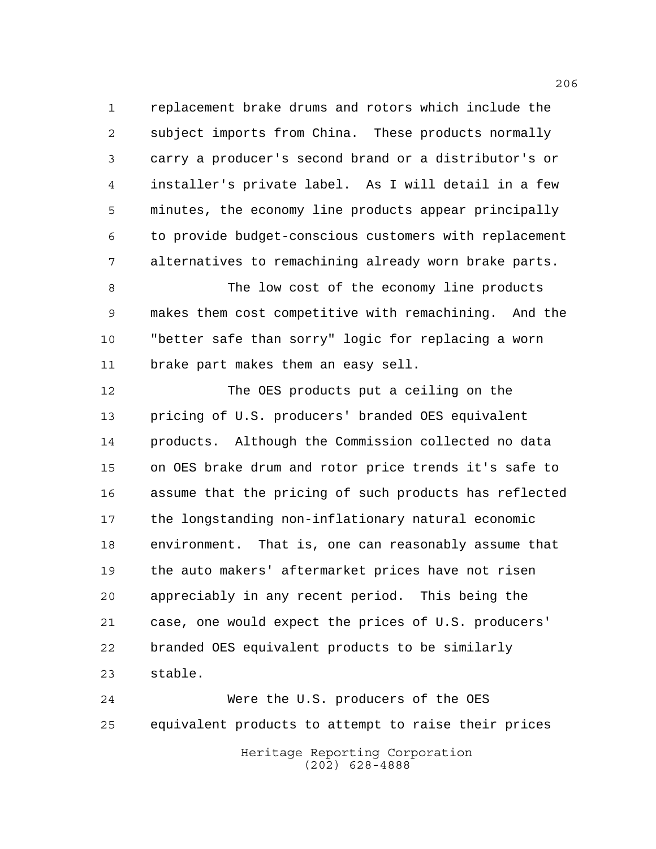replacement brake drums and rotors which include the subject imports from China. These products normally carry a producer's second brand or a distributor's or installer's private label. As I will detail in a few minutes, the economy line products appear principally to provide budget-conscious customers with replacement alternatives to remachining already worn brake parts.

 The low cost of the economy line products makes them cost competitive with remachining. And the "better safe than sorry" logic for replacing a worn brake part makes them an easy sell.

 The OES products put a ceiling on the pricing of U.S. producers' branded OES equivalent products. Although the Commission collected no data on OES brake drum and rotor price trends it's safe to assume that the pricing of such products has reflected the longstanding non-inflationary natural economic environment. That is, one can reasonably assume that the auto makers' aftermarket prices have not risen appreciably in any recent period. This being the case, one would expect the prices of U.S. producers' branded OES equivalent products to be similarly stable.

Heritage Reporting Corporation (202) 628-4888 Were the U.S. producers of the OES equivalent products to attempt to raise their prices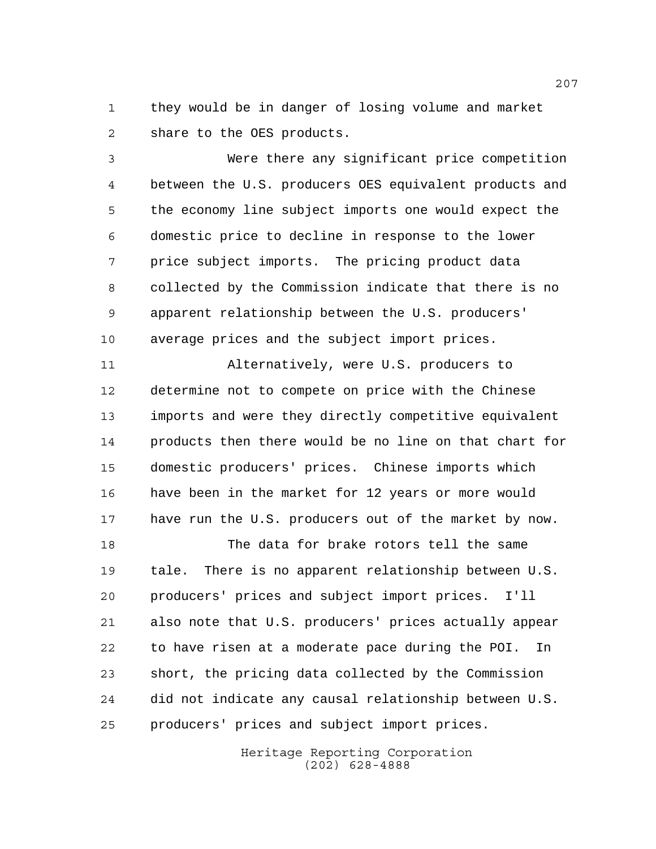they would be in danger of losing volume and market share to the OES products.

 Were there any significant price competition between the U.S. producers OES equivalent products and the economy line subject imports one would expect the domestic price to decline in response to the lower price subject imports. The pricing product data collected by the Commission indicate that there is no apparent relationship between the U.S. producers' average prices and the subject import prices.

 Alternatively, were U.S. producers to determine not to compete on price with the Chinese imports and were they directly competitive equivalent products then there would be no line on that chart for domestic producers' prices. Chinese imports which have been in the market for 12 years or more would have run the U.S. producers out of the market by now.

 The data for brake rotors tell the same tale. There is no apparent relationship between U.S. producers' prices and subject import prices. I'll also note that U.S. producers' prices actually appear to have risen at a moderate pace during the POI. In short, the pricing data collected by the Commission did not indicate any causal relationship between U.S. producers' prices and subject import prices.

> Heritage Reporting Corporation (202) 628-4888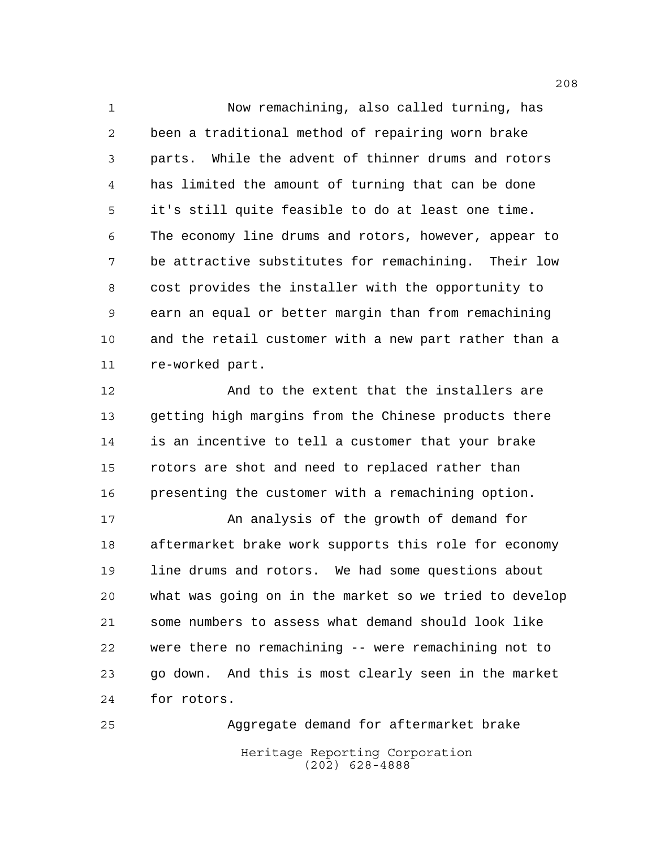Now remachining, also called turning, has been a traditional method of repairing worn brake parts. While the advent of thinner drums and rotors has limited the amount of turning that can be done it's still quite feasible to do at least one time. The economy line drums and rotors, however, appear to be attractive substitutes for remachining. Their low cost provides the installer with the opportunity to earn an equal or better margin than from remachining and the retail customer with a new part rather than a re-worked part.

 And to the extent that the installers are getting high margins from the Chinese products there is an incentive to tell a customer that your brake rotors are shot and need to replaced rather than presenting the customer with a remachining option.

17 An analysis of the growth of demand for aftermarket brake work supports this role for economy line drums and rotors. We had some questions about what was going on in the market so we tried to develop some numbers to assess what demand should look like were there no remachining -- were remachining not to go down. And this is most clearly seen in the market for rotors.

Heritage Reporting Corporation (202) 628-4888 Aggregate demand for aftermarket brake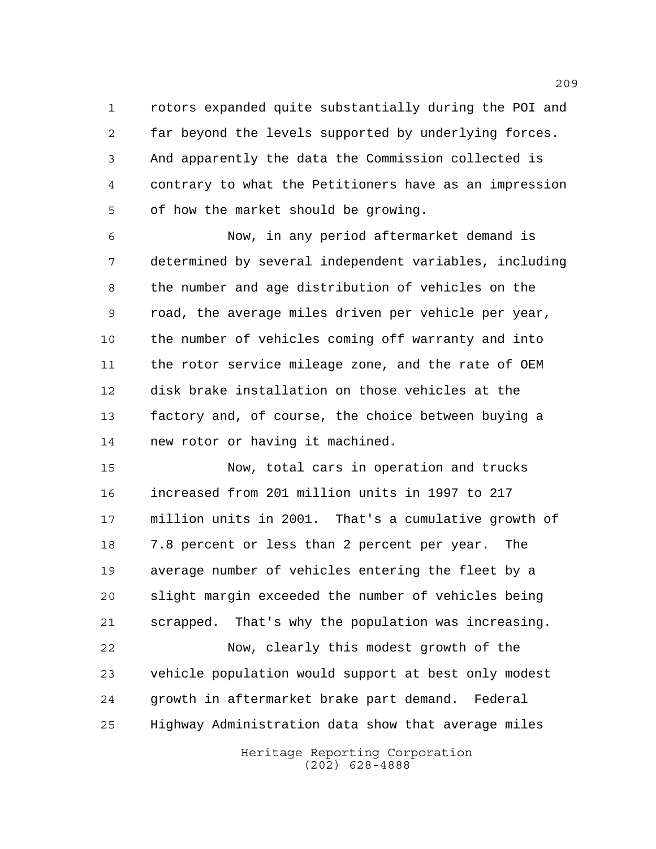rotors expanded quite substantially during the POI and far beyond the levels supported by underlying forces. And apparently the data the Commission collected is contrary to what the Petitioners have as an impression of how the market should be growing.

 Now, in any period aftermarket demand is determined by several independent variables, including the number and age distribution of vehicles on the road, the average miles driven per vehicle per year, the number of vehicles coming off warranty and into the rotor service mileage zone, and the rate of OEM disk brake installation on those vehicles at the factory and, of course, the choice between buying a new rotor or having it machined.

 Now, total cars in operation and trucks increased from 201 million units in 1997 to 217 million units in 2001. That's a cumulative growth of 7.8 percent or less than 2 percent per year. The average number of vehicles entering the fleet by a slight margin exceeded the number of vehicles being scrapped. That's why the population was increasing.

 Now, clearly this modest growth of the vehicle population would support at best only modest growth in aftermarket brake part demand. Federal Highway Administration data show that average miles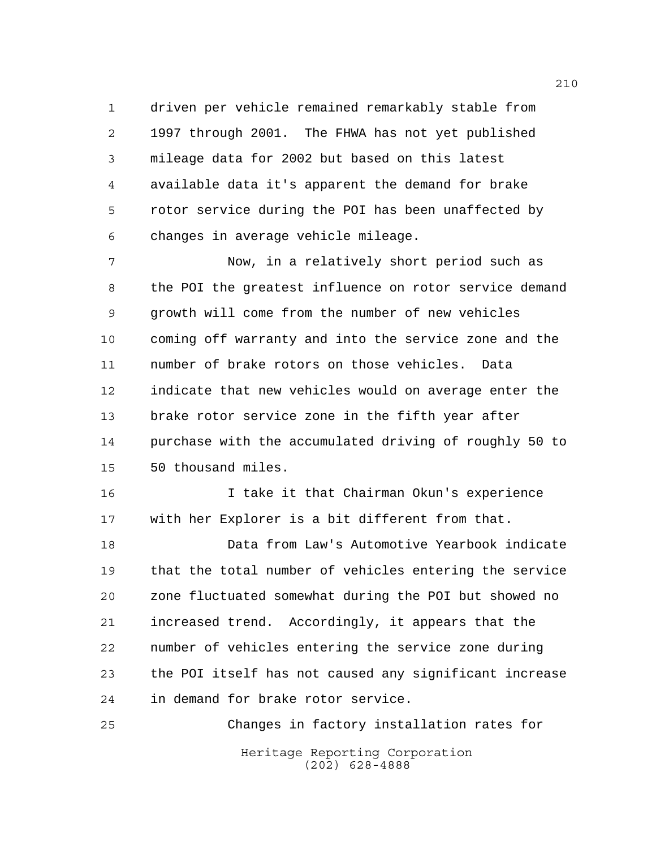driven per vehicle remained remarkably stable from 1997 through 2001. The FHWA has not yet published mileage data for 2002 but based on this latest available data it's apparent the demand for brake rotor service during the POI has been unaffected by changes in average vehicle mileage.

 Now, in a relatively short period such as the POI the greatest influence on rotor service demand growth will come from the number of new vehicles coming off warranty and into the service zone and the number of brake rotors on those vehicles. Data indicate that new vehicles would on average enter the brake rotor service zone in the fifth year after purchase with the accumulated driving of roughly 50 to 50 thousand miles.

 I take it that Chairman Okun's experience with her Explorer is a bit different from that.

 Data from Law's Automotive Yearbook indicate that the total number of vehicles entering the service zone fluctuated somewhat during the POI but showed no increased trend. Accordingly, it appears that the number of vehicles entering the service zone during the POI itself has not caused any significant increase in demand for brake rotor service.

Heritage Reporting Corporation (202) 628-4888 Changes in factory installation rates for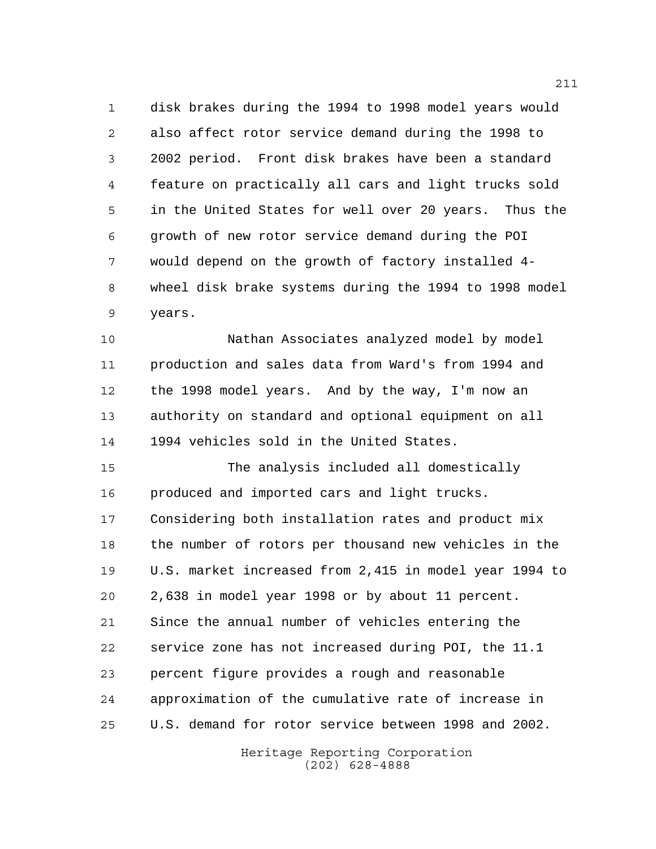disk brakes during the 1994 to 1998 model years would also affect rotor service demand during the 1998 to 2002 period. Front disk brakes have been a standard feature on practically all cars and light trucks sold in the United States for well over 20 years. Thus the growth of new rotor service demand during the POI would depend on the growth of factory installed 4- wheel disk brake systems during the 1994 to 1998 model years.

 Nathan Associates analyzed model by model production and sales data from Ward's from 1994 and the 1998 model years. And by the way, I'm now an authority on standard and optional equipment on all 1994 vehicles sold in the United States.

 The analysis included all domestically produced and imported cars and light trucks. Considering both installation rates and product mix the number of rotors per thousand new vehicles in the U.S. market increased from 2,415 in model year 1994 to 2,638 in model year 1998 or by about 11 percent. Since the annual number of vehicles entering the service zone has not increased during POI, the 11.1 percent figure provides a rough and reasonable approximation of the cumulative rate of increase in U.S. demand for rotor service between 1998 and 2002.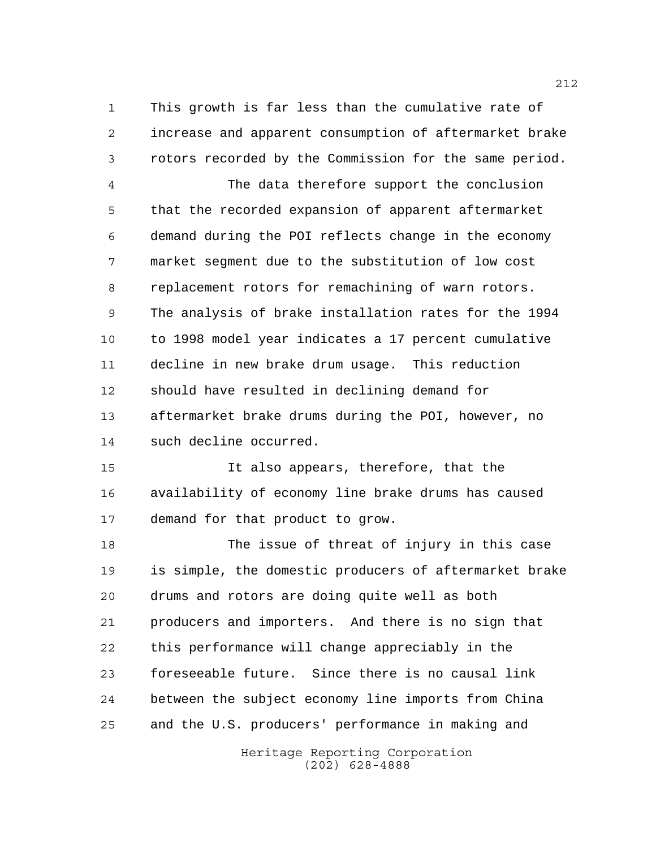This growth is far less than the cumulative rate of increase and apparent consumption of aftermarket brake rotors recorded by the Commission for the same period.

 The data therefore support the conclusion that the recorded expansion of apparent aftermarket demand during the POI reflects change in the economy market segment due to the substitution of low cost replacement rotors for remachining of warn rotors. The analysis of brake installation rates for the 1994 to 1998 model year indicates a 17 percent cumulative decline in new brake drum usage. This reduction should have resulted in declining demand for aftermarket brake drums during the POI, however, no such decline occurred.

 It also appears, therefore, that the availability of economy line brake drums has caused demand for that product to grow.

 The issue of threat of injury in this case is simple, the domestic producers of aftermarket brake drums and rotors are doing quite well as both producers and importers. And there is no sign that this performance will change appreciably in the foreseeable future. Since there is no causal link between the subject economy line imports from China and the U.S. producers' performance in making and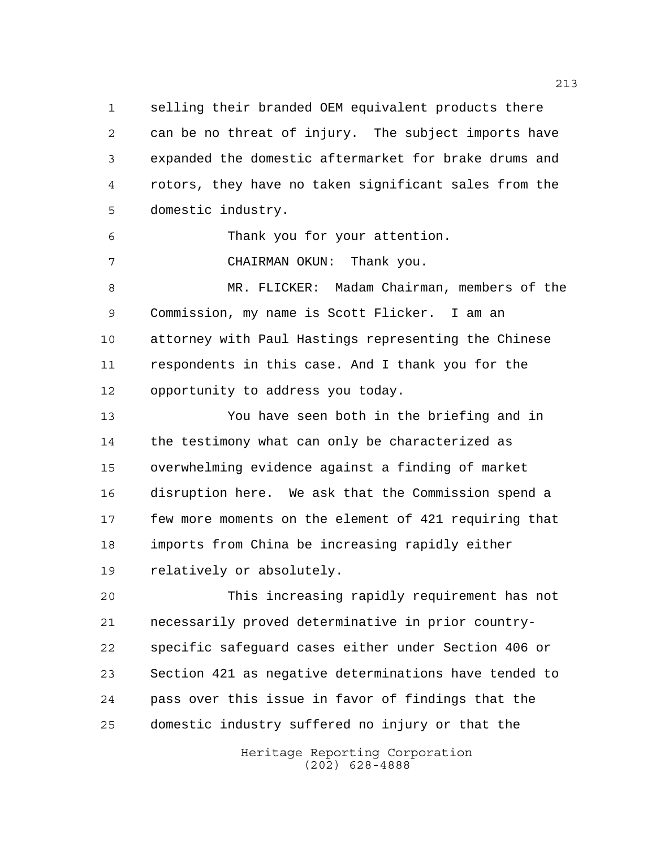selling their branded OEM equivalent products there can be no threat of injury. The subject imports have expanded the domestic aftermarket for brake drums and rotors, they have no taken significant sales from the domestic industry.

Thank you for your attention.

CHAIRMAN OKUN: Thank you.

 MR. FLICKER: Madam Chairman, members of the Commission, my name is Scott Flicker. I am an attorney with Paul Hastings representing the Chinese respondents in this case. And I thank you for the opportunity to address you today.

 You have seen both in the briefing and in the testimony what can only be characterized as overwhelming evidence against a finding of market disruption here. We ask that the Commission spend a few more moments on the element of 421 requiring that imports from China be increasing rapidly either relatively or absolutely.

 This increasing rapidly requirement has not necessarily proved determinative in prior country- specific safeguard cases either under Section 406 or Section 421 as negative determinations have tended to pass over this issue in favor of findings that the domestic industry suffered no injury or that the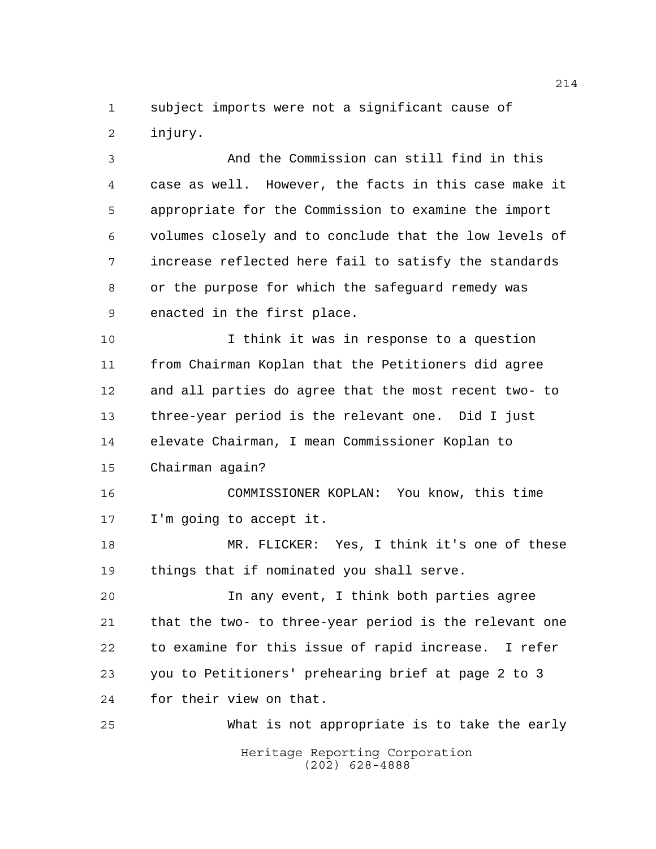subject imports were not a significant cause of injury.

 And the Commission can still find in this case as well. However, the facts in this case make it appropriate for the Commission to examine the import volumes closely and to conclude that the low levels of increase reflected here fail to satisfy the standards or the purpose for which the safeguard remedy was enacted in the first place.

 I think it was in response to a question from Chairman Koplan that the Petitioners did agree and all parties do agree that the most recent two- to three-year period is the relevant one. Did I just elevate Chairman, I mean Commissioner Koplan to Chairman again?

 COMMISSIONER KOPLAN: You know, this time I'm going to accept it.

 MR. FLICKER: Yes, I think it's one of these things that if nominated you shall serve.

 In any event, I think both parties agree that the two- to three-year period is the relevant one to examine for this issue of rapid increase. I refer you to Petitioners' prehearing brief at page 2 to 3 for their view on that.

Heritage Reporting Corporation (202) 628-4888 What is not appropriate is to take the early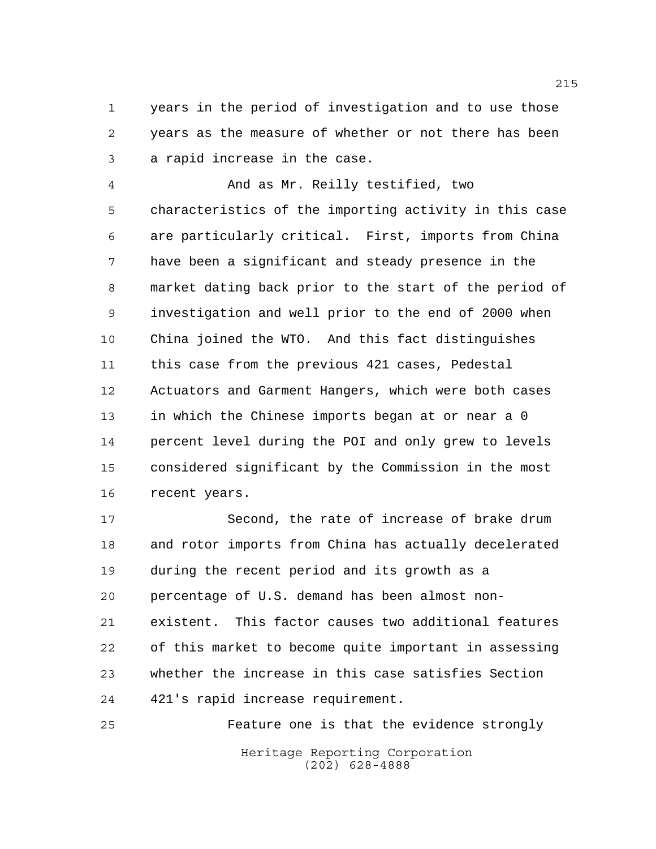years in the period of investigation and to use those years as the measure of whether or not there has been a rapid increase in the case.

 And as Mr. Reilly testified, two characteristics of the importing activity in this case are particularly critical. First, imports from China have been a significant and steady presence in the market dating back prior to the start of the period of investigation and well prior to the end of 2000 when China joined the WTO. And this fact distinguishes this case from the previous 421 cases, Pedestal Actuators and Garment Hangers, which were both cases in which the Chinese imports began at or near a 0 percent level during the POI and only grew to levels considered significant by the Commission in the most recent years.

 Second, the rate of increase of brake drum and rotor imports from China has actually decelerated during the recent period and its growth as a percentage of U.S. demand has been almost non- existent. This factor causes two additional features of this market to become quite important in assessing whether the increase in this case satisfies Section 421's rapid increase requirement.

Heritage Reporting Corporation (202) 628-4888 Feature one is that the evidence strongly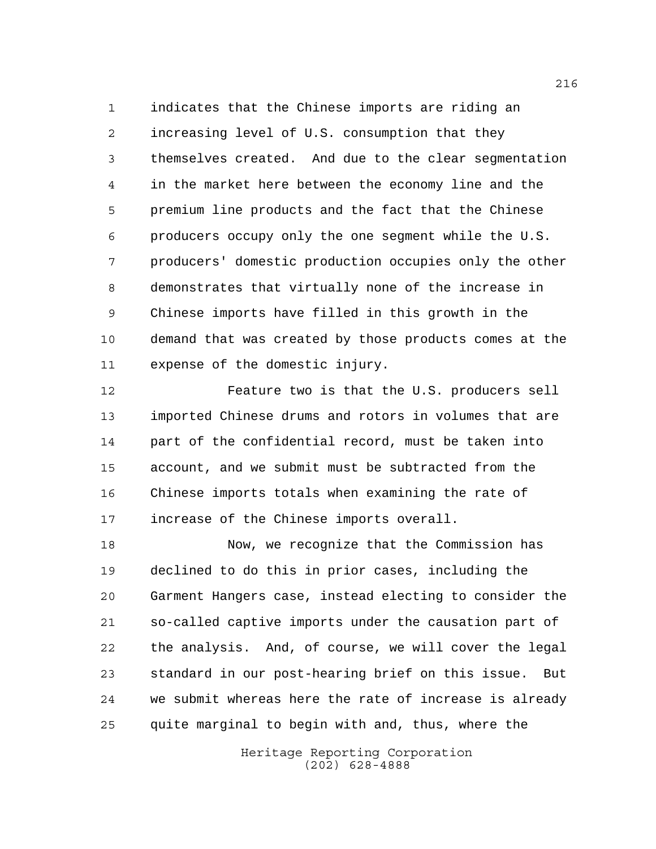indicates that the Chinese imports are riding an increasing level of U.S. consumption that they themselves created. And due to the clear segmentation in the market here between the economy line and the premium line products and the fact that the Chinese producers occupy only the one segment while the U.S. producers' domestic production occupies only the other demonstrates that virtually none of the increase in Chinese imports have filled in this growth in the demand that was created by those products comes at the expense of the domestic injury.

 Feature two is that the U.S. producers sell imported Chinese drums and rotors in volumes that are part of the confidential record, must be taken into account, and we submit must be subtracted from the Chinese imports totals when examining the rate of increase of the Chinese imports overall.

 Now, we recognize that the Commission has declined to do this in prior cases, including the Garment Hangers case, instead electing to consider the so-called captive imports under the causation part of the analysis. And, of course, we will cover the legal standard in our post-hearing brief on this issue. But we submit whereas here the rate of increase is already quite marginal to begin with and, thus, where the

> Heritage Reporting Corporation (202) 628-4888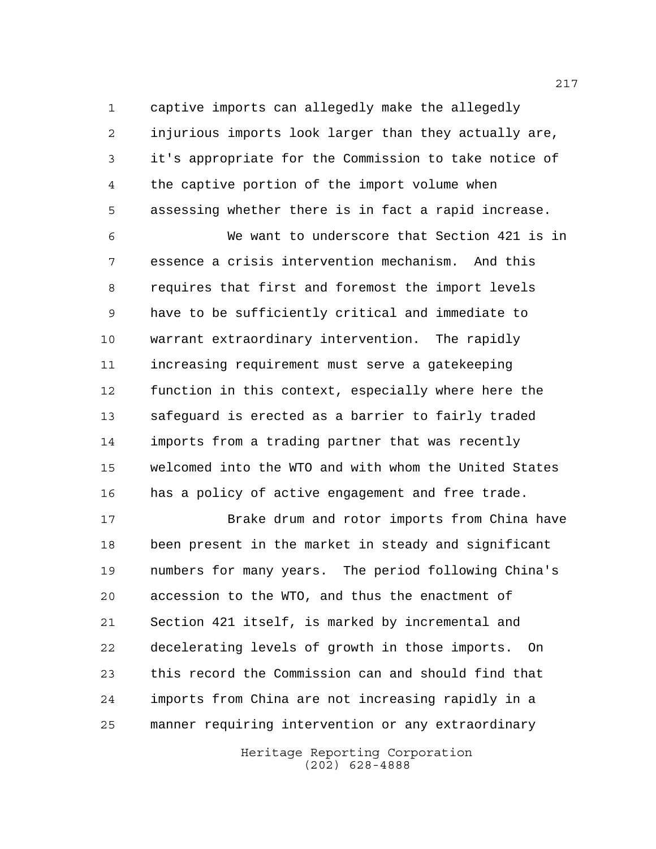captive imports can allegedly make the allegedly injurious imports look larger than they actually are, it's appropriate for the Commission to take notice of the captive portion of the import volume when assessing whether there is in fact a rapid increase.

 We want to underscore that Section 421 is in essence a crisis intervention mechanism. And this requires that first and foremost the import levels have to be sufficiently critical and immediate to warrant extraordinary intervention. The rapidly increasing requirement must serve a gatekeeping function in this context, especially where here the safeguard is erected as a barrier to fairly traded imports from a trading partner that was recently welcomed into the WTO and with whom the United States has a policy of active engagement and free trade.

 Brake drum and rotor imports from China have been present in the market in steady and significant numbers for many years. The period following China's accession to the WTO, and thus the enactment of Section 421 itself, is marked by incremental and decelerating levels of growth in those imports. On this record the Commission can and should find that imports from China are not increasing rapidly in a manner requiring intervention or any extraordinary

> Heritage Reporting Corporation (202) 628-4888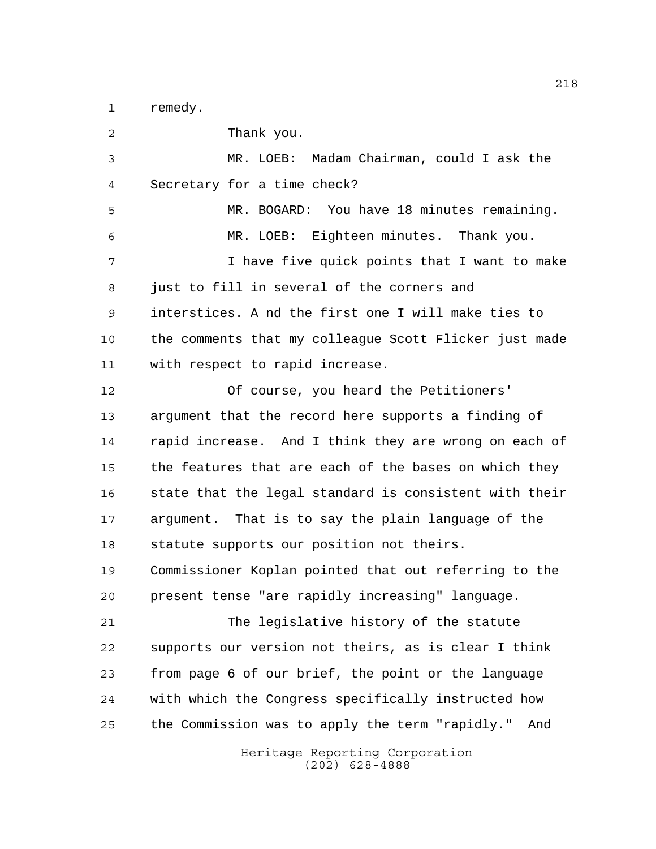remedy.

Heritage Reporting Corporation (202) 628-4888 Thank you. MR. LOEB: Madam Chairman, could I ask the Secretary for a time check? MR. BOGARD: You have 18 minutes remaining. MR. LOEB: Eighteen minutes. Thank you. I have five quick points that I want to make just to fill in several of the corners and interstices. A nd the first one I will make ties to the comments that my colleague Scott Flicker just made with respect to rapid increase. Of course, you heard the Petitioners' argument that the record here supports a finding of rapid increase. And I think they are wrong on each of the features that are each of the bases on which they state that the legal standard is consistent with their argument. That is to say the plain language of the statute supports our position not theirs. Commissioner Koplan pointed that out referring to the present tense "are rapidly increasing" language. The legislative history of the statute supports our version not theirs, as is clear I think from page 6 of our brief, the point or the language with which the Congress specifically instructed how the Commission was to apply the term "rapidly." And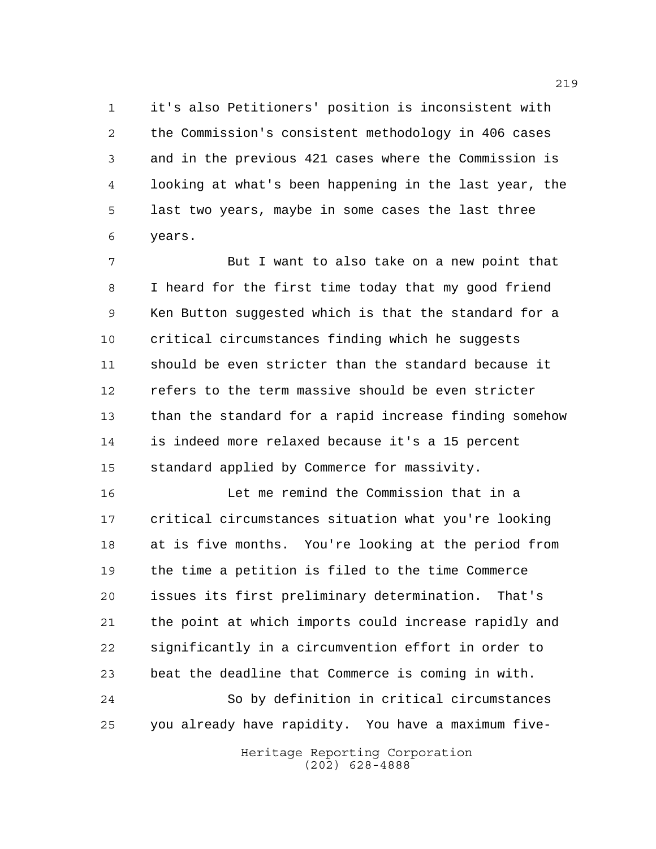it's also Petitioners' position is inconsistent with the Commission's consistent methodology in 406 cases and in the previous 421 cases where the Commission is looking at what's been happening in the last year, the last two years, maybe in some cases the last three years.

 But I want to also take on a new point that I heard for the first time today that my good friend Ken Button suggested which is that the standard for a critical circumstances finding which he suggests should be even stricter than the standard because it refers to the term massive should be even stricter than the standard for a rapid increase finding somehow is indeed more relaxed because it's a 15 percent standard applied by Commerce for massivity.

 Let me remind the Commission that in a critical circumstances situation what you're looking at is five months. You're looking at the period from the time a petition is filed to the time Commerce issues its first preliminary determination. That's the point at which imports could increase rapidly and significantly in a circumvention effort in order to beat the deadline that Commerce is coming in with. So by definition in critical circumstances

you already have rapidity. You have a maximum five-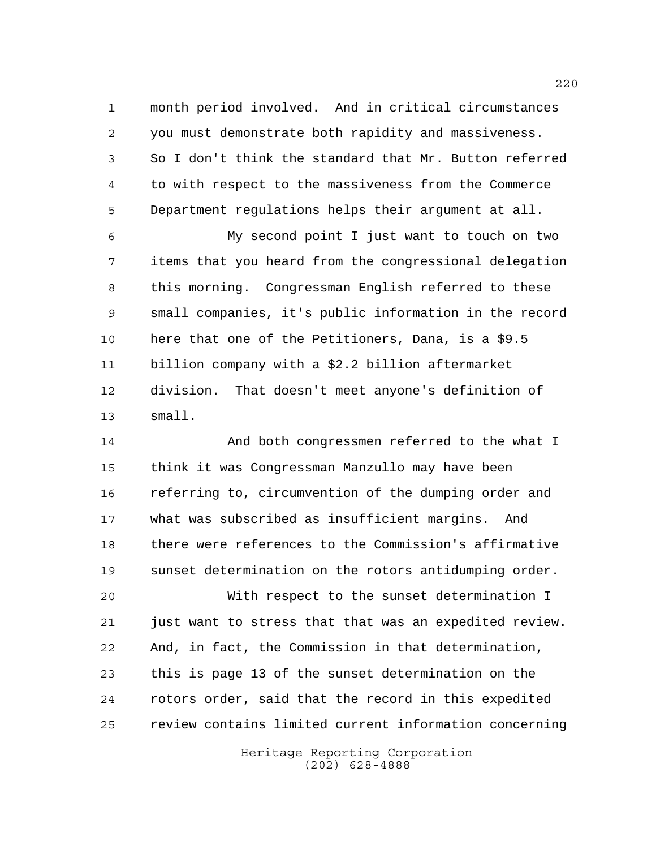month period involved. And in critical circumstances you must demonstrate both rapidity and massiveness. So I don't think the standard that Mr. Button referred to with respect to the massiveness from the Commerce Department regulations helps their argument at all.

 My second point I just want to touch on two items that you heard from the congressional delegation this morning. Congressman English referred to these small companies, it's public information in the record here that one of the Petitioners, Dana, is a \$9.5 billion company with a \$2.2 billion aftermarket division. That doesn't meet anyone's definition of small.

 And both congressmen referred to the what I think it was Congressman Manzullo may have been referring to, circumvention of the dumping order and what was subscribed as insufficient margins. And there were references to the Commission's affirmative sunset determination on the rotors antidumping order.

 With respect to the sunset determination I just want to stress that that was an expedited review. And, in fact, the Commission in that determination, this is page 13 of the sunset determination on the rotors order, said that the record in this expedited review contains limited current information concerning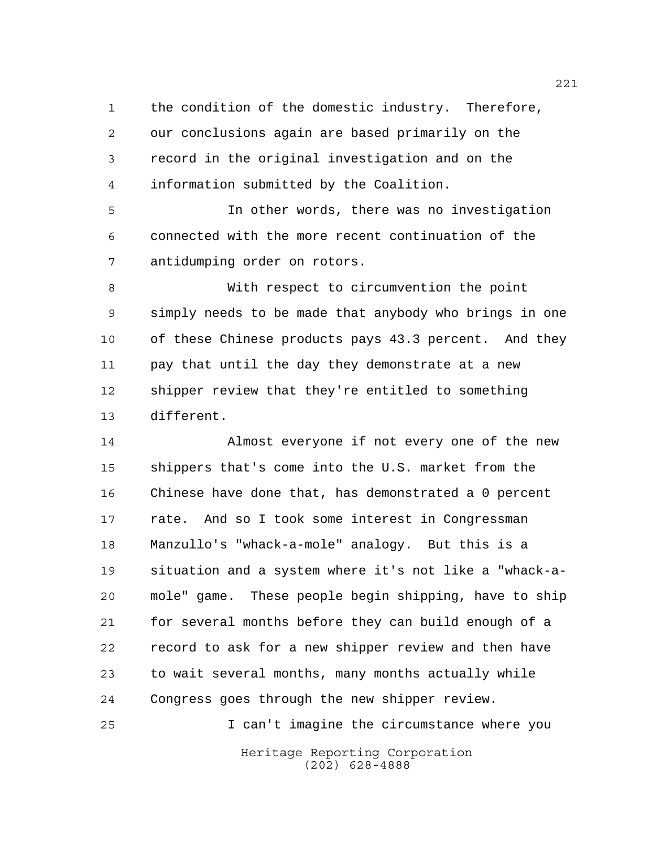the condition of the domestic industry. Therefore, our conclusions again are based primarily on the record in the original investigation and on the information submitted by the Coalition.

 In other words, there was no investigation connected with the more recent continuation of the antidumping order on rotors.

 With respect to circumvention the point simply needs to be made that anybody who brings in one of these Chinese products pays 43.3 percent. And they pay that until the day they demonstrate at a new shipper review that they're entitled to something different.

 Almost everyone if not every one of the new shippers that's come into the U.S. market from the Chinese have done that, has demonstrated a 0 percent rate. And so I took some interest in Congressman Manzullo's "whack-a-mole" analogy. But this is a situation and a system where it's not like a "whack-a- mole" game. These people begin shipping, have to ship for several months before they can build enough of a record to ask for a new shipper review and then have to wait several months, many months actually while Congress goes through the new shipper review.

Heritage Reporting Corporation (202) 628-4888 I can't imagine the circumstance where you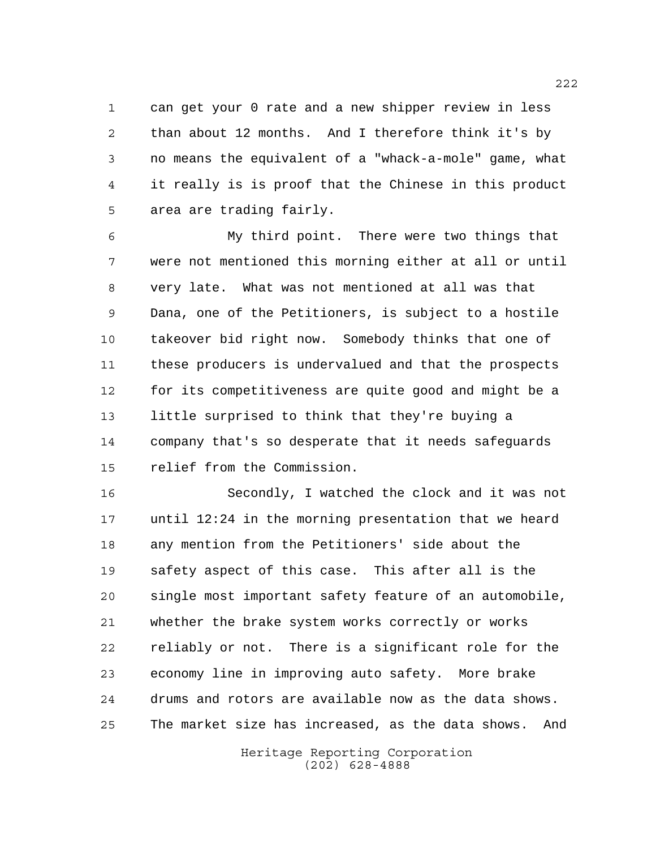can get your 0 rate and a new shipper review in less than about 12 months. And I therefore think it's by no means the equivalent of a "whack-a-mole" game, what it really is is proof that the Chinese in this product area are trading fairly.

 My third point. There were two things that were not mentioned this morning either at all or until very late. What was not mentioned at all was that Dana, one of the Petitioners, is subject to a hostile takeover bid right now. Somebody thinks that one of these producers is undervalued and that the prospects for its competitiveness are quite good and might be a little surprised to think that they're buying a company that's so desperate that it needs safeguards relief from the Commission.

 Secondly, I watched the clock and it was not until 12:24 in the morning presentation that we heard any mention from the Petitioners' side about the safety aspect of this case. This after all is the single most important safety feature of an automobile, whether the brake system works correctly or works reliably or not. There is a significant role for the economy line in improving auto safety. More brake drums and rotors are available now as the data shows. The market size has increased, as the data shows. And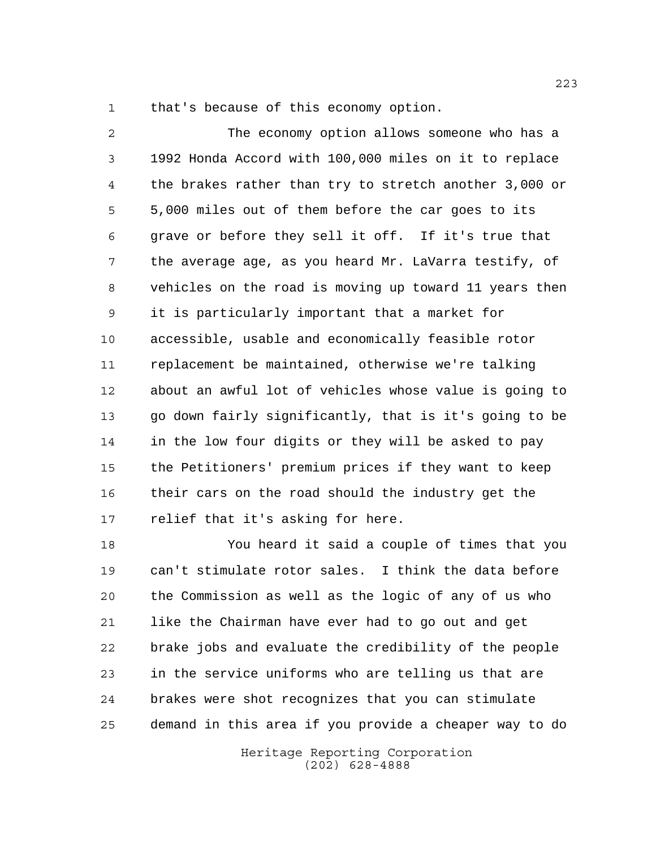that's because of this economy option.

 The economy option allows someone who has a 1992 Honda Accord with 100,000 miles on it to replace the brakes rather than try to stretch another 3,000 or 5,000 miles out of them before the car goes to its grave or before they sell it off. If it's true that the average age, as you heard Mr. LaVarra testify, of vehicles on the road is moving up toward 11 years then it is particularly important that a market for accessible, usable and economically feasible rotor replacement be maintained, otherwise we're talking about an awful lot of vehicles whose value is going to go down fairly significantly, that is it's going to be in the low four digits or they will be asked to pay the Petitioners' premium prices if they want to keep their cars on the road should the industry get the relief that it's asking for here.

 You heard it said a couple of times that you can't stimulate rotor sales. I think the data before the Commission as well as the logic of any of us who like the Chairman have ever had to go out and get brake jobs and evaluate the credibility of the people in the service uniforms who are telling us that are brakes were shot recognizes that you can stimulate demand in this area if you provide a cheaper way to do

> Heritage Reporting Corporation (202) 628-4888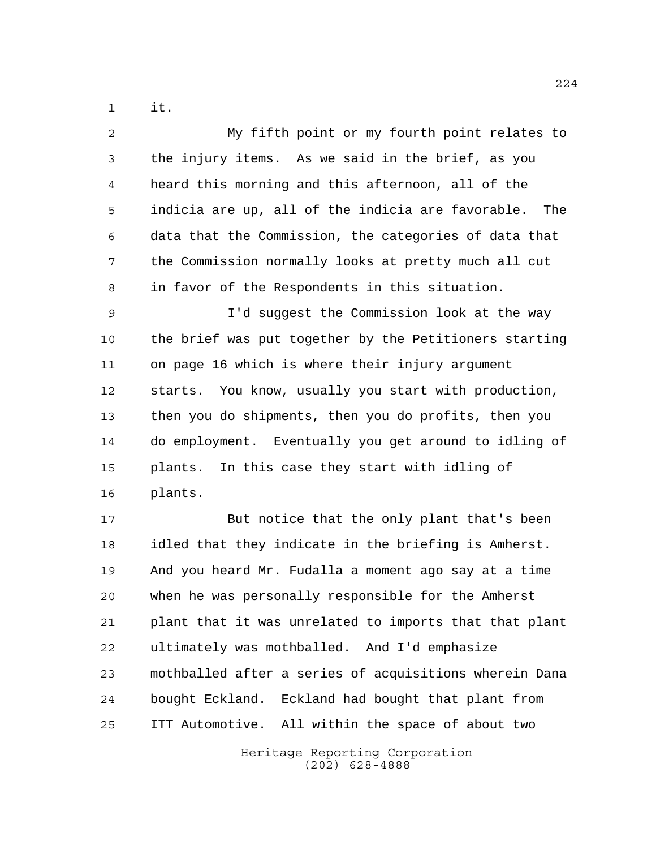it.

| 2              | My fifth point or my fourth point relates to             |
|----------------|----------------------------------------------------------|
| 3              | the injury items. As we said in the brief, as you        |
| $\overline{4}$ | heard this morning and this afternoon, all of the        |
| 5              | indicia are up, all of the indicia are favorable.<br>The |
| 6              | data that the Commission, the categories of data that    |
| 7              | the Commission normally looks at pretty much all cut     |
| 8              | in favor of the Respondents in this situation.           |
| 9              | I'd suggest the Commission look at the way               |
| 10             | the brief was put together by the Petitioners starting   |
| 11             | on page 16 which is where their injury argument          |
| 12             | starts. You know, usually you start with production,     |
| 13             | then you do shipments, then you do profits, then you     |
| 14             | do employment. Eventually you get around to idling of    |
| 15             | plants. In this case they start with idling of           |
| 16             | plants.                                                  |
| 17             | But notice that the only plant that's been               |
| 18             | idled that they indicate in the briefing is Amherst.     |
| 19             | And you heard Mr. Fudalla a moment ago say at a time     |
| 20             | when he was personally responsible for the Amherst       |
| 21             | plant that it was unrelated to imports that that plant   |
| 22             | ultimately was mothballed. And I'd emphasize             |
| 23             | mothballed after a series of acquisitions wherein Dana   |
| 24             | bought Eckland. Eckland had bought that plant from       |
| 25             | ITT Automotive. All within the space of about two        |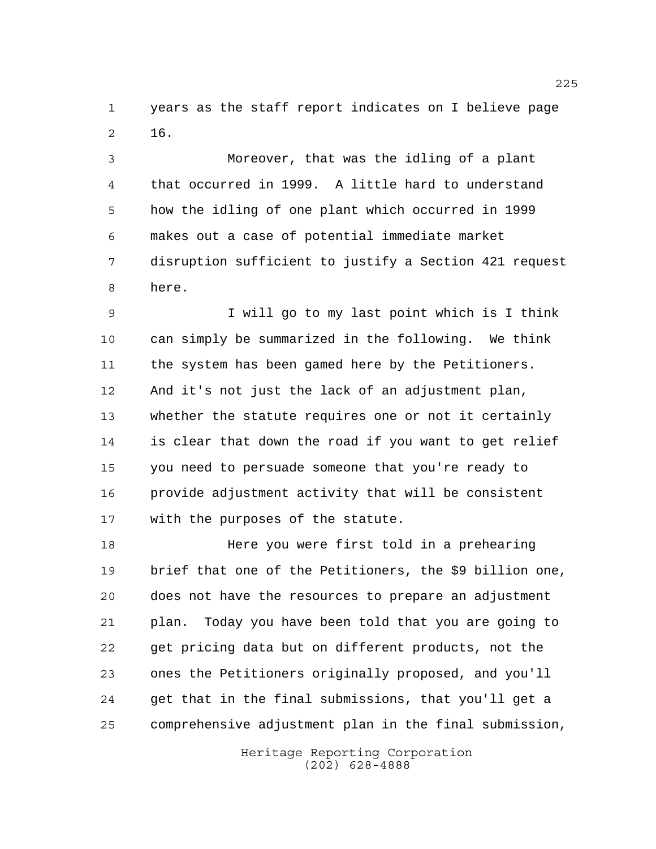years as the staff report indicates on I believe page 16.

 Moreover, that was the idling of a plant that occurred in 1999. A little hard to understand how the idling of one plant which occurred in 1999 makes out a case of potential immediate market disruption sufficient to justify a Section 421 request here.

 I will go to my last point which is I think can simply be summarized in the following. We think the system has been gamed here by the Petitioners. And it's not just the lack of an adjustment plan, whether the statute requires one or not it certainly is clear that down the road if you want to get relief you need to persuade someone that you're ready to provide adjustment activity that will be consistent with the purposes of the statute.

 Here you were first told in a prehearing brief that one of the Petitioners, the \$9 billion one, does not have the resources to prepare an adjustment plan. Today you have been told that you are going to get pricing data but on different products, not the ones the Petitioners originally proposed, and you'll get that in the final submissions, that you'll get a comprehensive adjustment plan in the final submission,

> Heritage Reporting Corporation (202) 628-4888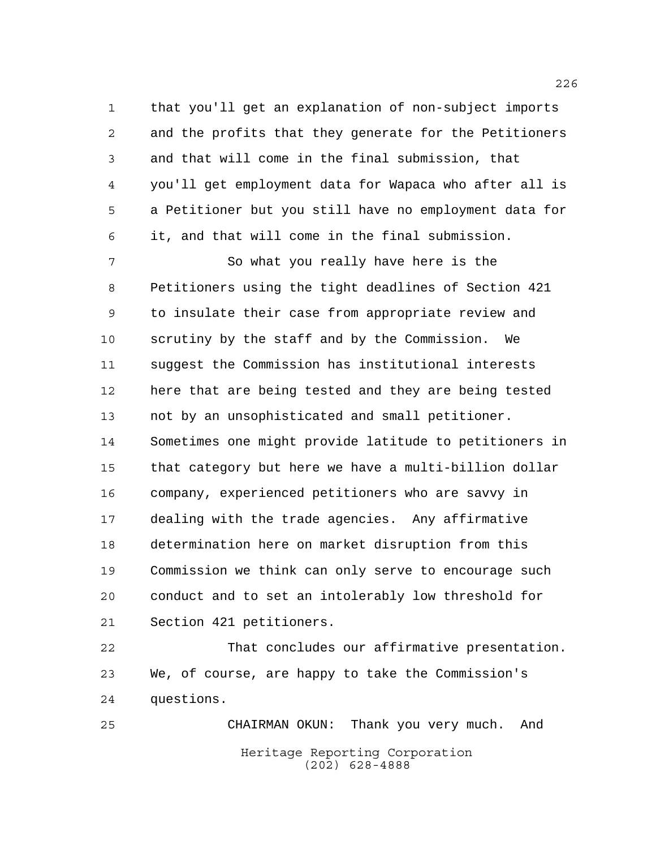that you'll get an explanation of non-subject imports and the profits that they generate for the Petitioners and that will come in the final submission, that you'll get employment data for Wapaca who after all is a Petitioner but you still have no employment data for it, and that will come in the final submission.

 So what you really have here is the Petitioners using the tight deadlines of Section 421 to insulate their case from appropriate review and scrutiny by the staff and by the Commission. We suggest the Commission has institutional interests here that are being tested and they are being tested not by an unsophisticated and small petitioner. Sometimes one might provide latitude to petitioners in that category but here we have a multi-billion dollar company, experienced petitioners who are savvy in dealing with the trade agencies. Any affirmative determination here on market disruption from this Commission we think can only serve to encourage such conduct and to set an intolerably low threshold for Section 421 petitioners.

 That concludes our affirmative presentation. We, of course, are happy to take the Commission's questions.

Heritage Reporting Corporation (202) 628-4888 CHAIRMAN OKUN: Thank you very much. And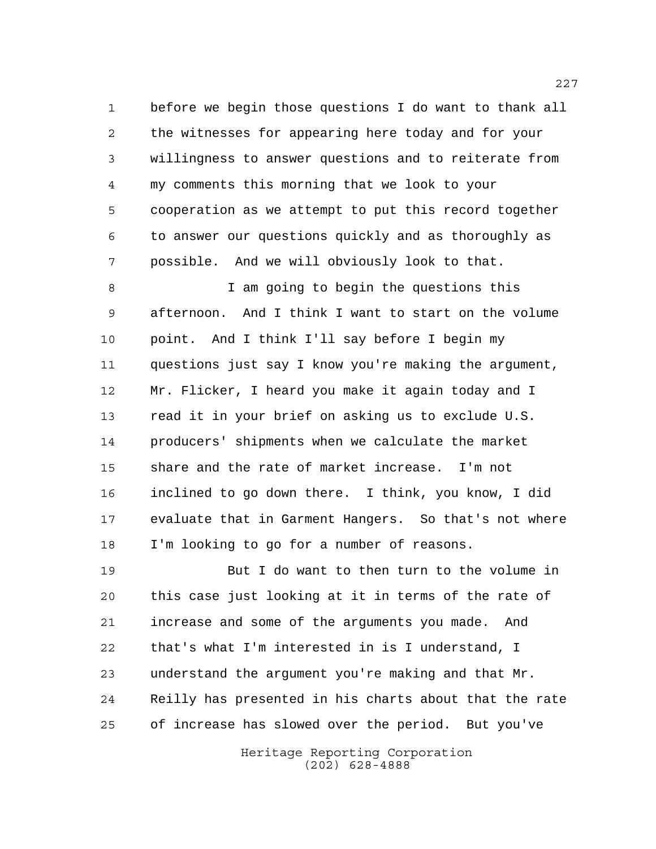before we begin those questions I do want to thank all the witnesses for appearing here today and for your willingness to answer questions and to reiterate from my comments this morning that we look to your cooperation as we attempt to put this record together to answer our questions quickly and as thoroughly as possible. And we will obviously look to that.

 I am going to begin the questions this afternoon. And I think I want to start on the volume point. And I think I'll say before I begin my questions just say I know you're making the argument, Mr. Flicker, I heard you make it again today and I read it in your brief on asking us to exclude U.S. producers' shipments when we calculate the market share and the rate of market increase. I'm not inclined to go down there. I think, you know, I did evaluate that in Garment Hangers. So that's not where I'm looking to go for a number of reasons.

 But I do want to then turn to the volume in this case just looking at it in terms of the rate of increase and some of the arguments you made. And that's what I'm interested in is I understand, I understand the argument you're making and that Mr. Reilly has presented in his charts about that the rate of increase has slowed over the period. But you've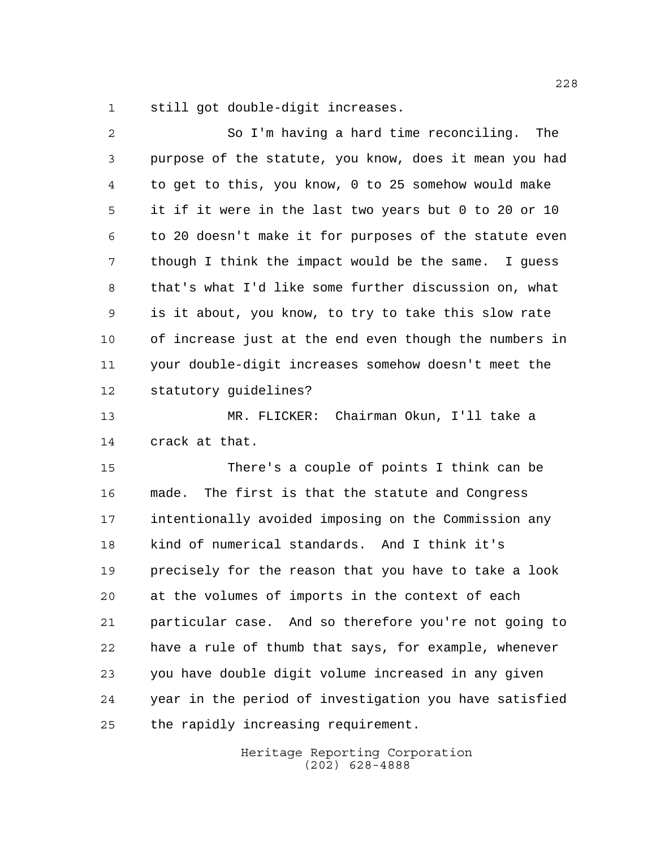still got double-digit increases.

| $\overline{2}$ | So I'm having a hard time reconciling. The             |
|----------------|--------------------------------------------------------|
| $\mathsf{3}$   | purpose of the statute, you know, does it mean you had |
| $\overline{4}$ | to get to this, you know, 0 to 25 somehow would make   |
| 5              | it if it were in the last two years but 0 to 20 or 10  |
| 6              | to 20 doesn't make it for purposes of the statute even |
| 7              | though I think the impact would be the same. I guess   |
| 8              | that's what I'd like some further discussion on, what  |
| 9              | is it about, you know, to try to take this slow rate   |
| 10             | of increase just at the end even though the numbers in |
| 11             | your double-digit increases somehow doesn't meet the   |
| 12             | statutory guidelines?                                  |
| 13             | MR. FLICKER: Chairman Okun, I'll take a                |
| 14             | crack at that.                                         |
| 15             | There's a couple of points I think can be              |
| 16             | made. The first is that the statute and Congress       |
| 17             | intentionally avoided imposing on the Commission any   |
| 18             | kind of numerical standards. And I think it's          |
| 19             | precisely for the reason that you have to take a look  |
| 20             | at the volumes of imports in the context of each       |
| 21             | particular case. And so therefore you're not going to  |
| 22             | have a rule of thumb that says, for example, whenever  |
| 23             | you have double digit volume increased in any given    |
| 24             | year in the period of investigation you have satisfied |
| 25             | the rapidly increasing requirement.                    |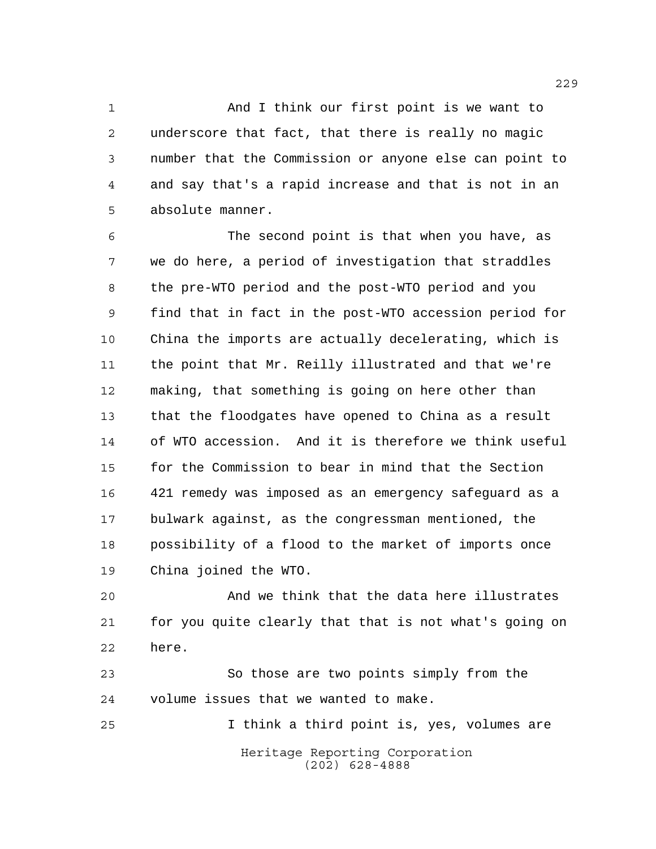1 And I think our first point is we want to underscore that fact, that there is really no magic number that the Commission or anyone else can point to and say that's a rapid increase and that is not in an absolute manner.

 The second point is that when you have, as we do here, a period of investigation that straddles the pre-WTO period and the post-WTO period and you find that in fact in the post-WTO accession period for China the imports are actually decelerating, which is the point that Mr. Reilly illustrated and that we're making, that something is going on here other than that the floodgates have opened to China as a result of WTO accession. And it is therefore we think useful for the Commission to bear in mind that the Section 421 remedy was imposed as an emergency safeguard as a bulwark against, as the congressman mentioned, the possibility of a flood to the market of imports once China joined the WTO.

 And we think that the data here illustrates for you quite clearly that that is not what's going on here.

 So those are two points simply from the volume issues that we wanted to make.

Heritage Reporting Corporation (202) 628-4888 I think a third point is, yes, volumes are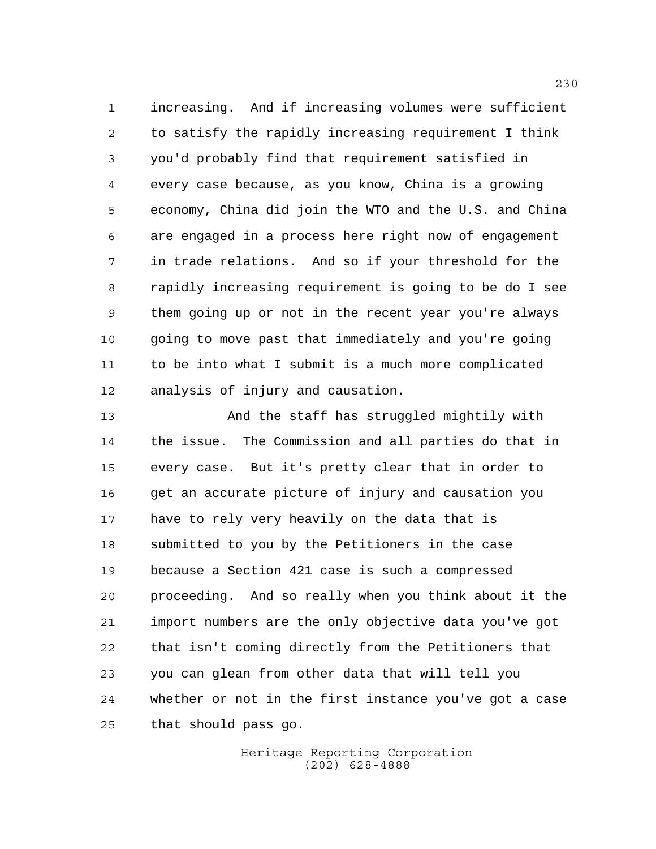increasing. And if increasing volumes were sufficient to satisfy the rapidly increasing requirement I think you'd probably find that requirement satisfied in every case because, as you know, China is a growing economy, China did join the WTO and the U.S. and China are engaged in a process here right now of engagement in trade relations. And so if your threshold for the rapidly increasing requirement is going to be do I see them going up or not in the recent year you're always going to move past that immediately and you're going to be into what I submit is a much more complicated analysis of injury and causation.

 And the staff has struggled mightily with the issue. The Commission and all parties do that in every case. But it's pretty clear that in order to get an accurate picture of injury and causation you have to rely very heavily on the data that is submitted to you by the Petitioners in the case because a Section 421 case is such a compressed proceeding. And so really when you think about it the import numbers are the only objective data you've got that isn't coming directly from the Petitioners that you can glean from other data that will tell you whether or not in the first instance you've got a case that should pass go.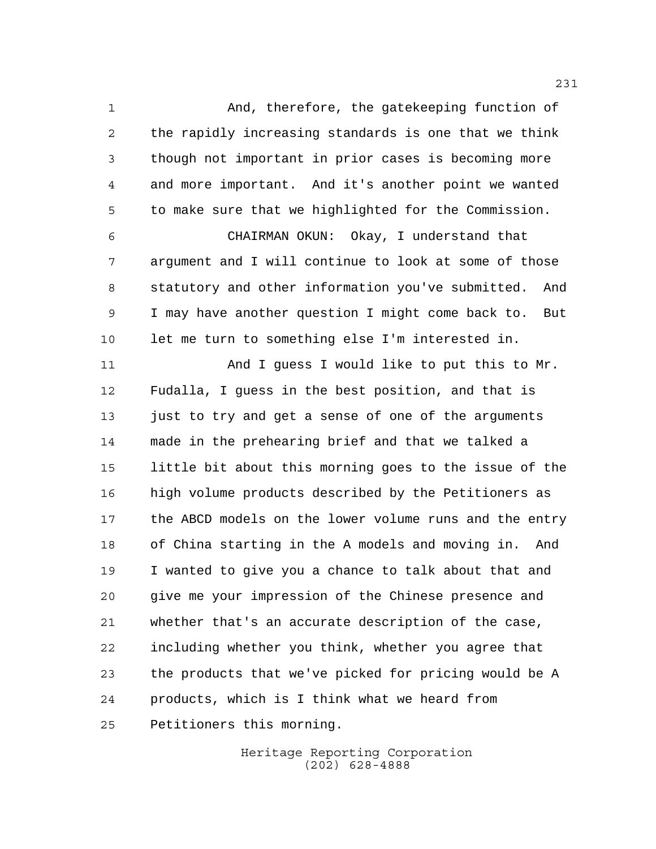And, therefore, the gatekeeping function of the rapidly increasing standards is one that we think though not important in prior cases is becoming more and more important. And it's another point we wanted to make sure that we highlighted for the Commission. CHAIRMAN OKUN: Okay, I understand that argument and I will continue to look at some of those statutory and other information you've submitted. And I may have another question I might come back to. But let me turn to something else I'm interested in. 11 And I guess I would like to put this to Mr. Fudalla, I guess in the best position, and that is 13 just to try and get a sense of one of the arguments made in the prehearing brief and that we talked a little bit about this morning goes to the issue of the high volume products described by the Petitioners as the ABCD models on the lower volume runs and the entry of China starting in the A models and moving in. And

 I wanted to give you a chance to talk about that and give me your impression of the Chinese presence and whether that's an accurate description of the case, including whether you think, whether you agree that the products that we've picked for pricing would be A products, which is I think what we heard from Petitioners this morning.

> Heritage Reporting Corporation (202) 628-4888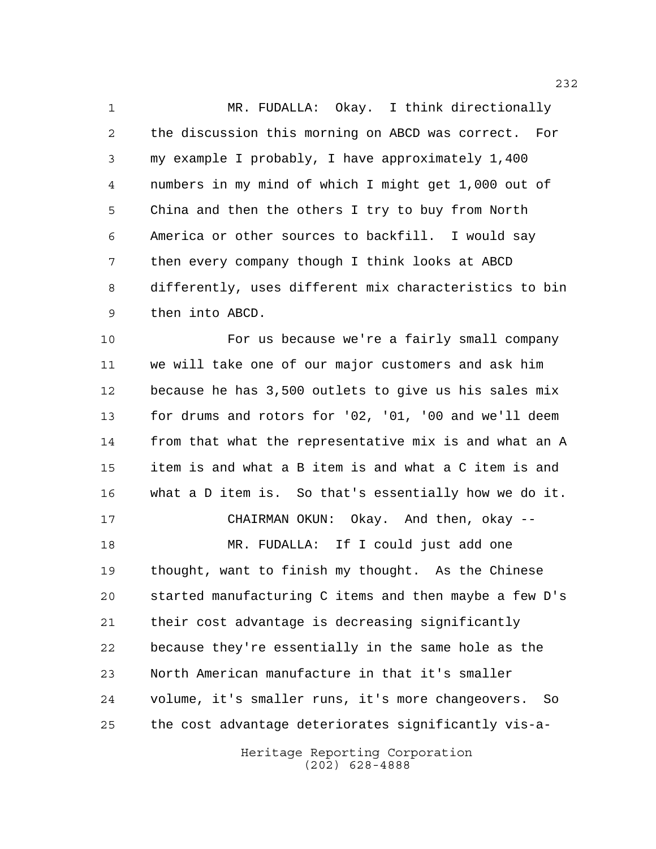MR. FUDALLA: Okay. I think directionally the discussion this morning on ABCD was correct. For my example I probably, I have approximately 1,400 numbers in my mind of which I might get 1,000 out of China and then the others I try to buy from North America or other sources to backfill. I would say then every company though I think looks at ABCD differently, uses different mix characteristics to bin then into ABCD.

 For us because we're a fairly small company we will take one of our major customers and ask him because he has 3,500 outlets to give us his sales mix for drums and rotors for '02, '01, '00 and we'll deem from that what the representative mix is and what an A item is and what a B item is and what a C item is and what a D item is. So that's essentially how we do it. CHAIRMAN OKUN: Okay. And then, okay -- MR. FUDALLA: If I could just add one thought, want to finish my thought. As the Chinese started manufacturing C items and then maybe a few D's their cost advantage is decreasing significantly because they're essentially in the same hole as the North American manufacture in that it's smaller volume, it's smaller runs, it's more changeovers. So the cost advantage deteriorates significantly vis-a-

> Heritage Reporting Corporation (202) 628-4888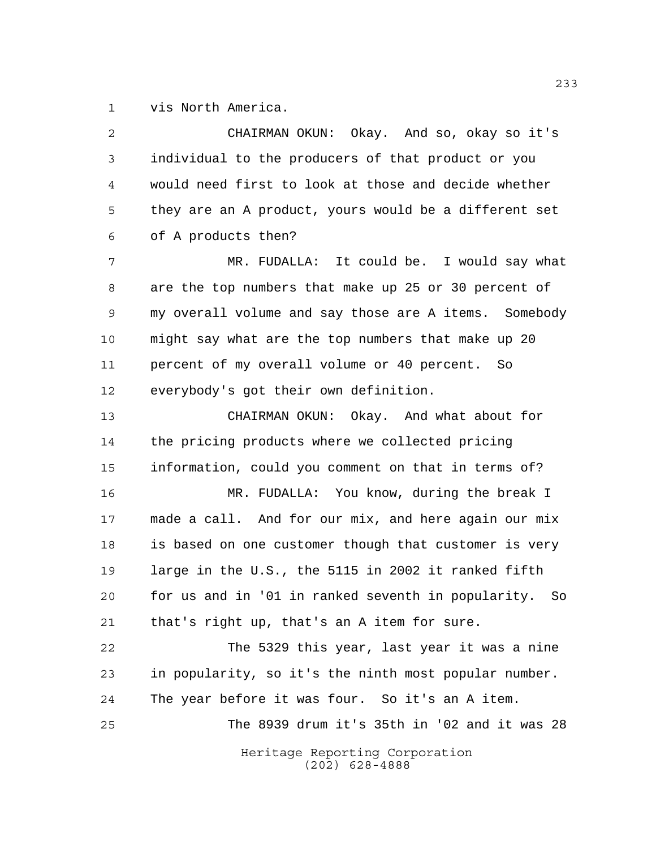vis North America.

| 2  | CHAIRMAN OKUN: Okay. And so, okay so it's             |
|----|-------------------------------------------------------|
| 3  | individual to the producers of that product or you    |
| 4  | would need first to look at those and decide whether  |
| 5  | they are an A product, yours would be a different set |
| 6  | of A products then?                                   |
| 7  | MR. FUDALLA: It could be. I would say what            |
| 8  | are the top numbers that make up 25 or 30 percent of  |
| 9  | my overall volume and say those are A items. Somebody |
| 10 | might say what are the top numbers that make up 20    |
| 11 | percent of my overall volume or 40 percent. So        |
| 12 | everybody's got their own definition.                 |
| 13 | CHAIRMAN OKUN: Okay. And what about for               |
| 14 | the pricing products where we collected pricing       |
| 15 | information, could you comment on that in terms of?   |
| 16 | MR. FUDALLA: You know, during the break I             |
| 17 | made a call. And for our mix, and here again our mix  |
| 18 | is based on one customer though that customer is very |
| 19 | large in the U.S., the 5115 in 2002 it ranked fifth   |
| 20 | for us and in '01 in ranked seventh in popularity. So |
| 21 | that's right up, that's an A item for sure.           |
| 22 | The 5329 this year, last year it was a nine           |
| 23 | in popularity, so it's the ninth most popular number. |
| 24 | The year before it was four. So it's an A item.       |
| 25 | The 8939 drum it's 35th in '02 and it was 28          |
|    | Heritage Reporting Corporation<br>$(202)$ 628-4888    |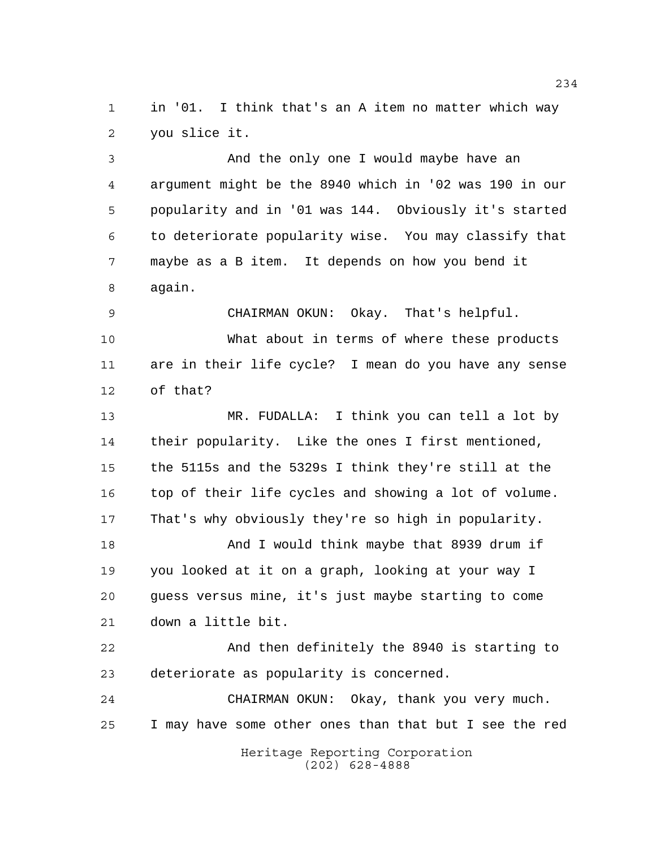in '01. I think that's an A item no matter which way you slice it.

 And the only one I would maybe have an argument might be the 8940 which in '02 was 190 in our popularity and in '01 was 144. Obviously it's started to deteriorate popularity wise. You may classify that maybe as a B item. It depends on how you bend it again.

 CHAIRMAN OKUN: Okay. That's helpful. What about in terms of where these products are in their life cycle? I mean do you have any sense of that?

 MR. FUDALLA: I think you can tell a lot by their popularity. Like the ones I first mentioned, the 5115s and the 5329s I think they're still at the top of their life cycles and showing a lot of volume. That's why obviously they're so high in popularity.

18 And I would think maybe that 8939 drum if you looked at it on a graph, looking at your way I guess versus mine, it's just maybe starting to come down a little bit.

 And then definitely the 8940 is starting to deteriorate as popularity is concerned.

 CHAIRMAN OKUN: Okay, thank you very much. I may have some other ones than that but I see the red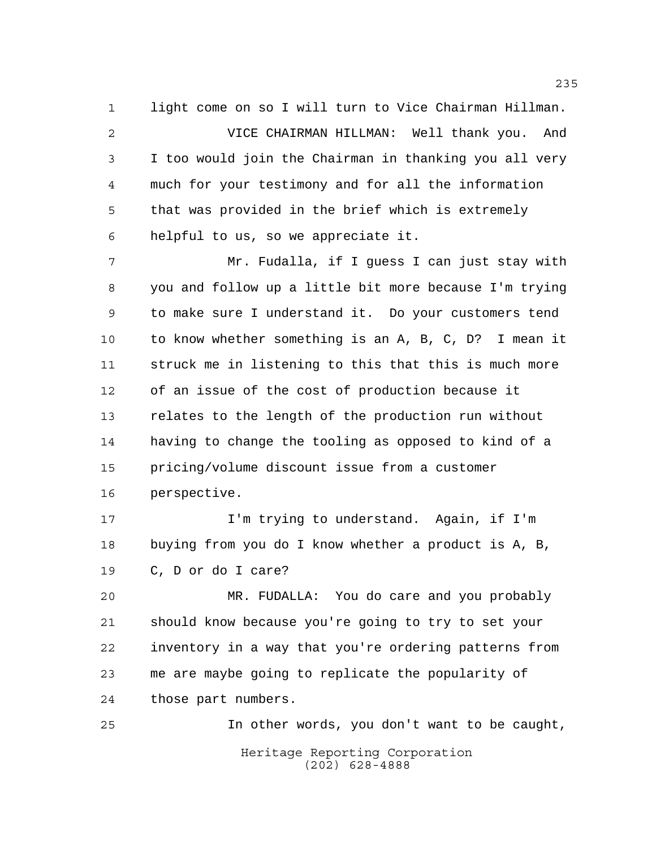light come on so I will turn to Vice Chairman Hillman. VICE CHAIRMAN HILLMAN: Well thank you. And I too would join the Chairman in thanking you all very much for your testimony and for all the information that was provided in the brief which is extremely helpful to us, so we appreciate it.

 Mr. Fudalla, if I guess I can just stay with you and follow up a little bit more because I'm trying to make sure I understand it. Do your customers tend to know whether something is an A, B, C, D? I mean it struck me in listening to this that this is much more of an issue of the cost of production because it relates to the length of the production run without having to change the tooling as opposed to kind of a pricing/volume discount issue from a customer perspective.

 I'm trying to understand. Again, if I'm buying from you do I know whether a product is A, B, C, D or do I care?

 MR. FUDALLA: You do care and you probably should know because you're going to try to set your inventory in a way that you're ordering patterns from me are maybe going to replicate the popularity of those part numbers.

Heritage Reporting Corporation (202) 628-4888 In other words, you don't want to be caught,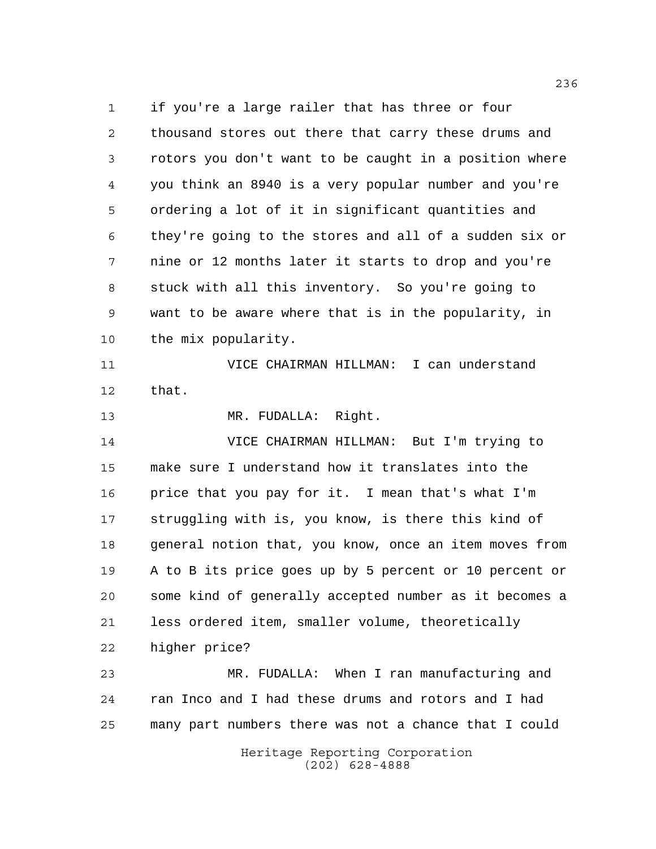if you're a large railer that has three or four thousand stores out there that carry these drums and rotors you don't want to be caught in a position where you think an 8940 is a very popular number and you're ordering a lot of it in significant quantities and they're going to the stores and all of a sudden six or nine or 12 months later it starts to drop and you're stuck with all this inventory. So you're going to want to be aware where that is in the popularity, in the mix popularity.

 VICE CHAIRMAN HILLMAN: I can understand that.

MR. FUDALLA: Right.

 VICE CHAIRMAN HILLMAN: But I'm trying to make sure I understand how it translates into the price that you pay for it. I mean that's what I'm struggling with is, you know, is there this kind of general notion that, you know, once an item moves from A to B its price goes up by 5 percent or 10 percent or some kind of generally accepted number as it becomes a less ordered item, smaller volume, theoretically higher price?

 MR. FUDALLA: When I ran manufacturing and ran Inco and I had these drums and rotors and I had many part numbers there was not a chance that I could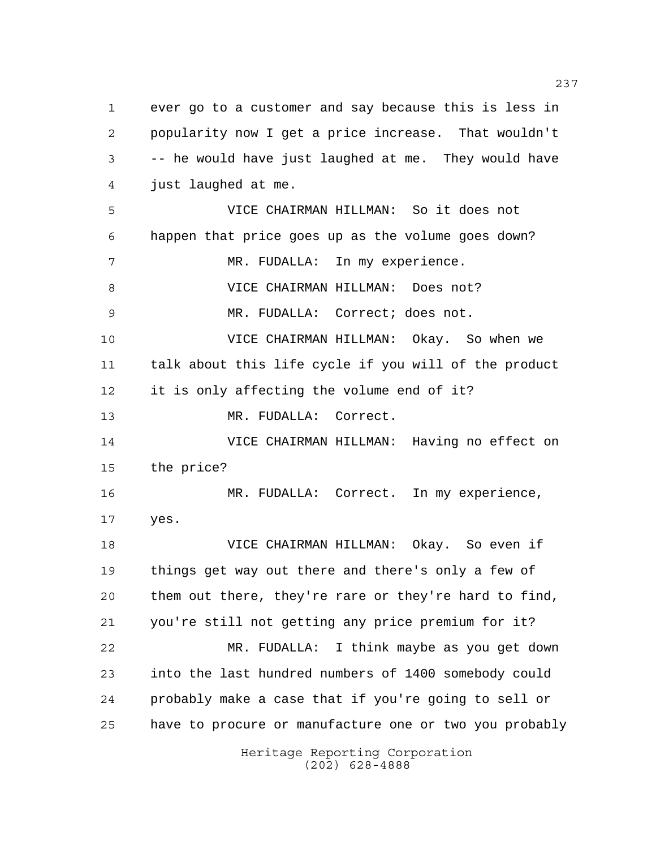Heritage Reporting Corporation ever go to a customer and say because this is less in popularity now I get a price increase. That wouldn't -- he would have just laughed at me. They would have just laughed at me. VICE CHAIRMAN HILLMAN: So it does not happen that price goes up as the volume goes down? MR. FUDALLA: In my experience. VICE CHAIRMAN HILLMAN: Does not? MR. FUDALLA: Correct; does not. VICE CHAIRMAN HILLMAN: Okay. So when we talk about this life cycle if you will of the product it is only affecting the volume end of it? MR. FUDALLA: Correct. VICE CHAIRMAN HILLMAN: Having no effect on the price? MR. FUDALLA: Correct. In my experience, yes. VICE CHAIRMAN HILLMAN: Okay. So even if things get way out there and there's only a few of them out there, they're rare or they're hard to find, you're still not getting any price premium for it? MR. FUDALLA: I think maybe as you get down into the last hundred numbers of 1400 somebody could probably make a case that if you're going to sell or have to procure or manufacture one or two you probably

(202) 628-4888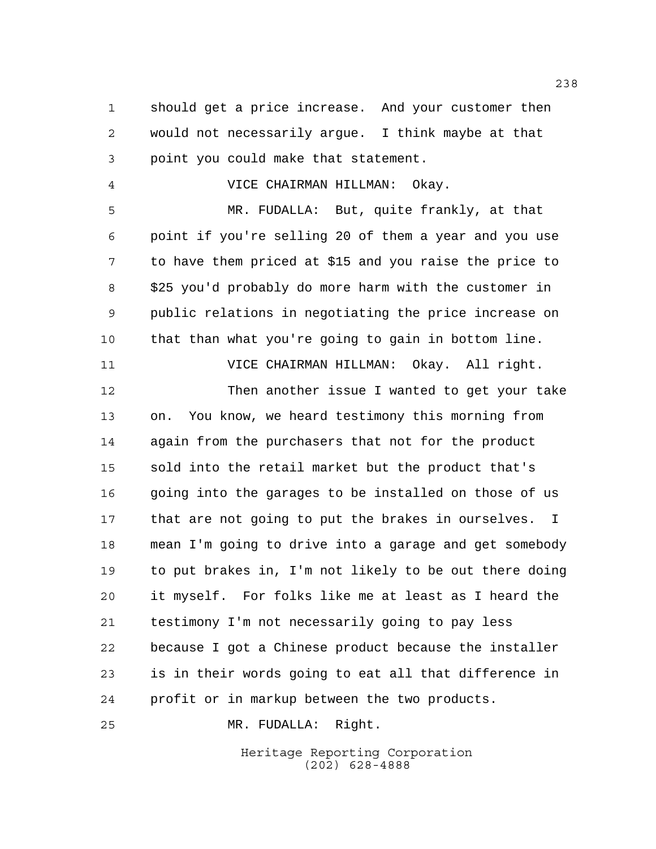should get a price increase. And your customer then would not necessarily argue. I think maybe at that point you could make that statement.

VICE CHAIRMAN HILLMAN: Okay.

 MR. FUDALLA: But, quite frankly, at that point if you're selling 20 of them a year and you use to have them priced at \$15 and you raise the price to \$25 you'd probably do more harm with the customer in public relations in negotiating the price increase on that than what you're going to gain in bottom line.

VICE CHAIRMAN HILLMAN: Okay. All right.

 Then another issue I wanted to get your take on. You know, we heard testimony this morning from again from the purchasers that not for the product sold into the retail market but the product that's going into the garages to be installed on those of us that are not going to put the brakes in ourselves. I mean I'm going to drive into a garage and get somebody to put brakes in, I'm not likely to be out there doing it myself. For folks like me at least as I heard the testimony I'm not necessarily going to pay less because I got a Chinese product because the installer is in their words going to eat all that difference in profit or in markup between the two products.

MR. FUDALLA: Right.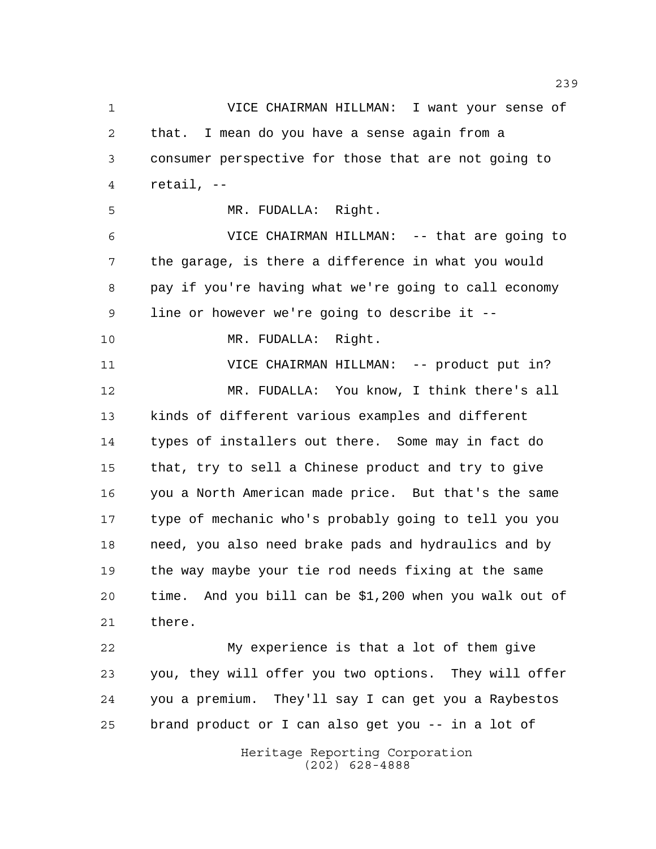VICE CHAIRMAN HILLMAN: I want your sense of that. I mean do you have a sense again from a consumer perspective for those that are not going to retail, -- MR. FUDALLA: Right. VICE CHAIRMAN HILLMAN: -- that are going to the garage, is there a difference in what you would pay if you're having what we're going to call economy line or however we're going to describe it -- MR. FUDALLA: Right. 11 VICE CHAIRMAN HILLMAN: -- product put in? MR. FUDALLA: You know, I think there's all kinds of different various examples and different types of installers out there. Some may in fact do that, try to sell a Chinese product and try to give you a North American made price. But that's the same type of mechanic who's probably going to tell you you need, you also need brake pads and hydraulics and by the way maybe your tie rod needs fixing at the same time. And you bill can be \$1,200 when you walk out of there. My experience is that a lot of them give you, they will offer you two options. They will offer you a premium. They'll say I can get you a Raybestos

brand product or I can also get you -- in a lot of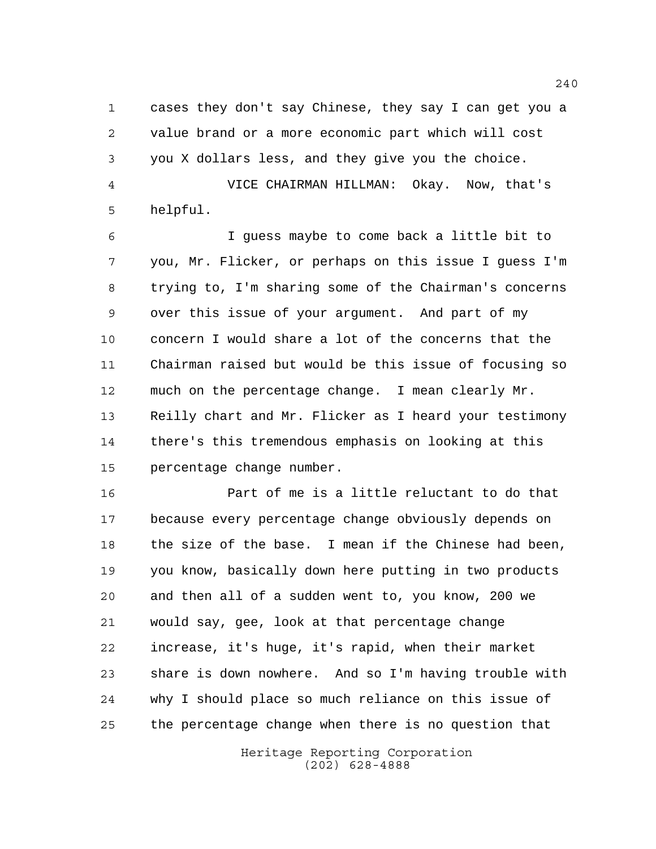cases they don't say Chinese, they say I can get you a value brand or a more economic part which will cost you X dollars less, and they give you the choice.

 VICE CHAIRMAN HILLMAN: Okay. Now, that's helpful.

 I guess maybe to come back a little bit to you, Mr. Flicker, or perhaps on this issue I guess I'm trying to, I'm sharing some of the Chairman's concerns over this issue of your argument. And part of my concern I would share a lot of the concerns that the Chairman raised but would be this issue of focusing so much on the percentage change. I mean clearly Mr. Reilly chart and Mr. Flicker as I heard your testimony there's this tremendous emphasis on looking at this percentage change number.

 Part of me is a little reluctant to do that because every percentage change obviously depends on the size of the base. I mean if the Chinese had been, you know, basically down here putting in two products and then all of a sudden went to, you know, 200 we would say, gee, look at that percentage change increase, it's huge, it's rapid, when their market share is down nowhere. And so I'm having trouble with why I should place so much reliance on this issue of the percentage change when there is no question that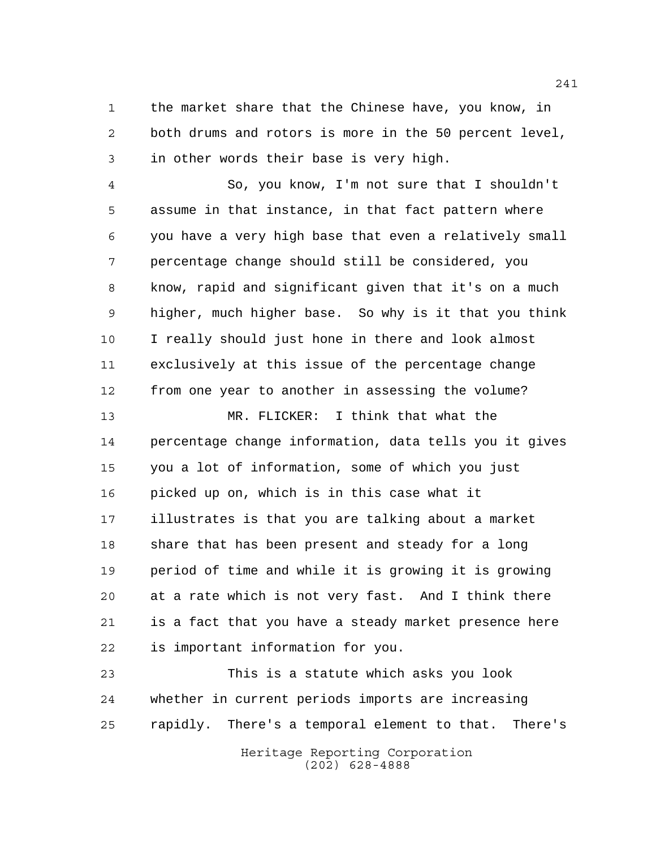the market share that the Chinese have, you know, in both drums and rotors is more in the 50 percent level, in other words their base is very high.

 So, you know, I'm not sure that I shouldn't assume in that instance, in that fact pattern where you have a very high base that even a relatively small percentage change should still be considered, you know, rapid and significant given that it's on a much higher, much higher base. So why is it that you think I really should just hone in there and look almost exclusively at this issue of the percentage change from one year to another in assessing the volume? MR. FLICKER: I think that what the percentage change information, data tells you it gives you a lot of information, some of which you just picked up on, which is in this case what it illustrates is that you are talking about a market share that has been present and steady for a long period of time and while it is growing it is growing

 at a rate which is not very fast. And I think there is a fact that you have a steady market presence here is important information for you.

 This is a statute which asks you look whether in current periods imports are increasing rapidly. There's a temporal element to that. There's

> Heritage Reporting Corporation (202) 628-4888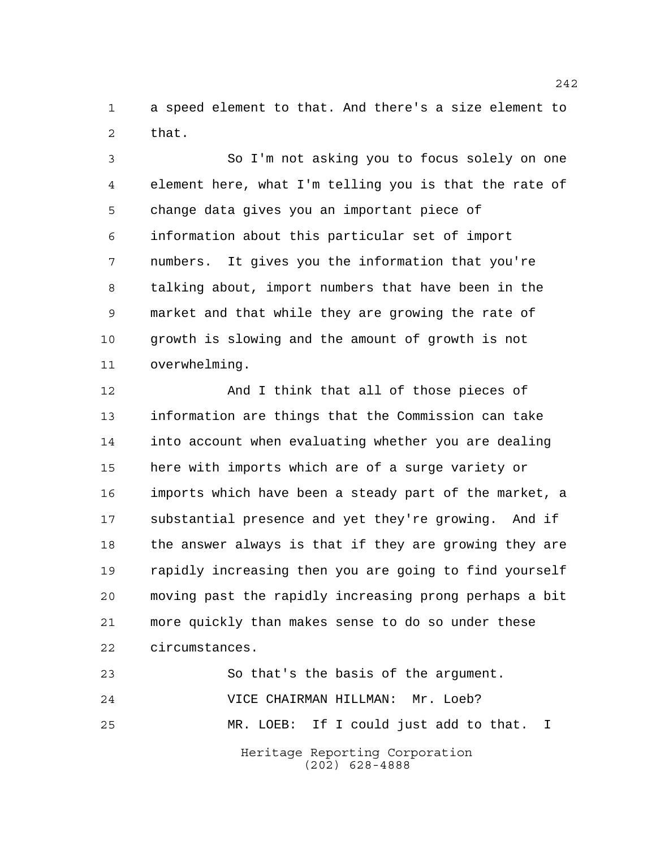a speed element to that. And there's a size element to that.

 So I'm not asking you to focus solely on one element here, what I'm telling you is that the rate of change data gives you an important piece of information about this particular set of import numbers. It gives you the information that you're talking about, import numbers that have been in the market and that while they are growing the rate of growth is slowing and the amount of growth is not overwhelming.

 And I think that all of those pieces of information are things that the Commission can take into account when evaluating whether you are dealing here with imports which are of a surge variety or imports which have been a steady part of the market, a substantial presence and yet they're growing. And if the answer always is that if they are growing they are rapidly increasing then you are going to find yourself moving past the rapidly increasing prong perhaps a bit more quickly than makes sense to do so under these circumstances.

Heritage Reporting Corporation (202) 628-4888 So that's the basis of the argument. VICE CHAIRMAN HILLMAN: Mr. Loeb? MR. LOEB: If I could just add to that. I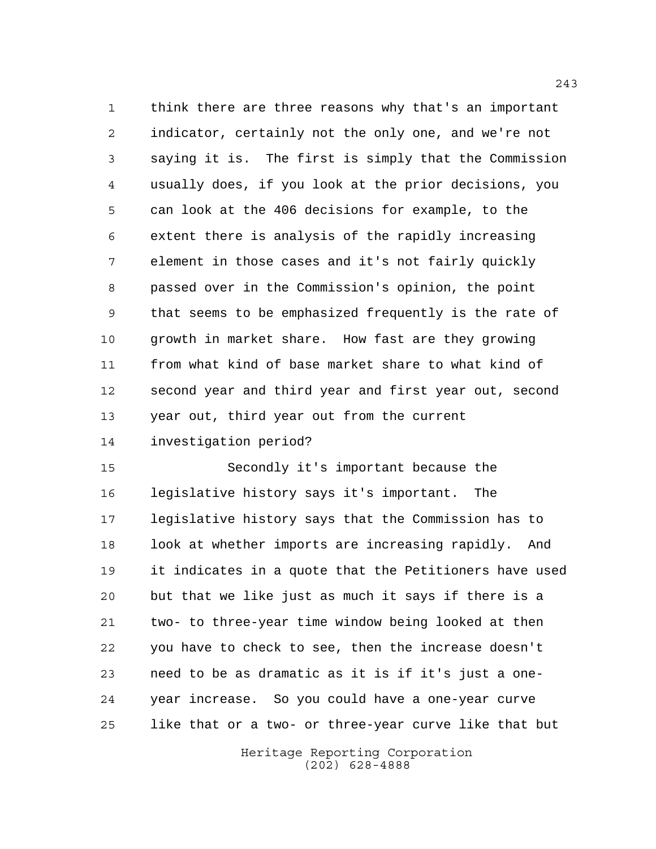think there are three reasons why that's an important indicator, certainly not the only one, and we're not saying it is. The first is simply that the Commission usually does, if you look at the prior decisions, you can look at the 406 decisions for example, to the extent there is analysis of the rapidly increasing element in those cases and it's not fairly quickly passed over in the Commission's opinion, the point that seems to be emphasized frequently is the rate of growth in market share. How fast are they growing from what kind of base market share to what kind of second year and third year and first year out, second year out, third year out from the current investigation period?

 Secondly it's important because the legislative history says it's important. The legislative history says that the Commission has to 18 look at whether imports are increasing rapidly. And it indicates in a quote that the Petitioners have used but that we like just as much it says if there is a two- to three-year time window being looked at then you have to check to see, then the increase doesn't need to be as dramatic as it is if it's just a one-year increase. So you could have a one-year curve

> Heritage Reporting Corporation (202) 628-4888

like that or a two- or three-year curve like that but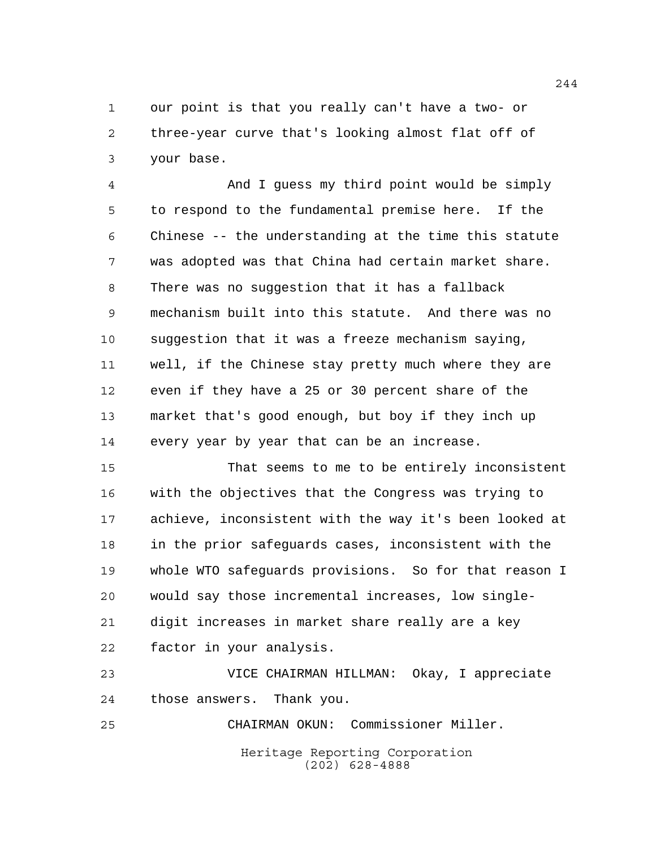our point is that you really can't have a two- or three-year curve that's looking almost flat off of your base.

 And I guess my third point would be simply to respond to the fundamental premise here. If the Chinese -- the understanding at the time this statute was adopted was that China had certain market share. There was no suggestion that it has a fallback mechanism built into this statute. And there was no suggestion that it was a freeze mechanism saying, well, if the Chinese stay pretty much where they are even if they have a 25 or 30 percent share of the market that's good enough, but boy if they inch up every year by year that can be an increase.

 That seems to me to be entirely inconsistent with the objectives that the Congress was trying to achieve, inconsistent with the way it's been looked at in the prior safeguards cases, inconsistent with the whole WTO safeguards provisions. So for that reason I would say those incremental increases, low single- digit increases in market share really are a key factor in your analysis.

 VICE CHAIRMAN HILLMAN: Okay, I appreciate those answers. Thank you.

Heritage Reporting Corporation (202) 628-4888 CHAIRMAN OKUN: Commissioner Miller.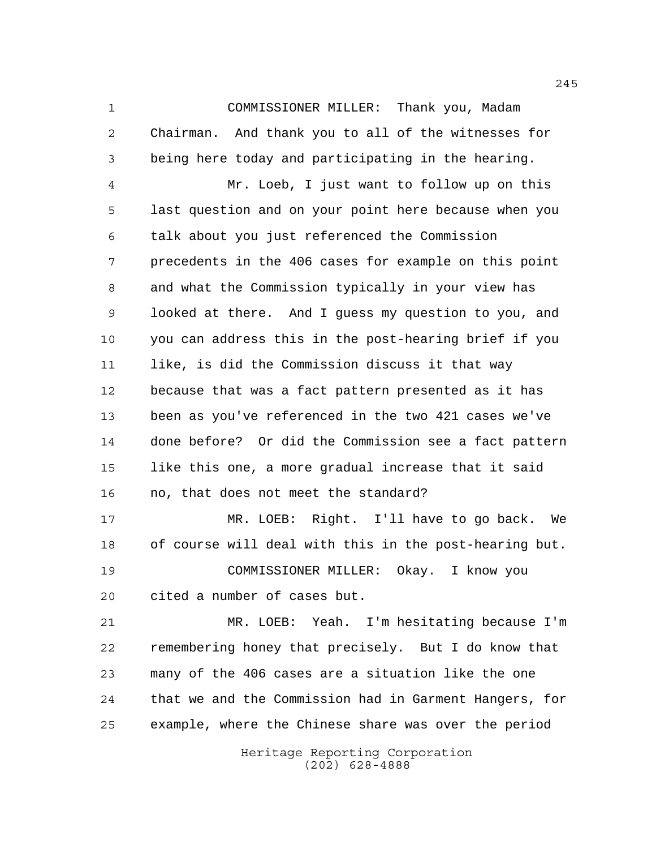COMMISSIONER MILLER: Thank you, Madam Chairman. And thank you to all of the witnesses for being here today and participating in the hearing.

 Mr. Loeb, I just want to follow up on this last question and on your point here because when you talk about you just referenced the Commission precedents in the 406 cases for example on this point and what the Commission typically in your view has looked at there. And I guess my question to you, and you can address this in the post-hearing brief if you like, is did the Commission discuss it that way because that was a fact pattern presented as it has been as you've referenced in the two 421 cases we've done before? Or did the Commission see a fact pattern like this one, a more gradual increase that it said no, that does not meet the standard?

 MR. LOEB: Right. I'll have to go back. We of course will deal with this in the post-hearing but. COMMISSIONER MILLER: Okay. I know you cited a number of cases but.

 MR. LOEB: Yeah. I'm hesitating because I'm remembering honey that precisely. But I do know that many of the 406 cases are a situation like the one that we and the Commission had in Garment Hangers, for example, where the Chinese share was over the period

> Heritage Reporting Corporation (202) 628-4888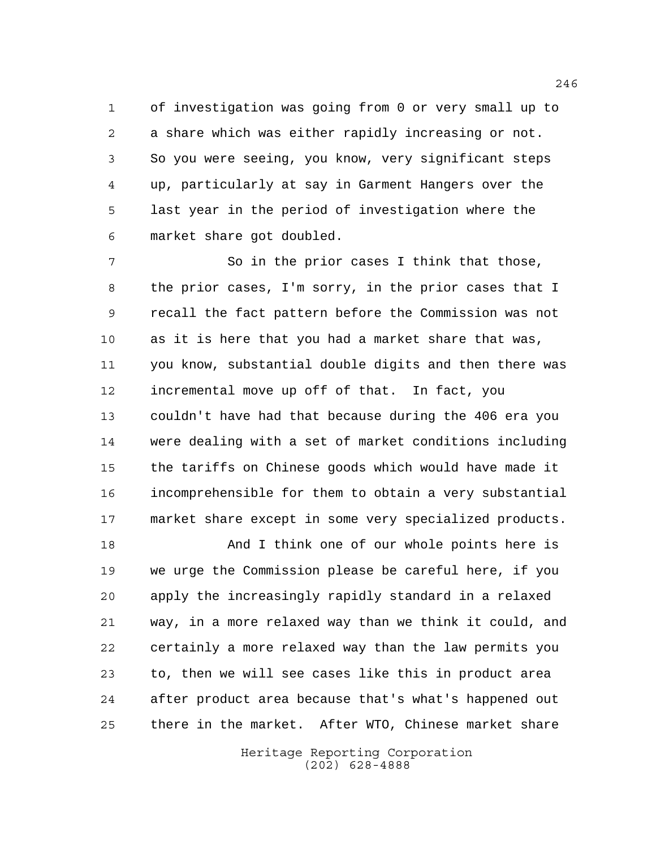of investigation was going from 0 or very small up to a share which was either rapidly increasing or not. So you were seeing, you know, very significant steps up, particularly at say in Garment Hangers over the last year in the period of investigation where the market share got doubled.

7 So in the prior cases I think that those, the prior cases, I'm sorry, in the prior cases that I recall the fact pattern before the Commission was not as it is here that you had a market share that was, you know, substantial double digits and then there was incremental move up off of that. In fact, you couldn't have had that because during the 406 era you were dealing with a set of market conditions including the tariffs on Chinese goods which would have made it incomprehensible for them to obtain a very substantial market share except in some very specialized products.

 And I think one of our whole points here is we urge the Commission please be careful here, if you apply the increasingly rapidly standard in a relaxed way, in a more relaxed way than we think it could, and certainly a more relaxed way than the law permits you to, then we will see cases like this in product area after product area because that's what's happened out there in the market. After WTO, Chinese market share

> Heritage Reporting Corporation (202) 628-4888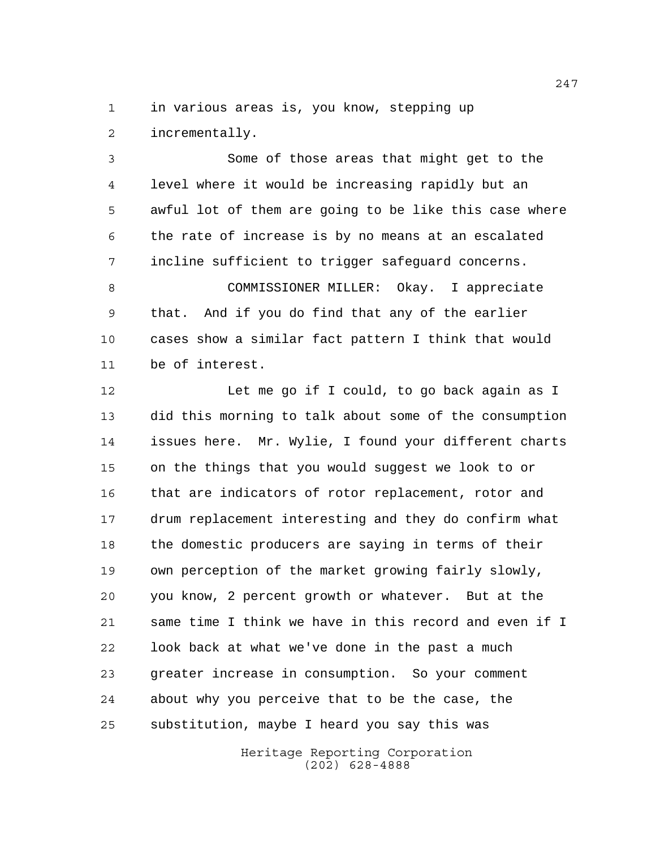in various areas is, you know, stepping up incrementally.

 Some of those areas that might get to the level where it would be increasing rapidly but an awful lot of them are going to be like this case where the rate of increase is by no means at an escalated incline sufficient to trigger safeguard concerns.

 COMMISSIONER MILLER: Okay. I appreciate that. And if you do find that any of the earlier cases show a similar fact pattern I think that would be of interest.

 Let me go if I could, to go back again as I did this morning to talk about some of the consumption issues here. Mr. Wylie, I found your different charts on the things that you would suggest we look to or that are indicators of rotor replacement, rotor and drum replacement interesting and they do confirm what the domestic producers are saying in terms of their own perception of the market growing fairly slowly, you know, 2 percent growth or whatever. But at the same time I think we have in this record and even if I look back at what we've done in the past a much greater increase in consumption. So your comment about why you perceive that to be the case, the substitution, maybe I heard you say this was

> Heritage Reporting Corporation (202) 628-4888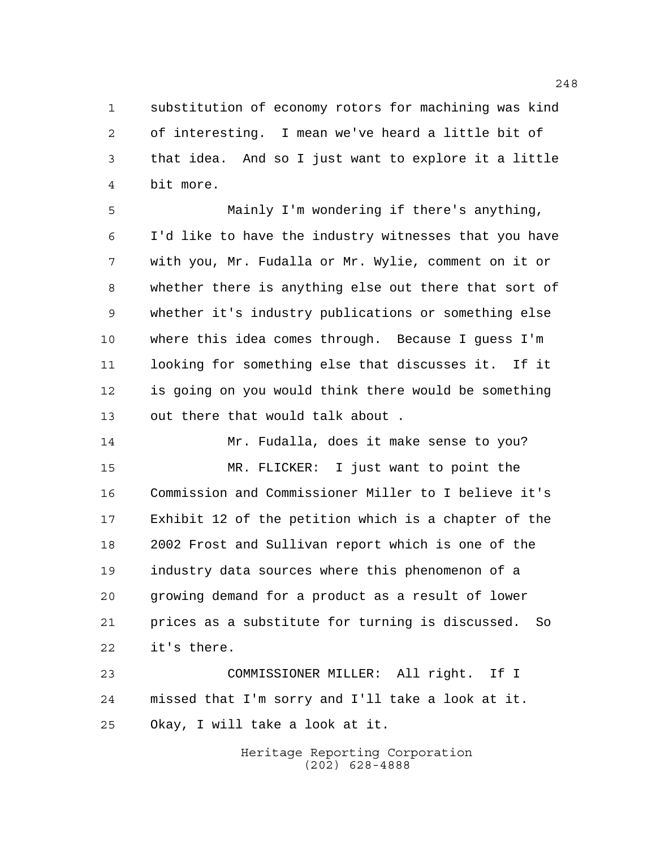substitution of economy rotors for machining was kind of interesting. I mean we've heard a little bit of that idea. And so I just want to explore it a little bit more.

 Mainly I'm wondering if there's anything, I'd like to have the industry witnesses that you have with you, Mr. Fudalla or Mr. Wylie, comment on it or whether there is anything else out there that sort of whether it's industry publications or something else where this idea comes through. Because I guess I'm looking for something else that discusses it. If it is going on you would think there would be something out there that would talk about .

 Mr. Fudalla, does it make sense to you? MR. FLICKER: I just want to point the Commission and Commissioner Miller to I believe it's Exhibit 12 of the petition which is a chapter of the 2002 Frost and Sullivan report which is one of the industry data sources where this phenomenon of a growing demand for a product as a result of lower prices as a substitute for turning is discussed. So it's there.

 COMMISSIONER MILLER: All right. If I missed that I'm sorry and I'll take a look at it. Okay, I will take a look at it.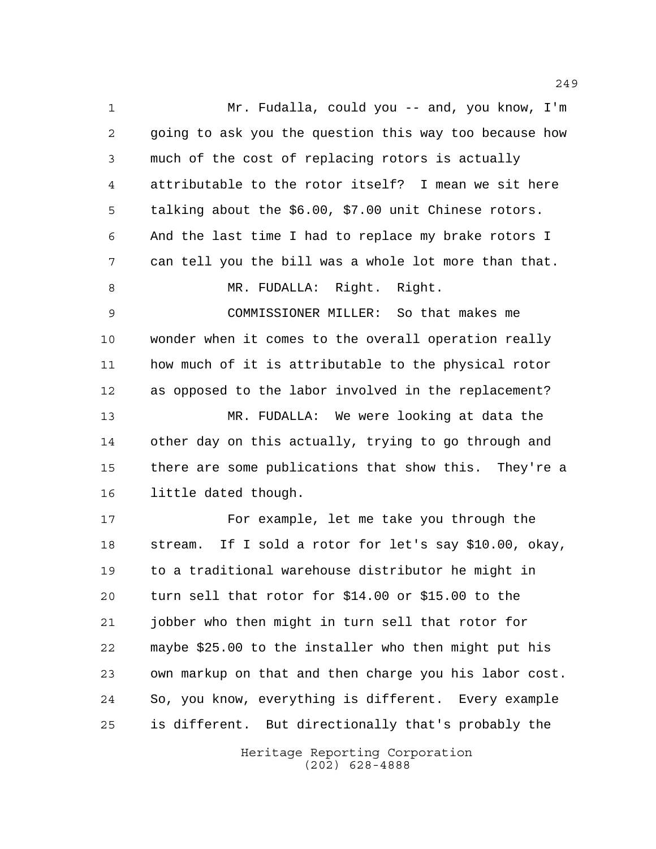Mr. Fudalla, could you -- and, you know, I'm going to ask you the question this way too because how much of the cost of replacing rotors is actually attributable to the rotor itself? I mean we sit here talking about the \$6.00, \$7.00 unit Chinese rotors. And the last time I had to replace my brake rotors I can tell you the bill was a whole lot more than that. 8 MR. FUDALLA: Right. Right. COMMISSIONER MILLER: So that makes me wonder when it comes to the overall operation really how much of it is attributable to the physical rotor as opposed to the labor involved in the replacement? MR. FUDALLA: We were looking at data the other day on this actually, trying to go through and there are some publications that show this. They're a little dated though. For example, let me take you through the stream. If I sold a rotor for let's say \$10.00, okay, to a traditional warehouse distributor he might in turn sell that rotor for \$14.00 or \$15.00 to the jobber who then might in turn sell that rotor for maybe \$25.00 to the installer who then might put his own markup on that and then charge you his labor cost. So, you know, everything is different. Every example

> Heritage Reporting Corporation (202) 628-4888

is different. But directionally that's probably the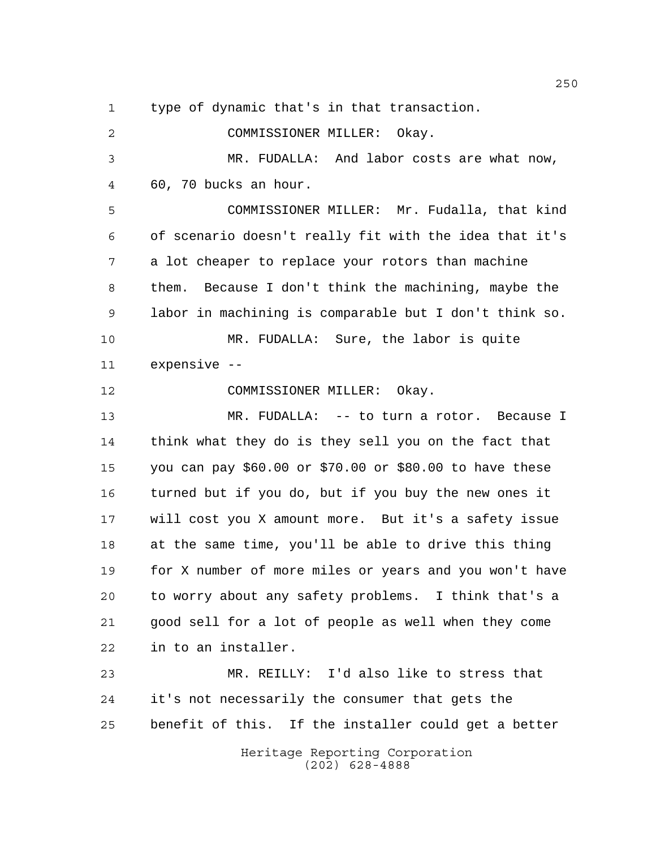type of dynamic that's in that transaction.

 COMMISSIONER MILLER: Okay. MR. FUDALLA: And labor costs are what now, 60, 70 bucks an hour. COMMISSIONER MILLER: Mr. Fudalla, that kind of scenario doesn't really fit with the idea that it's a lot cheaper to replace your rotors than machine them. Because I don't think the machining, maybe the labor in machining is comparable but I don't think so. MR. FUDALLA: Sure, the labor is quite expensive -- COMMISSIONER MILLER: Okay. MR. FUDALLA: -- to turn a rotor. Because I think what they do is they sell you on the fact that you can pay \$60.00 or \$70.00 or \$80.00 to have these turned but if you do, but if you buy the new ones it will cost you X amount more. But it's a safety issue at the same time, you'll be able to drive this thing for X number of more miles or years and you won't have to worry about any safety problems. I think that's a good sell for a lot of people as well when they come in to an installer. MR. REILLY: I'd also like to stress that it's not necessarily the consumer that gets the benefit of this. If the installer could get a better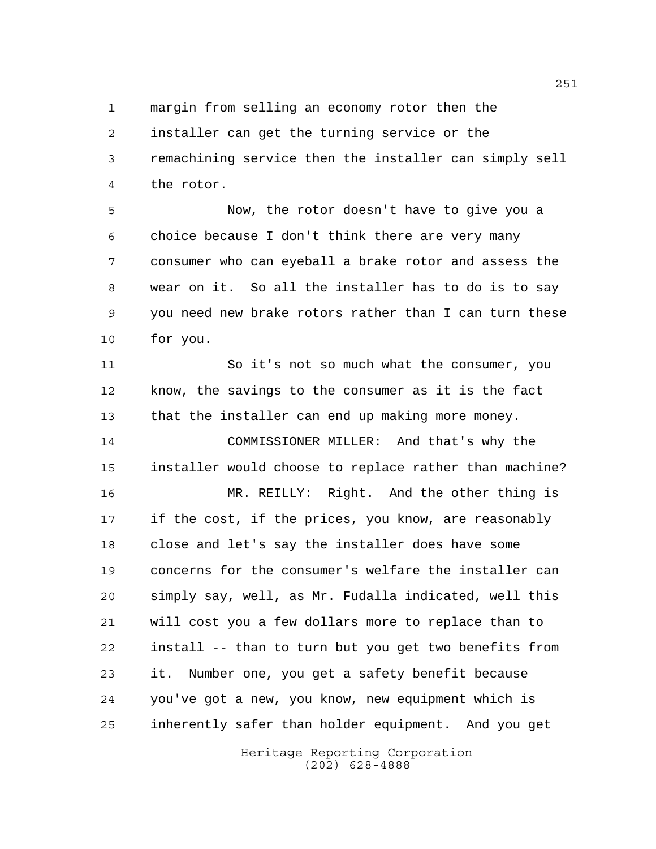margin from selling an economy rotor then the

 installer can get the turning service or the remachining service then the installer can simply sell the rotor.

 Now, the rotor doesn't have to give you a choice because I don't think there are very many consumer who can eyeball a brake rotor and assess the wear on it. So all the installer has to do is to say you need new brake rotors rather than I can turn these for you.

 So it's not so much what the consumer, you know, the savings to the consumer as it is the fact that the installer can end up making more money.

 COMMISSIONER MILLER: And that's why the installer would choose to replace rather than machine?

 MR. REILLY: Right. And the other thing is if the cost, if the prices, you know, are reasonably close and let's say the installer does have some concerns for the consumer's welfare the installer can simply say, well, as Mr. Fudalla indicated, well this will cost you a few dollars more to replace than to install -- than to turn but you get two benefits from it. Number one, you get a safety benefit because you've got a new, you know, new equipment which is inherently safer than holder equipment. And you get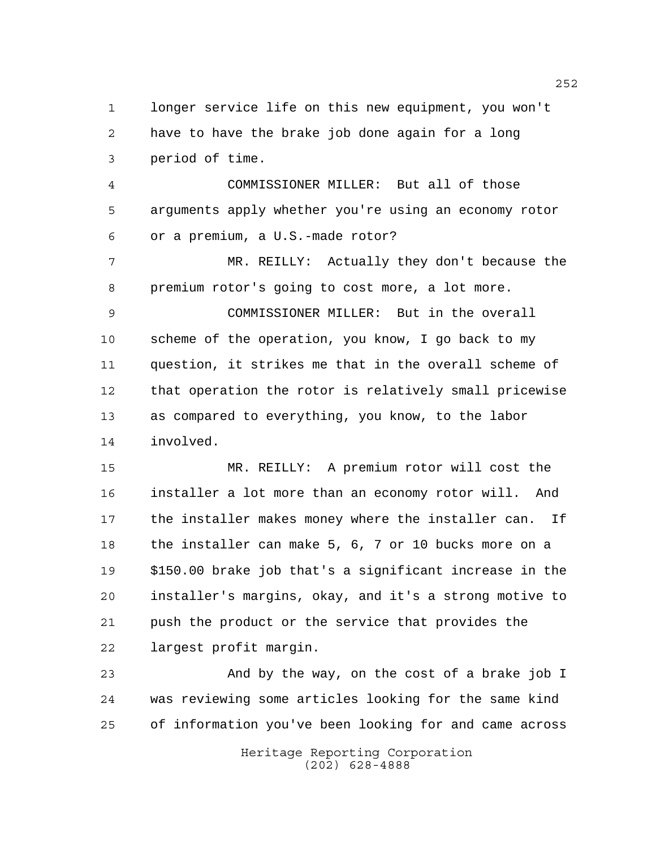longer service life on this new equipment, you won't have to have the brake job done again for a long period of time.

 COMMISSIONER MILLER: But all of those arguments apply whether you're using an economy rotor or a premium, a U.S.-made rotor?

 MR. REILLY: Actually they don't because the premium rotor's going to cost more, a lot more.

 COMMISSIONER MILLER: But in the overall scheme of the operation, you know, I go back to my question, it strikes me that in the overall scheme of that operation the rotor is relatively small pricewise as compared to everything, you know, to the labor involved.

 MR. REILLY: A premium rotor will cost the installer a lot more than an economy rotor will. And the installer makes money where the installer can. If the installer can make 5, 6, 7 or 10 bucks more on a \$150.00 brake job that's a significant increase in the installer's margins, okay, and it's a strong motive to push the product or the service that provides the largest profit margin.

 And by the way, on the cost of a brake job I was reviewing some articles looking for the same kind of information you've been looking for and came across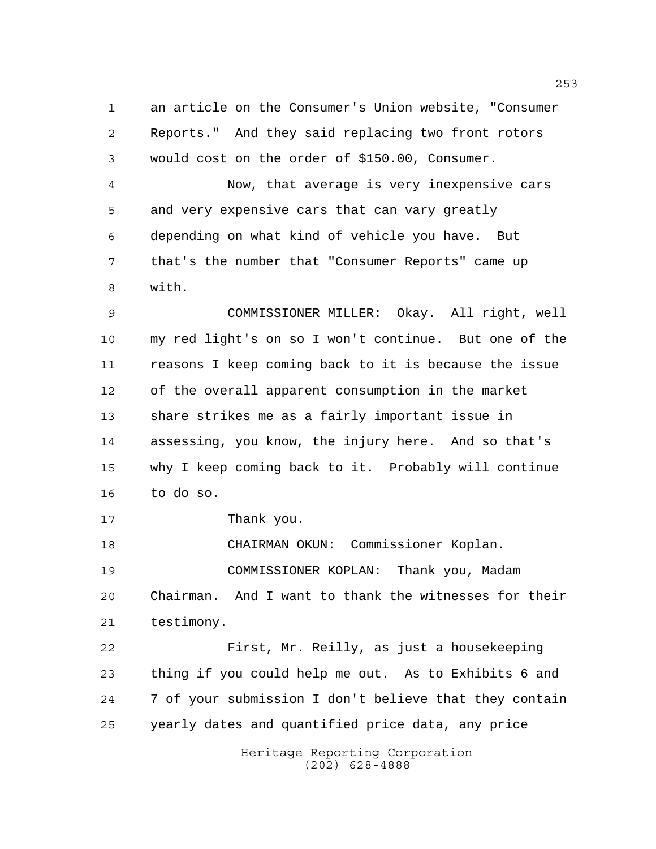an article on the Consumer's Union website, "Consumer Reports." And they said replacing two front rotors would cost on the order of \$150.00, Consumer.

 Now, that average is very inexpensive cars and very expensive cars that can vary greatly depending on what kind of vehicle you have. But that's the number that "Consumer Reports" came up with.

 COMMISSIONER MILLER: Okay. All right, well my red light's on so I won't continue. But one of the reasons I keep coming back to it is because the issue of the overall apparent consumption in the market share strikes me as a fairly important issue in assessing, you know, the injury here. And so that's why I keep coming back to it. Probably will continue to do so.

Thank you.

 CHAIRMAN OKUN: Commissioner Koplan. COMMISSIONER KOPLAN: Thank you, Madam Chairman. And I want to thank the witnesses for their testimony.

 First, Mr. Reilly, as just a housekeeping thing if you could help me out. As to Exhibits 6 and 7 of your submission I don't believe that they contain yearly dates and quantified price data, any price

> Heritage Reporting Corporation (202) 628-4888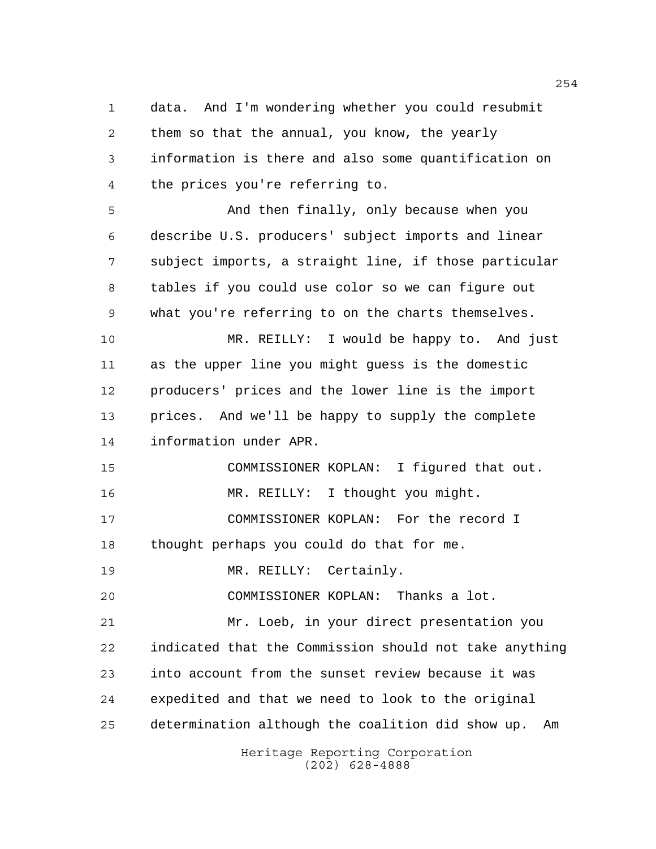data. And I'm wondering whether you could resubmit them so that the annual, you know, the yearly information is there and also some quantification on the prices you're referring to.

 And then finally, only because when you describe U.S. producers' subject imports and linear subject imports, a straight line, if those particular tables if you could use color so we can figure out what you're referring to on the charts themselves.

 MR. REILLY: I would be happy to. And just as the upper line you might guess is the domestic producers' prices and the lower line is the import prices. And we'll be happy to supply the complete information under APR.

 COMMISSIONER KOPLAN: I figured that out. MR. REILLY: I thought you might. COMMISSIONER KOPLAN: For the record I thought perhaps you could do that for me.

19 MR. REILLY: Certainly.

COMMISSIONER KOPLAN: Thanks a lot.

 Mr. Loeb, in your direct presentation you indicated that the Commission should not take anything into account from the sunset review because it was expedited and that we need to look to the original determination although the coalition did show up. Am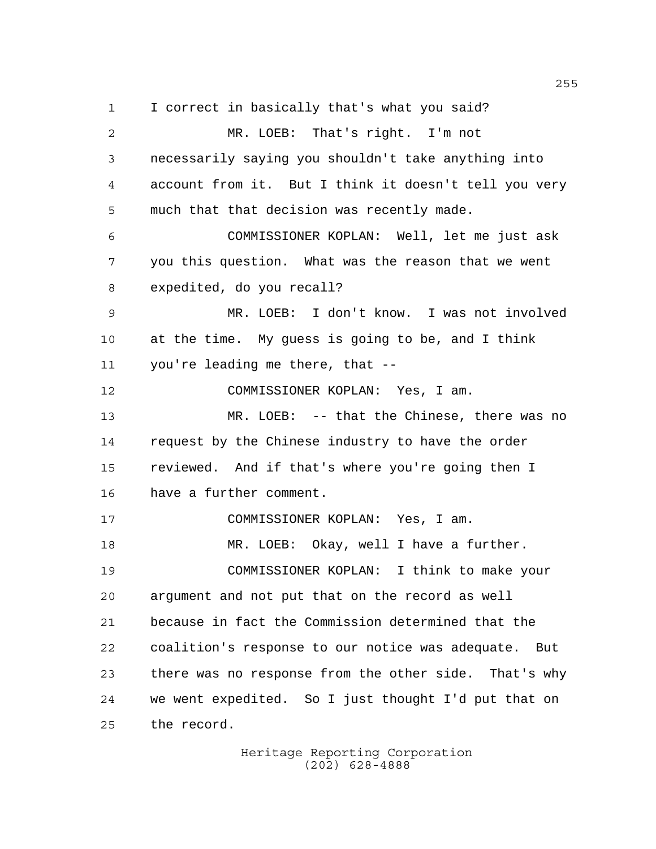I correct in basically that's what you said? MR. LOEB: That's right. I'm not necessarily saying you shouldn't take anything into account from it. But I think it doesn't tell you very much that that decision was recently made. COMMISSIONER KOPLAN: Well, let me just ask you this question. What was the reason that we went expedited, do you recall? MR. LOEB: I don't know. I was not involved at the time. My guess is going to be, and I think you're leading me there, that -- COMMISSIONER KOPLAN: Yes, I am. MR. LOEB: -- that the Chinese, there was no request by the Chinese industry to have the order reviewed. And if that's where you're going then I have a further comment. COMMISSIONER KOPLAN: Yes, I am. MR. LOEB: Okay, well I have a further. COMMISSIONER KOPLAN: I think to make your argument and not put that on the record as well because in fact the Commission determined that the coalition's response to our notice was adequate. But there was no response from the other side. That's why we went expedited. So I just thought I'd put that on the record.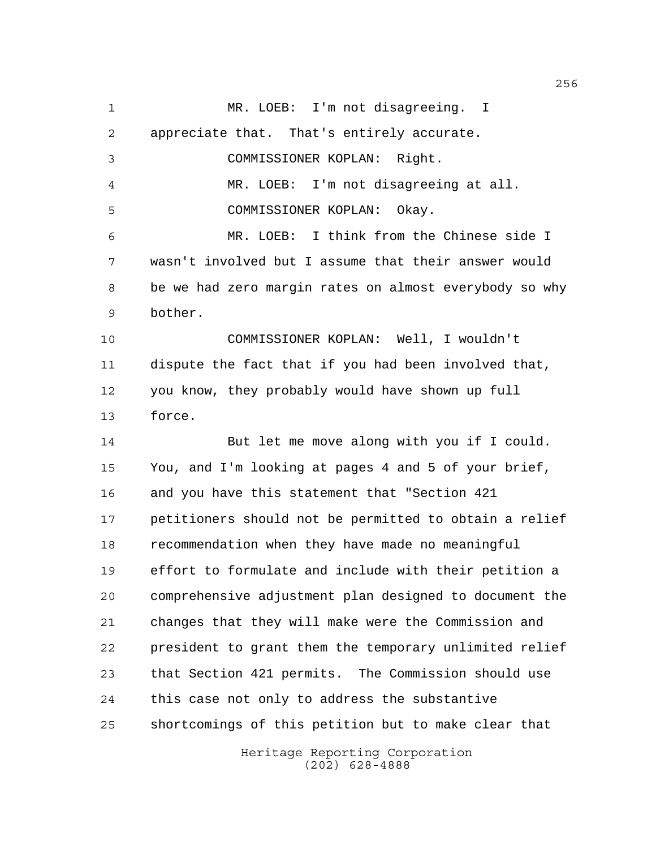Heritage Reporting Corporation 1 MR. LOEB: I'm not disagreeing. I appreciate that. That's entirely accurate. COMMISSIONER KOPLAN: Right. MR. LOEB: I'm not disagreeing at all. COMMISSIONER KOPLAN: Okay. MR. LOEB: I think from the Chinese side I wasn't involved but I assume that their answer would be we had zero margin rates on almost everybody so why bother. COMMISSIONER KOPLAN: Well, I wouldn't dispute the fact that if you had been involved that, you know, they probably would have shown up full force. 14 But let me move along with you if I could. You, and I'm looking at pages 4 and 5 of your brief, and you have this statement that "Section 421 petitioners should not be permitted to obtain a relief recommendation when they have made no meaningful effort to formulate and include with their petition a comprehensive adjustment plan designed to document the changes that they will make were the Commission and president to grant them the temporary unlimited relief that Section 421 permits. The Commission should use this case not only to address the substantive shortcomings of this petition but to make clear that

(202) 628-4888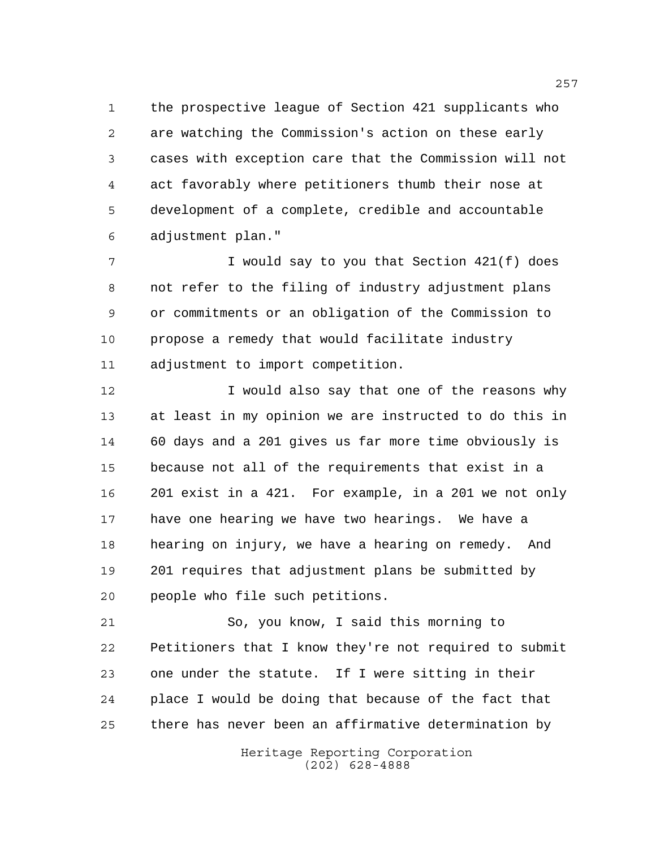the prospective league of Section 421 supplicants who are watching the Commission's action on these early cases with exception care that the Commission will not act favorably where petitioners thumb their nose at development of a complete, credible and accountable adjustment plan."

 I would say to you that Section 421(f) does not refer to the filing of industry adjustment plans or commitments or an obligation of the Commission to propose a remedy that would facilitate industry adjustment to import competition.

12 12 I would also say that one of the reasons why at least in my opinion we are instructed to do this in 60 days and a 201 gives us far more time obviously is because not all of the requirements that exist in a 201 exist in a 421. For example, in a 201 we not only have one hearing we have two hearings. We have a hearing on injury, we have a hearing on remedy. And 201 requires that adjustment plans be submitted by people who file such petitions.

 So, you know, I said this morning to Petitioners that I know they're not required to submit one under the statute. If I were sitting in their place I would be doing that because of the fact that there has never been an affirmative determination by

> Heritage Reporting Corporation (202) 628-4888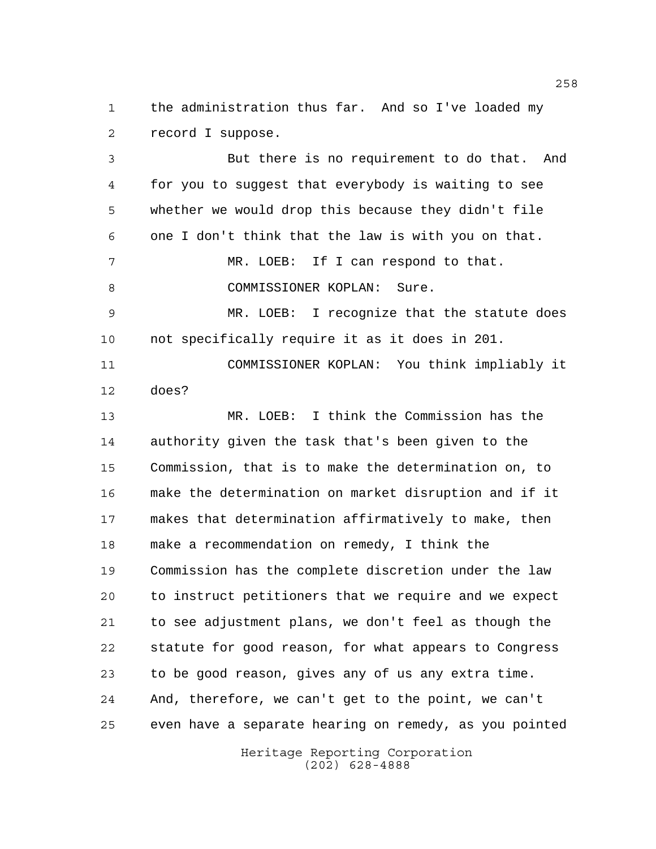the administration thus far. And so I've loaded my record I suppose.

 But there is no requirement to do that. And for you to suggest that everybody is waiting to see whether we would drop this because they didn't file one I don't think that the law is with you on that. 7 MR. LOEB: If I can respond to that. 8 COMMISSIONER KOPLAN: Sure. MR. LOEB: I recognize that the statute does not specifically require it as it does in 201. COMMISSIONER KOPLAN: You think impliably it does? MR. LOEB: I think the Commission has the authority given the task that's been given to the Commission, that is to make the determination on, to make the determination on market disruption and if it makes that determination affirmatively to make, then make a recommendation on remedy, I think the Commission has the complete discretion under the law to instruct petitioners that we require and we expect to see adjustment plans, we don't feel as though the statute for good reason, for what appears to Congress to be good reason, gives any of us any extra time. And, therefore, we can't get to the point, we can't even have a separate hearing on remedy, as you pointed

> Heritage Reporting Corporation (202) 628-4888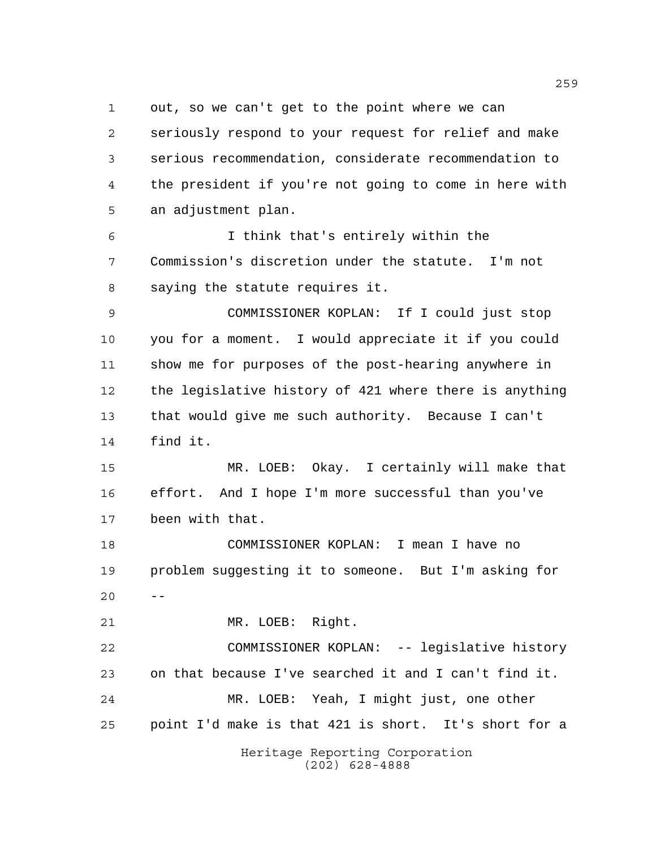out, so we can't get to the point where we can

 seriously respond to your request for relief and make serious recommendation, considerate recommendation to the president if you're not going to come in here with an adjustment plan.

 I think that's entirely within the Commission's discretion under the statute. I'm not saying the statute requires it.

 COMMISSIONER KOPLAN: If I could just stop you for a moment. I would appreciate it if you could show me for purposes of the post-hearing anywhere in the legislative history of 421 where there is anything that would give me such authority. Because I can't find it.

 MR. LOEB: Okay. I certainly will make that effort. And I hope I'm more successful than you've been with that.

 COMMISSIONER KOPLAN: I mean I have no problem suggesting it to someone. But I'm asking for  $20 - -$ 

MR. LOEB: Right.

 COMMISSIONER KOPLAN: -- legislative history on that because I've searched it and I can't find it. MR. LOEB: Yeah, I might just, one other point I'd make is that 421 is short. It's short for a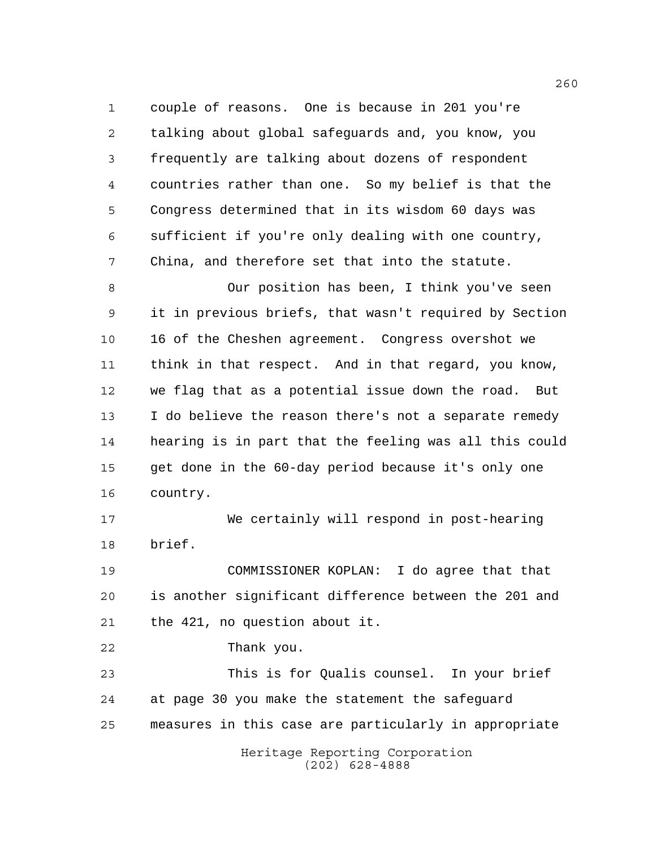couple of reasons. One is because in 201 you're talking about global safeguards and, you know, you frequently are talking about dozens of respondent countries rather than one. So my belief is that the Congress determined that in its wisdom 60 days was sufficient if you're only dealing with one country, China, and therefore set that into the statute.

 Our position has been, I think you've seen it in previous briefs, that wasn't required by Section 16 of the Cheshen agreement. Congress overshot we think in that respect. And in that regard, you know, we flag that as a potential issue down the road. But I do believe the reason there's not a separate remedy hearing is in part that the feeling was all this could get done in the 60-day period because it's only one country.

 We certainly will respond in post-hearing brief.

 COMMISSIONER KOPLAN: I do agree that that is another significant difference between the 201 and the 421, no question about it.

Thank you.

 This is for Qualis counsel. In your brief at page 30 you make the statement the safeguard measures in this case are particularly in appropriate

> Heritage Reporting Corporation (202) 628-4888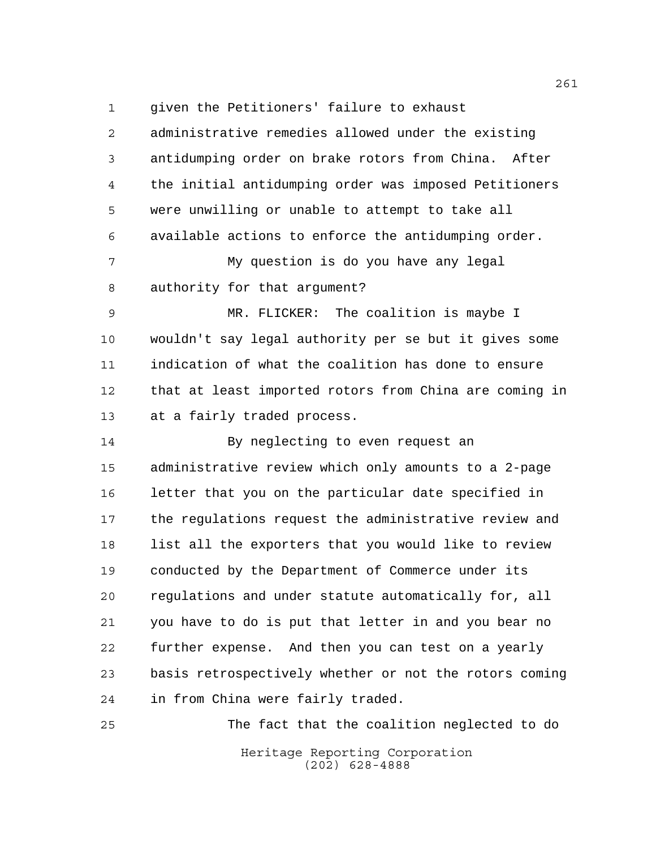given the Petitioners' failure to exhaust

 administrative remedies allowed under the existing antidumping order on brake rotors from China. After the initial antidumping order was imposed Petitioners were unwilling or unable to attempt to take all available actions to enforce the antidumping order. My question is do you have any legal authority for that argument? MR. FLICKER: The coalition is maybe I wouldn't say legal authority per se but it gives some indication of what the coalition has done to ensure that at least imported rotors from China are coming in at a fairly traded process. By neglecting to even request an administrative review which only amounts to a 2-page letter that you on the particular date specified in the regulations request the administrative review and list all the exporters that you would like to review conducted by the Department of Commerce under its regulations and under statute automatically for, all you have to do is put that letter in and you bear no further expense. And then you can test on a yearly basis retrospectively whether or not the rotors coming in from China were fairly traded.

Heritage Reporting Corporation (202) 628-4888 The fact that the coalition neglected to do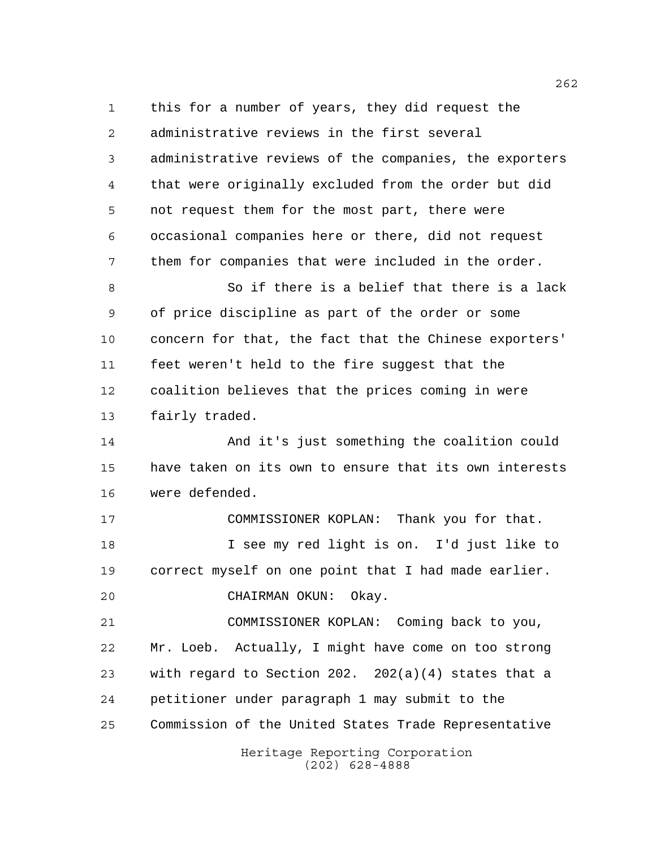Heritage Reporting Corporation this for a number of years, they did request the administrative reviews in the first several administrative reviews of the companies, the exporters that were originally excluded from the order but did not request them for the most part, there were occasional companies here or there, did not request them for companies that were included in the order. So if there is a belief that there is a lack of price discipline as part of the order or some concern for that, the fact that the Chinese exporters' feet weren't held to the fire suggest that the coalition believes that the prices coming in were fairly traded. And it's just something the coalition could have taken on its own to ensure that its own interests were defended. COMMISSIONER KOPLAN: Thank you for that. I see my red light is on. I'd just like to correct myself on one point that I had made earlier. CHAIRMAN OKUN: Okay. COMMISSIONER KOPLAN: Coming back to you, Mr. Loeb. Actually, I might have come on too strong with regard to Section 202. 202(a)(4) states that a petitioner under paragraph 1 may submit to the Commission of the United States Trade Representative

(202) 628-4888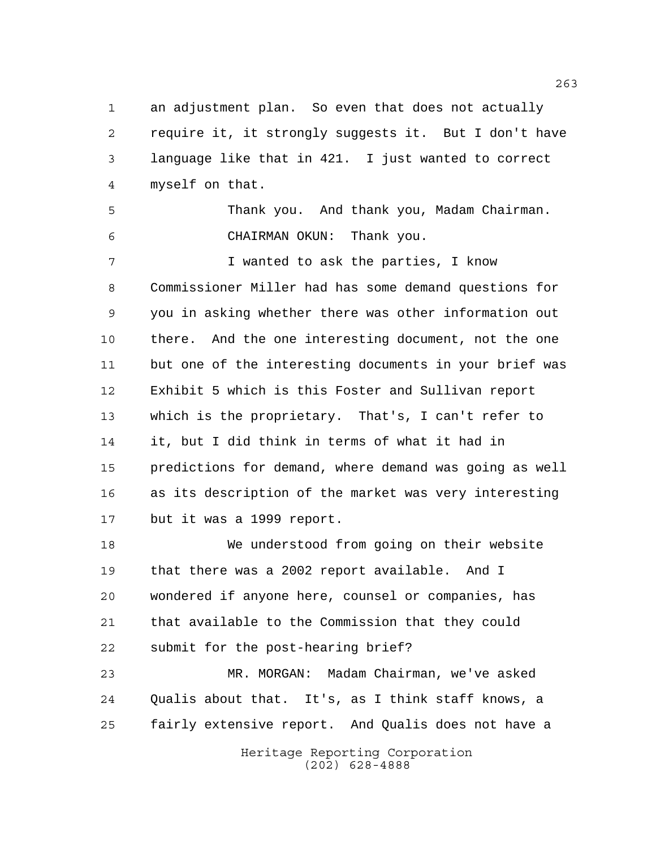an adjustment plan. So even that does not actually require it, it strongly suggests it. But I don't have language like that in 421. I just wanted to correct myself on that.

 Thank you. And thank you, Madam Chairman. CHAIRMAN OKUN: Thank you.

 I wanted to ask the parties, I know Commissioner Miller had has some demand questions for you in asking whether there was other information out there. And the one interesting document, not the one but one of the interesting documents in your brief was Exhibit 5 which is this Foster and Sullivan report which is the proprietary. That's, I can't refer to it, but I did think in terms of what it had in predictions for demand, where demand was going as well as its description of the market was very interesting but it was a 1999 report.

 We understood from going on their website that there was a 2002 report available. And I wondered if anyone here, counsel or companies, has that available to the Commission that they could submit for the post-hearing brief?

 MR. MORGAN: Madam Chairman, we've asked Qualis about that. It's, as I think staff knows, a fairly extensive report. And Qualis does not have a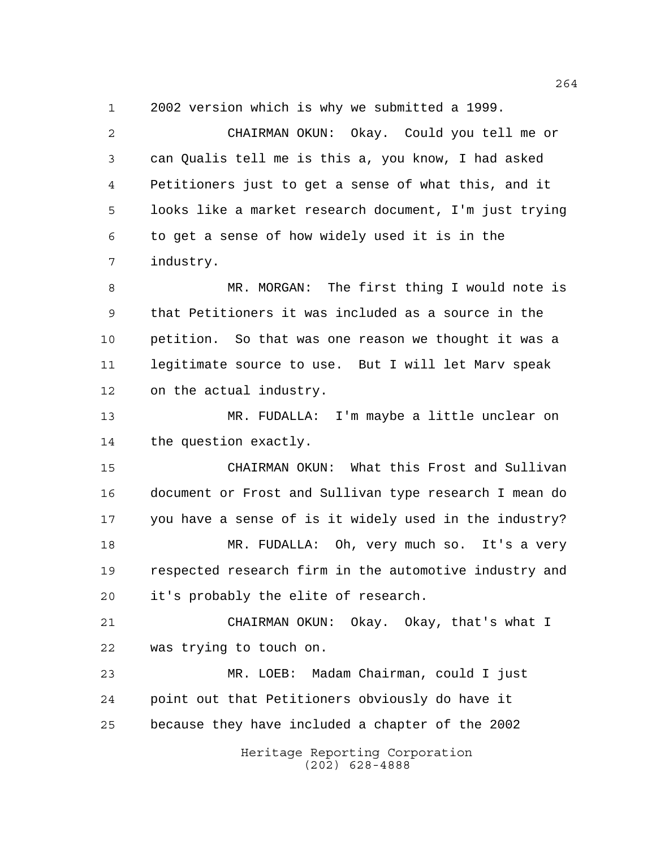2002 version which is why we submitted a 1999.

Heritage Reporting Corporation (202) 628-4888 CHAIRMAN OKUN: Okay. Could you tell me or can Qualis tell me is this a, you know, I had asked Petitioners just to get a sense of what this, and it looks like a market research document, I'm just trying to get a sense of how widely used it is in the industry. MR. MORGAN: The first thing I would note is that Petitioners it was included as a source in the petition. So that was one reason we thought it was a legitimate source to use. But I will let Marv speak on the actual industry. MR. FUDALLA: I'm maybe a little unclear on the question exactly. CHAIRMAN OKUN: What this Frost and Sullivan document or Frost and Sullivan type research I mean do you have a sense of is it widely used in the industry? MR. FUDALLA: Oh, very much so. It's a very respected research firm in the automotive industry and it's probably the elite of research. CHAIRMAN OKUN: Okay. Okay, that's what I was trying to touch on. MR. LOEB: Madam Chairman, could I just point out that Petitioners obviously do have it because they have included a chapter of the 2002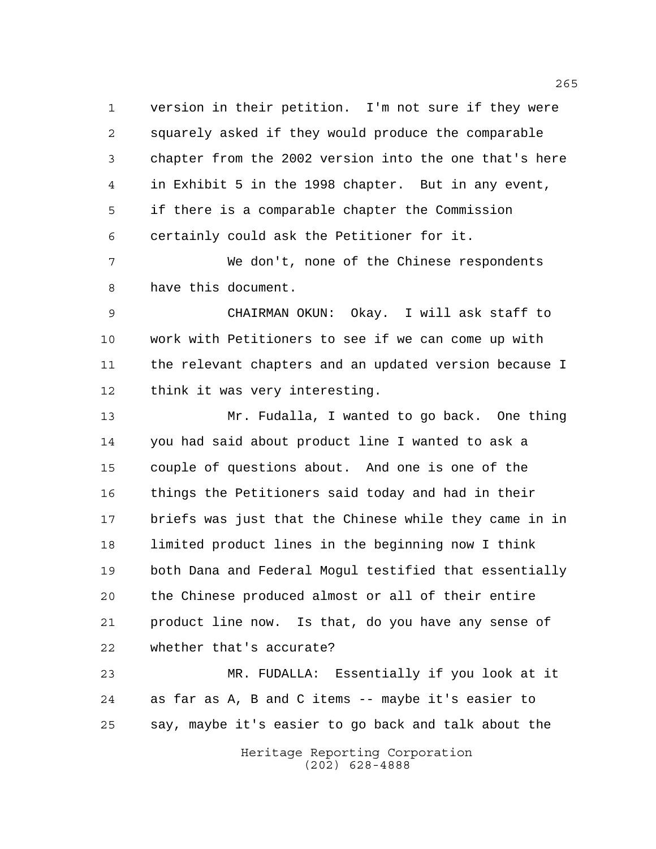version in their petition. I'm not sure if they were squarely asked if they would produce the comparable chapter from the 2002 version into the one that's here in Exhibit 5 in the 1998 chapter. But in any event, if there is a comparable chapter the Commission certainly could ask the Petitioner for it.

 We don't, none of the Chinese respondents have this document.

 CHAIRMAN OKUN: Okay. I will ask staff to work with Petitioners to see if we can come up with the relevant chapters and an updated version because I think it was very interesting.

 Mr. Fudalla, I wanted to go back. One thing you had said about product line I wanted to ask a couple of questions about. And one is one of the things the Petitioners said today and had in their briefs was just that the Chinese while they came in in limited product lines in the beginning now I think both Dana and Federal Mogul testified that essentially the Chinese produced almost or all of their entire product line now. Is that, do you have any sense of whether that's accurate?

 MR. FUDALLA: Essentially if you look at it as far as A, B and C items -- maybe it's easier to say, maybe it's easier to go back and talk about the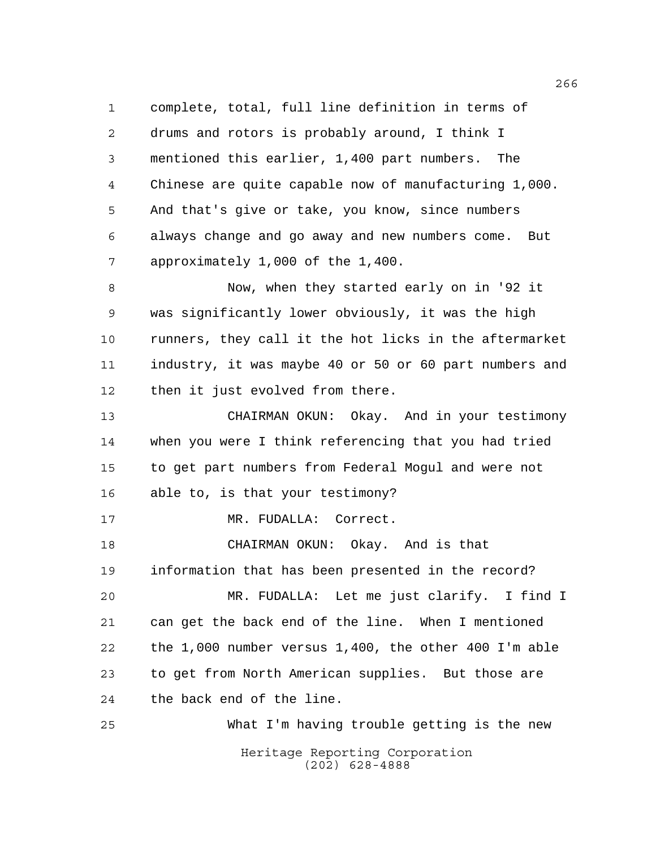complete, total, full line definition in terms of drums and rotors is probably around, I think I mentioned this earlier, 1,400 part numbers. The Chinese are quite capable now of manufacturing 1,000. And that's give or take, you know, since numbers always change and go away and new numbers come. But approximately 1,000 of the 1,400.

 Now, when they started early on in '92 it was significantly lower obviously, it was the high runners, they call it the hot licks in the aftermarket industry, it was maybe 40 or 50 or 60 part numbers and then it just evolved from there.

 CHAIRMAN OKUN: Okay. And in your testimony when you were I think referencing that you had tried to get part numbers from Federal Mogul and were not able to, is that your testimony?

17 MR. FUDALLA: Correct.

 CHAIRMAN OKUN: Okay. And is that information that has been presented in the record?

 MR. FUDALLA: Let me just clarify. I find I can get the back end of the line. When I mentioned the 1,000 number versus 1,400, the other 400 I'm able to get from North American supplies. But those are the back end of the line.

Heritage Reporting Corporation (202) 628-4888 What I'm having trouble getting is the new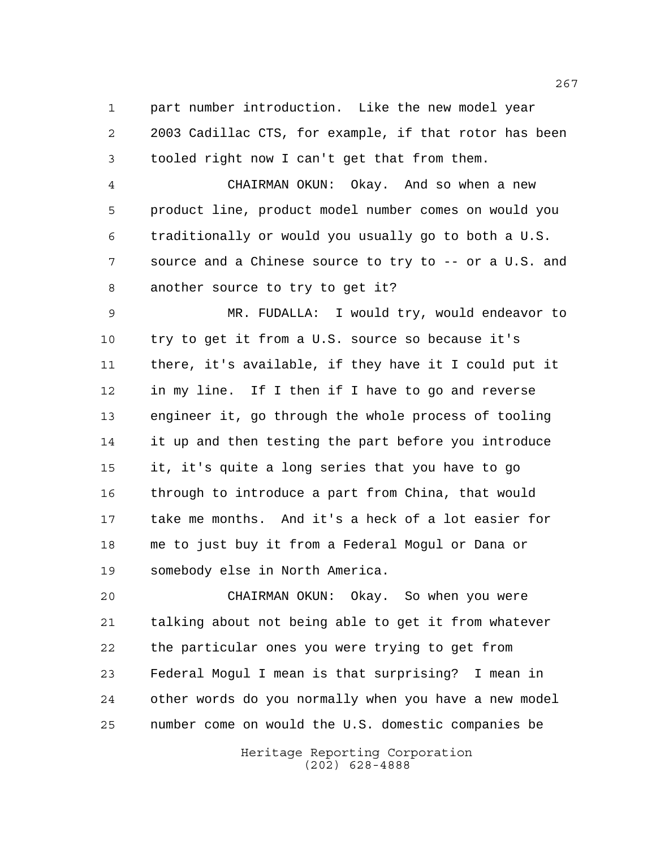part number introduction. Like the new model year 2003 Cadillac CTS, for example, if that rotor has been tooled right now I can't get that from them.

 CHAIRMAN OKUN: Okay. And so when a new product line, product model number comes on would you traditionally or would you usually go to both a U.S. source and a Chinese source to try to -- or a U.S. and another source to try to get it?

 MR. FUDALLA: I would try, would endeavor to try to get it from a U.S. source so because it's there, it's available, if they have it I could put it in my line. If I then if I have to go and reverse engineer it, go through the whole process of tooling it up and then testing the part before you introduce it, it's quite a long series that you have to go through to introduce a part from China, that would take me months. And it's a heck of a lot easier for me to just buy it from a Federal Mogul or Dana or somebody else in North America.

 CHAIRMAN OKUN: Okay. So when you were talking about not being able to get it from whatever the particular ones you were trying to get from Federal Mogul I mean is that surprising? I mean in other words do you normally when you have a new model number come on would the U.S. domestic companies be

> Heritage Reporting Corporation (202) 628-4888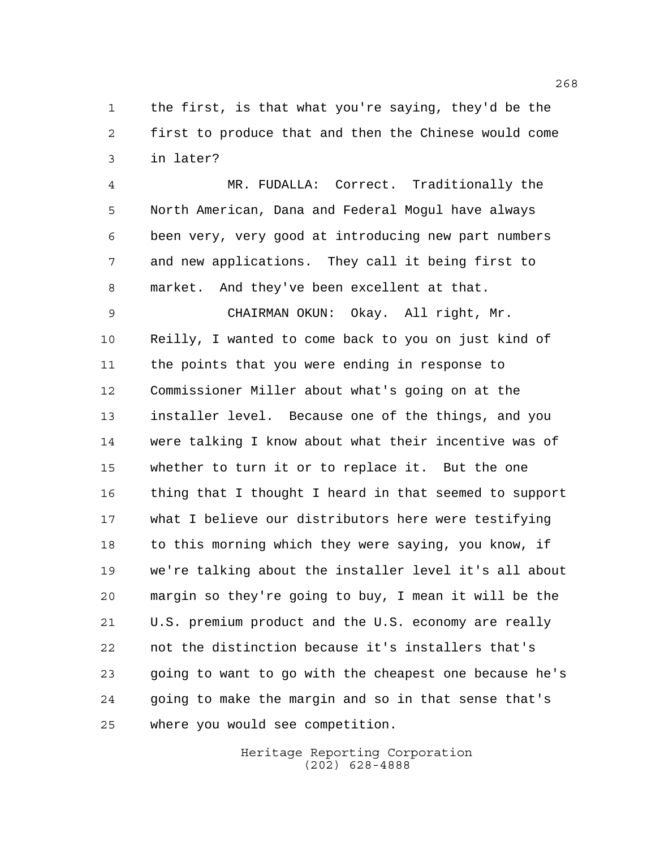the first, is that what you're saying, they'd be the first to produce that and then the Chinese would come in later?

 MR. FUDALLA: Correct. Traditionally the North American, Dana and Federal Mogul have always been very, very good at introducing new part numbers and new applications. They call it being first to market. And they've been excellent at that.

 CHAIRMAN OKUN: Okay. All right, Mr. Reilly, I wanted to come back to you on just kind of the points that you were ending in response to Commissioner Miller about what's going on at the installer level. Because one of the things, and you were talking I know about what their incentive was of whether to turn it or to replace it. But the one thing that I thought I heard in that seemed to support what I believe our distributors here were testifying 18 to this morning which they were saying, you know, if we're talking about the installer level it's all about margin so they're going to buy, I mean it will be the U.S. premium product and the U.S. economy are really not the distinction because it's installers that's going to want to go with the cheapest one because he's going to make the margin and so in that sense that's where you would see competition.

> Heritage Reporting Corporation (202) 628-4888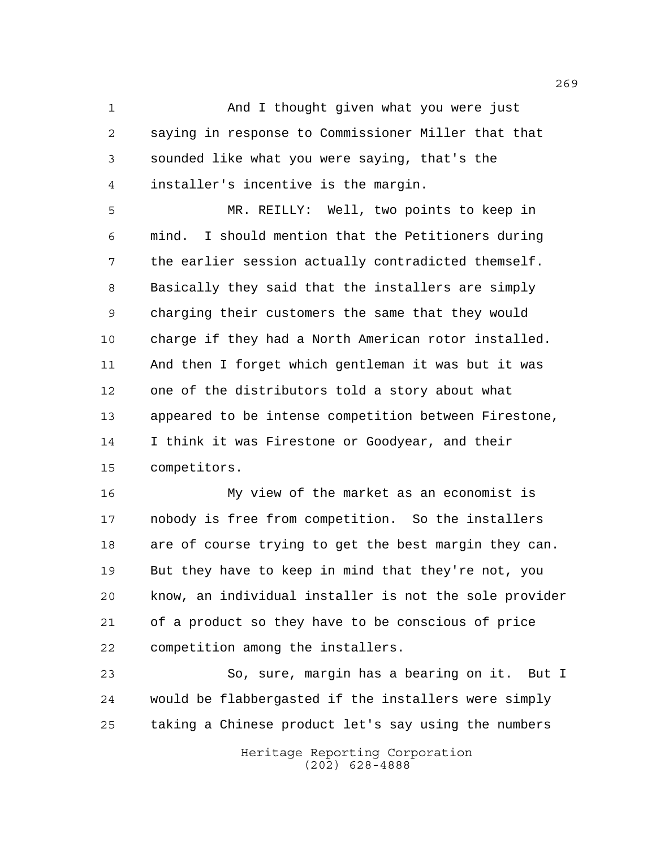And I thought given what you were just saying in response to Commissioner Miller that that sounded like what you were saying, that's the installer's incentive is the margin.

 MR. REILLY: Well, two points to keep in mind. I should mention that the Petitioners during the earlier session actually contradicted themself. Basically they said that the installers are simply charging their customers the same that they would charge if they had a North American rotor installed. And then I forget which gentleman it was but it was one of the distributors told a story about what appeared to be intense competition between Firestone, I think it was Firestone or Goodyear, and their competitors.

 My view of the market as an economist is nobody is free from competition. So the installers are of course trying to get the best margin they can. But they have to keep in mind that they're not, you know, an individual installer is not the sole provider of a product so they have to be conscious of price competition among the installers.

 So, sure, margin has a bearing on it. But I would be flabbergasted if the installers were simply taking a Chinese product let's say using the numbers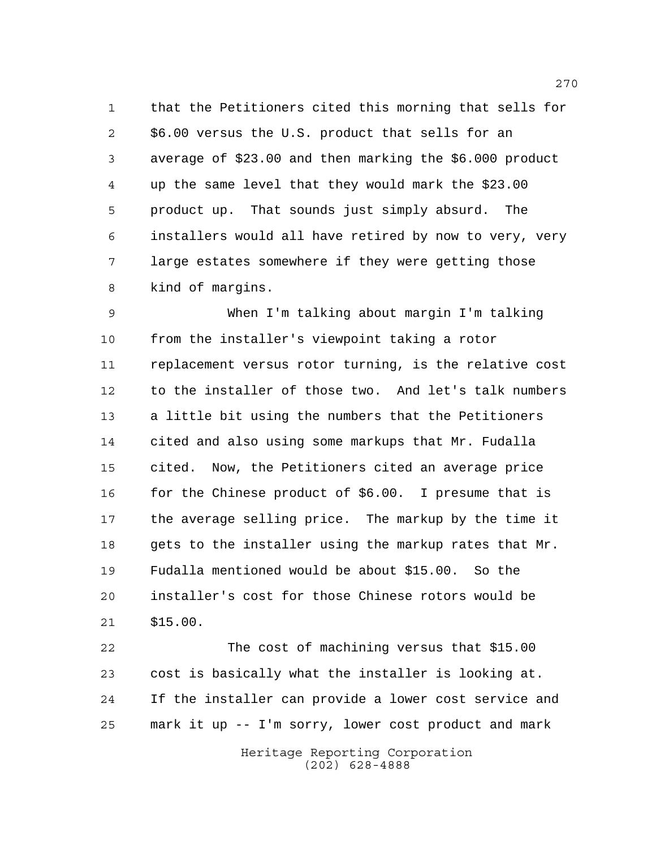that the Petitioners cited this morning that sells for \$6.00 versus the U.S. product that sells for an average of \$23.00 and then marking the \$6.000 product up the same level that they would mark the \$23.00 product up. That sounds just simply absurd. The installers would all have retired by now to very, very large estates somewhere if they were getting those kind of margins.

 When I'm talking about margin I'm talking from the installer's viewpoint taking a rotor replacement versus rotor turning, is the relative cost to the installer of those two. And let's talk numbers a little bit using the numbers that the Petitioners cited and also using some markups that Mr. Fudalla cited. Now, the Petitioners cited an average price 16 for the Chinese product of \$6.00. I presume that is the average selling price. The markup by the time it gets to the installer using the markup rates that Mr. Fudalla mentioned would be about \$15.00. So the installer's cost for those Chinese rotors would be \$15.00.

 The cost of machining versus that \$15.00 cost is basically what the installer is looking at. If the installer can provide a lower cost service and mark it up -- I'm sorry, lower cost product and mark

> Heritage Reporting Corporation (202) 628-4888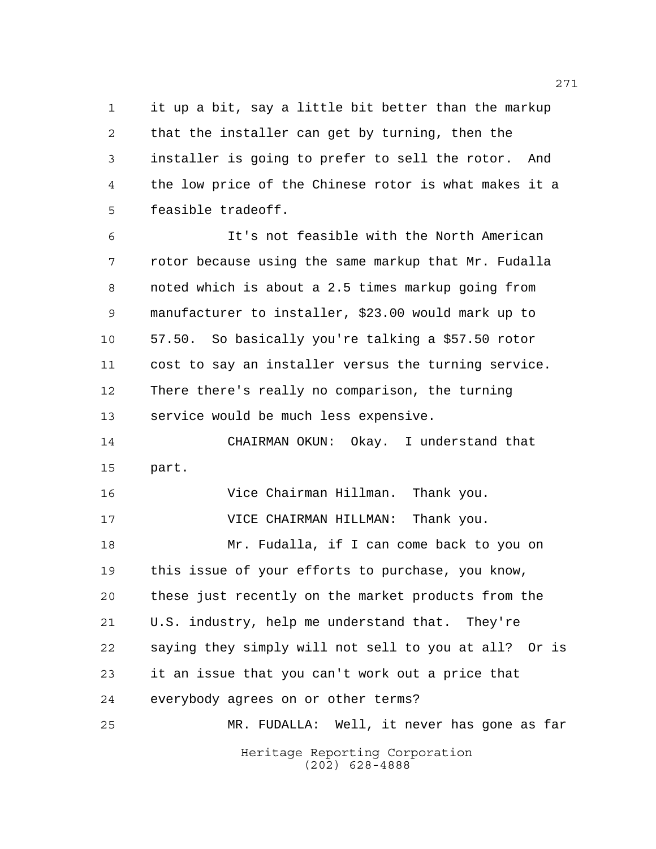it up a bit, say a little bit better than the markup that the installer can get by turning, then the installer is going to prefer to sell the rotor. And the low price of the Chinese rotor is what makes it a feasible tradeoff.

 It's not feasible with the North American rotor because using the same markup that Mr. Fudalla noted which is about a 2.5 times markup going from manufacturer to installer, \$23.00 would mark up to 57.50. So basically you're talking a \$57.50 rotor cost to say an installer versus the turning service. There there's really no comparison, the turning service would be much less expensive.

 CHAIRMAN OKUN: Okay. I understand that part.

 Vice Chairman Hillman. Thank you. VICE CHAIRMAN HILLMAN: Thank you.

 Mr. Fudalla, if I can come back to you on this issue of your efforts to purchase, you know, these just recently on the market products from the U.S. industry, help me understand that. They're saying they simply will not sell to you at all? Or is it an issue that you can't work out a price that everybody agrees on or other terms?

Heritage Reporting Corporation (202) 628-4888 MR. FUDALLA: Well, it never has gone as far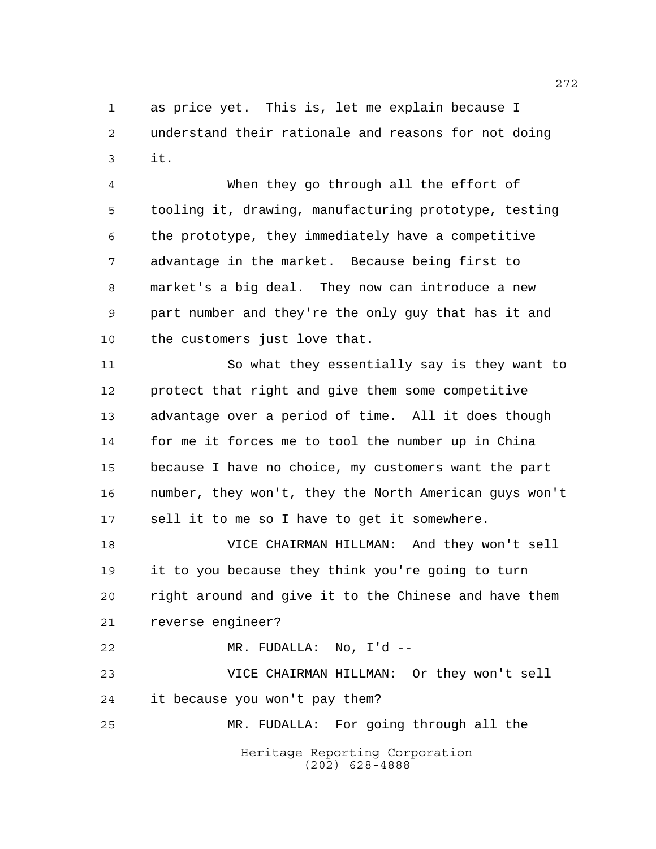as price yet. This is, let me explain because I understand their rationale and reasons for not doing it.

 When they go through all the effort of tooling it, drawing, manufacturing prototype, testing the prototype, they immediately have a competitive advantage in the market. Because being first to market's a big deal. They now can introduce a new part number and they're the only guy that has it and the customers just love that.

 So what they essentially say is they want to protect that right and give them some competitive advantage over a period of time. All it does though for me it forces me to tool the number up in China because I have no choice, my customers want the part number, they won't, they the North American guys won't sell it to me so I have to get it somewhere.

 VICE CHAIRMAN HILLMAN: And they won't sell it to you because they think you're going to turn right around and give it to the Chinese and have them reverse engineer?

MR. FUDALLA: No, I'd --

 VICE CHAIRMAN HILLMAN: Or they won't sell it because you won't pay them? MR. FUDALLA: For going through all the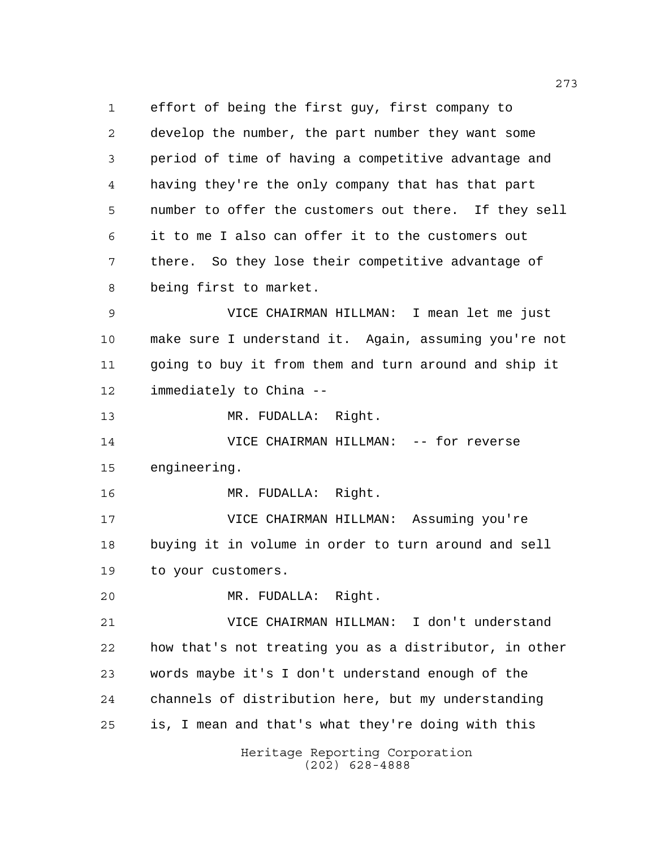Heritage Reporting Corporation (202) 628-4888 effort of being the first guy, first company to develop the number, the part number they want some period of time of having a competitive advantage and having they're the only company that has that part number to offer the customers out there. If they sell it to me I also can offer it to the customers out there. So they lose their competitive advantage of being first to market. VICE CHAIRMAN HILLMAN: I mean let me just make sure I understand it. Again, assuming you're not going to buy it from them and turn around and ship it immediately to China -- MR. FUDALLA: Right. VICE CHAIRMAN HILLMAN: -- for reverse engineering. MR. FUDALLA: Right. VICE CHAIRMAN HILLMAN: Assuming you're buying it in volume in order to turn around and sell to your customers. MR. FUDALLA: Right. VICE CHAIRMAN HILLMAN: I don't understand how that's not treating you as a distributor, in other words maybe it's I don't understand enough of the channels of distribution here, but my understanding is, I mean and that's what they're doing with this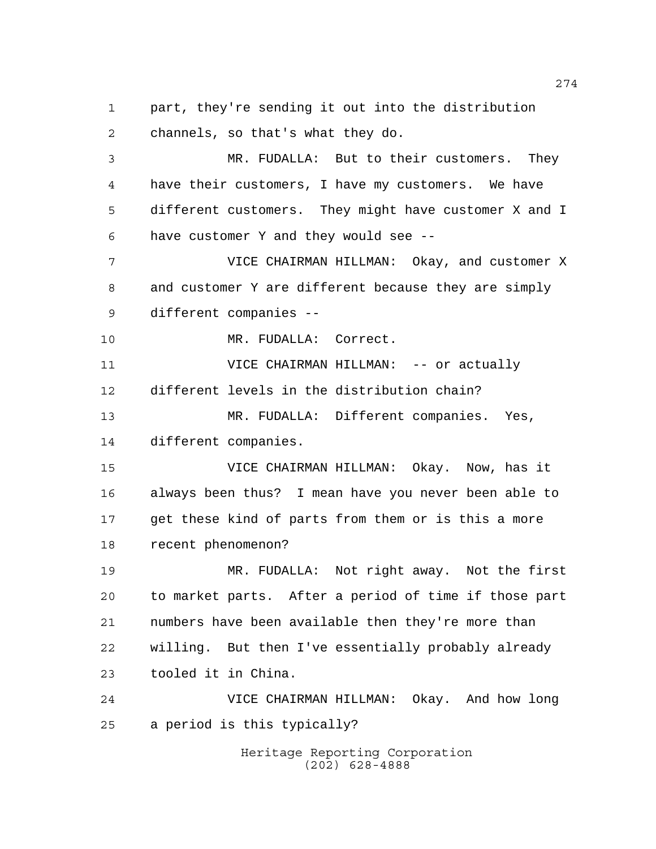part, they're sending it out into the distribution channels, so that's what they do.

 MR. FUDALLA: But to their customers. They have their customers, I have my customers. We have different customers. They might have customer X and I have customer Y and they would see --

 VICE CHAIRMAN HILLMAN: Okay, and customer X and customer Y are different because they are simply different companies --

10 MR. FUDALLA: Correct.

 VICE CHAIRMAN HILLMAN: -- or actually different levels in the distribution chain? MR. FUDALLA: Different companies. Yes,

different companies.

 VICE CHAIRMAN HILLMAN: Okay. Now, has it always been thus? I mean have you never been able to get these kind of parts from them or is this a more recent phenomenon?

 MR. FUDALLA: Not right away. Not the first to market parts. After a period of time if those part numbers have been available then they're more than willing. But then I've essentially probably already tooled it in China.

 VICE CHAIRMAN HILLMAN: Okay. And how long a period is this typically?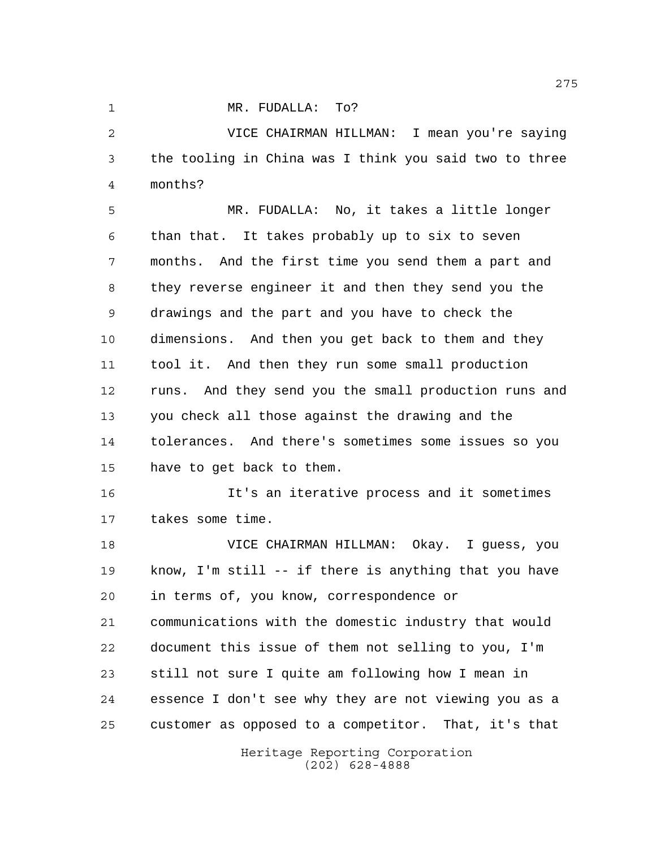1 MR. FUDALLA: To?

 VICE CHAIRMAN HILLMAN: I mean you're saying the tooling in China was I think you said two to three months?

 MR. FUDALLA: No, it takes a little longer than that. It takes probably up to six to seven months. And the first time you send them a part and they reverse engineer it and then they send you the drawings and the part and you have to check the dimensions. And then you get back to them and they tool it. And then they run some small production runs. And they send you the small production runs and you check all those against the drawing and the tolerances. And there's sometimes some issues so you have to get back to them.

 It's an iterative process and it sometimes takes some time.

 VICE CHAIRMAN HILLMAN: Okay. I guess, you know, I'm still -- if there is anything that you have in terms of, you know, correspondence or communications with the domestic industry that would document this issue of them not selling to you, I'm still not sure I quite am following how I mean in essence I don't see why they are not viewing you as a customer as opposed to a competitor. That, it's that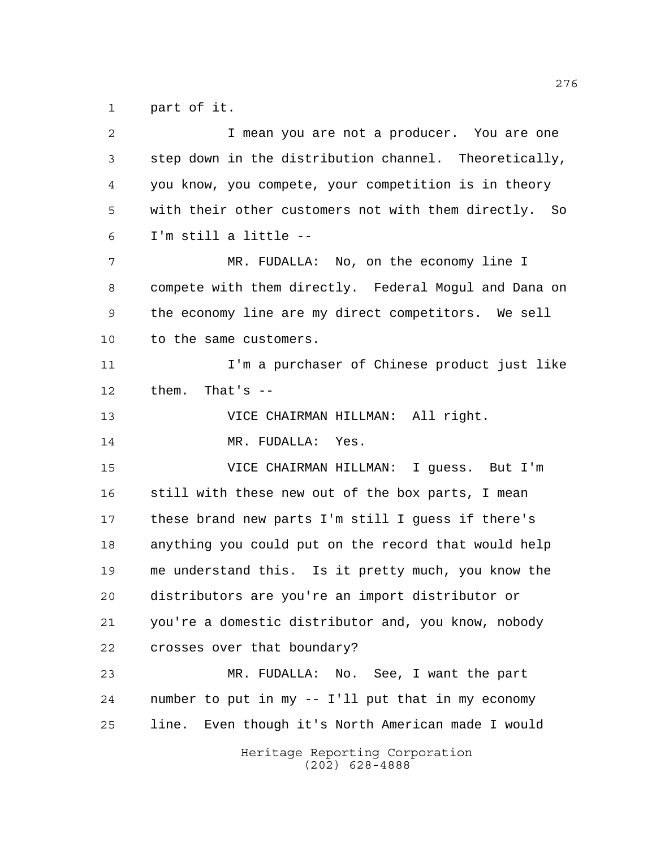part of it.

Heritage Reporting Corporation (202) 628-4888 I mean you are not a producer. You are one step down in the distribution channel. Theoretically, you know, you compete, your competition is in theory with their other customers not with them directly. So I'm still a little -- MR. FUDALLA: No, on the economy line I compete with them directly. Federal Mogul and Dana on the economy line are my direct competitors. We sell to the same customers. **I'm a purchaser of Chinese product just like**  them. That's -- VICE CHAIRMAN HILLMAN: All right. 14 MR. FUDALLA: Yes. VICE CHAIRMAN HILLMAN: I guess. But I'm still with these new out of the box parts, I mean these brand new parts I'm still I guess if there's anything you could put on the record that would help me understand this. Is it pretty much, you know the distributors are you're an import distributor or you're a domestic distributor and, you know, nobody crosses over that boundary? MR. FUDALLA: No. See, I want the part number to put in my -- I'll put that in my economy line. Even though it's North American made I would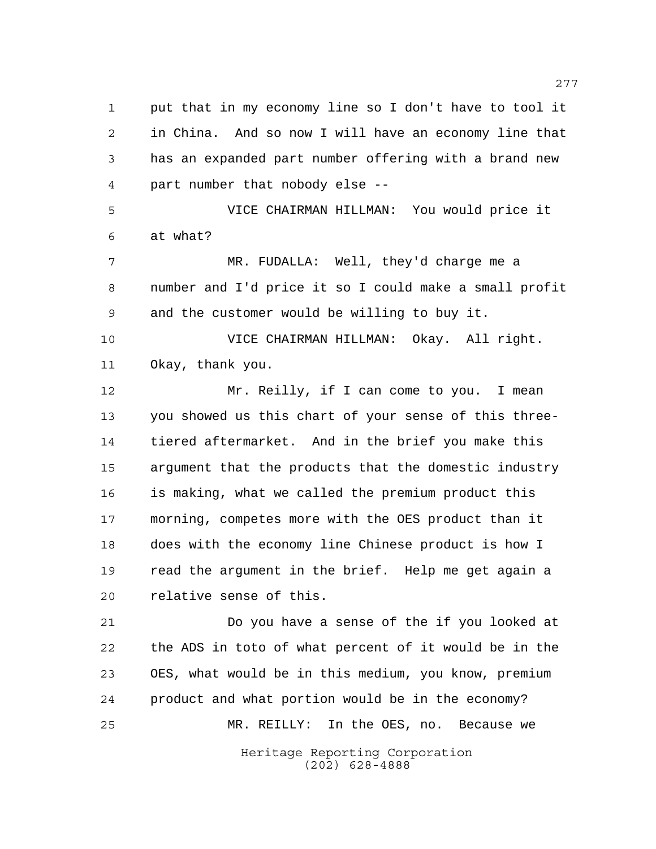put that in my economy line so I don't have to tool it in China. And so now I will have an economy line that has an expanded part number offering with a brand new part number that nobody else -- VICE CHAIRMAN HILLMAN: You would price it at what? MR. FUDALLA: Well, they'd charge me a number and I'd price it so I could make a small profit and the customer would be willing to buy it. VICE CHAIRMAN HILLMAN: Okay. All right. Okay, thank you. Mr. Reilly, if I can come to you. I mean you showed us this chart of your sense of this three- tiered aftermarket. And in the brief you make this argument that the products that the domestic industry is making, what we called the premium product this morning, competes more with the OES product than it does with the economy line Chinese product is how I read the argument in the brief. Help me get again a relative sense of this. Do you have a sense of the if you looked at the ADS in toto of what percent of it would be in the

Heritage Reporting Corporation (202) 628-4888 OES, what would be in this medium, you know, premium product and what portion would be in the economy? MR. REILLY: In the OES, no. Because we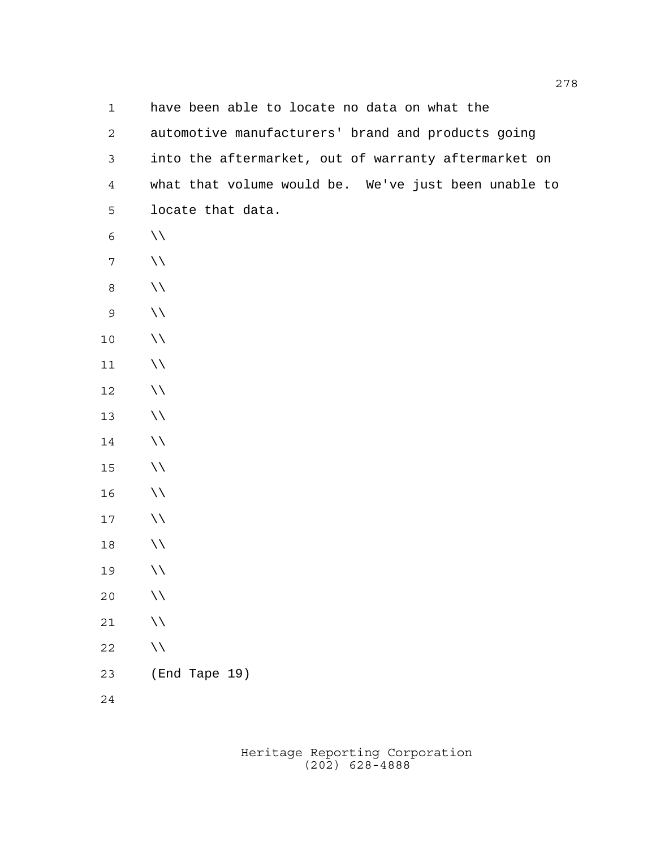| $\mathbf 1$      | have been able to locate no data on what the         |
|------------------|------------------------------------------------------|
| $\mathbf{2}$     | automotive manufacturers' brand and products going   |
| $\mathfrak{Z}$   | into the aftermarket, out of warranty aftermarket on |
| $\overline{4}$   | what that volume would be. We've just been unable to |
| 5                | locate that data.                                    |
| 6                | $\setminus \setminus$                                |
| $\boldsymbol{7}$ | $\setminus \setminus$                                |
| $\,8\,$          | $\setminus \setminus$                                |
| $\mathsf 9$      | $\setminus \setminus$                                |
| $10$             | $\setminus \setminus$                                |
| $11$             | $\setminus \setminus$                                |
| 12               | $\setminus \setminus$                                |
| 13               | $\setminus \setminus$                                |
| 14               | $\setminus \setminus$                                |
| $15$             | $\setminus \setminus$                                |
| 16               | $\setminus \setminus$                                |
| 17               | $\setminus \setminus$                                |
| 18               | $\setminus \setminus$                                |
| 19               | $\backslash \backslash$                              |
| 20               | $\setminus \setminus$                                |
| $2\,1$           | $\backslash \backslash$                              |
| 22               | $\setminus \setminus$                                |
| 23               | (End Tape 19)                                        |
| $2\sqrt{4}$      |                                                      |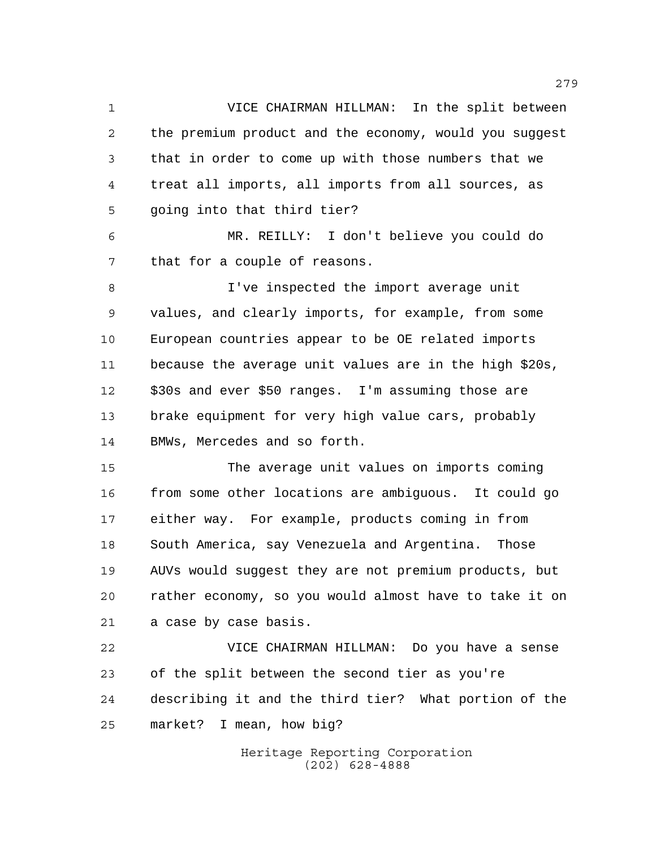VICE CHAIRMAN HILLMAN: In the split between the premium product and the economy, would you suggest that in order to come up with those numbers that we treat all imports, all imports from all sources, as going into that third tier?

 MR. REILLY: I don't believe you could do that for a couple of reasons.

 I've inspected the import average unit values, and clearly imports, for example, from some European countries appear to be OE related imports because the average unit values are in the high \$20s, \$30s and ever \$50 ranges. I'm assuming those are brake equipment for very high value cars, probably BMWs, Mercedes and so forth.

 The average unit values on imports coming from some other locations are ambiguous. It could go either way. For example, products coming in from South America, say Venezuela and Argentina. Those AUVs would suggest they are not premium products, but rather economy, so you would almost have to take it on a case by case basis.

 VICE CHAIRMAN HILLMAN: Do you have a sense of the split between the second tier as you're describing it and the third tier? What portion of the market? I mean, how big?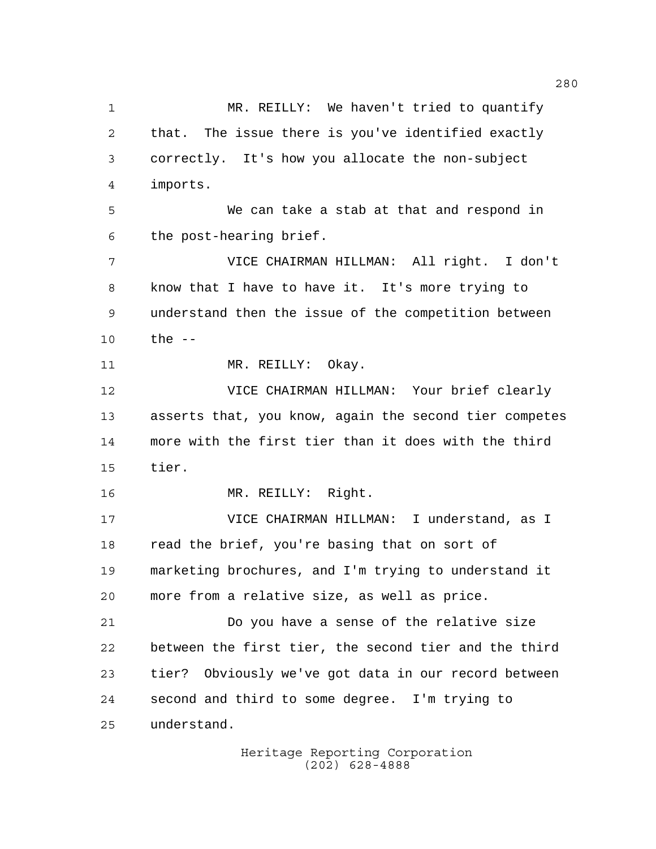MR. REILLY: We haven't tried to quantify that. The issue there is you've identified exactly correctly. It's how you allocate the non-subject imports. We can take a stab at that and respond in the post-hearing brief. VICE CHAIRMAN HILLMAN: All right. I don't know that I have to have it. It's more trying to understand then the issue of the competition between the -- 11 MR. REILLY: Okay. VICE CHAIRMAN HILLMAN: Your brief clearly asserts that, you know, again the second tier competes more with the first tier than it does with the third tier. MR. REILLY: Right. VICE CHAIRMAN HILLMAN: I understand, as I read the brief, you're basing that on sort of marketing brochures, and I'm trying to understand it more from a relative size, as well as price. Do you have a sense of the relative size between the first tier, the second tier and the third tier? Obviously we've got data in our record between second and third to some degree. I'm trying to understand.

> Heritage Reporting Corporation (202) 628-4888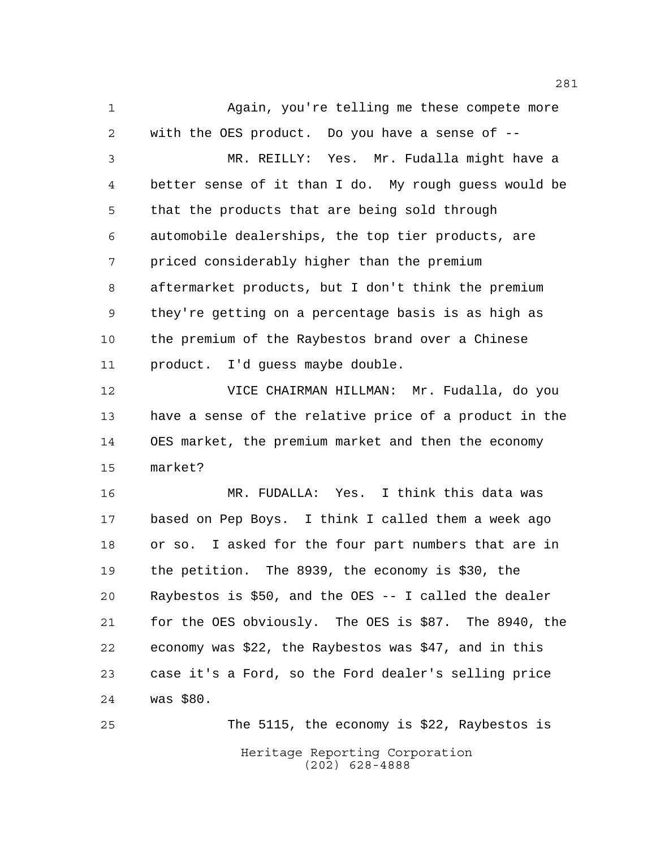Again, you're telling me these compete more with the OES product. Do you have a sense of --

 MR. REILLY: Yes. Mr. Fudalla might have a better sense of it than I do. My rough guess would be that the products that are being sold through automobile dealerships, the top tier products, are priced considerably higher than the premium aftermarket products, but I don't think the premium they're getting on a percentage basis is as high as the premium of the Raybestos brand over a Chinese product. I'd guess maybe double.

 VICE CHAIRMAN HILLMAN: Mr. Fudalla, do you have a sense of the relative price of a product in the OES market, the premium market and then the economy market?

 MR. FUDALLA: Yes. I think this data was based on Pep Boys. I think I called them a week ago or so. I asked for the four part numbers that are in the petition. The 8939, the economy is \$30, the Raybestos is \$50, and the OES -- I called the dealer for the OES obviously. The OES is \$87. The 8940, the economy was \$22, the Raybestos was \$47, and in this case it's a Ford, so the Ford dealer's selling price was \$80.

Heritage Reporting Corporation (202) 628-4888 The 5115, the economy is \$22, Raybestos is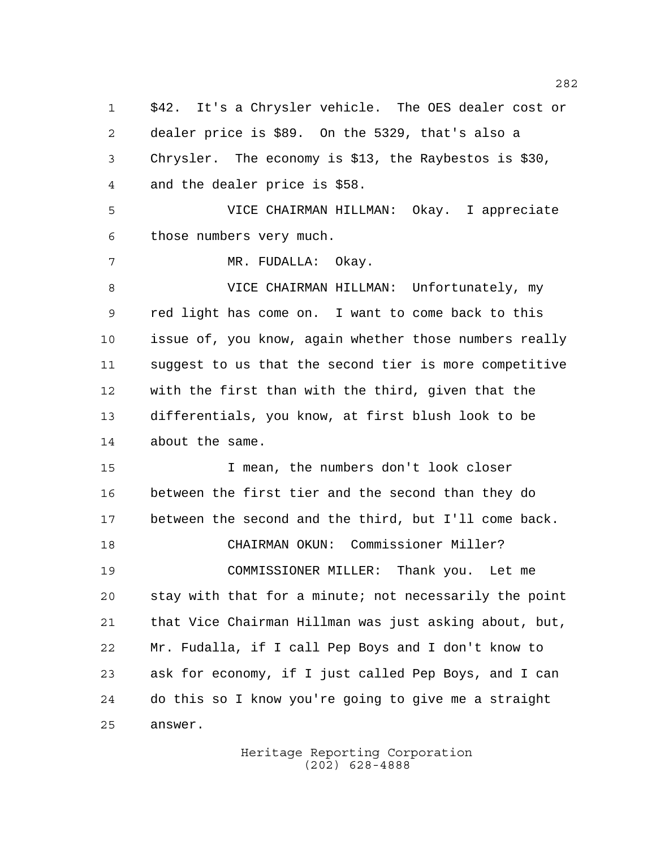\$42. It's a Chrysler vehicle. The OES dealer cost or dealer price is \$89. On the 5329, that's also a Chrysler. The economy is \$13, the Raybestos is \$30, and the dealer price is \$58. VICE CHAIRMAN HILLMAN: Okay. I appreciate those numbers very much. MR. FUDALLA: Okay. VICE CHAIRMAN HILLMAN: Unfortunately, my red light has come on. I want to come back to this issue of, you know, again whether those numbers really suggest to us that the second tier is more competitive with the first than with the third, given that the differentials, you know, at first blush look to be about the same. I mean, the numbers don't look closer between the first tier and the second than they do between the second and the third, but I'll come back. CHAIRMAN OKUN: Commissioner Miller? COMMISSIONER MILLER: Thank you. Let me stay with that for a minute; not necessarily the point that Vice Chairman Hillman was just asking about, but, Mr. Fudalla, if I call Pep Boys and I don't know to ask for economy, if I just called Pep Boys, and I can do this so I know you're going to give me a straight answer.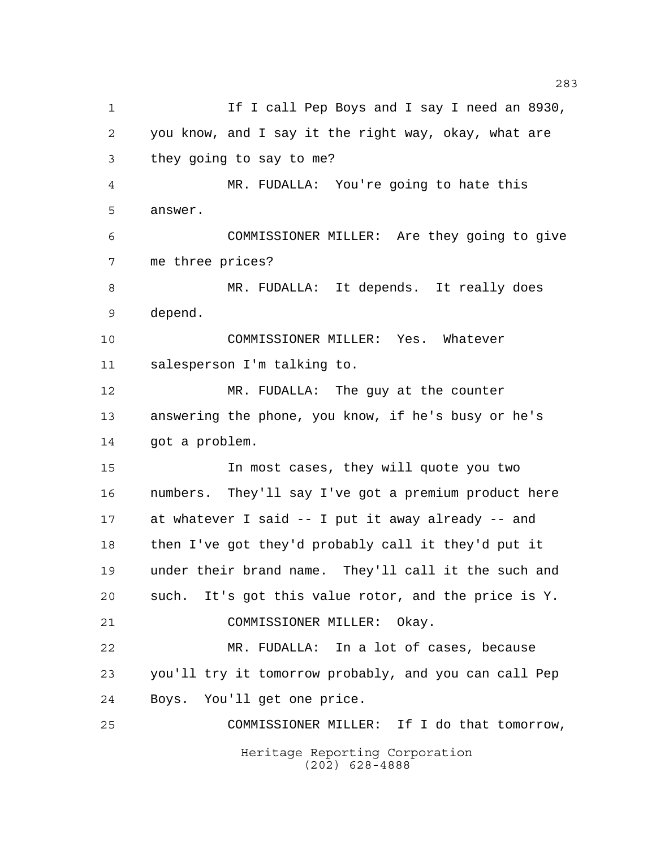Heritage Reporting Corporation (202) 628-4888 1 1 If I call Pep Boys and I say I need an 8930, you know, and I say it the right way, okay, what are they going to say to me? MR. FUDALLA: You're going to hate this answer. COMMISSIONER MILLER: Are they going to give me three prices? MR. FUDALLA: It depends. It really does depend. COMMISSIONER MILLER: Yes. Whatever salesperson I'm talking to. MR. FUDALLA: The guy at the counter answering the phone, you know, if he's busy or he's got a problem. In most cases, they will quote you two numbers. They'll say I've got a premium product here at whatever I said -- I put it away already -- and then I've got they'd probably call it they'd put it under their brand name. They'll call it the such and such. It's got this value rotor, and the price is Y. COMMISSIONER MILLER: Okay. MR. FUDALLA: In a lot of cases, because you'll try it tomorrow probably, and you can call Pep Boys. You'll get one price. COMMISSIONER MILLER: If I do that tomorrow,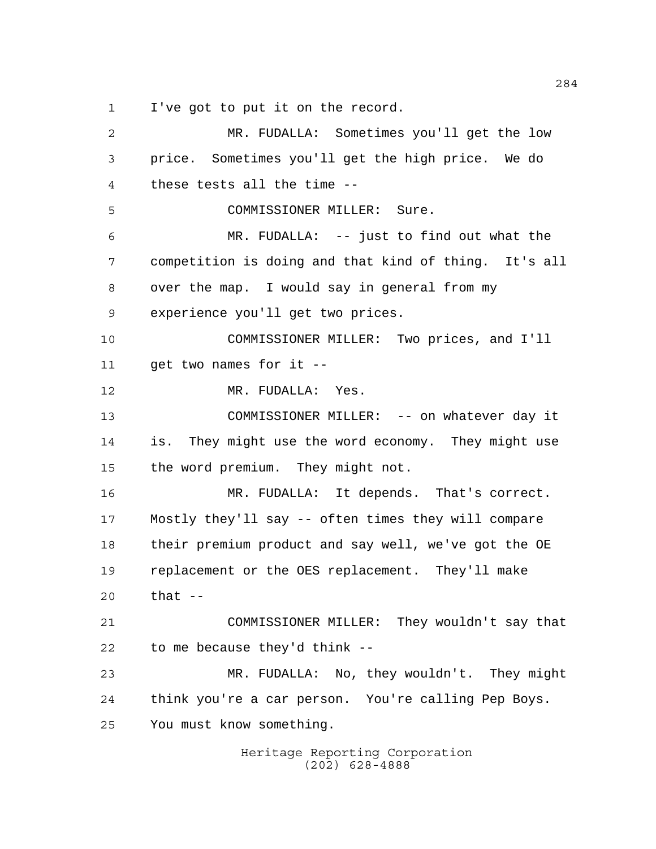I've got to put it on the record.

Heritage Reporting Corporation MR. FUDALLA: Sometimes you'll get the low price. Sometimes you'll get the high price. We do these tests all the time -- COMMISSIONER MILLER: Sure. MR. FUDALLA: -- just to find out what the competition is doing and that kind of thing. It's all over the map. I would say in general from my experience you'll get two prices. COMMISSIONER MILLER: Two prices, and I'll get two names for it -- MR. FUDALLA: Yes. COMMISSIONER MILLER: -- on whatever day it is. They might use the word economy. They might use the word premium. They might not. MR. FUDALLA: It depends. That's correct. Mostly they'll say -- often times they will compare their premium product and say well, we've got the OE replacement or the OES replacement. They'll make that -- COMMISSIONER MILLER: They wouldn't say that to me because they'd think -- MR. FUDALLA: No, they wouldn't. They might think you're a car person. You're calling Pep Boys. You must know something.

(202) 628-4888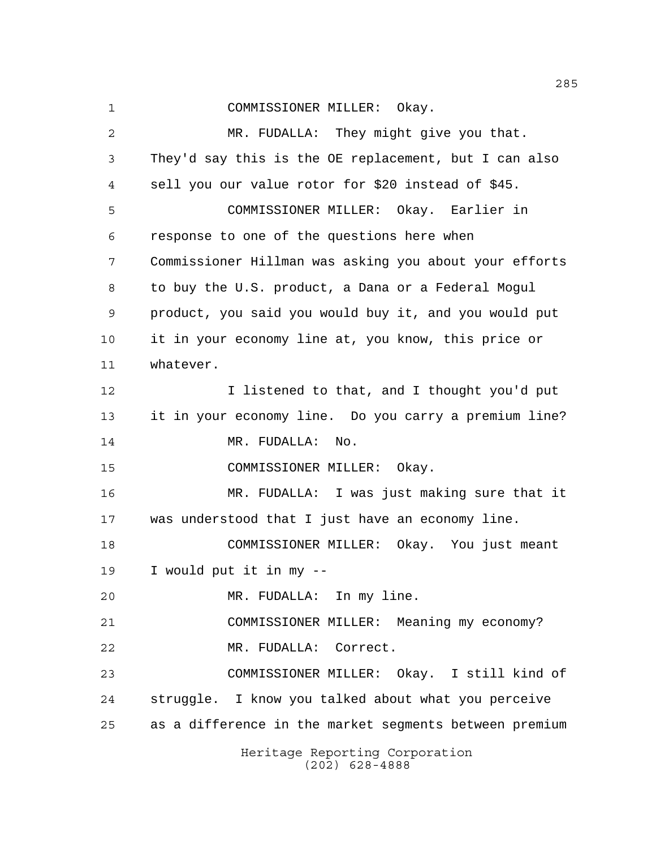Heritage Reporting Corporation COMMISSIONER MILLER: Okay. MR. FUDALLA: They might give you that. They'd say this is the OE replacement, but I can also sell you our value rotor for \$20 instead of \$45. COMMISSIONER MILLER: Okay. Earlier in response to one of the questions here when Commissioner Hillman was asking you about your efforts to buy the U.S. product, a Dana or a Federal Mogul product, you said you would buy it, and you would put it in your economy line at, you know, this price or whatever. I listened to that, and I thought you'd put it in your economy line. Do you carry a premium line? 14 MR. FUDALLA: No. COMMISSIONER MILLER: Okay. MR. FUDALLA: I was just making sure that it was understood that I just have an economy line. COMMISSIONER MILLER: Okay. You just meant I would put it in my -- MR. FUDALLA: In my line. COMMISSIONER MILLER: Meaning my economy? MR. FUDALLA: Correct. COMMISSIONER MILLER: Okay. I still kind of struggle. I know you talked about what you perceive as a difference in the market segments between premium

(202) 628-4888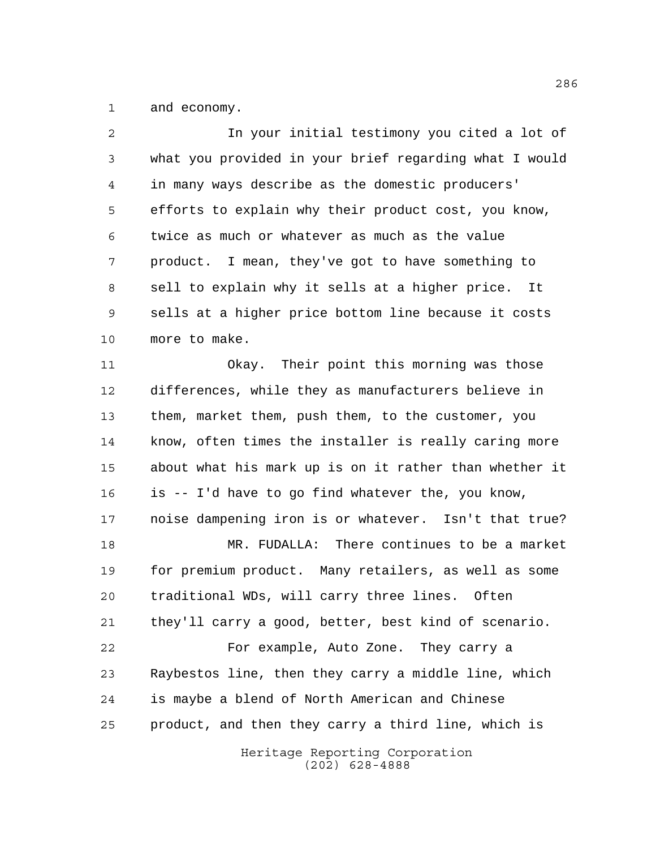and economy.

| $\overline{a}$ | In your initial testimony you cited a lot of           |
|----------------|--------------------------------------------------------|
| 3              | what you provided in your brief regarding what I would |
| 4              | in many ways describe as the domestic producers'       |
| 5              | efforts to explain why their product cost, you know,   |
| 6              | twice as much or whatever as much as the value         |
| 7              | product. I mean, they've got to have something to      |
| 8              | sell to explain why it sells at a higher price.<br>It  |
| 9              | sells at a higher price bottom line because it costs   |
| 10             | more to make.                                          |
| 11             | Okay. Their point this morning was those               |
| 12             | differences, while they as manufacturers believe in    |
| 13             | them, market them, push them, to the customer, you     |
| 14             | know, often times the installer is really caring more  |
| 15             | about what his mark up is on it rather than whether it |
| 16             | is -- I'd have to go find whatever the, you know,      |
| 17             | noise dampening iron is or whatever. Isn't that true?  |
| 18             | MR. FUDALLA: There continues to be a market            |
| 19             | for premium product. Many retailers, as well as some   |
| 20             | traditional WDs, will carry three lines. Often         |
| 21             | they'll carry a good, better, best kind of scenario.   |
| 22             | For example, Auto Zone. They carry a                   |
| 23             | Raybestos line, then they carry a middle line, which   |
| 24             | is maybe a blend of North American and Chinese         |
| 25             | product, and then they carry a third line, which is    |
|                |                                                        |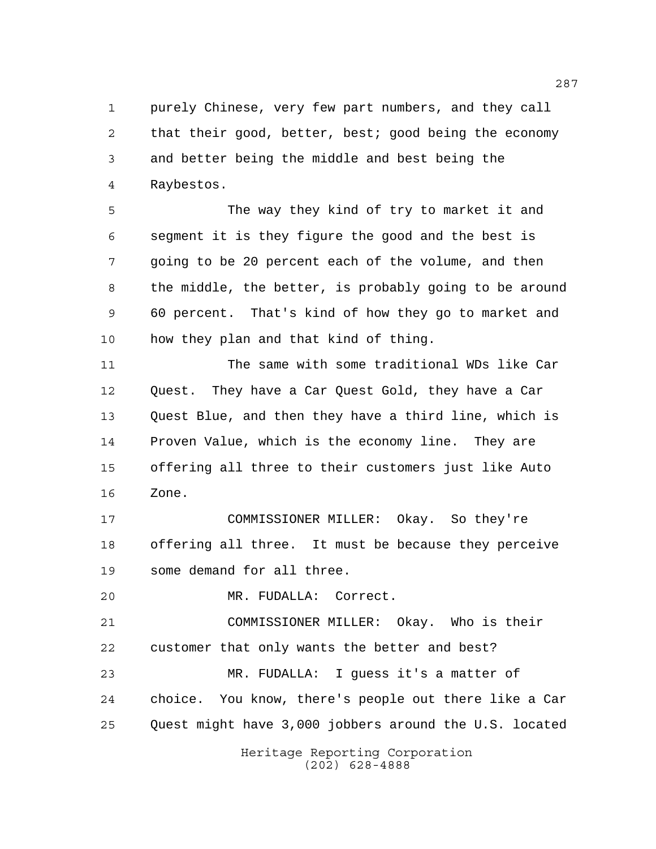purely Chinese, very few part numbers, and they call that their good, better, best; good being the economy and better being the middle and best being the Raybestos.

 The way they kind of try to market it and segment it is they figure the good and the best is going to be 20 percent each of the volume, and then the middle, the better, is probably going to be around 60 percent. That's kind of how they go to market and how they plan and that kind of thing.

 The same with some traditional WDs like Car Quest. They have a Car Quest Gold, they have a Car Quest Blue, and then they have a third line, which is Proven Value, which is the economy line. They are offering all three to their customers just like Auto Zone.

 COMMISSIONER MILLER: Okay. So they're offering all three. It must be because they perceive some demand for all three.

MR. FUDALLA: Correct.

 COMMISSIONER MILLER: Okay. Who is their customer that only wants the better and best?

 MR. FUDALLA: I guess it's a matter of choice. You know, there's people out there like a Car Quest might have 3,000 jobbers around the U.S. located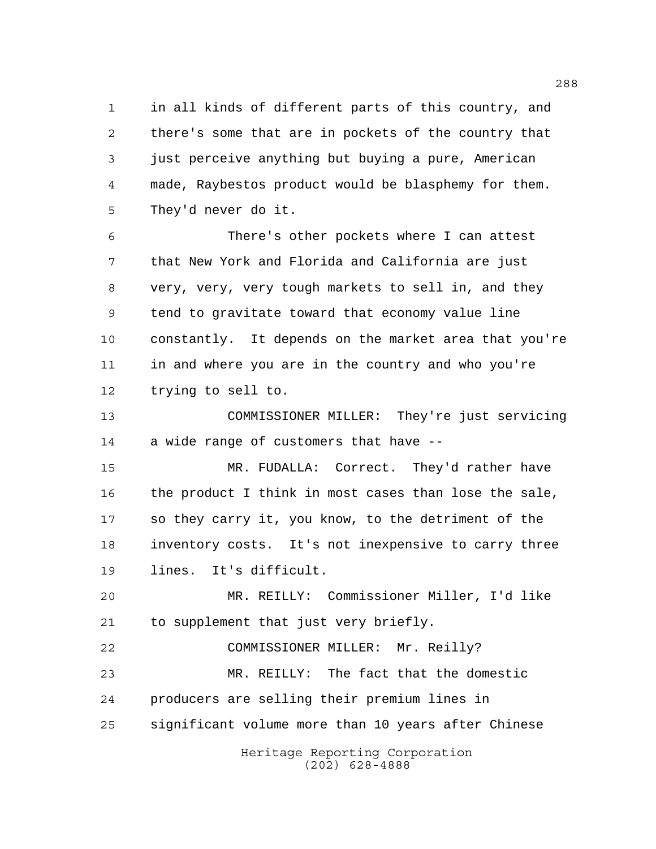in all kinds of different parts of this country, and there's some that are in pockets of the country that just perceive anything but buying a pure, American made, Raybestos product would be blasphemy for them. They'd never do it.

 There's other pockets where I can attest that New York and Florida and California are just very, very, very tough markets to sell in, and they tend to gravitate toward that economy value line constantly. It depends on the market area that you're in and where you are in the country and who you're trying to sell to.

 COMMISSIONER MILLER: They're just servicing a wide range of customers that have --

 MR. FUDALLA: Correct. They'd rather have the product I think in most cases than lose the sale, so they carry it, you know, to the detriment of the inventory costs. It's not inexpensive to carry three lines. It's difficult.

 MR. REILLY: Commissioner Miller, I'd like to supplement that just very briefly.

 COMMISSIONER MILLER: Mr. Reilly? MR. REILLY: The fact that the domestic producers are selling their premium lines in significant volume more than 10 years after Chinese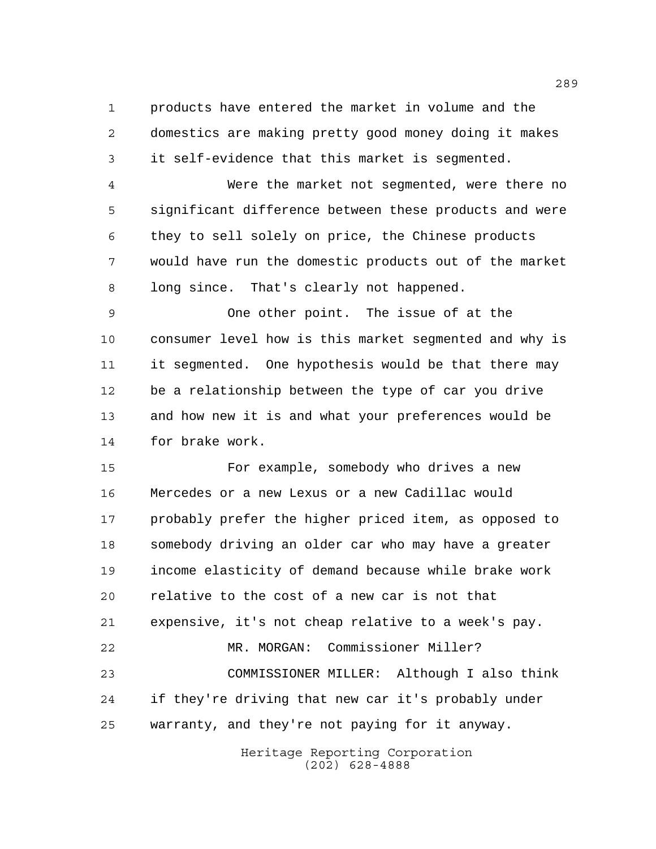products have entered the market in volume and the domestics are making pretty good money doing it makes it self-evidence that this market is segmented.

 Were the market not segmented, were there no significant difference between these products and were they to sell solely on price, the Chinese products would have run the domestic products out of the market long since. That's clearly not happened.

 One other point. The issue of at the consumer level how is this market segmented and why is it segmented. One hypothesis would be that there may be a relationship between the type of car you drive and how new it is and what your preferences would be for brake work.

 For example, somebody who drives a new Mercedes or a new Lexus or a new Cadillac would probably prefer the higher priced item, as opposed to somebody driving an older car who may have a greater income elasticity of demand because while brake work relative to the cost of a new car is not that expensive, it's not cheap relative to a week's pay. MR. MORGAN: Commissioner Miller? COMMISSIONER MILLER: Although I also think if they're driving that new car it's probably under warranty, and they're not paying for it anyway.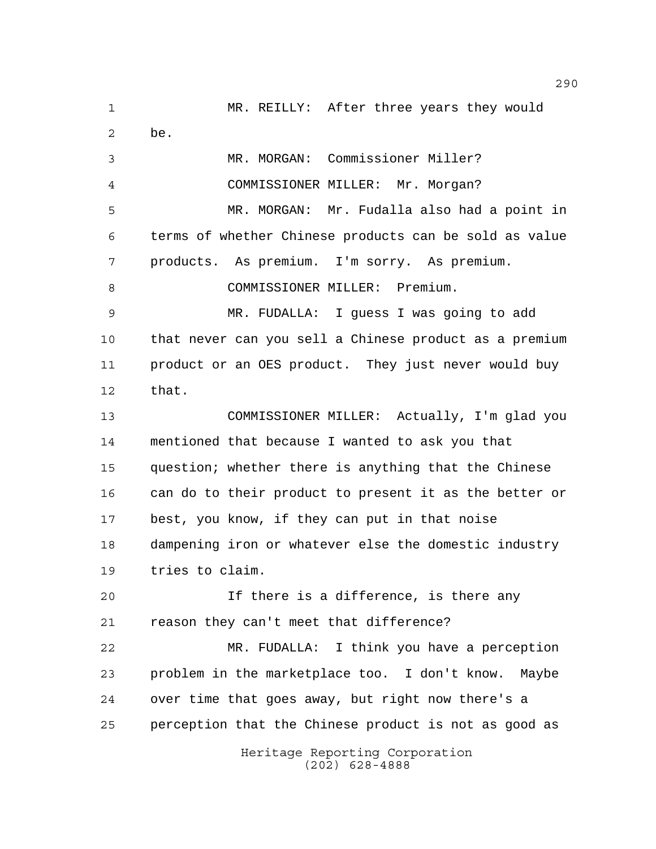Heritage Reporting Corporation (202) 628-4888 MR. REILLY: After three years they would be. MR. MORGAN: Commissioner Miller? COMMISSIONER MILLER: Mr. Morgan? MR. MORGAN: Mr. Fudalla also had a point in terms of whether Chinese products can be sold as value products. As premium. I'm sorry. As premium. COMMISSIONER MILLER: Premium. MR. FUDALLA: I guess I was going to add that never can you sell a Chinese product as a premium product or an OES product. They just never would buy that. COMMISSIONER MILLER: Actually, I'm glad you mentioned that because I wanted to ask you that question; whether there is anything that the Chinese can do to their product to present it as the better or best, you know, if they can put in that noise dampening iron or whatever else the domestic industry tries to claim. If there is a difference, is there any reason they can't meet that difference? MR. FUDALLA: I think you have a perception problem in the marketplace too. I don't know. Maybe over time that goes away, but right now there's a perception that the Chinese product is not as good as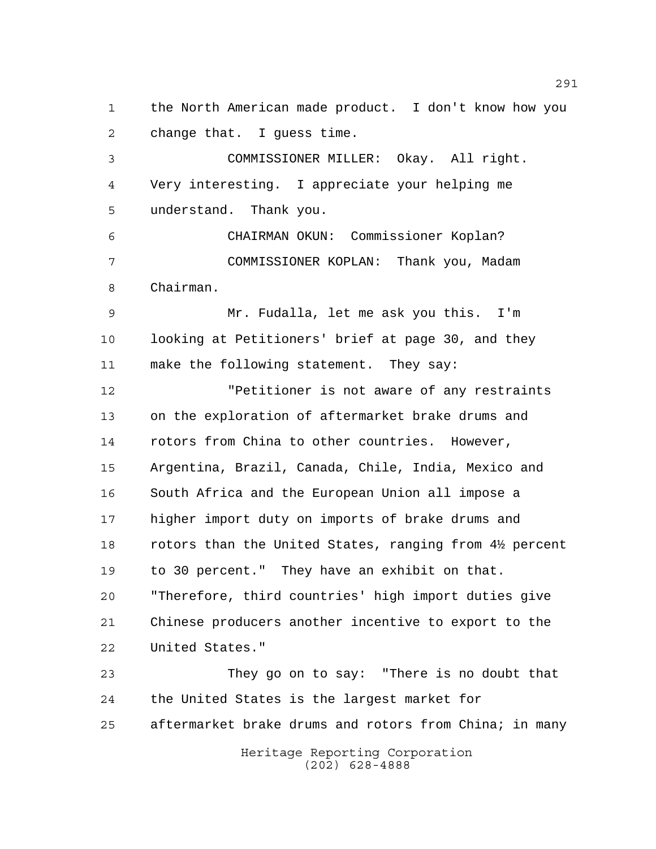the North American made product. I don't know how you change that. I guess time.

 COMMISSIONER MILLER: Okay. All right. Very interesting. I appreciate your helping me understand. Thank you.

 CHAIRMAN OKUN: Commissioner Koplan? COMMISSIONER KOPLAN: Thank you, Madam Chairman.

 Mr. Fudalla, let me ask you this. I'm looking at Petitioners' brief at page 30, and they make the following statement. They say:

 "Petitioner is not aware of any restraints on the exploration of aftermarket brake drums and rotors from China to other countries. However, Argentina, Brazil, Canada, Chile, India, Mexico and South Africa and the European Union all impose a higher import duty on imports of brake drums and 18 rotors than the United States, ranging from 4½ percent to 30 percent." They have an exhibit on that. "Therefore, third countries' high import duties give Chinese producers another incentive to export to the United States."

 They go on to say: "There is no doubt that the United States is the largest market for 25 aftermarket brake drums and rotors from China; in many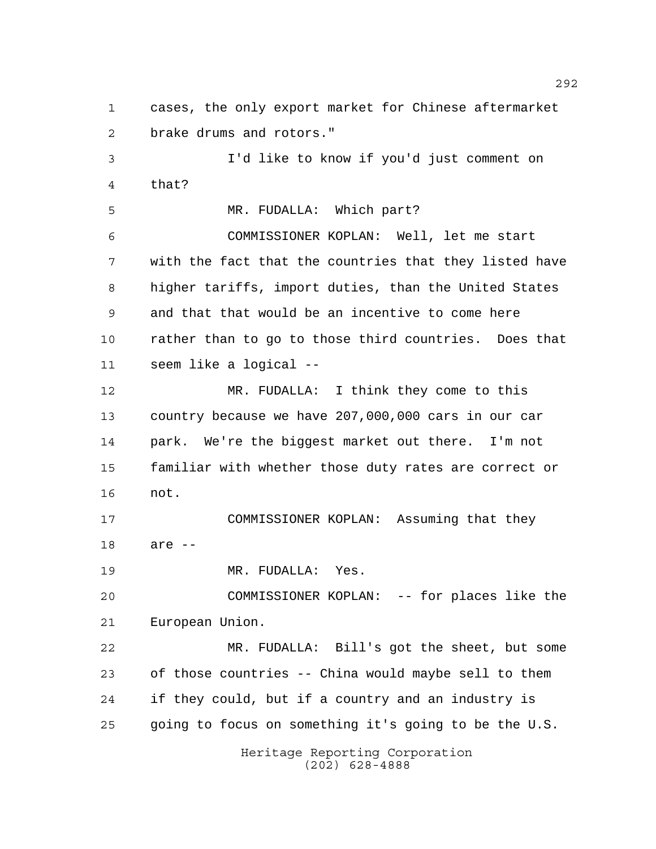cases, the only export market for Chinese aftermarket brake drums and rotors." I'd like to know if you'd just comment on that? MR. FUDALLA: Which part?

 COMMISSIONER KOPLAN: Well, let me start with the fact that the countries that they listed have higher tariffs, import duties, than the United States and that that would be an incentive to come here rather than to go to those third countries. Does that seem like a logical --

 MR. FUDALLA: I think they come to this country because we have 207,000,000 cars in our car park. We're the biggest market out there. I'm not familiar with whether those duty rates are correct or not.

 COMMISSIONER KOPLAN: Assuming that they are --

MR. FUDALLA: Yes.

 COMMISSIONER KOPLAN: -- for places like the European Union.

 MR. FUDALLA: Bill's got the sheet, but some of those countries -- China would maybe sell to them if they could, but if a country and an industry is going to focus on something it's going to be the U.S.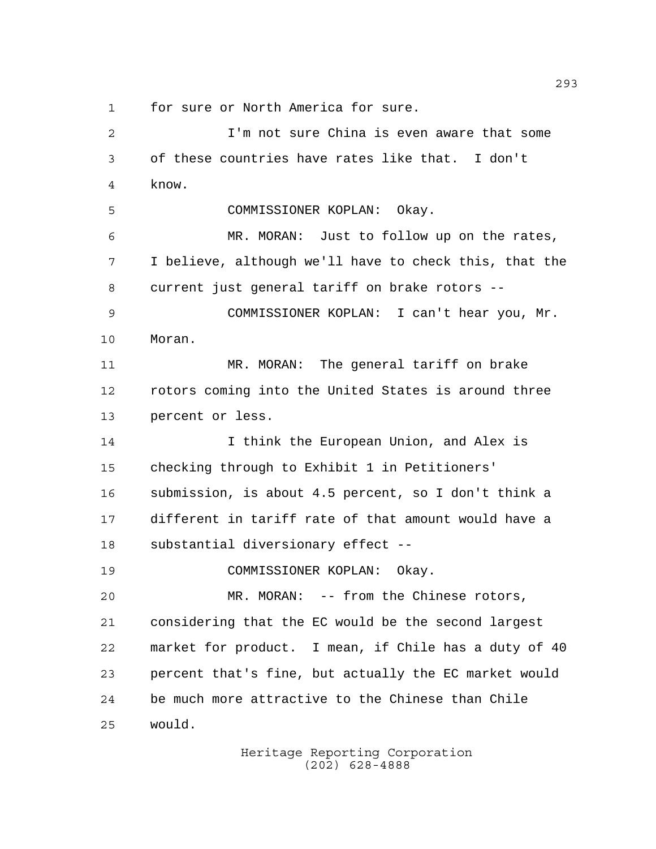for sure or North America for sure.

 I'm not sure China is even aware that some of these countries have rates like that. I don't know. COMMISSIONER KOPLAN: Okay. MR. MORAN: Just to follow up on the rates, I believe, although we'll have to check this, that the current just general tariff on brake rotors -- COMMISSIONER KOPLAN: I can't hear you, Mr. Moran. MR. MORAN: The general tariff on brake rotors coming into the United States is around three percent or less. 14 14 I think the European Union, and Alex is checking through to Exhibit 1 in Petitioners' submission, is about 4.5 percent, so I don't think a different in tariff rate of that amount would have a substantial diversionary effect -- COMMISSIONER KOPLAN: Okay. MR. MORAN: -- from the Chinese rotors, considering that the EC would be the second largest market for product. I mean, if Chile has a duty of 40 percent that's fine, but actually the EC market would be much more attractive to the Chinese than Chile would.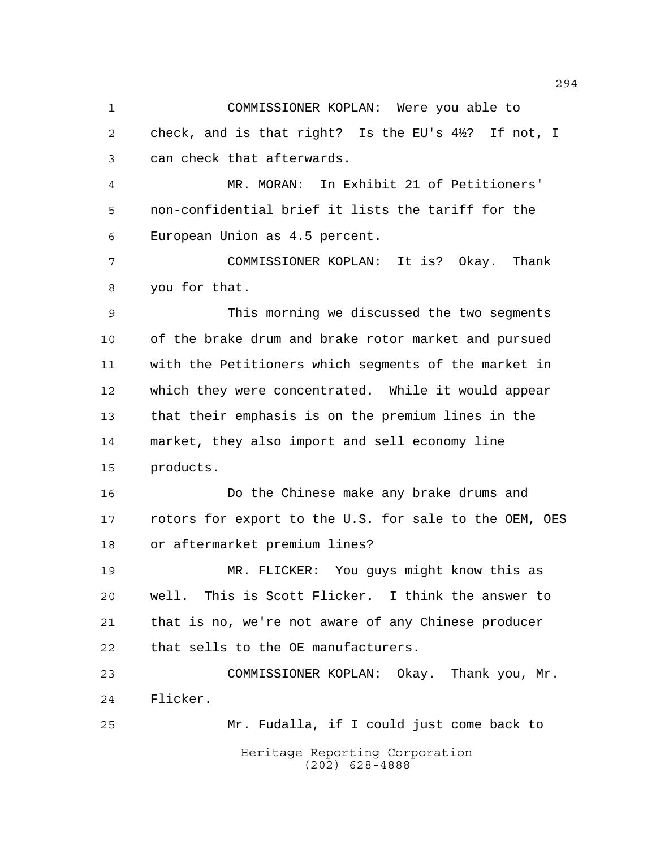COMMISSIONER KOPLAN: Were you able to check, and is that right? Is the EU's 4½? If not, I can check that afterwards.

 MR. MORAN: In Exhibit 21 of Petitioners' non-confidential brief it lists the tariff for the European Union as 4.5 percent.

 COMMISSIONER KOPLAN: It is? Okay. Thank you for that.

 This morning we discussed the two segments of the brake drum and brake rotor market and pursued with the Petitioners which segments of the market in which they were concentrated. While it would appear that their emphasis is on the premium lines in the market, they also import and sell economy line products.

 Do the Chinese make any brake drums and rotors for export to the U.S. for sale to the OEM, OES or aftermarket premium lines?

 MR. FLICKER: You guys might know this as well. This is Scott Flicker. I think the answer to that is no, we're not aware of any Chinese producer that sells to the OE manufacturers.

 COMMISSIONER KOPLAN: Okay. Thank you, Mr. Flicker.

Heritage Reporting Corporation (202) 628-4888 Mr. Fudalla, if I could just come back to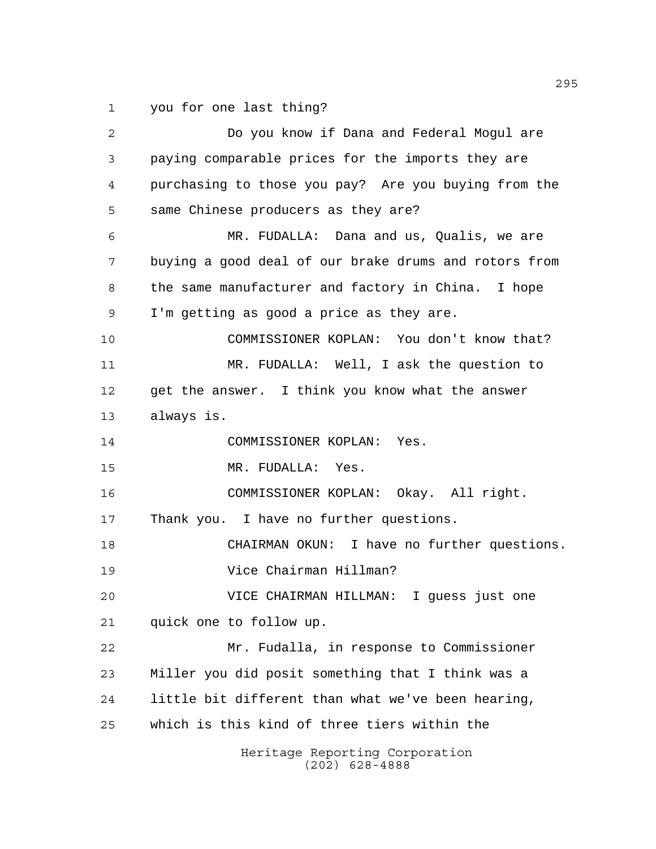you for one last thing?

Heritage Reporting Corporation (202) 628-4888 Do you know if Dana and Federal Mogul are paying comparable prices for the imports they are purchasing to those you pay? Are you buying from the same Chinese producers as they are? MR. FUDALLA: Dana and us, Qualis, we are buying a good deal of our brake drums and rotors from the same manufacturer and factory in China. I hope I'm getting as good a price as they are. COMMISSIONER KOPLAN: You don't know that? MR. FUDALLA: Well, I ask the question to get the answer. I think you know what the answer always is. COMMISSIONER KOPLAN: Yes. MR. FUDALLA: Yes. COMMISSIONER KOPLAN: Okay. All right. 17 Thank you. I have no further questions. CHAIRMAN OKUN: I have no further questions. Vice Chairman Hillman? VICE CHAIRMAN HILLMAN: I guess just one quick one to follow up. Mr. Fudalla, in response to Commissioner Miller you did posit something that I think was a little bit different than what we've been hearing, which is this kind of three tiers within the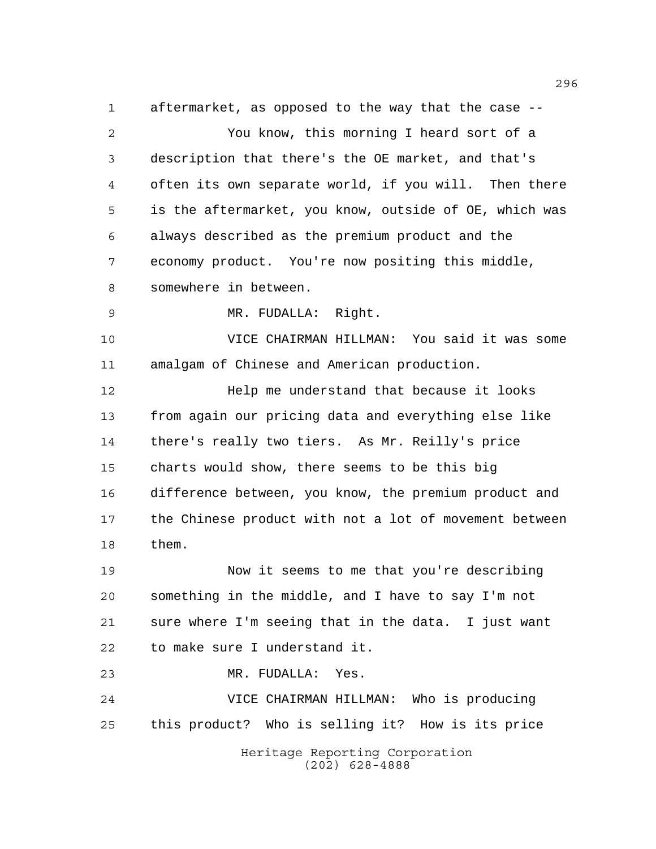aftermarket, as opposed to the way that the case -- You know, this morning I heard sort of a description that there's the OE market, and that's often its own separate world, if you will. Then there is the aftermarket, you know, outside of OE, which was always described as the premium product and the economy product. You're now positing this middle, somewhere in between. MR. FUDALLA: Right. VICE CHAIRMAN HILLMAN: You said it was some amalgam of Chinese and American production. Help me understand that because it looks from again our pricing data and everything else like there's really two tiers. As Mr. Reilly's price charts would show, there seems to be this big difference between, you know, the premium product and the Chinese product with not a lot of movement between them. Now it seems to me that you're describing something in the middle, and I have to say I'm not sure where I'm seeing that in the data. I just want

to make sure I understand it.

MR. FUDALLA: Yes.

 VICE CHAIRMAN HILLMAN: Who is producing this product? Who is selling it? How is its price

> Heritage Reporting Corporation (202) 628-4888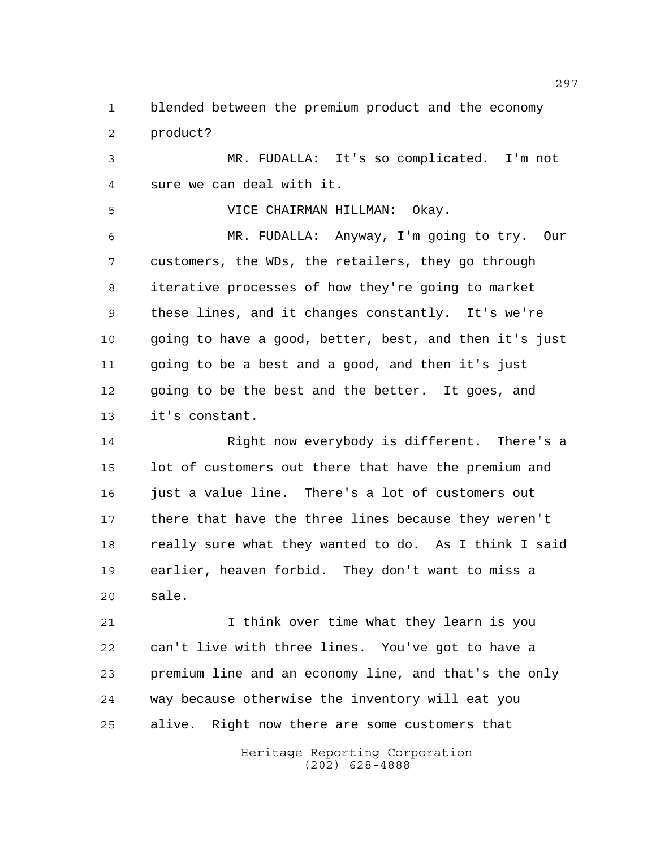blended between the premium product and the economy product?

 MR. FUDALLA: It's so complicated. I'm not sure we can deal with it.

 VICE CHAIRMAN HILLMAN: Okay. MR. FUDALLA: Anyway, I'm going to try. Our customers, the WDs, the retailers, they go through iterative processes of how they're going to market these lines, and it changes constantly. It's we're going to have a good, better, best, and then it's just going to be a best and a good, and then it's just going to be the best and the better. It goes, and it's constant.

 Right now everybody is different. There's a lot of customers out there that have the premium and just a value line. There's a lot of customers out there that have the three lines because they weren't 18 really sure what they wanted to do. As I think I said earlier, heaven forbid. They don't want to miss a sale.

 I think over time what they learn is you can't live with three lines. You've got to have a premium line and an economy line, and that's the only way because otherwise the inventory will eat you alive. Right now there are some customers that

> Heritage Reporting Corporation (202) 628-4888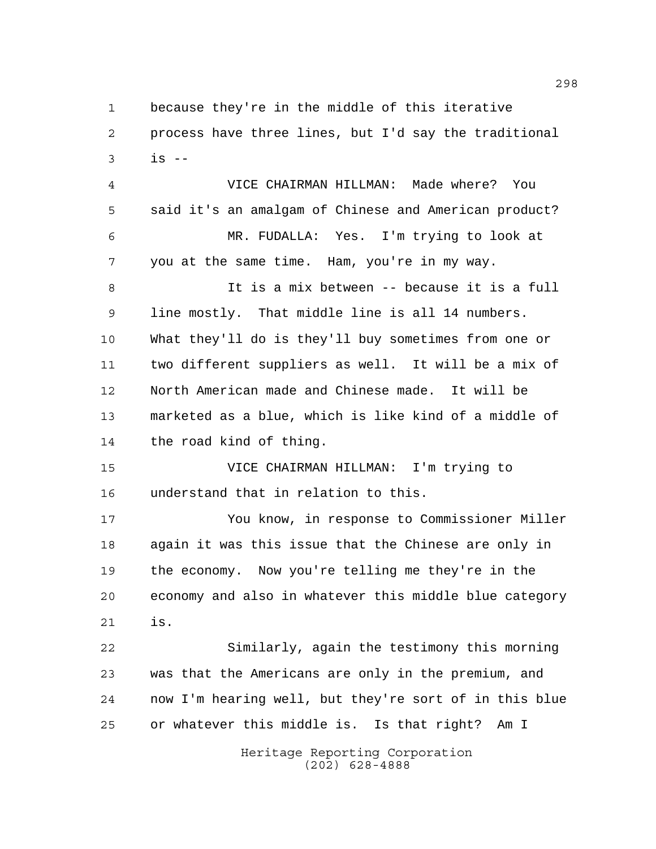because they're in the middle of this iterative process have three lines, but I'd say the traditional  $3 \t is -$ 

 VICE CHAIRMAN HILLMAN: Made where? You said it's an amalgam of Chinese and American product? MR. FUDALLA: Yes. I'm trying to look at you at the same time. Ham, you're in my way. It is a mix between -- because it is a full line mostly. That middle line is all 14 numbers. What they'll do is they'll buy sometimes from one or two different suppliers as well. It will be a mix of North American made and Chinese made. It will be marketed as a blue, which is like kind of a middle of the road kind of thing.

 VICE CHAIRMAN HILLMAN: I'm trying to understand that in relation to this.

 You know, in response to Commissioner Miller again it was this issue that the Chinese are only in the economy. Now you're telling me they're in the economy and also in whatever this middle blue category is.

 Similarly, again the testimony this morning was that the Americans are only in the premium, and now I'm hearing well, but they're sort of in this blue or whatever this middle is. Is that right? Am I

> Heritage Reporting Corporation (202) 628-4888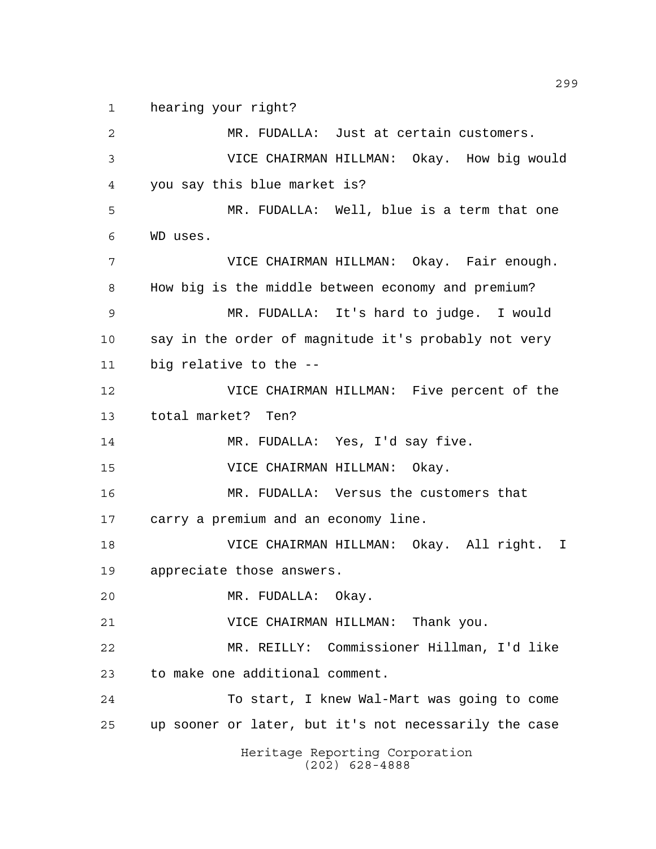hearing your right?

Heritage Reporting Corporation (202) 628-4888 MR. FUDALLA: Just at certain customers. VICE CHAIRMAN HILLMAN: Okay. How big would you say this blue market is? MR. FUDALLA: Well, blue is a term that one WD uses. VICE CHAIRMAN HILLMAN: Okay. Fair enough. How big is the middle between economy and premium? MR. FUDALLA: It's hard to judge. I would say in the order of magnitude it's probably not very big relative to the -- VICE CHAIRMAN HILLMAN: Five percent of the total market? Ten? MR. FUDALLA: Yes, I'd say five. VICE CHAIRMAN HILLMAN: Okay. MR. FUDALLA: Versus the customers that carry a premium and an economy line. VICE CHAIRMAN HILLMAN: Okay. All right. I appreciate those answers. MR. FUDALLA: Okay. VICE CHAIRMAN HILLMAN: Thank you. MR. REILLY: Commissioner Hillman, I'd like to make one additional comment. To start, I knew Wal-Mart was going to come up sooner or later, but it's not necessarily the case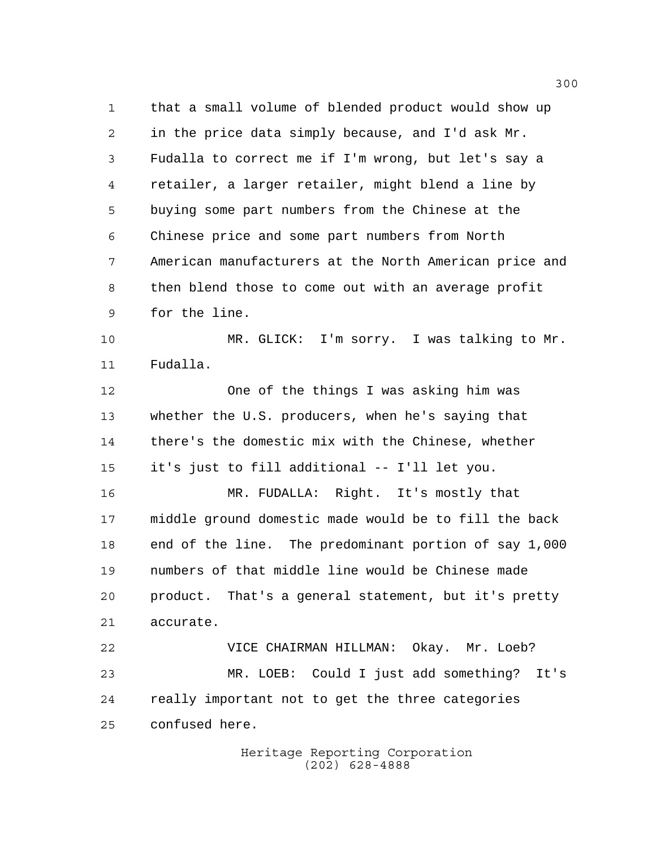that a small volume of blended product would show up in the price data simply because, and I'd ask Mr. Fudalla to correct me if I'm wrong, but let's say a retailer, a larger retailer, might blend a line by buying some part numbers from the Chinese at the Chinese price and some part numbers from North American manufacturers at the North American price and then blend those to come out with an average profit for the line.

 MR. GLICK: I'm sorry. I was talking to Mr. Fudalla.

 One of the things I was asking him was whether the U.S. producers, when he's saying that there's the domestic mix with the Chinese, whether it's just to fill additional -- I'll let you.

 MR. FUDALLA: Right. It's mostly that middle ground domestic made would be to fill the back end of the line. The predominant portion of say 1,000 numbers of that middle line would be Chinese made product. That's a general statement, but it's pretty accurate.

 VICE CHAIRMAN HILLMAN: Okay. Mr. Loeb? MR. LOEB: Could I just add something? It's really important not to get the three categories confused here.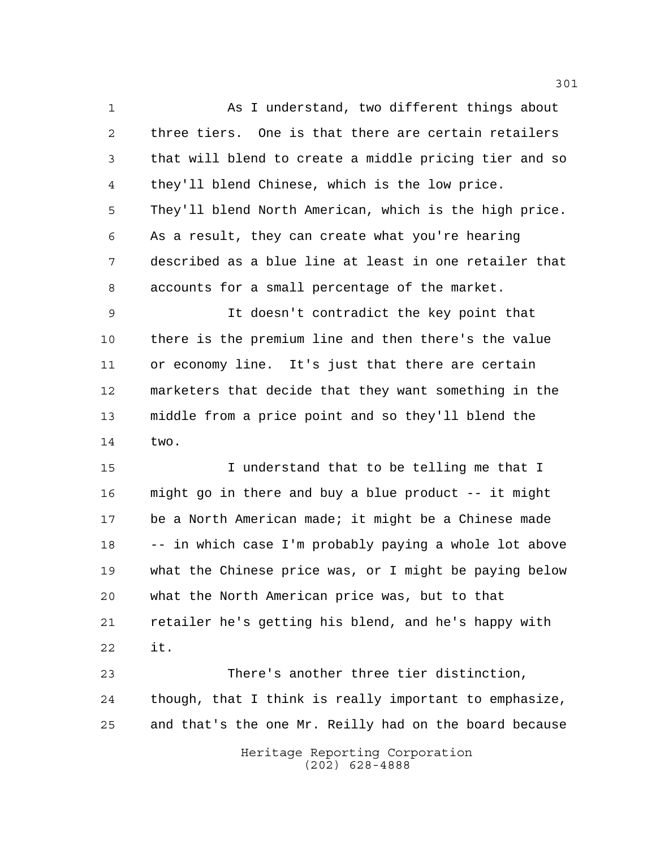As I understand, two different things about three tiers. One is that there are certain retailers that will blend to create a middle pricing tier and so they'll blend Chinese, which is the low price. They'll blend North American, which is the high price. As a result, they can create what you're hearing described as a blue line at least in one retailer that accounts for a small percentage of the market.

 It doesn't contradict the key point that there is the premium line and then there's the value or economy line. It's just that there are certain marketers that decide that they want something in the middle from a price point and so they'll blend the two.

 I understand that to be telling me that I might go in there and buy a blue product -- it might be a North American made; it might be a Chinese made -- in which case I'm probably paying a whole lot above what the Chinese price was, or I might be paying below what the North American price was, but to that retailer he's getting his blend, and he's happy with it.

 There's another three tier distinction, though, that I think is really important to emphasize, and that's the one Mr. Reilly had on the board because

> Heritage Reporting Corporation (202) 628-4888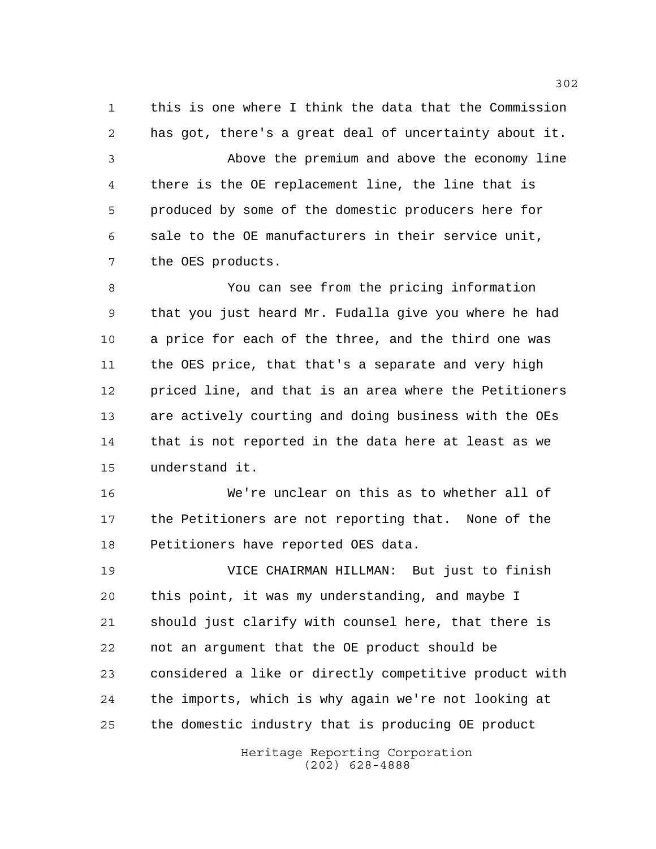this is one where I think the data that the Commission has got, there's a great deal of uncertainty about it.

 Above the premium and above the economy line there is the OE replacement line, the line that is produced by some of the domestic producers here for sale to the OE manufacturers in their service unit, the OES products.

 You can see from the pricing information that you just heard Mr. Fudalla give you where he had a price for each of the three, and the third one was the OES price, that that's a separate and very high priced line, and that is an area where the Petitioners are actively courting and doing business with the OEs that is not reported in the data here at least as we understand it.

 We're unclear on this as to whether all of the Petitioners are not reporting that. None of the Petitioners have reported OES data.

 VICE CHAIRMAN HILLMAN: But just to finish this point, it was my understanding, and maybe I should just clarify with counsel here, that there is not an argument that the OE product should be considered a like or directly competitive product with the imports, which is why again we're not looking at the domestic industry that is producing OE product

> Heritage Reporting Corporation (202) 628-4888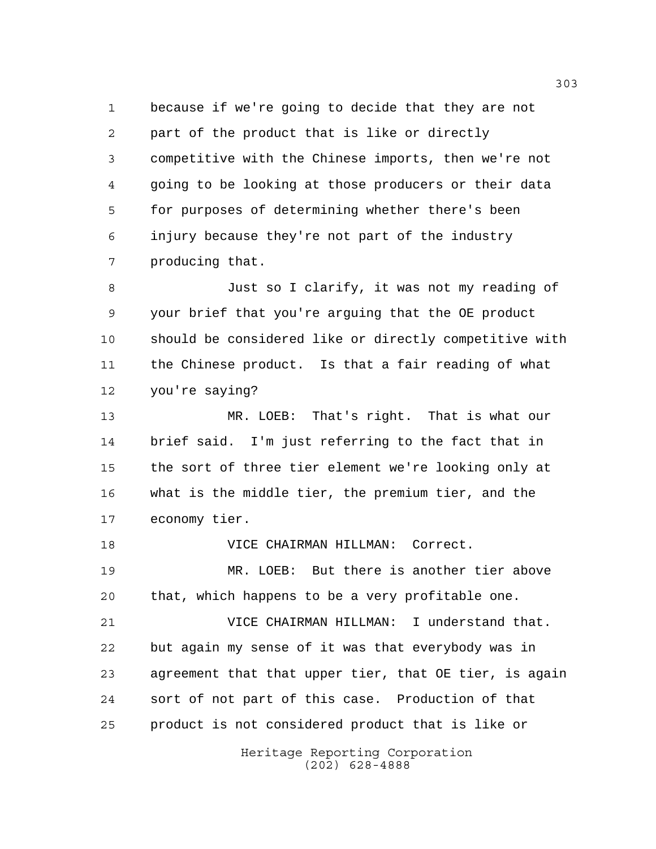because if we're going to decide that they are not part of the product that is like or directly competitive with the Chinese imports, then we're not going to be looking at those producers or their data for purposes of determining whether there's been injury because they're not part of the industry producing that.

 Just so I clarify, it was not my reading of your brief that you're arguing that the OE product should be considered like or directly competitive with the Chinese product. Is that a fair reading of what you're saying?

 MR. LOEB: That's right. That is what our brief said. I'm just referring to the fact that in the sort of three tier element we're looking only at what is the middle tier, the premium tier, and the economy tier.

 VICE CHAIRMAN HILLMAN: Correct. MR. LOEB: But there is another tier above that, which happens to be a very profitable one. VICE CHAIRMAN HILLMAN: I understand that. but again my sense of it was that everybody was in agreement that that upper tier, that OE tier, is again sort of not part of this case. Production of that product is not considered product that is like or

> Heritage Reporting Corporation (202) 628-4888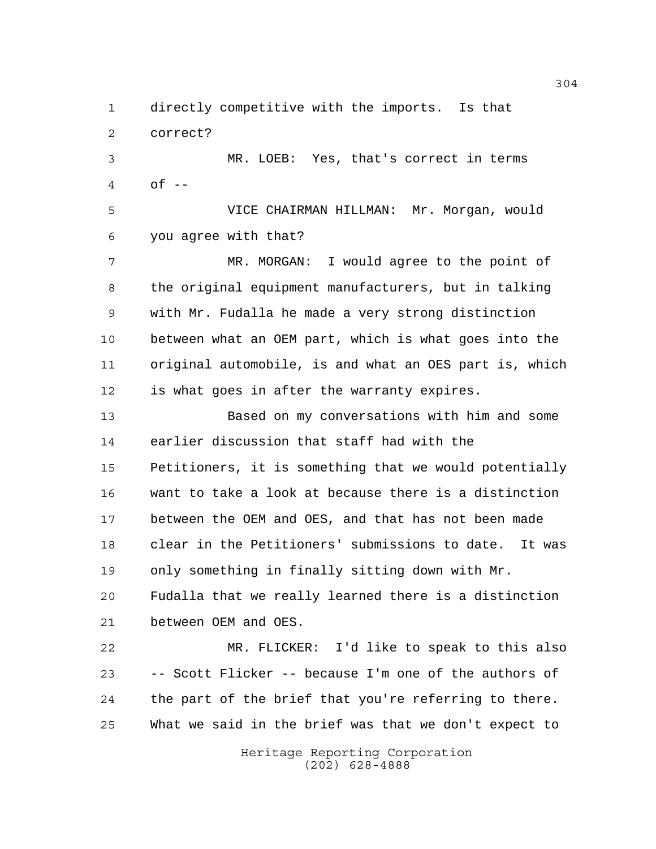directly competitive with the imports. Is that correct?

 MR. LOEB: Yes, that's correct in terms of  $-$ 

 VICE CHAIRMAN HILLMAN: Mr. Morgan, would you agree with that?

 MR. MORGAN: I would agree to the point of the original equipment manufacturers, but in talking with Mr. Fudalla he made a very strong distinction between what an OEM part, which is what goes into the original automobile, is and what an OES part is, which is what goes in after the warranty expires.

 Based on my conversations with him and some earlier discussion that staff had with the Petitioners, it is something that we would potentially want to take a look at because there is a distinction between the OEM and OES, and that has not been made clear in the Petitioners' submissions to date. It was only something in finally sitting down with Mr. Fudalla that we really learned there is a distinction between OEM and OES.

 MR. FLICKER: I'd like to speak to this also -- Scott Flicker -- because I'm one of the authors of the part of the brief that you're referring to there. What we said in the brief was that we don't expect to

> Heritage Reporting Corporation (202) 628-4888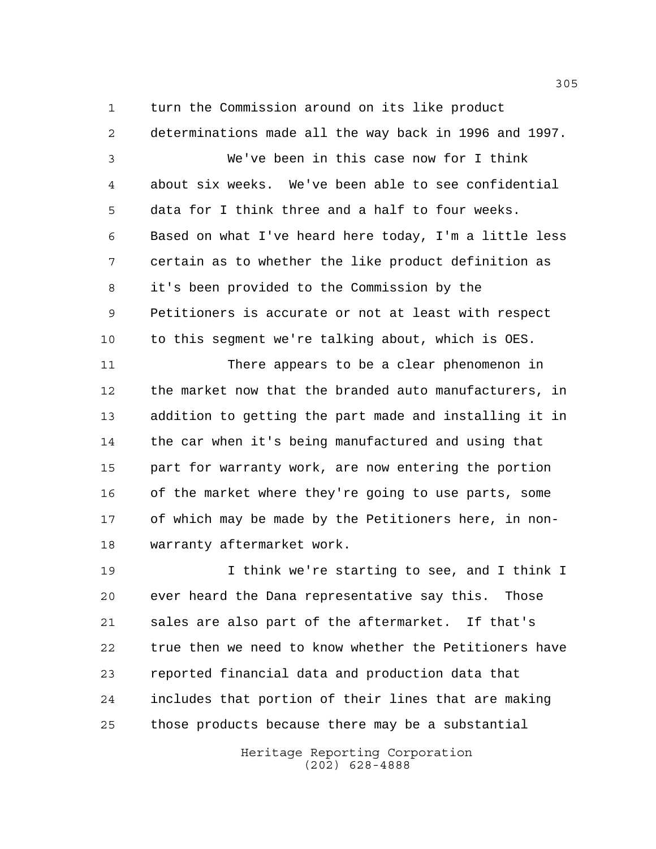turn the Commission around on its like product determinations made all the way back in 1996 and 1997.

 We've been in this case now for I think about six weeks. We've been able to see confidential data for I think three and a half to four weeks. Based on what I've heard here today, I'm a little less certain as to whether the like product definition as it's been provided to the Commission by the Petitioners is accurate or not at least with respect to this segment we're talking about, which is OES.

 There appears to be a clear phenomenon in the market now that the branded auto manufacturers, in addition to getting the part made and installing it in the car when it's being manufactured and using that part for warranty work, are now entering the portion of the market where they're going to use parts, some of which may be made by the Petitioners here, in non-warranty aftermarket work.

 I think we're starting to see, and I think I ever heard the Dana representative say this. Those sales are also part of the aftermarket. If that's true then we need to know whether the Petitioners have reported financial data and production data that includes that portion of their lines that are making those products because there may be a substantial

> Heritage Reporting Corporation (202) 628-4888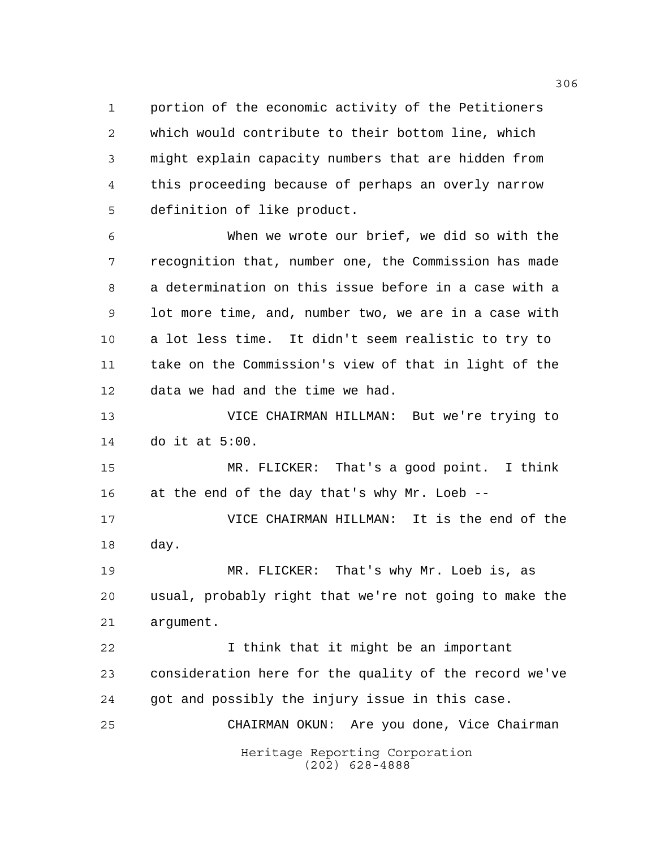portion of the economic activity of the Petitioners which would contribute to their bottom line, which might explain capacity numbers that are hidden from this proceeding because of perhaps an overly narrow definition of like product.

 When we wrote our brief, we did so with the recognition that, number one, the Commission has made a determination on this issue before in a case with a lot more time, and, number two, we are in a case with a lot less time. It didn't seem realistic to try to take on the Commission's view of that in light of the data we had and the time we had.

 VICE CHAIRMAN HILLMAN: But we're trying to do it at 5:00.

 MR. FLICKER: That's a good point. I think at the end of the day that's why Mr. Loeb --

 VICE CHAIRMAN HILLMAN: It is the end of the day.

 MR. FLICKER: That's why Mr. Loeb is, as usual, probably right that we're not going to make the argument.

Heritage Reporting Corporation (202) 628-4888 I think that it might be an important consideration here for the quality of the record we've got and possibly the injury issue in this case. CHAIRMAN OKUN: Are you done, Vice Chairman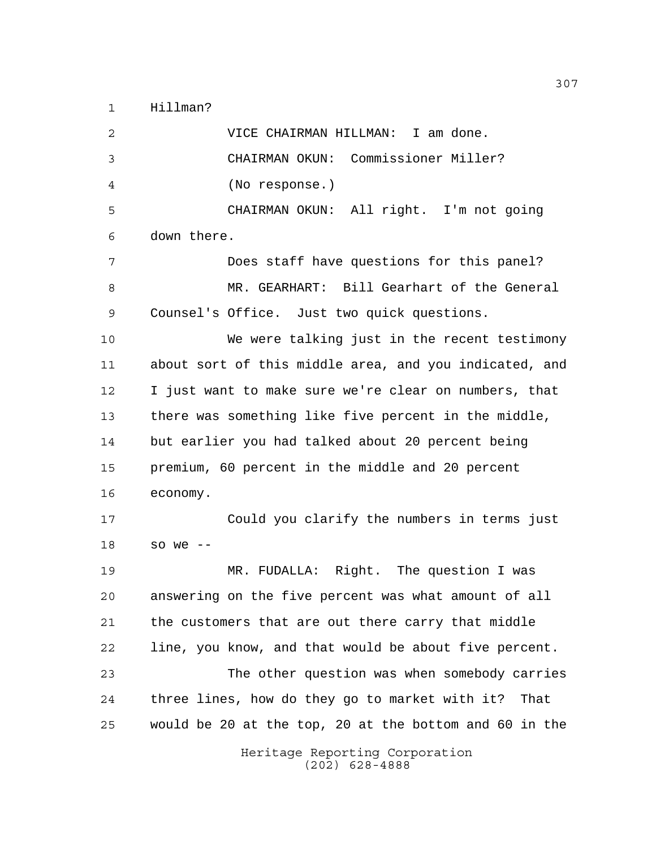Hillman?

Heritage Reporting Corporation (202) 628-4888 VICE CHAIRMAN HILLMAN: I am done. CHAIRMAN OKUN: Commissioner Miller? (No response.) CHAIRMAN OKUN: All right. I'm not going down there. Does staff have questions for this panel? MR. GEARHART: Bill Gearhart of the General Counsel's Office. Just two quick questions. We were talking just in the recent testimony about sort of this middle area, and you indicated, and I just want to make sure we're clear on numbers, that there was something like five percent in the middle, but earlier you had talked about 20 percent being premium, 60 percent in the middle and 20 percent economy. Could you clarify the numbers in terms just so we -- MR. FUDALLA: Right. The question I was answering on the five percent was what amount of all the customers that are out there carry that middle line, you know, and that would be about five percent. The other question was when somebody carries three lines, how do they go to market with it? That would be 20 at the top, 20 at the bottom and 60 in the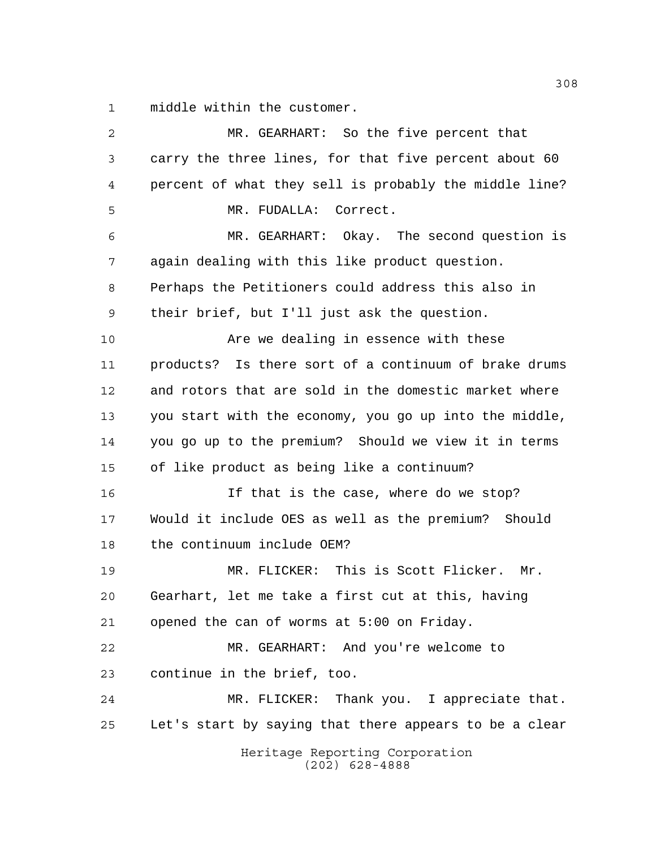middle within the customer.

| $\overline{a}$ | MR. GEARHART: So the five percent that                 |
|----------------|--------------------------------------------------------|
| 3              | carry the three lines, for that five percent about 60  |
| 4              | percent of what they sell is probably the middle line? |
| 5              | MR. FUDALLA:<br>Correct.                               |
| 6              | MR. GEARHART: Okay. The second question is             |
| 7              | again dealing with this like product question.         |
| 8              | Perhaps the Petitioners could address this also in     |
| 9              | their brief, but I'll just ask the question.           |
| 10             | Are we dealing in essence with these                   |
| 11             | products? Is there sort of a continuum of brake drums  |
| 12             | and rotors that are sold in the domestic market where  |
| 13             | you start with the economy, you go up into the middle, |
| 14             | you go up to the premium? Should we view it in terms   |
| 15             | of like product as being like a continuum?             |
| 16             | If that is the case, where do we stop?                 |
| 17             | Would it include OES as well as the premium?<br>Should |
| 18             | the continuum include OEM?                             |
| 19             | MR. FLICKER: This is Scott Flicker. Mr.                |
| 20             | Gearhart, let me take a first cut at this, having      |
| 21             | opened the can of worms at 5:00 on Friday.             |
| 22             | MR. GEARHART: And you're welcome to                    |
| 23             | continue in the brief, too.                            |
| 24             | MR. FLICKER: Thank you. I appreciate that.             |
| 25             | Let's start by saying that there appears to be a clear |
|                | Heritage Reporting Corporation<br>$(202)$ 628-4888     |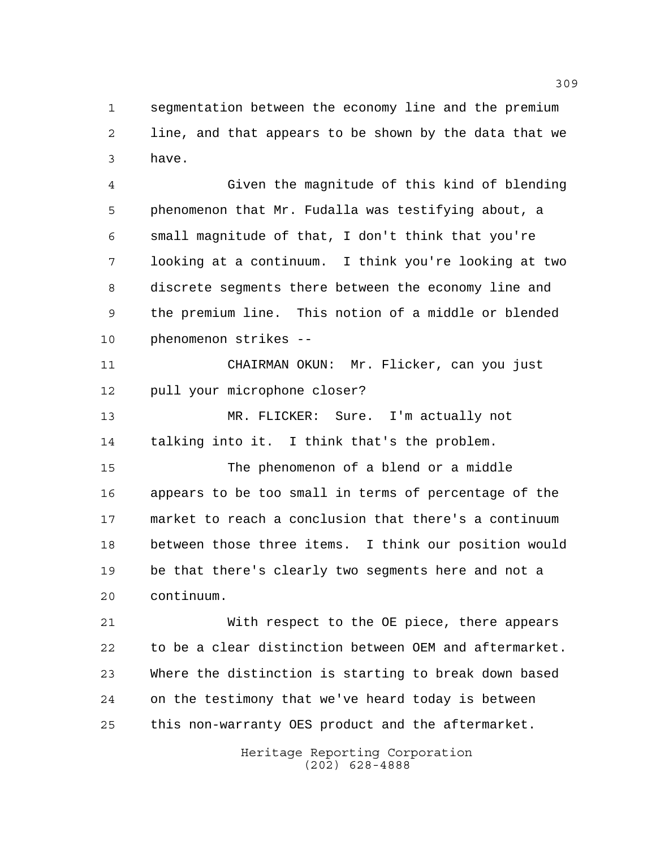segmentation between the economy line and the premium line, and that appears to be shown by the data that we have.

 Given the magnitude of this kind of blending phenomenon that Mr. Fudalla was testifying about, a small magnitude of that, I don't think that you're looking at a continuum. I think you're looking at two discrete segments there between the economy line and the premium line. This notion of a middle or blended phenomenon strikes --

 CHAIRMAN OKUN: Mr. Flicker, can you just pull your microphone closer?

 MR. FLICKER: Sure. I'm actually not talking into it. I think that's the problem.

 The phenomenon of a blend or a middle appears to be too small in terms of percentage of the market to reach a conclusion that there's a continuum between those three items. I think our position would be that there's clearly two segments here and not a continuum.

 With respect to the OE piece, there appears to be a clear distinction between OEM and aftermarket. Where the distinction is starting to break down based on the testimony that we've heard today is between this non-warranty OES product and the aftermarket.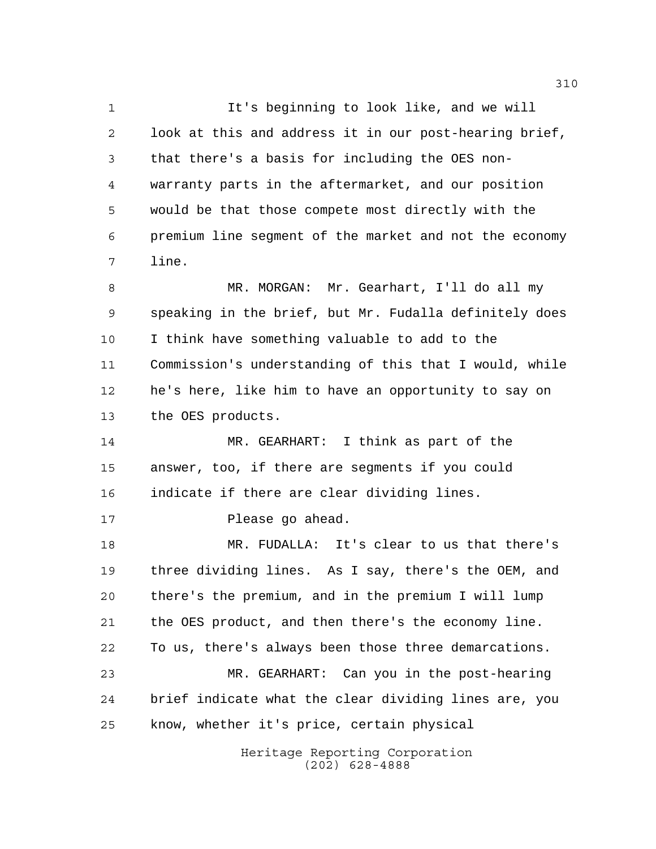It's beginning to look like, and we will look at this and address it in our post-hearing brief, that there's a basis for including the OES non- warranty parts in the aftermarket, and our position would be that those compete most directly with the premium line segment of the market and not the economy line.

 MR. MORGAN: Mr. Gearhart, I'll do all my speaking in the brief, but Mr. Fudalla definitely does I think have something valuable to add to the Commission's understanding of this that I would, while he's here, like him to have an opportunity to say on the OES products.

 MR. GEARHART: I think as part of the answer, too, if there are segments if you could indicate if there are clear dividing lines.

17 Please go ahead.

 MR. FUDALLA: It's clear to us that there's three dividing lines. As I say, there's the OEM, and there's the premium, and in the premium I will lump the OES product, and then there's the economy line. To us, there's always been those three demarcations. MR. GEARHART: Can you in the post-hearing brief indicate what the clear dividing lines are, you know, whether it's price, certain physical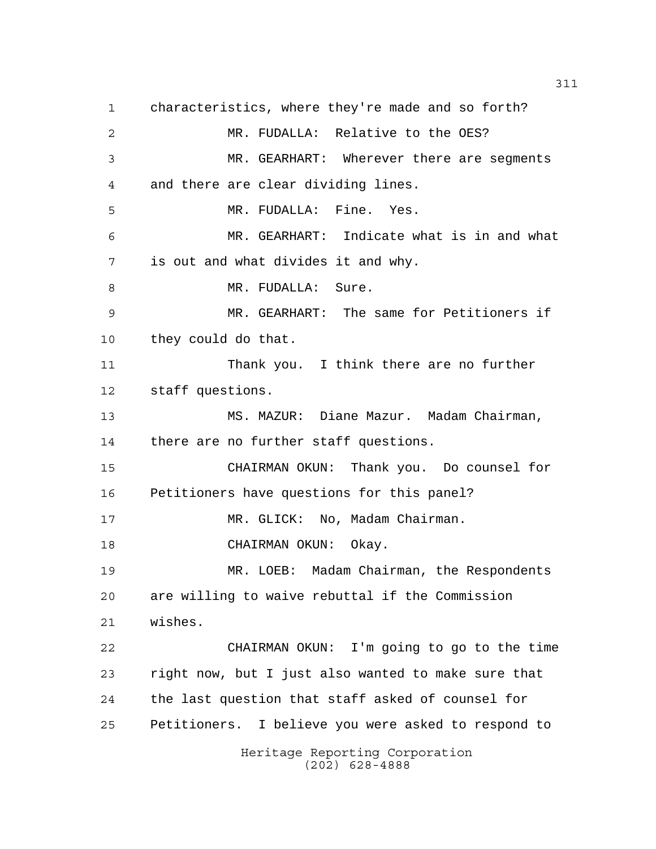Heritage Reporting Corporation characteristics, where they're made and so forth? MR. FUDALLA: Relative to the OES? MR. GEARHART: Wherever there are segments and there are clear dividing lines. MR. FUDALLA: Fine. Yes. MR. GEARHART: Indicate what is in and what is out and what divides it and why. 8 MR. FUDALLA: Sure. MR. GEARHART: The same for Petitioners if they could do that. Thank you. I think there are no further staff questions. MS. MAZUR: Diane Mazur. Madam Chairman, there are no further staff questions. CHAIRMAN OKUN: Thank you. Do counsel for Petitioners have questions for this panel? 17 MR. GLICK: No, Madam Chairman. CHAIRMAN OKUN: Okay. MR. LOEB: Madam Chairman, the Respondents are willing to waive rebuttal if the Commission wishes. CHAIRMAN OKUN: I'm going to go to the time right now, but I just also wanted to make sure that the last question that staff asked of counsel for Petitioners. I believe you were asked to respond to

(202) 628-4888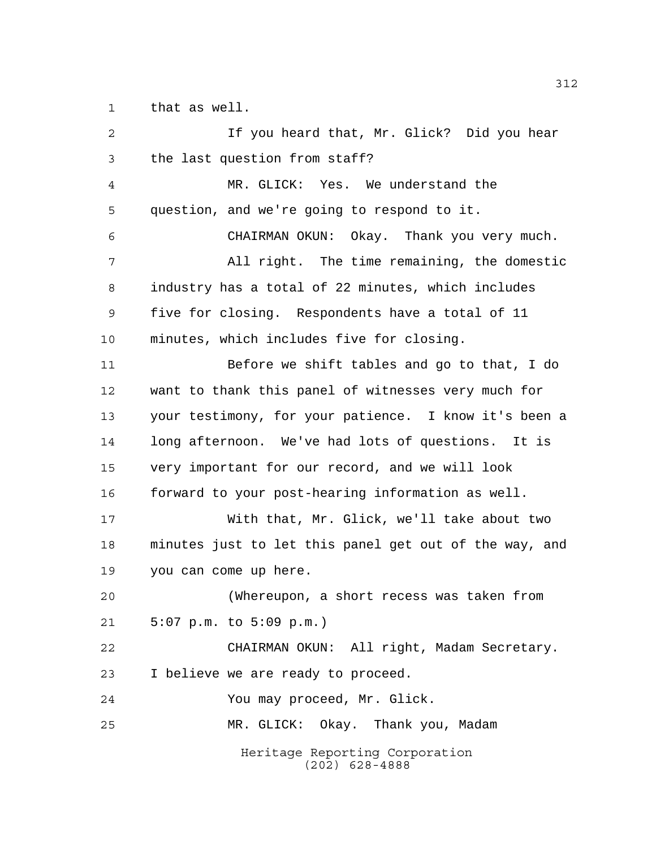that as well.

Heritage Reporting Corporation (202) 628-4888 If you heard that, Mr. Glick? Did you hear the last question from staff? MR. GLICK: Yes. We understand the question, and we're going to respond to it. CHAIRMAN OKUN: Okay. Thank you very much. All right. The time remaining, the domestic industry has a total of 22 minutes, which includes five for closing. Respondents have a total of 11 minutes, which includes five for closing. Before we shift tables and go to that, I do want to thank this panel of witnesses very much for your testimony, for your patience. I know it's been a long afternoon. We've had lots of questions. It is very important for our record, and we will look forward to your post-hearing information as well. With that, Mr. Glick, we'll take about two minutes just to let this panel get out of the way, and you can come up here. (Whereupon, a short recess was taken from 5:07 p.m. to 5:09 p.m.) CHAIRMAN OKUN: All right, Madam Secretary. I believe we are ready to proceed. You may proceed, Mr. Glick. MR. GLICK: Okay. Thank you, Madam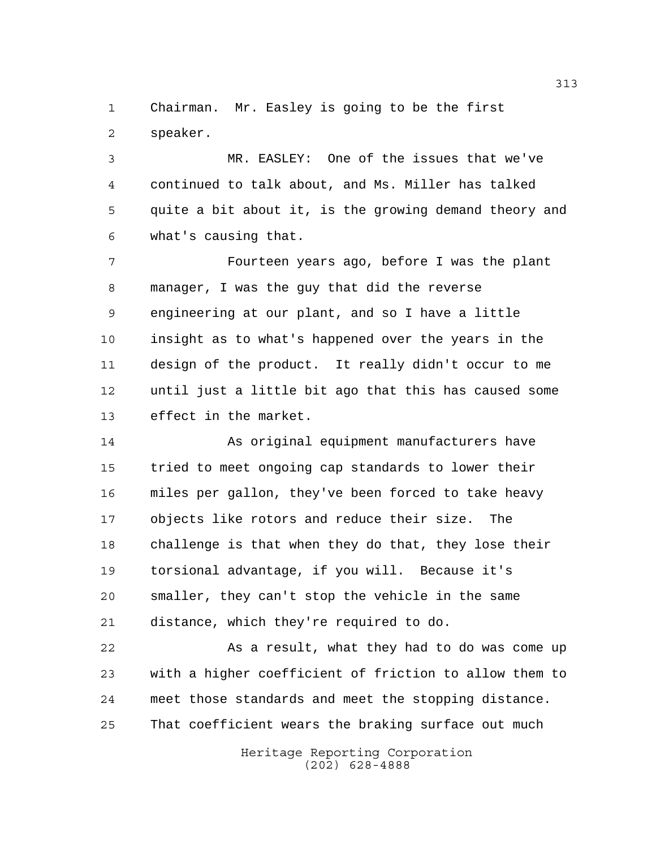Chairman. Mr. Easley is going to be the first speaker.

 MR. EASLEY: One of the issues that we've continued to talk about, and Ms. Miller has talked quite a bit about it, is the growing demand theory and what's causing that.

 Fourteen years ago, before I was the plant manager, I was the guy that did the reverse engineering at our plant, and so I have a little insight as to what's happened over the years in the design of the product. It really didn't occur to me until just a little bit ago that this has caused some effect in the market.

 As original equipment manufacturers have tried to meet ongoing cap standards to lower their miles per gallon, they've been forced to take heavy objects like rotors and reduce their size. The challenge is that when they do that, they lose their torsional advantage, if you will. Because it's smaller, they can't stop the vehicle in the same distance, which they're required to do.

 As a result, what they had to do was come up with a higher coefficient of friction to allow them to meet those standards and meet the stopping distance. That coefficient wears the braking surface out much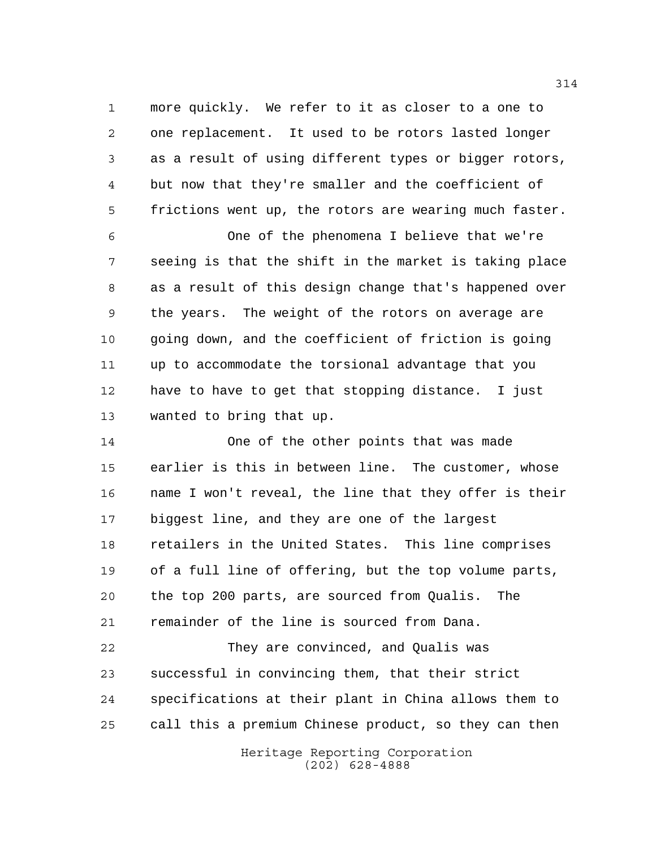more quickly. We refer to it as closer to a one to one replacement. It used to be rotors lasted longer as a result of using different types or bigger rotors, but now that they're smaller and the coefficient of frictions went up, the rotors are wearing much faster.

 One of the phenomena I believe that we're seeing is that the shift in the market is taking place as a result of this design change that's happened over the years. The weight of the rotors on average are going down, and the coefficient of friction is going up to accommodate the torsional advantage that you have to have to get that stopping distance. I just wanted to bring that up.

 One of the other points that was made earlier is this in between line. The customer, whose name I won't reveal, the line that they offer is their biggest line, and they are one of the largest retailers in the United States. This line comprises of a full line of offering, but the top volume parts, the top 200 parts, are sourced from Qualis. The remainder of the line is sourced from Dana.

 They are convinced, and Qualis was successful in convincing them, that their strict specifications at their plant in China allows them to call this a premium Chinese product, so they can then

> Heritage Reporting Corporation (202) 628-4888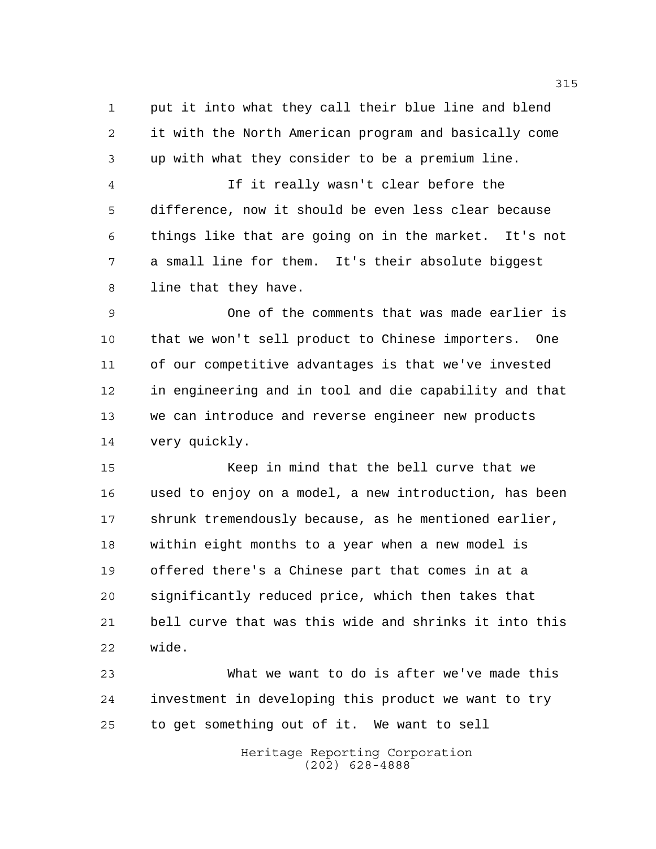put it into what they call their blue line and blend it with the North American program and basically come up with what they consider to be a premium line.

 If it really wasn't clear before the difference, now it should be even less clear because things like that are going on in the market. It's not a small line for them. It's their absolute biggest line that they have.

 One of the comments that was made earlier is that we won't sell product to Chinese importers. One of our competitive advantages is that we've invested in engineering and in tool and die capability and that we can introduce and reverse engineer new products very quickly.

 Keep in mind that the bell curve that we used to enjoy on a model, a new introduction, has been shrunk tremendously because, as he mentioned earlier, within eight months to a year when a new model is offered there's a Chinese part that comes in at a significantly reduced price, which then takes that bell curve that was this wide and shrinks it into this wide.

 What we want to do is after we've made this investment in developing this product we want to try to get something out of it. We want to sell

> Heritage Reporting Corporation (202) 628-4888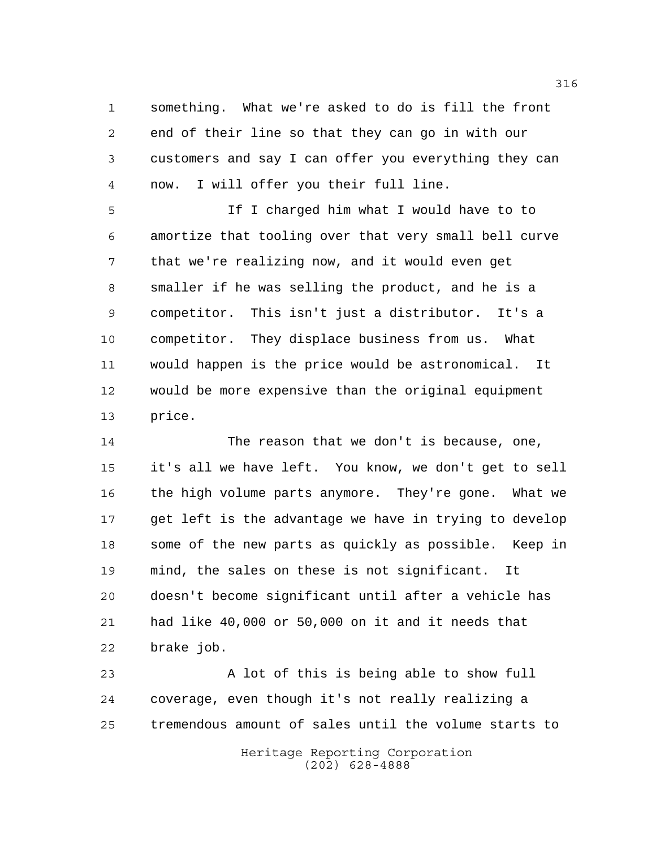something. What we're asked to do is fill the front end of their line so that they can go in with our customers and say I can offer you everything they can now. I will offer you their full line.

 If I charged him what I would have to to amortize that tooling over that very small bell curve that we're realizing now, and it would even get smaller if he was selling the product, and he is a competitor. This isn't just a distributor. It's a competitor. They displace business from us. What would happen is the price would be astronomical. It would be more expensive than the original equipment price.

 The reason that we don't is because, one, it's all we have left. You know, we don't get to sell the high volume parts anymore. They're gone. What we get left is the advantage we have in trying to develop some of the new parts as quickly as possible. Keep in mind, the sales on these is not significant. It doesn't become significant until after a vehicle has had like 40,000 or 50,000 on it and it needs that brake job.

 A lot of this is being able to show full coverage, even though it's not really realizing a tremendous amount of sales until the volume starts to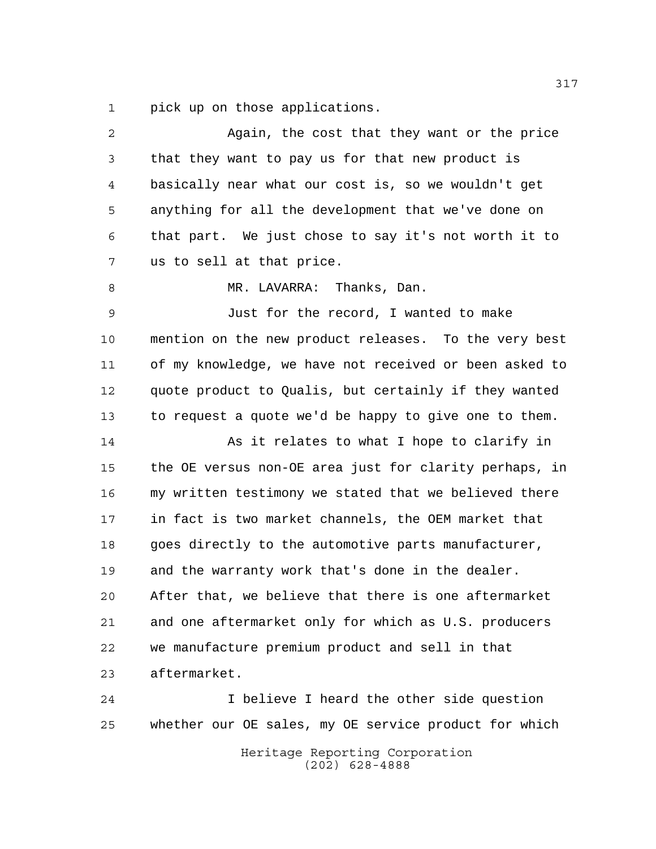pick up on those applications.

| 2  | Again, the cost that they want or the price            |
|----|--------------------------------------------------------|
| 3  | that they want to pay us for that new product is       |
| 4  | basically near what our cost is, so we wouldn't get    |
| 5  | anything for all the development that we've done on    |
| 6  | that part. We just chose to say it's not worth it to   |
| 7  | us to sell at that price.                              |
| 8  | MR. LAVARRA: Thanks, Dan.                              |
| 9  | Just for the record, I wanted to make                  |
| 10 | mention on the new product releases. To the very best  |
| 11 | of my knowledge, we have not received or been asked to |
| 12 | quote product to Qualis, but certainly if they wanted  |
| 13 | to request a quote we'd be happy to give one to them.  |
| 14 | As it relates to what I hope to clarify in             |
| 15 | the OE versus non-OE area just for clarity perhaps, in |
| 16 | my written testimony we stated that we believed there  |
| 17 | in fact is two market channels, the OEM market that    |
| 18 | goes directly to the automotive parts manufacturer,    |
| 19 | and the warranty work that's done in the dealer.       |
| 20 | After that, we believe that there is one aftermarket   |
| 21 | and one aftermarket only for which as U.S. producers   |
| 22 | we manufacture premium product and sell in that        |
| 23 | aftermarket.                                           |
| 24 | I believe I heard the other side question              |
| 25 | whether our OE sales, my OE service product for which  |
|    | Heritage Reporting Corporation<br>$(202)$ 628-4888     |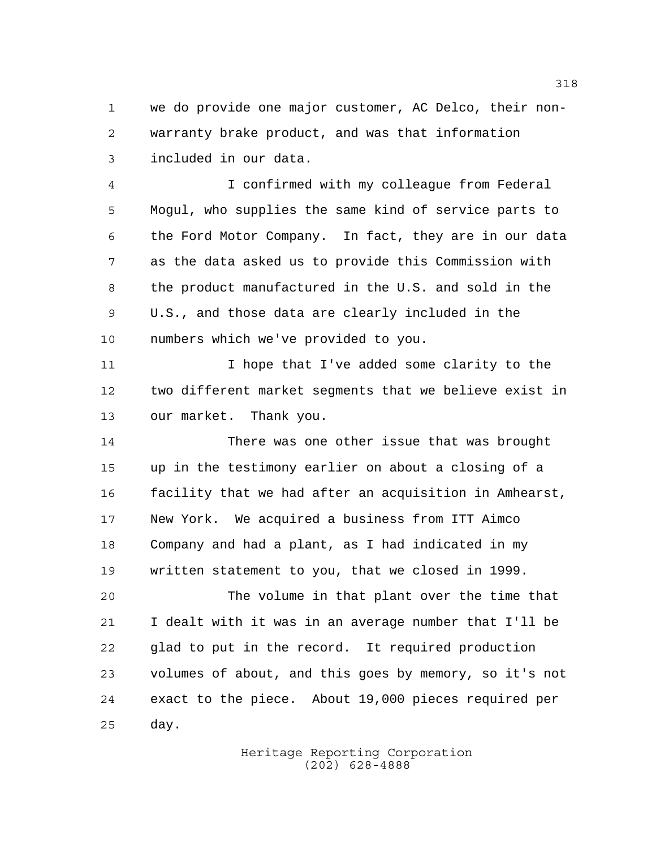we do provide one major customer, AC Delco, their non- warranty brake product, and was that information included in our data.

 I confirmed with my colleague from Federal Mogul, who supplies the same kind of service parts to the Ford Motor Company. In fact, they are in our data as the data asked us to provide this Commission with the product manufactured in the U.S. and sold in the U.S., and those data are clearly included in the numbers which we've provided to you.

11 11 I hope that I've added some clarity to the two different market segments that we believe exist in our market. Thank you.

 There was one other issue that was brought up in the testimony earlier on about a closing of a facility that we had after an acquisition in Amhearst, New York. We acquired a business from ITT Aimco Company and had a plant, as I had indicated in my written statement to you, that we closed in 1999.

 The volume in that plant over the time that I dealt with it was in an average number that I'll be glad to put in the record. It required production volumes of about, and this goes by memory, so it's not exact to the piece. About 19,000 pieces required per day.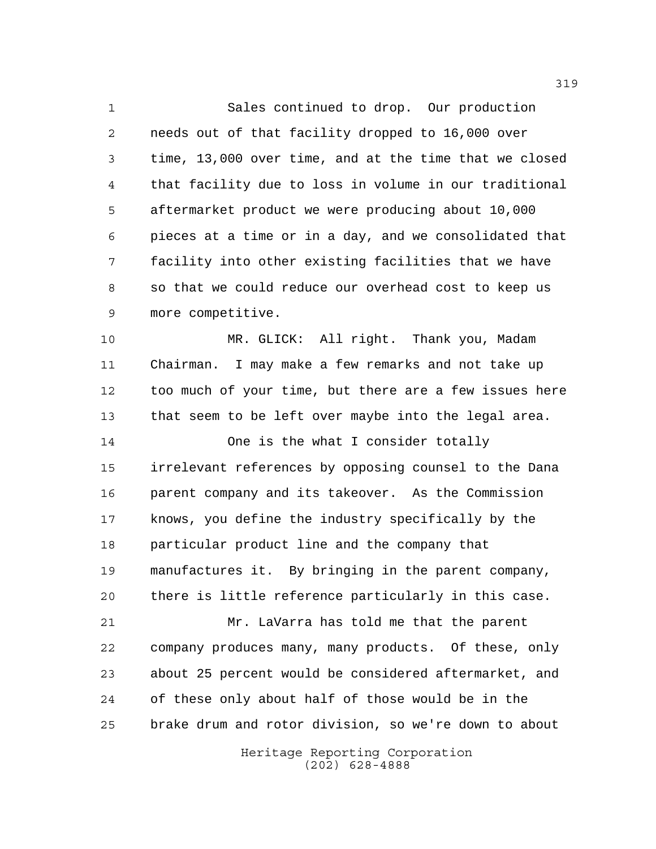Sales continued to drop. Our production needs out of that facility dropped to 16,000 over time, 13,000 over time, and at the time that we closed that facility due to loss in volume in our traditional aftermarket product we were producing about 10,000 pieces at a time or in a day, and we consolidated that facility into other existing facilities that we have so that we could reduce our overhead cost to keep us more competitive.

 MR. GLICK: All right. Thank you, Madam Chairman. I may make a few remarks and not take up too much of your time, but there are a few issues here that seem to be left over maybe into the legal area.

 One is the what I consider totally irrelevant references by opposing counsel to the Dana parent company and its takeover. As the Commission knows, you define the industry specifically by the particular product line and the company that manufactures it. By bringing in the parent company, there is little reference particularly in this case.

 Mr. LaVarra has told me that the parent company produces many, many products. Of these, only about 25 percent would be considered aftermarket, and of these only about half of those would be in the brake drum and rotor division, so we're down to about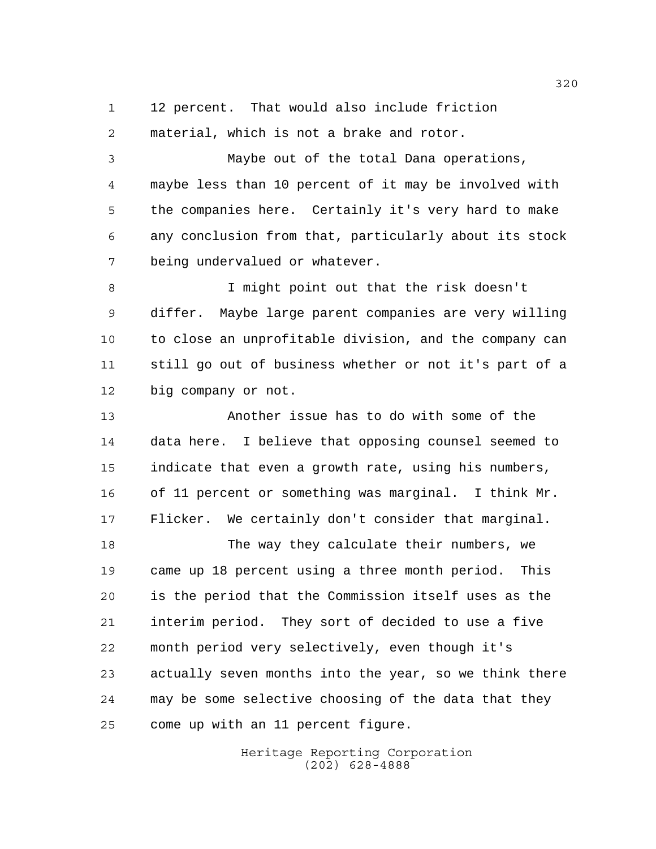12 percent. That would also include friction

material, which is not a brake and rotor.

 Maybe out of the total Dana operations, maybe less than 10 percent of it may be involved with the companies here. Certainly it's very hard to make any conclusion from that, particularly about its stock being undervalued or whatever.

 I might point out that the risk doesn't differ. Maybe large parent companies are very willing to close an unprofitable division, and the company can still go out of business whether or not it's part of a big company or not.

 Another issue has to do with some of the data here. I believe that opposing counsel seemed to indicate that even a growth rate, using his numbers, of 11 percent or something was marginal. I think Mr. Flicker. We certainly don't consider that marginal.

 The way they calculate their numbers, we came up 18 percent using a three month period. This is the period that the Commission itself uses as the interim period. They sort of decided to use a five month period very selectively, even though it's actually seven months into the year, so we think there may be some selective choosing of the data that they come up with an 11 percent figure.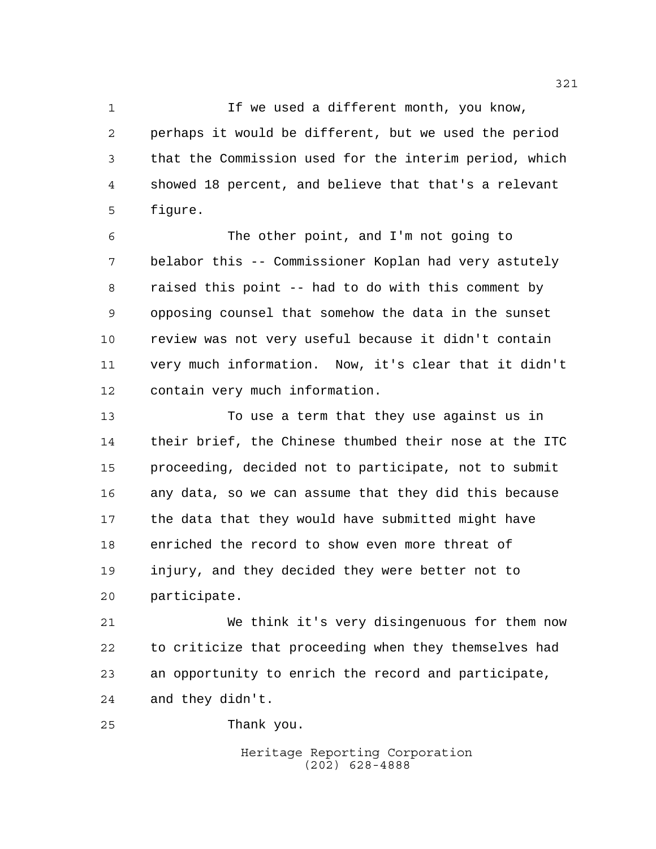1 1 If we used a different month, you know, perhaps it would be different, but we used the period that the Commission used for the interim period, which showed 18 percent, and believe that that's a relevant figure.

 The other point, and I'm not going to belabor this -- Commissioner Koplan had very astutely raised this point -- had to do with this comment by opposing counsel that somehow the data in the sunset review was not very useful because it didn't contain very much information. Now, it's clear that it didn't contain very much information.

 To use a term that they use against us in their brief, the Chinese thumbed their nose at the ITC proceeding, decided not to participate, not to submit any data, so we can assume that they did this because the data that they would have submitted might have enriched the record to show even more threat of injury, and they decided they were better not to participate.

 We think it's very disingenuous for them now to criticize that proceeding when they themselves had an opportunity to enrich the record and participate, and they didn't.

Thank you.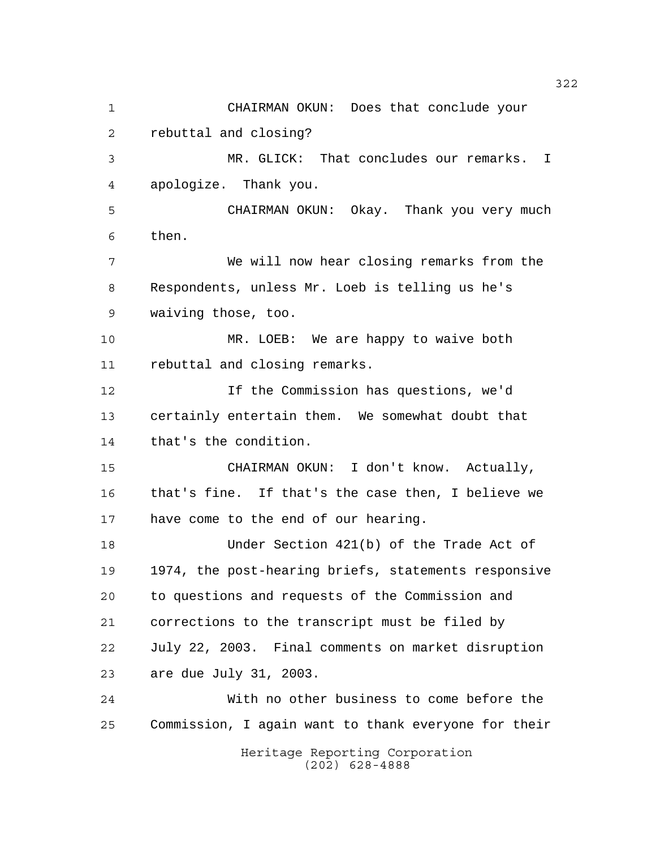Heritage Reporting Corporation CHAIRMAN OKUN: Does that conclude your rebuttal and closing? MR. GLICK: That concludes our remarks. I apologize. Thank you. CHAIRMAN OKUN: Okay. Thank you very much then. We will now hear closing remarks from the Respondents, unless Mr. Loeb is telling us he's waiving those, too. MR. LOEB: We are happy to waive both rebuttal and closing remarks. If the Commission has questions, we'd certainly entertain them. We somewhat doubt that that's the condition. CHAIRMAN OKUN: I don't know. Actually, that's fine. If that's the case then, I believe we have come to the end of our hearing. Under Section 421(b) of the Trade Act of 1974, the post-hearing briefs, statements responsive to questions and requests of the Commission and corrections to the transcript must be filed by July 22, 2003. Final comments on market disruption are due July 31, 2003. With no other business to come before the Commission, I again want to thank everyone for their

(202) 628-4888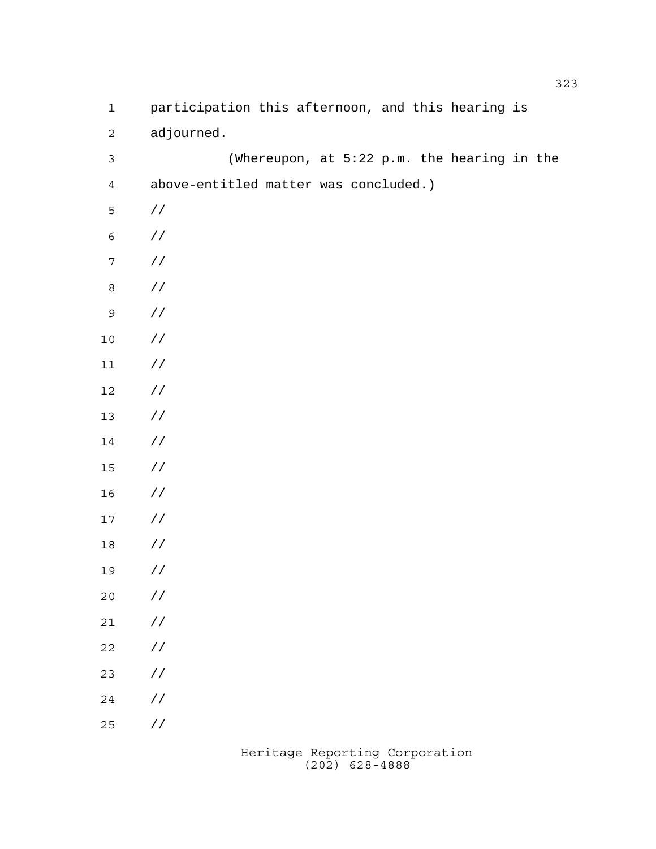| $\mathbf 1$      | participation this afternoon, and this hearing is |
|------------------|---------------------------------------------------|
| $\mathbf 2$      | adjourned.                                        |
| $\mathsf 3$      | (Whereupon, at 5:22 p.m. the hearing in the       |
| $\overline{4}$   | above-entitled matter was concluded.)             |
| 5                | $\frac{1}{2}$                                     |
| $\epsilon$       | $\sqrt{2}$                                        |
| $\boldsymbol{7}$ | $\sqrt{2}$                                        |
| $\,8\,$          | $\sqrt{2}$                                        |
| $\mathsf 9$      | $\sqrt{2}$                                        |
| $10$             | $\sqrt{2}$                                        |
| $11$             | $\sqrt{2}$                                        |
| 12               | $\sqrt{2}$                                        |
| $13$             | $\sqrt{2}$                                        |
| 14               | $\frac{1}{2}$                                     |
| $15$             | $\frac{\sqrt{2}}{2}$                              |
| 16               | $\frac{\sqrt{2}}{2}$                              |
| $17\,$           | $\frac{1}{2}$                                     |
| 18               | $\frac{1}{2}$                                     |
| 19               | $\frac{1}{2}$                                     |
| $20$             | $\!/\!$ /                                         |
| 21               | / $\mskip 1mu /$                                  |
| 22               | / $\mskip 1mu /$                                  |
| 23               | / $\mskip 1mu /$                                  |
| 24               | / $\mskip 1mu /$                                  |
| 25               | $\!/\!$ /                                         |
|                  |                                                   |